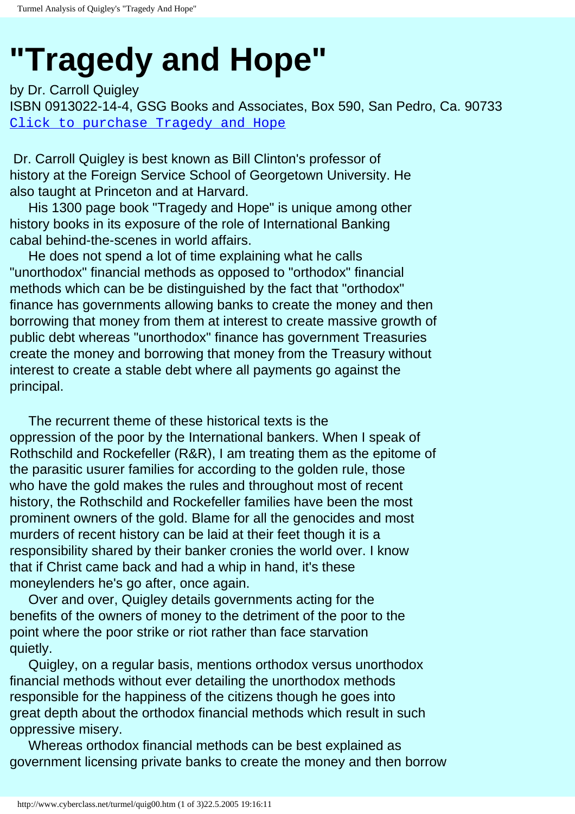# **"Tragedy and Hope"**

by Dr. Carroll Quigley

ISBN 0913022-14-4, GSG Books and Associates, Box 590, San Pedro, Ca. 90733 [Click to purchase Tragedy and Hope](http://www.abebooks.com/home/gsgbooks1)

 Dr. Carroll Quigley is best known as Bill Clinton's professor of history at the Foreign Service School of Georgetown University. He also taught at Princeton and at Harvard.

 His 1300 page book "Tragedy and Hope" is unique among other history books in its exposure of the role of International Banking cabal behind-the-scenes in world affairs.

 He does not spend a lot of time explaining what he calls "unorthodox" financial methods as opposed to "orthodox" financial methods which can be be distinguished by the fact that "orthodox" finance has governments allowing banks to create the money and then borrowing that money from them at interest to create massive growth of public debt whereas "unorthodox" finance has government Treasuries create the money and borrowing that money from the Treasury without interest to create a stable debt where all payments go against the principal.

 The recurrent theme of these historical texts is the oppression of the poor by the International bankers. When I speak of Rothschild and Rockefeller (R&R), I am treating them as the epitome of the parasitic usurer families for according to the golden rule, those who have the gold makes the rules and throughout most of recent history, the Rothschild and Rockefeller families have been the most prominent owners of the gold. Blame for all the genocides and most murders of recent history can be laid at their feet though it is a responsibility shared by their banker cronies the world over. I know that if Christ came back and had a whip in hand, it's these moneylenders he's go after, once again.

 Over and over, Quigley details governments acting for the benefits of the owners of money to the detriment of the poor to the point where the poor strike or riot rather than face starvation quietly.

 Quigley, on a regular basis, mentions orthodox versus unorthodox financial methods without ever detailing the unorthodox methods responsible for the happiness of the citizens though he goes into great depth about the orthodox financial methods which result in such oppressive misery.

 Whereas orthodox financial methods can be best explained as government licensing private banks to create the money and then borrow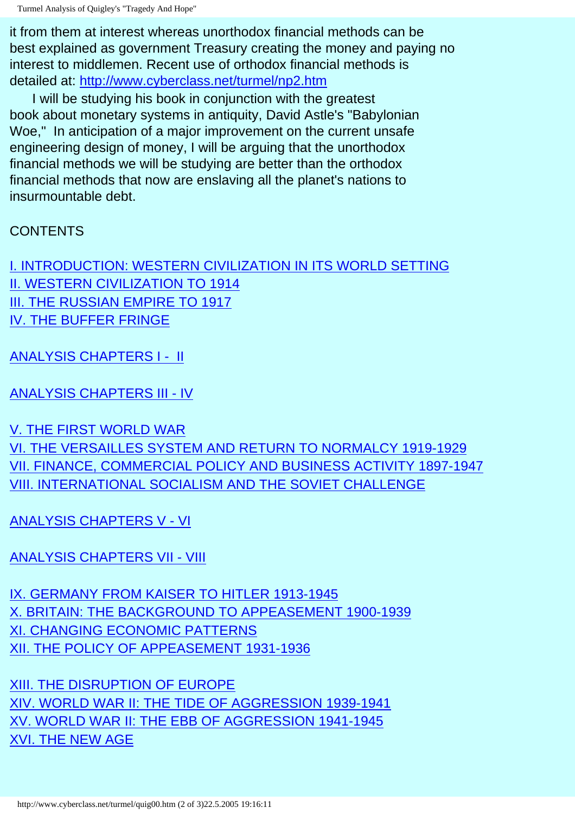```
Turmel Analysis of Quigley's "Tragedy And Hope"
```
it from them at interest whereas unorthodox financial methods can be best explained as government Treasury creating the money and paying no interest to middlemen. Recent use of orthodox financial methods is detailed at:<http://www.cyberclass.net/turmel/np2.htm>

 I will be studying his book in conjunction with the greatest book about monetary systems in antiquity, David Astle's "Babylonian Woe," In anticipation of a major improvement on the current unsafe engineering design of money, I will be arguing that the unorthodox financial methods we will be studying are better than the orthodox financial methods that now are enslaving all the planet's nations to insurmountable debt.

# **CONTENTS**

[I. INTRODUCTION: WESTERN CIVILIZATION IN ITS WORLD SETTING](#page-3-0) [II. WESTERN CIVILIZATION TO 1914](#page-3-0) [III. THE RUSSIAN EMPIRE TO 1917](#page-3-0) [IV. THE BUFFER FRINGE](#page-3-0)

[ANALYSIS CHAPTERS I - II](#page-31-0)

[ANALYSIS CHAPTERS III - IV](#page-61-0)

[V. THE FIRST WORLD WAR](#page-75-0) [VI. THE VERSAILLES SYSTEM AND RETURN TO NORMALCY 1919-1929](#page-75-0) [VII. FINANCE, COMMERCIAL POLICY AND BUSINESS ACTIVITY 1897-1947](#page-75-0) [VIII. INTERNATIONAL SOCIALISM AND THE SOVIET CHALLENGE](#page-75-0)

[ANALYSIS CHAPTERS V - VI](#page-102-0)

[ANALYSIS CHAPTERS VII - VIII](#page-124-0)

[IX. GERMANY FROM KAISER TO HITLER 1913-1945](#page-152-0) [X. BRITAIN: THE BACKGROUND TO APPEASEMENT 1900-1939](#page-152-0) [XI. CHANGING ECONOMIC PATTERNS](#page-152-0) [XII. THE POLICY OF APPEASEMENT 1931-1936](#page-152-0)

[XIII. THE DISRUPTION OF EUROPE](#page-188-0) [XIV. WORLD WAR II: THE TIDE OF AGGRESSION 1939-1941](#page-188-0) [XV. WORLD WAR II: THE EBB OF AGGRESSION 1941-1945](#page-188-0) [XVI. THE NEW AGE](#page-188-0)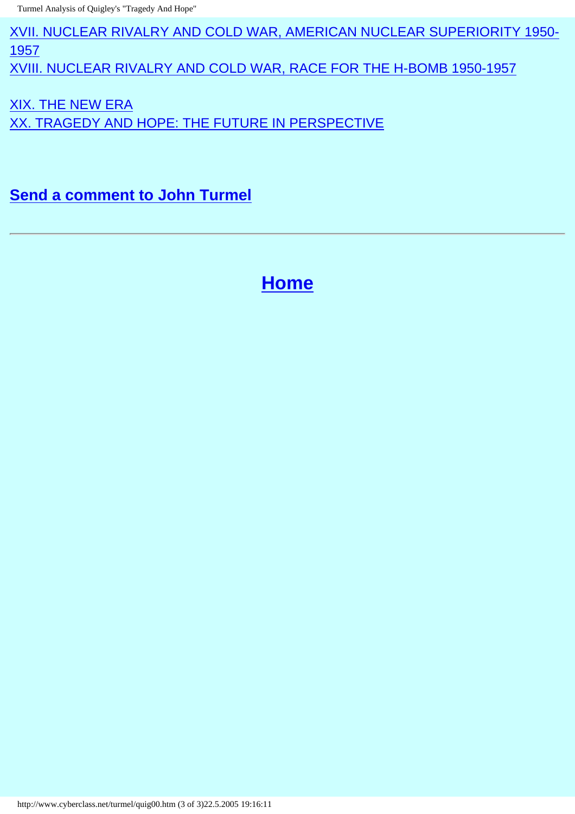[XVII. NUCLEAR RIVALRY AND COLD WAR, AMERICAN NUCLEAR SUPERIORITY 1950-](#page-219-0) [1957](#page-219-0) [XVIII. NUCLEAR RIVALRY AND COLD WAR, RACE FOR THE H-BOMB 1950-1957](#page-219-0)

[XIX. THE NEW ERA](#page-253-0) [XX. TRAGEDY AND HOPE: THE FUTURE IN PERSPECTIVE](#page-253-0)

**[Send a comment to John Turmel](mailto:%20bc726@freenet.carleton.ca)**

# **[Home](http://www.cyberclass.net/turmel)**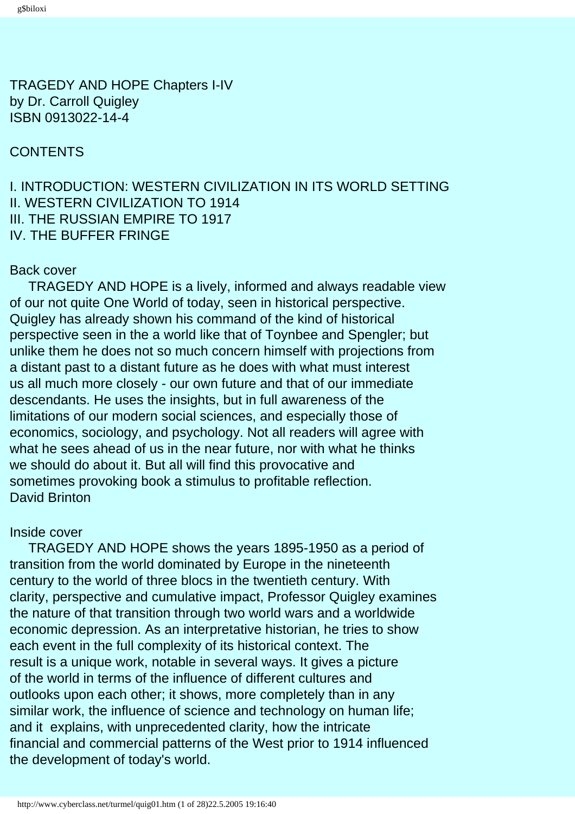<span id="page-3-0"></span>TRAGEDY AND HOPE Chapters I-IV by Dr. Carroll Quigley ISBN 0913022-14-4

#### **CONTENTS**

# I. INTRODUCTION: WESTERN CIVILIZATION IN ITS WORLD SETTING II. WESTERN CIVILIZATION TO 1914 III. THE RUSSIAN EMPIRE TO 1917 IV. THE BUFFER FRINGE

#### Back cover

 TRAGEDY AND HOPE is a lively, informed and always readable view of our not quite One World of today, seen in historical perspective. Quigley has already shown his command of the kind of historical perspective seen in the a world like that of Toynbee and Spengler; but unlike them he does not so much concern himself with projections from a distant past to a distant future as he does with what must interest us all much more closely - our own future and that of our immediate descendants. He uses the insights, but in full awareness of the limitations of our modern social sciences, and especially those of economics, sociology, and psychology. Not all readers will agree with what he sees ahead of us in the near future, nor with what he thinks we should do about it. But all will find this provocative and sometimes provoking book a stimulus to profitable reflection. David Brinton

#### Inside cover

 TRAGEDY AND HOPE shows the years 1895-1950 as a period of transition from the world dominated by Europe in the nineteenth century to the world of three blocs in the twentieth century. With clarity, perspective and cumulative impact, Professor Quigley examines the nature of that transition through two world wars and a worldwide economic depression. As an interpretative historian, he tries to show each event in the full complexity of its historical context. The result is a unique work, notable in several ways. It gives a picture of the world in terms of the influence of different cultures and outlooks upon each other; it shows, more completely than in any similar work, the influence of science and technology on human life; and it explains, with unprecedented clarity, how the intricate financial and commercial patterns of the West prior to 1914 influenced the development of today's world.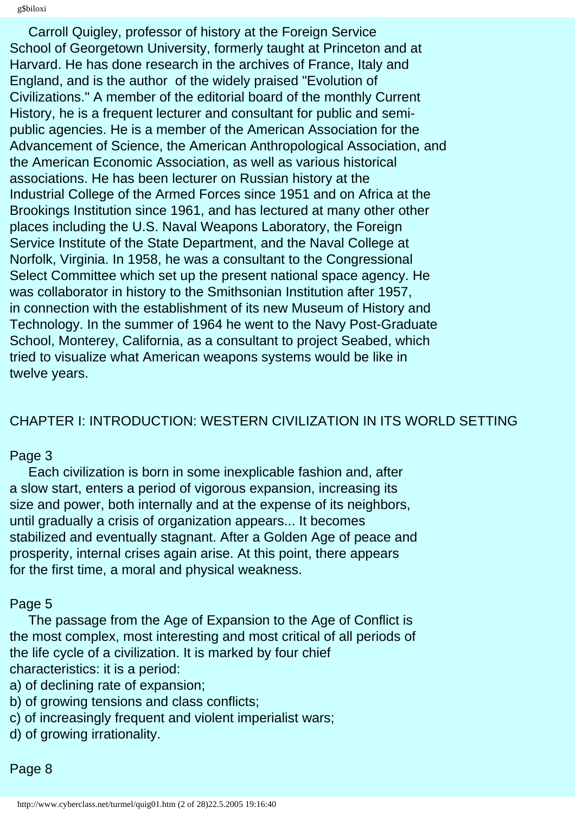Carroll Quigley, professor of history at the Foreign Service School of Georgetown University, formerly taught at Princeton and at Harvard. He has done research in the archives of France, Italy and England, and is the author of the widely praised "Evolution of Civilizations." A member of the editorial board of the monthly Current History, he is a frequent lecturer and consultant for public and semipublic agencies. He is a member of the American Association for the Advancement of Science, the American Anthropological Association, and the American Economic Association, as well as various historical associations. He has been lecturer on Russian history at the Industrial College of the Armed Forces since 1951 and on Africa at the Brookings Institution since 1961, and has lectured at many other other places including the U.S. Naval Weapons Laboratory, the Foreign Service Institute of the State Department, and the Naval College at Norfolk, Virginia. In 1958, he was a consultant to the Congressional Select Committee which set up the present national space agency. He was collaborator in history to the Smithsonian Institution after 1957, in connection with the establishment of its new Museum of History and Technology. In the summer of 1964 he went to the Navy Post-Graduate School, Monterey, California, as a consultant to project Seabed, which tried to visualize what American weapons systems would be like in twelve years.

# CHAPTER I: INTRODUCTION: WESTERN CIVILIZATION IN ITS WORLD SETTING

#### Page 3

 Each civilization is born in some inexplicable fashion and, after a slow start, enters a period of vigorous expansion, increasing its size and power, both internally and at the expense of its neighbors, until gradually a crisis of organization appears... It becomes stabilized and eventually stagnant. After a Golden Age of peace and prosperity, internal crises again arise. At this point, there appears for the first time, a moral and physical weakness.

# Page 5

 The passage from the Age of Expansion to the Age of Conflict is the most complex, most interesting and most critical of all periods of the life cycle of a civilization. It is marked by four chief characteristics: it is a period:

- a) of declining rate of expansion;
- b) of growing tensions and class conflicts;
- c) of increasingly frequent and violent imperialist wars;
- d) of growing irrationality.

# Page 8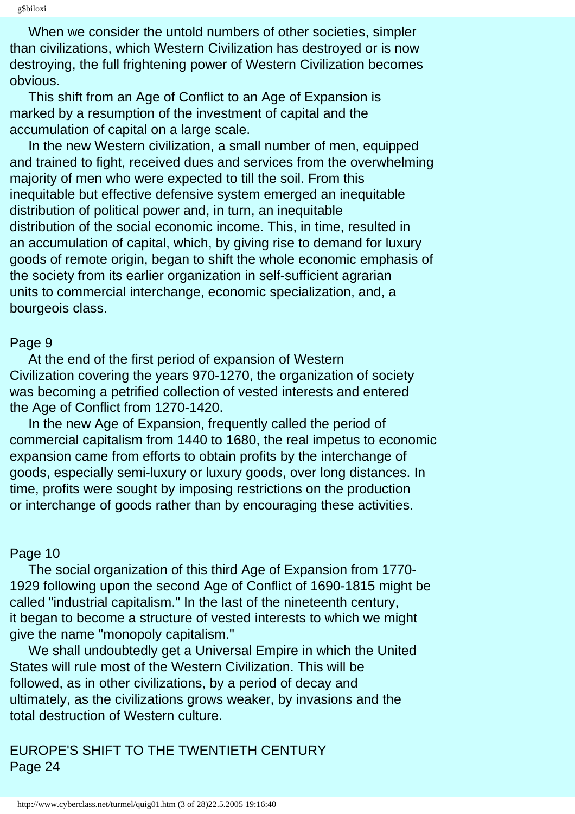When we consider the untold numbers of other societies, simpler than civilizations, which Western Civilization has destroyed or is now destroying, the full frightening power of Western Civilization becomes obvious.

 This shift from an Age of Conflict to an Age of Expansion is marked by a resumption of the investment of capital and the accumulation of capital on a large scale.

 In the new Western civilization, a small number of men, equipped and trained to fight, received dues and services from the overwhelming majority of men who were expected to till the soil. From this inequitable but effective defensive system emerged an inequitable distribution of political power and, in turn, an inequitable distribution of the social economic income. This, in time, resulted in an accumulation of capital, which, by giving rise to demand for luxury goods of remote origin, began to shift the whole economic emphasis of the society from its earlier organization in self-sufficient agrarian units to commercial interchange, economic specialization, and, a bourgeois class.

#### Page 9

 At the end of the first period of expansion of Western Civilization covering the years 970-1270, the organization of society was becoming a petrified collection of vested interests and entered the Age of Conflict from 1270-1420.

 In the new Age of Expansion, frequently called the period of commercial capitalism from 1440 to 1680, the real impetus to economic expansion came from efforts to obtain profits by the interchange of goods, especially semi-luxury or luxury goods, over long distances. In time, profits were sought by imposing restrictions on the production or interchange of goods rather than by encouraging these activities.

#### Page 10

 The social organization of this third Age of Expansion from 1770- 1929 following upon the second Age of Conflict of 1690-1815 might be called "industrial capitalism." In the last of the nineteenth century, it began to become a structure of vested interests to which we might give the name "monopoly capitalism."

 We shall undoubtedly get a Universal Empire in which the United States will rule most of the Western Civilization. This will be followed, as in other civilizations, by a period of decay and ultimately, as the civilizations grows weaker, by invasions and the total destruction of Western culture.

EUROPE'S SHIFT TO THE TWENTIETH CENTURY Page 24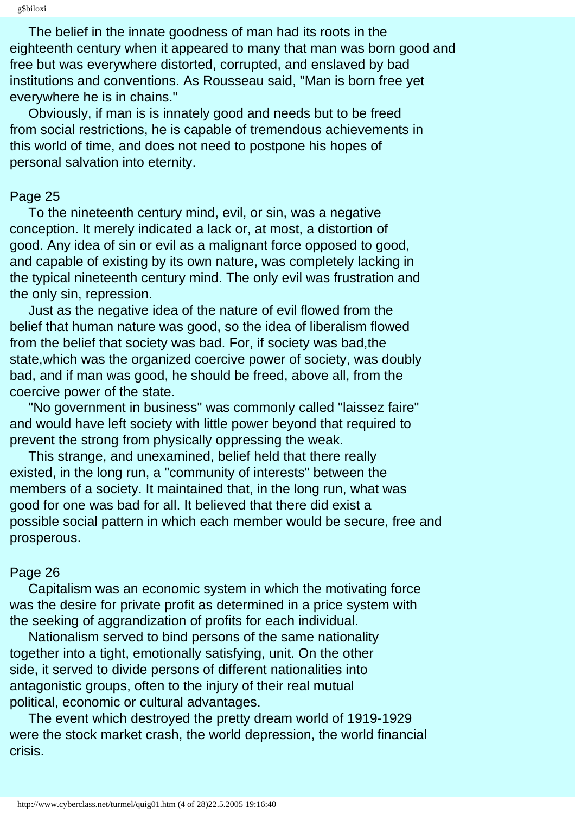The belief in the innate goodness of man had its roots in the eighteenth century when it appeared to many that man was born good and free but was everywhere distorted, corrupted, and enslaved by bad institutions and conventions. As Rousseau said, "Man is born free yet everywhere he is in chains."

 Obviously, if man is is innately good and needs but to be freed from social restrictions, he is capable of tremendous achievements in this world of time, and does not need to postpone his hopes of personal salvation into eternity.

#### Page 25

 To the nineteenth century mind, evil, or sin, was a negative conception. It merely indicated a lack or, at most, a distortion of good. Any idea of sin or evil as a malignant force opposed to good, and capable of existing by its own nature, was completely lacking in the typical nineteenth century mind. The only evil was frustration and the only sin, repression.

 Just as the negative idea of the nature of evil flowed from the belief that human nature was good, so the idea of liberalism flowed from the belief that society was bad. For, if society was bad,the state,which was the organized coercive power of society, was doubly bad, and if man was good, he should be freed, above all, from the coercive power of the state.

 "No government in business" was commonly called "laissez faire" and would have left society with little power beyond that required to prevent the strong from physically oppressing the weak.

 This strange, and unexamined, belief held that there really existed, in the long run, a "community of interests" between the members of a society. It maintained that, in the long run, what was good for one was bad for all. It believed that there did exist a possible social pattern in which each member would be secure, free and prosperous.

#### Page 26

 Capitalism was an economic system in which the motivating force was the desire for private profit as determined in a price system with the seeking of aggrandization of profits for each individual.

 Nationalism served to bind persons of the same nationality together into a tight, emotionally satisfying, unit. On the other side, it served to divide persons of different nationalities into antagonistic groups, often to the injury of their real mutual political, economic or cultural advantages.

 The event which destroyed the pretty dream world of 1919-1929 were the stock market crash, the world depression, the world financial crisis.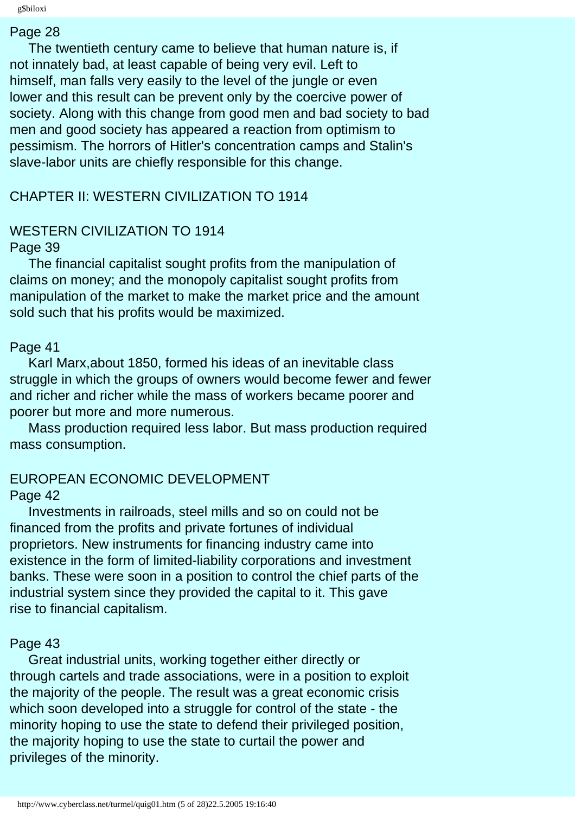# Page 28

 The twentieth century came to believe that human nature is, if not innately bad, at least capable of being very evil. Left to himself, man falls very easily to the level of the jungle or even lower and this result can be prevent only by the coercive power of society. Along with this change from good men and bad society to bad men and good society has appeared a reaction from optimism to pessimism. The horrors of Hitler's concentration camps and Stalin's slave-labor units are chiefly responsible for this change.

# CHAPTER II: WESTERN CIVILIZATION TO 1914

# WESTERN CIVILIZATION TO 1914

# Page 39

 The financial capitalist sought profits from the manipulation of claims on money; and the monopoly capitalist sought profits from manipulation of the market to make the market price and the amount sold such that his profits would be maximized.

# Page 41

 Karl Marx,about 1850, formed his ideas of an inevitable class struggle in which the groups of owners would become fewer and fewer and richer and richer while the mass of workers became poorer and poorer but more and more numerous.

 Mass production required less labor. But mass production required mass consumption.

# EUROPEAN ECONOMIC DEVELOPMENT

# Page 42

 Investments in railroads, steel mills and so on could not be financed from the profits and private fortunes of individual proprietors. New instruments for financing industry came into existence in the form of limited-liability corporations and investment banks. These were soon in a position to control the chief parts of the industrial system since they provided the capital to it. This gave rise to financial capitalism.

# Page 43

 Great industrial units, working together either directly or through cartels and trade associations, were in a position to exploit the majority of the people. The result was a great economic crisis which soon developed into a struggle for control of the state - the minority hoping to use the state to defend their privileged position, the majority hoping to use the state to curtail the power and privileges of the minority.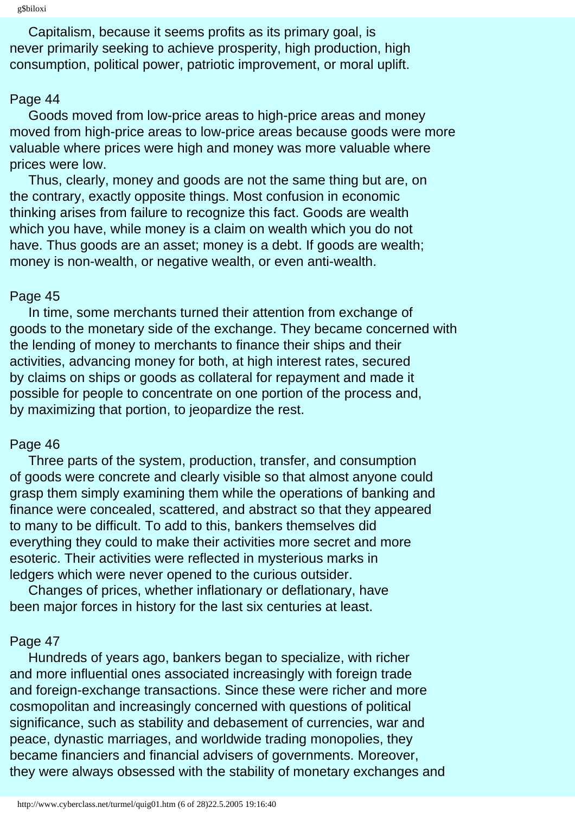Capitalism, because it seems profits as its primary goal, is never primarily seeking to achieve prosperity, high production, high consumption, political power, patriotic improvement, or moral uplift.

#### Page 44

 Goods moved from low-price areas to high-price areas and money moved from high-price areas to low-price areas because goods were more valuable where prices were high and money was more valuable where prices were low.

 Thus, clearly, money and goods are not the same thing but are, on the contrary, exactly opposite things. Most confusion in economic thinking arises from failure to recognize this fact. Goods are wealth which you have, while money is a claim on wealth which you do not have. Thus goods are an asset; money is a debt. If goods are wealth; money is non-wealth, or negative wealth, or even anti-wealth.

#### Page 45

 In time, some merchants turned their attention from exchange of goods to the monetary side of the exchange. They became concerned with the lending of money to merchants to finance their ships and their activities, advancing money for both, at high interest rates, secured by claims on ships or goods as collateral for repayment and made it possible for people to concentrate on one portion of the process and, by maximizing that portion, to jeopardize the rest.

# Page 46

 Three parts of the system, production, transfer, and consumption of goods were concrete and clearly visible so that almost anyone could grasp them simply examining them while the operations of banking and finance were concealed, scattered, and abstract so that they appeared to many to be difficult. To add to this, bankers themselves did everything they could to make their activities more secret and more esoteric. Their activities were reflected in mysterious marks in ledgers which were never opened to the curious outsider.

 Changes of prices, whether inflationary or deflationary, have been major forces in history for the last six centuries at least.

# Page 47

 Hundreds of years ago, bankers began to specialize, with richer and more influential ones associated increasingly with foreign trade and foreign-exchange transactions. Since these were richer and more cosmopolitan and increasingly concerned with questions of political significance, such as stability and debasement of currencies, war and peace, dynastic marriages, and worldwide trading monopolies, they became financiers and financial advisers of governments. Moreover, they were always obsessed with the stability of monetary exchanges and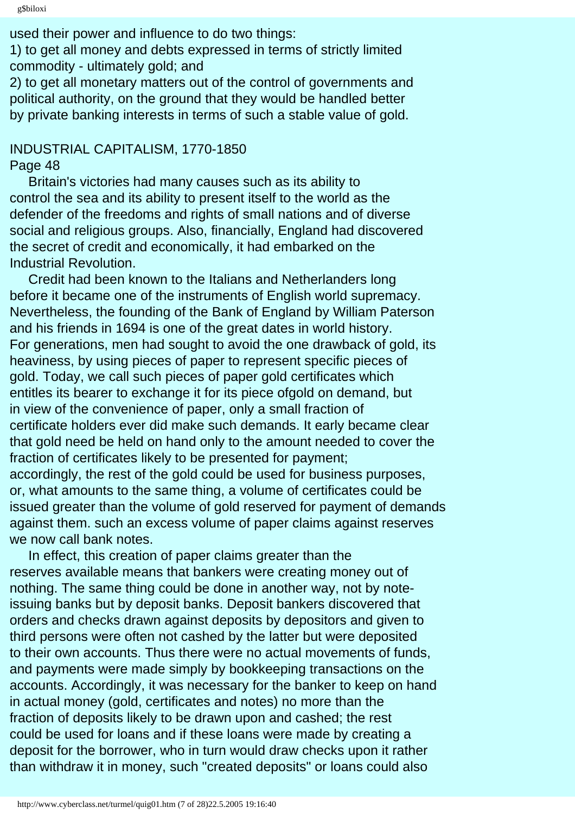used their power and influence to do two things:

1) to get all money and debts expressed in terms of strictly limited commodity - ultimately gold; and

2) to get all monetary matters out of the control of governments and political authority, on the ground that they would be handled better by private banking interests in terms of such a stable value of gold.

# INDUSTRIAL CAPITALISM, 1770-1850

Page 48

 Britain's victories had many causes such as its ability to control the sea and its ability to present itself to the world as the defender of the freedoms and rights of small nations and of diverse social and religious groups. Also, financially, England had discovered the secret of credit and economically, it had embarked on the Industrial Revolution.

 Credit had been known to the Italians and Netherlanders long before it became one of the instruments of English world supremacy. Nevertheless, the founding of the Bank of England by William Paterson and his friends in 1694 is one of the great dates in world history. For generations, men had sought to avoid the one drawback of gold, its heaviness, by using pieces of paper to represent specific pieces of gold. Today, we call such pieces of paper gold certificates which entitles its bearer to exchange it for its piece ofgold on demand, but in view of the convenience of paper, only a small fraction of certificate holders ever did make such demands. It early became clear that gold need be held on hand only to the amount needed to cover the fraction of certificates likely to be presented for payment; accordingly, the rest of the gold could be used for business purposes, or, what amounts to the same thing, a volume of certificates could be issued greater than the volume of gold reserved for payment of demands against them. such an excess volume of paper claims against reserves we now call bank notes.

 In effect, this creation of paper claims greater than the reserves available means that bankers were creating money out of nothing. The same thing could be done in another way, not by noteissuing banks but by deposit banks. Deposit bankers discovered that orders and checks drawn against deposits by depositors and given to third persons were often not cashed by the latter but were deposited to their own accounts. Thus there were no actual movements of funds, and payments were made simply by bookkeeping transactions on the accounts. Accordingly, it was necessary for the banker to keep on hand in actual money (gold, certificates and notes) no more than the fraction of deposits likely to be drawn upon and cashed; the rest could be used for loans and if these loans were made by creating a deposit for the borrower, who in turn would draw checks upon it rather than withdraw it in money, such "created deposits" or loans could also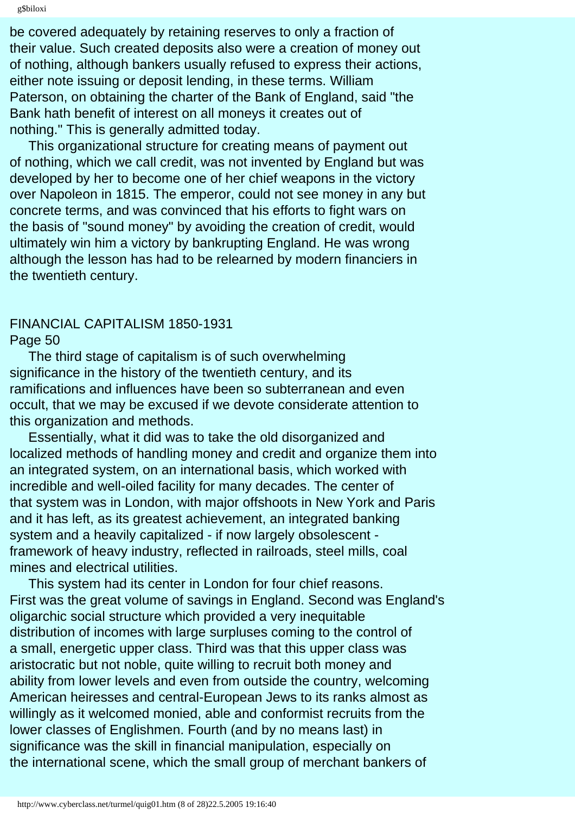be covered adequately by retaining reserves to only a fraction of their value. Such created deposits also were a creation of money out of nothing, although bankers usually refused to express their actions, either note issuing or deposit lending, in these terms. William Paterson, on obtaining the charter of the Bank of England, said "the Bank hath benefit of interest on all moneys it creates out of nothing." This is generally admitted today.

 This organizational structure for creating means of payment out of nothing, which we call credit, was not invented by England but was developed by her to become one of her chief weapons in the victory over Napoleon in 1815. The emperor, could not see money in any but concrete terms, and was convinced that his efforts to fight wars on the basis of "sound money" by avoiding the creation of credit, would ultimately win him a victory by bankrupting England. He was wrong although the lesson has had to be relearned by modern financiers in the twentieth century.

# FINANCIAL CAPITALISM 1850-1931

# Page 50

 The third stage of capitalism is of such overwhelming significance in the history of the twentieth century, and its ramifications and influences have been so subterranean and even occult, that we may be excused if we devote considerate attention to this organization and methods.

 Essentially, what it did was to take the old disorganized and localized methods of handling money and credit and organize them into an integrated system, on an international basis, which worked with incredible and well-oiled facility for many decades. The center of that system was in London, with major offshoots in New York and Paris and it has left, as its greatest achievement, an integrated banking system and a heavily capitalized - if now largely obsolescent framework of heavy industry, reflected in railroads, steel mills, coal mines and electrical utilities.

 This system had its center in London for four chief reasons. First was the great volume of savings in England. Second was England's oligarchic social structure which provided a very inequitable distribution of incomes with large surpluses coming to the control of a small, energetic upper class. Third was that this upper class was aristocratic but not noble, quite willing to recruit both money and ability from lower levels and even from outside the country, welcoming American heiresses and central-European Jews to its ranks almost as willingly as it welcomed monied, able and conformist recruits from the lower classes of Englishmen. Fourth (and by no means last) in significance was the skill in financial manipulation, especially on the international scene, which the small group of merchant bankers of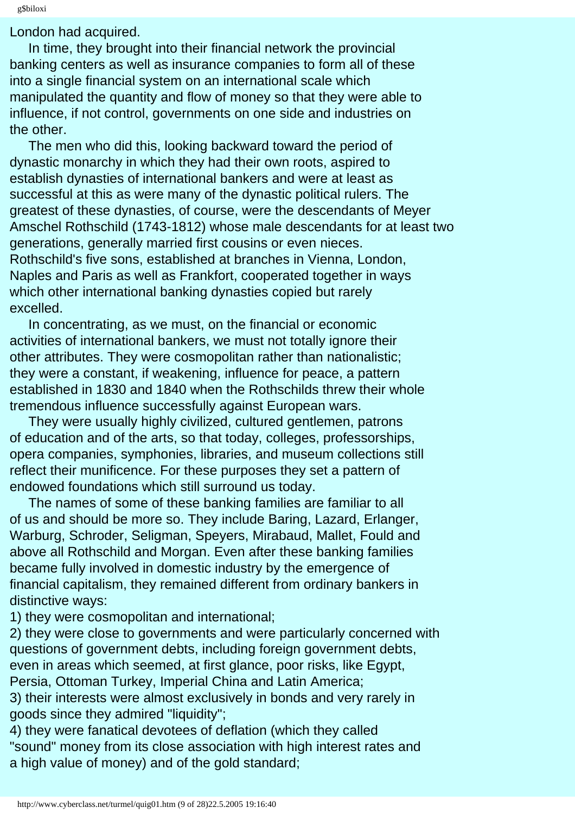London had acquired.

 In time, they brought into their financial network the provincial banking centers as well as insurance companies to form all of these into a single financial system on an international scale which manipulated the quantity and flow of money so that they were able to influence, if not control, governments on one side and industries on the other.

 The men who did this, looking backward toward the period of dynastic monarchy in which they had their own roots, aspired to establish dynasties of international bankers and were at least as successful at this as were many of the dynastic political rulers. The greatest of these dynasties, of course, were the descendants of Meyer Amschel Rothschild (1743-1812) whose male descendants for at least two generations, generally married first cousins or even nieces. Rothschild's five sons, established at branches in Vienna, London, Naples and Paris as well as Frankfort, cooperated together in ways which other international banking dynasties copied but rarely excelled.

 In concentrating, as we must, on the financial or economic activities of international bankers, we must not totally ignore their other attributes. They were cosmopolitan rather than nationalistic; they were a constant, if weakening, influence for peace, a pattern established in 1830 and 1840 when the Rothschilds threw their whole tremendous influence successfully against European wars.

 They were usually highly civilized, cultured gentlemen, patrons of education and of the arts, so that today, colleges, professorships, opera companies, symphonies, libraries, and museum collections still reflect their munificence. For these purposes they set a pattern of endowed foundations which still surround us today.

 The names of some of these banking families are familiar to all of us and should be more so. They include Baring, Lazard, Erlanger, Warburg, Schroder, Seligman, Speyers, Mirabaud, Mallet, Fould and above all Rothschild and Morgan. Even after these banking families became fully involved in domestic industry by the emergence of financial capitalism, they remained different from ordinary bankers in distinctive ways:

1) they were cosmopolitan and international;

2) they were close to governments and were particularly concerned with questions of government debts, including foreign government debts, even in areas which seemed, at first glance, poor risks, like Egypt, Persia, Ottoman Turkey, Imperial China and Latin America;

3) their interests were almost exclusively in bonds and very rarely in goods since they admired "liquidity";

4) they were fanatical devotees of deflation (which they called "sound" money from its close association with high interest rates and a high value of money) and of the gold standard;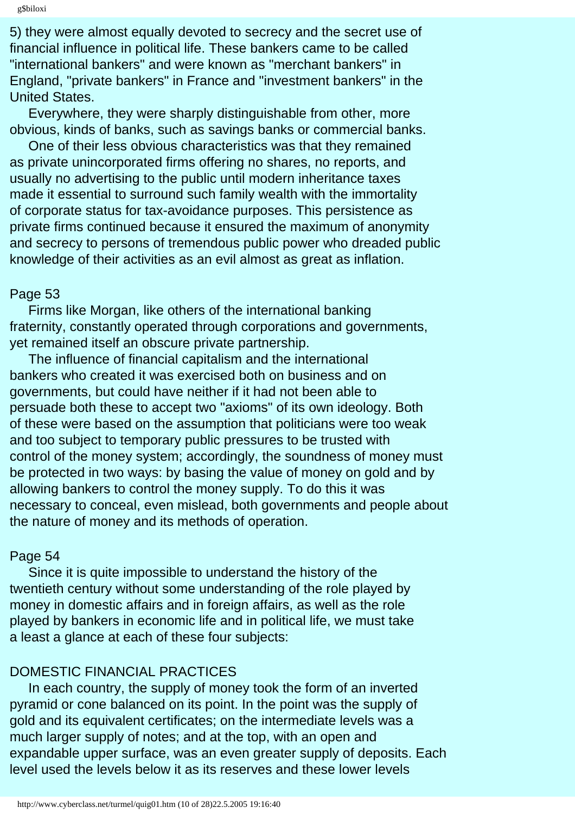5) they were almost equally devoted to secrecy and the secret use of financial influence in political life. These bankers came to be called "international bankers" and were known as "merchant bankers" in England, "private bankers" in France and "investment bankers" in the United States.

 Everywhere, they were sharply distinguishable from other, more obvious, kinds of banks, such as savings banks or commercial banks.

 One of their less obvious characteristics was that they remained as private unincorporated firms offering no shares, no reports, and usually no advertising to the public until modern inheritance taxes made it essential to surround such family wealth with the immortality of corporate status for tax-avoidance purposes. This persistence as private firms continued because it ensured the maximum of anonymity and secrecy to persons of tremendous public power who dreaded public knowledge of their activities as an evil almost as great as inflation.

#### Page 53

 Firms like Morgan, like others of the international banking fraternity, constantly operated through corporations and governments, yet remained itself an obscure private partnership.

 The influence of financial capitalism and the international bankers who created it was exercised both on business and on governments, but could have neither if it had not been able to persuade both these to accept two "axioms" of its own ideology. Both of these were based on the assumption that politicians were too weak and too subject to temporary public pressures to be trusted with control of the money system; accordingly, the soundness of money must be protected in two ways: by basing the value of money on gold and by allowing bankers to control the money supply. To do this it was necessary to conceal, even mislead, both governments and people about the nature of money and its methods of operation.

#### Page 54

 Since it is quite impossible to understand the history of the twentieth century without some understanding of the role played by money in domestic affairs and in foreign affairs, as well as the role played by bankers in economic life and in political life, we must take a least a glance at each of these four subjects:

# DOMESTIC FINANCIAL PRACTICES

 In each country, the supply of money took the form of an inverted pyramid or cone balanced on its point. In the point was the supply of gold and its equivalent certificates; on the intermediate levels was a much larger supply of notes; and at the top, with an open and expandable upper surface, was an even greater supply of deposits. Each level used the levels below it as its reserves and these lower levels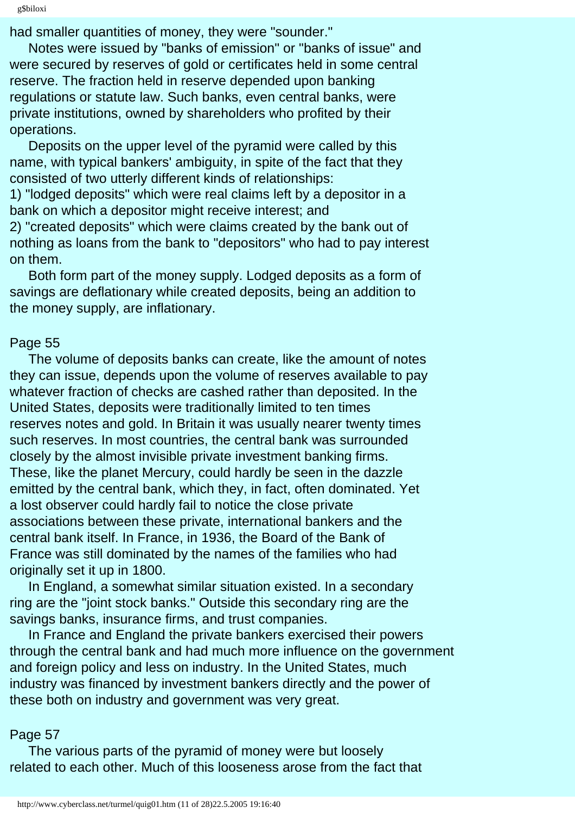had smaller quantities of money, they were "sounder."

 Notes were issued by "banks of emission" or "banks of issue" and were secured by reserves of gold or certificates held in some central reserve. The fraction held in reserve depended upon banking regulations or statute law. Such banks, even central banks, were private institutions, owned by shareholders who profited by their operations.

 Deposits on the upper level of the pyramid were called by this name, with typical bankers' ambiguity, in spite of the fact that they consisted of two utterly different kinds of relationships:

1) "lodged deposits" which were real claims left by a depositor in a bank on which a depositor might receive interest; and

2) "created deposits" which were claims created by the bank out of nothing as loans from the bank to "depositors" who had to pay interest on them.

 Both form part of the money supply. Lodged deposits as a form of savings are deflationary while created deposits, being an addition to the money supply, are inflationary.

#### Page 55

 The volume of deposits banks can create, like the amount of notes they can issue, depends upon the volume of reserves available to pay whatever fraction of checks are cashed rather than deposited. In the United States, deposits were traditionally limited to ten times reserves notes and gold. In Britain it was usually nearer twenty times such reserves. In most countries, the central bank was surrounded closely by the almost invisible private investment banking firms. These, like the planet Mercury, could hardly be seen in the dazzle emitted by the central bank, which they, in fact, often dominated. Yet a lost observer could hardly fail to notice the close private associations between these private, international bankers and the central bank itself. In France, in 1936, the Board of the Bank of France was still dominated by the names of the families who had originally set it up in 1800.

 In England, a somewhat similar situation existed. In a secondary ring are the "joint stock banks." Outside this secondary ring are the savings banks, insurance firms, and trust companies.

 In France and England the private bankers exercised their powers through the central bank and had much more influence on the government and foreign policy and less on industry. In the United States, much industry was financed by investment bankers directly and the power of these both on industry and government was very great.

#### Page 57

 The various parts of the pyramid of money were but loosely related to each other. Much of this looseness arose from the fact that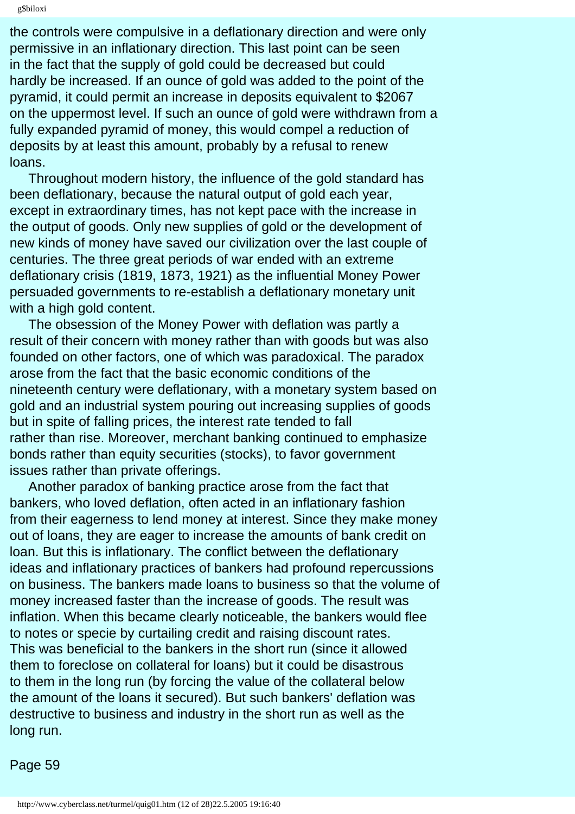g\$biloxi

the controls were compulsive in a deflationary direction and were only permissive in an inflationary direction. This last point can be seen in the fact that the supply of gold could be decreased but could hardly be increased. If an ounce of gold was added to the point of the pyramid, it could permit an increase in deposits equivalent to \$2067 on the uppermost level. If such an ounce of gold were withdrawn from a fully expanded pyramid of money, this would compel a reduction of deposits by at least this amount, probably by a refusal to renew loans.

 Throughout modern history, the influence of the gold standard has been deflationary, because the natural output of gold each year, except in extraordinary times, has not kept pace with the increase in the output of goods. Only new supplies of gold or the development of new kinds of money have saved our civilization over the last couple of centuries. The three great periods of war ended with an extreme deflationary crisis (1819, 1873, 1921) as the influential Money Power persuaded governments to re-establish a deflationary monetary unit with a high gold content.

 The obsession of the Money Power with deflation was partly a result of their concern with money rather than with goods but was also founded on other factors, one of which was paradoxical. The paradox arose from the fact that the basic economic conditions of the nineteenth century were deflationary, with a monetary system based on gold and an industrial system pouring out increasing supplies of goods but in spite of falling prices, the interest rate tended to fall rather than rise. Moreover, merchant banking continued to emphasize bonds rather than equity securities (stocks), to favor government issues rather than private offerings.

 Another paradox of banking practice arose from the fact that bankers, who loved deflation, often acted in an inflationary fashion from their eagerness to lend money at interest. Since they make money out of loans, they are eager to increase the amounts of bank credit on loan. But this is inflationary. The conflict between the deflationary ideas and inflationary practices of bankers had profound repercussions on business. The bankers made loans to business so that the volume of money increased faster than the increase of goods. The result was inflation. When this became clearly noticeable, the bankers would flee to notes or specie by curtailing credit and raising discount rates. This was beneficial to the bankers in the short run (since it allowed them to foreclose on collateral for loans) but it could be disastrous to them in the long run (by forcing the value of the collateral below the amount of the loans it secured). But such bankers' deflation was destructive to business and industry in the short run as well as the long run.

Page 59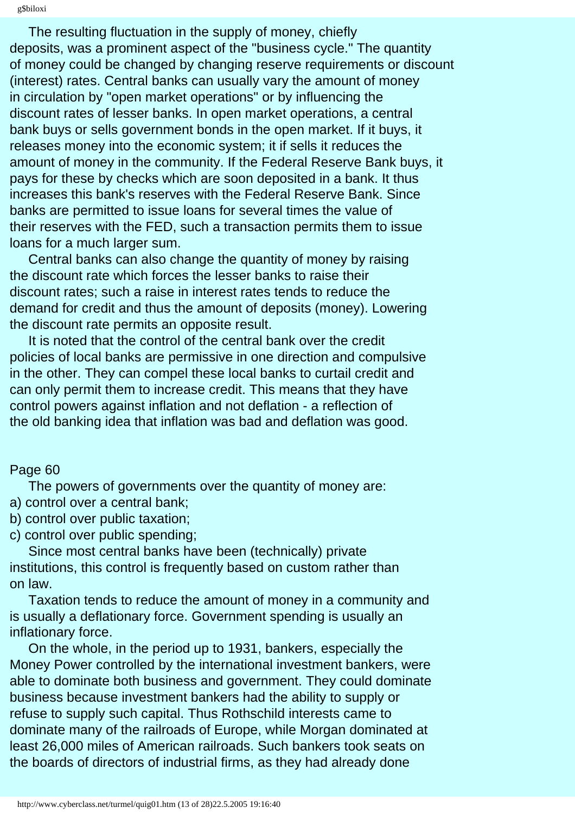The resulting fluctuation in the supply of money, chiefly deposits, was a prominent aspect of the "business cycle." The quantity of money could be changed by changing reserve requirements or discount (interest) rates. Central banks can usually vary the amount of money in circulation by "open market operations" or by influencing the discount rates of lesser banks. In open market operations, a central bank buys or sells government bonds in the open market. If it buys, it releases money into the economic system; it if sells it reduces the amount of money in the community. If the Federal Reserve Bank buys, it pays for these by checks which are soon deposited in a bank. It thus increases this bank's reserves with the Federal Reserve Bank. Since banks are permitted to issue loans for several times the value of their reserves with the FED, such a transaction permits them to issue loans for a much larger sum.

 Central banks can also change the quantity of money by raising the discount rate which forces the lesser banks to raise their discount rates; such a raise in interest rates tends to reduce the demand for credit and thus the amount of deposits (money). Lowering the discount rate permits an opposite result.

 It is noted that the control of the central bank over the credit policies of local banks are permissive in one direction and compulsive in the other. They can compel these local banks to curtail credit and can only permit them to increase credit. This means that they have control powers against inflation and not deflation - a reflection of the old banking idea that inflation was bad and deflation was good.

#### Page 60

The powers of governments over the quantity of money are:

- a) control over a central bank;
- b) control over public taxation;
- c) control over public spending;

 Since most central banks have been (technically) private institutions, this control is frequently based on custom rather than on law.

 Taxation tends to reduce the amount of money in a community and is usually a deflationary force. Government spending is usually an inflationary force.

 On the whole, in the period up to 1931, bankers, especially the Money Power controlled by the international investment bankers, were able to dominate both business and government. They could dominate business because investment bankers had the ability to supply or refuse to supply such capital. Thus Rothschild interests came to dominate many of the railroads of Europe, while Morgan dominated at least 26,000 miles of American railroads. Such bankers took seats on the boards of directors of industrial firms, as they had already done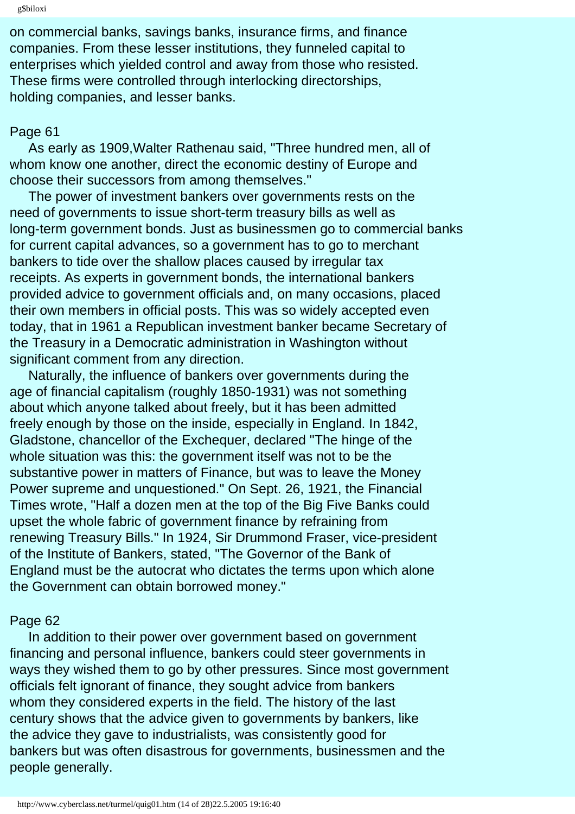on commercial banks, savings banks, insurance firms, and finance companies. From these lesser institutions, they funneled capital to enterprises which yielded control and away from those who resisted. These firms were controlled through interlocking directorships, holding companies, and lesser banks.

#### Page 61

 As early as 1909,Walter Rathenau said, "Three hundred men, all of whom know one another, direct the economic destiny of Europe and choose their successors from among themselves."

 The power of investment bankers over governments rests on the need of governments to issue short-term treasury bills as well as long-term government bonds. Just as businessmen go to commercial banks for current capital advances, so a government has to go to merchant bankers to tide over the shallow places caused by irregular tax receipts. As experts in government bonds, the international bankers provided advice to government officials and, on many occasions, placed their own members in official posts. This was so widely accepted even today, that in 1961 a Republican investment banker became Secretary of the Treasury in a Democratic administration in Washington without significant comment from any direction.

 Naturally, the influence of bankers over governments during the age of financial capitalism (roughly 1850-1931) was not something about which anyone talked about freely, but it has been admitted freely enough by those on the inside, especially in England. In 1842, Gladstone, chancellor of the Exchequer, declared "The hinge of the whole situation was this: the government itself was not to be the substantive power in matters of Finance, but was to leave the Money Power supreme and unquestioned." On Sept. 26, 1921, the Financial Times wrote, "Half a dozen men at the top of the Big Five Banks could upset the whole fabric of government finance by refraining from renewing Treasury Bills." In 1924, Sir Drummond Fraser, vice-president of the Institute of Bankers, stated, "The Governor of the Bank of England must be the autocrat who dictates the terms upon which alone the Government can obtain borrowed money."

#### Page 62

 In addition to their power over government based on government financing and personal influence, bankers could steer governments in ways they wished them to go by other pressures. Since most government officials felt ignorant of finance, they sought advice from bankers whom they considered experts in the field. The history of the last century shows that the advice given to governments by bankers, like the advice they gave to industrialists, was consistently good for bankers but was often disastrous for governments, businessmen and the people generally.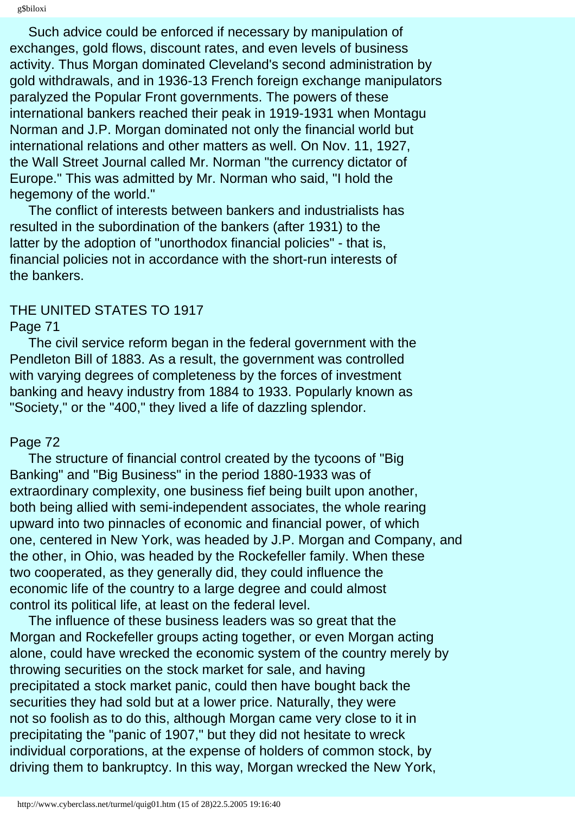Such advice could be enforced if necessary by manipulation of exchanges, gold flows, discount rates, and even levels of business activity. Thus Morgan dominated Cleveland's second administration by gold withdrawals, and in 1936-13 French foreign exchange manipulators paralyzed the Popular Front governments. The powers of these international bankers reached their peak in 1919-1931 when Montagu Norman and J.P. Morgan dominated not only the financial world but international relations and other matters as well. On Nov. 11, 1927, the Wall Street Journal called Mr. Norman "the currency dictator of Europe." This was admitted by Mr. Norman who said, "I hold the hegemony of the world."

 The conflict of interests between bankers and industrialists has resulted in the subordination of the bankers (after 1931) to the latter by the adoption of "unorthodox financial policies" - that is, financial policies not in accordance with the short-run interests of the bankers.

# THE UNITED STATES TO 1917

#### Page 71

 The civil service reform began in the federal government with the Pendleton Bill of 1883. As a result, the government was controlled with varying degrees of completeness by the forces of investment banking and heavy industry from 1884 to 1933. Popularly known as "Society," or the "400," they lived a life of dazzling splendor.

# Page 72

 The structure of financial control created by the tycoons of "Big Banking" and "Big Business" in the period 1880-1933 was of extraordinary complexity, one business fief being built upon another, both being allied with semi-independent associates, the whole rearing upward into two pinnacles of economic and financial power, of which one, centered in New York, was headed by J.P. Morgan and Company, and the other, in Ohio, was headed by the Rockefeller family. When these two cooperated, as they generally did, they could influence the economic life of the country to a large degree and could almost control its political life, at least on the federal level.

 The influence of these business leaders was so great that the Morgan and Rockefeller groups acting together, or even Morgan acting alone, could have wrecked the economic system of the country merely by throwing securities on the stock market for sale, and having precipitated a stock market panic, could then have bought back the securities they had sold but at a lower price. Naturally, they were not so foolish as to do this, although Morgan came very close to it in precipitating the "panic of 1907," but they did not hesitate to wreck individual corporations, at the expense of holders of common stock, by driving them to bankruptcy. In this way, Morgan wrecked the New York,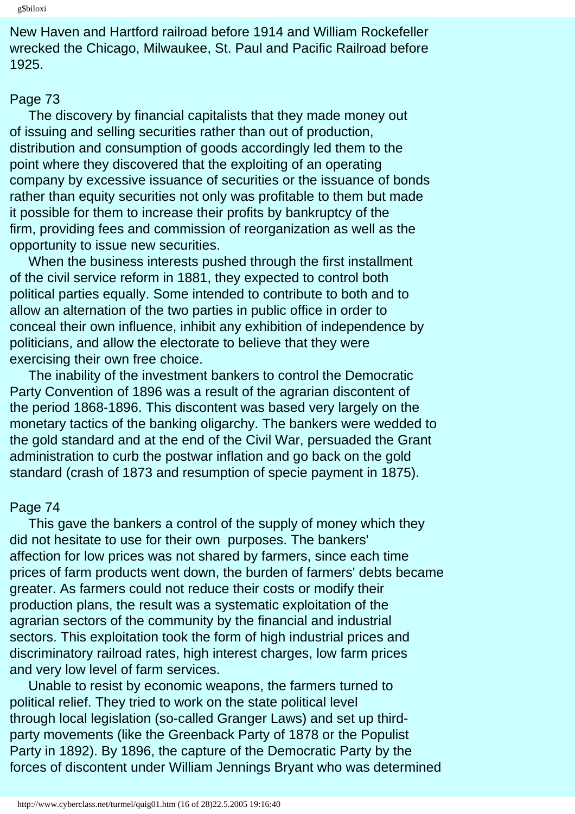```
g$biloxi
```
New Haven and Hartford railroad before 1914 and William Rockefeller wrecked the Chicago, Milwaukee, St. Paul and Pacific Railroad before 1925.

# Page 73

 The discovery by financial capitalists that they made money out of issuing and selling securities rather than out of production, distribution and consumption of goods accordingly led them to the point where they discovered that the exploiting of an operating company by excessive issuance of securities or the issuance of bonds rather than equity securities not only was profitable to them but made it possible for them to increase their profits by bankruptcy of the firm, providing fees and commission of reorganization as well as the opportunity to issue new securities.

 When the business interests pushed through the first installment of the civil service reform in 1881, they expected to control both political parties equally. Some intended to contribute to both and to allow an alternation of the two parties in public office in order to conceal their own influence, inhibit any exhibition of independence by politicians, and allow the electorate to believe that they were exercising their own free choice.

 The inability of the investment bankers to control the Democratic Party Convention of 1896 was a result of the agrarian discontent of the period 1868-1896. This discontent was based very largely on the monetary tactics of the banking oligarchy. The bankers were wedded to the gold standard and at the end of the Civil War, persuaded the Grant administration to curb the postwar inflation and go back on the gold standard (crash of 1873 and resumption of specie payment in 1875).

# Page 74

 This gave the bankers a control of the supply of money which they did not hesitate to use for their own purposes. The bankers' affection for low prices was not shared by farmers, since each time prices of farm products went down, the burden of farmers' debts became greater. As farmers could not reduce their costs or modify their production plans, the result was a systematic exploitation of the agrarian sectors of the community by the financial and industrial sectors. This exploitation took the form of high industrial prices and discriminatory railroad rates, high interest charges, low farm prices and very low level of farm services.

 Unable to resist by economic weapons, the farmers turned to political relief. They tried to work on the state political level through local legislation (so-called Granger Laws) and set up thirdparty movements (like the Greenback Party of 1878 or the Populist Party in 1892). By 1896, the capture of the Democratic Party by the forces of discontent under William Jennings Bryant who was determined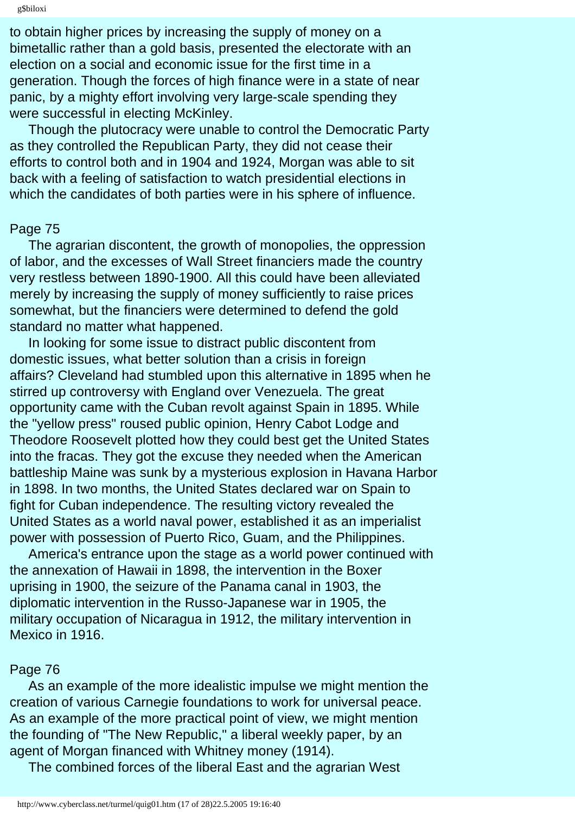g\$biloxi

to obtain higher prices by increasing the supply of money on a bimetallic rather than a gold basis, presented the electorate with an election on a social and economic issue for the first time in a generation. Though the forces of high finance were in a state of near panic, by a mighty effort involving very large-scale spending they were successful in electing McKinley.

 Though the plutocracy were unable to control the Democratic Party as they controlled the Republican Party, they did not cease their efforts to control both and in 1904 and 1924, Morgan was able to sit back with a feeling of satisfaction to watch presidential elections in which the candidates of both parties were in his sphere of influence.

#### Page 75

 The agrarian discontent, the growth of monopolies, the oppression of labor, and the excesses of Wall Street financiers made the country very restless between 1890-1900. All this could have been alleviated merely by increasing the supply of money sufficiently to raise prices somewhat, but the financiers were determined to defend the gold standard no matter what happened.

 In looking for some issue to distract public discontent from domestic issues, what better solution than a crisis in foreign affairs? Cleveland had stumbled upon this alternative in 1895 when he stirred up controversy with England over Venezuela. The great opportunity came with the Cuban revolt against Spain in 1895. While the "yellow press" roused public opinion, Henry Cabot Lodge and Theodore Roosevelt plotted how they could best get the United States into the fracas. They got the excuse they needed when the American battleship Maine was sunk by a mysterious explosion in Havana Harbor in 1898. In two months, the United States declared war on Spain to fight for Cuban independence. The resulting victory revealed the United States as a world naval power, established it as an imperialist power with possession of Puerto Rico, Guam, and the Philippines.

 America's entrance upon the stage as a world power continued with the annexation of Hawaii in 1898, the intervention in the Boxer uprising in 1900, the seizure of the Panama canal in 1903, the diplomatic intervention in the Russo-Japanese war in 1905, the military occupation of Nicaragua in 1912, the military intervention in Mexico in 1916.

#### Page 76

 As an example of the more idealistic impulse we might mention the creation of various Carnegie foundations to work for universal peace. As an example of the more practical point of view, we might mention the founding of "The New Republic," a liberal weekly paper, by an agent of Morgan financed with Whitney money (1914).

The combined forces of the liberal East and the agrarian West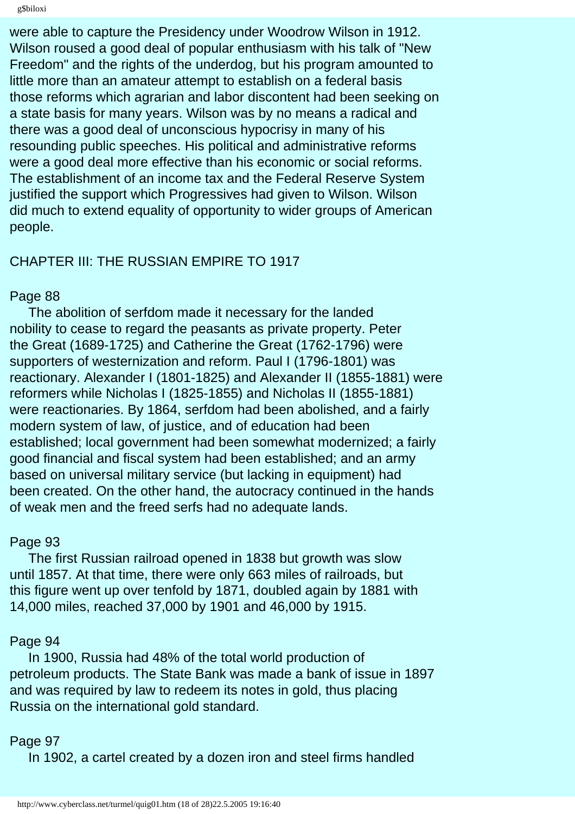g\$biloxi

were able to capture the Presidency under Woodrow Wilson in 1912. Wilson roused a good deal of popular enthusiasm with his talk of "New Freedom" and the rights of the underdog, but his program amounted to little more than an amateur attempt to establish on a federal basis those reforms which agrarian and labor discontent had been seeking on a state basis for many years. Wilson was by no means a radical and there was a good deal of unconscious hypocrisy in many of his resounding public speeches. His political and administrative reforms were a good deal more effective than his economic or social reforms. The establishment of an income tax and the Federal Reserve System justified the support which Progressives had given to Wilson. Wilson did much to extend equality of opportunity to wider groups of American people.

# CHAPTER III: THE RUSSIAN EMPIRE TO 1917

#### Page 88

 The abolition of serfdom made it necessary for the landed nobility to cease to regard the peasants as private property. Peter the Great (1689-1725) and Catherine the Great (1762-1796) were supporters of westernization and reform. Paul I (1796-1801) was reactionary. Alexander I (1801-1825) and Alexander II (1855-1881) were reformers while Nicholas I (1825-1855) and Nicholas II (1855-1881) were reactionaries. By 1864, serfdom had been abolished, and a fairly modern system of law, of justice, and of education had been established; local government had been somewhat modernized; a fairly good financial and fiscal system had been established; and an army based on universal military service (but lacking in equipment) had been created. On the other hand, the autocracy continued in the hands of weak men and the freed serfs had no adequate lands.

#### Page 93

 The first Russian railroad opened in 1838 but growth was slow until 1857. At that time, there were only 663 miles of railroads, but this figure went up over tenfold by 1871, doubled again by 1881 with 14,000 miles, reached 37,000 by 1901 and 46,000 by 1915.

#### Page 94

 In 1900, Russia had 48% of the total world production of petroleum products. The State Bank was made a bank of issue in 1897 and was required by law to redeem its notes in gold, thus placing Russia on the international gold standard.

# Page 97

In 1902, a cartel created by a dozen iron and steel firms handled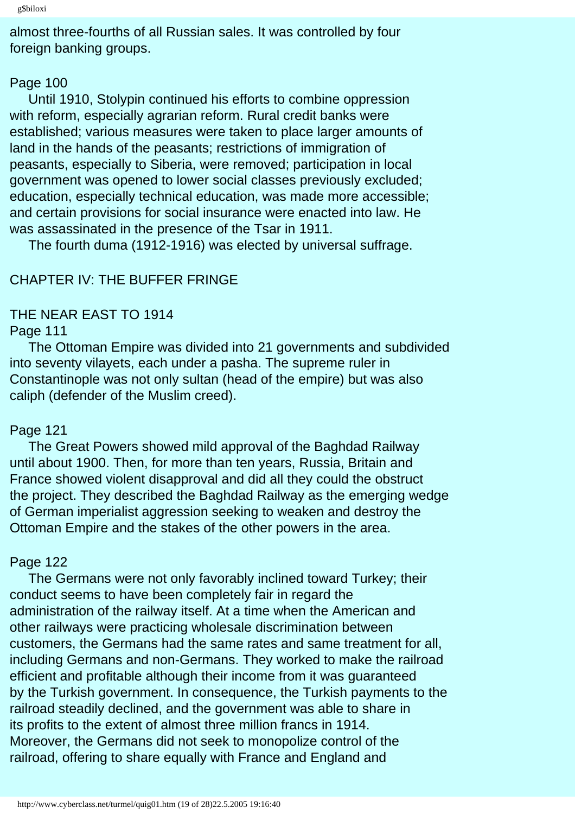almost three-fourths of all Russian sales. It was controlled by four foreign banking groups.

#### Page 100

 Until 1910, Stolypin continued his efforts to combine oppression with reform, especially agrarian reform. Rural credit banks were established; various measures were taken to place larger amounts of land in the hands of the peasants; restrictions of immigration of peasants, especially to Siberia, were removed; participation in local government was opened to lower social classes previously excluded; education, especially technical education, was made more accessible; and certain provisions for social insurance were enacted into law. He was assassinated in the presence of the Tsar in 1911.

The fourth duma (1912-1916) was elected by universal suffrage.

# CHAPTER IV: THE BUFFER FRINGE

# THE NEAR EAST TO 1914

# Page 111

 The Ottoman Empire was divided into 21 governments and subdivided into seventy vilayets, each under a pasha. The supreme ruler in Constantinople was not only sultan (head of the empire) but was also caliph (defender of the Muslim creed).

# Page 121

 The Great Powers showed mild approval of the Baghdad Railway until about 1900. Then, for more than ten years, Russia, Britain and France showed violent disapproval and did all they could the obstruct the project. They described the Baghdad Railway as the emerging wedge of German imperialist aggression seeking to weaken and destroy the Ottoman Empire and the stakes of the other powers in the area.

# Page 122

 The Germans were not only favorably inclined toward Turkey; their conduct seems to have been completely fair in regard the administration of the railway itself. At a time when the American and other railways were practicing wholesale discrimination between customers, the Germans had the same rates and same treatment for all, including Germans and non-Germans. They worked to make the railroad efficient and profitable although their income from it was guaranteed by the Turkish government. In consequence, the Turkish payments to the railroad steadily declined, and the government was able to share in its profits to the extent of almost three million francs in 1914. Moreover, the Germans did not seek to monopolize control of the railroad, offering to share equally with France and England and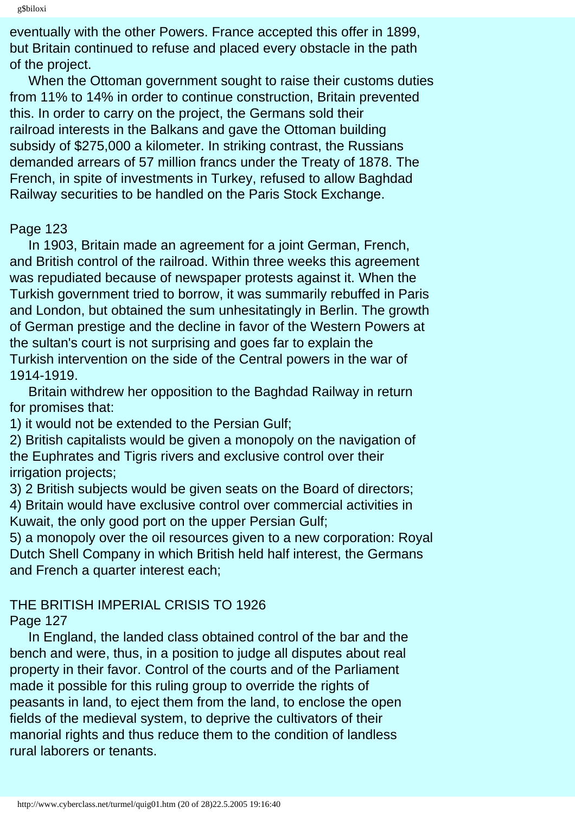eventually with the other Powers. France accepted this offer in 1899, but Britain continued to refuse and placed every obstacle in the path of the project.

 When the Ottoman government sought to raise their customs duties from 11% to 14% in order to continue construction, Britain prevented this. In order to carry on the project, the Germans sold their railroad interests in the Balkans and gave the Ottoman building subsidy of \$275,000 a kilometer. In striking contrast, the Russians demanded arrears of 57 million francs under the Treaty of 1878. The French, in spite of investments in Turkey, refused to allow Baghdad Railway securities to be handled on the Paris Stock Exchange.

#### Page 123

 In 1903, Britain made an agreement for a joint German, French, and British control of the railroad. Within three weeks this agreement was repudiated because of newspaper protests against it. When the Turkish government tried to borrow, it was summarily rebuffed in Paris and London, but obtained the sum unhesitatingly in Berlin. The growth of German prestige and the decline in favor of the Western Powers at the sultan's court is not surprising and goes far to explain the Turkish intervention on the side of the Central powers in the war of 1914-1919.

 Britain withdrew her opposition to the Baghdad Railway in return for promises that:

1) it would not be extended to the Persian Gulf;

2) British capitalists would be given a monopoly on the navigation of the Euphrates and Tigris rivers and exclusive control over their irrigation projects;

3) 2 British subjects would be given seats on the Board of directors;

4) Britain would have exclusive control over commercial activities in Kuwait, the only good port on the upper Persian Gulf;

5) a monopoly over the oil resources given to a new corporation: Royal Dutch Shell Company in which British held half interest, the Germans and French a quarter interest each;

# THE BRITISH IMPERIAL CRISIS TO 1926 Page 127

 In England, the landed class obtained control of the bar and the bench and were, thus, in a position to judge all disputes about real property in their favor. Control of the courts and of the Parliament made it possible for this ruling group to override the rights of peasants in land, to eject them from the land, to enclose the open fields of the medieval system, to deprive the cultivators of their manorial rights and thus reduce them to the condition of landless rural laborers or tenants.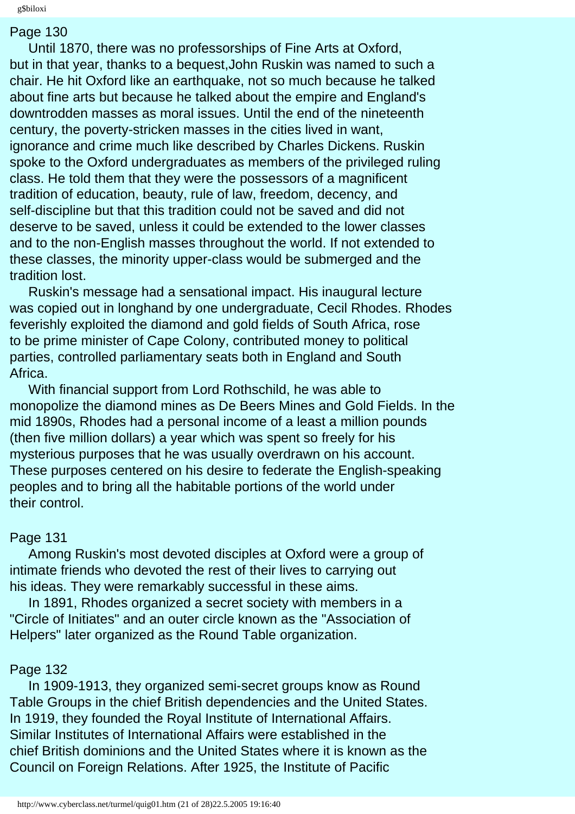# Page 130

 Until 1870, there was no professorships of Fine Arts at Oxford, but in that year, thanks to a bequest,John Ruskin was named to such a chair. He hit Oxford like an earthquake, not so much because he talked about fine arts but because he talked about the empire and England's downtrodden masses as moral issues. Until the end of the nineteenth century, the poverty-stricken masses in the cities lived in want, ignorance and crime much like described by Charles Dickens. Ruskin spoke to the Oxford undergraduates as members of the privileged ruling class. He told them that they were the possessors of a magnificent tradition of education, beauty, rule of law, freedom, decency, and self-discipline but that this tradition could not be saved and did not deserve to be saved, unless it could be extended to the lower classes and to the non-English masses throughout the world. If not extended to these classes, the minority upper-class would be submerged and the tradition lost.

 Ruskin's message had a sensational impact. His inaugural lecture was copied out in longhand by one undergraduate, Cecil Rhodes. Rhodes feverishly exploited the diamond and gold fields of South Africa, rose to be prime minister of Cape Colony, contributed money to political parties, controlled parliamentary seats both in England and South Africa.

 With financial support from Lord Rothschild, he was able to monopolize the diamond mines as De Beers Mines and Gold Fields. In the mid 1890s, Rhodes had a personal income of a least a million pounds (then five million dollars) a year which was spent so freely for his mysterious purposes that he was usually overdrawn on his account. These purposes centered on his desire to federate the English-speaking peoples and to bring all the habitable portions of the world under their control.

#### Page 131

 Among Ruskin's most devoted disciples at Oxford were a group of intimate friends who devoted the rest of their lives to carrying out his ideas. They were remarkably successful in these aims.

 In 1891, Rhodes organized a secret society with members in a "Circle of Initiates" and an outer circle known as the "Association of Helpers" later organized as the Round Table organization.

#### Page 132

 In 1909-1913, they organized semi-secret groups know as Round Table Groups in the chief British dependencies and the United States. In 1919, they founded the Royal Institute of International Affairs. Similar Institutes of International Affairs were established in the chief British dominions and the United States where it is known as the Council on Foreign Relations. After 1925, the Institute of Pacific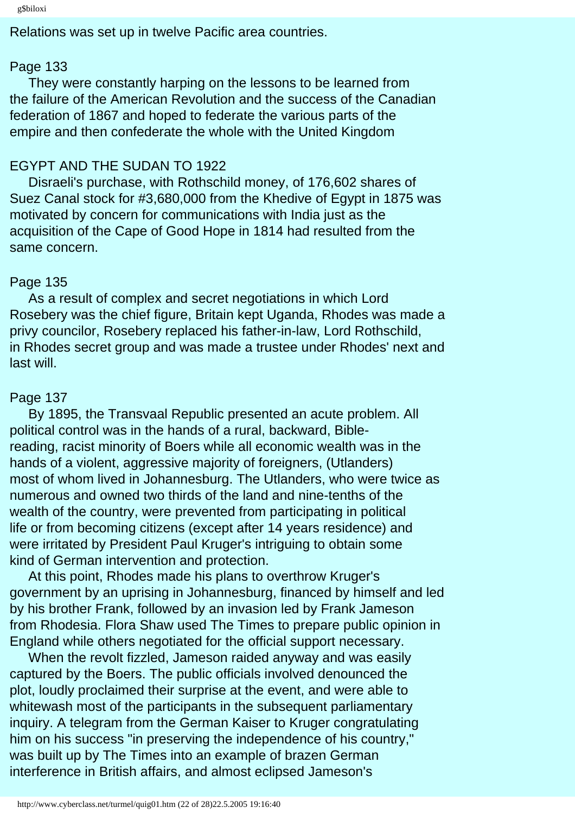Relations was set up in twelve Pacific area countries.

#### Page 133

 They were constantly harping on the lessons to be learned from the failure of the American Revolution and the success of the Canadian federation of 1867 and hoped to federate the various parts of the empire and then confederate the whole with the United Kingdom

#### EGYPT AND THE SUDAN TO 1922

 Disraeli's purchase, with Rothschild money, of 176,602 shares of Suez Canal stock for #3,680,000 from the Khedive of Egypt in 1875 was motivated by concern for communications with India just as the acquisition of the Cape of Good Hope in 1814 had resulted from the same concern.

#### Page 135

 As a result of complex and secret negotiations in which Lord Rosebery was the chief figure, Britain kept Uganda, Rhodes was made a privy councilor, Rosebery replaced his father-in-law, Lord Rothschild, in Rhodes secret group and was made a trustee under Rhodes' next and last will.

#### Page 137

 By 1895, the Transvaal Republic presented an acute problem. All political control was in the hands of a rural, backward, Biblereading, racist minority of Boers while all economic wealth was in the hands of a violent, aggressive majority of foreigners, (Utlanders) most of whom lived in Johannesburg. The Utlanders, who were twice as numerous and owned two thirds of the land and nine-tenths of the wealth of the country, were prevented from participating in political life or from becoming citizens (except after 14 years residence) and were irritated by President Paul Kruger's intriguing to obtain some kind of German intervention and protection.

 At this point, Rhodes made his plans to overthrow Kruger's government by an uprising in Johannesburg, financed by himself and led by his brother Frank, followed by an invasion led by Frank Jameson from Rhodesia. Flora Shaw used The Times to prepare public opinion in England while others negotiated for the official support necessary.

 When the revolt fizzled, Jameson raided anyway and was easily captured by the Boers. The public officials involved denounced the plot, loudly proclaimed their surprise at the event, and were able to whitewash most of the participants in the subsequent parliamentary inquiry. A telegram from the German Kaiser to Kruger congratulating him on his success "in preserving the independence of his country," was built up by The Times into an example of brazen German interference in British affairs, and almost eclipsed Jameson's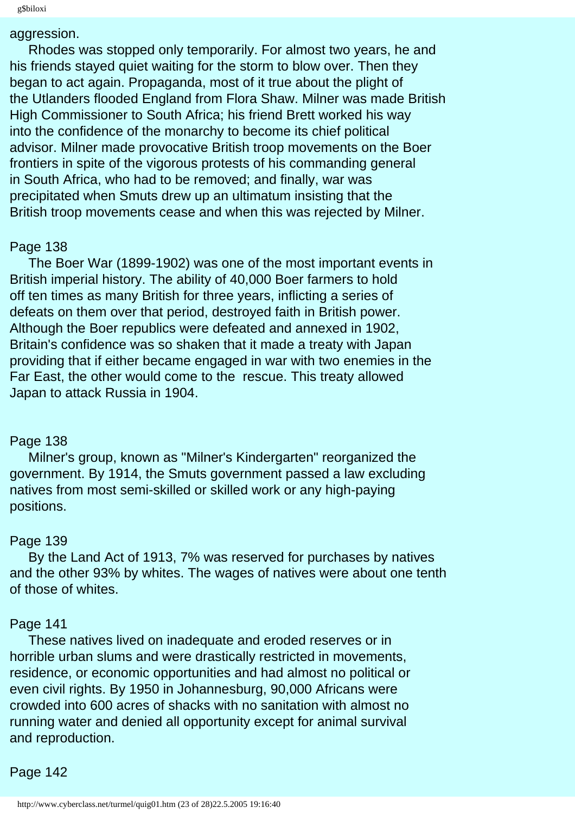# aggression.

 Rhodes was stopped only temporarily. For almost two years, he and his friends stayed quiet waiting for the storm to blow over. Then they began to act again. Propaganda, most of it true about the plight of the Utlanders flooded England from Flora Shaw. Milner was made British High Commissioner to South Africa; his friend Brett worked his way into the confidence of the monarchy to become its chief political advisor. Milner made provocative British troop movements on the Boer frontiers in spite of the vigorous protests of his commanding general in South Africa, who had to be removed; and finally, war was precipitated when Smuts drew up an ultimatum insisting that the British troop movements cease and when this was rejected by Milner.

#### Page 138

 The Boer War (1899-1902) was one of the most important events in British imperial history. The ability of 40,000 Boer farmers to hold off ten times as many British for three years, inflicting a series of defeats on them over that period, destroyed faith in British power. Although the Boer republics were defeated and annexed in 1902, Britain's confidence was so shaken that it made a treaty with Japan providing that if either became engaged in war with two enemies in the Far East, the other would come to the rescue. This treaty allowed Japan to attack Russia in 1904.

# Page 138

 Milner's group, known as "Milner's Kindergarten" reorganized the government. By 1914, the Smuts government passed a law excluding natives from most semi-skilled or skilled work or any high-paying positions.

# Page 139

 By the Land Act of 1913, 7% was reserved for purchases by natives and the other 93% by whites. The wages of natives were about one tenth of those of whites.

# Page 141

 These natives lived on inadequate and eroded reserves or in horrible urban slums and were drastically restricted in movements, residence, or economic opportunities and had almost no political or even civil rights. By 1950 in Johannesburg, 90,000 Africans were crowded into 600 acres of shacks with no sanitation with almost no running water and denied all opportunity except for animal survival and reproduction.

# Page 142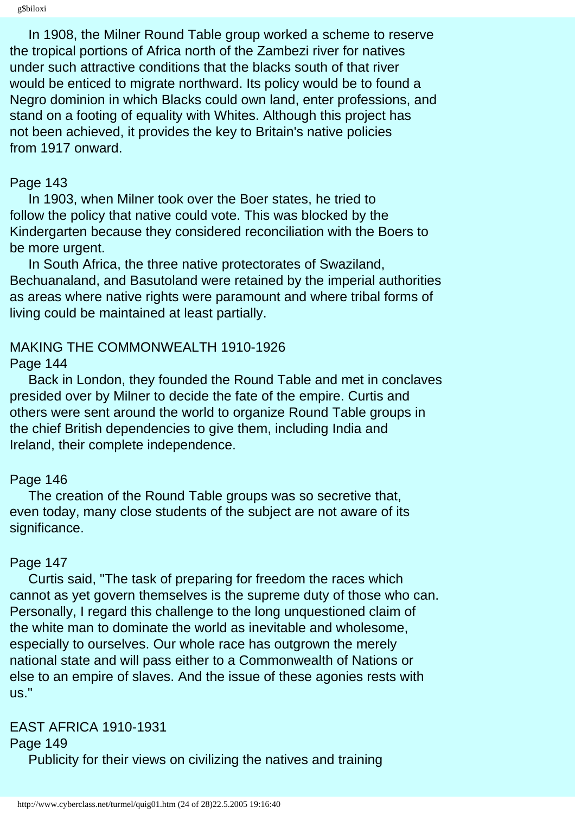g\$biloxi

 In 1908, the Milner Round Table group worked a scheme to reserve the tropical portions of Africa north of the Zambezi river for natives under such attractive conditions that the blacks south of that river would be enticed to migrate northward. Its policy would be to found a Negro dominion in which Blacks could own land, enter professions, and stand on a footing of equality with Whites. Although this project has not been achieved, it provides the key to Britain's native policies from 1917 onward.

#### Page 143

 In 1903, when Milner took over the Boer states, he tried to follow the policy that native could vote. This was blocked by the Kindergarten because they considered reconciliation with the Boers to be more urgent.

 In South Africa, the three native protectorates of Swaziland, Bechuanaland, and Basutoland were retained by the imperial authorities as areas where native rights were paramount and where tribal forms of living could be maintained at least partially.

#### MAKING THE COMMONWEALTH 1910-1926 Page 144

 Back in London, they founded the Round Table and met in conclaves presided over by Milner to decide the fate of the empire. Curtis and others were sent around the world to organize Round Table groups in the chief British dependencies to give them, including India and Ireland, their complete independence.

#### Page 146

 The creation of the Round Table groups was so secretive that, even today, many close students of the subject are not aware of its significance.

# Page 147

 Curtis said, "The task of preparing for freedom the races which cannot as yet govern themselves is the supreme duty of those who can. Personally, I regard this challenge to the long unquestioned claim of the white man to dominate the world as inevitable and wholesome, especially to ourselves. Our whole race has outgrown the merely national state and will pass either to a Commonwealth of Nations or else to an empire of slaves. And the issue of these agonies rests with us."

# EAST AFRICA 1910-1931

Page 149

Publicity for their views on civilizing the natives and training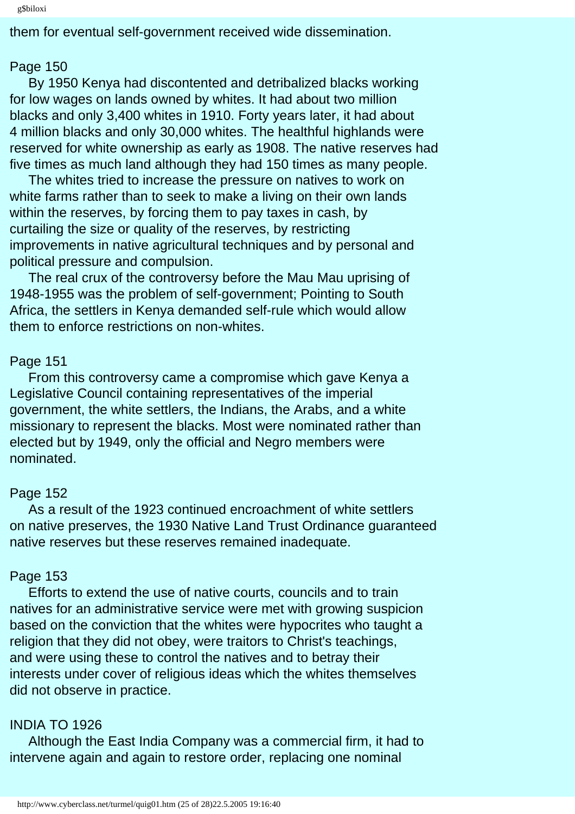them for eventual self-government received wide dissemination.

#### Page 150

 By 1950 Kenya had discontented and detribalized blacks working for low wages on lands owned by whites. It had about two million blacks and only 3,400 whites in 1910. Forty years later, it had about 4 million blacks and only 30,000 whites. The healthful highlands were reserved for white ownership as early as 1908. The native reserves had five times as much land although they had 150 times as many people.

 The whites tried to increase the pressure on natives to work on white farms rather than to seek to make a living on their own lands within the reserves, by forcing them to pay taxes in cash, by curtailing the size or quality of the reserves, by restricting improvements in native agricultural techniques and by personal and political pressure and compulsion.

 The real crux of the controversy before the Mau Mau uprising of 1948-1955 was the problem of self-government; Pointing to South Africa, the settlers in Kenya demanded self-rule which would allow them to enforce restrictions on non-whites.

#### Page 151

 From this controversy came a compromise which gave Kenya a Legislative Council containing representatives of the imperial government, the white settlers, the Indians, the Arabs, and a white missionary to represent the blacks. Most were nominated rather than elected but by 1949, only the official and Negro members were nominated.

#### Page 152

 As a result of the 1923 continued encroachment of white settlers on native preserves, the 1930 Native Land Trust Ordinance guaranteed native reserves but these reserves remained inadequate.

#### Page 153

 Efforts to extend the use of native courts, councils and to train natives for an administrative service were met with growing suspicion based on the conviction that the whites were hypocrites who taught a religion that they did not obey, were traitors to Christ's teachings, and were using these to control the natives and to betray their interests under cover of religious ideas which the whites themselves did not observe in practice.

#### INDIA TO 1926

 Although the East India Company was a commercial firm, it had to intervene again and again to restore order, replacing one nominal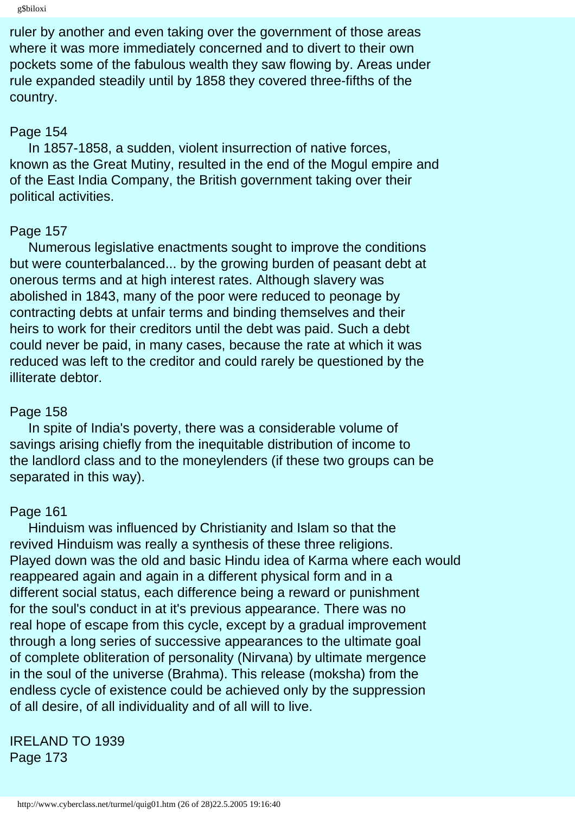ruler by another and even taking over the government of those areas where it was more immediately concerned and to divert to their own pockets some of the fabulous wealth they saw flowing by. Areas under rule expanded steadily until by 1858 they covered three-fifths of the country.

#### Page 154

 In 1857-1858, a sudden, violent insurrection of native forces, known as the Great Mutiny, resulted in the end of the Mogul empire and of the East India Company, the British government taking over their political activities.

# Page 157

 Numerous legislative enactments sought to improve the conditions but were counterbalanced... by the growing burden of peasant debt at onerous terms and at high interest rates. Although slavery was abolished in 1843, many of the poor were reduced to peonage by contracting debts at unfair terms and binding themselves and their heirs to work for their creditors until the debt was paid. Such a debt could never be paid, in many cases, because the rate at which it was reduced was left to the creditor and could rarely be questioned by the illiterate debtor.

# Page 158

 In spite of India's poverty, there was a considerable volume of savings arising chiefly from the inequitable distribution of income to the landlord class and to the moneylenders (if these two groups can be separated in this way).

# Page 161

 Hinduism was influenced by Christianity and Islam so that the revived Hinduism was really a synthesis of these three religions. Played down was the old and basic Hindu idea of Karma where each would reappeared again and again in a different physical form and in a different social status, each difference being a reward or punishment for the soul's conduct in at it's previous appearance. There was no real hope of escape from this cycle, except by a gradual improvement through a long series of successive appearances to the ultimate goal of complete obliteration of personality (Nirvana) by ultimate mergence in the soul of the universe (Brahma). This release (moksha) from the endless cycle of existence could be achieved only by the suppression of all desire, of all individuality and of all will to live.

IRELAND TO 1939 Page 173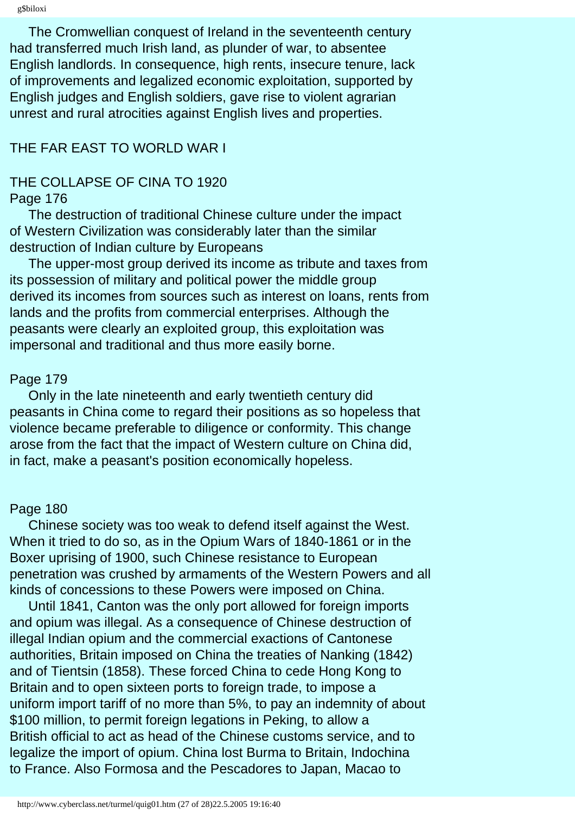The Cromwellian conquest of Ireland in the seventeenth century had transferred much Irish land, as plunder of war, to absentee English landlords. In consequence, high rents, insecure tenure, lack of improvements and legalized economic exploitation, supported by English judges and English soldiers, gave rise to violent agrarian unrest and rural atrocities against English lives and properties.

#### THE FAR EAST TO WORLD WAR I

# THE COLLAPSE OF CINA TO 1920

#### Page 176

 The destruction of traditional Chinese culture under the impact of Western Civilization was considerably later than the similar destruction of Indian culture by Europeans

 The upper-most group derived its income as tribute and taxes from its possession of military and political power the middle group derived its incomes from sources such as interest on loans, rents from lands and the profits from commercial enterprises. Although the peasants were clearly an exploited group, this exploitation was impersonal and traditional and thus more easily borne.

#### Page 179

 Only in the late nineteenth and early twentieth century did peasants in China come to regard their positions as so hopeless that violence became preferable to diligence or conformity. This change arose from the fact that the impact of Western culture on China did, in fact, make a peasant's position economically hopeless.

#### Page 180

 Chinese society was too weak to defend itself against the West. When it tried to do so, as in the Opium Wars of 1840-1861 or in the Boxer uprising of 1900, such Chinese resistance to European penetration was crushed by armaments of the Western Powers and all kinds of concessions to these Powers were imposed on China.

 Until 1841, Canton was the only port allowed for foreign imports and opium was illegal. As a consequence of Chinese destruction of illegal Indian opium and the commercial exactions of Cantonese authorities, Britain imposed on China the treaties of Nanking (1842) and of Tientsin (1858). These forced China to cede Hong Kong to Britain and to open sixteen ports to foreign trade, to impose a uniform import tariff of no more than 5%, to pay an indemnity of about \$100 million, to permit foreign legations in Peking, to allow a British official to act as head of the Chinese customs service, and to legalize the import of opium. China lost Burma to Britain, Indochina to France. Also Formosa and the Pescadores to Japan, Macao to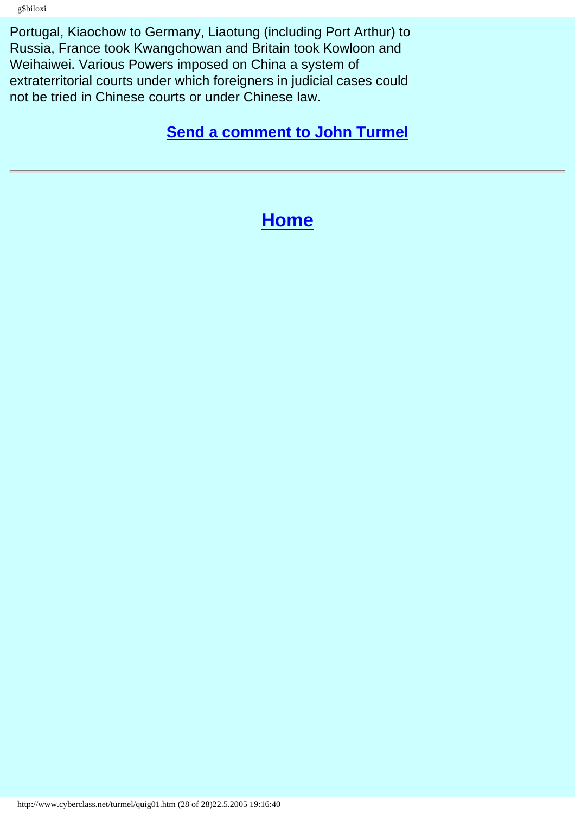g\$biloxi

Portugal, Kiaochow to Germany, Liaotung (including Port Arthur) to Russia, France took Kwangchowan and Britain took Kowloon and Weihaiwei. Various Powers imposed on China a system of extraterritorial courts under which foreigners in judicial cases could not be tried in Chinese courts or under Chinese law.

# **[Send a comment to John Turmel](mailto:%20bc726@freenet.carleton.ca)**

# **[Home](http://www.cyberclass.net/turmel)**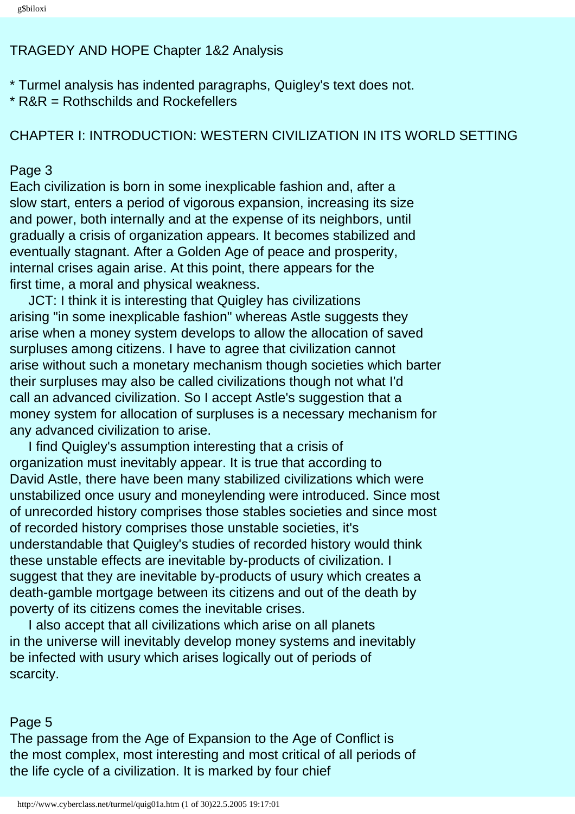# <span id="page-31-0"></span>TRAGEDY AND HOPE Chapter 1&2 Analysis

- \* Turmel analysis has indented paragraphs, Quigley's text does not.
- \* R&R = Rothschilds and Rockefellers

# CHAPTER I: INTRODUCTION: WESTERN CIVILIZATION IN ITS WORLD SETTING

#### Page 3

Each civilization is born in some inexplicable fashion and, after a slow start, enters a period of vigorous expansion, increasing its size and power, both internally and at the expense of its neighbors, until gradually a crisis of organization appears. It becomes stabilized and eventually stagnant. After a Golden Age of peace and prosperity, internal crises again arise. At this point, there appears for the first time, a moral and physical weakness.

 JCT: I think it is interesting that Quigley has civilizations arising "in some inexplicable fashion" whereas Astle suggests they arise when a money system develops to allow the allocation of saved surpluses among citizens. I have to agree that civilization cannot arise without such a monetary mechanism though societies which barter their surpluses may also be called civilizations though not what I'd call an advanced civilization. So I accept Astle's suggestion that a money system for allocation of surpluses is a necessary mechanism for any advanced civilization to arise.

 I find Quigley's assumption interesting that a crisis of organization must inevitably appear. It is true that according to David Astle, there have been many stabilized civilizations which were unstabilized once usury and moneylending were introduced. Since most of unrecorded history comprises those stables societies and since most of recorded history comprises those unstable societies, it's understandable that Quigley's studies of recorded history would think these unstable effects are inevitable by-products of civilization. I suggest that they are inevitable by-products of usury which creates a death-gamble mortgage between its citizens and out of the death by poverty of its citizens comes the inevitable crises.

 I also accept that all civilizations which arise on all planets in the universe will inevitably develop money systems and inevitably be infected with usury which arises logically out of periods of scarcity.

# Page 5

The passage from the Age of Expansion to the Age of Conflict is the most complex, most interesting and most critical of all periods of the life cycle of a civilization. It is marked by four chief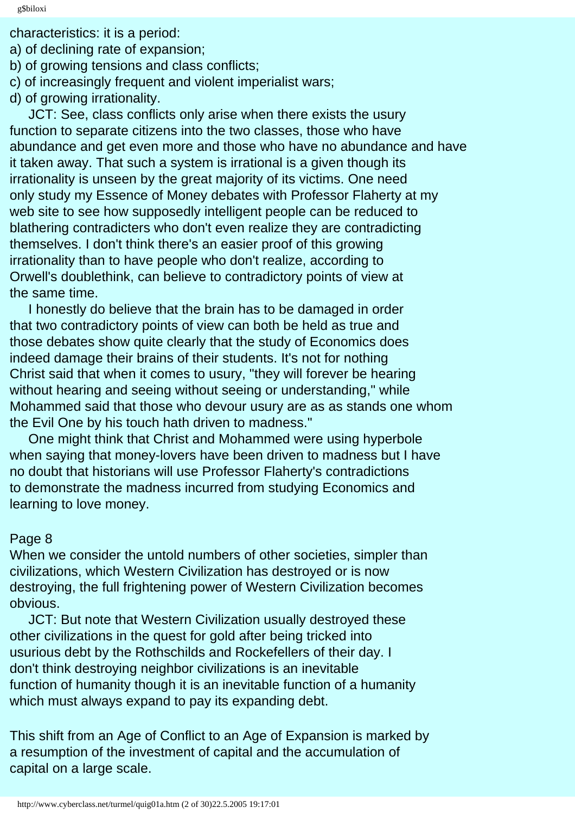characteristics: it is a period:

- a) of declining rate of expansion;
- b) of growing tensions and class conflicts;
- c) of increasingly frequent and violent imperialist wars;
- d) of growing irrationality.

 JCT: See, class conflicts only arise when there exists the usury function to separate citizens into the two classes, those who have abundance and get even more and those who have no abundance and have it taken away. That such a system is irrational is a given though its irrationality is unseen by the great majority of its victims. One need only study my Essence of Money debates with Professor Flaherty at my web site to see how supposedly intelligent people can be reduced to blathering contradicters who don't even realize they are contradicting themselves. I don't think there's an easier proof of this growing irrationality than to have people who don't realize, according to Orwell's doublethink, can believe to contradictory points of view at the same time.

 I honestly do believe that the brain has to be damaged in order that two contradictory points of view can both be held as true and those debates show quite clearly that the study of Economics does indeed damage their brains of their students. It's not for nothing Christ said that when it comes to usury, "they will forever be hearing without hearing and seeing without seeing or understanding," while Mohammed said that those who devour usury are as as stands one whom the Evil One by his touch hath driven to madness."

 One might think that Christ and Mohammed were using hyperbole when saying that money-lovers have been driven to madness but I have no doubt that historians will use Professor Flaherty's contradictions to demonstrate the madness incurred from studying Economics and learning to love money.

# Page 8

When we consider the untold numbers of other societies, simpler than civilizations, which Western Civilization has destroyed or is now destroying, the full frightening power of Western Civilization becomes obvious.

 JCT: But note that Western Civilization usually destroyed these other civilizations in the quest for gold after being tricked into usurious debt by the Rothschilds and Rockefellers of their day. I don't think destroying neighbor civilizations is an inevitable function of humanity though it is an inevitable function of a humanity which must always expand to pay its expanding debt.

This shift from an Age of Conflict to an Age of Expansion is marked by a resumption of the investment of capital and the accumulation of capital on a large scale.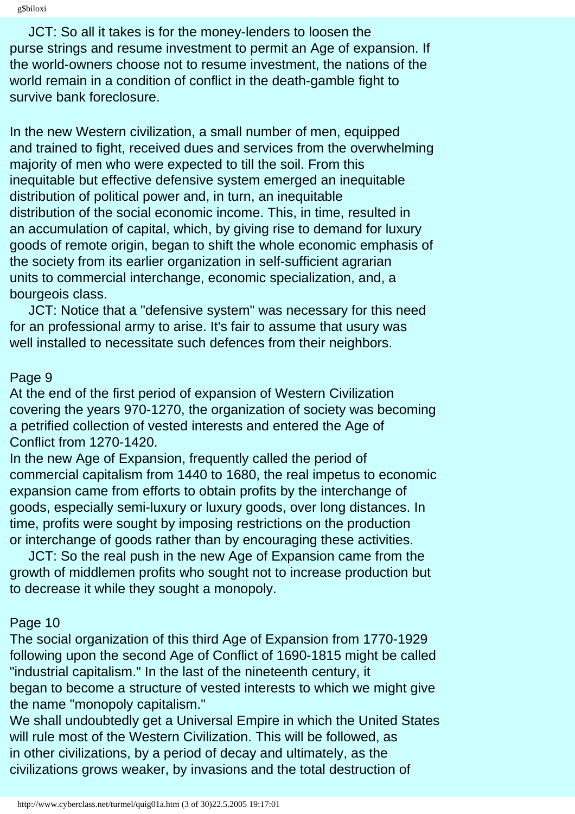```
g$biloxi
```
 JCT: So all it takes is for the money-lenders to loosen the purse strings and resume investment to permit an Age of expansion. If the world-owners choose not to resume investment, the nations of the world remain in a condition of conflict in the death-gamble fight to survive bank foreclosure.

In the new Western civilization, a small number of men, equipped and trained to fight, received dues and services from the overwhelming majority of men who were expected to till the soil. From this inequitable but effective defensive system emerged an inequitable distribution of political power and, in turn, an inequitable distribution of the social economic income. This, in time, resulted in an accumulation of capital, which, by giving rise to demand for luxury goods of remote origin, began to shift the whole economic emphasis of the society from its earlier organization in self-sufficient agrarian units to commercial interchange, economic specialization, and, a bourgeois class.

 JCT: Notice that a "defensive system" was necessary for this need for an professional army to arise. It's fair to assume that usury was well installed to necessitate such defences from their neighbors.

# Page 9

At the end of the first period of expansion of Western Civilization covering the years 970-1270, the organization of society was becoming a petrified collection of vested interests and entered the Age of Conflict from 1270-1420.

In the new Age of Expansion, frequently called the period of commercial capitalism from 1440 to 1680, the real impetus to economic expansion came from efforts to obtain profits by the interchange of goods, especially semi-luxury or luxury goods, over long distances. In time, profits were sought by imposing restrictions on the production or interchange of goods rather than by encouraging these activities.

 JCT: So the real push in the new Age of Expansion came from the growth of middlemen profits who sought not to increase production but to decrease it while they sought a monopoly.

# Page 10

The social organization of this third Age of Expansion from 1770-1929 following upon the second Age of Conflict of 1690-1815 might be called "industrial capitalism." In the last of the nineteenth century, it began to become a structure of vested interests to which we might give the name "monopoly capitalism."

We shall undoubtedly get a Universal Empire in which the United States will rule most of the Western Civilization. This will be followed, as in other civilizations, by a period of decay and ultimately, as the civilizations grows weaker, by invasions and the total destruction of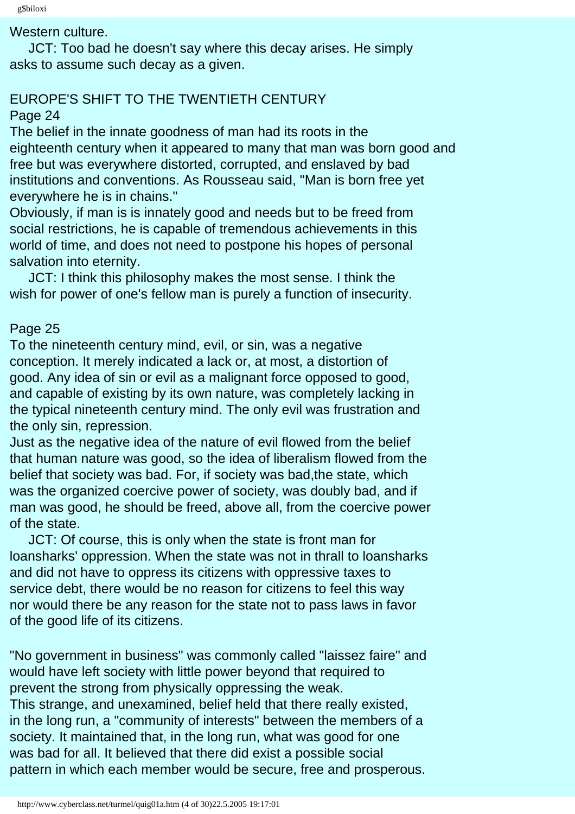#### Western culture.

 JCT: Too bad he doesn't say where this decay arises. He simply asks to assume such decay as a given.

# EUROPE'S SHIFT TO THE TWENTIETH CENTURY

# Page 24

The belief in the innate goodness of man had its roots in the eighteenth century when it appeared to many that man was born good and free but was everywhere distorted, corrupted, and enslaved by bad institutions and conventions. As Rousseau said, "Man is born free yet everywhere he is in chains."

Obviously, if man is is innately good and needs but to be freed from social restrictions, he is capable of tremendous achievements in this world of time, and does not need to postpone his hopes of personal salvation into eternity.

 JCT: I think this philosophy makes the most sense. I think the wish for power of one's fellow man is purely a function of insecurity.

# Page 25

To the nineteenth century mind, evil, or sin, was a negative conception. It merely indicated a lack or, at most, a distortion of good. Any idea of sin or evil as a malignant force opposed to good, and capable of existing by its own nature, was completely lacking in the typical nineteenth century mind. The only evil was frustration and the only sin, repression.

Just as the negative idea of the nature of evil flowed from the belief that human nature was good, so the idea of liberalism flowed from the belief that society was bad. For, if society was bad,the state, which was the organized coercive power of society, was doubly bad, and if man was good, he should be freed, above all, from the coercive power of the state.

 JCT: Of course, this is only when the state is front man for loansharks' oppression. When the state was not in thrall to loansharks and did not have to oppress its citizens with oppressive taxes to service debt, there would be no reason for citizens to feel this way nor would there be any reason for the state not to pass laws in favor of the good life of its citizens.

"No government in business" was commonly called "laissez faire" and would have left society with little power beyond that required to prevent the strong from physically oppressing the weak. This strange, and unexamined, belief held that there really existed, in the long run, a "community of interests" between the members of a society. It maintained that, in the long run, what was good for one was bad for all. It believed that there did exist a possible social pattern in which each member would be secure, free and prosperous.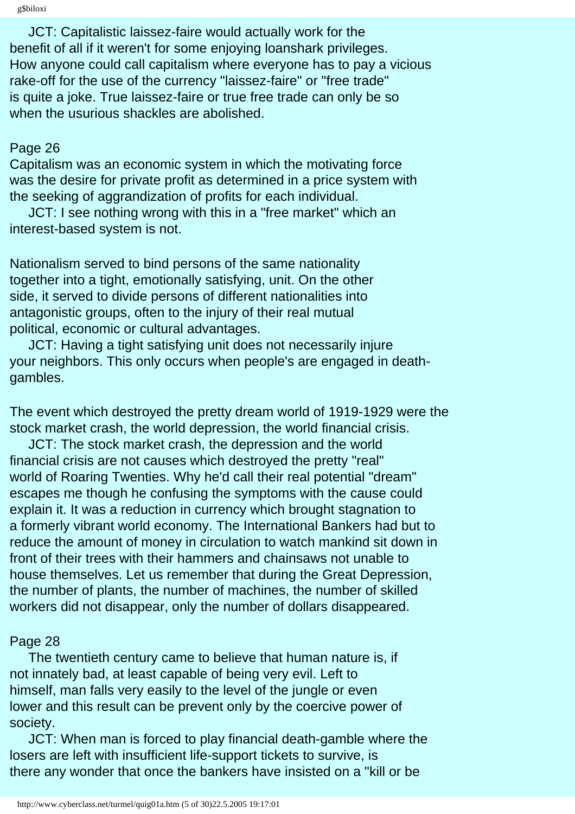g\$biloxi

 JCT: Capitalistic laissez-faire would actually work for the benefit of all if it weren't for some enjoying loanshark privileges. How anyone could call capitalism where everyone has to pay a vicious rake-off for the use of the currency "laissez-faire" or "free trade" is quite a joke. True laissez-faire or true free trade can only be so when the usurious shackles are abolished.

#### Page 26

Capitalism was an economic system in which the motivating force was the desire for private profit as determined in a price system with the seeking of aggrandization of profits for each individual.

 JCT: I see nothing wrong with this in a "free market" which an interest-based system is not.

Nationalism served to bind persons of the same nationality together into a tight, emotionally satisfying, unit. On the other side, it served to divide persons of different nationalities into antagonistic groups, often to the injury of their real mutual political, economic or cultural advantages.

 JCT: Having a tight satisfying unit does not necessarily injure your neighbors. This only occurs when people's are engaged in deathgambles.

The event which destroyed the pretty dream world of 1919-1929 were the stock market crash, the world depression, the world financial crisis.

 JCT: The stock market crash, the depression and the world financial crisis are not causes which destroyed the pretty "real" world of Roaring Twenties. Why he'd call their real potential "dream" escapes me though he confusing the symptoms with the cause could explain it. It was a reduction in currency which brought stagnation to a formerly vibrant world economy. The International Bankers had but to reduce the amount of money in circulation to watch mankind sit down in front of their trees with their hammers and chainsaws not unable to house themselves. Let us remember that during the Great Depression, the number of plants, the number of machines, the number of skilled workers did not disappear, only the number of dollars disappeared.

#### Page 28

 The twentieth century came to believe that human nature is, if not innately bad, at least capable of being very evil. Left to himself, man falls very easily to the level of the jungle or even lower and this result can be prevent only by the coercive power of society.

 JCT: When man is forced to play financial death-gamble where the losers are left with insufficient life-support tickets to survive, is there any wonder that once the bankers have insisted on a "kill or be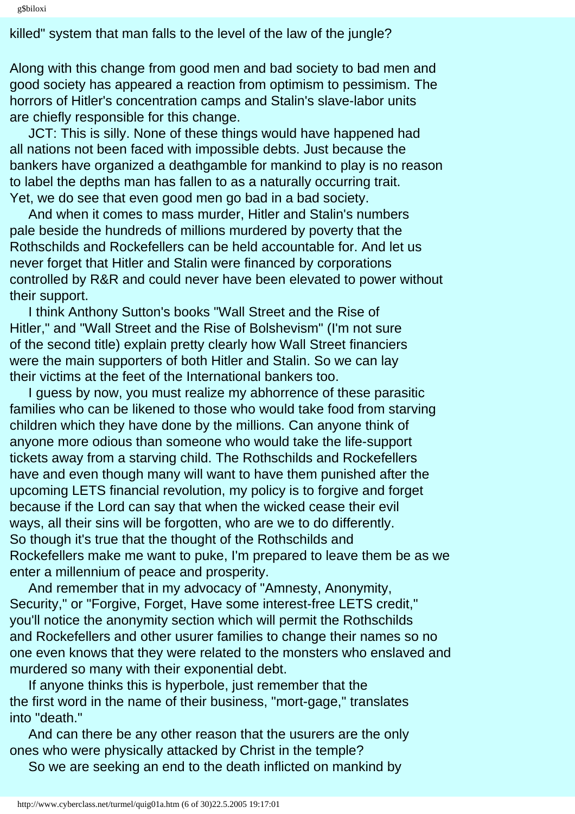killed" system that man falls to the level of the law of the jungle?

Along with this change from good men and bad society to bad men and good society has appeared a reaction from optimism to pessimism. The horrors of Hitler's concentration camps and Stalin's slave-labor units are chiefly responsible for this change.

 JCT: This is silly. None of these things would have happened had all nations not been faced with impossible debts. Just because the bankers have organized a deathgamble for mankind to play is no reason to label the depths man has fallen to as a naturally occurring trait. Yet, we do see that even good men go bad in a bad society.

 And when it comes to mass murder, Hitler and Stalin's numbers pale beside the hundreds of millions murdered by poverty that the Rothschilds and Rockefellers can be held accountable for. And let us never forget that Hitler and Stalin were financed by corporations controlled by R&R and could never have been elevated to power without their support.

 I think Anthony Sutton's books "Wall Street and the Rise of Hitler," and "Wall Street and the Rise of Bolshevism" (I'm not sure of the second title) explain pretty clearly how Wall Street financiers were the main supporters of both Hitler and Stalin. So we can lay their victims at the feet of the International bankers too.

 I guess by now, you must realize my abhorrence of these parasitic families who can be likened to those who would take food from starving children which they have done by the millions. Can anyone think of anyone more odious than someone who would take the life-support tickets away from a starving child. The Rothschilds and Rockefellers have and even though many will want to have them punished after the upcoming LETS financial revolution, my policy is to forgive and forget because if the Lord can say that when the wicked cease their evil ways, all their sins will be forgotten, who are we to do differently. So though it's true that the thought of the Rothschilds and Rockefellers make me want to puke, I'm prepared to leave them be as we enter a millennium of peace and prosperity.

 And remember that in my advocacy of "Amnesty, Anonymity, Security," or "Forgive, Forget, Have some interest-free LETS credit," you'll notice the anonymity section which will permit the Rothschilds and Rockefellers and other usurer families to change their names so no one even knows that they were related to the monsters who enslaved and murdered so many with their exponential debt.

 If anyone thinks this is hyperbole, just remember that the the first word in the name of their business, "mort-gage," translates into "death."

 And can there be any other reason that the usurers are the only ones who were physically attacked by Christ in the temple?

So we are seeking an end to the death inflicted on mankind by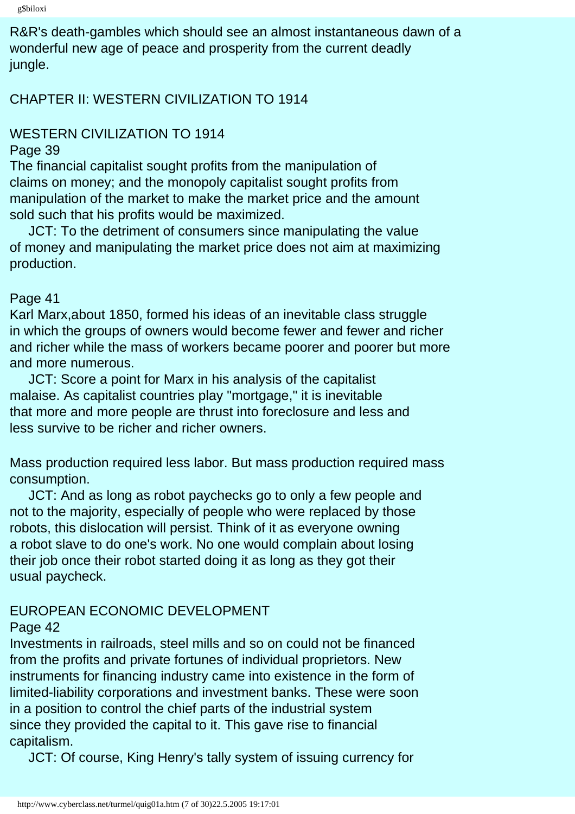R&R's death-gambles which should see an almost instantaneous dawn of a wonderful new age of peace and prosperity from the current deadly jungle.

# CHAPTER II: WESTERN CIVILIZATION TO 1914

# WESTERN CIVILIZATION TO 1914

Page 39

The financial capitalist sought profits from the manipulation of claims on money; and the monopoly capitalist sought profits from manipulation of the market to make the market price and the amount sold such that his profits would be maximized.

 JCT: To the detriment of consumers since manipulating the value of money and manipulating the market price does not aim at maximizing production.

# Page 41

Karl Marx,about 1850, formed his ideas of an inevitable class struggle in which the groups of owners would become fewer and fewer and richer and richer while the mass of workers became poorer and poorer but more and more numerous.

 JCT: Score a point for Marx in his analysis of the capitalist malaise. As capitalist countries play "mortgage," it is inevitable that more and more people are thrust into foreclosure and less and less survive to be richer and richer owners.

Mass production required less labor. But mass production required mass consumption.

 JCT: And as long as robot paychecks go to only a few people and not to the majority, especially of people who were replaced by those robots, this dislocation will persist. Think of it as everyone owning a robot slave to do one's work. No one would complain about losing their job once their robot started doing it as long as they got their usual paycheck.

# EUROPEAN ECONOMIC DEVELOPMENT

# Page 42

Investments in railroads, steel mills and so on could not be financed from the profits and private fortunes of individual proprietors. New instruments for financing industry came into existence in the form of limited-liability corporations and investment banks. These were soon in a position to control the chief parts of the industrial system since they provided the capital to it. This gave rise to financial capitalism.

JCT: Of course, King Henry's tally system of issuing currency for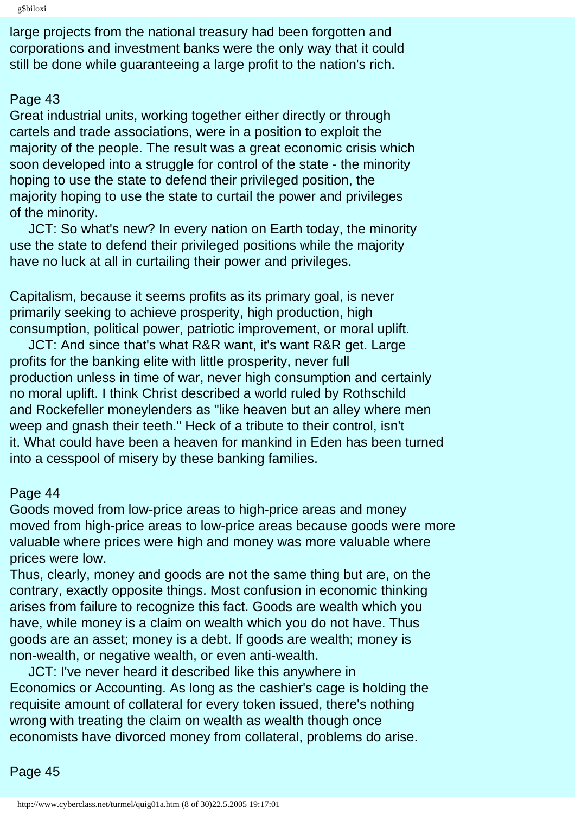large projects from the national treasury had been forgotten and corporations and investment banks were the only way that it could still be done while guaranteeing a large profit to the nation's rich.

#### Page 43

Great industrial units, working together either directly or through cartels and trade associations, were in a position to exploit the majority of the people. The result was a great economic crisis which soon developed into a struggle for control of the state - the minority hoping to use the state to defend their privileged position, the majority hoping to use the state to curtail the power and privileges of the minority.

 JCT: So what's new? In every nation on Earth today, the minority use the state to defend their privileged positions while the majority have no luck at all in curtailing their power and privileges.

Capitalism, because it seems profits as its primary goal, is never primarily seeking to achieve prosperity, high production, high consumption, political power, patriotic improvement, or moral uplift.

 JCT: And since that's what R&R want, it's want R&R get. Large profits for the banking elite with little prosperity, never full production unless in time of war, never high consumption and certainly no moral uplift. I think Christ described a world ruled by Rothschild and Rockefeller moneylenders as "like heaven but an alley where men weep and gnash their teeth." Heck of a tribute to their control, isn't it. What could have been a heaven for mankind in Eden has been turned into a cesspool of misery by these banking families.

# Page 44

Goods moved from low-price areas to high-price areas and money moved from high-price areas to low-price areas because goods were more valuable where prices were high and money was more valuable where prices were low.

Thus, clearly, money and goods are not the same thing but are, on the contrary, exactly opposite things. Most confusion in economic thinking arises from failure to recognize this fact. Goods are wealth which you have, while money is a claim on wealth which you do not have. Thus goods are an asset; money is a debt. If goods are wealth; money is non-wealth, or negative wealth, or even anti-wealth.

 JCT: I've never heard it described like this anywhere in Economics or Accounting. As long as the cashier's cage is holding the requisite amount of collateral for every token issued, there's nothing wrong with treating the claim on wealth as wealth though once economists have divorced money from collateral, problems do arise.

# Page 45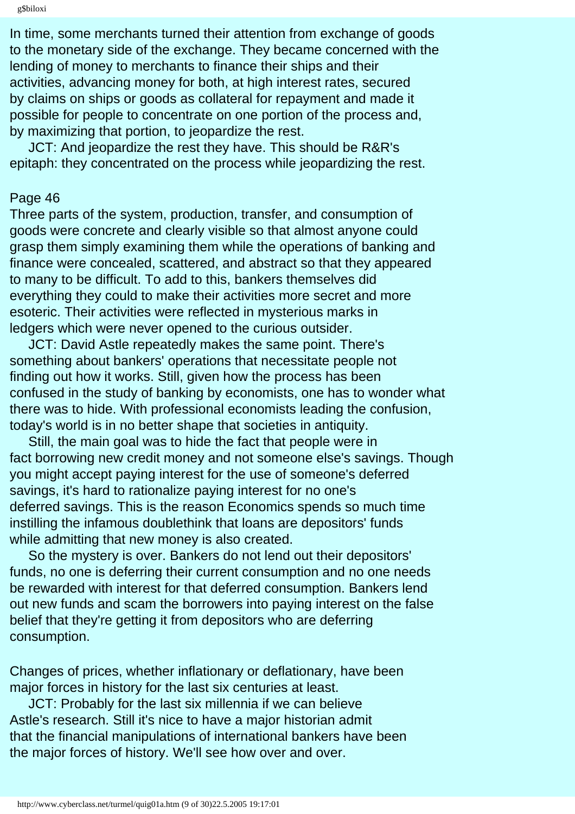In time, some merchants turned their attention from exchange of goods to the monetary side of the exchange. They became concerned with the lending of money to merchants to finance their ships and their activities, advancing money for both, at high interest rates, secured by claims on ships or goods as collateral for repayment and made it possible for people to concentrate on one portion of the process and, by maximizing that portion, to jeopardize the rest.

 JCT: And jeopardize the rest they have. This should be R&R's epitaph: they concentrated on the process while jeopardizing the rest.

#### Page 46

Three parts of the system, production, transfer, and consumption of goods were concrete and clearly visible so that almost anyone could grasp them simply examining them while the operations of banking and finance were concealed, scattered, and abstract so that they appeared to many to be difficult. To add to this, bankers themselves did everything they could to make their activities more secret and more esoteric. Their activities were reflected in mysterious marks in ledgers which were never opened to the curious outsider.

 JCT: David Astle repeatedly makes the same point. There's something about bankers' operations that necessitate people not finding out how it works. Still, given how the process has been confused in the study of banking by economists, one has to wonder what there was to hide. With professional economists leading the confusion, today's world is in no better shape that societies in antiquity.

 Still, the main goal was to hide the fact that people were in fact borrowing new credit money and not someone else's savings. Though you might accept paying interest for the use of someone's deferred savings, it's hard to rationalize paying interest for no one's deferred savings. This is the reason Economics spends so much time instilling the infamous doublethink that loans are depositors' funds while admitting that new money is also created.

 So the mystery is over. Bankers do not lend out their depositors' funds, no one is deferring their current consumption and no one needs be rewarded with interest for that deferred consumption. Bankers lend out new funds and scam the borrowers into paying interest on the false belief that they're getting it from depositors who are deferring consumption.

Changes of prices, whether inflationary or deflationary, have been major forces in history for the last six centuries at least.

 JCT: Probably for the last six millennia if we can believe Astle's research. Still it's nice to have a major historian admit that the financial manipulations of international bankers have been the major forces of history. We'll see how over and over.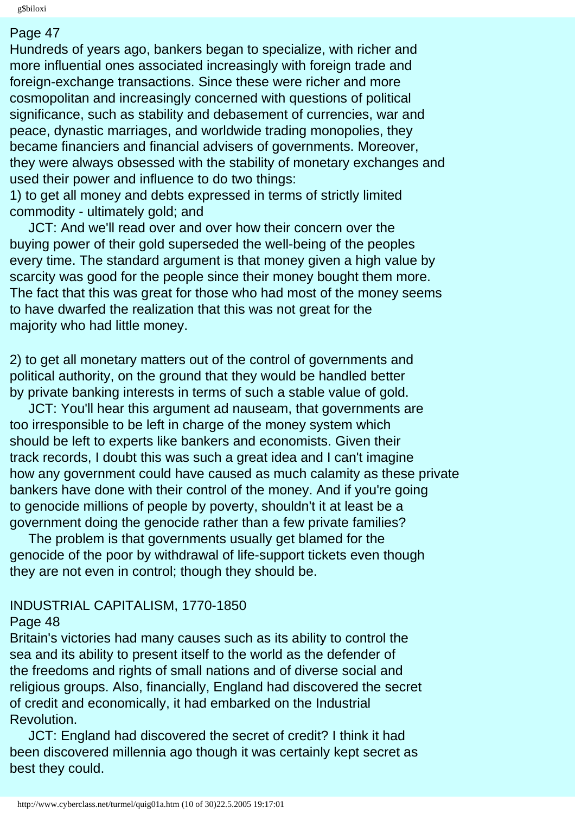# Page 47

Hundreds of years ago, bankers began to specialize, with richer and more influential ones associated increasingly with foreign trade and foreign-exchange transactions. Since these were richer and more cosmopolitan and increasingly concerned with questions of political significance, such as stability and debasement of currencies, war and peace, dynastic marriages, and worldwide trading monopolies, they became financiers and financial advisers of governments. Moreover, they were always obsessed with the stability of monetary exchanges and used their power and influence to do two things:

1) to get all money and debts expressed in terms of strictly limited commodity - ultimately gold; and

 JCT: And we'll read over and over how their concern over the buying power of their gold superseded the well-being of the peoples every time. The standard argument is that money given a high value by scarcity was good for the people since their money bought them more. The fact that this was great for those who had most of the money seems to have dwarfed the realization that this was not great for the majority who had little money.

2) to get all monetary matters out of the control of governments and political authority, on the ground that they would be handled better by private banking interests in terms of such a stable value of gold.

 JCT: You'll hear this argument ad nauseam, that governments are too irresponsible to be left in charge of the money system which should be left to experts like bankers and economists. Given their track records, I doubt this was such a great idea and I can't imagine how any government could have caused as much calamity as these private bankers have done with their control of the money. And if you're going to genocide millions of people by poverty, shouldn't it at least be a government doing the genocide rather than a few private families?

 The problem is that governments usually get blamed for the genocide of the poor by withdrawal of life-support tickets even though they are not even in control; though they should be.

# INDUSTRIAL CAPITALISM, 1770-1850

#### Page 48

Britain's victories had many causes such as its ability to control the sea and its ability to present itself to the world as the defender of the freedoms and rights of small nations and of diverse social and religious groups. Also, financially, England had discovered the secret of credit and economically, it had embarked on the Industrial Revolution.

 JCT: England had discovered the secret of credit? I think it had been discovered millennia ago though it was certainly kept secret as best they could.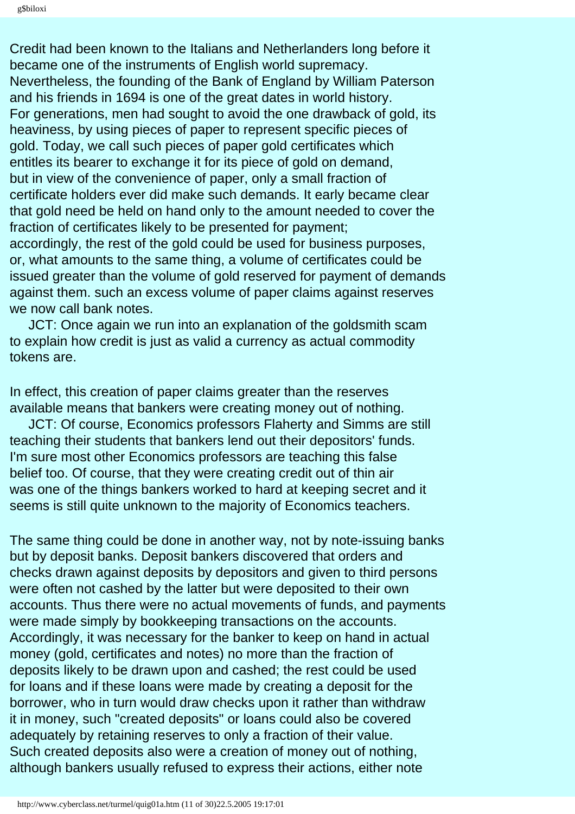Credit had been known to the Italians and Netherlanders long before it became one of the instruments of English world supremacy. Nevertheless, the founding of the Bank of England by William Paterson and his friends in 1694 is one of the great dates in world history. For generations, men had sought to avoid the one drawback of gold, its heaviness, by using pieces of paper to represent specific pieces of gold. Today, we call such pieces of paper gold certificates which entitles its bearer to exchange it for its piece of gold on demand, but in view of the convenience of paper, only a small fraction of certificate holders ever did make such demands. It early became clear that gold need be held on hand only to the amount needed to cover the fraction of certificates likely to be presented for payment; accordingly, the rest of the gold could be used for business purposes, or, what amounts to the same thing, a volume of certificates could be issued greater than the volume of gold reserved for payment of demands against them. such an excess volume of paper claims against reserves we now call bank notes.

 JCT: Once again we run into an explanation of the goldsmith scam to explain how credit is just as valid a currency as actual commodity tokens are.

In effect, this creation of paper claims greater than the reserves available means that bankers were creating money out of nothing.

 JCT: Of course, Economics professors Flaherty and Simms are still teaching their students that bankers lend out their depositors' funds. I'm sure most other Economics professors are teaching this false belief too. Of course, that they were creating credit out of thin air was one of the things bankers worked to hard at keeping secret and it seems is still quite unknown to the majority of Economics teachers.

The same thing could be done in another way, not by note-issuing banks but by deposit banks. Deposit bankers discovered that orders and checks drawn against deposits by depositors and given to third persons were often not cashed by the latter but were deposited to their own accounts. Thus there were no actual movements of funds, and payments were made simply by bookkeeping transactions on the accounts. Accordingly, it was necessary for the banker to keep on hand in actual money (gold, certificates and notes) no more than the fraction of deposits likely to be drawn upon and cashed; the rest could be used for loans and if these loans were made by creating a deposit for the borrower, who in turn would draw checks upon it rather than withdraw it in money, such "created deposits" or loans could also be covered adequately by retaining reserves to only a fraction of their value. Such created deposits also were a creation of money out of nothing, although bankers usually refused to express their actions, either note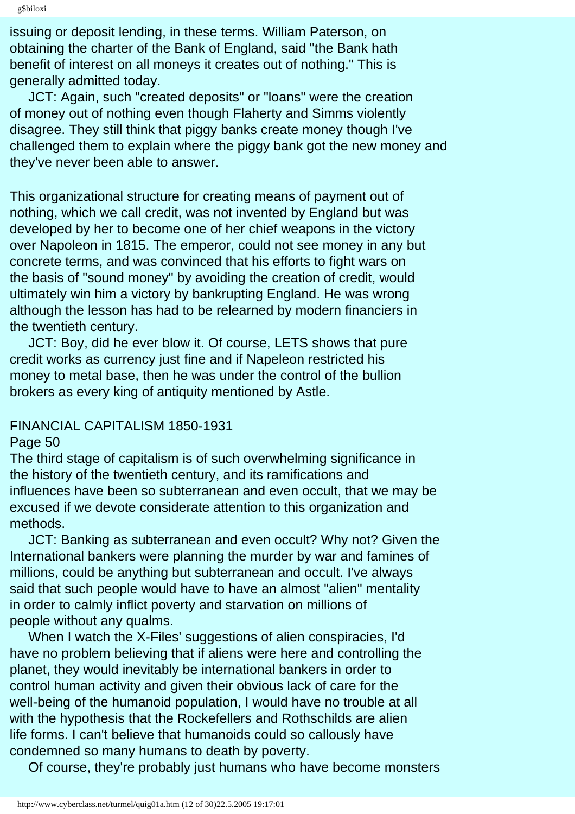issuing or deposit lending, in these terms. William Paterson, on obtaining the charter of the Bank of England, said "the Bank hath benefit of interest on all moneys it creates out of nothing." This is generally admitted today.

 JCT: Again, such "created deposits" or "loans" were the creation of money out of nothing even though Flaherty and Simms violently disagree. They still think that piggy banks create money though I've challenged them to explain where the piggy bank got the new money and they've never been able to answer.

This organizational structure for creating means of payment out of nothing, which we call credit, was not invented by England but was developed by her to become one of her chief weapons in the victory over Napoleon in 1815. The emperor, could not see money in any but concrete terms, and was convinced that his efforts to fight wars on the basis of "sound money" by avoiding the creation of credit, would ultimately win him a victory by bankrupting England. He was wrong although the lesson has had to be relearned by modern financiers in the twentieth century.

 JCT: Boy, did he ever blow it. Of course, LETS shows that pure credit works as currency just fine and if Napeleon restricted his money to metal base, then he was under the control of the bullion brokers as every king of antiquity mentioned by Astle.

#### FINANCIAL CAPITALISM 1850-1931

#### Page 50

The third stage of capitalism is of such overwhelming significance in the history of the twentieth century, and its ramifications and influences have been so subterranean and even occult, that we may be excused if we devote considerate attention to this organization and methods.

 JCT: Banking as subterranean and even occult? Why not? Given the International bankers were planning the murder by war and famines of millions, could be anything but subterranean and occult. I've always said that such people would have to have an almost "alien" mentality in order to calmly inflict poverty and starvation on millions of people without any qualms.

 When I watch the X-Files' suggestions of alien conspiracies, I'd have no problem believing that if aliens were here and controlling the planet, they would inevitably be international bankers in order to control human activity and given their obvious lack of care for the well-being of the humanoid population, I would have no trouble at all with the hypothesis that the Rockefellers and Rothschilds are alien life forms. I can't believe that humanoids could so callously have condemned so many humans to death by poverty.

Of course, they're probably just humans who have become monsters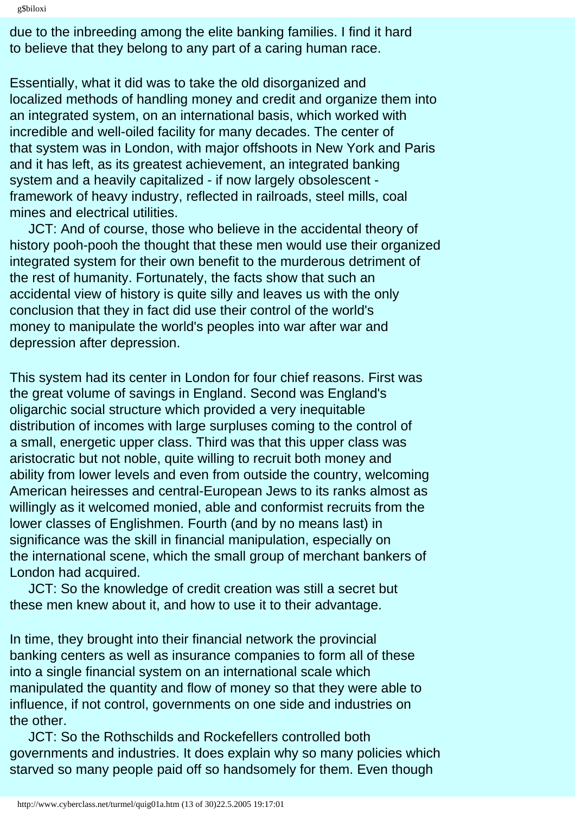due to the inbreeding among the elite banking families. I find it hard to believe that they belong to any part of a caring human race.

Essentially, what it did was to take the old disorganized and localized methods of handling money and credit and organize them into an integrated system, on an international basis, which worked with incredible and well-oiled facility for many decades. The center of that system was in London, with major offshoots in New York and Paris and it has left, as its greatest achievement, an integrated banking system and a heavily capitalized - if now largely obsolescent framework of heavy industry, reflected in railroads, steel mills, coal mines and electrical utilities.

 JCT: And of course, those who believe in the accidental theory of history pooh-pooh the thought that these men would use their organized integrated system for their own benefit to the murderous detriment of the rest of humanity. Fortunately, the facts show that such an accidental view of history is quite silly and leaves us with the only conclusion that they in fact did use their control of the world's money to manipulate the world's peoples into war after war and depression after depression.

This system had its center in London for four chief reasons. First was the great volume of savings in England. Second was England's oligarchic social structure which provided a very inequitable distribution of incomes with large surpluses coming to the control of a small, energetic upper class. Third was that this upper class was aristocratic but not noble, quite willing to recruit both money and ability from lower levels and even from outside the country, welcoming American heiresses and central-European Jews to its ranks almost as willingly as it welcomed monied, able and conformist recruits from the lower classes of Englishmen. Fourth (and by no means last) in significance was the skill in financial manipulation, especially on the international scene, which the small group of merchant bankers of London had acquired.

 JCT: So the knowledge of credit creation was still a secret but these men knew about it, and how to use it to their advantage.

In time, they brought into their financial network the provincial banking centers as well as insurance companies to form all of these into a single financial system on an international scale which manipulated the quantity and flow of money so that they were able to influence, if not control, governments on one side and industries on the other.

 JCT: So the Rothschilds and Rockefellers controlled both governments and industries. It does explain why so many policies which starved so many people paid off so handsomely for them. Even though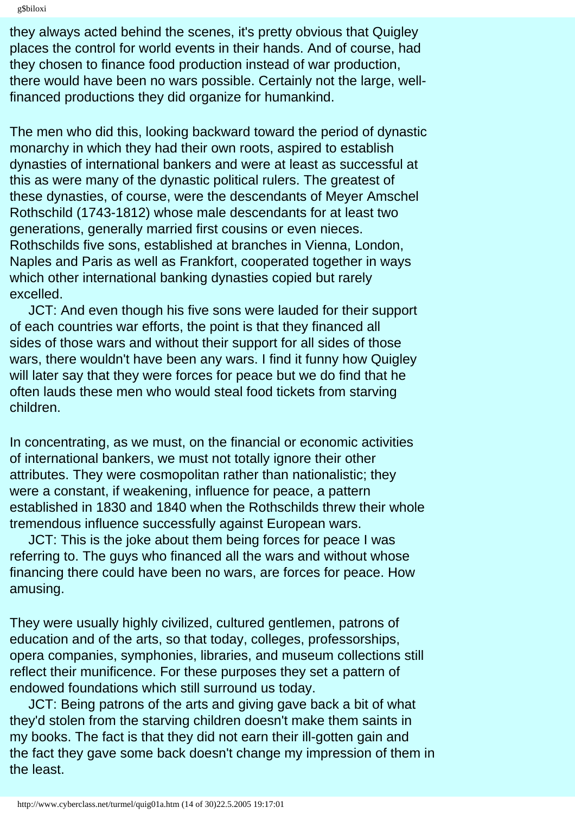they always acted behind the scenes, it's pretty obvious that Quigley places the control for world events in their hands. And of course, had they chosen to finance food production instead of war production, there would have been no wars possible. Certainly not the large, wellfinanced productions they did organize for humankind.

The men who did this, looking backward toward the period of dynastic monarchy in which they had their own roots, aspired to establish dynasties of international bankers and were at least as successful at this as were many of the dynastic political rulers. The greatest of these dynasties, of course, were the descendants of Meyer Amschel Rothschild (1743-1812) whose male descendants for at least two generations, generally married first cousins or even nieces. Rothschilds five sons, established at branches in Vienna, London, Naples and Paris as well as Frankfort, cooperated together in ways which other international banking dynasties copied but rarely excelled.

 JCT: And even though his five sons were lauded for their support of each countries war efforts, the point is that they financed all sides of those wars and without their support for all sides of those wars, there wouldn't have been any wars. I find it funny how Quigley will later say that they were forces for peace but we do find that he often lauds these men who would steal food tickets from starving children.

In concentrating, as we must, on the financial or economic activities of international bankers, we must not totally ignore their other attributes. They were cosmopolitan rather than nationalistic; they were a constant, if weakening, influence for peace, a pattern established in 1830 and 1840 when the Rothschilds threw their whole tremendous influence successfully against European wars.

 JCT: This is the joke about them being forces for peace I was referring to. The guys who financed all the wars and without whose financing there could have been no wars, are forces for peace. How amusing.

They were usually highly civilized, cultured gentlemen, patrons of education and of the arts, so that today, colleges, professorships, opera companies, symphonies, libraries, and museum collections still reflect their munificence. For these purposes they set a pattern of endowed foundations which still surround us today.

 JCT: Being patrons of the arts and giving gave back a bit of what they'd stolen from the starving children doesn't make them saints in my books. The fact is that they did not earn their ill-gotten gain and the fact they gave some back doesn't change my impression of them in the least.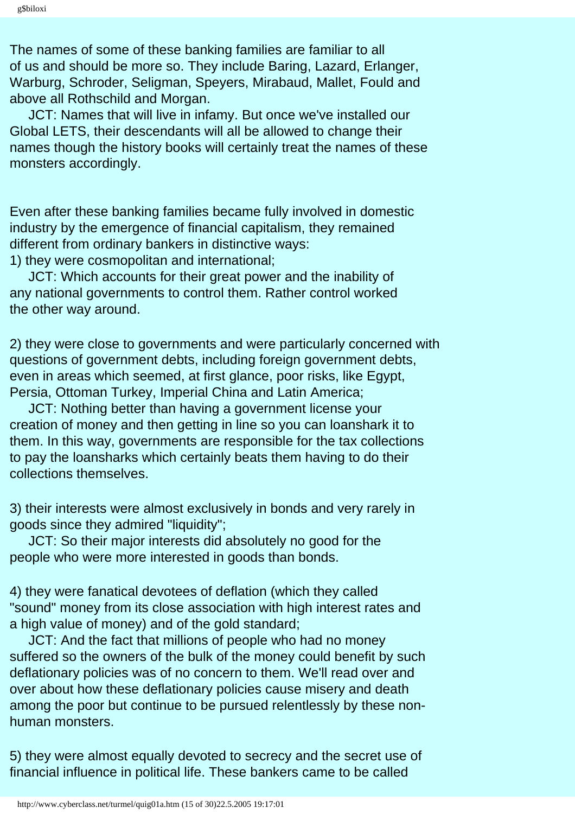The names of some of these banking families are familiar to all of us and should be more so. They include Baring, Lazard, Erlanger, Warburg, Schroder, Seligman, Speyers, Mirabaud, Mallet, Fould and above all Rothschild and Morgan.

 JCT: Names that will live in infamy. But once we've installed our Global LETS, their descendants will all be allowed to change their names though the history books will certainly treat the names of these monsters accordingly.

Even after these banking families became fully involved in domestic industry by the emergence of financial capitalism, they remained different from ordinary bankers in distinctive ways:

1) they were cosmopolitan and international;

 JCT: Which accounts for their great power and the inability of any national governments to control them. Rather control worked the other way around.

2) they were close to governments and were particularly concerned with questions of government debts, including foreign government debts, even in areas which seemed, at first glance, poor risks, like Egypt, Persia, Ottoman Turkey, Imperial China and Latin America;

 JCT: Nothing better than having a government license your creation of money and then getting in line so you can loanshark it to them. In this way, governments are responsible for the tax collections to pay the loansharks which certainly beats them having to do their collections themselves.

3) their interests were almost exclusively in bonds and very rarely in goods since they admired "liquidity";

 JCT: So their major interests did absolutely no good for the people who were more interested in goods than bonds.

4) they were fanatical devotees of deflation (which they called "sound" money from its close association with high interest rates and a high value of money) and of the gold standard;

 JCT: And the fact that millions of people who had no money suffered so the owners of the bulk of the money could benefit by such deflationary policies was of no concern to them. We'll read over and over about how these deflationary policies cause misery and death among the poor but continue to be pursued relentlessly by these nonhuman monsters.

5) they were almost equally devoted to secrecy and the secret use of financial influence in political life. These bankers came to be called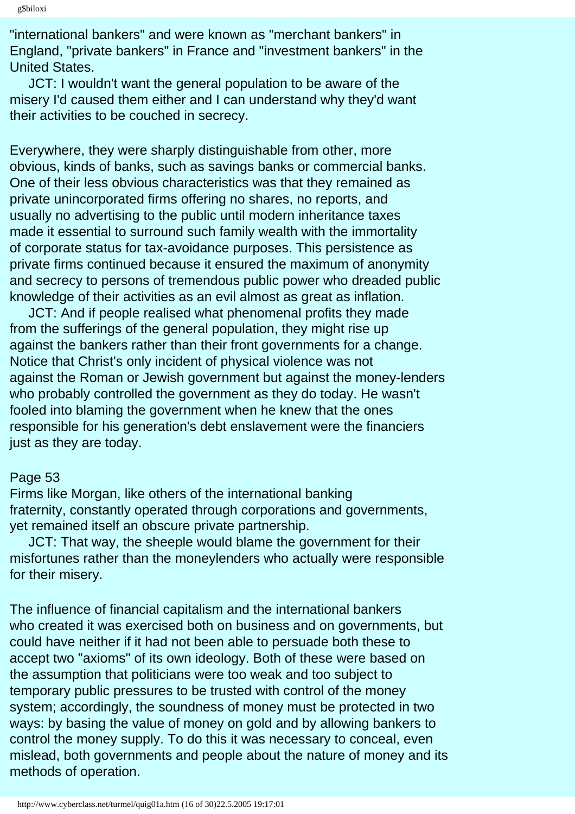"international bankers" and were known as "merchant bankers" in England, "private bankers" in France and "investment bankers" in the United States.

 JCT: I wouldn't want the general population to be aware of the misery I'd caused them either and I can understand why they'd want their activities to be couched in secrecy.

Everywhere, they were sharply distinguishable from other, more obvious, kinds of banks, such as savings banks or commercial banks. One of their less obvious characteristics was that they remained as private unincorporated firms offering no shares, no reports, and usually no advertising to the public until modern inheritance taxes made it essential to surround such family wealth with the immortality of corporate status for tax-avoidance purposes. This persistence as private firms continued because it ensured the maximum of anonymity and secrecy to persons of tremendous public power who dreaded public knowledge of their activities as an evil almost as great as inflation.

 JCT: And if people realised what phenomenal profits they made from the sufferings of the general population, they might rise up against the bankers rather than their front governments for a change. Notice that Christ's only incident of physical violence was not against the Roman or Jewish government but against the money-lenders who probably controlled the government as they do today. He wasn't fooled into blaming the government when he knew that the ones responsible for his generation's debt enslavement were the financiers just as they are today.

#### Page 53

Firms like Morgan, like others of the international banking fraternity, constantly operated through corporations and governments, yet remained itself an obscure private partnership.

 JCT: That way, the sheeple would blame the government for their misfortunes rather than the moneylenders who actually were responsible for their misery.

The influence of financial capitalism and the international bankers who created it was exercised both on business and on governments, but could have neither if it had not been able to persuade both these to accept two "axioms" of its own ideology. Both of these were based on the assumption that politicians were too weak and too subject to temporary public pressures to be trusted with control of the money system; accordingly, the soundness of money must be protected in two ways: by basing the value of money on gold and by allowing bankers to control the money supply. To do this it was necessary to conceal, even mislead, both governments and people about the nature of money and its methods of operation.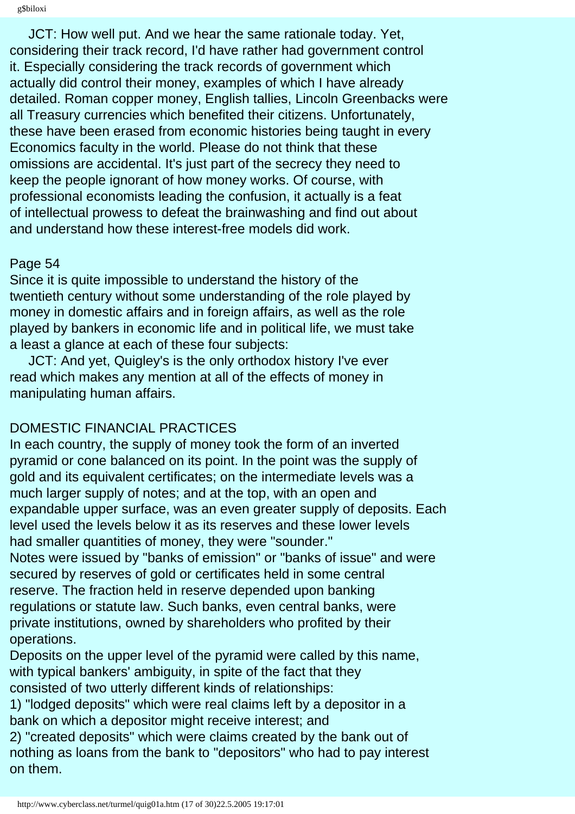JCT: How well put. And we hear the same rationale today. Yet, considering their track record, I'd have rather had government control it. Especially considering the track records of government which actually did control their money, examples of which I have already detailed. Roman copper money, English tallies, Lincoln Greenbacks were all Treasury currencies which benefited their citizens. Unfortunately, these have been erased from economic histories being taught in every Economics faculty in the world. Please do not think that these omissions are accidental. It's just part of the secrecy they need to keep the people ignorant of how money works. Of course, with professional economists leading the confusion, it actually is a feat of intellectual prowess to defeat the brainwashing and find out about and understand how these interest-free models did work.

# Page 54

Since it is quite impossible to understand the history of the twentieth century without some understanding of the role played by money in domestic affairs and in foreign affairs, as well as the role played by bankers in economic life and in political life, we must take a least a glance at each of these four subjects:

 JCT: And yet, Quigley's is the only orthodox history I've ever read which makes any mention at all of the effects of money in manipulating human affairs.

# DOMESTIC FINANCIAL PRACTICES

In each country, the supply of money took the form of an inverted pyramid or cone balanced on its point. In the point was the supply of gold and its equivalent certificates; on the intermediate levels was a much larger supply of notes; and at the top, with an open and expandable upper surface, was an even greater supply of deposits. Each level used the levels below it as its reserves and these lower levels had smaller quantities of money, they were "sounder." Notes were issued by "banks of emission" or "banks of issue" and were secured by reserves of gold or certificates held in some central reserve. The fraction held in reserve depended upon banking regulations or statute law. Such banks, even central banks, were private institutions, owned by shareholders who profited by their operations.

Deposits on the upper level of the pyramid were called by this name, with typical bankers' ambiguity, in spite of the fact that they consisted of two utterly different kinds of relationships:

1) "lodged deposits" which were real claims left by a depositor in a bank on which a depositor might receive interest; and

2) "created deposits" which were claims created by the bank out of nothing as loans from the bank to "depositors" who had to pay interest on them.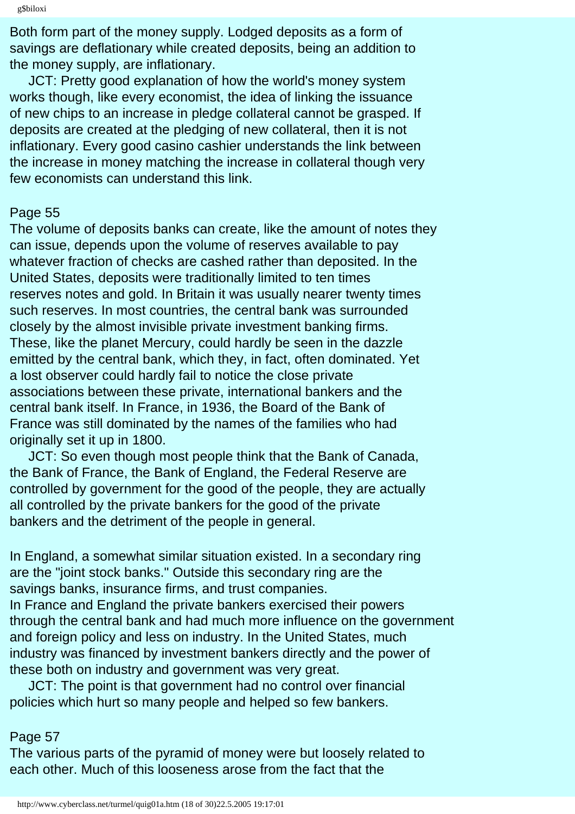Both form part of the money supply. Lodged deposits as a form of savings are deflationary while created deposits, being an addition to the money supply, are inflationary.

 JCT: Pretty good explanation of how the world's money system works though, like every economist, the idea of linking the issuance of new chips to an increase in pledge collateral cannot be grasped. If deposits are created at the pledging of new collateral, then it is not inflationary. Every good casino cashier understands the link between the increase in money matching the increase in collateral though very few economists can understand this link.

#### Page 55

The volume of deposits banks can create, like the amount of notes they can issue, depends upon the volume of reserves available to pay whatever fraction of checks are cashed rather than deposited. In the United States, deposits were traditionally limited to ten times reserves notes and gold. In Britain it was usually nearer twenty times such reserves. In most countries, the central bank was surrounded closely by the almost invisible private investment banking firms. These, like the planet Mercury, could hardly be seen in the dazzle emitted by the central bank, which they, in fact, often dominated. Yet a lost observer could hardly fail to notice the close private associations between these private, international bankers and the central bank itself. In France, in 1936, the Board of the Bank of France was still dominated by the names of the families who had originally set it up in 1800.

 JCT: So even though most people think that the Bank of Canada, the Bank of France, the Bank of England, the Federal Reserve are controlled by government for the good of the people, they are actually all controlled by the private bankers for the good of the private bankers and the detriment of the people in general.

In England, a somewhat similar situation existed. In a secondary ring are the "joint stock banks." Outside this secondary ring are the savings banks, insurance firms, and trust companies. In France and England the private bankers exercised their powers through the central bank and had much more influence on the government and foreign policy and less on industry. In the United States, much industry was financed by investment bankers directly and the power of these both on industry and government was very great.

 JCT: The point is that government had no control over financial policies which hurt so many people and helped so few bankers.

#### Page 57

The various parts of the pyramid of money were but loosely related to each other. Much of this looseness arose from the fact that the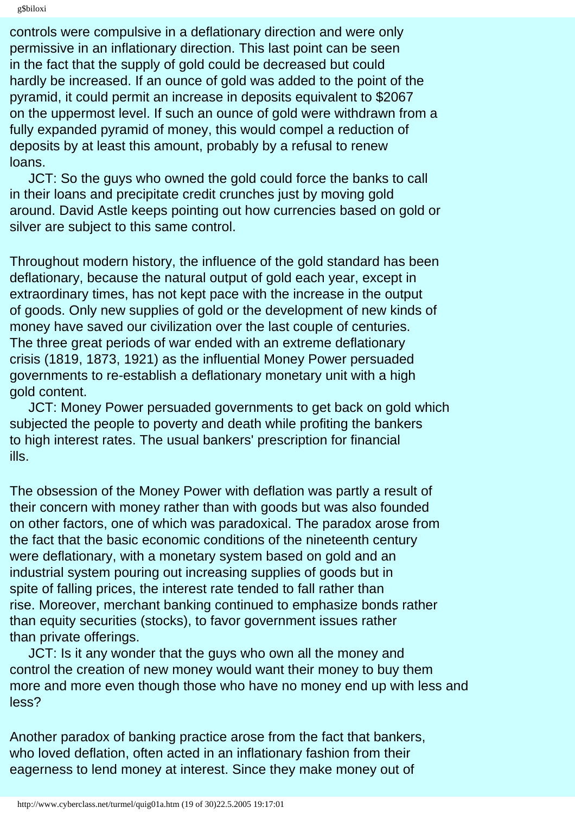controls were compulsive in a deflationary direction and were only permissive in an inflationary direction. This last point can be seen in the fact that the supply of gold could be decreased but could hardly be increased. If an ounce of gold was added to the point of the pyramid, it could permit an increase in deposits equivalent to \$2067 on the uppermost level. If such an ounce of gold were withdrawn from a fully expanded pyramid of money, this would compel a reduction of deposits by at least this amount, probably by a refusal to renew loans.

 JCT: So the guys who owned the gold could force the banks to call in their loans and precipitate credit crunches just by moving gold around. David Astle keeps pointing out how currencies based on gold or silver are subject to this same control.

Throughout modern history, the influence of the gold standard has been deflationary, because the natural output of gold each year, except in extraordinary times, has not kept pace with the increase in the output of goods. Only new supplies of gold or the development of new kinds of money have saved our civilization over the last couple of centuries. The three great periods of war ended with an extreme deflationary crisis (1819, 1873, 1921) as the influential Money Power persuaded governments to re-establish a deflationary monetary unit with a high gold content.

 JCT: Money Power persuaded governments to get back on gold which subjected the people to poverty and death while profiting the bankers to high interest rates. The usual bankers' prescription for financial ills.

The obsession of the Money Power with deflation was partly a result of their concern with money rather than with goods but was also founded on other factors, one of which was paradoxical. The paradox arose from the fact that the basic economic conditions of the nineteenth century were deflationary, with a monetary system based on gold and an industrial system pouring out increasing supplies of goods but in spite of falling prices, the interest rate tended to fall rather than rise. Moreover, merchant banking continued to emphasize bonds rather than equity securities (stocks), to favor government issues rather than private offerings.

 JCT: Is it any wonder that the guys who own all the money and control the creation of new money would want their money to buy them more and more even though those who have no money end up with less and less?

Another paradox of banking practice arose from the fact that bankers, who loved deflation, often acted in an inflationary fashion from their eagerness to lend money at interest. Since they make money out of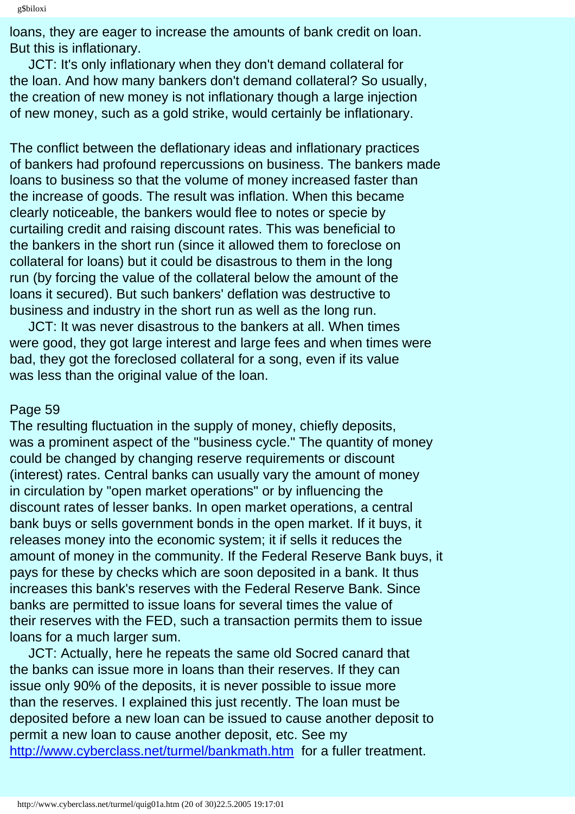loans, they are eager to increase the amounts of bank credit on loan. But this is inflationary.

 JCT: It's only inflationary when they don't demand collateral for the loan. And how many bankers don't demand collateral? So usually, the creation of new money is not inflationary though a large injection of new money, such as a gold strike, would certainly be inflationary.

The conflict between the deflationary ideas and inflationary practices of bankers had profound repercussions on business. The bankers made loans to business so that the volume of money increased faster than the increase of goods. The result was inflation. When this became clearly noticeable, the bankers would flee to notes or specie by curtailing credit and raising discount rates. This was beneficial to the bankers in the short run (since it allowed them to foreclose on collateral for loans) but it could be disastrous to them in the long run (by forcing the value of the collateral below the amount of the loans it secured). But such bankers' deflation was destructive to business and industry in the short run as well as the long run.

 JCT: It was never disastrous to the bankers at all. When times were good, they got large interest and large fees and when times were bad, they got the foreclosed collateral for a song, even if its value was less than the original value of the loan.

#### Page 59

The resulting fluctuation in the supply of money, chiefly deposits, was a prominent aspect of the "business cycle." The quantity of money could be changed by changing reserve requirements or discount (interest) rates. Central banks can usually vary the amount of money in circulation by "open market operations" or by influencing the discount rates of lesser banks. In open market operations, a central bank buys or sells government bonds in the open market. If it buys, it releases money into the economic system; it if sells it reduces the amount of money in the community. If the Federal Reserve Bank buys, it pays for these by checks which are soon deposited in a bank. It thus increases this bank's reserves with the Federal Reserve Bank. Since banks are permitted to issue loans for several times the value of their reserves with the FED, such a transaction permits them to issue loans for a much larger sum.

 JCT: Actually, here he repeats the same old Socred canard that the banks can issue more in loans than their reserves. If they can issue only 90% of the deposits, it is never possible to issue more than the reserves. I explained this just recently. The loan must be deposited before a new loan can be issued to cause another deposit to permit a new loan to cause another deposit, etc. See my <http://www.cyberclass.net/turmel/bankmath.htm> for a fuller treatment.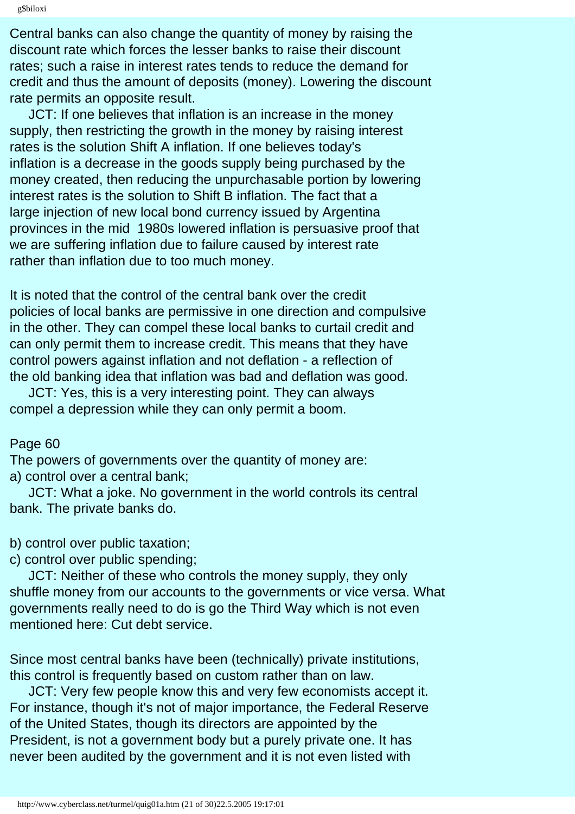Central banks can also change the quantity of money by raising the discount rate which forces the lesser banks to raise their discount rates; such a raise in interest rates tends to reduce the demand for credit and thus the amount of deposits (money). Lowering the discount rate permits an opposite result.

 JCT: If one believes that inflation is an increase in the money supply, then restricting the growth in the money by raising interest rates is the solution Shift A inflation. If one believes today's inflation is a decrease in the goods supply being purchased by the money created, then reducing the unpurchasable portion by lowering interest rates is the solution to Shift B inflation. The fact that a large injection of new local bond currency issued by Argentina provinces in the mid 1980s lowered inflation is persuasive proof that we are suffering inflation due to failure caused by interest rate rather than inflation due to too much money.

It is noted that the control of the central bank over the credit policies of local banks are permissive in one direction and compulsive in the other. They can compel these local banks to curtail credit and can only permit them to increase credit. This means that they have control powers against inflation and not deflation - a reflection of the old banking idea that inflation was bad and deflation was good.

 JCT: Yes, this is a very interesting point. They can always compel a depression while they can only permit a boom.

# Page 60

The powers of governments over the quantity of money are: a) control over a central bank;

 JCT: What a joke. No government in the world controls its central bank. The private banks do.

b) control over public taxation;

c) control over public spending;

 JCT: Neither of these who controls the money supply, they only shuffle money from our accounts to the governments or vice versa. What governments really need to do is go the Third Way which is not even mentioned here: Cut debt service.

Since most central banks have been (technically) private institutions, this control is frequently based on custom rather than on law.

 JCT: Very few people know this and very few economists accept it. For instance, though it's not of major importance, the Federal Reserve of the United States, though its directors are appointed by the President, is not a government body but a purely private one. It has never been audited by the government and it is not even listed with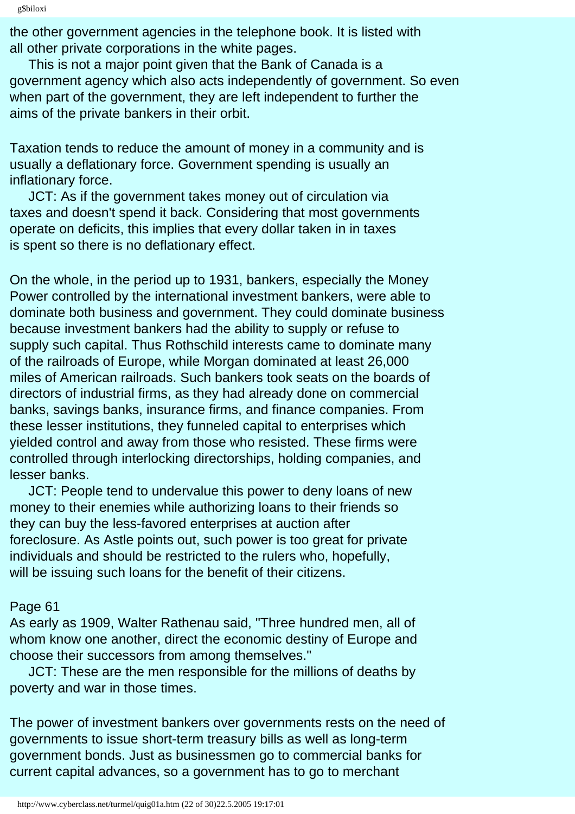the other government agencies in the telephone book. It is listed with all other private corporations in the white pages.

 This is not a major point given that the Bank of Canada is a government agency which also acts independently of government. So even when part of the government, they are left independent to further the aims of the private bankers in their orbit.

Taxation tends to reduce the amount of money in a community and is usually a deflationary force. Government spending is usually an inflationary force.

 JCT: As if the government takes money out of circulation via taxes and doesn't spend it back. Considering that most governments operate on deficits, this implies that every dollar taken in in taxes is spent so there is no deflationary effect.

On the whole, in the period up to 1931, bankers, especially the Money Power controlled by the international investment bankers, were able to dominate both business and government. They could dominate business because investment bankers had the ability to supply or refuse to supply such capital. Thus Rothschild interests came to dominate many of the railroads of Europe, while Morgan dominated at least 26,000 miles of American railroads. Such bankers took seats on the boards of directors of industrial firms, as they had already done on commercial banks, savings banks, insurance firms, and finance companies. From these lesser institutions, they funneled capital to enterprises which yielded control and away from those who resisted. These firms were controlled through interlocking directorships, holding companies, and lesser banks.

 JCT: People tend to undervalue this power to deny loans of new money to their enemies while authorizing loans to their friends so they can buy the less-favored enterprises at auction after foreclosure. As Astle points out, such power is too great for private individuals and should be restricted to the rulers who, hopefully, will be issuing such loans for the benefit of their citizens.

#### Page 61

As early as 1909, Walter Rathenau said, "Three hundred men, all of whom know one another, direct the economic destiny of Europe and choose their successors from among themselves."

 JCT: These are the men responsible for the millions of deaths by poverty and war in those times.

The power of investment bankers over governments rests on the need of governments to issue short-term treasury bills as well as long-term government bonds. Just as businessmen go to commercial banks for current capital advances, so a government has to go to merchant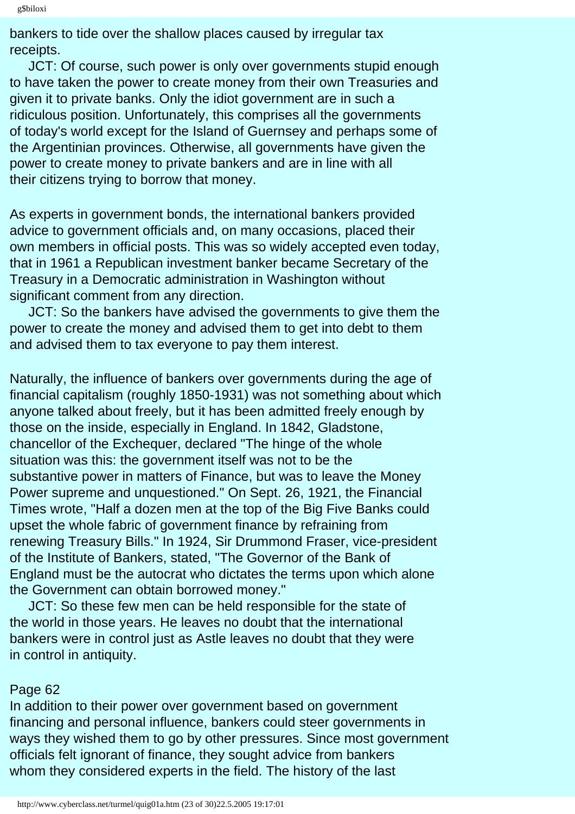bankers to tide over the shallow places caused by irregular tax receipts.

 JCT: Of course, such power is only over governments stupid enough to have taken the power to create money from their own Treasuries and given it to private banks. Only the idiot government are in such a ridiculous position. Unfortunately, this comprises all the governments of today's world except for the Island of Guernsey and perhaps some of the Argentinian provinces. Otherwise, all governments have given the power to create money to private bankers and are in line with all their citizens trying to borrow that money.

As experts in government bonds, the international bankers provided advice to government officials and, on many occasions, placed their own members in official posts. This was so widely accepted even today, that in 1961 a Republican investment banker became Secretary of the Treasury in a Democratic administration in Washington without significant comment from any direction.

 JCT: So the bankers have advised the governments to give them the power to create the money and advised them to get into debt to them and advised them to tax everyone to pay them interest.

Naturally, the influence of bankers over governments during the age of financial capitalism (roughly 1850-1931) was not something about which anyone talked about freely, but it has been admitted freely enough by those on the inside, especially in England. In 1842, Gladstone, chancellor of the Exchequer, declared "The hinge of the whole situation was this: the government itself was not to be the substantive power in matters of Finance, but was to leave the Money Power supreme and unquestioned." On Sept. 26, 1921, the Financial Times wrote, "Half a dozen men at the top of the Big Five Banks could upset the whole fabric of government finance by refraining from renewing Treasury Bills." In 1924, Sir Drummond Fraser, vice-president of the Institute of Bankers, stated, "The Governor of the Bank of England must be the autocrat who dictates the terms upon which alone the Government can obtain borrowed money."

 JCT: So these few men can be held responsible for the state of the world in those years. He leaves no doubt that the international bankers were in control just as Astle leaves no doubt that they were in control in antiquity.

#### Page 62

In addition to their power over government based on government financing and personal influence, bankers could steer governments in ways they wished them to go by other pressures. Since most government officials felt ignorant of finance, they sought advice from bankers whom they considered experts in the field. The history of the last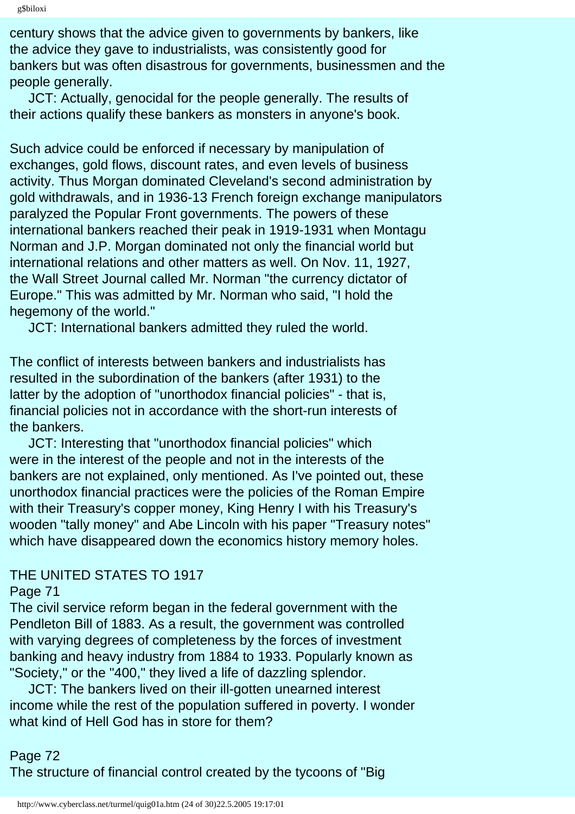century shows that the advice given to governments by bankers, like the advice they gave to industrialists, was consistently good for bankers but was often disastrous for governments, businessmen and the people generally.

 JCT: Actually, genocidal for the people generally. The results of their actions qualify these bankers as monsters in anyone's book.

Such advice could be enforced if necessary by manipulation of exchanges, gold flows, discount rates, and even levels of business activity. Thus Morgan dominated Cleveland's second administration by gold withdrawals, and in 1936-13 French foreign exchange manipulators paralyzed the Popular Front governments. The powers of these international bankers reached their peak in 1919-1931 when Montagu Norman and J.P. Morgan dominated not only the financial world but international relations and other matters as well. On Nov. 11, 1927, the Wall Street Journal called Mr. Norman "the currency dictator of Europe." This was admitted by Mr. Norman who said, "I hold the hegemony of the world."

JCT: International bankers admitted they ruled the world.

The conflict of interests between bankers and industrialists has resulted in the subordination of the bankers (after 1931) to the latter by the adoption of "unorthodox financial policies" - that is, financial policies not in accordance with the short-run interests of the bankers.

 JCT: Interesting that "unorthodox financial policies" which were in the interest of the people and not in the interests of the bankers are not explained, only mentioned. As I've pointed out, these unorthodox financial practices were the policies of the Roman Empire with their Treasury's copper money, King Henry I with his Treasury's wooden "tally money" and Abe Lincoln with his paper "Treasury notes" which have disappeared down the economics history memory holes.

# THE UNITED STATES TO 1917

#### Page 71

The civil service reform began in the federal government with the Pendleton Bill of 1883. As a result, the government was controlled with varying degrees of completeness by the forces of investment banking and heavy industry from 1884 to 1933. Popularly known as "Society," or the "400," they lived a life of dazzling splendor.

 JCT: The bankers lived on their ill-gotten unearned interest income while the rest of the population suffered in poverty. I wonder what kind of Hell God has in store for them?

# Page 72

The structure of financial control created by the tycoons of "Big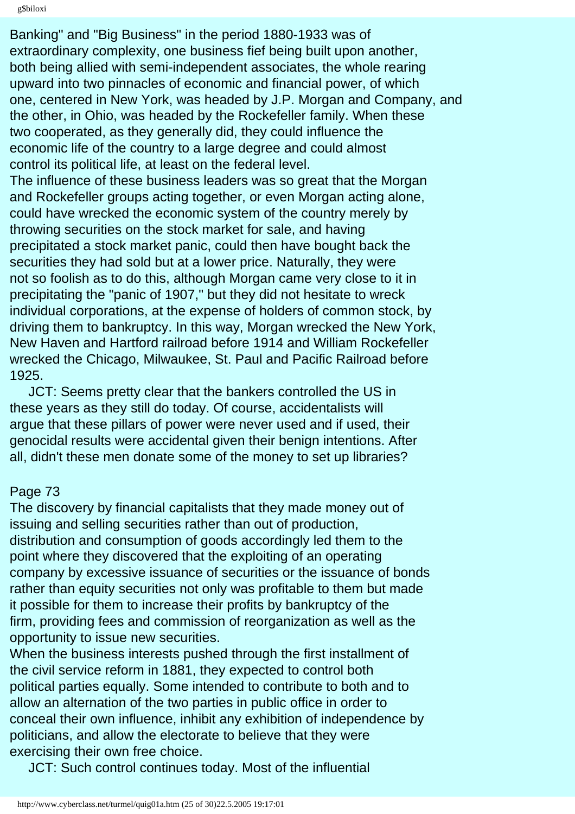Banking" and "Big Business" in the period 1880-1933 was of extraordinary complexity, one business fief being built upon another, both being allied with semi-independent associates, the whole rearing upward into two pinnacles of economic and financial power, of which one, centered in New York, was headed by J.P. Morgan and Company, and the other, in Ohio, was headed by the Rockefeller family. When these two cooperated, as they generally did, they could influence the economic life of the country to a large degree and could almost control its political life, at least on the federal level.

The influence of these business leaders was so great that the Morgan and Rockefeller groups acting together, or even Morgan acting alone, could have wrecked the economic system of the country merely by throwing securities on the stock market for sale, and having precipitated a stock market panic, could then have bought back the securities they had sold but at a lower price. Naturally, they were not so foolish as to do this, although Morgan came very close to it in precipitating the "panic of 1907," but they did not hesitate to wreck individual corporations, at the expense of holders of common stock, by driving them to bankruptcy. In this way, Morgan wrecked the New York, New Haven and Hartford railroad before 1914 and William Rockefeller wrecked the Chicago, Milwaukee, St. Paul and Pacific Railroad before 1925.

 JCT: Seems pretty clear that the bankers controlled the US in these years as they still do today. Of course, accidentalists will argue that these pillars of power were never used and if used, their genocidal results were accidental given their benign intentions. After all, didn't these men donate some of the money to set up libraries?

# Page 73

The discovery by financial capitalists that they made money out of issuing and selling securities rather than out of production, distribution and consumption of goods accordingly led them to the point where they discovered that the exploiting of an operating company by excessive issuance of securities or the issuance of bonds rather than equity securities not only was profitable to them but made it possible for them to increase their profits by bankruptcy of the firm, providing fees and commission of reorganization as well as the opportunity to issue new securities.

When the business interests pushed through the first installment of the civil service reform in 1881, they expected to control both political parties equally. Some intended to contribute to both and to allow an alternation of the two parties in public office in order to conceal their own influence, inhibit any exhibition of independence by politicians, and allow the electorate to believe that they were exercising their own free choice.

JCT: Such control continues today. Most of the influential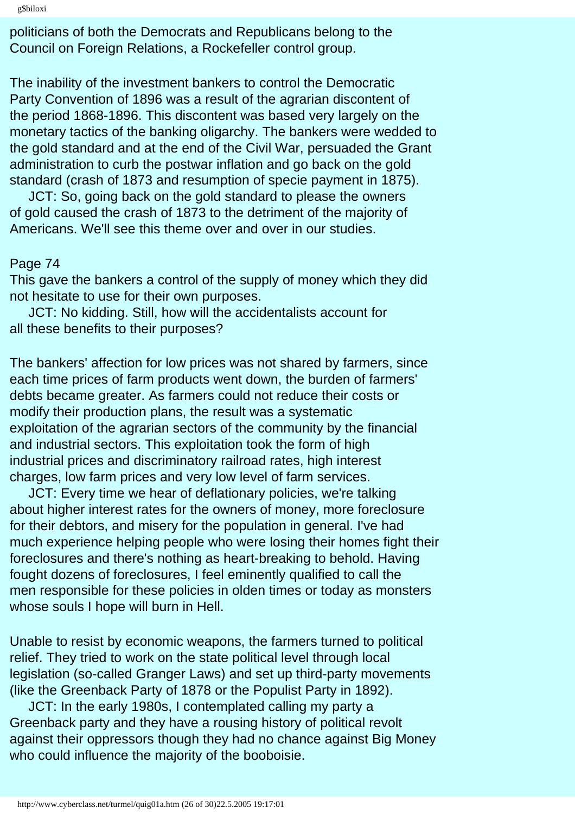politicians of both the Democrats and Republicans belong to the Council on Foreign Relations, a Rockefeller control group.

The inability of the investment bankers to control the Democratic Party Convention of 1896 was a result of the agrarian discontent of the period 1868-1896. This discontent was based very largely on the monetary tactics of the banking oligarchy. The bankers were wedded to the gold standard and at the end of the Civil War, persuaded the Grant administration to curb the postwar inflation and go back on the gold standard (crash of 1873 and resumption of specie payment in 1875).

 JCT: So, going back on the gold standard to please the owners of gold caused the crash of 1873 to the detriment of the majority of Americans. We'll see this theme over and over in our studies.

#### Page 74

This gave the bankers a control of the supply of money which they did not hesitate to use for their own purposes.

 JCT: No kidding. Still, how will the accidentalists account for all these benefits to their purposes?

The bankers' affection for low prices was not shared by farmers, since each time prices of farm products went down, the burden of farmers' debts became greater. As farmers could not reduce their costs or modify their production plans, the result was a systematic exploitation of the agrarian sectors of the community by the financial and industrial sectors. This exploitation took the form of high industrial prices and discriminatory railroad rates, high interest charges, low farm prices and very low level of farm services.

 JCT: Every time we hear of deflationary policies, we're talking about higher interest rates for the owners of money, more foreclosure for their debtors, and misery for the population in general. I've had much experience helping people who were losing their homes fight their foreclosures and there's nothing as heart-breaking to behold. Having fought dozens of foreclosures, I feel eminently qualified to call the men responsible for these policies in olden times or today as monsters whose souls I hope will burn in Hell.

Unable to resist by economic weapons, the farmers turned to political relief. They tried to work on the state political level through local legislation (so-called Granger Laws) and set up third-party movements (like the Greenback Party of 1878 or the Populist Party in 1892).

 JCT: In the early 1980s, I contemplated calling my party a Greenback party and they have a rousing history of political revolt against their oppressors though they had no chance against Big Money who could influence the majority of the booboisie.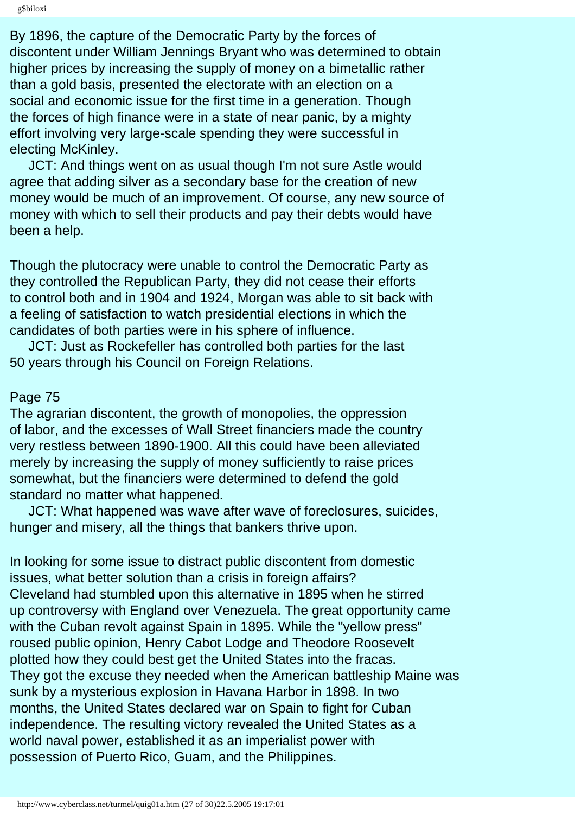By 1896, the capture of the Democratic Party by the forces of discontent under William Jennings Bryant who was determined to obtain higher prices by increasing the supply of money on a bimetallic rather than a gold basis, presented the electorate with an election on a social and economic issue for the first time in a generation. Though the forces of high finance were in a state of near panic, by a mighty effort involving very large-scale spending they were successful in electing McKinley.

 JCT: And things went on as usual though I'm not sure Astle would agree that adding silver as a secondary base for the creation of new money would be much of an improvement. Of course, any new source of money with which to sell their products and pay their debts would have been a help.

Though the plutocracy were unable to control the Democratic Party as they controlled the Republican Party, they did not cease their efforts to control both and in 1904 and 1924, Morgan was able to sit back with a feeling of satisfaction to watch presidential elections in which the candidates of both parties were in his sphere of influence.

 JCT: Just as Rockefeller has controlled both parties for the last 50 years through his Council on Foreign Relations.

### Page 75

The agrarian discontent, the growth of monopolies, the oppression of labor, and the excesses of Wall Street financiers made the country very restless between 1890-1900. All this could have been alleviated merely by increasing the supply of money sufficiently to raise prices somewhat, but the financiers were determined to defend the gold standard no matter what happened.

 JCT: What happened was wave after wave of foreclosures, suicides, hunger and misery, all the things that bankers thrive upon.

In looking for some issue to distract public discontent from domestic issues, what better solution than a crisis in foreign affairs? Cleveland had stumbled upon this alternative in 1895 when he stirred up controversy with England over Venezuela. The great opportunity came with the Cuban revolt against Spain in 1895. While the "yellow press" roused public opinion, Henry Cabot Lodge and Theodore Roosevelt plotted how they could best get the United States into the fracas. They got the excuse they needed when the American battleship Maine was sunk by a mysterious explosion in Havana Harbor in 1898. In two months, the United States declared war on Spain to fight for Cuban independence. The resulting victory revealed the United States as a world naval power, established it as an imperialist power with possession of Puerto Rico, Guam, and the Philippines.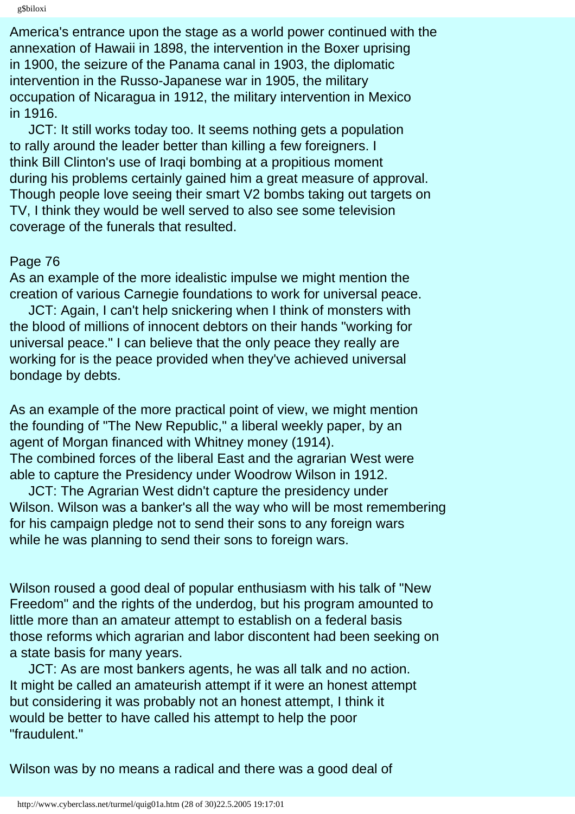America's entrance upon the stage as a world power continued with the annexation of Hawaii in 1898, the intervention in the Boxer uprising in 1900, the seizure of the Panama canal in 1903, the diplomatic intervention in the Russo-Japanese war in 1905, the military occupation of Nicaragua in 1912, the military intervention in Mexico in 1916.

 JCT: It still works today too. It seems nothing gets a population to rally around the leader better than killing a few foreigners. I think Bill Clinton's use of Iraqi bombing at a propitious moment during his problems certainly gained him a great measure of approval. Though people love seeing their smart V2 bombs taking out targets on TV, I think they would be well served to also see some television coverage of the funerals that resulted.

### Page 76

As an example of the more idealistic impulse we might mention the creation of various Carnegie foundations to work for universal peace.

 JCT: Again, I can't help snickering when I think of monsters with the blood of millions of innocent debtors on their hands "working for universal peace." I can believe that the only peace they really are working for is the peace provided when they've achieved universal bondage by debts.

As an example of the more practical point of view, we might mention the founding of "The New Republic," a liberal weekly paper, by an agent of Morgan financed with Whitney money (1914). The combined forces of the liberal East and the agrarian West were able to capture the Presidency under Woodrow Wilson in 1912.

 JCT: The Agrarian West didn't capture the presidency under Wilson. Wilson was a banker's all the way who will be most remembering for his campaign pledge not to send their sons to any foreign wars while he was planning to send their sons to foreign wars.

Wilson roused a good deal of popular enthusiasm with his talk of "New Freedom" and the rights of the underdog, but his program amounted to little more than an amateur attempt to establish on a federal basis those reforms which agrarian and labor discontent had been seeking on a state basis for many years.

 JCT: As are most bankers agents, he was all talk and no action. It might be called an amateurish attempt if it were an honest attempt but considering it was probably not an honest attempt, I think it would be better to have called his attempt to help the poor "fraudulent."

Wilson was by no means a radical and there was a good deal of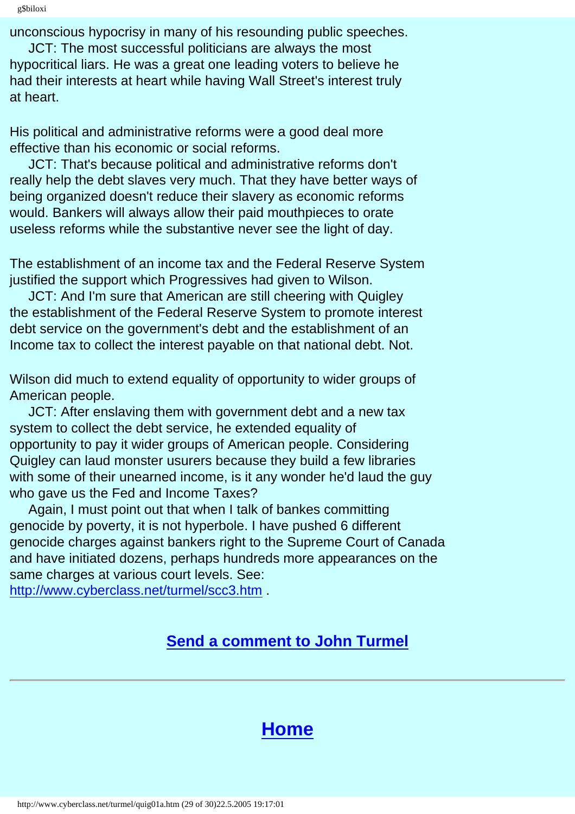unconscious hypocrisy in many of his resounding public speeches.

 JCT: The most successful politicians are always the most hypocritical liars. He was a great one leading voters to believe he had their interests at heart while having Wall Street's interest truly at heart.

His political and administrative reforms were a good deal more effective than his economic or social reforms.

 JCT: That's because political and administrative reforms don't really help the debt slaves very much. That they have better ways of being organized doesn't reduce their slavery as economic reforms would. Bankers will always allow their paid mouthpieces to orate useless reforms while the substantive never see the light of day.

The establishment of an income tax and the Federal Reserve System justified the support which Progressives had given to Wilson.

 JCT: And I'm sure that American are still cheering with Quigley the establishment of the Federal Reserve System to promote interest debt service on the government's debt and the establishment of an Income tax to collect the interest payable on that national debt. Not.

Wilson did much to extend equality of opportunity to wider groups of American people.

 JCT: After enslaving them with government debt and a new tax system to collect the debt service, he extended equality of opportunity to pay it wider groups of American people. Considering Quigley can laud monster usurers because they build a few libraries with some of their unearned income, is it any wonder he'd laud the guy who gave us the Fed and Income Taxes?

 Again, I must point out that when I talk of bankes committing genocide by poverty, it is not hyperbole. I have pushed 6 different genocide charges against bankers right to the Supreme Court of Canada and have initiated dozens, perhaps hundreds more appearances on the same charges at various court levels. See:

<http://www.cyberclass.net/turmel/scc3.htm> .

# **[Send a comment to John Turmel](mailto:%20bc726@freenet.carleton.ca)**

# **[Home](http://www.cyberclass.net/turmel)**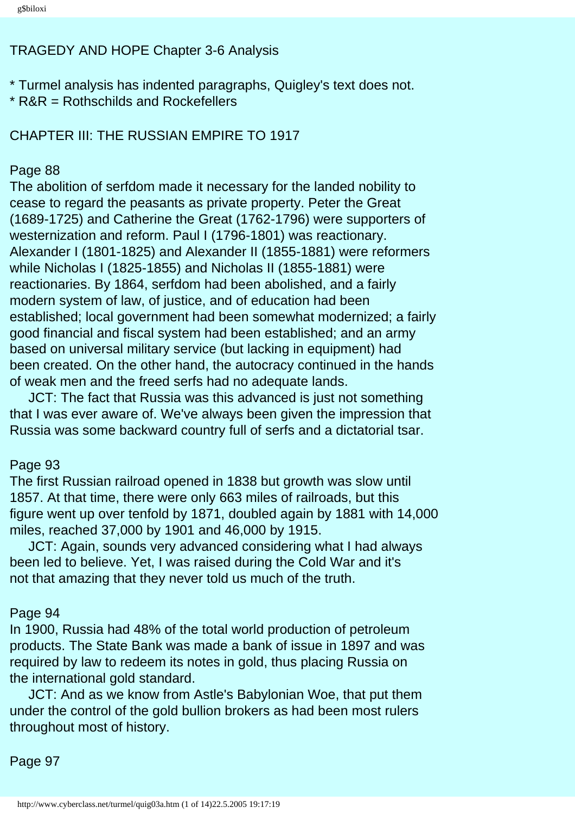# TRAGEDY AND HOPE Chapter 3-6 Analysis

- \* Turmel analysis has indented paragraphs, Quigley's text does not.
- \* R&R = Rothschilds and Rockefellers

# CHAPTER III: THE RUSSIAN EMPIRE TO 1917

# Page 88

The abolition of serfdom made it necessary for the landed nobility to cease to regard the peasants as private property. Peter the Great (1689-1725) and Catherine the Great (1762-1796) were supporters of westernization and reform. Paul I (1796-1801) was reactionary. Alexander I (1801-1825) and Alexander II (1855-1881) were reformers while Nicholas I (1825-1855) and Nicholas II (1855-1881) were reactionaries. By 1864, serfdom had been abolished, and a fairly modern system of law, of justice, and of education had been established; local government had been somewhat modernized; a fairly good financial and fiscal system had been established; and an army based on universal military service (but lacking in equipment) had been created. On the other hand, the autocracy continued in the hands of weak men and the freed serfs had no adequate lands.

 JCT: The fact that Russia was this advanced is just not something that I was ever aware of. We've always been given the impression that Russia was some backward country full of serfs and a dictatorial tsar.

# Page 93

The first Russian railroad opened in 1838 but growth was slow until 1857. At that time, there were only 663 miles of railroads, but this figure went up over tenfold by 1871, doubled again by 1881 with 14,000 miles, reached 37,000 by 1901 and 46,000 by 1915.

 JCT: Again, sounds very advanced considering what I had always been led to believe. Yet, I was raised during the Cold War and it's not that amazing that they never told us much of the truth.

# Page 94

In 1900, Russia had 48% of the total world production of petroleum products. The State Bank was made a bank of issue in 1897 and was required by law to redeem its notes in gold, thus placing Russia on the international gold standard.

 JCT: And as we know from Astle's Babylonian Woe, that put them under the control of the gold bullion brokers as had been most rulers throughout most of history.

Page 97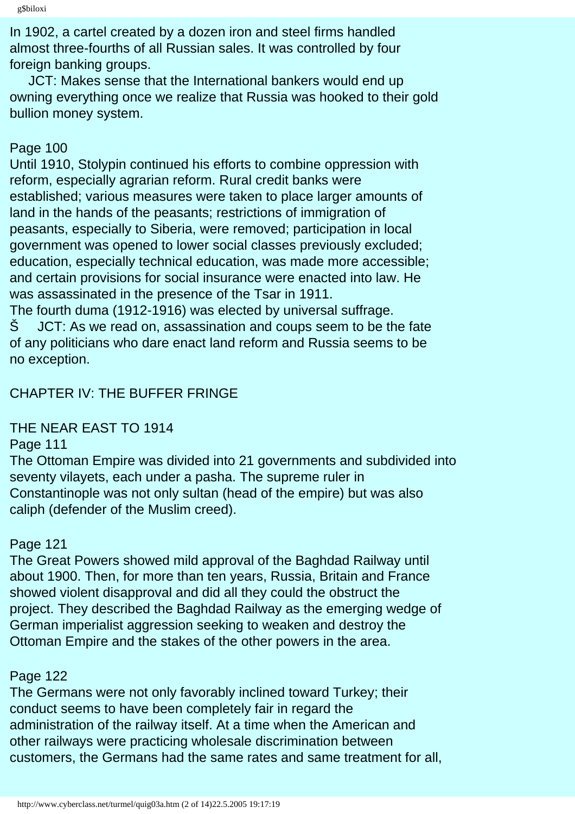In 1902, a cartel created by a dozen iron and steel firms handled almost three-fourths of all Russian sales. It was controlled by four foreign banking groups.

 JCT: Makes sense that the International bankers would end up owning everything once we realize that Russia was hooked to their gold bullion money system.

# Page 100

Until 1910, Stolypin continued his efforts to combine oppression with reform, especially agrarian reform. Rural credit banks were established; various measures were taken to place larger amounts of land in the hands of the peasants; restrictions of immigration of peasants, especially to Siberia, were removed; participation in local government was opened to lower social classes previously excluded; education, especially technical education, was made more accessible; and certain provisions for social insurance were enacted into law. He was assassinated in the presence of the Tsar in 1911.

The fourth duma (1912-1916) was elected by universal suffrage. Š JCT: As we read on, assassination and coups seem to be the fate of any politicians who dare enact land reform and Russia seems to be no exception.

# CHAPTER IV: THE BUFFER FRINGE

# THE NEAR EAST TO 1914

# Page 111

The Ottoman Empire was divided into 21 governments and subdivided into seventy vilayets, each under a pasha. The supreme ruler in Constantinople was not only sultan (head of the empire) but was also caliph (defender of the Muslim creed).

# Page 121

The Great Powers showed mild approval of the Baghdad Railway until about 1900. Then, for more than ten years, Russia, Britain and France showed violent disapproval and did all they could the obstruct the project. They described the Baghdad Railway as the emerging wedge of German imperialist aggression seeking to weaken and destroy the Ottoman Empire and the stakes of the other powers in the area.

# Page 122

The Germans were not only favorably inclined toward Turkey; their conduct seems to have been completely fair in regard the administration of the railway itself. At a time when the American and other railways were practicing wholesale discrimination between customers, the Germans had the same rates and same treatment for all,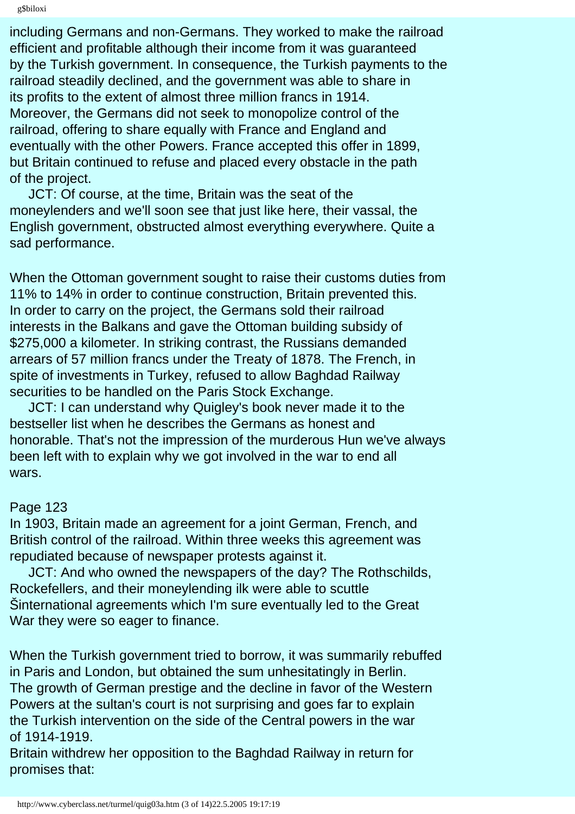including Germans and non-Germans. They worked to make the railroad efficient and profitable although their income from it was guaranteed by the Turkish government. In consequence, the Turkish payments to the railroad steadily declined, and the government was able to share in its profits to the extent of almost three million francs in 1914. Moreover, the Germans did not seek to monopolize control of the railroad, offering to share equally with France and England and eventually with the other Powers. France accepted this offer in 1899, but Britain continued to refuse and placed every obstacle in the path of the project.

 JCT: Of course, at the time, Britain was the seat of the moneylenders and we'll soon see that just like here, their vassal, the English government, obstructed almost everything everywhere. Quite a sad performance.

When the Ottoman government sought to raise their customs duties from 11% to 14% in order to continue construction, Britain prevented this. In order to carry on the project, the Germans sold their railroad interests in the Balkans and gave the Ottoman building subsidy of \$275,000 a kilometer. In striking contrast, the Russians demanded arrears of 57 million francs under the Treaty of 1878. The French, in spite of investments in Turkey, refused to allow Baghdad Railway securities to be handled on the Paris Stock Exchange.

 JCT: I can understand why Quigley's book never made it to the bestseller list when he describes the Germans as honest and honorable. That's not the impression of the murderous Hun we've always been left with to explain why we got involved in the war to end all wars.

#### Page 123

In 1903, Britain made an agreement for a joint German, French, and British control of the railroad. Within three weeks this agreement was repudiated because of newspaper protests against it.

 JCT: And who owned the newspapers of the day? The Rothschilds, Rockefellers, and their moneylending ilk were able to scuttle Šinternational agreements which I'm sure eventually led to the Great War they were so eager to finance.

When the Turkish government tried to borrow, it was summarily rebuffed in Paris and London, but obtained the sum unhesitatingly in Berlin. The growth of German prestige and the decline in favor of the Western Powers at the sultan's court is not surprising and goes far to explain the Turkish intervention on the side of the Central powers in the war of 1914-1919.

Britain withdrew her opposition to the Baghdad Railway in return for promises that: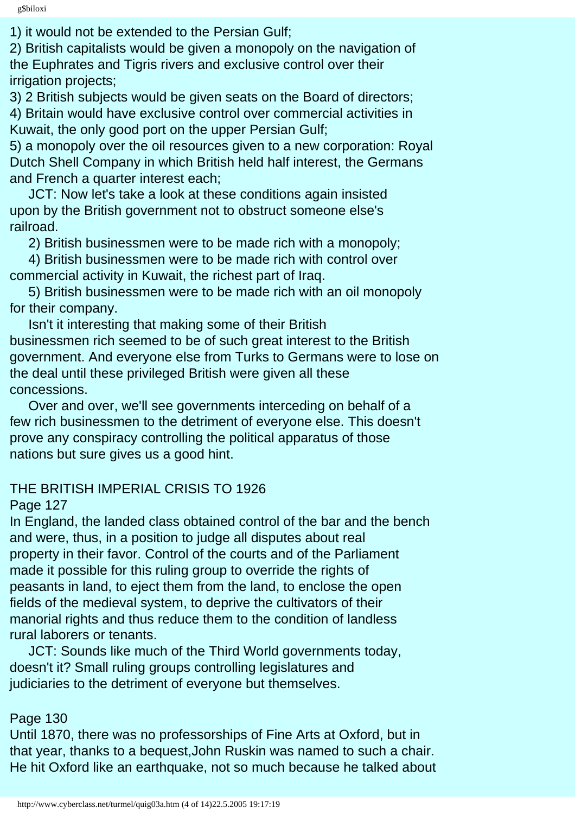1) it would not be extended to the Persian Gulf;

2) British capitalists would be given a monopoly on the navigation of the Euphrates and Tigris rivers and exclusive control over their irrigation projects;

3) 2 British subjects would be given seats on the Board of directors;

4) Britain would have exclusive control over commercial activities in Kuwait, the only good port on the upper Persian Gulf;

5) a monopoly over the oil resources given to a new corporation: Royal Dutch Shell Company in which British held half interest, the Germans and French a quarter interest each;

 JCT: Now let's take a look at these conditions again insisted upon by the British government not to obstruct someone else's railroad.

2) British businessmen were to be made rich with a monopoly;

 4) British businessmen were to be made rich with control over commercial activity in Kuwait, the richest part of Iraq.

 5) British businessmen were to be made rich with an oil monopoly for their company.

 Isn't it interesting that making some of their British businessmen rich seemed to be of such great interest to the British government. And everyone else from Turks to Germans were to lose on the deal until these privileged British were given all these concessions.

 Over and over, we'll see governments interceding on behalf of a few rich businessmen to the detriment of everyone else. This doesn't prove any conspiracy controlling the political apparatus of those nations but sure gives us a good hint.

# THE BRITISH IMPERIAL CRISIS TO 1926

# Page 127

In England, the landed class obtained control of the bar and the bench and were, thus, in a position to judge all disputes about real property in their favor. Control of the courts and of the Parliament made it possible for this ruling group to override the rights of peasants in land, to eject them from the land, to enclose the open fields of the medieval system, to deprive the cultivators of their manorial rights and thus reduce them to the condition of landless rural laborers or tenants.

 JCT: Sounds like much of the Third World governments today, doesn't it? Small ruling groups controlling legislatures and judiciaries to the detriment of everyone but themselves.

# Page 130

Until 1870, there was no professorships of Fine Arts at Oxford, but in that year, thanks to a bequest,John Ruskin was named to such a chair. He hit Oxford like an earthquake, not so much because he talked about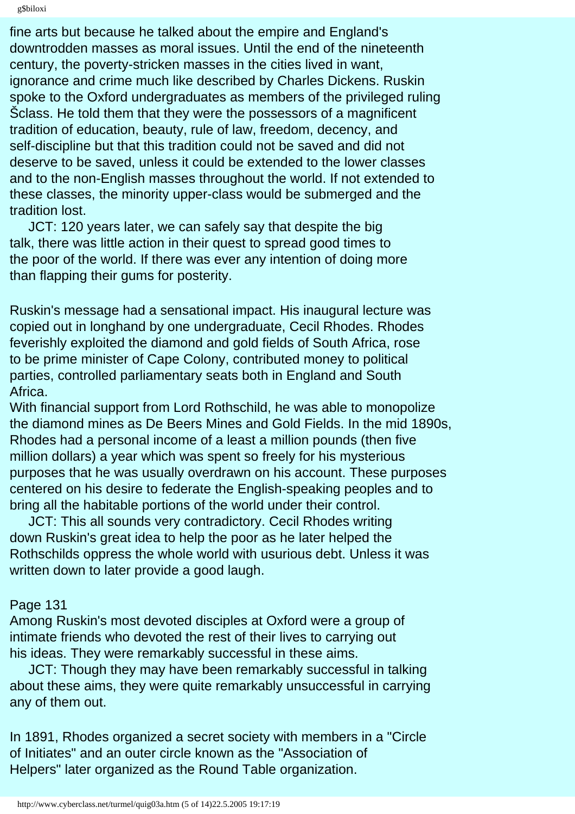fine arts but because he talked about the empire and England's downtrodden masses as moral issues. Until the end of the nineteenth century, the poverty-stricken masses in the cities lived in want, ignorance and crime much like described by Charles Dickens. Ruskin spoke to the Oxford undergraduates as members of the privileged ruling Šclass. He told them that they were the possessors of a magnificent tradition of education, beauty, rule of law, freedom, decency, and self-discipline but that this tradition could not be saved and did not deserve to be saved, unless it could be extended to the lower classes and to the non-English masses throughout the world. If not extended to these classes, the minority upper-class would be submerged and the tradition lost.

 JCT: 120 years later, we can safely say that despite the big talk, there was little action in their quest to spread good times to the poor of the world. If there was ever any intention of doing more than flapping their gums for posterity.

Ruskin's message had a sensational impact. His inaugural lecture was copied out in longhand by one undergraduate, Cecil Rhodes. Rhodes feverishly exploited the diamond and gold fields of South Africa, rose to be prime minister of Cape Colony, contributed money to political parties, controlled parliamentary seats both in England and South Africa.

With financial support from Lord Rothschild, he was able to monopolize the diamond mines as De Beers Mines and Gold Fields. In the mid 1890s, Rhodes had a personal income of a least a million pounds (then five million dollars) a year which was spent so freely for his mysterious purposes that he was usually overdrawn on his account. These purposes centered on his desire to federate the English-speaking peoples and to bring all the habitable portions of the world under their control.

 JCT: This all sounds very contradictory. Cecil Rhodes writing down Ruskin's great idea to help the poor as he later helped the Rothschilds oppress the whole world with usurious debt. Unless it was written down to later provide a good laugh.

#### Page 131

Among Ruskin's most devoted disciples at Oxford were a group of intimate friends who devoted the rest of their lives to carrying out his ideas. They were remarkably successful in these aims.

 JCT: Though they may have been remarkably successful in talking about these aims, they were quite remarkably unsuccessful in carrying any of them out.

In 1891, Rhodes organized a secret society with members in a "Circle of Initiates" and an outer circle known as the "Association of Helpers" later organized as the Round Table organization.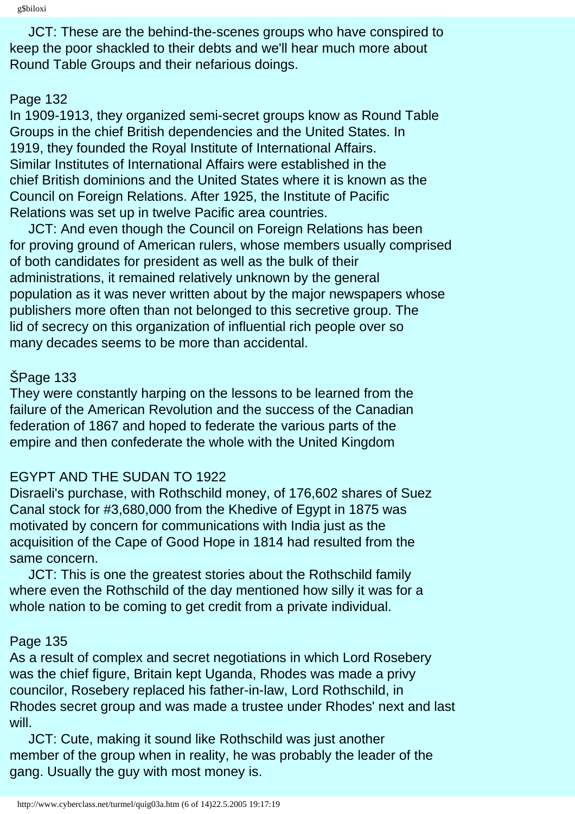JCT: These are the behind-the-scenes groups who have conspired to keep the poor shackled to their debts and we'll hear much more about Round Table Groups and their nefarious doings.

#### Page 132

In 1909-1913, they organized semi-secret groups know as Round Table Groups in the chief British dependencies and the United States. In 1919, they founded the Royal Institute of International Affairs. Similar Institutes of International Affairs were established in the chief British dominions and the United States where it is known as the Council on Foreign Relations. After 1925, the Institute of Pacific Relations was set up in twelve Pacific area countries.

 JCT: And even though the Council on Foreign Relations has been for proving ground of American rulers, whose members usually comprised of both candidates for president as well as the bulk of their administrations, it remained relatively unknown by the general population as it was never written about by the major newspapers whose publishers more often than not belonged to this secretive group. The lid of secrecy on this organization of influential rich people over so many decades seems to be more than accidental.

# ŠPage 133

They were constantly harping on the lessons to be learned from the failure of the American Revolution and the success of the Canadian federation of 1867 and hoped to federate the various parts of the empire and then confederate the whole with the United Kingdom

# EGYPT AND THE SUDAN TO 1922

Disraeli's purchase, with Rothschild money, of 176,602 shares of Suez Canal stock for #3,680,000 from the Khedive of Egypt in 1875 was motivated by concern for communications with India just as the acquisition of the Cape of Good Hope in 1814 had resulted from the same concern.

 JCT: This is one the greatest stories about the Rothschild family where even the Rothschild of the day mentioned how silly it was for a whole nation to be coming to get credit from a private individual.

# Page 135

As a result of complex and secret negotiations in which Lord Rosebery was the chief figure, Britain kept Uganda, Rhodes was made a privy councilor, Rosebery replaced his father-in-law, Lord Rothschild, in Rhodes secret group and was made a trustee under Rhodes' next and last will.

 JCT: Cute, making it sound like Rothschild was just another member of the group when in reality, he was probably the leader of the gang. Usually the guy with most money is.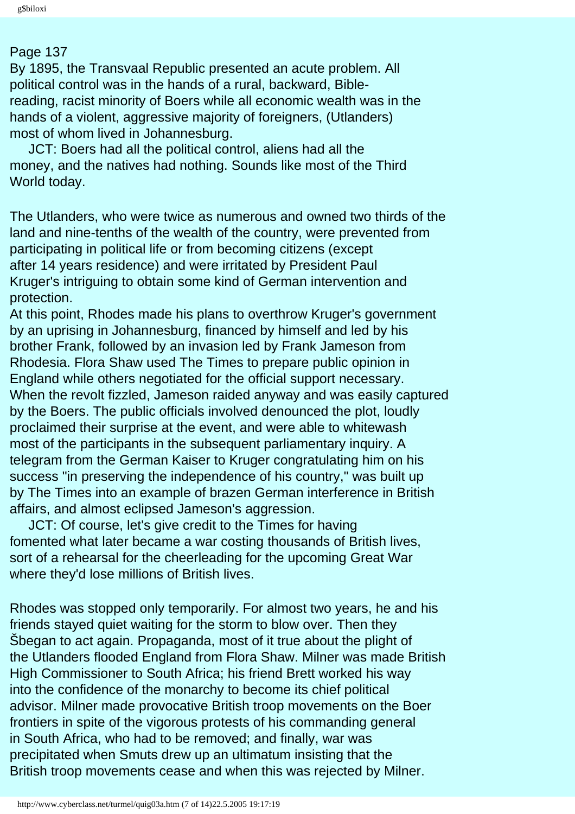#### Page 137

By 1895, the Transvaal Republic presented an acute problem. All political control was in the hands of a rural, backward, Biblereading, racist minority of Boers while all economic wealth was in the hands of a violent, aggressive majority of foreigners, (Utlanders) most of whom lived in Johannesburg.

 JCT: Boers had all the political control, aliens had all the money, and the natives had nothing. Sounds like most of the Third World today.

The Utlanders, who were twice as numerous and owned two thirds of the land and nine-tenths of the wealth of the country, were prevented from participating in political life or from becoming citizens (except after 14 years residence) and were irritated by President Paul Kruger's intriguing to obtain some kind of German intervention and protection.

At this point, Rhodes made his plans to overthrow Kruger's government by an uprising in Johannesburg, financed by himself and led by his brother Frank, followed by an invasion led by Frank Jameson from Rhodesia. Flora Shaw used The Times to prepare public opinion in England while others negotiated for the official support necessary. When the revolt fizzled, Jameson raided anyway and was easily captured by the Boers. The public officials involved denounced the plot, loudly proclaimed their surprise at the event, and were able to whitewash most of the participants in the subsequent parliamentary inquiry. A telegram from the German Kaiser to Kruger congratulating him on his success "in preserving the independence of his country," was built up by The Times into an example of brazen German interference in British affairs, and almost eclipsed Jameson's aggression.

 JCT: Of course, let's give credit to the Times for having fomented what later became a war costing thousands of British lives, sort of a rehearsal for the cheerleading for the upcoming Great War where they'd lose millions of British lives.

Rhodes was stopped only temporarily. For almost two years, he and his friends stayed quiet waiting for the storm to blow over. Then they Šbegan to act again. Propaganda, most of it true about the plight of the Utlanders flooded England from Flora Shaw. Milner was made British High Commissioner to South Africa; his friend Brett worked his way into the confidence of the monarchy to become its chief political advisor. Milner made provocative British troop movements on the Boer frontiers in spite of the vigorous protests of his commanding general in South Africa, who had to be removed; and finally, war was precipitated when Smuts drew up an ultimatum insisting that the British troop movements cease and when this was rejected by Milner.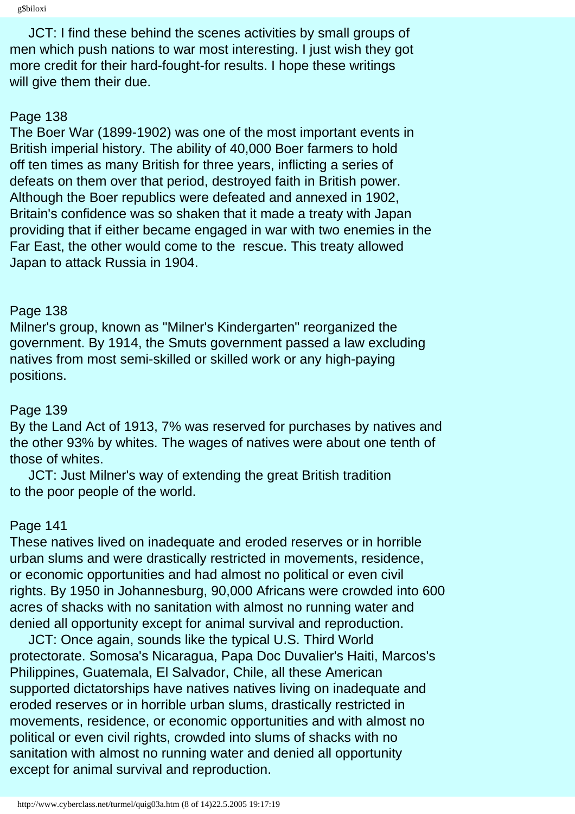JCT: I find these behind the scenes activities by small groups of men which push nations to war most interesting. I just wish they got more credit for their hard-fought-for results. I hope these writings will give them their due.

#### Page 138

The Boer War (1899-1902) was one of the most important events in British imperial history. The ability of 40,000 Boer farmers to hold off ten times as many British for three years, inflicting a series of defeats on them over that period, destroyed faith in British power. Although the Boer republics were defeated and annexed in 1902, Britain's confidence was so shaken that it made a treaty with Japan providing that if either became engaged in war with two enemies in the Far East, the other would come to the rescue. This treaty allowed Japan to attack Russia in 1904.

### Page 138

Milner's group, known as "Milner's Kindergarten" reorganized the government. By 1914, the Smuts government passed a law excluding natives from most semi-skilled or skilled work or any high-paying positions.

### Page 139

By the Land Act of 1913, 7% was reserved for purchases by natives and the other 93% by whites. The wages of natives were about one tenth of those of whites.

 JCT: Just Milner's way of extending the great British tradition to the poor people of the world.

# Page 141

These natives lived on inadequate and eroded reserves or in horrible urban slums and were drastically restricted in movements, residence, or economic opportunities and had almost no political or even civil rights. By 1950 in Johannesburg, 90,000 Africans were crowded into 600 acres of shacks with no sanitation with almost no running water and denied all opportunity except for animal survival and reproduction.

 JCT: Once again, sounds like the typical U.S. Third World protectorate. Somosa's Nicaragua, Papa Doc Duvalier's Haiti, Marcos's Philippines, Guatemala, El Salvador, Chile, all these American supported dictatorships have natives natives living on inadequate and eroded reserves or in horrible urban slums, drastically restricted in movements, residence, or economic opportunities and with almost no political or even civil rights, crowded into slums of shacks with no sanitation with almost no running water and denied all opportunity except for animal survival and reproduction.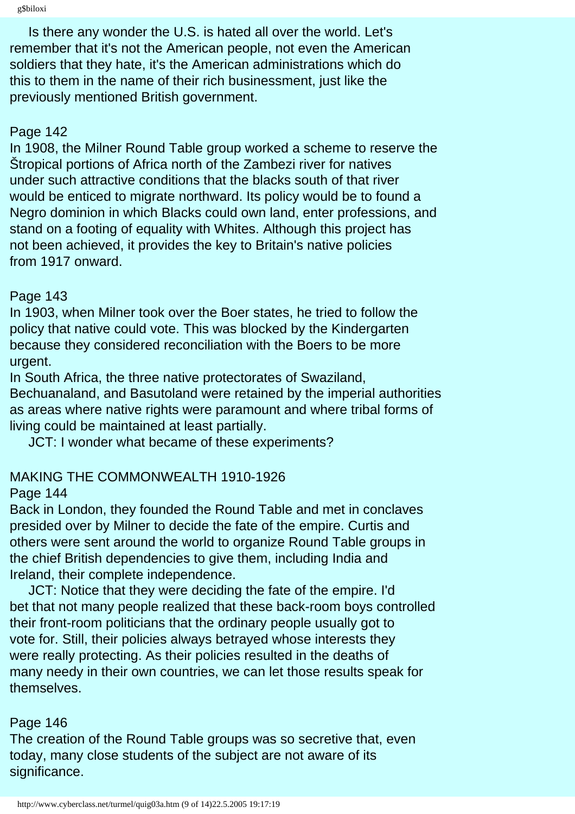Is there any wonder the U.S. is hated all over the world. Let's remember that it's not the American people, not even the American soldiers that they hate, it's the American administrations which do this to them in the name of their rich businessment, just like the previously mentioned British government.

### Page 142

In 1908, the Milner Round Table group worked a scheme to reserve the Štropical portions of Africa north of the Zambezi river for natives under such attractive conditions that the blacks south of that river would be enticed to migrate northward. Its policy would be to found a Negro dominion in which Blacks could own land, enter professions, and stand on a footing of equality with Whites. Although this project has not been achieved, it provides the key to Britain's native policies from 1917 onward.

# Page 143

In 1903, when Milner took over the Boer states, he tried to follow the policy that native could vote. This was blocked by the Kindergarten because they considered reconciliation with the Boers to be more urgent.

In South Africa, the three native protectorates of Swaziland, Bechuanaland, and Basutoland were retained by the imperial authorities as areas where native rights were paramount and where tribal forms of living could be maintained at least partially.

JCT: I wonder what became of these experiments?

# MAKING THE COMMONWEALTH 1910-1926

# Page 144

Back in London, they founded the Round Table and met in conclaves presided over by Milner to decide the fate of the empire. Curtis and others were sent around the world to organize Round Table groups in the chief British dependencies to give them, including India and Ireland, their complete independence.

 JCT: Notice that they were deciding the fate of the empire. I'd bet that not many people realized that these back-room boys controlled their front-room politicians that the ordinary people usually got to vote for. Still, their policies always betrayed whose interests they were really protecting. As their policies resulted in the deaths of many needy in their own countries, we can let those results speak for themselves.

# Page 146

The creation of the Round Table groups was so secretive that, even today, many close students of the subject are not aware of its significance.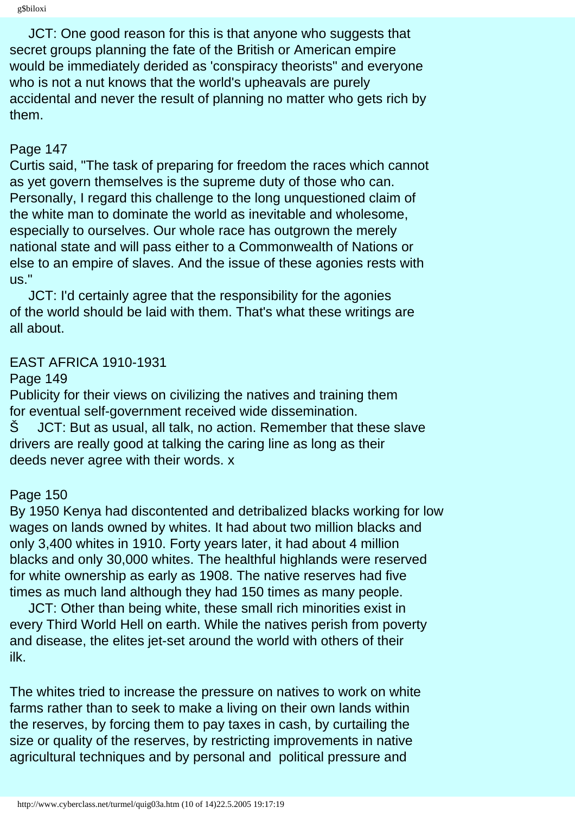```
g$biloxi
```
 JCT: One good reason for this is that anyone who suggests that secret groups planning the fate of the British or American empire would be immediately derided as 'conspiracy theorists" and everyone who is not a nut knows that the world's upheavals are purely accidental and never the result of planning no matter who gets rich by them.

# Page 147

Curtis said, "The task of preparing for freedom the races which cannot as yet govern themselves is the supreme duty of those who can. Personally, I regard this challenge to the long unquestioned claim of the white man to dominate the world as inevitable and wholesome, especially to ourselves. Our whole race has outgrown the merely national state and will pass either to a Commonwealth of Nations or else to an empire of slaves. And the issue of these agonies rests with us."

 JCT: I'd certainly agree that the responsibility for the agonies of the world should be laid with them. That's what these writings are all about.

# EAST AFRICA 1910-1931

# Page 149

Publicity for their views on civilizing the natives and training them for eventual self-government received wide dissemination.

Š JCT: But as usual, all talk, no action. Remember that these slave drivers are really good at talking the caring line as long as their deeds never agree with their words. x

# Page 150

By 1950 Kenya had discontented and detribalized blacks working for low wages on lands owned by whites. It had about two million blacks and only 3,400 whites in 1910. Forty years later, it had about 4 million blacks and only 30,000 whites. The healthful highlands were reserved for white ownership as early as 1908. The native reserves had five times as much land although they had 150 times as many people.

 JCT: Other than being white, these small rich minorities exist in every Third World Hell on earth. While the natives perish from poverty and disease, the elites jet-set around the world with others of their ilk.

The whites tried to increase the pressure on natives to work on white farms rather than to seek to make a living on their own lands within the reserves, by forcing them to pay taxes in cash, by curtailing the size or quality of the reserves, by restricting improvements in native agricultural techniques and by personal and political pressure and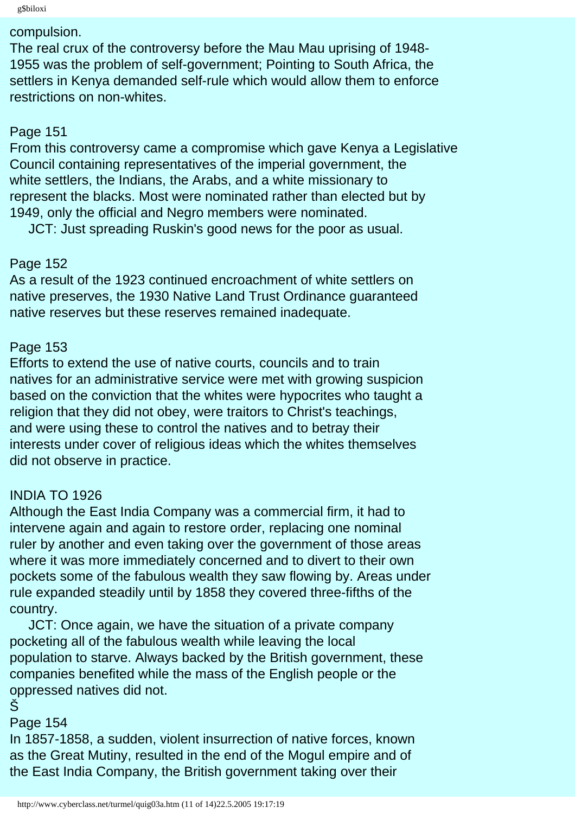#### compulsion.

The real crux of the controversy before the Mau Mau uprising of 1948- 1955 was the problem of self-government; Pointing to South Africa, the settlers in Kenya demanded self-rule which would allow them to enforce restrictions on non-whites.

### Page 151

From this controversy came a compromise which gave Kenya a Legislative Council containing representatives of the imperial government, the white settlers, the Indians, the Arabs, and a white missionary to represent the blacks. Most were nominated rather than elected but by 1949, only the official and Negro members were nominated.

JCT: Just spreading Ruskin's good news for the poor as usual.

# Page 152

As a result of the 1923 continued encroachment of white settlers on native preserves, the 1930 Native Land Trust Ordinance guaranteed native reserves but these reserves remained inadequate.

# Page 153

Efforts to extend the use of native courts, councils and to train natives for an administrative service were met with growing suspicion based on the conviction that the whites were hypocrites who taught a religion that they did not obey, were traitors to Christ's teachings, and were using these to control the natives and to betray their interests under cover of religious ideas which the whites themselves did not observe in practice.

# INDIA TO 1926

Although the East India Company was a commercial firm, it had to intervene again and again to restore order, replacing one nominal ruler by another and even taking over the government of those areas where it was more immediately concerned and to divert to their own pockets some of the fabulous wealth they saw flowing by. Areas under rule expanded steadily until by 1858 they covered three-fifths of the country.

 JCT: Once again, we have the situation of a private company pocketing all of the fabulous wealth while leaving the local population to starve. Always backed by the British government, these companies benefited while the mass of the English people or the oppressed natives did not.

#### Š

# Page 154

In 1857-1858, a sudden, violent insurrection of native forces, known as the Great Mutiny, resulted in the end of the Mogul empire and of the East India Company, the British government taking over their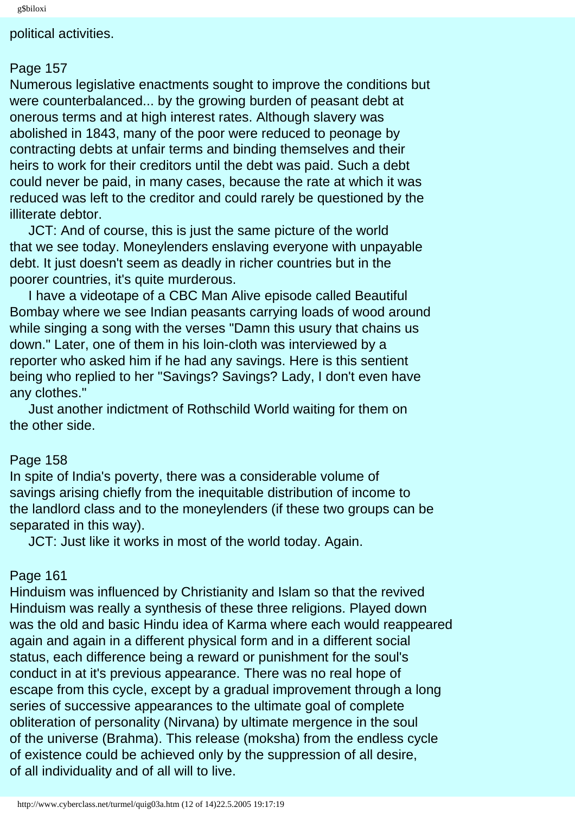#### political activities.

#### Page 157

Numerous legislative enactments sought to improve the conditions but were counterbalanced... by the growing burden of peasant debt at onerous terms and at high interest rates. Although slavery was abolished in 1843, many of the poor were reduced to peonage by contracting debts at unfair terms and binding themselves and their heirs to work for their creditors until the debt was paid. Such a debt could never be paid, in many cases, because the rate at which it was reduced was left to the creditor and could rarely be questioned by the illiterate debtor.

 JCT: And of course, this is just the same picture of the world that we see today. Moneylenders enslaving everyone with unpayable debt. It just doesn't seem as deadly in richer countries but in the poorer countries, it's quite murderous.

 I have a videotape of a CBC Man Alive episode called Beautiful Bombay where we see Indian peasants carrying loads of wood around while singing a song with the verses "Damn this usury that chains us down." Later, one of them in his loin-cloth was interviewed by a reporter who asked him if he had any savings. Here is this sentient being who replied to her "Savings? Savings? Lady, I don't even have any clothes."

 Just another indictment of Rothschild World waiting for them on the other side.

#### Page 158

In spite of India's poverty, there was a considerable volume of savings arising chiefly from the inequitable distribution of income to the landlord class and to the moneylenders (if these two groups can be separated in this way).

JCT: Just like it works in most of the world today. Again.

#### Page 161

Hinduism was influenced by Christianity and Islam so that the revived Hinduism was really a synthesis of these three religions. Played down was the old and basic Hindu idea of Karma where each would reappeared again and again in a different physical form and in a different social status, each difference being a reward or punishment for the soul's conduct in at it's previous appearance. There was no real hope of escape from this cycle, except by a gradual improvement through a long series of successive appearances to the ultimate goal of complete obliteration of personality (Nirvana) by ultimate mergence in the soul of the universe (Brahma). This release (moksha) from the endless cycle of existence could be achieved only by the suppression of all desire, of all individuality and of all will to live.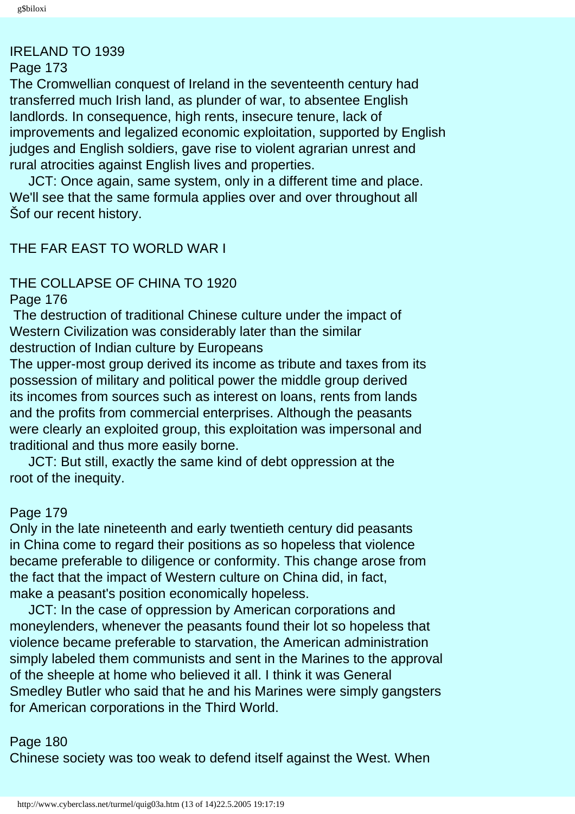## IRELAND TO 1939 Page 173

The Cromwellian conquest of Ireland in the seventeenth century had transferred much Irish land, as plunder of war, to absentee English landlords. In consequence, high rents, insecure tenure, lack of improvements and legalized economic exploitation, supported by English judges and English soldiers, gave rise to violent agrarian unrest and rural atrocities against English lives and properties.

 JCT: Once again, same system, only in a different time and place. We'll see that the same formula applies over and over throughout all Šof our recent history.

# THE FAR EAST TO WORLD WAR I

### THE COLLAPSE OF CHINA TO 1920 Page 176

 The destruction of traditional Chinese culture under the impact of Western Civilization was considerably later than the similar destruction of Indian culture by Europeans

The upper-most group derived its income as tribute and taxes from its possession of military and political power the middle group derived its incomes from sources such as interest on loans, rents from lands and the profits from commercial enterprises. Although the peasants were clearly an exploited group, this exploitation was impersonal and traditional and thus more easily borne.

 JCT: But still, exactly the same kind of debt oppression at the root of the inequity.

## Page 179

Only in the late nineteenth and early twentieth century did peasants in China come to regard their positions as so hopeless that violence became preferable to diligence or conformity. This change arose from the fact that the impact of Western culture on China did, in fact, make a peasant's position economically hopeless.

 JCT: In the case of oppression by American corporations and moneylenders, whenever the peasants found their lot so hopeless that violence became preferable to starvation, the American administration simply labeled them communists and sent in the Marines to the approval of the sheeple at home who believed it all. I think it was General Smedley Butler who said that he and his Marines were simply gangsters for American corporations in the Third World.

## Page 180

Chinese society was too weak to defend itself against the West. When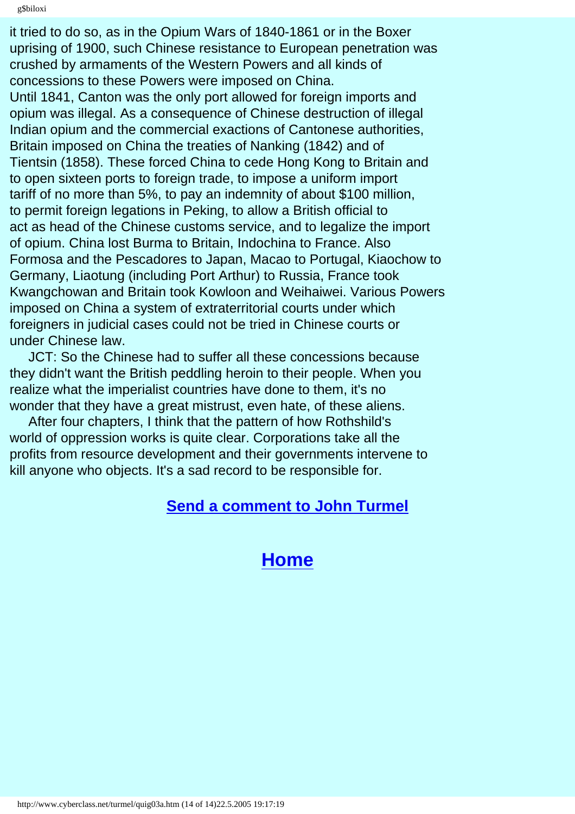it tried to do so, as in the Opium Wars of 1840-1861 or in the Boxer uprising of 1900, such Chinese resistance to European penetration was crushed by armaments of the Western Powers and all kinds of concessions to these Powers were imposed on China. Until 1841, Canton was the only port allowed for foreign imports and opium was illegal. As a consequence of Chinese destruction of illegal Indian opium and the commercial exactions of Cantonese authorities, Britain imposed on China the treaties of Nanking (1842) and of Tientsin (1858). These forced China to cede Hong Kong to Britain and to open sixteen ports to foreign trade, to impose a uniform import tariff of no more than 5%, to pay an indemnity of about \$100 million, to permit foreign legations in Peking, to allow a British official to act as head of the Chinese customs service, and to legalize the import of opium. China lost Burma to Britain, Indochina to France. Also Formosa and the Pescadores to Japan, Macao to Portugal, Kiaochow to Germany, Liaotung (including Port Arthur) to Russia, France took Kwangchowan and Britain took Kowloon and Weihaiwei. Various Powers imposed on China a system of extraterritorial courts under which foreigners in judicial cases could not be tried in Chinese courts or under Chinese law.

 JCT: So the Chinese had to suffer all these concessions because they didn't want the British peddling heroin to their people. When you realize what the imperialist countries have done to them, it's no wonder that they have a great mistrust, even hate, of these aliens.

 After four chapters, I think that the pattern of how Rothshild's world of oppression works is quite clear. Corporations take all the profits from resource development and their governments intervene to kill anyone who objects. It's a sad record to be responsible for.

# **[Send a comment to John Turmel](mailto:%20bc726@freenet.carleton.ca)**

# **[Home](http://www.cyberclass.net/turmel)**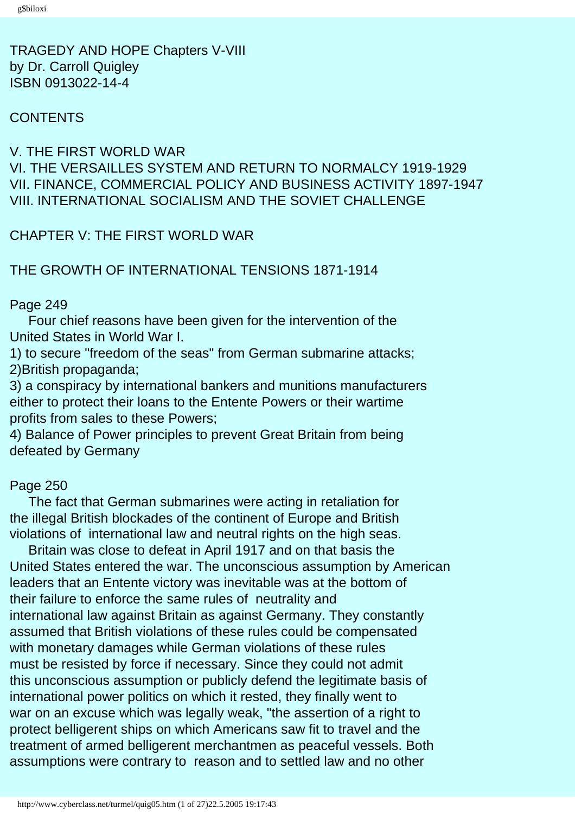# TRAGEDY AND HOPE Chapters V-VIII by Dr. Carroll Quigley ISBN 0913022-14-4

# **CONTENTS**

# V. THE FIRST WORLD WAR VI. THE VERSAILLES SYSTEM AND RETURN TO NORMALCY 1919-1929 VII. FINANCE, COMMERCIAL POLICY AND BUSINESS ACTIVITY 1897-1947 VIII. INTERNATIONAL SOCIALISM AND THE SOVIET CHALLENGE

# CHAPTER V: THE FIRST WORLD WAR

# THE GROWTH OF INTERNATIONAL TENSIONS 1871-1914

## Page 249

 Four chief reasons have been given for the intervention of the United States in World War I.

1) to secure "freedom of the seas" from German submarine attacks; 2)British propaganda;

3) a conspiracy by international bankers and munitions manufacturers either to protect their loans to the Entente Powers or their wartime profits from sales to these Powers;

4) Balance of Power principles to prevent Great Britain from being defeated by Germany

# Page 250

 The fact that German submarines were acting in retaliation for the illegal British blockades of the continent of Europe and British violations of international law and neutral rights on the high seas.

 Britain was close to defeat in April 1917 and on that basis the United States entered the war. The unconscious assumption by American leaders that an Entente victory was inevitable was at the bottom of their failure to enforce the same rules of neutrality and international law against Britain as against Germany. They constantly assumed that British violations of these rules could be compensated with monetary damages while German violations of these rules must be resisted by force if necessary. Since they could not admit this unconscious assumption or publicly defend the legitimate basis of international power politics on which it rested, they finally went to war on an excuse which was legally weak, "the assertion of a right to protect belligerent ships on which Americans saw fit to travel and the treatment of armed belligerent merchantmen as peaceful vessels. Both assumptions were contrary to reason and to settled law and no other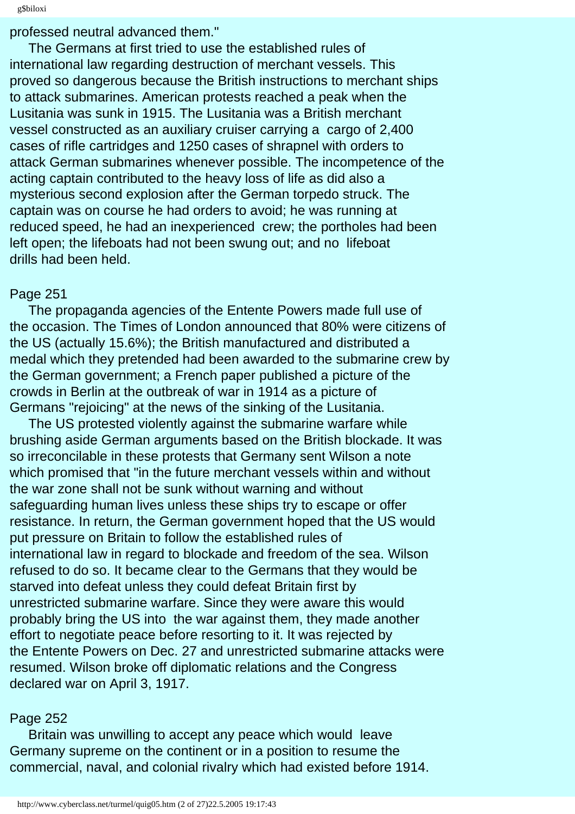professed neutral advanced them."

 The Germans at first tried to use the established rules of international law regarding destruction of merchant vessels. This proved so dangerous because the British instructions to merchant ships to attack submarines. American protests reached a peak when the Lusitania was sunk in 1915. The Lusitania was a British merchant vessel constructed as an auxiliary cruiser carrying a cargo of 2,400 cases of rifle cartridges and 1250 cases of shrapnel with orders to attack German submarines whenever possible. The incompetence of the acting captain contributed to the heavy loss of life as did also a mysterious second explosion after the German torpedo struck. The captain was on course he had orders to avoid; he was running at reduced speed, he had an inexperienced crew; the portholes had been left open; the lifeboats had not been swung out; and no lifeboat drills had been held.

## Page 251

 The propaganda agencies of the Entente Powers made full use of the occasion. The Times of London announced that 80% were citizens of the US (actually 15.6%); the British manufactured and distributed a medal which they pretended had been awarded to the submarine crew by the German government; a French paper published a picture of the crowds in Berlin at the outbreak of war in 1914 as a picture of Germans "rejoicing" at the news of the sinking of the Lusitania.

 The US protested violently against the submarine warfare while brushing aside German arguments based on the British blockade. It was so irreconcilable in these protests that Germany sent Wilson a note which promised that "in the future merchant vessels within and without the war zone shall not be sunk without warning and without safeguarding human lives unless these ships try to escape or offer resistance. In return, the German government hoped that the US would put pressure on Britain to follow the established rules of international law in regard to blockade and freedom of the sea. Wilson refused to do so. It became clear to the Germans that they would be starved into defeat unless they could defeat Britain first by unrestricted submarine warfare. Since they were aware this would probably bring the US into the war against them, they made another effort to negotiate peace before resorting to it. It was rejected by the Entente Powers on Dec. 27 and unrestricted submarine attacks were resumed. Wilson broke off diplomatic relations and the Congress declared war on April 3, 1917.

## Page 252

 Britain was unwilling to accept any peace which would leave Germany supreme on the continent or in a position to resume the commercial, naval, and colonial rivalry which had existed before 1914.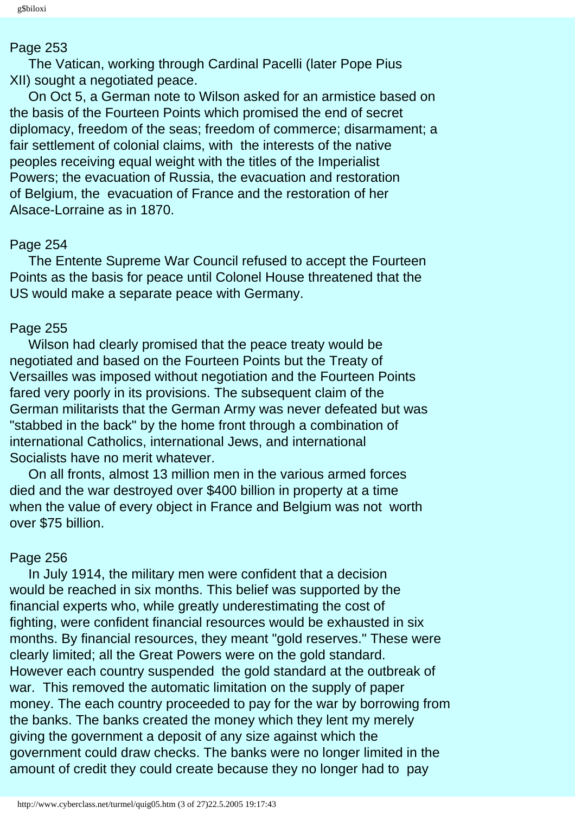#### Page 253

 The Vatican, working through Cardinal Pacelli (later Pope Pius XII) sought a negotiated peace.

 On Oct 5, a German note to Wilson asked for an armistice based on the basis of the Fourteen Points which promised the end of secret diplomacy, freedom of the seas; freedom of commerce; disarmament; a fair settlement of colonial claims, with the interests of the native peoples receiving equal weight with the titles of the Imperialist Powers; the evacuation of Russia, the evacuation and restoration of Belgium, the evacuation of France and the restoration of her Alsace-Lorraine as in 1870.

# Page 254

 The Entente Supreme War Council refused to accept the Fourteen Points as the basis for peace until Colonel House threatened that the US would make a separate peace with Germany.

# Page 255

 Wilson had clearly promised that the peace treaty would be negotiated and based on the Fourteen Points but the Treaty of Versailles was imposed without negotiation and the Fourteen Points fared very poorly in its provisions. The subsequent claim of the German militarists that the German Army was never defeated but was "stabbed in the back" by the home front through a combination of international Catholics, international Jews, and international Socialists have no merit whatever.

 On all fronts, almost 13 million men in the various armed forces died and the war destroyed over \$400 billion in property at a time when the value of every object in France and Belgium was not worth over \$75 billion.

# Page 256

 In July 1914, the military men were confident that a decision would be reached in six months. This belief was supported by the financial experts who, while greatly underestimating the cost of fighting, were confident financial resources would be exhausted in six months. By financial resources, they meant "gold reserves." These were clearly limited; all the Great Powers were on the gold standard. However each country suspended the gold standard at the outbreak of war. This removed the automatic limitation on the supply of paper money. The each country proceeded to pay for the war by borrowing from the banks. The banks created the money which they lent my merely giving the government a deposit of any size against which the government could draw checks. The banks were no longer limited in the amount of credit they could create because they no longer had to pay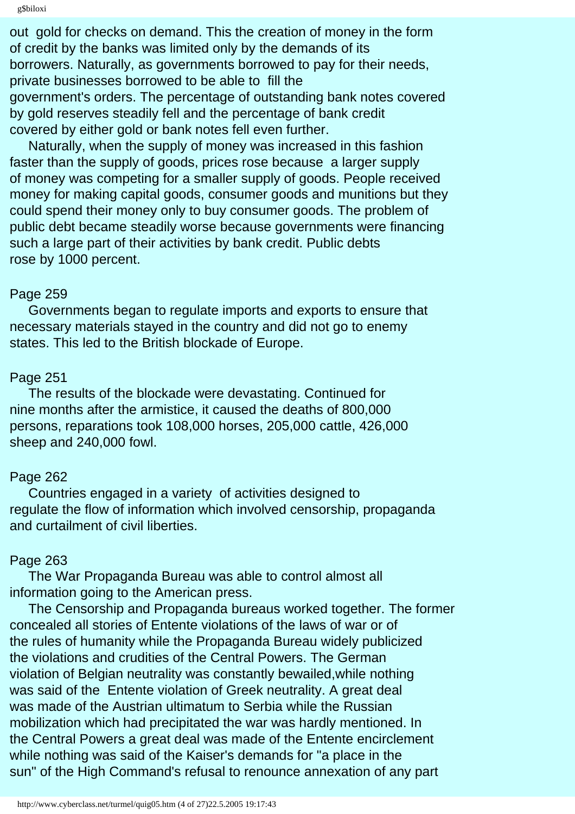out gold for checks on demand. This the creation of money in the form of credit by the banks was limited only by the demands of its borrowers. Naturally, as governments borrowed to pay for their needs, private businesses borrowed to be able to fill the government's orders. The percentage of outstanding bank notes covered by gold reserves steadily fell and the percentage of bank credit covered by either gold or bank notes fell even further.

 Naturally, when the supply of money was increased in this fashion faster than the supply of goods, prices rose because a larger supply of money was competing for a smaller supply of goods. People received money for making capital goods, consumer goods and munitions but they could spend their money only to buy consumer goods. The problem of public debt became steadily worse because governments were financing such a large part of their activities by bank credit. Public debts rose by 1000 percent.

## Page 259

 Governments began to regulate imports and exports to ensure that necessary materials stayed in the country and did not go to enemy states. This led to the British blockade of Europe.

## Page 251

 The results of the blockade were devastating. Continued for nine months after the armistice, it caused the deaths of 800,000 persons, reparations took 108,000 horses, 205,000 cattle, 426,000 sheep and 240,000 fowl.

## Page 262

 Countries engaged in a variety of activities designed to regulate the flow of information which involved censorship, propaganda and curtailment of civil liberties.

# Page 263

 The War Propaganda Bureau was able to control almost all information going to the American press.

 The Censorship and Propaganda bureaus worked together. The former concealed all stories of Entente violations of the laws of war or of the rules of humanity while the Propaganda Bureau widely publicized the violations and crudities of the Central Powers. The German violation of Belgian neutrality was constantly bewailed,while nothing was said of the Entente violation of Greek neutrality. A great deal was made of the Austrian ultimatum to Serbia while the Russian mobilization which had precipitated the war was hardly mentioned. In the Central Powers a great deal was made of the Entente encirclement while nothing was said of the Kaiser's demands for "a place in the sun" of the High Command's refusal to renounce annexation of any part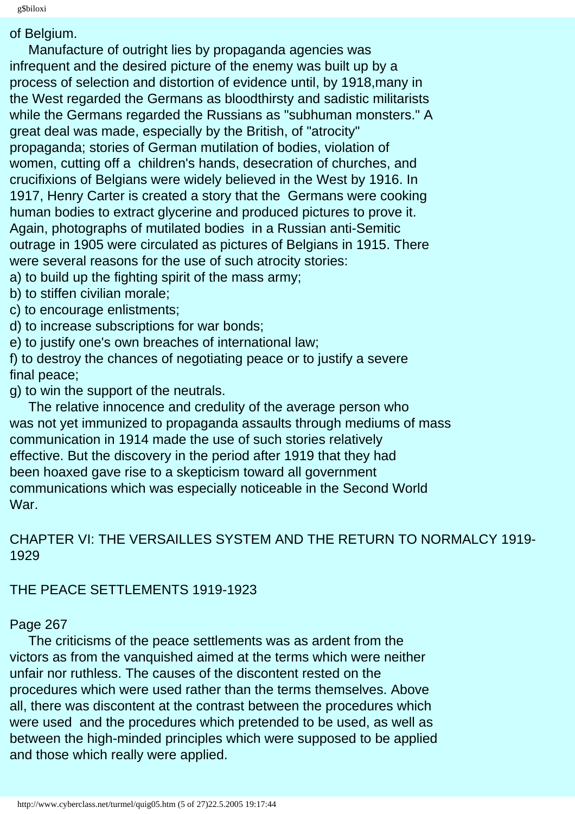### of Belgium.

 Manufacture of outright lies by propaganda agencies was infrequent and the desired picture of the enemy was built up by a process of selection and distortion of evidence until, by 1918,many in the West regarded the Germans as bloodthirsty and sadistic militarists while the Germans regarded the Russians as "subhuman monsters." A great deal was made, especially by the British, of "atrocity" propaganda; stories of German mutilation of bodies, violation of women, cutting off a children's hands, desecration of churches, and crucifixions of Belgians were widely believed in the West by 1916. In 1917, Henry Carter is created a story that the Germans were cooking human bodies to extract glycerine and produced pictures to prove it. Again, photographs of mutilated bodies in a Russian anti-Semitic outrage in 1905 were circulated as pictures of Belgians in 1915. There were several reasons for the use of such atrocity stories:

a) to build up the fighting spirit of the mass army;

- b) to stiffen civilian morale;
- c) to encourage enlistments;
- d) to increase subscriptions for war bonds;
- e) to justify one's own breaches of international law;

f) to destroy the chances of negotiating peace or to justify a severe final peace;

g) to win the support of the neutrals.

 The relative innocence and credulity of the average person who was not yet immunized to propaganda assaults through mediums of mass communication in 1914 made the use of such stories relatively effective. But the discovery in the period after 1919 that they had been hoaxed gave rise to a skepticism toward all government communications which was especially noticeable in the Second World War.

# CHAPTER VI: THE VERSAILLES SYSTEM AND THE RETURN TO NORMALCY 1919- 1929

# THE PEACE SETTI EMENTS 1919-1923

# Page 267

 The criticisms of the peace settlements was as ardent from the victors as from the vanquished aimed at the terms which were neither unfair nor ruthless. The causes of the discontent rested on the procedures which were used rather than the terms themselves. Above all, there was discontent at the contrast between the procedures which were used and the procedures which pretended to be used, as well as between the high-minded principles which were supposed to be applied and those which really were applied.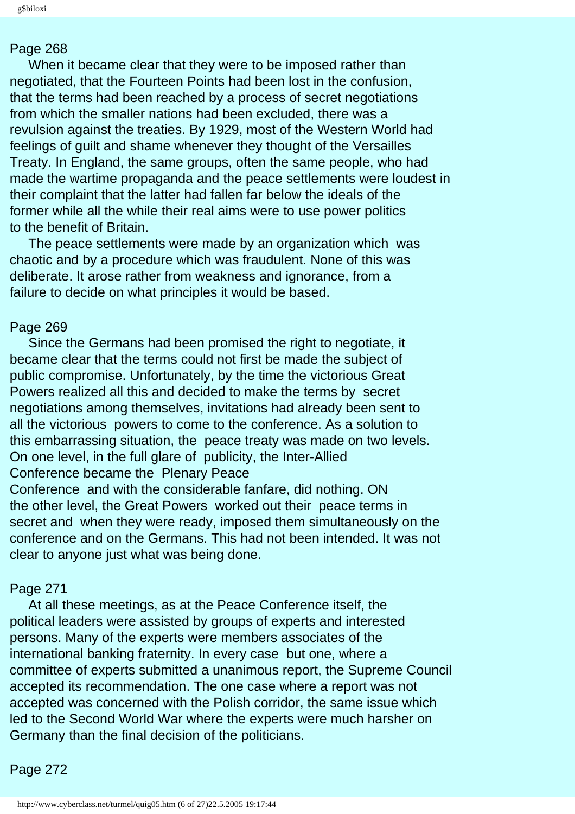## Page 268

 When it became clear that they were to be imposed rather than negotiated, that the Fourteen Points had been lost in the confusion, that the terms had been reached by a process of secret negotiations from which the smaller nations had been excluded, there was a revulsion against the treaties. By 1929, most of the Western World had feelings of guilt and shame whenever they thought of the Versailles Treaty. In England, the same groups, often the same people, who had made the wartime propaganda and the peace settlements were loudest in their complaint that the latter had fallen far below the ideals of the former while all the while their real aims were to use power politics to the benefit of Britain.

 The peace settlements were made by an organization which was chaotic and by a procedure which was fraudulent. None of this was deliberate. It arose rather from weakness and ignorance, from a failure to decide on what principles it would be based.

#### Page 269

 Since the Germans had been promised the right to negotiate, it became clear that the terms could not first be made the subject of public compromise. Unfortunately, by the time the victorious Great Powers realized all this and decided to make the terms by secret negotiations among themselves, invitations had already been sent to all the victorious powers to come to the conference. As a solution to this embarrassing situation, the peace treaty was made on two levels. On one level, in the full glare of publicity, the Inter-Allied Conference became the Plenary Peace

Conference and with the considerable fanfare, did nothing. ON the other level, the Great Powers worked out their peace terms in secret and when they were ready, imposed them simultaneously on the conference and on the Germans. This had not been intended. It was not clear to anyone just what was being done.

#### Page 271

 At all these meetings, as at the Peace Conference itself, the political leaders were assisted by groups of experts and interested persons. Many of the experts were members associates of the international banking fraternity. In every case but one, where a committee of experts submitted a unanimous report, the Supreme Council accepted its recommendation. The one case where a report was not accepted was concerned with the Polish corridor, the same issue which led to the Second World War where the experts were much harsher on Germany than the final decision of the politicians.

#### Page 272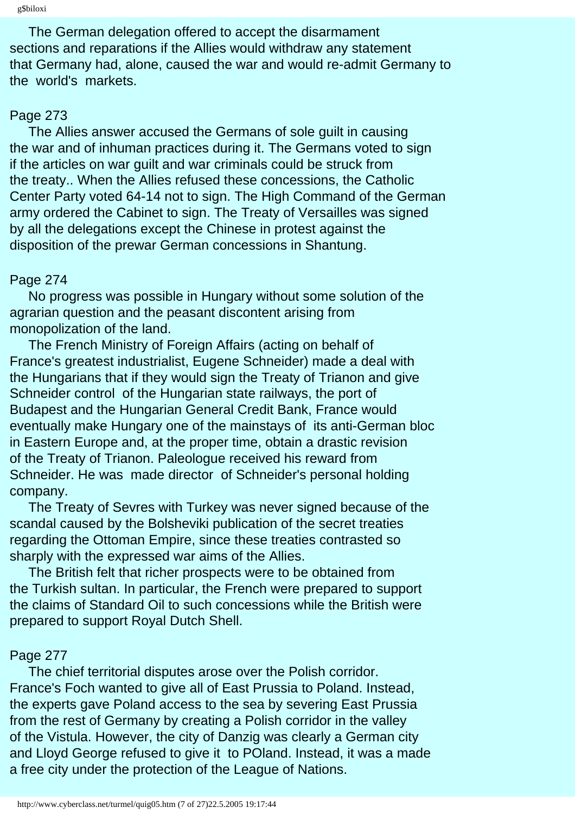The German delegation offered to accept the disarmament sections and reparations if the Allies would withdraw any statement that Germany had, alone, caused the war and would re-admit Germany to the world's markets.

#### Page 273

 The Allies answer accused the Germans of sole guilt in causing the war and of inhuman practices during it. The Germans voted to sign if the articles on war guilt and war criminals could be struck from the treaty.. When the Allies refused these concessions, the Catholic Center Party voted 64-14 not to sign. The High Command of the German army ordered the Cabinet to sign. The Treaty of Versailles was signed by all the delegations except the Chinese in protest against the disposition of the prewar German concessions in Shantung.

#### Page 274

 No progress was possible in Hungary without some solution of the agrarian question and the peasant discontent arising from monopolization of the land.

 The French Ministry of Foreign Affairs (acting on behalf of France's greatest industrialist, Eugene Schneider) made a deal with the Hungarians that if they would sign the Treaty of Trianon and give Schneider control of the Hungarian state railways, the port of Budapest and the Hungarian General Credit Bank, France would eventually make Hungary one of the mainstays of its anti-German bloc in Eastern Europe and, at the proper time, obtain a drastic revision of the Treaty of Trianon. Paleologue received his reward from Schneider. He was made director of Schneider's personal holding company.

 The Treaty of Sevres with Turkey was never signed because of the scandal caused by the Bolsheviki publication of the secret treaties regarding the Ottoman Empire, since these treaties contrasted so sharply with the expressed war aims of the Allies.

 The British felt that richer prospects were to be obtained from the Turkish sultan. In particular, the French were prepared to support the claims of Standard Oil to such concessions while the British were prepared to support Royal Dutch Shell.

#### Page 277

 The chief territorial disputes arose over the Polish corridor. France's Foch wanted to give all of East Prussia to Poland. Instead, the experts gave Poland access to the sea by severing East Prussia from the rest of Germany by creating a Polish corridor in the valley of the Vistula. However, the city of Danzig was clearly a German city and Lloyd George refused to give it to POland. Instead, it was a made a free city under the protection of the League of Nations.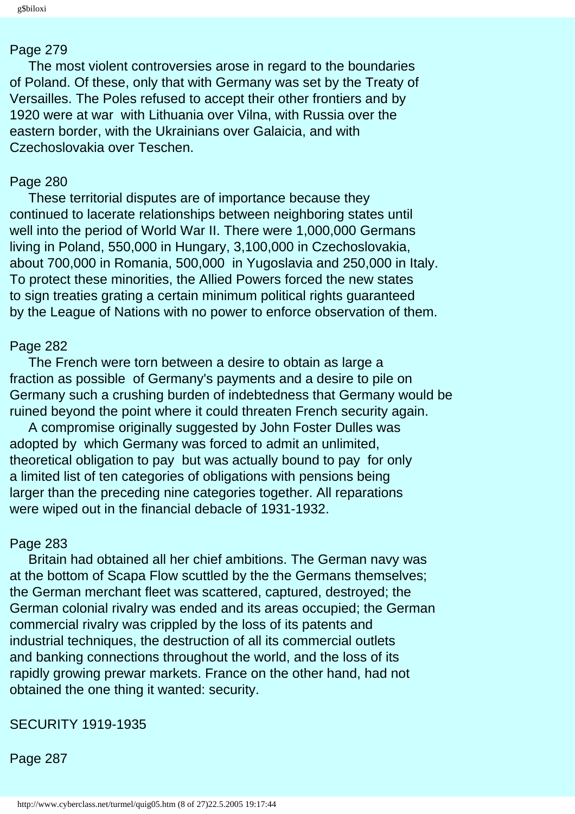#### Page 279

 The most violent controversies arose in regard to the boundaries of Poland. Of these, only that with Germany was set by the Treaty of Versailles. The Poles refused to accept their other frontiers and by 1920 were at war with Lithuania over Vilna, with Russia over the eastern border, with the Ukrainians over Galaicia, and with Czechoslovakia over Teschen.

### Page 280

 These territorial disputes are of importance because they continued to lacerate relationships between neighboring states until well into the period of World War II. There were 1,000,000 Germans living in Poland, 550,000 in Hungary, 3,100,000 in Czechoslovakia, about 700,000 in Romania, 500,000 in Yugoslavia and 250,000 in Italy. To protect these minorities, the Allied Powers forced the new states to sign treaties grating a certain minimum political rights guaranteed by the League of Nations with no power to enforce observation of them.

## Page 282

 The French were torn between a desire to obtain as large a fraction as possible of Germany's payments and a desire to pile on Germany such a crushing burden of indebtedness that Germany would be ruined beyond the point where it could threaten French security again.

 A compromise originally suggested by John Foster Dulles was adopted by which Germany was forced to admit an unlimited, theoretical obligation to pay but was actually bound to pay for only a limited list of ten categories of obligations with pensions being larger than the preceding nine categories together. All reparations were wiped out in the financial debacle of 1931-1932.

#### Page 283

 Britain had obtained all her chief ambitions. The German navy was at the bottom of Scapa Flow scuttled by the the Germans themselves; the German merchant fleet was scattered, captured, destroyed; the German colonial rivalry was ended and its areas occupied; the German commercial rivalry was crippled by the loss of its patents and industrial techniques, the destruction of all its commercial outlets and banking connections throughout the world, and the loss of its rapidly growing prewar markets. France on the other hand, had not obtained the one thing it wanted: security.

## SECURITY 1919-1935

Page 287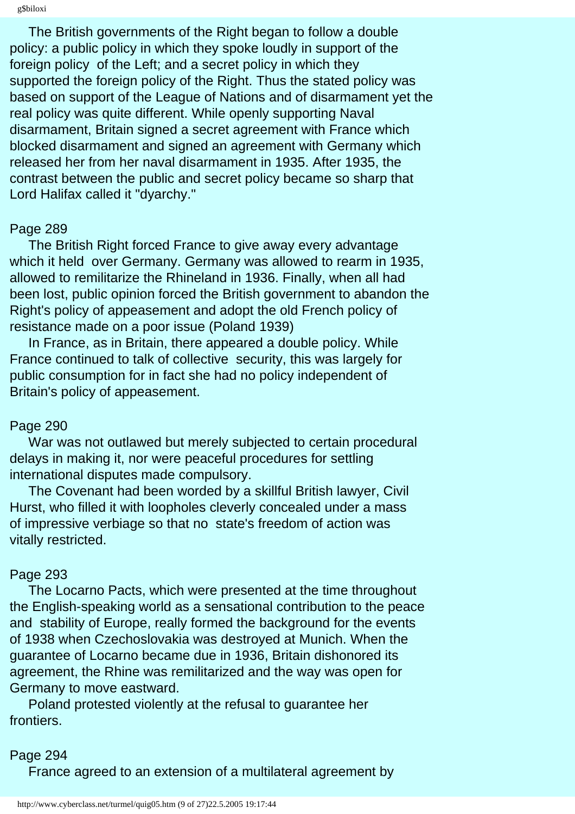The British governments of the Right began to follow a double policy: a public policy in which they spoke loudly in support of the foreign policy of the Left; and a secret policy in which they supported the foreign policy of the Right. Thus the stated policy was based on support of the League of Nations and of disarmament yet the real policy was quite different. While openly supporting Naval disarmament, Britain signed a secret agreement with France which blocked disarmament and signed an agreement with Germany which released her from her naval disarmament in 1935. After 1935, the contrast between the public and secret policy became so sharp that Lord Halifax called it "dyarchy."

#### Page 289

 The British Right forced France to give away every advantage which it held over Germany. Germany was allowed to rearm in 1935, allowed to remilitarize the Rhineland in 1936. Finally, when all had been lost, public opinion forced the British government to abandon the Right's policy of appeasement and adopt the old French policy of resistance made on a poor issue (Poland 1939)

 In France, as in Britain, there appeared a double policy. While France continued to talk of collective security, this was largely for public consumption for in fact she had no policy independent of Britain's policy of appeasement.

#### Page 290

 War was not outlawed but merely subjected to certain procedural delays in making it, nor were peaceful procedures for settling international disputes made compulsory.

 The Covenant had been worded by a skillful British lawyer, Civil Hurst, who filled it with loopholes cleverly concealed under a mass of impressive verbiage so that no state's freedom of action was vitally restricted.

#### Page 293

 The Locarno Pacts, which were presented at the time throughout the English-speaking world as a sensational contribution to the peace and stability of Europe, really formed the background for the events of 1938 when Czechoslovakia was destroyed at Munich. When the guarantee of Locarno became due in 1936, Britain dishonored its agreement, the Rhine was remilitarized and the way was open for Germany to move eastward.

 Poland protested violently at the refusal to guarantee her frontiers.

#### Page 294

France agreed to an extension of a multilateral agreement by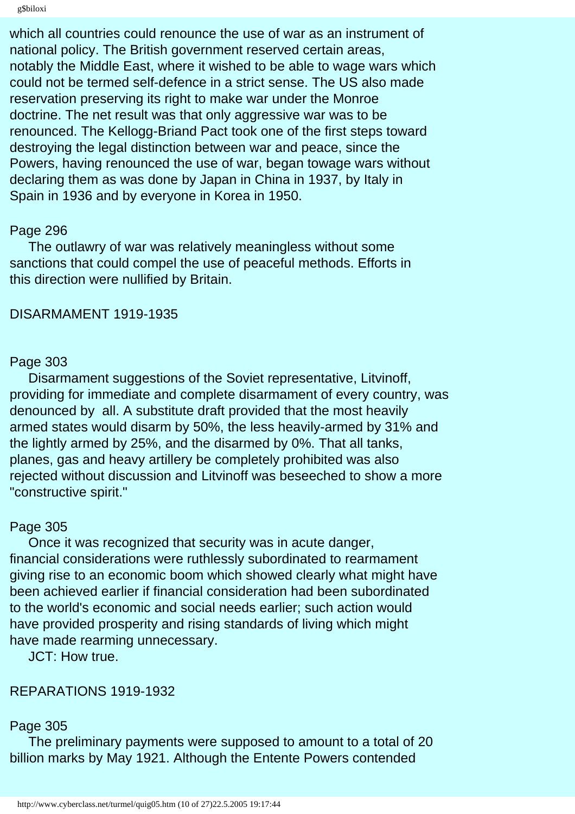which all countries could renounce the use of war as an instrument of national policy. The British government reserved certain areas, notably the Middle East, where it wished to be able to wage wars which could not be termed self-defence in a strict sense. The US also made reservation preserving its right to make war under the Monroe doctrine. The net result was that only aggressive war was to be renounced. The Kellogg-Briand Pact took one of the first steps toward destroying the legal distinction between war and peace, since the Powers, having renounced the use of war, began towage wars without declaring them as was done by Japan in China in 1937, by Italy in Spain in 1936 and by everyone in Korea in 1950.

## Page 296

 The outlawry of war was relatively meaningless without some sanctions that could compel the use of peaceful methods. Efforts in this direction were nullified by Britain.

DISARMAMENT 1919-1935

## Page 303

 Disarmament suggestions of the Soviet representative, Litvinoff, providing for immediate and complete disarmament of every country, was denounced by all. A substitute draft provided that the most heavily armed states would disarm by 50%, the less heavily-armed by 31% and the lightly armed by 25%, and the disarmed by 0%. That all tanks, planes, gas and heavy artillery be completely prohibited was also rejected without discussion and Litvinoff was beseeched to show a more "constructive spirit."

## Page 305

 Once it was recognized that security was in acute danger, financial considerations were ruthlessly subordinated to rearmament giving rise to an economic boom which showed clearly what might have been achieved earlier if financial consideration had been subordinated to the world's economic and social needs earlier; such action would have provided prosperity and rising standards of living which might have made rearming unnecessary.

JCT: How true.

# REPARATIONS 1919-1932

## Page 305

 The preliminary payments were supposed to amount to a total of 20 billion marks by May 1921. Although the Entente Powers contended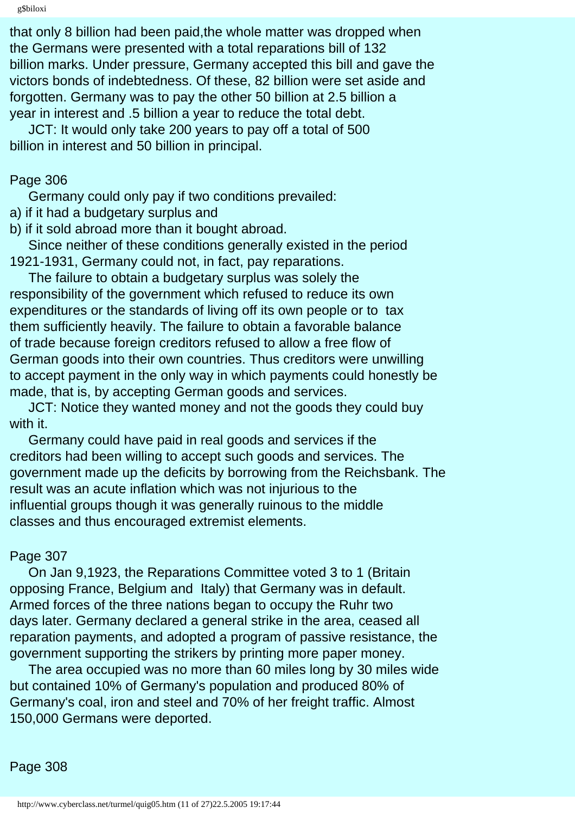that only 8 billion had been paid,the whole matter was dropped when the Germans were presented with a total reparations bill of 132 billion marks. Under pressure, Germany accepted this bill and gave the victors bonds of indebtedness. Of these, 82 billion were set aside and forgotten. Germany was to pay the other 50 billion at 2.5 billion a year in interest and .5 billion a year to reduce the total debt.

 JCT: It would only take 200 years to pay off a total of 500 billion in interest and 50 billion in principal.

## Page 306

Germany could only pay if two conditions prevailed:

a) if it had a budgetary surplus and

b) if it sold abroad more than it bought abroad.

 Since neither of these conditions generally existed in the period 1921-1931, Germany could not, in fact, pay reparations.

 The failure to obtain a budgetary surplus was solely the responsibility of the government which refused to reduce its own expenditures or the standards of living off its own people or to tax them sufficiently heavily. The failure to obtain a favorable balance of trade because foreign creditors refused to allow a free flow of German goods into their own countries. Thus creditors were unwilling to accept payment in the only way in which payments could honestly be made, that is, by accepting German goods and services.

 JCT: Notice they wanted money and not the goods they could buy with it.

 Germany could have paid in real goods and services if the creditors had been willing to accept such goods and services. The government made up the deficits by borrowing from the Reichsbank. The result was an acute inflation which was not injurious to the influential groups though it was generally ruinous to the middle classes and thus encouraged extremist elements.

#### Page 307

 On Jan 9,1923, the Reparations Committee voted 3 to 1 (Britain opposing France, Belgium and Italy) that Germany was in default. Armed forces of the three nations began to occupy the Ruhr two days later. Germany declared a general strike in the area, ceased all reparation payments, and adopted a program of passive resistance, the government supporting the strikers by printing more paper money.

 The area occupied was no more than 60 miles long by 30 miles wide but contained 10% of Germany's population and produced 80% of Germany's coal, iron and steel and 70% of her freight traffic. Almost 150,000 Germans were deported.

Page 308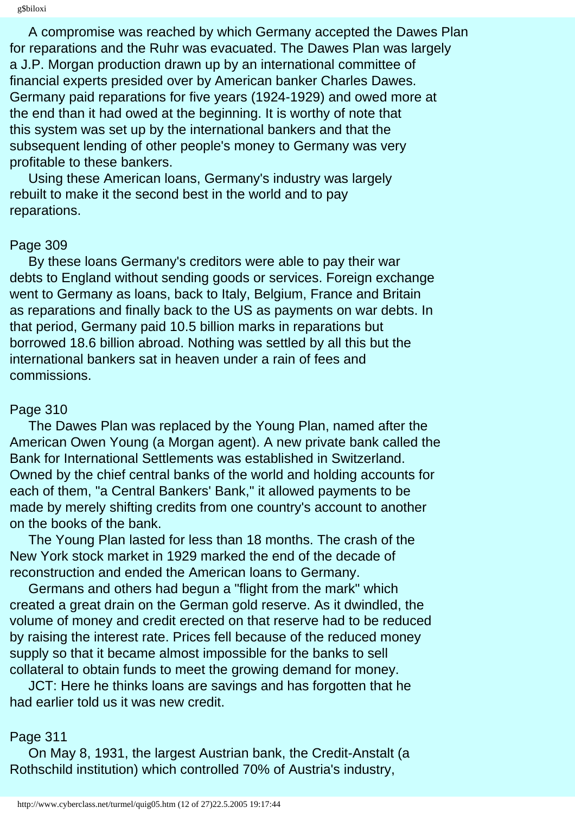A compromise was reached by which Germany accepted the Dawes Plan for reparations and the Ruhr was evacuated. The Dawes Plan was largely a J.P. Morgan production drawn up by an international committee of financial experts presided over by American banker Charles Dawes. Germany paid reparations for five years (1924-1929) and owed more at the end than it had owed at the beginning. It is worthy of note that this system was set up by the international bankers and that the subsequent lending of other people's money to Germany was very profitable to these bankers.

 Using these American loans, Germany's industry was largely rebuilt to make it the second best in the world and to pay reparations.

#### Page 309

 By these loans Germany's creditors were able to pay their war debts to England without sending goods or services. Foreign exchange went to Germany as loans, back to Italy, Belgium, France and Britain as reparations and finally back to the US as payments on war debts. In that period, Germany paid 10.5 billion marks in reparations but borrowed 18.6 billion abroad. Nothing was settled by all this but the international bankers sat in heaven under a rain of fees and commissions.

## Page 310

 The Dawes Plan was replaced by the Young Plan, named after the American Owen Young (a Morgan agent). A new private bank called the Bank for International Settlements was established in Switzerland. Owned by the chief central banks of the world and holding accounts for each of them, "a Central Bankers' Bank," it allowed payments to be made by merely shifting credits from one country's account to another on the books of the bank.

 The Young Plan lasted for less than 18 months. The crash of the New York stock market in 1929 marked the end of the decade of reconstruction and ended the American loans to Germany.

 Germans and others had begun a "flight from the mark" which created a great drain on the German gold reserve. As it dwindled, the volume of money and credit erected on that reserve had to be reduced by raising the interest rate. Prices fell because of the reduced money supply so that it became almost impossible for the banks to sell collateral to obtain funds to meet the growing demand for money.

 JCT: Here he thinks loans are savings and has forgotten that he had earlier told us it was new credit.

#### Page 311

 On May 8, 1931, the largest Austrian bank, the Credit-Anstalt (a Rothschild institution) which controlled 70% of Austria's industry,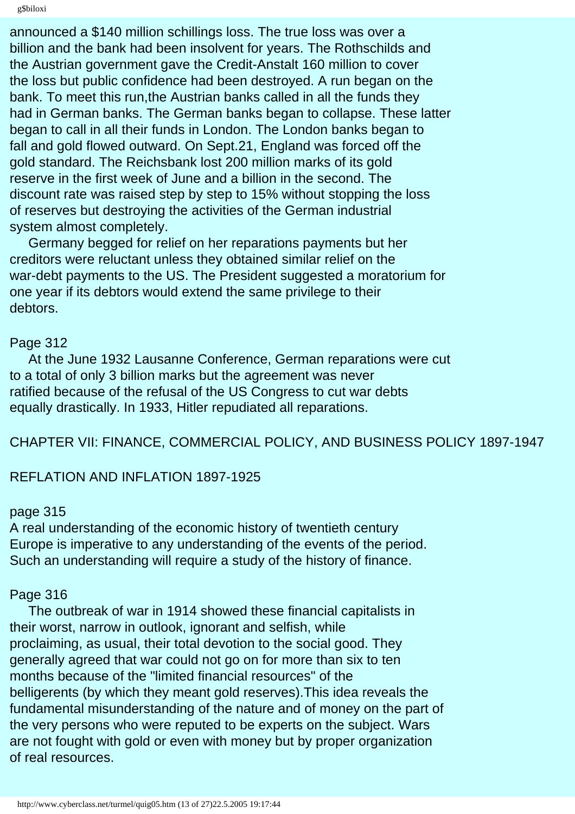announced a \$140 million schillings loss. The true loss was over a billion and the bank had been insolvent for years. The Rothschilds and the Austrian government gave the Credit-Anstalt 160 million to cover the loss but public confidence had been destroyed. A run began on the bank. To meet this run,the Austrian banks called in all the funds they had in German banks. The German banks began to collapse. These latter began to call in all their funds in London. The London banks began to fall and gold flowed outward. On Sept.21, England was forced off the gold standard. The Reichsbank lost 200 million marks of its gold reserve in the first week of June and a billion in the second. The discount rate was raised step by step to 15% without stopping the loss of reserves but destroying the activities of the German industrial system almost completely.

 Germany begged for relief on her reparations payments but her creditors were reluctant unless they obtained similar relief on the war-debt payments to the US. The President suggested a moratorium for one year if its debtors would extend the same privilege to their debtors.

## Page 312

 At the June 1932 Lausanne Conference, German reparations were cut to a total of only 3 billion marks but the agreement was never ratified because of the refusal of the US Congress to cut war debts equally drastically. In 1933, Hitler repudiated all reparations.

CHAPTER VII: FINANCE, COMMERCIAL POLICY, AND BUSINESS POLICY 1897-1947

## REFLATION AND INFLATION 1897-1925

#### page 315

A real understanding of the economic history of twentieth century Europe is imperative to any understanding of the events of the period. Such an understanding will require a study of the history of finance.

#### Page 316

 The outbreak of war in 1914 showed these financial capitalists in their worst, narrow in outlook, ignorant and selfish, while proclaiming, as usual, their total devotion to the social good. They generally agreed that war could not go on for more than six to ten months because of the "limited financial resources" of the belligerents (by which they meant gold reserves).This idea reveals the fundamental misunderstanding of the nature and of money on the part of the very persons who were reputed to be experts on the subject. Wars are not fought with gold or even with money but by proper organization of real resources.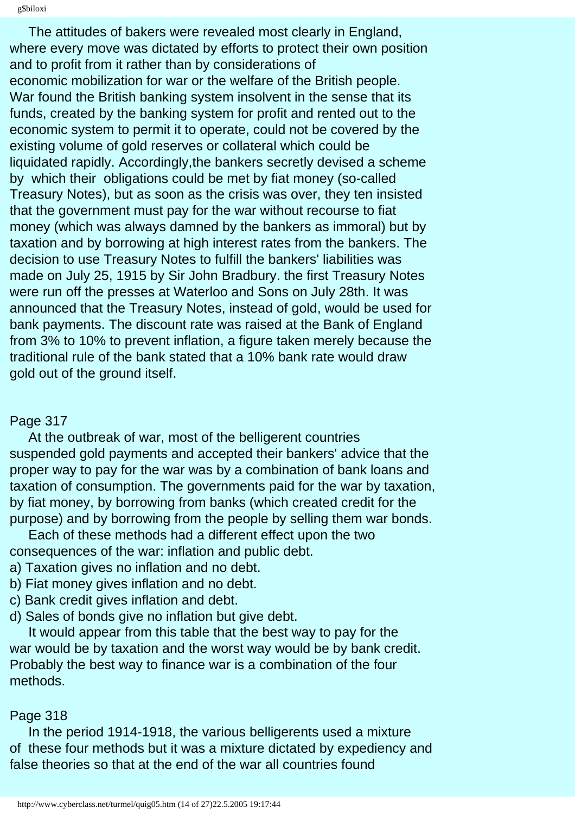The attitudes of bakers were revealed most clearly in England, where every move was dictated by efforts to protect their own position and to profit from it rather than by considerations of economic mobilization for war or the welfare of the British people. War found the British banking system insolvent in the sense that its funds, created by the banking system for profit and rented out to the economic system to permit it to operate, could not be covered by the existing volume of gold reserves or collateral which could be liquidated rapidly. Accordingly,the bankers secretly devised a scheme by which their obligations could be met by fiat money (so-called Treasury Notes), but as soon as the crisis was over, they ten insisted that the government must pay for the war without recourse to fiat money (which was always damned by the bankers as immoral) but by taxation and by borrowing at high interest rates from the bankers. The decision to use Treasury Notes to fulfill the bankers' liabilities was made on July 25, 1915 by Sir John Bradbury. the first Treasury Notes were run off the presses at Waterloo and Sons on July 28th. It was announced that the Treasury Notes, instead of gold, would be used for bank payments. The discount rate was raised at the Bank of England from 3% to 10% to prevent inflation, a figure taken merely because the traditional rule of the bank stated that a 10% bank rate would draw gold out of the ground itself.

#### Page 317

 At the outbreak of war, most of the belligerent countries suspended gold payments and accepted their bankers' advice that the proper way to pay for the war was by a combination of bank loans and taxation of consumption. The governments paid for the war by taxation, by fiat money, by borrowing from banks (which created credit for the purpose) and by borrowing from the people by selling them war bonds.

 Each of these methods had a different effect upon the two consequences of the war: inflation and public debt.

- a) Taxation gives no inflation and no debt.
- b) Fiat money gives inflation and no debt.
- c) Bank credit gives inflation and debt.
- d) Sales of bonds give no inflation but give debt.

 It would appear from this table that the best way to pay for the war would be by taxation and the worst way would be by bank credit. Probably the best way to finance war is a combination of the four methods.

# Page 318

 In the period 1914-1918, the various belligerents used a mixture of these four methods but it was a mixture dictated by expediency and false theories so that at the end of the war all countries found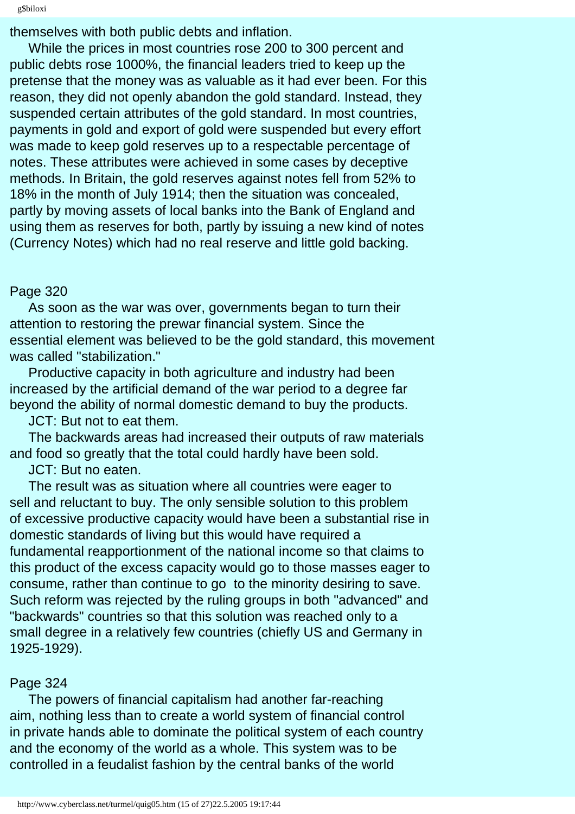themselves with both public debts and inflation.

 While the prices in most countries rose 200 to 300 percent and public debts rose 1000%, the financial leaders tried to keep up the pretense that the money was as valuable as it had ever been. For this reason, they did not openly abandon the gold standard. Instead, they suspended certain attributes of the gold standard. In most countries, payments in gold and export of gold were suspended but every effort was made to keep gold reserves up to a respectable percentage of notes. These attributes were achieved in some cases by deceptive methods. In Britain, the gold reserves against notes fell from 52% to 18% in the month of July 1914; then the situation was concealed, partly by moving assets of local banks into the Bank of England and using them as reserves for both, partly by issuing a new kind of notes (Currency Notes) which had no real reserve and little gold backing.

## Page 320

 As soon as the war was over, governments began to turn their attention to restoring the prewar financial system. Since the essential element was believed to be the gold standard, this movement was called "stabilization."

 Productive capacity in both agriculture and industry had been increased by the artificial demand of the war period to a degree far beyond the ability of normal domestic demand to buy the products.

JCT: But not to eat them.

 The backwards areas had increased their outputs of raw materials and food so greatly that the total could hardly have been sold.

JCT: But no eaten.

 The result was as situation where all countries were eager to sell and reluctant to buy. The only sensible solution to this problem of excessive productive capacity would have been a substantial rise in domestic standards of living but this would have required a fundamental reapportionment of the national income so that claims to this product of the excess capacity would go to those masses eager to consume, rather than continue to go to the minority desiring to save. Such reform was rejected by the ruling groups in both "advanced" and "backwards" countries so that this solution was reached only to a small degree in a relatively few countries (chiefly US and Germany in 1925-1929).

## Page 324

 The powers of financial capitalism had another far-reaching aim, nothing less than to create a world system of financial control in private hands able to dominate the political system of each country and the economy of the world as a whole. This system was to be controlled in a feudalist fashion by the central banks of the world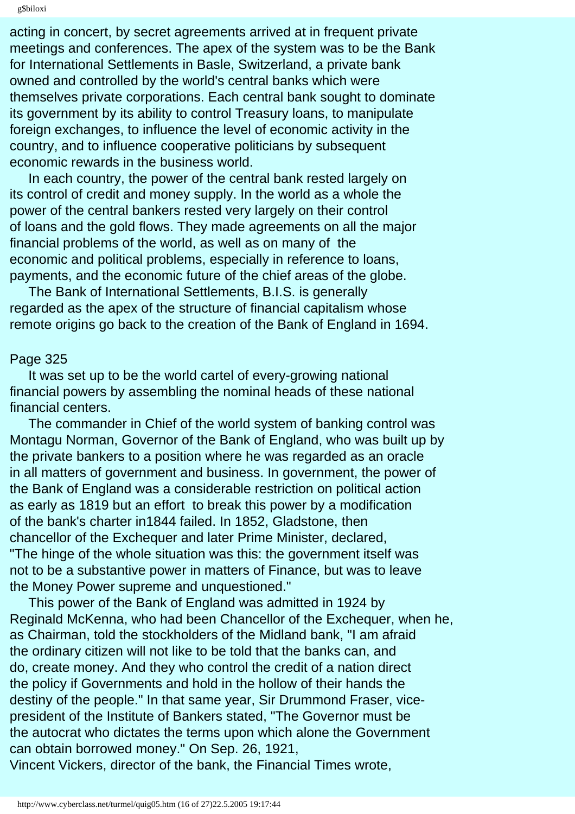acting in concert, by secret agreements arrived at in frequent private meetings and conferences. The apex of the system was to be the Bank for International Settlements in Basle, Switzerland, a private bank owned and controlled by the world's central banks which were themselves private corporations. Each central bank sought to dominate its government by its ability to control Treasury loans, to manipulate foreign exchanges, to influence the level of economic activity in the country, and to influence cooperative politicians by subsequent economic rewards in the business world.

 In each country, the power of the central bank rested largely on its control of credit and money supply. In the world as a whole the power of the central bankers rested very largely on their control of loans and the gold flows. They made agreements on all the major financial problems of the world, as well as on many of the economic and political problems, especially in reference to loans, payments, and the economic future of the chief areas of the globe.

 The Bank of International Settlements, B.I.S. is generally regarded as the apex of the structure of financial capitalism whose remote origins go back to the creation of the Bank of England in 1694.

#### Page 325

 It was set up to be the world cartel of every-growing national financial powers by assembling the nominal heads of these national financial centers.

 The commander in Chief of the world system of banking control was Montagu Norman, Governor of the Bank of England, who was built up by the private bankers to a position where he was regarded as an oracle in all matters of government and business. In government, the power of the Bank of England was a considerable restriction on political action as early as 1819 but an effort to break this power by a modification of the bank's charter in1844 failed. In 1852, Gladstone, then chancellor of the Exchequer and later Prime Minister, declared, "The hinge of the whole situation was this: the government itself was not to be a substantive power in matters of Finance, but was to leave the Money Power supreme and unquestioned."

 This power of the Bank of England was admitted in 1924 by Reginald McKenna, who had been Chancellor of the Exchequer, when he, as Chairman, told the stockholders of the Midland bank, "I am afraid the ordinary citizen will not like to be told that the banks can, and do, create money. And they who control the credit of a nation direct the policy if Governments and hold in the hollow of their hands the destiny of the people." In that same year, Sir Drummond Fraser, vicepresident of the Institute of Bankers stated, "The Governor must be the autocrat who dictates the terms upon which alone the Government can obtain borrowed money." On Sep. 26, 1921,

Vincent Vickers, director of the bank, the Financial Times wrote,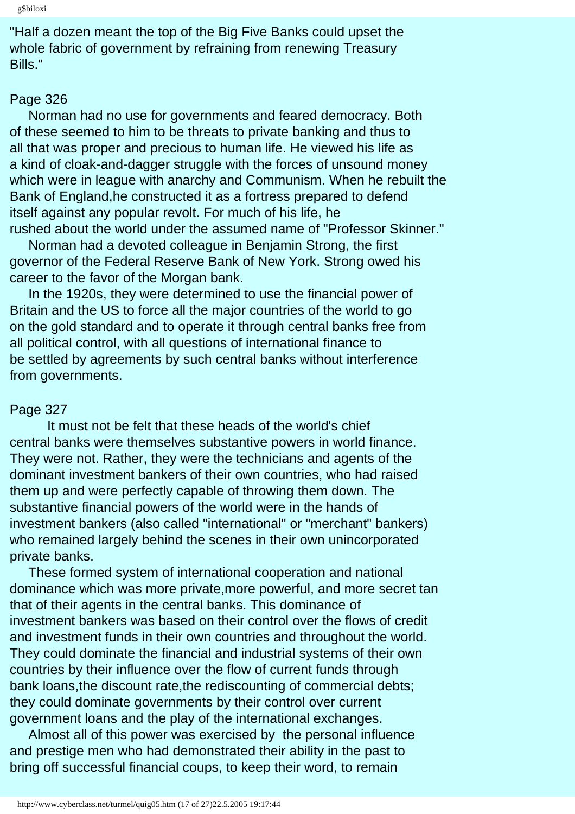```
g$biloxi
```
"Half a dozen meant the top of the Big Five Banks could upset the whole fabric of government by refraining from renewing Treasury Bills."

### Page 326

 Norman had no use for governments and feared democracy. Both of these seemed to him to be threats to private banking and thus to all that was proper and precious to human life. He viewed his life as a kind of cloak-and-dagger struggle with the forces of unsound money which were in league with anarchy and Communism. When he rebuilt the Bank of England,he constructed it as a fortress prepared to defend itself against any popular revolt. For much of his life, he rushed about the world under the assumed name of "Professor Skinner."

 Norman had a devoted colleague in Benjamin Strong, the first governor of the Federal Reserve Bank of New York. Strong owed his career to the favor of the Morgan bank.

 In the 1920s, they were determined to use the financial power of Britain and the US to force all the major countries of the world to go on the gold standard and to operate it through central banks free from all political control, with all questions of international finance to be settled by agreements by such central banks without interference from governments.

## Page 327

 It must not be felt that these heads of the world's chief central banks were themselves substantive powers in world finance. They were not. Rather, they were the technicians and agents of the dominant investment bankers of their own countries, who had raised them up and were perfectly capable of throwing them down. The substantive financial powers of the world were in the hands of investment bankers (also called "international" or "merchant" bankers) who remained largely behind the scenes in their own unincorporated private banks.

 These formed system of international cooperation and national dominance which was more private,more powerful, and more secret tan that of their agents in the central banks. This dominance of investment bankers was based on their control over the flows of credit and investment funds in their own countries and throughout the world. They could dominate the financial and industrial systems of their own countries by their influence over the flow of current funds through bank loans,the discount rate,the rediscounting of commercial debts; they could dominate governments by their control over current government loans and the play of the international exchanges.

 Almost all of this power was exercised by the personal influence and prestige men who had demonstrated their ability in the past to bring off successful financial coups, to keep their word, to remain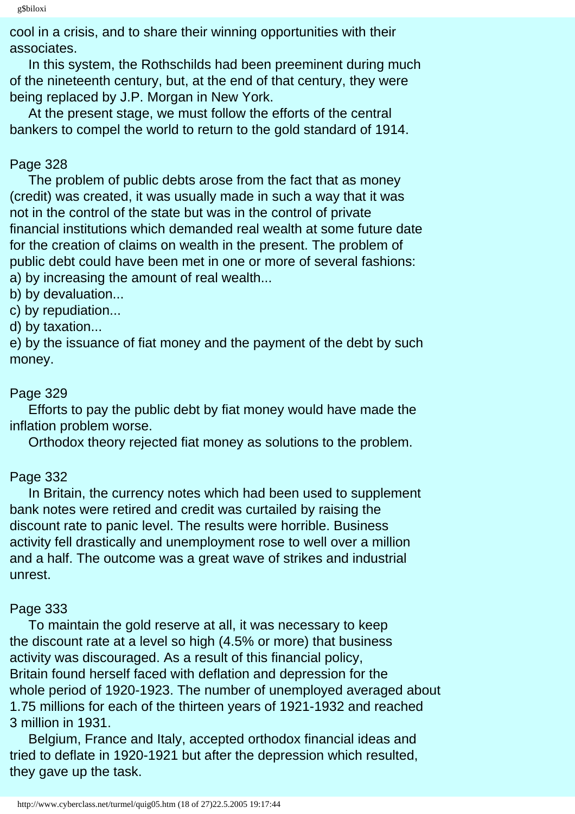cool in a crisis, and to share their winning opportunities with their associates.

 In this system, the Rothschilds had been preeminent during much of the nineteenth century, but, at the end of that century, they were being replaced by J.P. Morgan in New York.

 At the present stage, we must follow the efforts of the central bankers to compel the world to return to the gold standard of 1914.

## Page 328

 The problem of public debts arose from the fact that as money (credit) was created, it was usually made in such a way that it was not in the control of the state but was in the control of private financial institutions which demanded real wealth at some future date for the creation of claims on wealth in the present. The problem of public debt could have been met in one or more of several fashions:

a) by increasing the amount of real wealth...

b) by devaluation...

c) by repudiation...

d) by taxation...

e) by the issuance of fiat money and the payment of the debt by such money.

## Page 329

 Efforts to pay the public debt by fiat money would have made the inflation problem worse.

Orthodox theory rejected fiat money as solutions to the problem.

## Page 332

 In Britain, the currency notes which had been used to supplement bank notes were retired and credit was curtailed by raising the discount rate to panic level. The results were horrible. Business activity fell drastically and unemployment rose to well over a million and a half. The outcome was a great wave of strikes and industrial unrest.

## Page 333

 To maintain the gold reserve at all, it was necessary to keep the discount rate at a level so high (4.5% or more) that business activity was discouraged. As a result of this financial policy, Britain found herself faced with deflation and depression for the whole period of 1920-1923. The number of unemployed averaged about 1.75 millions for each of the thirteen years of 1921-1932 and reached 3 million in 1931.

 Belgium, France and Italy, accepted orthodox financial ideas and tried to deflate in 1920-1921 but after the depression which resulted, they gave up the task.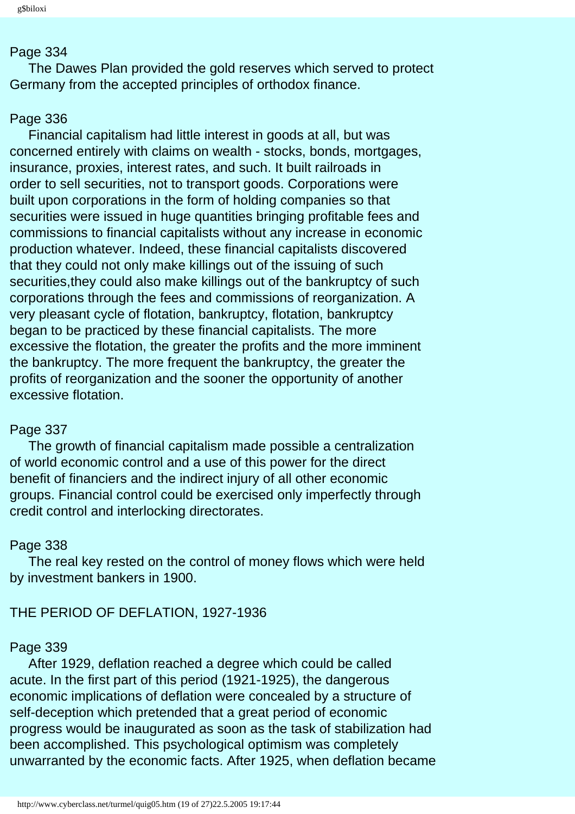#### Page 334

 The Dawes Plan provided the gold reserves which served to protect Germany from the accepted principles of orthodox finance.

# Page 336

 Financial capitalism had little interest in goods at all, but was concerned entirely with claims on wealth - stocks, bonds, mortgages, insurance, proxies, interest rates, and such. It built railroads in order to sell securities, not to transport goods. Corporations were built upon corporations in the form of holding companies so that securities were issued in huge quantities bringing profitable fees and commissions to financial capitalists without any increase in economic production whatever. Indeed, these financial capitalists discovered that they could not only make killings out of the issuing of such securities,they could also make killings out of the bankruptcy of such corporations through the fees and commissions of reorganization. A very pleasant cycle of flotation, bankruptcy, flotation, bankruptcy began to be practiced by these financial capitalists. The more excessive the flotation, the greater the profits and the more imminent the bankruptcy. The more frequent the bankruptcy, the greater the profits of reorganization and the sooner the opportunity of another excessive flotation.

# Page 337

 The growth of financial capitalism made possible a centralization of world economic control and a use of this power for the direct benefit of financiers and the indirect injury of all other economic groups. Financial control could be exercised only imperfectly through credit control and interlocking directorates.

# Page 338

 The real key rested on the control of money flows which were held by investment bankers in 1900.

# THE PERIOD OF DEFLATION, 1927-1936

# Page 339

 After 1929, deflation reached a degree which could be called acute. In the first part of this period (1921-1925), the dangerous economic implications of deflation were concealed by a structure of self-deception which pretended that a great period of economic progress would be inaugurated as soon as the task of stabilization had been accomplished. This psychological optimism was completely unwarranted by the economic facts. After 1925, when deflation became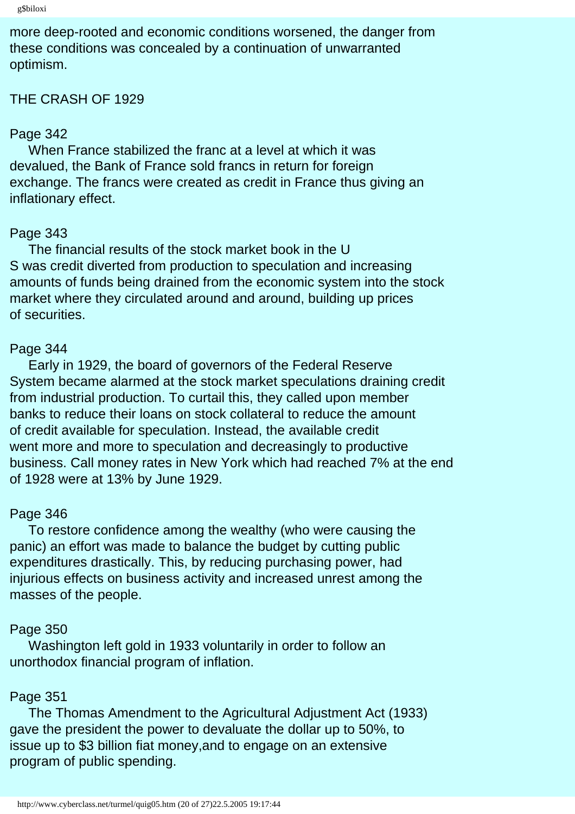more deep-rooted and economic conditions worsened, the danger from these conditions was concealed by a continuation of unwarranted optimism.

### THE CRASH OF 1929

#### Page 342

 When France stabilized the franc at a level at which it was devalued, the Bank of France sold francs in return for foreign exchange. The francs were created as credit in France thus giving an inflationary effect.

## Page 343

 The financial results of the stock market book in the U S was credit diverted from production to speculation and increasing amounts of funds being drained from the economic system into the stock market where they circulated around and around, building up prices of securities.

#### Page 344

 Early in 1929, the board of governors of the Federal Reserve System became alarmed at the stock market speculations draining credit from industrial production. To curtail this, they called upon member banks to reduce their loans on stock collateral to reduce the amount of credit available for speculation. Instead, the available credit went more and more to speculation and decreasingly to productive business. Call money rates in New York which had reached 7% at the end of 1928 were at 13% by June 1929.

#### Page 346

 To restore confidence among the wealthy (who were causing the panic) an effort was made to balance the budget by cutting public expenditures drastically. This, by reducing purchasing power, had injurious effects on business activity and increased unrest among the masses of the people.

#### Page 350

 Washington left gold in 1933 voluntarily in order to follow an unorthodox financial program of inflation.

## Page 351

 The Thomas Amendment to the Agricultural Adjustment Act (1933) gave the president the power to devaluate the dollar up to 50%, to issue up to \$3 billion fiat money,and to engage on an extensive program of public spending.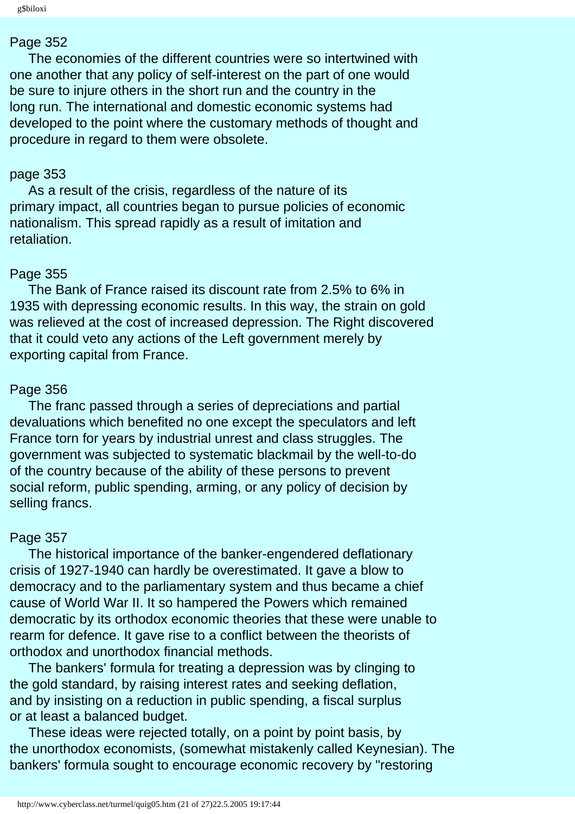## Page 352

 The economies of the different countries were so intertwined with one another that any policy of self-interest on the part of one would be sure to injure others in the short run and the country in the long run. The international and domestic economic systems had developed to the point where the customary methods of thought and procedure in regard to them were obsolete.

## page 353

 As a result of the crisis, regardless of the nature of its primary impact, all countries began to pursue policies of economic nationalism. This spread rapidly as a result of imitation and retaliation.

# Page 355

 The Bank of France raised its discount rate from 2.5% to 6% in 1935 with depressing economic results. In this way, the strain on gold was relieved at the cost of increased depression. The Right discovered that it could veto any actions of the Left government merely by exporting capital from France.

# Page 356

 The franc passed through a series of depreciations and partial devaluations which benefited no one except the speculators and left France torn for years by industrial unrest and class struggles. The government was subjected to systematic blackmail by the well-to-do of the country because of the ability of these persons to prevent social reform, public spending, arming, or any policy of decision by selling francs.

# Page 357

 The historical importance of the banker-engendered deflationary crisis of 1927-1940 can hardly be overestimated. It gave a blow to democracy and to the parliamentary system and thus became a chief cause of World War II. It so hampered the Powers which remained democratic by its orthodox economic theories that these were unable to rearm for defence. It gave rise to a conflict between the theorists of orthodox and unorthodox financial methods.

 The bankers' formula for treating a depression was by clinging to the gold standard, by raising interest rates and seeking deflation, and by insisting on a reduction in public spending, a fiscal surplus or at least a balanced budget.

 These ideas were rejected totally, on a point by point basis, by the unorthodox economists, (somewhat mistakenly called Keynesian). The bankers' formula sought to encourage economic recovery by "restoring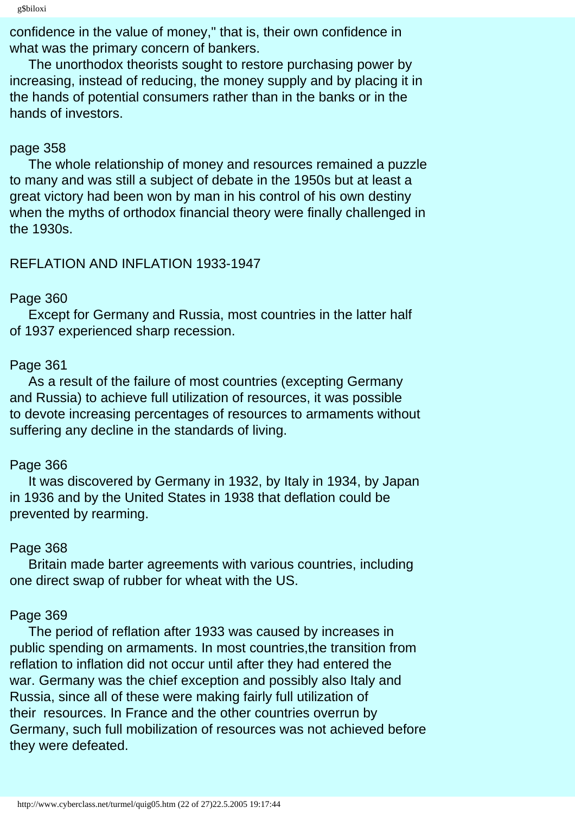confidence in the value of money," that is, their own confidence in what was the primary concern of bankers.

 The unorthodox theorists sought to restore purchasing power by increasing, instead of reducing, the money supply and by placing it in the hands of potential consumers rather than in the banks or in the hands of investors.

#### page 358

 The whole relationship of money and resources remained a puzzle to many and was still a subject of debate in the 1950s but at least a great victory had been won by man in his control of his own destiny when the myths of orthodox financial theory were finally challenged in the 1930s.

## REFLATION AND INFLATION 1933-1947

## Page 360

 Except for Germany and Russia, most countries in the latter half of 1937 experienced sharp recession.

## Page 361

 As a result of the failure of most countries (excepting Germany and Russia) to achieve full utilization of resources, it was possible to devote increasing percentages of resources to armaments without suffering any decline in the standards of living.

## Page 366

 It was discovered by Germany in 1932, by Italy in 1934, by Japan in 1936 and by the United States in 1938 that deflation could be prevented by rearming.

## Page 368

 Britain made barter agreements with various countries, including one direct swap of rubber for wheat with the US.

# Page 369

 The period of reflation after 1933 was caused by increases in public spending on armaments. In most countries,the transition from reflation to inflation did not occur until after they had entered the war. Germany was the chief exception and possibly also Italy and Russia, since all of these were making fairly full utilization of their resources. In France and the other countries overrun by Germany, such full mobilization of resources was not achieved before they were defeated.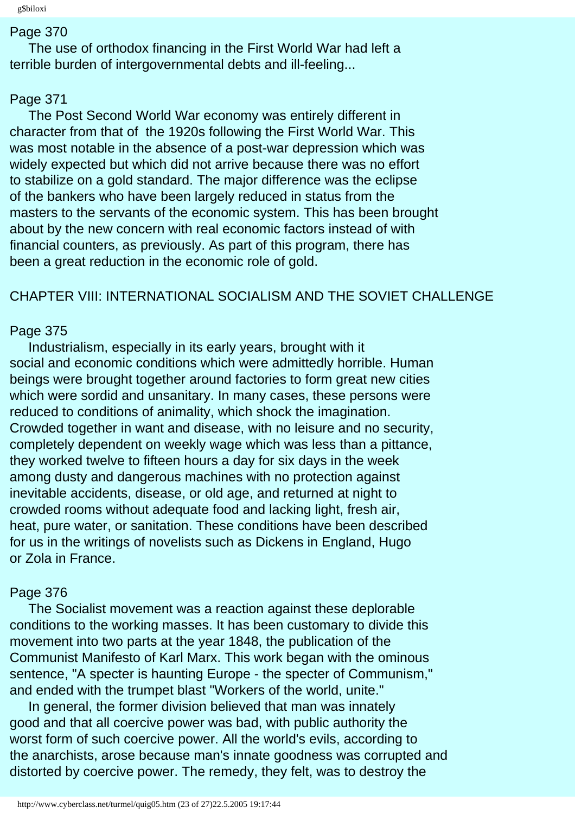## Page 370

 The use of orthodox financing in the First World War had left a terrible burden of intergovernmental debts and ill-feeling...

#### Page 371

 The Post Second World War economy was entirely different in character from that of the 1920s following the First World War. This was most notable in the absence of a post-war depression which was widely expected but which did not arrive because there was no effort to stabilize on a gold standard. The major difference was the eclipse of the bankers who have been largely reduced in status from the masters to the servants of the economic system. This has been brought about by the new concern with real economic factors instead of with financial counters, as previously. As part of this program, there has been a great reduction in the economic role of gold.

## CHAPTER VIII: INTERNATIONAL SOCIALISM AND THE SOVIET CHALLENGE

## Page 375

 Industrialism, especially in its early years, brought with it social and economic conditions which were admittedly horrible. Human beings were brought together around factories to form great new cities which were sordid and unsanitary. In many cases, these persons were reduced to conditions of animality, which shock the imagination. Crowded together in want and disease, with no leisure and no security, completely dependent on weekly wage which was less than a pittance, they worked twelve to fifteen hours a day for six days in the week among dusty and dangerous machines with no protection against inevitable accidents, disease, or old age, and returned at night to crowded rooms without adequate food and lacking light, fresh air, heat, pure water, or sanitation. These conditions have been described for us in the writings of novelists such as Dickens in England, Hugo or Zola in France.

## Page 376

 The Socialist movement was a reaction against these deplorable conditions to the working masses. It has been customary to divide this movement into two parts at the year 1848, the publication of the Communist Manifesto of Karl Marx. This work began with the ominous sentence, "A specter is haunting Europe - the specter of Communism," and ended with the trumpet blast "Workers of the world, unite."

 In general, the former division believed that man was innately good and that all coercive power was bad, with public authority the worst form of such coercive power. All the world's evils, according to the anarchists, arose because man's innate goodness was corrupted and distorted by coercive power. The remedy, they felt, was to destroy the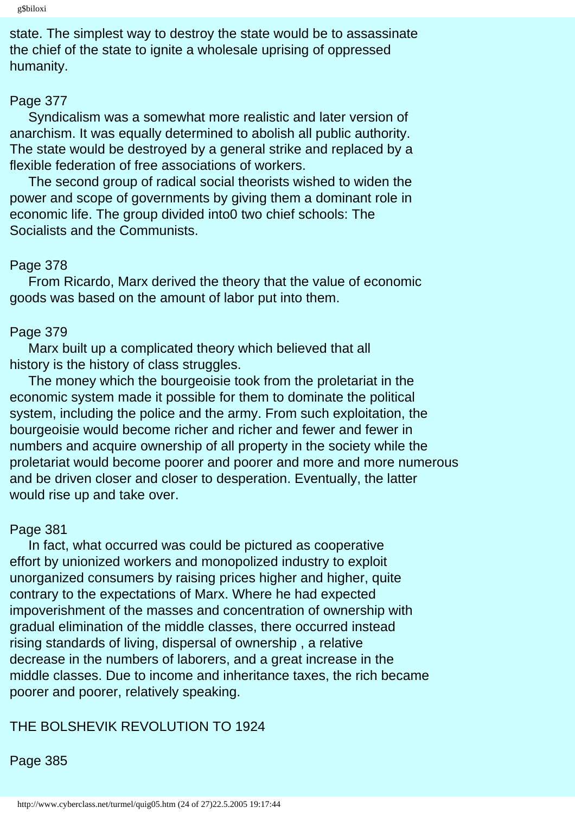state. The simplest way to destroy the state would be to assassinate the chief of the state to ignite a wholesale uprising of oppressed humanity.

#### Page 377

 Syndicalism was a somewhat more realistic and later version of anarchism. It was equally determined to abolish all public authority. The state would be destroyed by a general strike and replaced by a flexible federation of free associations of workers.

 The second group of radical social theorists wished to widen the power and scope of governments by giving them a dominant role in economic life. The group divided into0 two chief schools: The Socialists and the Communists.

#### Page 378

 From Ricardo, Marx derived the theory that the value of economic goods was based on the amount of labor put into them.

#### Page 379

 Marx built up a complicated theory which believed that all history is the history of class struggles.

 The money which the bourgeoisie took from the proletariat in the economic system made it possible for them to dominate the political system, including the police and the army. From such exploitation, the bourgeoisie would become richer and richer and fewer and fewer in numbers and acquire ownership of all property in the society while the proletariat would become poorer and poorer and more and more numerous and be driven closer and closer to desperation. Eventually, the latter would rise up and take over.

#### Page 381

 In fact, what occurred was could be pictured as cooperative effort by unionized workers and monopolized industry to exploit unorganized consumers by raising prices higher and higher, quite contrary to the expectations of Marx. Where he had expected impoverishment of the masses and concentration of ownership with gradual elimination of the middle classes, there occurred instead rising standards of living, dispersal of ownership , a relative decrease in the numbers of laborers, and a great increase in the middle classes. Due to income and inheritance taxes, the rich became poorer and poorer, relatively speaking.

## THE BOLSHEVIK REVOLUTION TO 1924

Page 385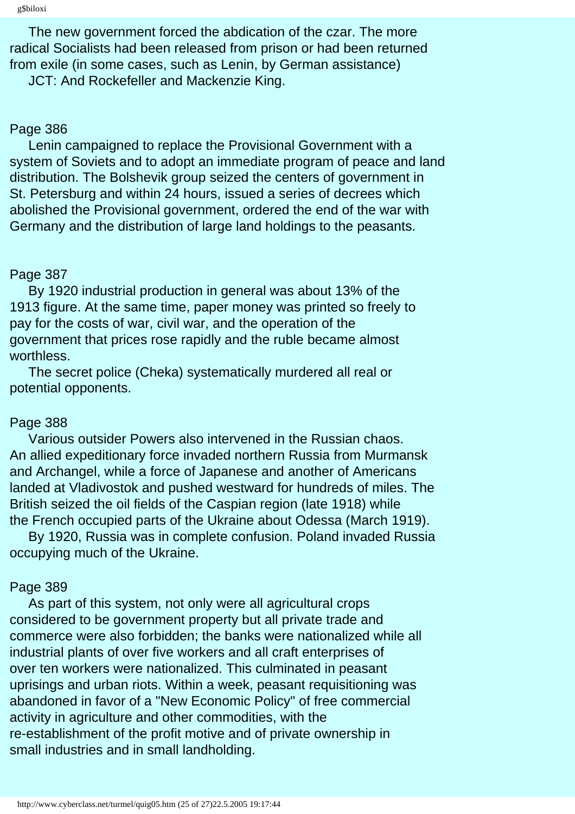The new government forced the abdication of the czar. The more radical Socialists had been released from prison or had been returned from exile (in some cases, such as Lenin, by German assistance)

JCT: And Rockefeller and Mackenzie King.

#### Page 386

 Lenin campaigned to replace the Provisional Government with a system of Soviets and to adopt an immediate program of peace and land distribution. The Bolshevik group seized the centers of government in St. Petersburg and within 24 hours, issued a series of decrees which abolished the Provisional government, ordered the end of the war with Germany and the distribution of large land holdings to the peasants.

#### Page 387

 By 1920 industrial production in general was about 13% of the 1913 figure. At the same time, paper money was printed so freely to pay for the costs of war, civil war, and the operation of the government that prices rose rapidly and the ruble became almost worthless.

 The secret police (Cheka) systematically murdered all real or potential opponents.

#### Page 388

 Various outsider Powers also intervened in the Russian chaos. An allied expeditionary force invaded northern Russia from Murmansk and Archangel, while a force of Japanese and another of Americans landed at Vladivostok and pushed westward for hundreds of miles. The British seized the oil fields of the Caspian region (late 1918) while the French occupied parts of the Ukraine about Odessa (March 1919).

 By 1920, Russia was in complete confusion. Poland invaded Russia occupying much of the Ukraine.

#### Page 389

 As part of this system, not only were all agricultural crops considered to be government property but all private trade and commerce were also forbidden; the banks were nationalized while all industrial plants of over five workers and all craft enterprises of over ten workers were nationalized. This culminated in peasant uprisings and urban riots. Within a week, peasant requisitioning was abandoned in favor of a "New Economic Policy" of free commercial activity in agriculture and other commodities, with the re-establishment of the profit motive and of private ownership in small industries and in small landholding.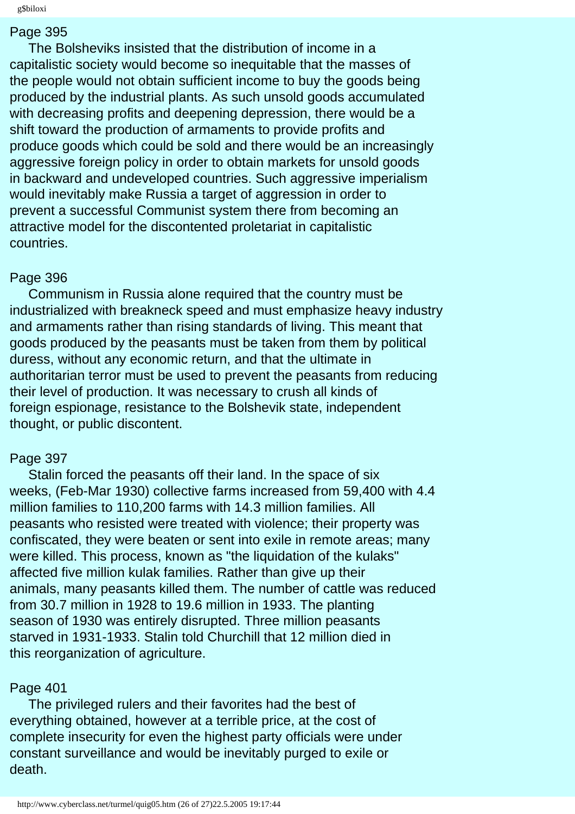## Page 395

 The Bolsheviks insisted that the distribution of income in a capitalistic society would become so inequitable that the masses of the people would not obtain sufficient income to buy the goods being produced by the industrial plants. As such unsold goods accumulated with decreasing profits and deepening depression, there would be a shift toward the production of armaments to provide profits and produce goods which could be sold and there would be an increasingly aggressive foreign policy in order to obtain markets for unsold goods in backward and undeveloped countries. Such aggressive imperialism would inevitably make Russia a target of aggression in order to prevent a successful Communist system there from becoming an attractive model for the discontented proletariat in capitalistic countries.

## Page 396

 Communism in Russia alone required that the country must be industrialized with breakneck speed and must emphasize heavy industry and armaments rather than rising standards of living. This meant that goods produced by the peasants must be taken from them by political duress, without any economic return, and that the ultimate in authoritarian terror must be used to prevent the peasants from reducing their level of production. It was necessary to crush all kinds of foreign espionage, resistance to the Bolshevik state, independent thought, or public discontent.

# Page 397

 Stalin forced the peasants off their land. In the space of six weeks, (Feb-Mar 1930) collective farms increased from 59,400 with 4.4 million families to 110,200 farms with 14.3 million families. All peasants who resisted were treated with violence; their property was confiscated, they were beaten or sent into exile in remote areas; many were killed. This process, known as "the liquidation of the kulaks" affected five million kulak families. Rather than give up their animals, many peasants killed them. The number of cattle was reduced from 30.7 million in 1928 to 19.6 million in 1933. The planting season of 1930 was entirely disrupted. Three million peasants starved in 1931-1933. Stalin told Churchill that 12 million died in this reorganization of agriculture.

# Page 401

 The privileged rulers and their favorites had the best of everything obtained, however at a terrible price, at the cost of complete insecurity for even the highest party officials were under constant surveillance and would be inevitably purged to exile or death.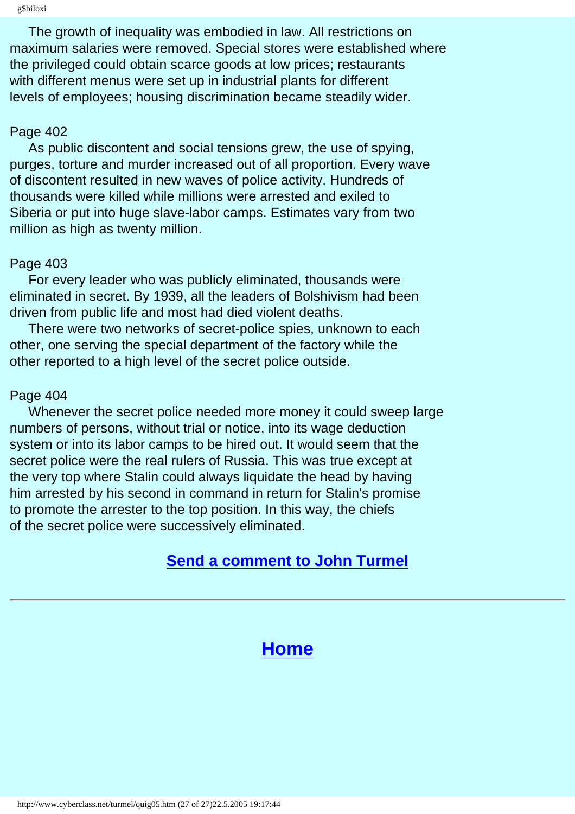The growth of inequality was embodied in law. All restrictions on maximum salaries were removed. Special stores were established where the privileged could obtain scarce goods at low prices; restaurants with different menus were set up in industrial plants for different levels of employees; housing discrimination became steadily wider.

#### Page 402

 As public discontent and social tensions grew, the use of spying, purges, torture and murder increased out of all proportion. Every wave of discontent resulted in new waves of police activity. Hundreds of thousands were killed while millions were arrested and exiled to Siberia or put into huge slave-labor camps. Estimates vary from two million as high as twenty million.

#### Page 403

 For every leader who was publicly eliminated, thousands were eliminated in secret. By 1939, all the leaders of Bolshivism had been driven from public life and most had died violent deaths.

 There were two networks of secret-police spies, unknown to each other, one serving the special department of the factory while the other reported to a high level of the secret police outside.

#### Page 404

 Whenever the secret police needed more money it could sweep large numbers of persons, without trial or notice, into its wage deduction system or into its labor camps to be hired out. It would seem that the secret police were the real rulers of Russia. This was true except at the very top where Stalin could always liquidate the head by having him arrested by his second in command in return for Stalin's promise to promote the arrester to the top position. In this way, the chiefs of the secret police were successively eliminated.

# **[Send a comment to John Turmel](mailto:%20bc726@freenet.carleton.ca)**

# **[Home](http://www.cyberclass.net/turmel)**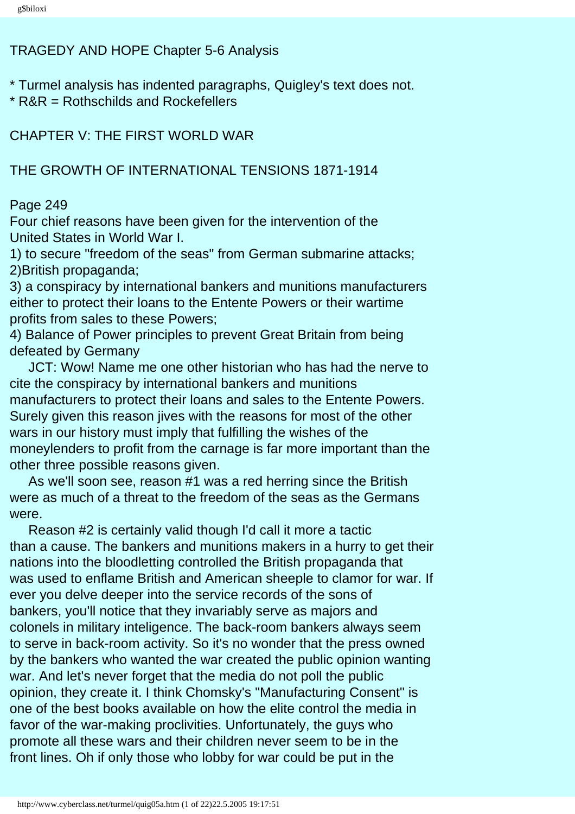# TRAGEDY AND HOPE Chapter 5-6 Analysis

\* Turmel analysis has indented paragraphs, Quigley's text does not.

\* R&R = Rothschilds and Rockefellers

CHAPTER V: THE FIRST WORLD WAR

# THE GROWTH OF INTERNATIONAL TENSIONS 1871-1914

# Page 249

Four chief reasons have been given for the intervention of the United States in World War I.

1) to secure "freedom of the seas" from German submarine attacks; 2)British propaganda;

3) a conspiracy by international bankers and munitions manufacturers either to protect their loans to the Entente Powers or their wartime profits from sales to these Powers;

4) Balance of Power principles to prevent Great Britain from being defeated by Germany

 JCT: Wow! Name me one other historian who has had the nerve to cite the conspiracy by international bankers and munitions manufacturers to protect their loans and sales to the Entente Powers. Surely given this reason jives with the reasons for most of the other wars in our history must imply that fulfilling the wishes of the moneylenders to profit from the carnage is far more important than the other three possible reasons given.

 As we'll soon see, reason #1 was a red herring since the British were as much of a threat to the freedom of the seas as the Germans were.

 Reason #2 is certainly valid though I'd call it more a tactic than a cause. The bankers and munitions makers in a hurry to get their nations into the bloodletting controlled the British propaganda that was used to enflame British and American sheeple to clamor for war. If ever you delve deeper into the service records of the sons of bankers, you'll notice that they invariably serve as majors and colonels in military inteligence. The back-room bankers always seem to serve in back-room activity. So it's no wonder that the press owned by the bankers who wanted the war created the public opinion wanting war. And let's never forget that the media do not poll the public opinion, they create it. I think Chomsky's "Manufacturing Consent" is one of the best books available on how the elite control the media in favor of the war-making proclivities. Unfortunately, the guys who promote all these wars and their children never seem to be in the front lines. Oh if only those who lobby for war could be put in the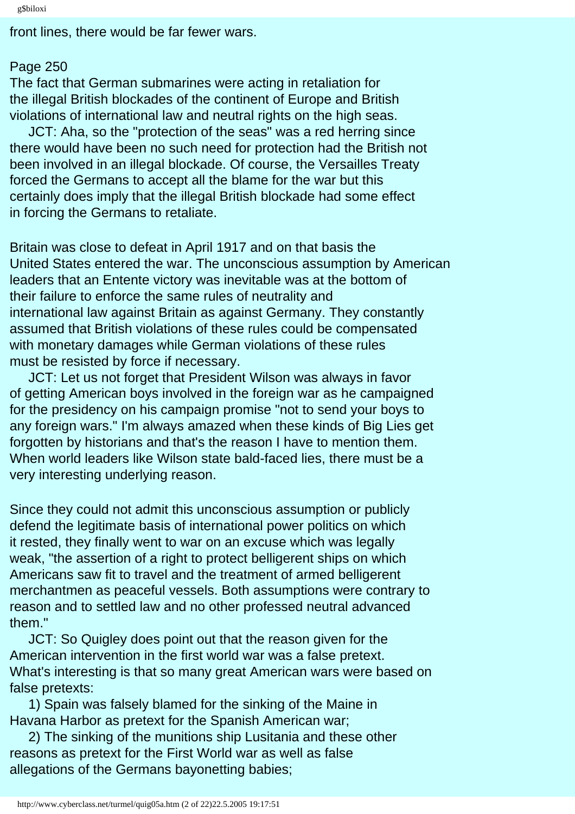front lines, there would be far fewer wars.

#### Page 250

The fact that German submarines were acting in retaliation for the illegal British blockades of the continent of Europe and British violations of international law and neutral rights on the high seas.

 JCT: Aha, so the "protection of the seas" was a red herring since there would have been no such need for protection had the British not been involved in an illegal blockade. Of course, the Versailles Treaty forced the Germans to accept all the blame for the war but this certainly does imply that the illegal British blockade had some effect in forcing the Germans to retaliate.

Britain was close to defeat in April 1917 and on that basis the United States entered the war. The unconscious assumption by American leaders that an Entente victory was inevitable was at the bottom of their failure to enforce the same rules of neutrality and international law against Britain as against Germany. They constantly assumed that British violations of these rules could be compensated with monetary damages while German violations of these rules must be resisted by force if necessary.

 JCT: Let us not forget that President Wilson was always in favor of getting American boys involved in the foreign war as he campaigned for the presidency on his campaign promise "not to send your boys to any foreign wars." I'm always amazed when these kinds of Big Lies get forgotten by historians and that's the reason I have to mention them. When world leaders like Wilson state bald-faced lies, there must be a very interesting underlying reason.

Since they could not admit this unconscious assumption or publicly defend the legitimate basis of international power politics on which it rested, they finally went to war on an excuse which was legally weak, "the assertion of a right to protect belligerent ships on which Americans saw fit to travel and the treatment of armed belligerent merchantmen as peaceful vessels. Both assumptions were contrary to reason and to settled law and no other professed neutral advanced them."

 JCT: So Quigley does point out that the reason given for the American intervention in the first world war was a false pretext. What's interesting is that so many great American wars were based on false pretexts:

 1) Spain was falsely blamed for the sinking of the Maine in Havana Harbor as pretext for the Spanish American war;

 2) The sinking of the munitions ship Lusitania and these other reasons as pretext for the First World war as well as false allegations of the Germans bayonetting babies;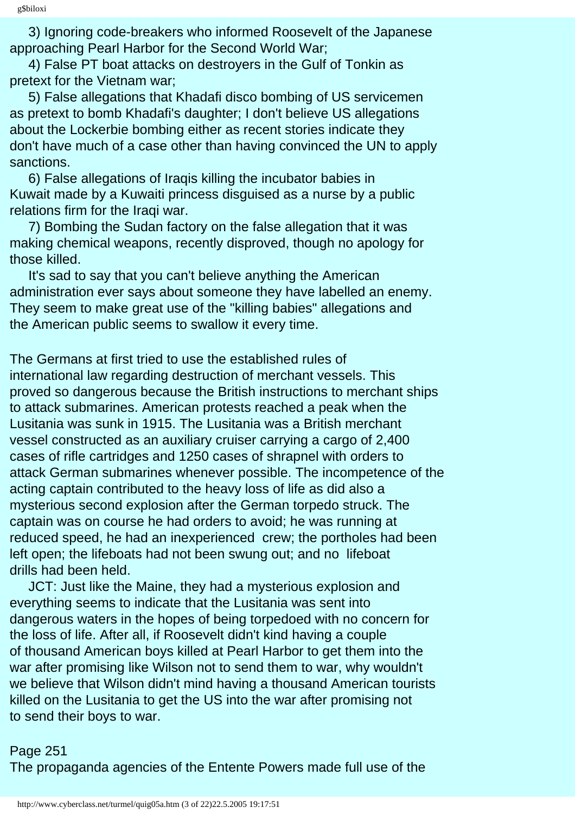3) Ignoring code-breakers who informed Roosevelt of the Japanese approaching Pearl Harbor for the Second World War;

 4) False PT boat attacks on destroyers in the Gulf of Tonkin as pretext for the Vietnam war;

 5) False allegations that Khadafi disco bombing of US servicemen as pretext to bomb Khadafi's daughter; I don't believe US allegations about the Lockerbie bombing either as recent stories indicate they don't have much of a case other than having convinced the UN to apply sanctions.

 6) False allegations of Iraqis killing the incubator babies in Kuwait made by a Kuwaiti princess disguised as a nurse by a public relations firm for the Iraqi war.

 7) Bombing the Sudan factory on the false allegation that it was making chemical weapons, recently disproved, though no apology for those killed.

 It's sad to say that you can't believe anything the American administration ever says about someone they have labelled an enemy. They seem to make great use of the "killing babies" allegations and the American public seems to swallow it every time.

The Germans at first tried to use the established rules of international law regarding destruction of merchant vessels. This proved so dangerous because the British instructions to merchant ships to attack submarines. American protests reached a peak when the Lusitania was sunk in 1915. The Lusitania was a British merchant vessel constructed as an auxiliary cruiser carrying a cargo of 2,400 cases of rifle cartridges and 1250 cases of shrapnel with orders to attack German submarines whenever possible. The incompetence of the acting captain contributed to the heavy loss of life as did also a mysterious second explosion after the German torpedo struck. The captain was on course he had orders to avoid; he was running at reduced speed, he had an inexperienced crew; the portholes had been left open; the lifeboats had not been swung out; and no lifeboat drills had been held.

 JCT: Just like the Maine, they had a mysterious explosion and everything seems to indicate that the Lusitania was sent into dangerous waters in the hopes of being torpedoed with no concern for the loss of life. After all, if Roosevelt didn't kind having a couple of thousand American boys killed at Pearl Harbor to get them into the war after promising like Wilson not to send them to war, why wouldn't we believe that Wilson didn't mind having a thousand American tourists killed on the Lusitania to get the US into the war after promising not to send their boys to war.

#### Page 251

The propaganda agencies of the Entente Powers made full use of the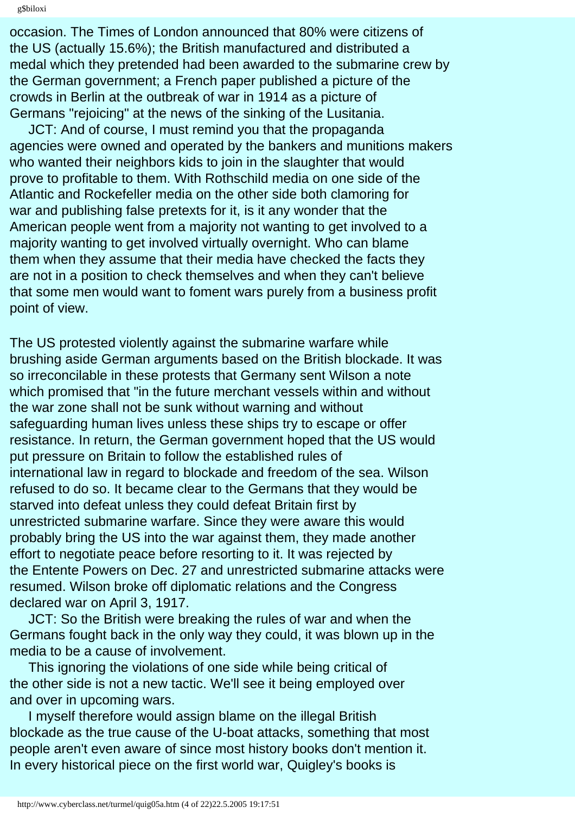occasion. The Times of London announced that 80% were citizens of the US (actually 15.6%); the British manufactured and distributed a medal which they pretended had been awarded to the submarine crew by the German government; a French paper published a picture of the crowds in Berlin at the outbreak of war in 1914 as a picture of Germans "rejoicing" at the news of the sinking of the Lusitania.

 JCT: And of course, I must remind you that the propaganda agencies were owned and operated by the bankers and munitions makers who wanted their neighbors kids to join in the slaughter that would prove to profitable to them. With Rothschild media on one side of the Atlantic and Rockefeller media on the other side both clamoring for war and publishing false pretexts for it, is it any wonder that the American people went from a majority not wanting to get involved to a majority wanting to get involved virtually overnight. Who can blame them when they assume that their media have checked the facts they are not in a position to check themselves and when they can't believe that some men would want to foment wars purely from a business profit point of view.

The US protested violently against the submarine warfare while brushing aside German arguments based on the British blockade. It was so irreconcilable in these protests that Germany sent Wilson a note which promised that "in the future merchant vessels within and without the war zone shall not be sunk without warning and without safeguarding human lives unless these ships try to escape or offer resistance. In return, the German government hoped that the US would put pressure on Britain to follow the established rules of international law in regard to blockade and freedom of the sea. Wilson refused to do so. It became clear to the Germans that they would be starved into defeat unless they could defeat Britain first by unrestricted submarine warfare. Since they were aware this would probably bring the US into the war against them, they made another effort to negotiate peace before resorting to it. It was rejected by the Entente Powers on Dec. 27 and unrestricted submarine attacks were resumed. Wilson broke off diplomatic relations and the Congress declared war on April 3, 1917.

 JCT: So the British were breaking the rules of war and when the Germans fought back in the only way they could, it was blown up in the media to be a cause of involvement.

 This ignoring the violations of one side while being critical of the other side is not a new tactic. We'll see it being employed over and over in upcoming wars.

 I myself therefore would assign blame on the illegal British blockade as the true cause of the U-boat attacks, something that most people aren't even aware of since most history books don't mention it. In every historical piece on the first world war, Quigley's books is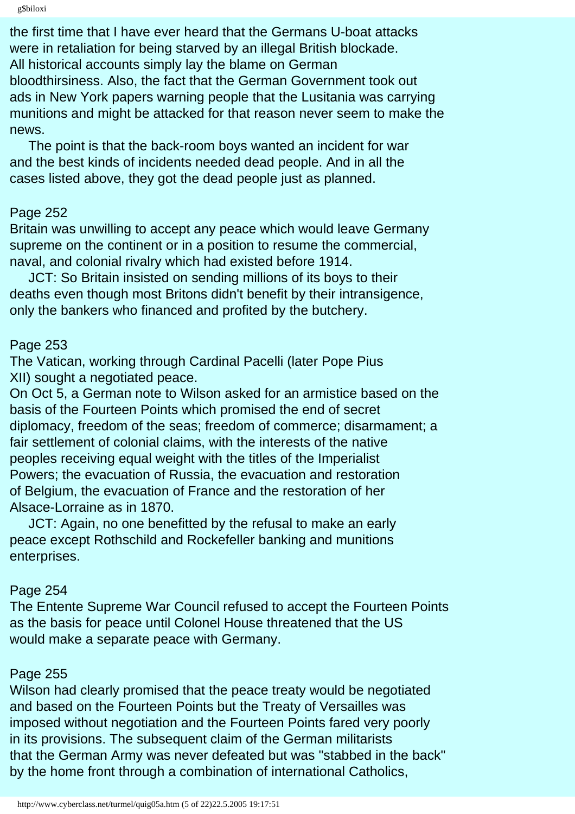the first time that I have ever heard that the Germans U-boat attacks were in retaliation for being starved by an illegal British blockade. All historical accounts simply lay the blame on German bloodthirsiness. Also, the fact that the German Government took out ads in New York papers warning people that the Lusitania was carrying munitions and might be attacked for that reason never seem to make the news.

 The point is that the back-room boys wanted an incident for war and the best kinds of incidents needed dead people. And in all the cases listed above, they got the dead people just as planned.

## Page 252

Britain was unwilling to accept any peace which would leave Germany supreme on the continent or in a position to resume the commercial, naval, and colonial rivalry which had existed before 1914.

 JCT: So Britain insisted on sending millions of its boys to their deaths even though most Britons didn't benefit by their intransigence, only the bankers who financed and profited by the butchery.

## Page 253

The Vatican, working through Cardinal Pacelli (later Pope Pius XII) sought a negotiated peace.

On Oct 5, a German note to Wilson asked for an armistice based on the basis of the Fourteen Points which promised the end of secret diplomacy, freedom of the seas; freedom of commerce; disarmament; a fair settlement of colonial claims, with the interests of the native peoples receiving equal weight with the titles of the Imperialist Powers; the evacuation of Russia, the evacuation and restoration of Belgium, the evacuation of France and the restoration of her Alsace-Lorraine as in 1870.

 JCT: Again, no one benefitted by the refusal to make an early peace except Rothschild and Rockefeller banking and munitions enterprises.

## Page 254

The Entente Supreme War Council refused to accept the Fourteen Points as the basis for peace until Colonel House threatened that the US would make a separate peace with Germany.

## Page 255

Wilson had clearly promised that the peace treaty would be negotiated and based on the Fourteen Points but the Treaty of Versailles was imposed without negotiation and the Fourteen Points fared very poorly in its provisions. The subsequent claim of the German militarists that the German Army was never defeated but was "stabbed in the back" by the home front through a combination of international Catholics,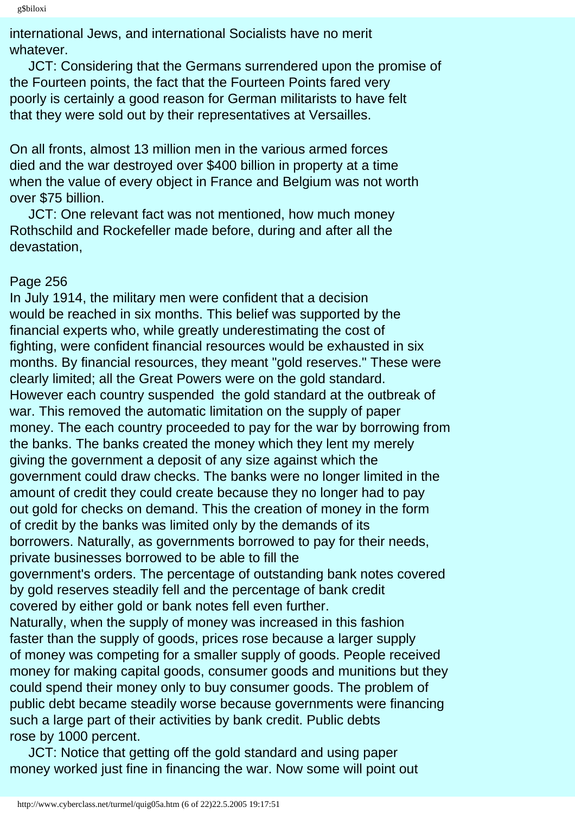international Jews, and international Socialists have no merit whatever.

 JCT: Considering that the Germans surrendered upon the promise of the Fourteen points, the fact that the Fourteen Points fared very poorly is certainly a good reason for German militarists to have felt that they were sold out by their representatives at Versailles.

On all fronts, almost 13 million men in the various armed forces died and the war destroyed over \$400 billion in property at a time when the value of every object in France and Belgium was not worth over \$75 billion.

 JCT: One relevant fact was not mentioned, how much money Rothschild and Rockefeller made before, during and after all the devastation,

## Page 256

In July 1914, the military men were confident that a decision would be reached in six months. This belief was supported by the financial experts who, while greatly underestimating the cost of fighting, were confident financial resources would be exhausted in six months. By financial resources, they meant "gold reserves." These were clearly limited; all the Great Powers were on the gold standard. However each country suspended the gold standard at the outbreak of war. This removed the automatic limitation on the supply of paper money. The each country proceeded to pay for the war by borrowing from the banks. The banks created the money which they lent my merely giving the government a deposit of any size against which the government could draw checks. The banks were no longer limited in the amount of credit they could create because they no longer had to pay out gold for checks on demand. This the creation of money in the form of credit by the banks was limited only by the demands of its borrowers. Naturally, as governments borrowed to pay for their needs, private businesses borrowed to be able to fill the government's orders. The percentage of outstanding bank notes covered by gold reserves steadily fell and the percentage of bank credit covered by either gold or bank notes fell even further. Naturally, when the supply of money was increased in this fashion faster than the supply of goods, prices rose because a larger supply of money was competing for a smaller supply of goods. People received money for making capital goods, consumer goods and munitions but they could spend their money only to buy consumer goods. The problem of public debt became steadily worse because governments were financing such a large part of their activities by bank credit. Public debts rose by 1000 percent.

 JCT: Notice that getting off the gold standard and using paper money worked just fine in financing the war. Now some will point out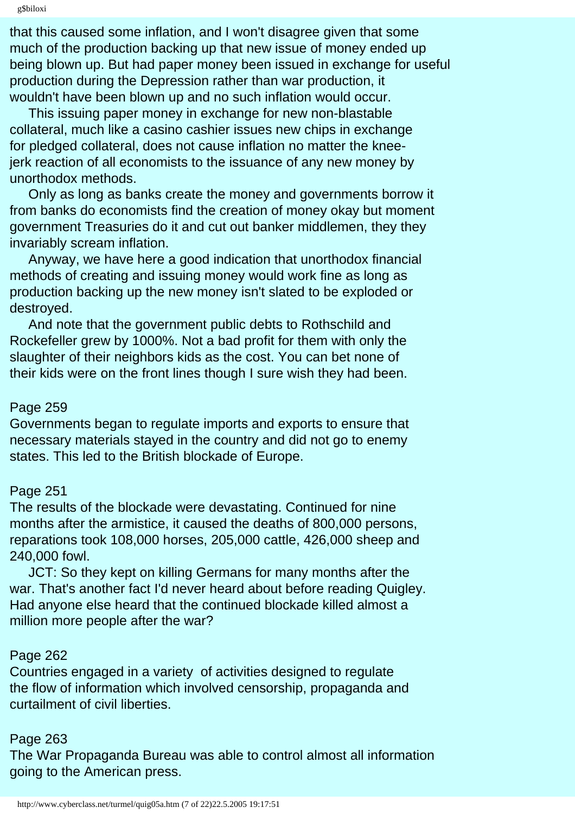that this caused some inflation, and I won't disagree given that some much of the production backing up that new issue of money ended up being blown up. But had paper money been issued in exchange for useful production during the Depression rather than war production, it wouldn't have been blown up and no such inflation would occur.

 This issuing paper money in exchange for new non-blastable collateral, much like a casino cashier issues new chips in exchange for pledged collateral, does not cause inflation no matter the kneejerk reaction of all economists to the issuance of any new money by unorthodox methods.

 Only as long as banks create the money and governments borrow it from banks do economists find the creation of money okay but moment government Treasuries do it and cut out banker middlemen, they they invariably scream inflation.

 Anyway, we have here a good indication that unorthodox financial methods of creating and issuing money would work fine as long as production backing up the new money isn't slated to be exploded or destroyed.

 And note that the government public debts to Rothschild and Rockefeller grew by 1000%. Not a bad profit for them with only the slaughter of their neighbors kids as the cost. You can bet none of their kids were on the front lines though I sure wish they had been.

### Page 259

Governments began to regulate imports and exports to ensure that necessary materials stayed in the country and did not go to enemy states. This led to the British blockade of Europe.

### Page 251

The results of the blockade were devastating. Continued for nine months after the armistice, it caused the deaths of 800,000 persons, reparations took 108,000 horses, 205,000 cattle, 426,000 sheep and 240,000 fowl.

 JCT: So they kept on killing Germans for many months after the war. That's another fact I'd never heard about before reading Quigley. Had anyone else heard that the continued blockade killed almost a million more people after the war?

### Page 262

Countries engaged in a variety of activities designed to regulate the flow of information which involved censorship, propaganda and curtailment of civil liberties.

### Page 263

The War Propaganda Bureau was able to control almost all information going to the American press.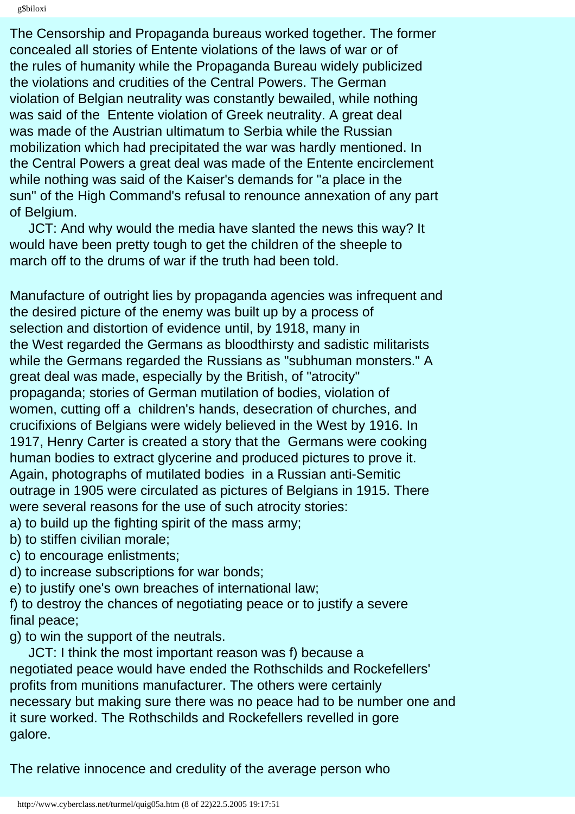g\$biloxi

The Censorship and Propaganda bureaus worked together. The former concealed all stories of Entente violations of the laws of war or of the rules of humanity while the Propaganda Bureau widely publicized the violations and crudities of the Central Powers. The German violation of Belgian neutrality was constantly bewailed, while nothing was said of the Entente violation of Greek neutrality. A great deal was made of the Austrian ultimatum to Serbia while the Russian mobilization which had precipitated the war was hardly mentioned. In the Central Powers a great deal was made of the Entente encirclement while nothing was said of the Kaiser's demands for "a place in the sun" of the High Command's refusal to renounce annexation of any part of Belgium.

 JCT: And why would the media have slanted the news this way? It would have been pretty tough to get the children of the sheeple to march off to the drums of war if the truth had been told.

Manufacture of outright lies by propaganda agencies was infrequent and the desired picture of the enemy was built up by a process of selection and distortion of evidence until, by 1918, many in the West regarded the Germans as bloodthirsty and sadistic militarists while the Germans regarded the Russians as "subhuman monsters." A great deal was made, especially by the British, of "atrocity" propaganda; stories of German mutilation of bodies, violation of women, cutting off a children's hands, desecration of churches, and crucifixions of Belgians were widely believed in the West by 1916. In 1917, Henry Carter is created a story that the Germans were cooking human bodies to extract glycerine and produced pictures to prove it. Again, photographs of mutilated bodies in a Russian anti-Semitic outrage in 1905 were circulated as pictures of Belgians in 1915. There were several reasons for the use of such atrocity stories:

- a) to build up the fighting spirit of the mass army;
- b) to stiffen civilian morale;
- c) to encourage enlistments;
- d) to increase subscriptions for war bonds;
- e) to justify one's own breaches of international law;

f) to destroy the chances of negotiating peace or to justify a severe final peace;

g) to win the support of the neutrals.

 JCT: I think the most important reason was f) because a negotiated peace would have ended the Rothschilds and Rockefellers' profits from munitions manufacturer. The others were certainly necessary but making sure there was no peace had to be number one and it sure worked. The Rothschilds and Rockefellers revelled in gore galore.

The relative innocence and credulity of the average person who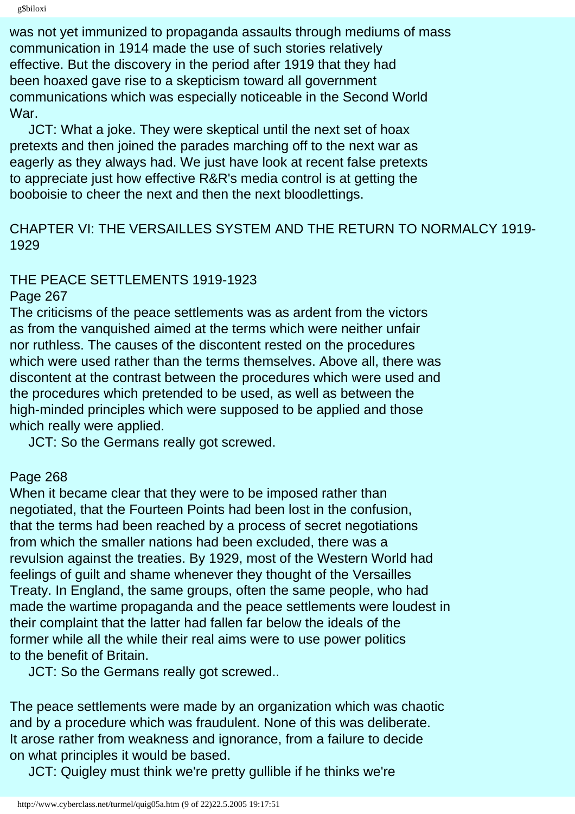g\$biloxi

was not yet immunized to propaganda assaults through mediums of mass communication in 1914 made the use of such stories relatively effective. But the discovery in the period after 1919 that they had been hoaxed gave rise to a skepticism toward all government communications which was especially noticeable in the Second World War.

 JCT: What a joke. They were skeptical until the next set of hoax pretexts and then joined the parades marching off to the next war as eagerly as they always had. We just have look at recent false pretexts to appreciate just how effective R&R's media control is at getting the booboisie to cheer the next and then the next bloodlettings.

# CHAPTER VI: THE VERSAILLES SYSTEM AND THE RETURN TO NORMALCY 1919-1929

# THE PEACE SETTLEMENTS 1919-1923

Page 267

The criticisms of the peace settlements was as ardent from the victors as from the vanquished aimed at the terms which were neither unfair nor ruthless. The causes of the discontent rested on the procedures which were used rather than the terms themselves. Above all, there was discontent at the contrast between the procedures which were used and the procedures which pretended to be used, as well as between the high-minded principles which were supposed to be applied and those which really were applied.

JCT: So the Germans really got screwed.

# Page 268

When it became clear that they were to be imposed rather than negotiated, that the Fourteen Points had been lost in the confusion, that the terms had been reached by a process of secret negotiations from which the smaller nations had been excluded, there was a revulsion against the treaties. By 1929, most of the Western World had feelings of guilt and shame whenever they thought of the Versailles Treaty. In England, the same groups, often the same people, who had made the wartime propaganda and the peace settlements were loudest in their complaint that the latter had fallen far below the ideals of the former while all the while their real aims were to use power politics to the benefit of Britain.

JCT: So the Germans really got screwed..

The peace settlements were made by an organization which was chaotic and by a procedure which was fraudulent. None of this was deliberate. It arose rather from weakness and ignorance, from a failure to decide on what principles it would be based.

JCT: Quigley must think we're pretty gullible if he thinks we're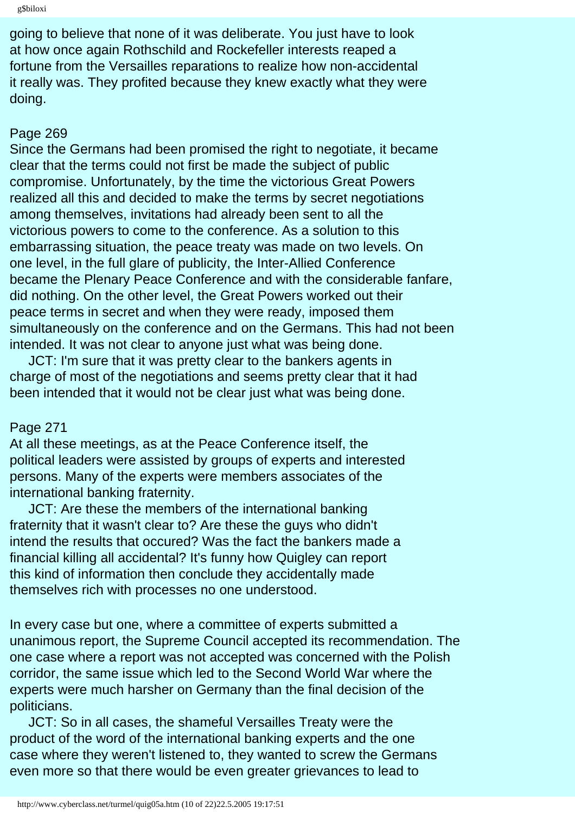going to believe that none of it was deliberate. You just have to look at how once again Rothschild and Rockefeller interests reaped a fortune from the Versailles reparations to realize how non-accidental it really was. They profited because they knew exactly what they were doing.

### Page 269

Since the Germans had been promised the right to negotiate, it became clear that the terms could not first be made the subject of public compromise. Unfortunately, by the time the victorious Great Powers realized all this and decided to make the terms by secret negotiations among themselves, invitations had already been sent to all the victorious powers to come to the conference. As a solution to this embarrassing situation, the peace treaty was made on two levels. On one level, in the full glare of publicity, the Inter-Allied Conference became the Plenary Peace Conference and with the considerable fanfare, did nothing. On the other level, the Great Powers worked out their peace terms in secret and when they were ready, imposed them simultaneously on the conference and on the Germans. This had not been intended. It was not clear to anyone just what was being done.

 JCT: I'm sure that it was pretty clear to the bankers agents in charge of most of the negotiations and seems pretty clear that it had been intended that it would not be clear just what was being done.

# Page 271

At all these meetings, as at the Peace Conference itself, the political leaders were assisted by groups of experts and interested persons. Many of the experts were members associates of the international banking fraternity.

 JCT: Are these the members of the international banking fraternity that it wasn't clear to? Are these the guys who didn't intend the results that occured? Was the fact the bankers made a financial killing all accidental? It's funny how Quigley can report this kind of information then conclude they accidentally made themselves rich with processes no one understood.

In every case but one, where a committee of experts submitted a unanimous report, the Supreme Council accepted its recommendation. The one case where a report was not accepted was concerned with the Polish corridor, the same issue which led to the Second World War where the experts were much harsher on Germany than the final decision of the politicians.

 JCT: So in all cases, the shameful Versailles Treaty were the product of the word of the international banking experts and the one case where they weren't listened to, they wanted to screw the Germans even more so that there would be even greater grievances to lead to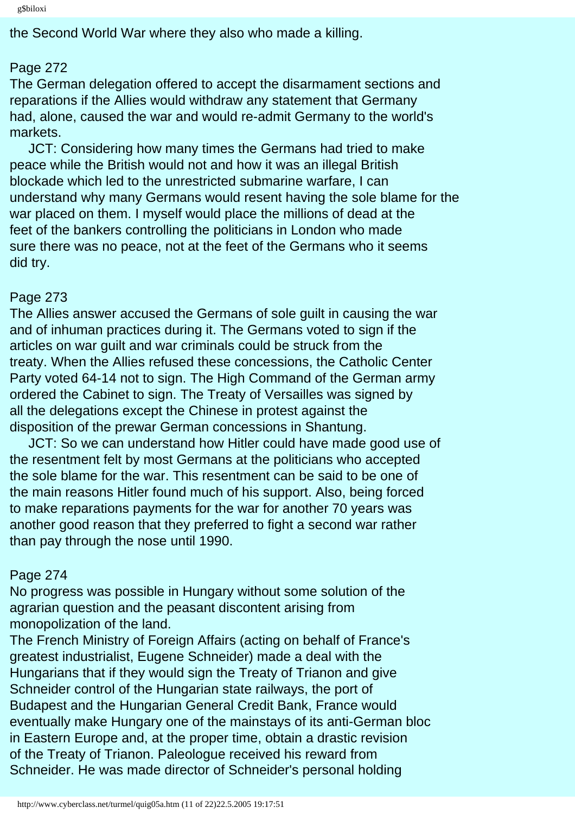the Second World War where they also who made a killing.

### Page 272

The German delegation offered to accept the disarmament sections and reparations if the Allies would withdraw any statement that Germany had, alone, caused the war and would re-admit Germany to the world's markets.

 JCT: Considering how many times the Germans had tried to make peace while the British would not and how it was an illegal British blockade which led to the unrestricted submarine warfare, I can understand why many Germans would resent having the sole blame for the war placed on them. I myself would place the millions of dead at the feet of the bankers controlling the politicians in London who made sure there was no peace, not at the feet of the Germans who it seems did try.

### Page 273

The Allies answer accused the Germans of sole guilt in causing the war and of inhuman practices during it. The Germans voted to sign if the articles on war guilt and war criminals could be struck from the treaty. When the Allies refused these concessions, the Catholic Center Party voted 64-14 not to sign. The High Command of the German army ordered the Cabinet to sign. The Treaty of Versailles was signed by all the delegations except the Chinese in protest against the disposition of the prewar German concessions in Shantung.

 JCT: So we can understand how Hitler could have made good use of the resentment felt by most Germans at the politicians who accepted the sole blame for the war. This resentment can be said to be one of the main reasons Hitler found much of his support. Also, being forced to make reparations payments for the war for another 70 years was another good reason that they preferred to fight a second war rather than pay through the nose until 1990.

### Page 274

No progress was possible in Hungary without some solution of the agrarian question and the peasant discontent arising from monopolization of the land.

The French Ministry of Foreign Affairs (acting on behalf of France's greatest industrialist, Eugene Schneider) made a deal with the Hungarians that if they would sign the Treaty of Trianon and give Schneider control of the Hungarian state railways, the port of Budapest and the Hungarian General Credit Bank, France would eventually make Hungary one of the mainstays of its anti-German bloc in Eastern Europe and, at the proper time, obtain a drastic revision of the Treaty of Trianon. Paleologue received his reward from Schneider. He was made director of Schneider's personal holding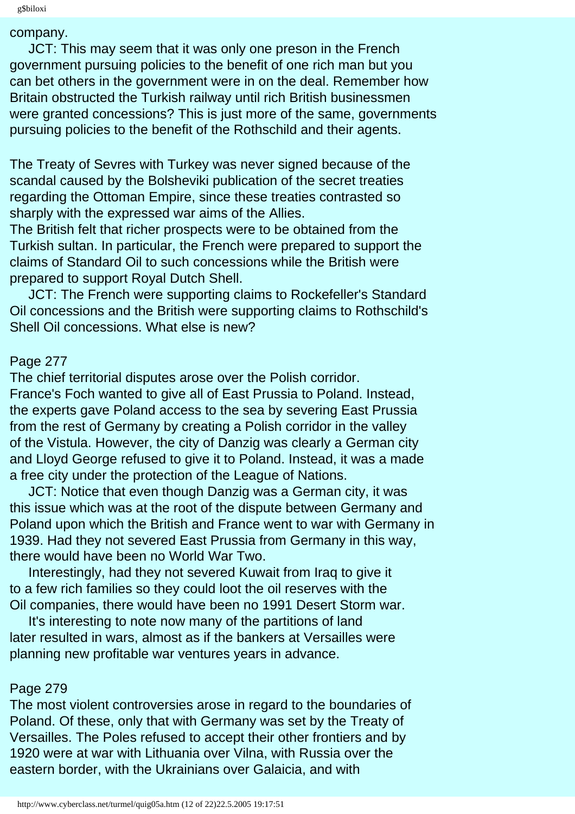### company.

 JCT: This may seem that it was only one preson in the French government pursuing policies to the benefit of one rich man but you can bet others in the government were in on the deal. Remember how Britain obstructed the Turkish railway until rich British businessmen were granted concessions? This is just more of the same, governments pursuing policies to the benefit of the Rothschild and their agents.

The Treaty of Sevres with Turkey was never signed because of the scandal caused by the Bolsheviki publication of the secret treaties regarding the Ottoman Empire, since these treaties contrasted so sharply with the expressed war aims of the Allies.

The British felt that richer prospects were to be obtained from the Turkish sultan. In particular, the French were prepared to support the claims of Standard Oil to such concessions while the British were prepared to support Royal Dutch Shell.

 JCT: The French were supporting claims to Rockefeller's Standard Oil concessions and the British were supporting claims to Rothschild's Shell Oil concessions. What else is new?

### Page 277

The chief territorial disputes arose over the Polish corridor. France's Foch wanted to give all of East Prussia to Poland. Instead, the experts gave Poland access to the sea by severing East Prussia from the rest of Germany by creating a Polish corridor in the valley of the Vistula. However, the city of Danzig was clearly a German city and Lloyd George refused to give it to Poland. Instead, it was a made a free city under the protection of the League of Nations.

 JCT: Notice that even though Danzig was a German city, it was this issue which was at the root of the dispute between Germany and Poland upon which the British and France went to war with Germany in 1939. Had they not severed East Prussia from Germany in this way, there would have been no World War Two.

 Interestingly, had they not severed Kuwait from Iraq to give it to a few rich families so they could loot the oil reserves with the Oil companies, there would have been no 1991 Desert Storm war.

 It's interesting to note now many of the partitions of land later resulted in wars, almost as if the bankers at Versailles were planning new profitable war ventures years in advance.

### Page 279

The most violent controversies arose in regard to the boundaries of Poland. Of these, only that with Germany was set by the Treaty of Versailles. The Poles refused to accept their other frontiers and by 1920 were at war with Lithuania over Vilna, with Russia over the eastern border, with the Ukrainians over Galaicia, and with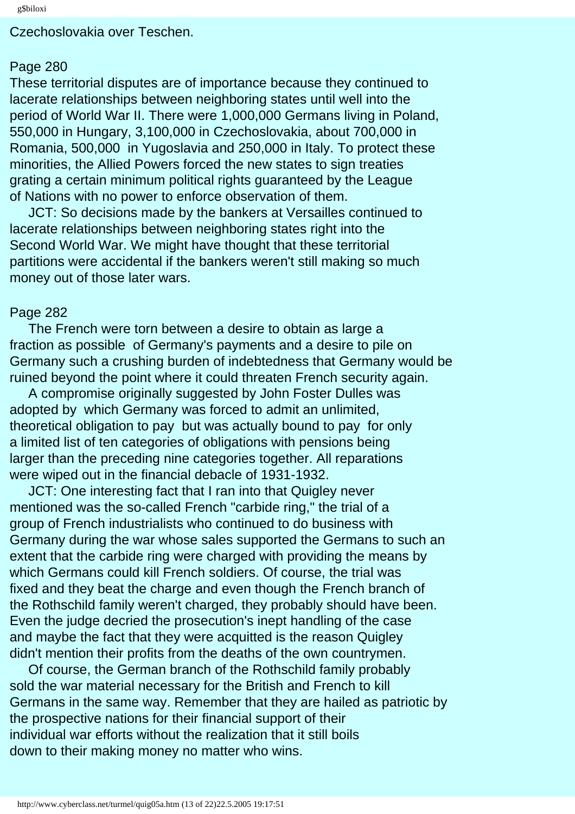# Czechoslovakia over Teschen.

#### Page 280

These territorial disputes are of importance because they continued to lacerate relationships between neighboring states until well into the period of World War II. There were 1,000,000 Germans living in Poland, 550,000 in Hungary, 3,100,000 in Czechoslovakia, about 700,000 in Romania, 500,000 in Yugoslavia and 250,000 in Italy. To protect these minorities, the Allied Powers forced the new states to sign treaties grating a certain minimum political rights guaranteed by the League of Nations with no power to enforce observation of them.

 JCT: So decisions made by the bankers at Versailles continued to lacerate relationships between neighboring states right into the Second World War. We might have thought that these territorial partitions were accidental if the bankers weren't still making so much money out of those later wars.

### Page 282

 The French were torn between a desire to obtain as large a fraction as possible of Germany's payments and a desire to pile on Germany such a crushing burden of indebtedness that Germany would be ruined beyond the point where it could threaten French security again.

 A compromise originally suggested by John Foster Dulles was adopted by which Germany was forced to admit an unlimited, theoretical obligation to pay but was actually bound to pay for only a limited list of ten categories of obligations with pensions being larger than the preceding nine categories together. All reparations were wiped out in the financial debacle of 1931-1932.

 JCT: One interesting fact that I ran into that Quigley never mentioned was the so-called French "carbide ring," the trial of a group of French industrialists who continued to do business with Germany during the war whose sales supported the Germans to such an extent that the carbide ring were charged with providing the means by which Germans could kill French soldiers. Of course, the trial was fixed and they beat the charge and even though the French branch of the Rothschild family weren't charged, they probably should have been. Even the judge decried the prosecution's inept handling of the case and maybe the fact that they were acquitted is the reason Quigley didn't mention their profits from the deaths of the own countrymen.

 Of course, the German branch of the Rothschild family probably sold the war material necessary for the British and French to kill Germans in the same way. Remember that they are hailed as patriotic by the prospective nations for their financial support of their individual war efforts without the realization that it still boils down to their making money no matter who wins.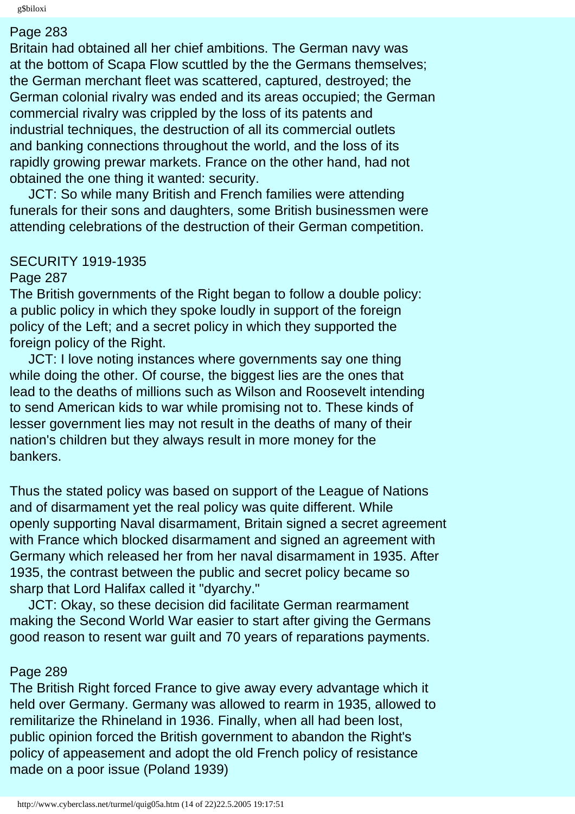# Page 283

Britain had obtained all her chief ambitions. The German navy was at the bottom of Scapa Flow scuttled by the the Germans themselves; the German merchant fleet was scattered, captured, destroyed; the German colonial rivalry was ended and its areas occupied; the German commercial rivalry was crippled by the loss of its patents and industrial techniques, the destruction of all its commercial outlets and banking connections throughout the world, and the loss of its rapidly growing prewar markets. France on the other hand, had not obtained the one thing it wanted: security.

 JCT: So while many British and French families were attending funerals for their sons and daughters, some British businessmen were attending celebrations of the destruction of their German competition.

### SECURITY 1919-1935

### Page 287

The British governments of the Right began to follow a double policy: a public policy in which they spoke loudly in support of the foreign policy of the Left; and a secret policy in which they supported the foreign policy of the Right.

 JCT: I love noting instances where governments say one thing while doing the other. Of course, the biggest lies are the ones that lead to the deaths of millions such as Wilson and Roosevelt intending to send American kids to war while promising not to. These kinds of lesser government lies may not result in the deaths of many of their nation's children but they always result in more money for the bankers.

Thus the stated policy was based on support of the League of Nations and of disarmament yet the real policy was quite different. While openly supporting Naval disarmament, Britain signed a secret agreement with France which blocked disarmament and signed an agreement with Germany which released her from her naval disarmament in 1935. After 1935, the contrast between the public and secret policy became so sharp that Lord Halifax called it "dyarchy."

 JCT: Okay, so these decision did facilitate German rearmament making the Second World War easier to start after giving the Germans good reason to resent war guilt and 70 years of reparations payments.

# Page 289

The British Right forced France to give away every advantage which it held over Germany. Germany was allowed to rearm in 1935, allowed to remilitarize the Rhineland in 1936. Finally, when all had been lost, public opinion forced the British government to abandon the Right's policy of appeasement and adopt the old French policy of resistance made on a poor issue (Poland 1939)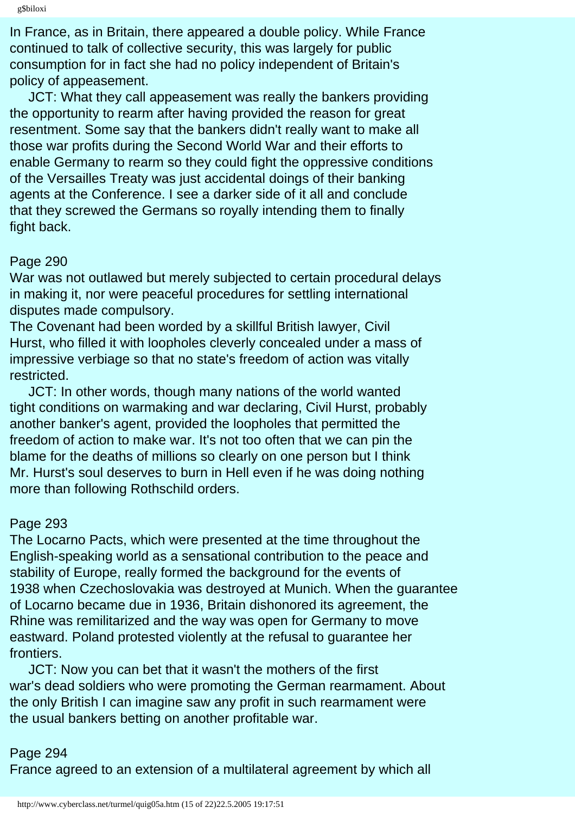In France, as in Britain, there appeared a double policy. While France continued to talk of collective security, this was largely for public consumption for in fact she had no policy independent of Britain's policy of appeasement.

 JCT: What they call appeasement was really the bankers providing the opportunity to rearm after having provided the reason for great resentment. Some say that the bankers didn't really want to make all those war profits during the Second World War and their efforts to enable Germany to rearm so they could fight the oppressive conditions of the Versailles Treaty was just accidental doings of their banking agents at the Conference. I see a darker side of it all and conclude that they screwed the Germans so royally intending them to finally fight back.

### Page 290

War was not outlawed but merely subjected to certain procedural delays in making it, nor were peaceful procedures for settling international disputes made compulsory.

The Covenant had been worded by a skillful British lawyer, Civil Hurst, who filled it with loopholes cleverly concealed under a mass of impressive verbiage so that no state's freedom of action was vitally restricted.

 JCT: In other words, though many nations of the world wanted tight conditions on warmaking and war declaring, Civil Hurst, probably another banker's agent, provided the loopholes that permitted the freedom of action to make war. It's not too often that we can pin the blame for the deaths of millions so clearly on one person but I think Mr. Hurst's soul deserves to burn in Hell even if he was doing nothing more than following Rothschild orders.

### Page 293

The Locarno Pacts, which were presented at the time throughout the English-speaking world as a sensational contribution to the peace and stability of Europe, really formed the background for the events of 1938 when Czechoslovakia was destroyed at Munich. When the guarantee of Locarno became due in 1936, Britain dishonored its agreement, the Rhine was remilitarized and the way was open for Germany to move eastward. Poland protested violently at the refusal to guarantee her frontiers.

 JCT: Now you can bet that it wasn't the mothers of the first war's dead soldiers who were promoting the German rearmament. About the only British I can imagine saw any profit in such rearmament were the usual bankers betting on another profitable war.

# Page 294

France agreed to an extension of a multilateral agreement by which all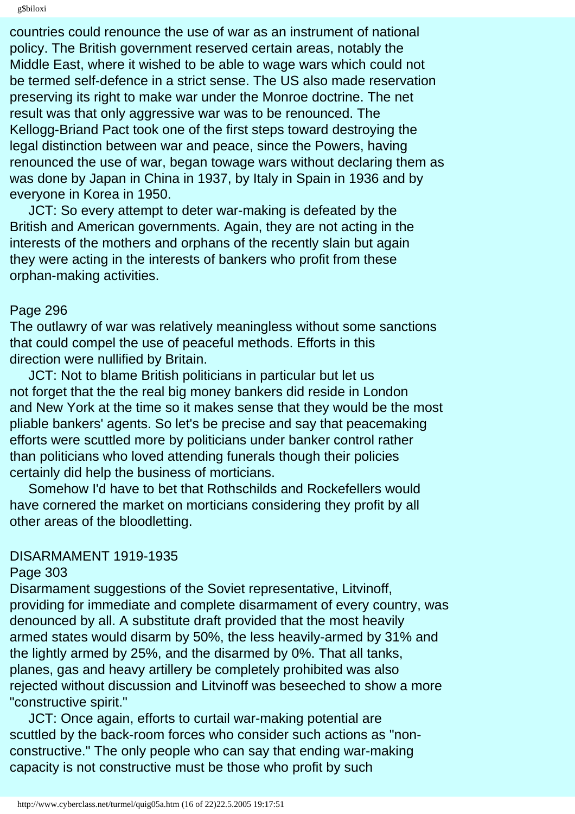countries could renounce the use of war as an instrument of national policy. The British government reserved certain areas, notably the Middle East, where it wished to be able to wage wars which could not be termed self-defence in a strict sense. The US also made reservation preserving its right to make war under the Monroe doctrine. The net result was that only aggressive war was to be renounced. The Kellogg-Briand Pact took one of the first steps toward destroying the legal distinction between war and peace, since the Powers, having renounced the use of war, began towage wars without declaring them as was done by Japan in China in 1937, by Italy in Spain in 1936 and by everyone in Korea in 1950.

 JCT: So every attempt to deter war-making is defeated by the British and American governments. Again, they are not acting in the interests of the mothers and orphans of the recently slain but again they were acting in the interests of bankers who profit from these orphan-making activities.

### Page 296

The outlawry of war was relatively meaningless without some sanctions that could compel the use of peaceful methods. Efforts in this direction were nullified by Britain.

 JCT: Not to blame British politicians in particular but let us not forget that the the real big money bankers did reside in London and New York at the time so it makes sense that they would be the most pliable bankers' agents. So let's be precise and say that peacemaking efforts were scuttled more by politicians under banker control rather than politicians who loved attending funerals though their policies certainly did help the business of morticians.

 Somehow I'd have to bet that Rothschilds and Rockefellers would have cornered the market on morticians considering they profit by all other areas of the bloodletting.

### DISARMAMENT 1919-1935

#### Page 303

Disarmament suggestions of the Soviet representative, Litvinoff, providing for immediate and complete disarmament of every country, was denounced by all. A substitute draft provided that the most heavily armed states would disarm by 50%, the less heavily-armed by 31% and the lightly armed by 25%, and the disarmed by 0%. That all tanks, planes, gas and heavy artillery be completely prohibited was also rejected without discussion and Litvinoff was beseeched to show a more "constructive spirit."

 JCT: Once again, efforts to curtail war-making potential are scuttled by the back-room forces who consider such actions as "nonconstructive." The only people who can say that ending war-making capacity is not constructive must be those who profit by such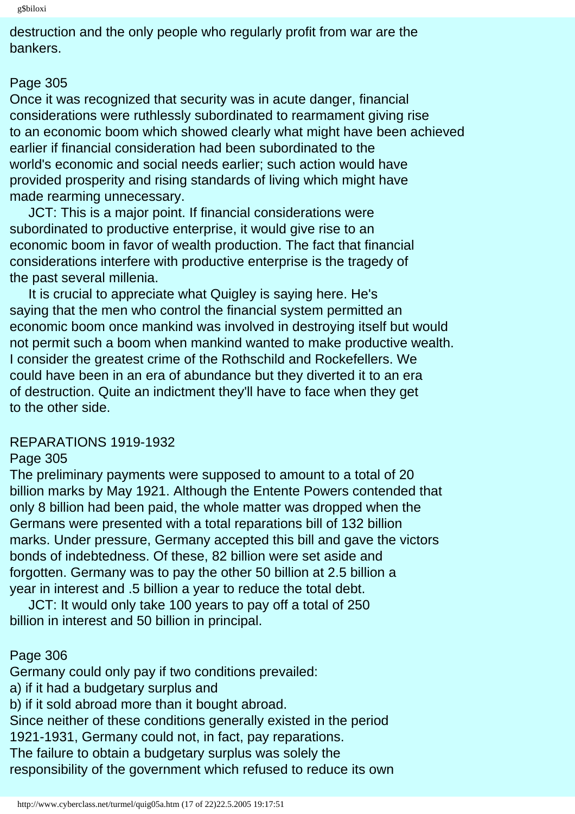destruction and the only people who regularly profit from war are the bankers.

### Page 305

Once it was recognized that security was in acute danger, financial considerations were ruthlessly subordinated to rearmament giving rise to an economic boom which showed clearly what might have been achieved earlier if financial consideration had been subordinated to the world's economic and social needs earlier; such action would have provided prosperity and rising standards of living which might have made rearming unnecessary.

 JCT: This is a major point. If financial considerations were subordinated to productive enterprise, it would give rise to an economic boom in favor of wealth production. The fact that financial considerations interfere with productive enterprise is the tragedy of the past several millenia.

 It is crucial to appreciate what Quigley is saying here. He's saying that the men who control the financial system permitted an economic boom once mankind was involved in destroying itself but would not permit such a boom when mankind wanted to make productive wealth. I consider the greatest crime of the Rothschild and Rockefellers. We could have been in an era of abundance but they diverted it to an era of destruction. Quite an indictment they'll have to face when they get to the other side.

### REPARATIONS 1919-1932

### Page 305

The preliminary payments were supposed to amount to a total of 20 billion marks by May 1921. Although the Entente Powers contended that only 8 billion had been paid, the whole matter was dropped when the Germans were presented with a total reparations bill of 132 billion marks. Under pressure, Germany accepted this bill and gave the victors bonds of indebtedness. Of these, 82 billion were set aside and forgotten. Germany was to pay the other 50 billion at 2.5 billion a year in interest and .5 billion a year to reduce the total debt.

 JCT: It would only take 100 years to pay off a total of 250 billion in interest and 50 billion in principal.

#### Page 306

Germany could only pay if two conditions prevailed:

a) if it had a budgetary surplus and

b) if it sold abroad more than it bought abroad.

Since neither of these conditions generally existed in the period

1921-1931, Germany could not, in fact, pay reparations.

The failure to obtain a budgetary surplus was solely the

responsibility of the government which refused to reduce its own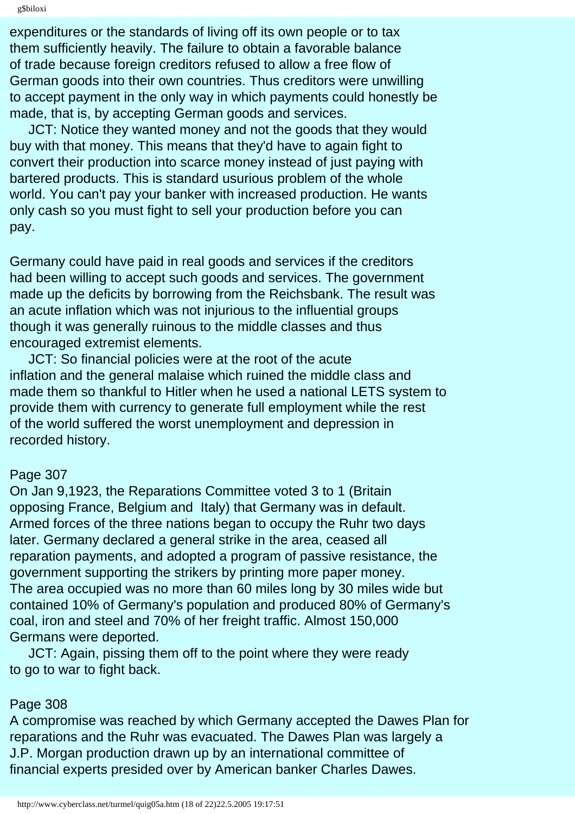g\$biloxi

expenditures or the standards of living off its own people or to tax them sufficiently heavily. The failure to obtain a favorable balance of trade because foreign creditors refused to allow a free flow of German goods into their own countries. Thus creditors were unwilling to accept payment in the only way in which payments could honestly be made, that is, by accepting German goods and services.

 JCT: Notice they wanted money and not the goods that they would buy with that money. This means that they'd have to again fight to convert their production into scarce money instead of just paying with bartered products. This is standard usurious problem of the whole world. You can't pay your banker with increased production. He wants only cash so you must fight to sell your production before you can pay.

Germany could have paid in real goods and services if the creditors had been willing to accept such goods and services. The government made up the deficits by borrowing from the Reichsbank. The result was an acute inflation which was not injurious to the influential groups though it was generally ruinous to the middle classes and thus encouraged extremist elements.

 JCT: So financial policies were at the root of the acute inflation and the general malaise which ruined the middle class and made them so thankful to Hitler when he used a national LETS system to provide them with currency to generate full employment while the rest of the world suffered the worst unemployment and depression in recorded history.

### Page 307

On Jan 9,1923, the Reparations Committee voted 3 to 1 (Britain opposing France, Belgium and Italy) that Germany was in default. Armed forces of the three nations began to occupy the Ruhr two days later. Germany declared a general strike in the area, ceased all reparation payments, and adopted a program of passive resistance, the government supporting the strikers by printing more paper money. The area occupied was no more than 60 miles long by 30 miles wide but contained 10% of Germany's population and produced 80% of Germany's coal, iron and steel and 70% of her freight traffic. Almost 150,000 Germans were deported.

 JCT: Again, pissing them off to the point where they were ready to go to war to fight back.

# Page 308

A compromise was reached by which Germany accepted the Dawes Plan for reparations and the Ruhr was evacuated. The Dawes Plan was largely a J.P. Morgan production drawn up by an international committee of financial experts presided over by American banker Charles Dawes.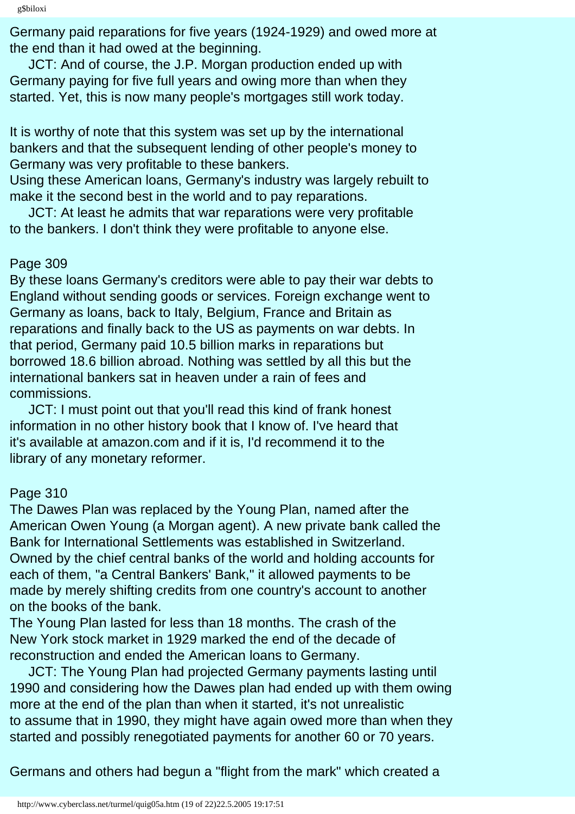Germany paid reparations for five years (1924-1929) and owed more at the end than it had owed at the beginning.

 JCT: And of course, the J.P. Morgan production ended up with Germany paying for five full years and owing more than when they started. Yet, this is now many people's mortgages still work today.

It is worthy of note that this system was set up by the international bankers and that the subsequent lending of other people's money to Germany was very profitable to these bankers.

Using these American loans, Germany's industry was largely rebuilt to make it the second best in the world and to pay reparations.

 JCT: At least he admits that war reparations were very profitable to the bankers. I don't think they were profitable to anyone else.

# Page 309

By these loans Germany's creditors were able to pay their war debts to England without sending goods or services. Foreign exchange went to Germany as loans, back to Italy, Belgium, France and Britain as reparations and finally back to the US as payments on war debts. In that period, Germany paid 10.5 billion marks in reparations but borrowed 18.6 billion abroad. Nothing was settled by all this but the international bankers sat in heaven under a rain of fees and commissions.

 JCT: I must point out that you'll read this kind of frank honest information in no other history book that I know of. I've heard that it's available at amazon.com and if it is, I'd recommend it to the library of any monetary reformer.

# Page 310

The Dawes Plan was replaced by the Young Plan, named after the American Owen Young (a Morgan agent). A new private bank called the Bank for International Settlements was established in Switzerland. Owned by the chief central banks of the world and holding accounts for each of them, "a Central Bankers' Bank," it allowed payments to be made by merely shifting credits from one country's account to another on the books of the bank.

The Young Plan lasted for less than 18 months. The crash of the New York stock market in 1929 marked the end of the decade of reconstruction and ended the American loans to Germany.

 JCT: The Young Plan had projected Germany payments lasting until 1990 and considering how the Dawes plan had ended up with them owing more at the end of the plan than when it started, it's not unrealistic to assume that in 1990, they might have again owed more than when they started and possibly renegotiated payments for another 60 or 70 years.

Germans and others had begun a "flight from the mark" which created a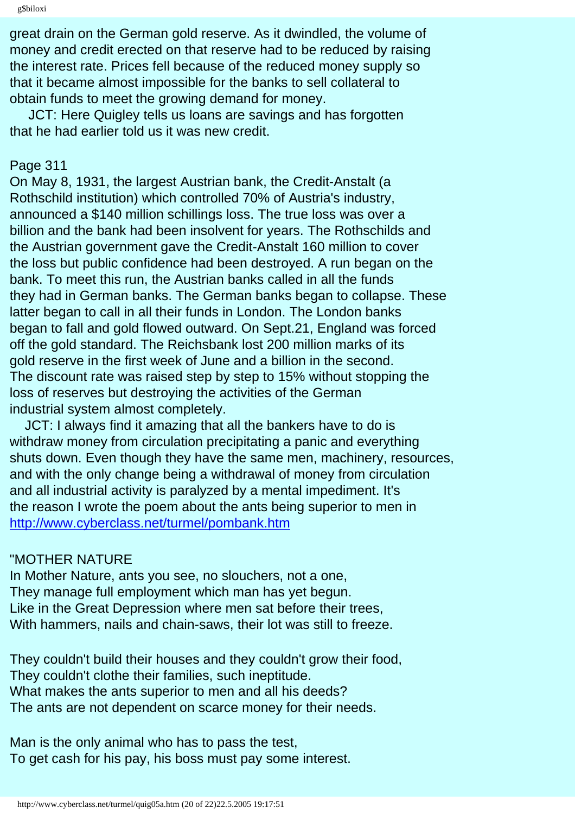great drain on the German gold reserve. As it dwindled, the volume of money and credit erected on that reserve had to be reduced by raising the interest rate. Prices fell because of the reduced money supply so that it became almost impossible for the banks to sell collateral to obtain funds to meet the growing demand for money.

 JCT: Here Quigley tells us loans are savings and has forgotten that he had earlier told us it was new credit.

### Page 311

On May 8, 1931, the largest Austrian bank, the Credit-Anstalt (a Rothschild institution) which controlled 70% of Austria's industry, announced a \$140 million schillings loss. The true loss was over a billion and the bank had been insolvent for years. The Rothschilds and the Austrian government gave the Credit-Anstalt 160 million to cover the loss but public confidence had been destroyed. A run began on the bank. To meet this run, the Austrian banks called in all the funds they had in German banks. The German banks began to collapse. These latter began to call in all their funds in London. The London banks began to fall and gold flowed outward. On Sept.21, England was forced off the gold standard. The Reichsbank lost 200 million marks of its gold reserve in the first week of June and a billion in the second. The discount rate was raised step by step to 15% without stopping the loss of reserves but destroying the activities of the German industrial system almost completely.

 JCT: I always find it amazing that all the bankers have to do is withdraw money from circulation precipitating a panic and everything shuts down. Even though they have the same men, machinery, resources, and with the only change being a withdrawal of money from circulation and all industrial activity is paralyzed by a mental impediment. It's the reason I wrote the poem about the ants being superior to men in <http://www.cyberclass.net/turmel/pombank.htm>

### "MOTHER NATURE

In Mother Nature, ants you see, no slouchers, not a one, They manage full employment which man has yet begun. Like in the Great Depression where men sat before their trees, With hammers, nails and chain-saws, their lot was still to freeze.

They couldn't build their houses and they couldn't grow their food, They couldn't clothe their families, such ineptitude. What makes the ants superior to men and all his deeds? The ants are not dependent on scarce money for their needs.

Man is the only animal who has to pass the test, To get cash for his pay, his boss must pay some interest.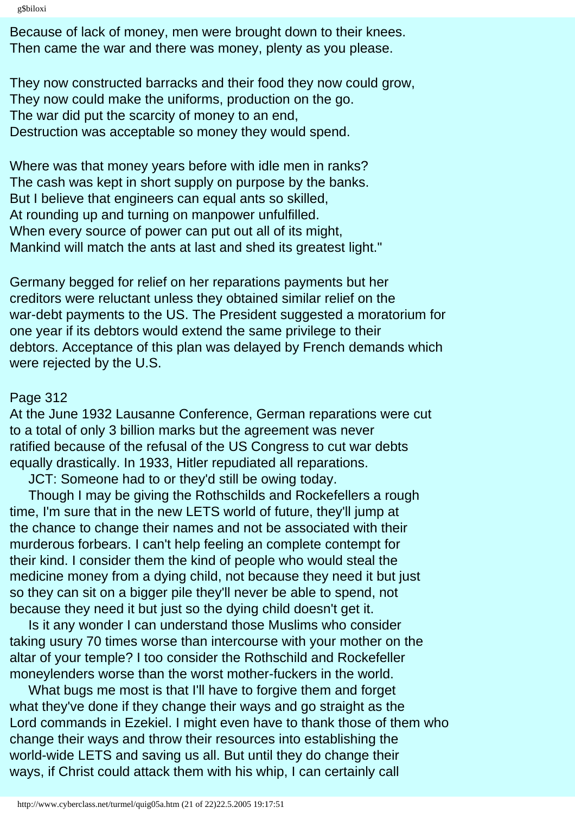g\$biloxi

Because of lack of money, men were brought down to their knees. Then came the war and there was money, plenty as you please.

They now constructed barracks and their food they now could grow, They now could make the uniforms, production on the go. The war did put the scarcity of money to an end, Destruction was acceptable so money they would spend.

Where was that money years before with idle men in ranks? The cash was kept in short supply on purpose by the banks. But I believe that engineers can equal ants so skilled, At rounding up and turning on manpower unfulfilled. When every source of power can put out all of its might, Mankind will match the ants at last and shed its greatest light."

Germany begged for relief on her reparations payments but her creditors were reluctant unless they obtained similar relief on the war-debt payments to the US. The President suggested a moratorium for one year if its debtors would extend the same privilege to their debtors. Acceptance of this plan was delayed by French demands which were rejected by the U.S.

# Page 312

At the June 1932 Lausanne Conference, German reparations were cut to a total of only 3 billion marks but the agreement was never ratified because of the refusal of the US Congress to cut war debts equally drastically. In 1933, Hitler repudiated all reparations.

JCT: Someone had to or they'd still be owing today.

 Though I may be giving the Rothschilds and Rockefellers a rough time, I'm sure that in the new LETS world of future, they'll jump at the chance to change their names and not be associated with their murderous forbears. I can't help feeling an complete contempt for their kind. I consider them the kind of people who would steal the medicine money from a dying child, not because they need it but just so they can sit on a bigger pile they'll never be able to spend, not because they need it but just so the dying child doesn't get it.

 Is it any wonder I can understand those Muslims who consider taking usury 70 times worse than intercourse with your mother on the altar of your temple? I too consider the Rothschild and Rockefeller moneylenders worse than the worst mother-fuckers in the world.

 What bugs me most is that I'll have to forgive them and forget what they've done if they change their ways and go straight as the Lord commands in Ezekiel. I might even have to thank those of them who change their ways and throw their resources into establishing the world-wide LETS and saving us all. But until they do change their ways, if Christ could attack them with his whip, I can certainly call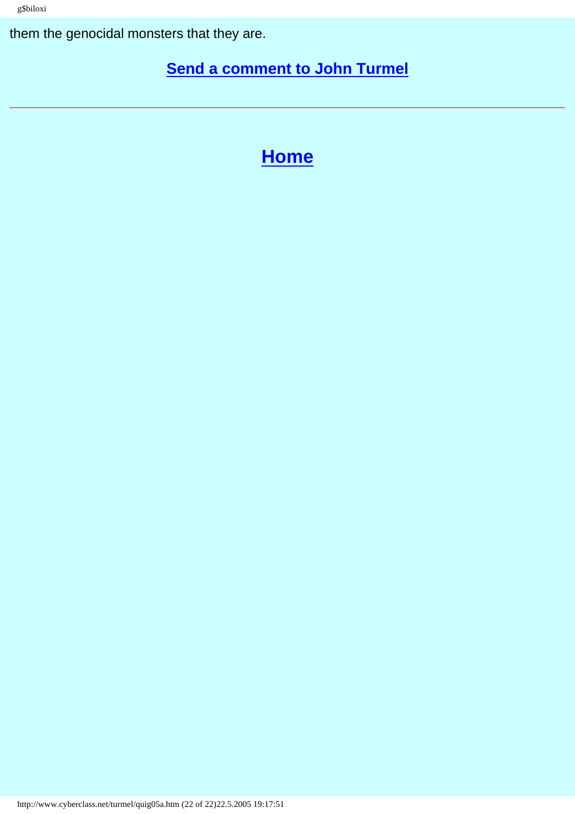them the genocidal monsters that they are.

# **[Send a comment to John Turmel](mailto:%20bc726@freenet.carleton.ca)**

# **[Home](http://www.cyberclass.net/turmel)**

http://www.cyberclass.net/turmel/quig05a.htm (22 of 22)22.5.2005 19:17:51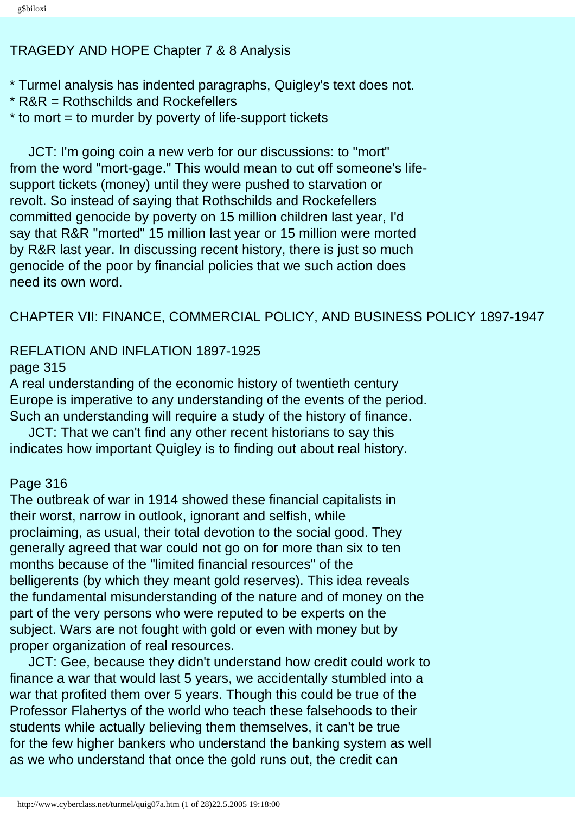# TRAGEDY AND HOPE Chapter 7 & 8 Analysis

- \* Turmel analysis has indented paragraphs, Quigley's text does not.
- \* R&R = Rothschilds and Rockefellers
- \* to mort = to murder by poverty of life-support tickets

 JCT: I'm going coin a new verb for our discussions: to "mort" from the word "mort-gage." This would mean to cut off someone's lifesupport tickets (money) until they were pushed to starvation or revolt. So instead of saying that Rothschilds and Rockefellers committed genocide by poverty on 15 million children last year, I'd say that R&R "morted" 15 million last year or 15 million were morted by R&R last year. In discussing recent history, there is just so much genocide of the poor by financial policies that we such action does need its own word.

# CHAPTER VII: FINANCE, COMMERCIAL POLICY, AND BUSINESS POLICY 1897-1947

# REFLATION AND INFLATION 1897-1925

# page 315

A real understanding of the economic history of twentieth century Europe is imperative to any understanding of the events of the period. Such an understanding will require a study of the history of finance.

 JCT: That we can't find any other recent historians to say this indicates how important Quigley is to finding out about real history.

# Page 316

The outbreak of war in 1914 showed these financial capitalists in their worst, narrow in outlook, ignorant and selfish, while proclaiming, as usual, their total devotion to the social good. They generally agreed that war could not go on for more than six to ten months because of the "limited financial resources" of the belligerents (by which they meant gold reserves). This idea reveals the fundamental misunderstanding of the nature and of money on the part of the very persons who were reputed to be experts on the subject. Wars are not fought with gold or even with money but by proper organization of real resources.

 JCT: Gee, because they didn't understand how credit could work to finance a war that would last 5 years, we accidentally stumbled into a war that profited them over 5 years. Though this could be true of the Professor Flahertys of the world who teach these falsehoods to their students while actually believing them themselves, it can't be true for the few higher bankers who understand the banking system as well as we who understand that once the gold runs out, the credit can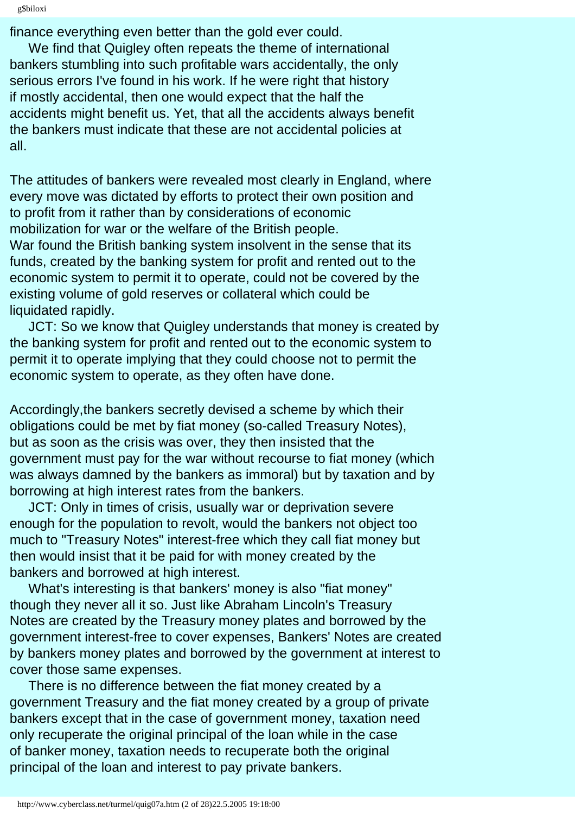g\$biloxi

finance everything even better than the gold ever could.

 We find that Quigley often repeats the theme of international bankers stumbling into such profitable wars accidentally, the only serious errors I've found in his work. If he were right that history if mostly accidental, then one would expect that the half the accidents might benefit us. Yet, that all the accidents always benefit the bankers must indicate that these are not accidental policies at all.

The attitudes of bankers were revealed most clearly in England, where every move was dictated by efforts to protect their own position and to profit from it rather than by considerations of economic mobilization for war or the welfare of the British people. War found the British banking system insolvent in the sense that its funds, created by the banking system for profit and rented out to the economic system to permit it to operate, could not be covered by the existing volume of gold reserves or collateral which could be liquidated rapidly.

 JCT: So we know that Quigley understands that money is created by the banking system for profit and rented out to the economic system to permit it to operate implying that they could choose not to permit the economic system to operate, as they often have done.

Accordingly,the bankers secretly devised a scheme by which their obligations could be met by fiat money (so-called Treasury Notes), but as soon as the crisis was over, they then insisted that the government must pay for the war without recourse to fiat money (which was always damned by the bankers as immoral) but by taxation and by borrowing at high interest rates from the bankers.

 JCT: Only in times of crisis, usually war or deprivation severe enough for the population to revolt, would the bankers not object too much to "Treasury Notes" interest-free which they call fiat money but then would insist that it be paid for with money created by the bankers and borrowed at high interest.

 What's interesting is that bankers' money is also "fiat money" though they never all it so. Just like Abraham Lincoln's Treasury Notes are created by the Treasury money plates and borrowed by the government interest-free to cover expenses, Bankers' Notes are created by bankers money plates and borrowed by the government at interest to cover those same expenses.

 There is no difference between the fiat money created by a government Treasury and the fiat money created by a group of private bankers except that in the case of government money, taxation need only recuperate the original principal of the loan while in the case of banker money, taxation needs to recuperate both the original principal of the loan and interest to pay private bankers.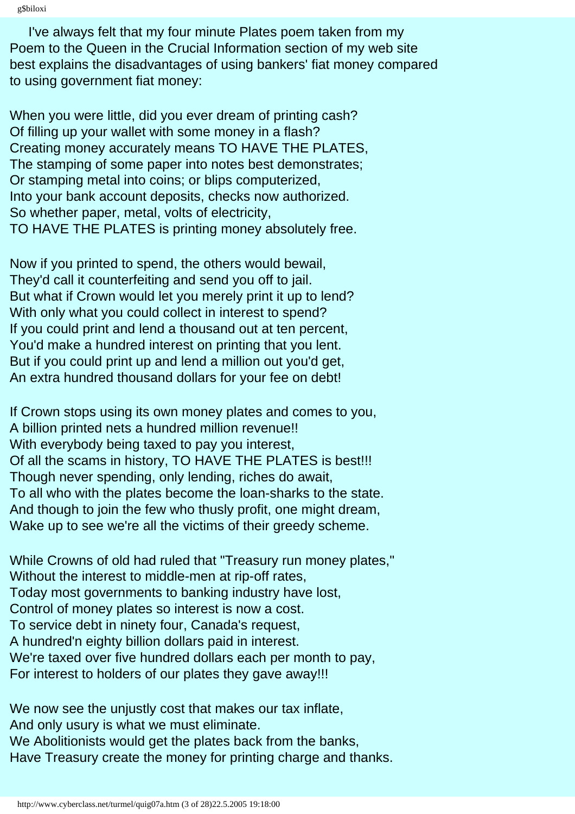I've always felt that my four minute Plates poem taken from my Poem to the Queen in the Crucial Information section of my web site best explains the disadvantages of using bankers' fiat money compared to using government fiat money:

When you were little, did you ever dream of printing cash? Of filling up your wallet with some money in a flash? Creating money accurately means TO HAVE THE PLATES, The stamping of some paper into notes best demonstrates; Or stamping metal into coins; or blips computerized, Into your bank account deposits, checks now authorized. So whether paper, metal, volts of electricity, TO HAVE THE PLATES is printing money absolutely free.

Now if you printed to spend, the others would bewail, They'd call it counterfeiting and send you off to jail. But what if Crown would let you merely print it up to lend? With only what you could collect in interest to spend? If you could print and lend a thousand out at ten percent, You'd make a hundred interest on printing that you lent. But if you could print up and lend a million out you'd get, An extra hundred thousand dollars for your fee on debt!

If Crown stops using its own money plates and comes to you, A billion printed nets a hundred million revenue!! With everybody being taxed to pay you interest, Of all the scams in history, TO HAVE THE PLATES is best!!! Though never spending, only lending, riches do await, To all who with the plates become the loan-sharks to the state. And though to join the few who thusly profit, one might dream, Wake up to see we're all the victims of their greedy scheme.

While Crowns of old had ruled that "Treasury run money plates," Without the interest to middle-men at rip-off rates, Today most governments to banking industry have lost, Control of money plates so interest is now a cost. To service debt in ninety four, Canada's request, A hundred'n eighty billion dollars paid in interest. We're taxed over five hundred dollars each per month to pay, For interest to holders of our plates they gave away!!!

We now see the unjustly cost that makes our tax inflate, And only usury is what we must eliminate. We Abolitionists would get the plates back from the banks, Have Treasury create the money for printing charge and thanks.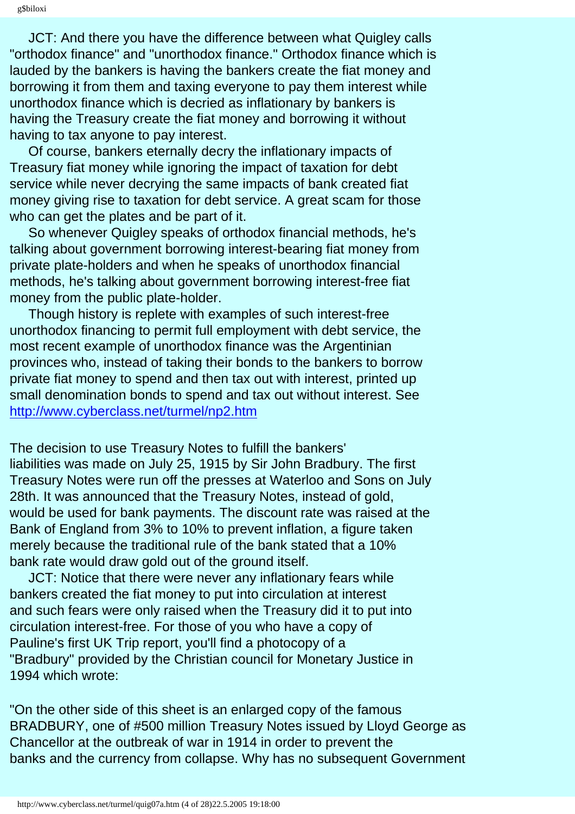JCT: And there you have the difference between what Quigley calls "orthodox finance" and "unorthodox finance." Orthodox finance which is lauded by the bankers is having the bankers create the fiat money and borrowing it from them and taxing everyone to pay them interest while unorthodox finance which is decried as inflationary by bankers is having the Treasury create the fiat money and borrowing it without having to tax anyone to pay interest.

 Of course, bankers eternally decry the inflationary impacts of Treasury fiat money while ignoring the impact of taxation for debt service while never decrying the same impacts of bank created fiat money giving rise to taxation for debt service. A great scam for those who can get the plates and be part of it.

 So whenever Quigley speaks of orthodox financial methods, he's talking about government borrowing interest-bearing fiat money from private plate-holders and when he speaks of unorthodox financial methods, he's talking about government borrowing interest-free fiat money from the public plate-holder.

 Though history is replete with examples of such interest-free unorthodox financing to permit full employment with debt service, the most recent example of unorthodox finance was the Argentinian provinces who, instead of taking their bonds to the bankers to borrow private fiat money to spend and then tax out with interest, printed up small denomination bonds to spend and tax out without interest. See <http://www.cyberclass.net/turmel/np2.htm>

The decision to use Treasury Notes to fulfill the bankers' liabilities was made on July 25, 1915 by Sir John Bradbury. The first Treasury Notes were run off the presses at Waterloo and Sons on July 28th. It was announced that the Treasury Notes, instead of gold, would be used for bank payments. The discount rate was raised at the Bank of England from 3% to 10% to prevent inflation, a figure taken merely because the traditional rule of the bank stated that a 10% bank rate would draw gold out of the ground itself.

 JCT: Notice that there were never any inflationary fears while bankers created the fiat money to put into circulation at interest and such fears were only raised when the Treasury did it to put into circulation interest-free. For those of you who have a copy of Pauline's first UK Trip report, you'll find a photocopy of a "Bradbury" provided by the Christian council for Monetary Justice in 1994 which wrote:

"On the other side of this sheet is an enlarged copy of the famous BRADBURY, one of #500 million Treasury Notes issued by Lloyd George as Chancellor at the outbreak of war in 1914 in order to prevent the banks and the currency from collapse. Why has no subsequent Government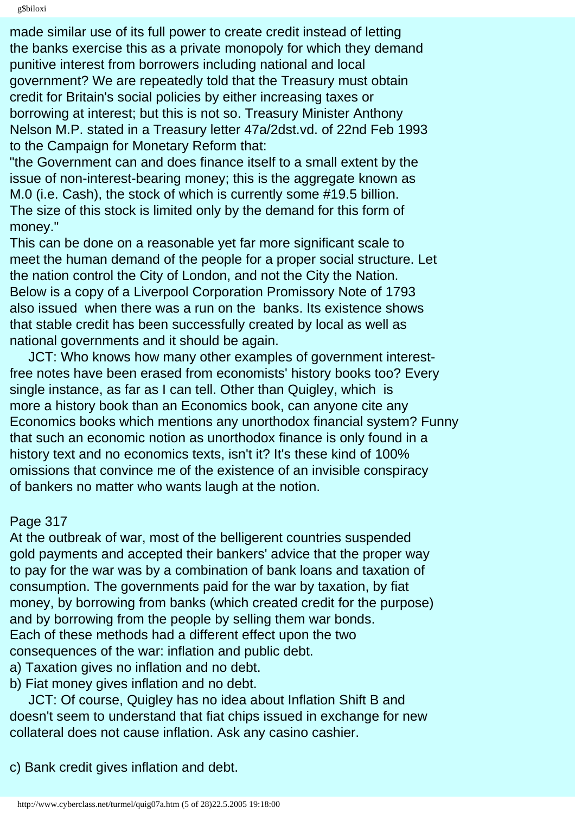g\$biloxi

made similar use of its full power to create credit instead of letting the banks exercise this as a private monopoly for which they demand punitive interest from borrowers including national and local government? We are repeatedly told that the Treasury must obtain credit for Britain's social policies by either increasing taxes or borrowing at interest; but this is not so. Treasury Minister Anthony Nelson M.P. stated in a Treasury letter 47a/2dst.vd. of 22nd Feb 1993 to the Campaign for Monetary Reform that:

"the Government can and does finance itself to a small extent by the issue of non-interest-bearing money; this is the aggregate known as M.0 (i.e. Cash), the stock of which is currently some #19.5 billion. The size of this stock is limited only by the demand for this form of money."

This can be done on a reasonable yet far more significant scale to meet the human demand of the people for a proper social structure. Let the nation control the City of London, and not the City the Nation. Below is a copy of a Liverpool Corporation Promissory Note of 1793 also issued when there was a run on the banks. Its existence shows that stable credit has been successfully created by local as well as national governments and it should be again.

 JCT: Who knows how many other examples of government interestfree notes have been erased from economists' history books too? Every single instance, as far as I can tell. Other than Quigley, which is more a history book than an Economics book, can anyone cite any Economics books which mentions any unorthodox financial system? Funny that such an economic notion as unorthodox finance is only found in a history text and no economics texts, isn't it? It's these kind of 100% omissions that convince me of the existence of an invisible conspiracy of bankers no matter who wants laugh at the notion.

### Page 317

At the outbreak of war, most of the belligerent countries suspended gold payments and accepted their bankers' advice that the proper way to pay for the war was by a combination of bank loans and taxation of consumption. The governments paid for the war by taxation, by fiat money, by borrowing from banks (which created credit for the purpose) and by borrowing from the people by selling them war bonds. Each of these methods had a different effect upon the two consequences of the war: inflation and public debt.

- a) Taxation gives no inflation and no debt.
- b) Fiat money gives inflation and no debt.

 JCT: Of course, Quigley has no idea about Inflation Shift B and doesn't seem to understand that fiat chips issued in exchange for new collateral does not cause inflation. Ask any casino cashier.

c) Bank credit gives inflation and debt.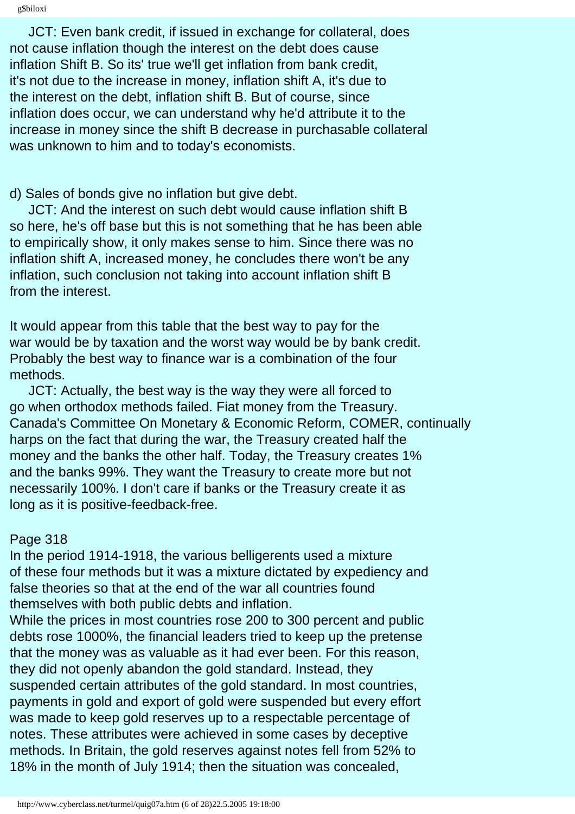JCT: Even bank credit, if issued in exchange for collateral, does not cause inflation though the interest on the debt does cause inflation Shift B. So its' true we'll get inflation from bank credit, it's not due to the increase in money, inflation shift A, it's due to the interest on the debt, inflation shift B. But of course, since inflation does occur, we can understand why he'd attribute it to the increase in money since the shift B decrease in purchasable collateral was unknown to him and to today's economists.

d) Sales of bonds give no inflation but give debt.

 JCT: And the interest on such debt would cause inflation shift B so here, he's off base but this is not something that he has been able to empirically show, it only makes sense to him. Since there was no inflation shift A, increased money, he concludes there won't be any inflation, such conclusion not taking into account inflation shift B from the interest.

It would appear from this table that the best way to pay for the war would be by taxation and the worst way would be by bank credit. Probably the best way to finance war is a combination of the four methods.

 JCT: Actually, the best way is the way they were all forced to go when orthodox methods failed. Fiat money from the Treasury. Canada's Committee On Monetary & Economic Reform, COMER, continually harps on the fact that during the war, the Treasury created half the money and the banks the other half. Today, the Treasury creates 1% and the banks 99%. They want the Treasury to create more but not necessarily 100%. I don't care if banks or the Treasury create it as long as it is positive-feedback-free.

# Page 318

In the period 1914-1918, the various belligerents used a mixture of these four methods but it was a mixture dictated by expediency and false theories so that at the end of the war all countries found themselves with both public debts and inflation.

While the prices in most countries rose 200 to 300 percent and public debts rose 1000%, the financial leaders tried to keep up the pretense that the money was as valuable as it had ever been. For this reason, they did not openly abandon the gold standard. Instead, they suspended certain attributes of the gold standard. In most countries, payments in gold and export of gold were suspended but every effort was made to keep gold reserves up to a respectable percentage of notes. These attributes were achieved in some cases by deceptive methods. In Britain, the gold reserves against notes fell from 52% to 18% in the month of July 1914; then the situation was concealed,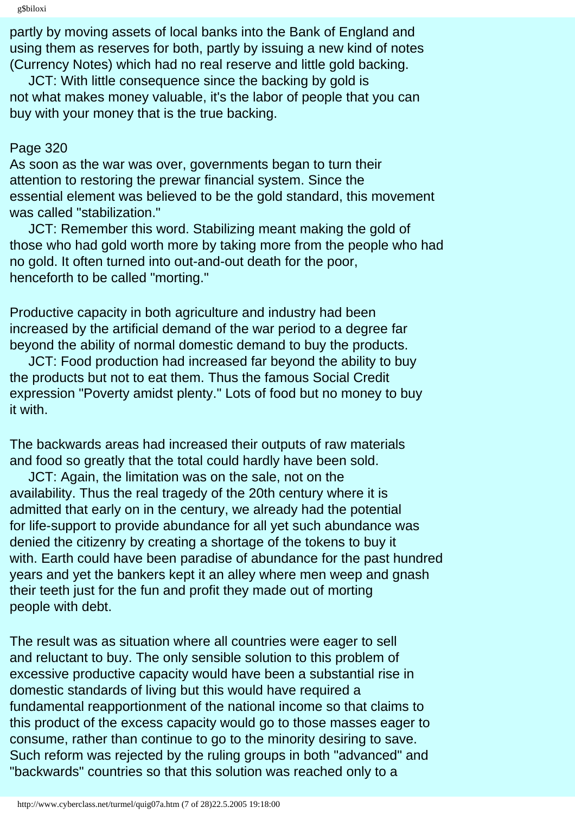partly by moving assets of local banks into the Bank of England and using them as reserves for both, partly by issuing a new kind of notes (Currency Notes) which had no real reserve and little gold backing.

 JCT: With little consequence since the backing by gold is not what makes money valuable, it's the labor of people that you can buy with your money that is the true backing.

### Page 320

As soon as the war was over, governments began to turn their attention to restoring the prewar financial system. Since the essential element was believed to be the gold standard, this movement was called "stabilization."

 JCT: Remember this word. Stabilizing meant making the gold of those who had gold worth more by taking more from the people who had no gold. It often turned into out-and-out death for the poor, henceforth to be called "morting."

Productive capacity in both agriculture and industry had been increased by the artificial demand of the war period to a degree far beyond the ability of normal domestic demand to buy the products.

 JCT: Food production had increased far beyond the ability to buy the products but not to eat them. Thus the famous Social Credit expression "Poverty amidst plenty." Lots of food but no money to buy it with.

The backwards areas had increased their outputs of raw materials and food so greatly that the total could hardly have been sold.

 JCT: Again, the limitation was on the sale, not on the availability. Thus the real tragedy of the 20th century where it is admitted that early on in the century, we already had the potential for life-support to provide abundance for all yet such abundance was denied the citizenry by creating a shortage of the tokens to buy it with. Earth could have been paradise of abundance for the past hundred years and yet the bankers kept it an alley where men weep and gnash their teeth just for the fun and profit they made out of morting people with debt.

The result was as situation where all countries were eager to sell and reluctant to buy. The only sensible solution to this problem of excessive productive capacity would have been a substantial rise in domestic standards of living but this would have required a fundamental reapportionment of the national income so that claims to this product of the excess capacity would go to those masses eager to consume, rather than continue to go to the minority desiring to save. Such reform was rejected by the ruling groups in both "advanced" and "backwards" countries so that this solution was reached only to a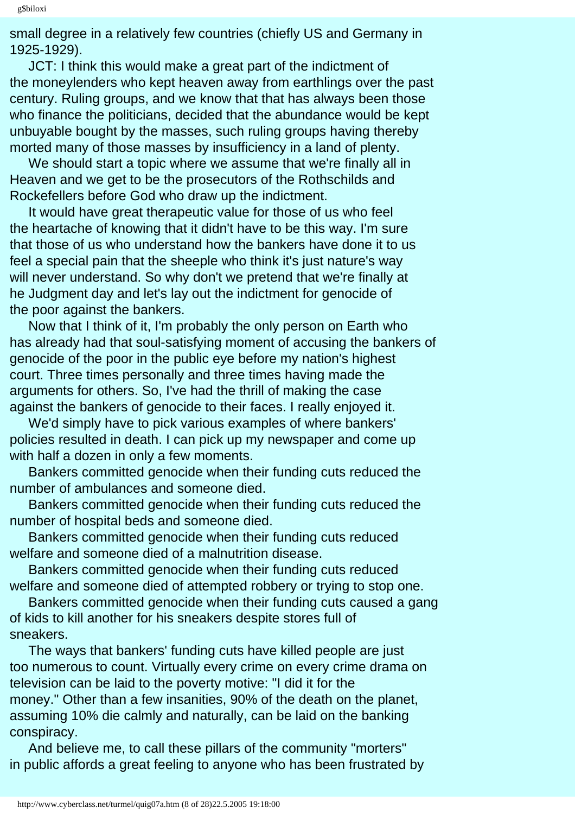small degree in a relatively few countries (chiefly US and Germany in 1925-1929).

 JCT: I think this would make a great part of the indictment of the moneylenders who kept heaven away from earthlings over the past century. Ruling groups, and we know that that has always been those who finance the politicians, decided that the abundance would be kept unbuyable bought by the masses, such ruling groups having thereby morted many of those masses by insufficiency in a land of plenty.

 We should start a topic where we assume that we're finally all in Heaven and we get to be the prosecutors of the Rothschilds and Rockefellers before God who draw up the indictment.

 It would have great therapeutic value for those of us who feel the heartache of knowing that it didn't have to be this way. I'm sure that those of us who understand how the bankers have done it to us feel a special pain that the sheeple who think it's just nature's way will never understand. So why don't we pretend that we're finally at he Judgment day and let's lay out the indictment for genocide of the poor against the bankers.

 Now that I think of it, I'm probably the only person on Earth who has already had that soul-satisfying moment of accusing the bankers of genocide of the poor in the public eye before my nation's highest court. Three times personally and three times having made the arguments for others. So, I've had the thrill of making the case against the bankers of genocide to their faces. I really enjoyed it.

 We'd simply have to pick various examples of where bankers' policies resulted in death. I can pick up my newspaper and come up with half a dozen in only a few moments.

 Bankers committed genocide when their funding cuts reduced the number of ambulances and someone died.

 Bankers committed genocide when their funding cuts reduced the number of hospital beds and someone died.

 Bankers committed genocide when their funding cuts reduced welfare and someone died of a malnutrition disease.

 Bankers committed genocide when their funding cuts reduced welfare and someone died of attempted robbery or trying to stop one.

 Bankers committed genocide when their funding cuts caused a gang of kids to kill another for his sneakers despite stores full of sneakers.

 The ways that bankers' funding cuts have killed people are just too numerous to count. Virtually every crime on every crime drama on television can be laid to the poverty motive: "I did it for the money." Other than a few insanities, 90% of the death on the planet, assuming 10% die calmly and naturally, can be laid on the banking conspiracy.

 And believe me, to call these pillars of the community "morters" in public affords a great feeling to anyone who has been frustrated by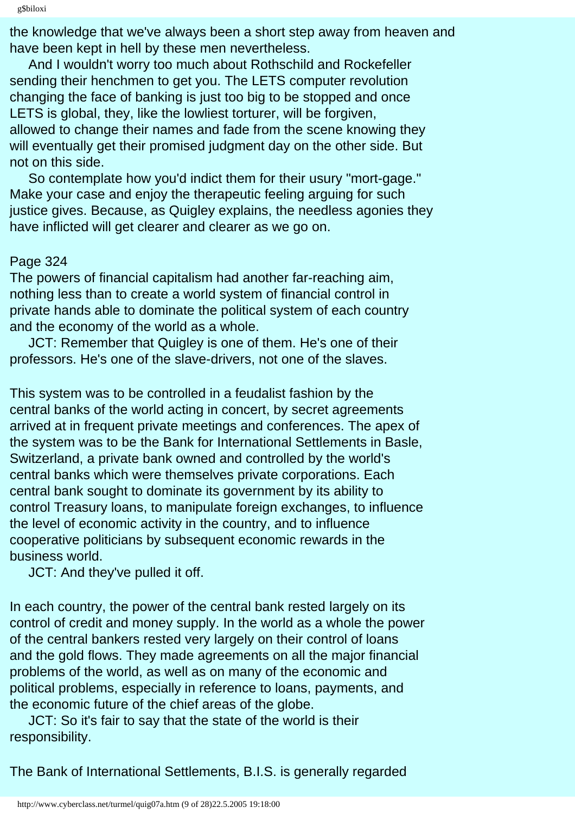the knowledge that we've always been a short step away from heaven and have been kept in hell by these men nevertheless.

 And I wouldn't worry too much about Rothschild and Rockefeller sending their henchmen to get you. The LETS computer revolution changing the face of banking is just too big to be stopped and once LETS is global, they, like the lowliest torturer, will be forgiven, allowed to change their names and fade from the scene knowing they will eventually get their promised judgment day on the other side. But not on this side.

 So contemplate how you'd indict them for their usury "mort-gage." Make your case and enjoy the therapeutic feeling arguing for such justice gives. Because, as Quigley explains, the needless agonies they have inflicted will get clearer and clearer as we go on.

### Page 324

The powers of financial capitalism had another far-reaching aim, nothing less than to create a world system of financial control in private hands able to dominate the political system of each country and the economy of the world as a whole.

 JCT: Remember that Quigley is one of them. He's one of their professors. He's one of the slave-drivers, not one of the slaves.

This system was to be controlled in a feudalist fashion by the central banks of the world acting in concert, by secret agreements arrived at in frequent private meetings and conferences. The apex of the system was to be the Bank for International Settlements in Basle, Switzerland, a private bank owned and controlled by the world's central banks which were themselves private corporations. Each central bank sought to dominate its government by its ability to control Treasury loans, to manipulate foreign exchanges, to influence the level of economic activity in the country, and to influence cooperative politicians by subsequent economic rewards in the business world.

JCT: And they've pulled it off.

In each country, the power of the central bank rested largely on its control of credit and money supply. In the world as a whole the power of the central bankers rested very largely on their control of loans and the gold flows. They made agreements on all the major financial problems of the world, as well as on many of the economic and political problems, especially in reference to loans, payments, and the economic future of the chief areas of the globe.

 JCT: So it's fair to say that the state of the world is their responsibility.

The Bank of International Settlements, B.I.S. is generally regarded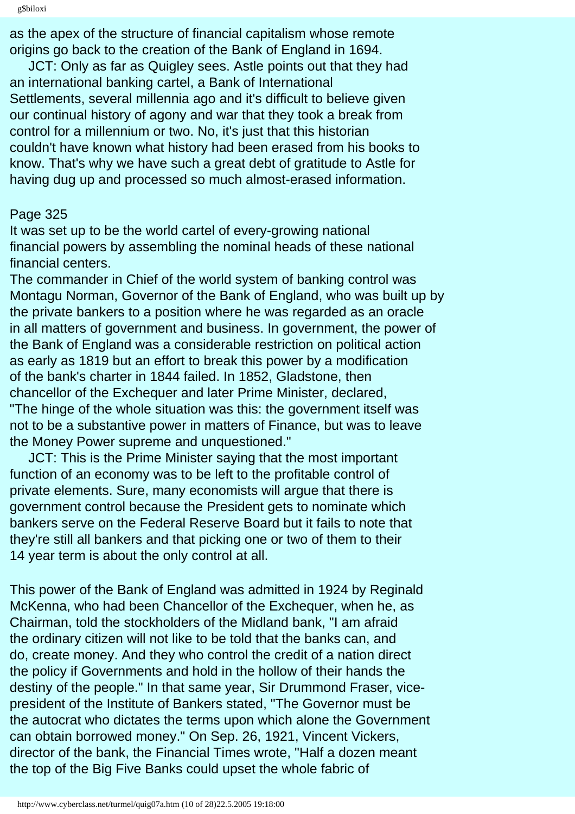as the apex of the structure of financial capitalism whose remote origins go back to the creation of the Bank of England in 1694.

 JCT: Only as far as Quigley sees. Astle points out that they had an international banking cartel, a Bank of International Settlements, several millennia ago and it's difficult to believe given our continual history of agony and war that they took a break from control for a millennium or two. No, it's just that this historian couldn't have known what history had been erased from his books to know. That's why we have such a great debt of gratitude to Astle for having dug up and processed so much almost-erased information.

### Page 325

It was set up to be the world cartel of every-growing national financial powers by assembling the nominal heads of these national financial centers.

The commander in Chief of the world system of banking control was Montagu Norman, Governor of the Bank of England, who was built up by the private bankers to a position where he was regarded as an oracle in all matters of government and business. In government, the power of the Bank of England was a considerable restriction on political action as early as 1819 but an effort to break this power by a modification of the bank's charter in 1844 failed. In 1852, Gladstone, then chancellor of the Exchequer and later Prime Minister, declared, "The hinge of the whole situation was this: the government itself was not to be a substantive power in matters of Finance, but was to leave the Money Power supreme and unquestioned."

 JCT: This is the Prime Minister saying that the most important function of an economy was to be left to the profitable control of private elements. Sure, many economists will argue that there is government control because the President gets to nominate which bankers serve on the Federal Reserve Board but it fails to note that they're still all bankers and that picking one or two of them to their 14 year term is about the only control at all.

This power of the Bank of England was admitted in 1924 by Reginald McKenna, who had been Chancellor of the Exchequer, when he, as Chairman, told the stockholders of the Midland bank, "I am afraid the ordinary citizen will not like to be told that the banks can, and do, create money. And they who control the credit of a nation direct the policy if Governments and hold in the hollow of their hands the destiny of the people." In that same year, Sir Drummond Fraser, vicepresident of the Institute of Bankers stated, "The Governor must be the autocrat who dictates the terms upon which alone the Government can obtain borrowed money." On Sep. 26, 1921, Vincent Vickers, director of the bank, the Financial Times wrote, "Half a dozen meant the top of the Big Five Banks could upset the whole fabric of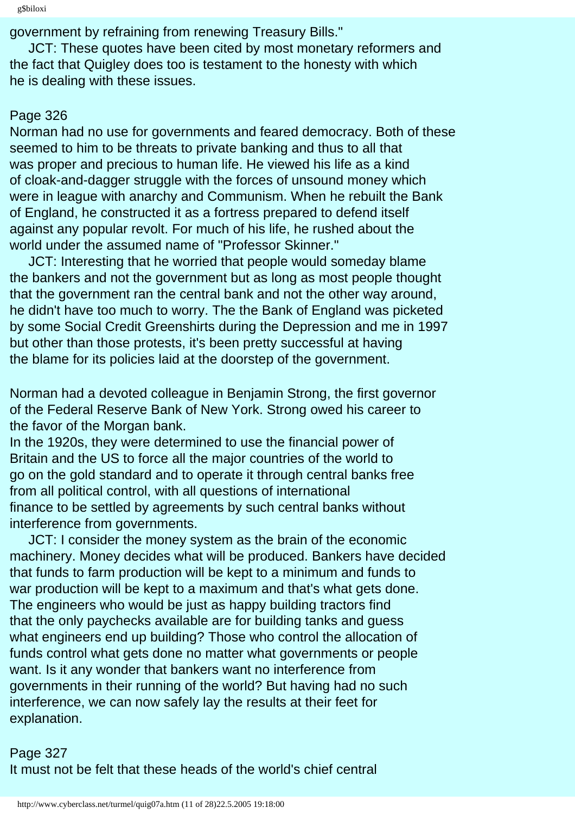government by refraining from renewing Treasury Bills."

 JCT: These quotes have been cited by most monetary reformers and the fact that Quigley does too is testament to the honesty with which he is dealing with these issues.

#### Page 326

Norman had no use for governments and feared democracy. Both of these seemed to him to be threats to private banking and thus to all that was proper and precious to human life. He viewed his life as a kind of cloak-and-dagger struggle with the forces of unsound money which were in league with anarchy and Communism. When he rebuilt the Bank of England, he constructed it as a fortress prepared to defend itself against any popular revolt. For much of his life, he rushed about the world under the assumed name of "Professor Skinner."

 JCT: Interesting that he worried that people would someday blame the bankers and not the government but as long as most people thought that the government ran the central bank and not the other way around, he didn't have too much to worry. The the Bank of England was picketed by some Social Credit Greenshirts during the Depression and me in 1997 but other than those protests, it's been pretty successful at having the blame for its policies laid at the doorstep of the government.

Norman had a devoted colleague in Benjamin Strong, the first governor of the Federal Reserve Bank of New York. Strong owed his career to the favor of the Morgan bank.

In the 1920s, they were determined to use the financial power of Britain and the US to force all the major countries of the world to go on the gold standard and to operate it through central banks free from all political control, with all questions of international finance to be settled by agreements by such central banks without interference from governments.

 JCT: I consider the money system as the brain of the economic machinery. Money decides what will be produced. Bankers have decided that funds to farm production will be kept to a minimum and funds to war production will be kept to a maximum and that's what gets done. The engineers who would be just as happy building tractors find that the only paychecks available are for building tanks and guess what engineers end up building? Those who control the allocation of funds control what gets done no matter what governments or people want. Is it any wonder that bankers want no interference from governments in their running of the world? But having had no such interference, we can now safely lay the results at their feet for explanation.

# Page 327 It must not be felt that these heads of the world's chief central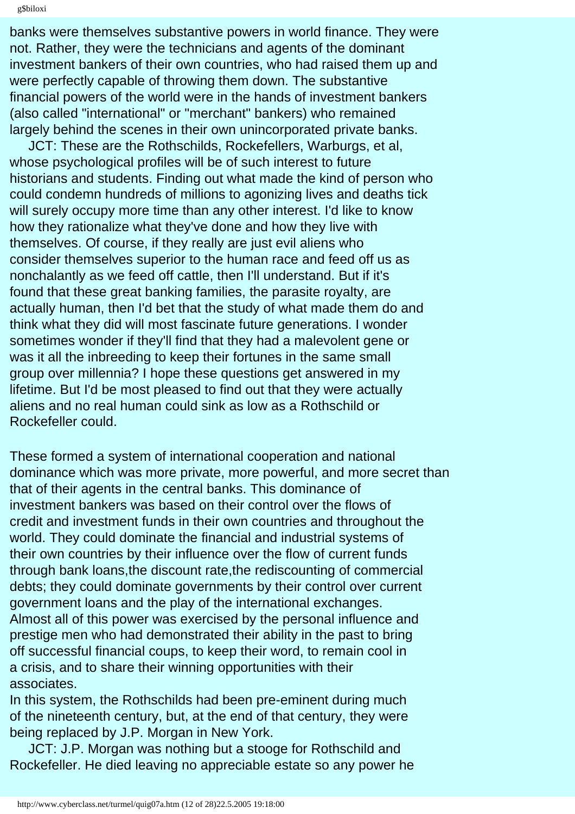g\$biloxi

banks were themselves substantive powers in world finance. They were not. Rather, they were the technicians and agents of the dominant investment bankers of their own countries, who had raised them up and were perfectly capable of throwing them down. The substantive financial powers of the world were in the hands of investment bankers (also called "international" or "merchant" bankers) who remained largely behind the scenes in their own unincorporated private banks.

 JCT: These are the Rothschilds, Rockefellers, Warburgs, et al, whose psychological profiles will be of such interest to future historians and students. Finding out what made the kind of person who could condemn hundreds of millions to agonizing lives and deaths tick will surely occupy more time than any other interest. I'd like to know how they rationalize what they've done and how they live with themselves. Of course, if they really are just evil aliens who consider themselves superior to the human race and feed off us as nonchalantly as we feed off cattle, then I'll understand. But if it's found that these great banking families, the parasite royalty, are actually human, then I'd bet that the study of what made them do and think what they did will most fascinate future generations. I wonder sometimes wonder if they'll find that they had a malevolent gene or was it all the inbreeding to keep their fortunes in the same small group over millennia? I hope these questions get answered in my lifetime. But I'd be most pleased to find out that they were actually aliens and no real human could sink as low as a Rothschild or Rockefeller could.

These formed a system of international cooperation and national dominance which was more private, more powerful, and more secret than that of their agents in the central banks. This dominance of investment bankers was based on their control over the flows of credit and investment funds in their own countries and throughout the world. They could dominate the financial and industrial systems of their own countries by their influence over the flow of current funds through bank loans,the discount rate,the rediscounting of commercial debts; they could dominate governments by their control over current government loans and the play of the international exchanges. Almost all of this power was exercised by the personal influence and prestige men who had demonstrated their ability in the past to bring off successful financial coups, to keep their word, to remain cool in a crisis, and to share their winning opportunities with their associates.

In this system, the Rothschilds had been pre-eminent during much of the nineteenth century, but, at the end of that century, they were being replaced by J.P. Morgan in New York.

 JCT: J.P. Morgan was nothing but a stooge for Rothschild and Rockefeller. He died leaving no appreciable estate so any power he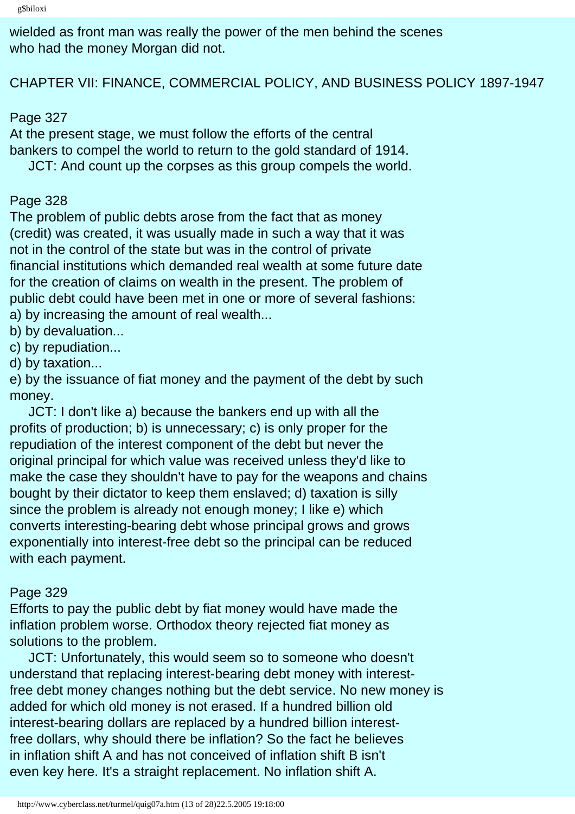wielded as front man was really the power of the men behind the scenes who had the money Morgan did not.

# CHAPTER VII: FINANCE, COMMERCIAL POLICY, AND BUSINESS POLICY 1897-1947

# Page 327

At the present stage, we must follow the efforts of the central bankers to compel the world to return to the gold standard of 1914.

JCT: And count up the corpses as this group compels the world.

# Page 328

The problem of public debts arose from the fact that as money (credit) was created, it was usually made in such a way that it was not in the control of the state but was in the control of private financial institutions which demanded real wealth at some future date for the creation of claims on wealth in the present. The problem of public debt could have been met in one or more of several fashions: a) by increasing the amount of real wealth...

b) by devaluation...

c) by repudiation...

d) by taxation...

e) by the issuance of fiat money and the payment of the debt by such money.

 JCT: I don't like a) because the bankers end up with all the profits of production; b) is unnecessary; c) is only proper for the repudiation of the interest component of the debt but never the original principal for which value was received unless they'd like to make the case they shouldn't have to pay for the weapons and chains bought by their dictator to keep them enslaved; d) taxation is silly since the problem is already not enough money; I like e) which converts interesting-bearing debt whose principal grows and grows exponentially into interest-free debt so the principal can be reduced with each payment.

# Page 329

Efforts to pay the public debt by fiat money would have made the inflation problem worse. Orthodox theory rejected fiat money as solutions to the problem.

 JCT: Unfortunately, this would seem so to someone who doesn't understand that replacing interest-bearing debt money with interestfree debt money changes nothing but the debt service. No new money is added for which old money is not erased. If a hundred billion old interest-bearing dollars are replaced by a hundred billion interestfree dollars, why should there be inflation? So the fact he believes in inflation shift A and has not conceived of inflation shift B isn't even key here. It's a straight replacement. No inflation shift A.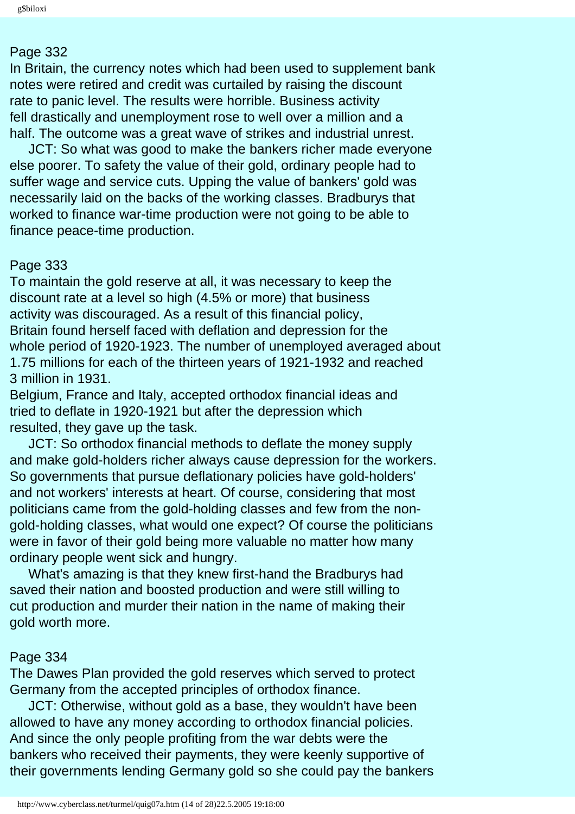### Page 332

In Britain, the currency notes which had been used to supplement bank notes were retired and credit was curtailed by raising the discount rate to panic level. The results were horrible. Business activity fell drastically and unemployment rose to well over a million and a half. The outcome was a great wave of strikes and industrial unrest.

 JCT: So what was good to make the bankers richer made everyone else poorer. To safety the value of their gold, ordinary people had to suffer wage and service cuts. Upping the value of bankers' gold was necessarily laid on the backs of the working classes. Bradburys that worked to finance war-time production were not going to be able to finance peace-time production.

### Page 333

To maintain the gold reserve at all, it was necessary to keep the discount rate at a level so high (4.5% or more) that business activity was discouraged. As a result of this financial policy, Britain found herself faced with deflation and depression for the whole period of 1920-1923. The number of unemployed averaged about 1.75 millions for each of the thirteen years of 1921-1932 and reached 3 million in 1931.

Belgium, France and Italy, accepted orthodox financial ideas and tried to deflate in 1920-1921 but after the depression which resulted, they gave up the task.

 JCT: So orthodox financial methods to deflate the money supply and make gold-holders richer always cause depression for the workers. So governments that pursue deflationary policies have gold-holders' and not workers' interests at heart. Of course, considering that most politicians came from the gold-holding classes and few from the nongold-holding classes, what would one expect? Of course the politicians were in favor of their gold being more valuable no matter how many ordinary people went sick and hungry.

 What's amazing is that they knew first-hand the Bradburys had saved their nation and boosted production and were still willing to cut production and murder their nation in the name of making their gold worth more.

#### Page 334

The Dawes Plan provided the gold reserves which served to protect Germany from the accepted principles of orthodox finance.

 JCT: Otherwise, without gold as a base, they wouldn't have been allowed to have any money according to orthodox financial policies. And since the only people profiting from the war debts were the bankers who received their payments, they were keenly supportive of their governments lending Germany gold so she could pay the bankers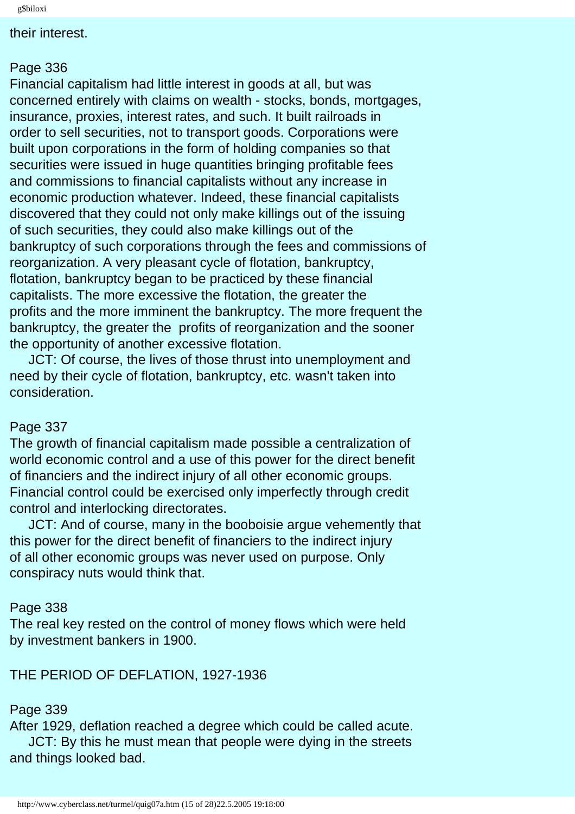#### their interest.

### Page 336

Financial capitalism had little interest in goods at all, but was concerned entirely with claims on wealth - stocks, bonds, mortgages, insurance, proxies, interest rates, and such. It built railroads in order to sell securities, not to transport goods. Corporations were built upon corporations in the form of holding companies so that securities were issued in huge quantities bringing profitable fees and commissions to financial capitalists without any increase in economic production whatever. Indeed, these financial capitalists discovered that they could not only make killings out of the issuing of such securities, they could also make killings out of the bankruptcy of such corporations through the fees and commissions of reorganization. A very pleasant cycle of flotation, bankruptcy, flotation, bankruptcy began to be practiced by these financial capitalists. The more excessive the flotation, the greater the profits and the more imminent the bankruptcy. The more frequent the bankruptcy, the greater the profits of reorganization and the sooner the opportunity of another excessive flotation.

 JCT: Of course, the lives of those thrust into unemployment and need by their cycle of flotation, bankruptcy, etc. wasn't taken into consideration.

### Page 337

The growth of financial capitalism made possible a centralization of world economic control and a use of this power for the direct benefit of financiers and the indirect injury of all other economic groups. Financial control could be exercised only imperfectly through credit control and interlocking directorates.

 JCT: And of course, many in the booboisie argue vehemently that this power for the direct benefit of financiers to the indirect injury of all other economic groups was never used on purpose. Only conspiracy nuts would think that.

# Page 338

The real key rested on the control of money flows which were held by investment bankers in 1900.

# THE PERIOD OF DEFLATION, 1927-1936

# Page 339

After 1929, deflation reached a degree which could be called acute. JCT: By this he must mean that people were dying in the streets and things looked bad.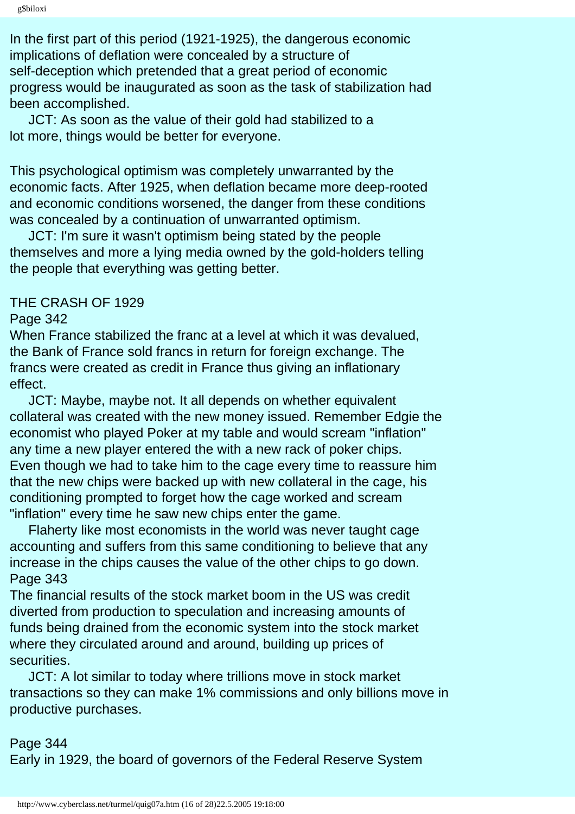In the first part of this period (1921-1925), the dangerous economic implications of deflation were concealed by a structure of self-deception which pretended that a great period of economic progress would be inaugurated as soon as the task of stabilization had been accomplished.

 JCT: As soon as the value of their gold had stabilized to a lot more, things would be better for everyone.

This psychological optimism was completely unwarranted by the economic facts. After 1925, when deflation became more deep-rooted and economic conditions worsened, the danger from these conditions was concealed by a continuation of unwarranted optimism.

 JCT: I'm sure it wasn't optimism being stated by the people themselves and more a lying media owned by the gold-holders telling the people that everything was getting better.

# THE CRASH OF 1929

### Page 342

When France stabilized the franc at a level at which it was devalued, the Bank of France sold francs in return for foreign exchange. The francs were created as credit in France thus giving an inflationary effect.

 JCT: Maybe, maybe not. It all depends on whether equivalent collateral was created with the new money issued. Remember Edgie the economist who played Poker at my table and would scream "inflation" any time a new player entered the with a new rack of poker chips. Even though we had to take him to the cage every time to reassure him that the new chips were backed up with new collateral in the cage, his conditioning prompted to forget how the cage worked and scream "inflation" every time he saw new chips enter the game.

 Flaherty like most economists in the world was never taught cage accounting and suffers from this same conditioning to believe that any increase in the chips causes the value of the other chips to go down. Page 343

The financial results of the stock market boom in the US was credit diverted from production to speculation and increasing amounts of funds being drained from the economic system into the stock market where they circulated around and around, building up prices of securities.

 JCT: A lot similar to today where trillions move in stock market transactions so they can make 1% commissions and only billions move in productive purchases.

# Page 344

Early in 1929, the board of governors of the Federal Reserve System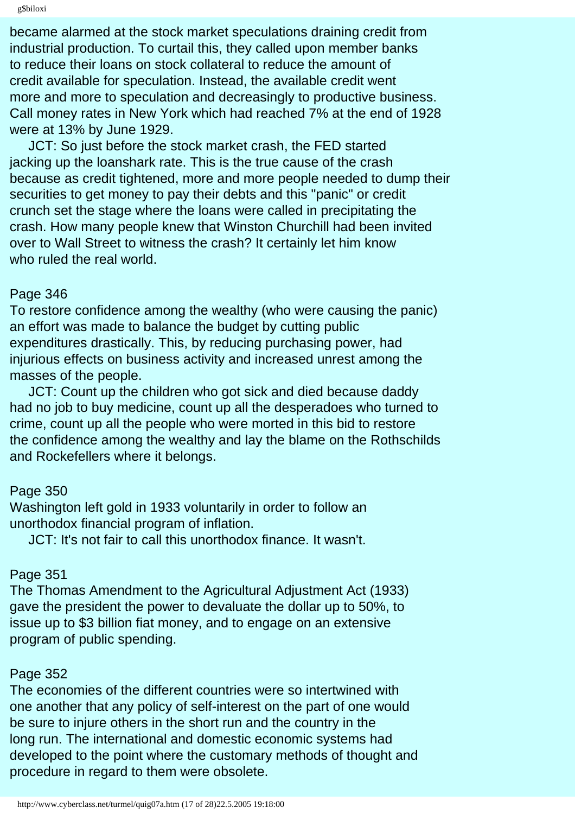became alarmed at the stock market speculations draining credit from industrial production. To curtail this, they called upon member banks to reduce their loans on stock collateral to reduce the amount of credit available for speculation. Instead, the available credit went more and more to speculation and decreasingly to productive business. Call money rates in New York which had reached 7% at the end of 1928 were at 13% by June 1929.

 JCT: So just before the stock market crash, the FED started jacking up the loanshark rate. This is the true cause of the crash because as credit tightened, more and more people needed to dump their securities to get money to pay their debts and this "panic" or credit crunch set the stage where the loans were called in precipitating the crash. How many people knew that Winston Churchill had been invited over to Wall Street to witness the crash? It certainly let him know who ruled the real world.

### Page 346

To restore confidence among the wealthy (who were causing the panic) an effort was made to balance the budget by cutting public expenditures drastically. This, by reducing purchasing power, had injurious effects on business activity and increased unrest among the masses of the people.

 JCT: Count up the children who got sick and died because daddy had no job to buy medicine, count up all the desperadoes who turned to crime, count up all the people who were morted in this bid to restore the confidence among the wealthy and lay the blame on the Rothschilds and Rockefellers where it belongs.

# Page 350

Washington left gold in 1933 voluntarily in order to follow an unorthodox financial program of inflation.

JCT: It's not fair to call this unorthodox finance. It wasn't.

# Page 351

The Thomas Amendment to the Agricultural Adjustment Act (1933) gave the president the power to devaluate the dollar up to 50%, to issue up to \$3 billion fiat money, and to engage on an extensive program of public spending.

# Page 352

The economies of the different countries were so intertwined with one another that any policy of self-interest on the part of one would be sure to injure others in the short run and the country in the long run. The international and domestic economic systems had developed to the point where the customary methods of thought and procedure in regard to them were obsolete.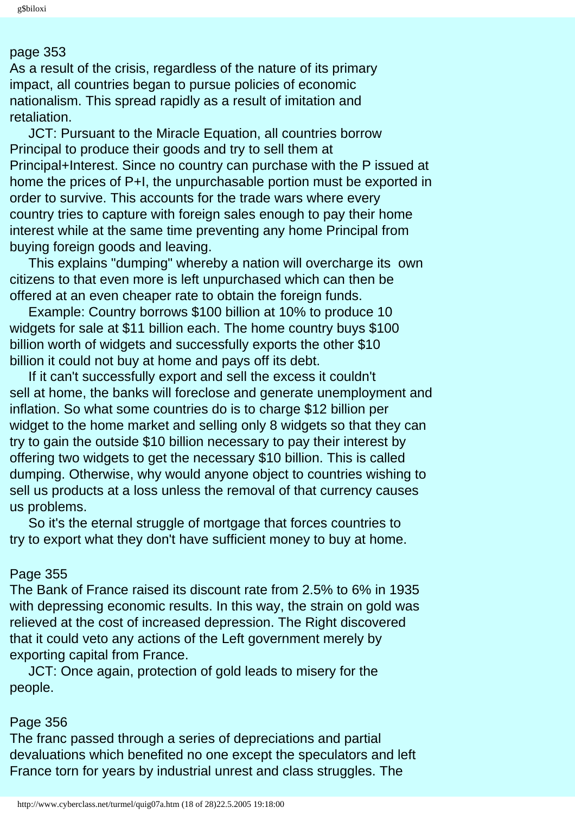#### page 353

As a result of the crisis, regardless of the nature of its primary impact, all countries began to pursue policies of economic nationalism. This spread rapidly as a result of imitation and retaliation.

 JCT: Pursuant to the Miracle Equation, all countries borrow Principal to produce their goods and try to sell them at Principal+Interest. Since no country can purchase with the P issued at home the prices of P+I, the unpurchasable portion must be exported in order to survive. This accounts for the trade wars where every country tries to capture with foreign sales enough to pay their home interest while at the same time preventing any home Principal from buying foreign goods and leaving.

 This explains "dumping" whereby a nation will overcharge its own citizens to that even more is left unpurchased which can then be offered at an even cheaper rate to obtain the foreign funds.

 Example: Country borrows \$100 billion at 10% to produce 10 widgets for sale at \$11 billion each. The home country buys \$100 billion worth of widgets and successfully exports the other \$10 billion it could not buy at home and pays off its debt.

 If it can't successfully export and sell the excess it couldn't sell at home, the banks will foreclose and generate unemployment and inflation. So what some countries do is to charge \$12 billion per widget to the home market and selling only 8 widgets so that they can try to gain the outside \$10 billion necessary to pay their interest by offering two widgets to get the necessary \$10 billion. This is called dumping. Otherwise, why would anyone object to countries wishing to sell us products at a loss unless the removal of that currency causes us problems.

 So it's the eternal struggle of mortgage that forces countries to try to export what they don't have sufficient money to buy at home.

### Page 355

The Bank of France raised its discount rate from 2.5% to 6% in 1935 with depressing economic results. In this way, the strain on gold was relieved at the cost of increased depression. The Right discovered that it could veto any actions of the Left government merely by exporting capital from France.

 JCT: Once again, protection of gold leads to misery for the people.

### Page 356

The franc passed through a series of depreciations and partial devaluations which benefited no one except the speculators and left France torn for years by industrial unrest and class struggles. The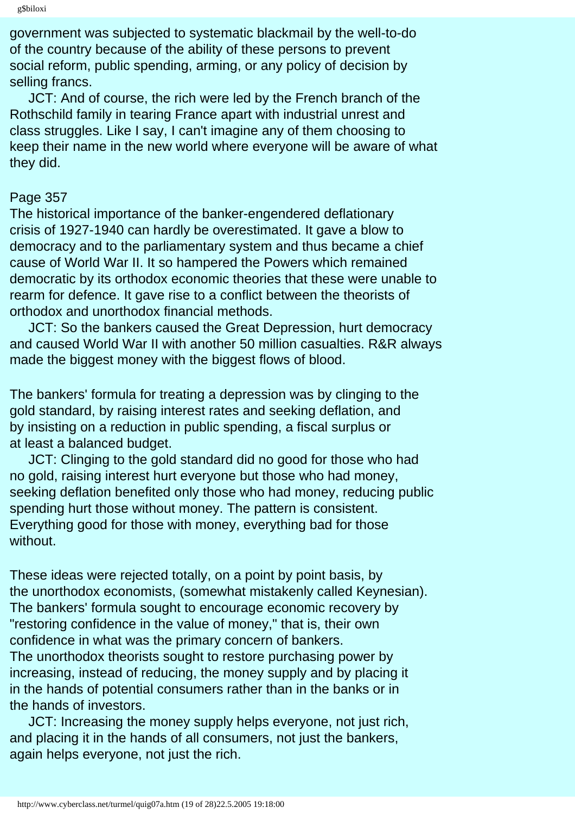government was subjected to systematic blackmail by the well-to-do of the country because of the ability of these persons to prevent social reform, public spending, arming, or any policy of decision by selling francs.

 JCT: And of course, the rich were led by the French branch of the Rothschild family in tearing France apart with industrial unrest and class struggles. Like I say, I can't imagine any of them choosing to keep their name in the new world where everyone will be aware of what they did.

### Page 357

The historical importance of the banker-engendered deflationary crisis of 1927-1940 can hardly be overestimated. It gave a blow to democracy and to the parliamentary system and thus became a chief cause of World War II. It so hampered the Powers which remained democratic by its orthodox economic theories that these were unable to rearm for defence. It gave rise to a conflict between the theorists of orthodox and unorthodox financial methods.

 JCT: So the bankers caused the Great Depression, hurt democracy and caused World War II with another 50 million casualties. R&R always made the biggest money with the biggest flows of blood.

The bankers' formula for treating a depression was by clinging to the gold standard, by raising interest rates and seeking deflation, and by insisting on a reduction in public spending, a fiscal surplus or at least a balanced budget.

 JCT: Clinging to the gold standard did no good for those who had no gold, raising interest hurt everyone but those who had money, seeking deflation benefited only those who had money, reducing public spending hurt those without money. The pattern is consistent. Everything good for those with money, everything bad for those without.

These ideas were rejected totally, on a point by point basis, by the unorthodox economists, (somewhat mistakenly called Keynesian). The bankers' formula sought to encourage economic recovery by "restoring confidence in the value of money," that is, their own confidence in what was the primary concern of bankers. The unorthodox theorists sought to restore purchasing power by increasing, instead of reducing, the money supply and by placing it in the hands of potential consumers rather than in the banks or in the hands of investors.

 JCT: Increasing the money supply helps everyone, not just rich, and placing it in the hands of all consumers, not just the bankers, again helps everyone, not just the rich.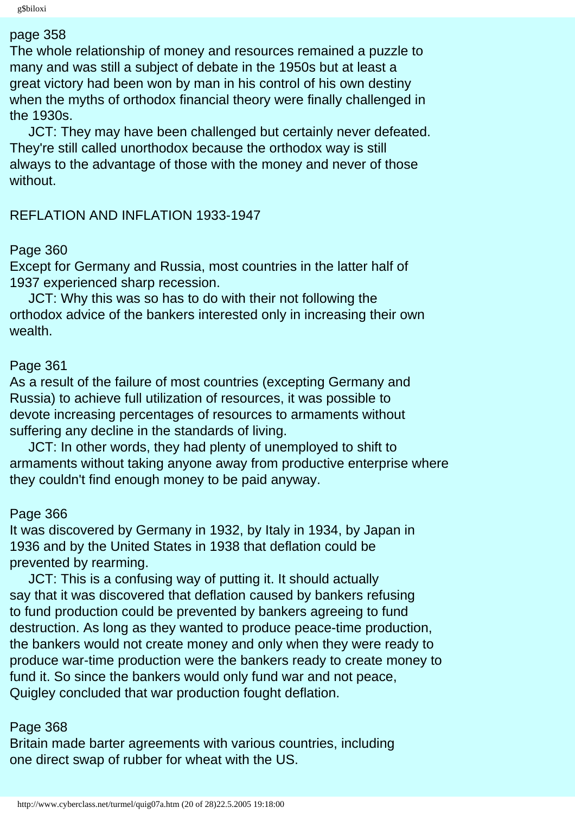### page 358

The whole relationship of money and resources remained a puzzle to many and was still a subject of debate in the 1950s but at least a great victory had been won by man in his control of his own destiny when the myths of orthodox financial theory were finally challenged in the 1930s.

 JCT: They may have been challenged but certainly never defeated. They're still called unorthodox because the orthodox way is still always to the advantage of those with the money and never of those without.

# REFLATION AND INFLATION 1933-1947

### Page 360

Except for Germany and Russia, most countries in the latter half of 1937 experienced sharp recession.

 JCT: Why this was so has to do with their not following the orthodox advice of the bankers interested only in increasing their own wealth

# Page 361

As a result of the failure of most countries (excepting Germany and Russia) to achieve full utilization of resources, it was possible to devote increasing percentages of resources to armaments without suffering any decline in the standards of living.

 JCT: In other words, they had plenty of unemployed to shift to armaments without taking anyone away from productive enterprise where they couldn't find enough money to be paid anyway.

### Page 366

It was discovered by Germany in 1932, by Italy in 1934, by Japan in 1936 and by the United States in 1938 that deflation could be prevented by rearming.

 JCT: This is a confusing way of putting it. It should actually say that it was discovered that deflation caused by bankers refusing to fund production could be prevented by bankers agreeing to fund destruction. As long as they wanted to produce peace-time production, the bankers would not create money and only when they were ready to produce war-time production were the bankers ready to create money to fund it. So since the bankers would only fund war and not peace, Quigley concluded that war production fought deflation.

### Page 368

Britain made barter agreements with various countries, including one direct swap of rubber for wheat with the US.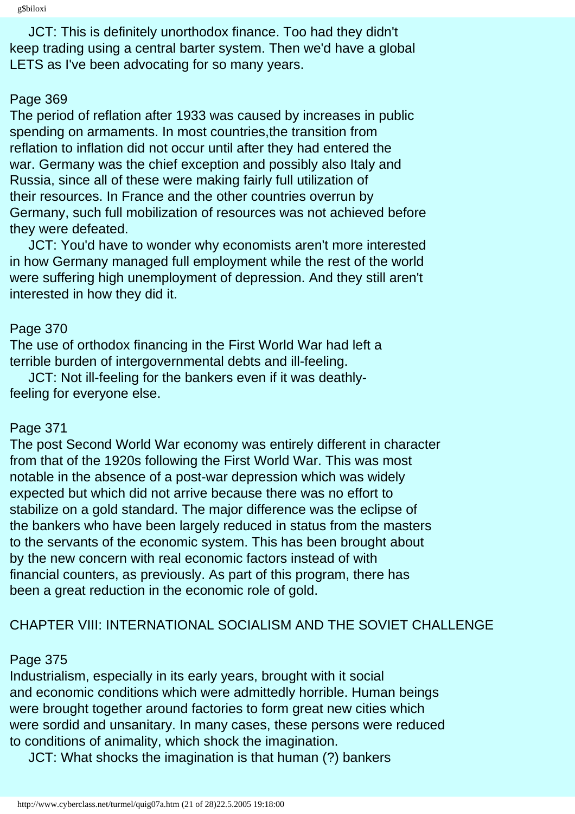JCT: This is definitely unorthodox finance. Too had they didn't keep trading using a central barter system. Then we'd have a global LETS as I've been advocating for so many years.

#### Page 369

The period of reflation after 1933 was caused by increases in public spending on armaments. In most countries,the transition from reflation to inflation did not occur until after they had entered the war. Germany was the chief exception and possibly also Italy and Russia, since all of these were making fairly full utilization of their resources. In France and the other countries overrun by Germany, such full mobilization of resources was not achieved before they were defeated.

 JCT: You'd have to wonder why economists aren't more interested in how Germany managed full employment while the rest of the world were suffering high unemployment of depression. And they still aren't interested in how they did it.

#### Page 370

The use of orthodox financing in the First World War had left a terrible burden of intergovernmental debts and ill-feeling.

 JCT: Not ill-feeling for the bankers even if it was deathlyfeeling for everyone else.

# Page 371

The post Second World War economy was entirely different in character from that of the 1920s following the First World War. This was most notable in the absence of a post-war depression which was widely expected but which did not arrive because there was no effort to stabilize on a gold standard. The major difference was the eclipse of the bankers who have been largely reduced in status from the masters to the servants of the economic system. This has been brought about by the new concern with real economic factors instead of with financial counters, as previously. As part of this program, there has been a great reduction in the economic role of gold.

# CHAPTER VIII: INTERNATIONAL SOCIALISM AND THE SOVIET CHALLENGE

#### Page 375

Industrialism, especially in its early years, brought with it social and economic conditions which were admittedly horrible. Human beings were brought together around factories to form great new cities which were sordid and unsanitary. In many cases, these persons were reduced to conditions of animality, which shock the imagination.

JCT: What shocks the imagination is that human (?) bankers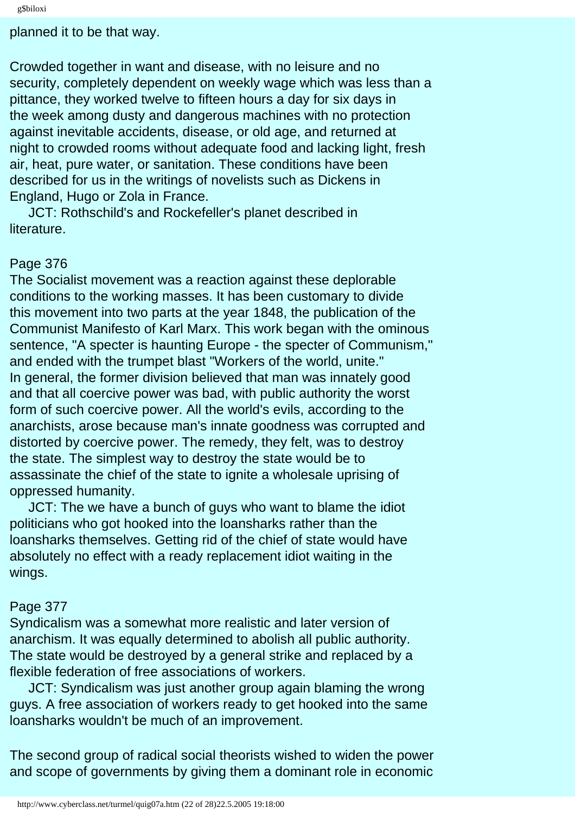planned it to be that way.

Crowded together in want and disease, with no leisure and no security, completely dependent on weekly wage which was less than a pittance, they worked twelve to fifteen hours a day for six days in the week among dusty and dangerous machines with no protection against inevitable accidents, disease, or old age, and returned at night to crowded rooms without adequate food and lacking light, fresh air, heat, pure water, or sanitation. These conditions have been described for us in the writings of novelists such as Dickens in England, Hugo or Zola in France.

 JCT: Rothschild's and Rockefeller's planet described in literature.

### Page 376

The Socialist movement was a reaction against these deplorable conditions to the working masses. It has been customary to divide this movement into two parts at the year 1848, the publication of the Communist Manifesto of Karl Marx. This work began with the ominous sentence, "A specter is haunting Europe - the specter of Communism," and ended with the trumpet blast "Workers of the world, unite." In general, the former division believed that man was innately good and that all coercive power was bad, with public authority the worst form of such coercive power. All the world's evils, according to the anarchists, arose because man's innate goodness was corrupted and distorted by coercive power. The remedy, they felt, was to destroy the state. The simplest way to destroy the state would be to assassinate the chief of the state to ignite a wholesale uprising of oppressed humanity.

 JCT: The we have a bunch of guys who want to blame the idiot politicians who got hooked into the loansharks rather than the loansharks themselves. Getting rid of the chief of state would have absolutely no effect with a ready replacement idiot waiting in the wings.

#### Page 377

Syndicalism was a somewhat more realistic and later version of anarchism. It was equally determined to abolish all public authority. The state would be destroyed by a general strike and replaced by a flexible federation of free associations of workers.

 JCT: Syndicalism was just another group again blaming the wrong guys. A free association of workers ready to get hooked into the same loansharks wouldn't be much of an improvement.

The second group of radical social theorists wished to widen the power and scope of governments by giving them a dominant role in economic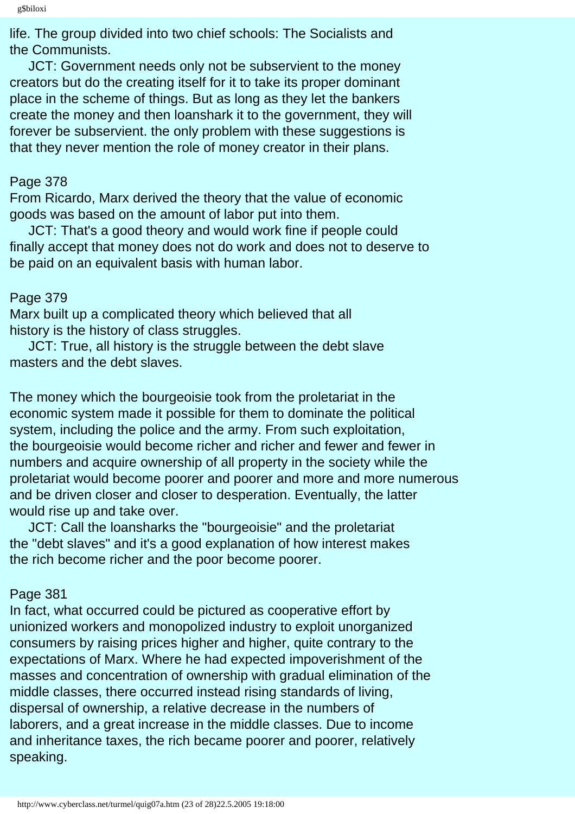life. The group divided into two chief schools: The Socialists and the Communists.

 JCT: Government needs only not be subservient to the money creators but do the creating itself for it to take its proper dominant place in the scheme of things. But as long as they let the bankers create the money and then loanshark it to the government, they will forever be subservient. the only problem with these suggestions is that they never mention the role of money creator in their plans.

#### Page 378

From Ricardo, Marx derived the theory that the value of economic goods was based on the amount of labor put into them.

 JCT: That's a good theory and would work fine if people could finally accept that money does not do work and does not to deserve to be paid on an equivalent basis with human labor.

#### Page 379

Marx built up a complicated theory which believed that all history is the history of class struggles.

 JCT: True, all history is the struggle between the debt slave masters and the debt slaves.

The money which the bourgeoisie took from the proletariat in the economic system made it possible for them to dominate the political system, including the police and the army. From such exploitation, the bourgeoisie would become richer and richer and fewer and fewer in numbers and acquire ownership of all property in the society while the proletariat would become poorer and poorer and more and more numerous and be driven closer and closer to desperation. Eventually, the latter would rise up and take over.

 JCT: Call the loansharks the "bourgeoisie" and the proletariat the "debt slaves" and it's a good explanation of how interest makes the rich become richer and the poor become poorer.

#### Page 381

In fact, what occurred could be pictured as cooperative effort by unionized workers and monopolized industry to exploit unorganized consumers by raising prices higher and higher, quite contrary to the expectations of Marx. Where he had expected impoverishment of the masses and concentration of ownership with gradual elimination of the middle classes, there occurred instead rising standards of living, dispersal of ownership, a relative decrease in the numbers of laborers, and a great increase in the middle classes. Due to income and inheritance taxes, the rich became poorer and poorer, relatively speaking.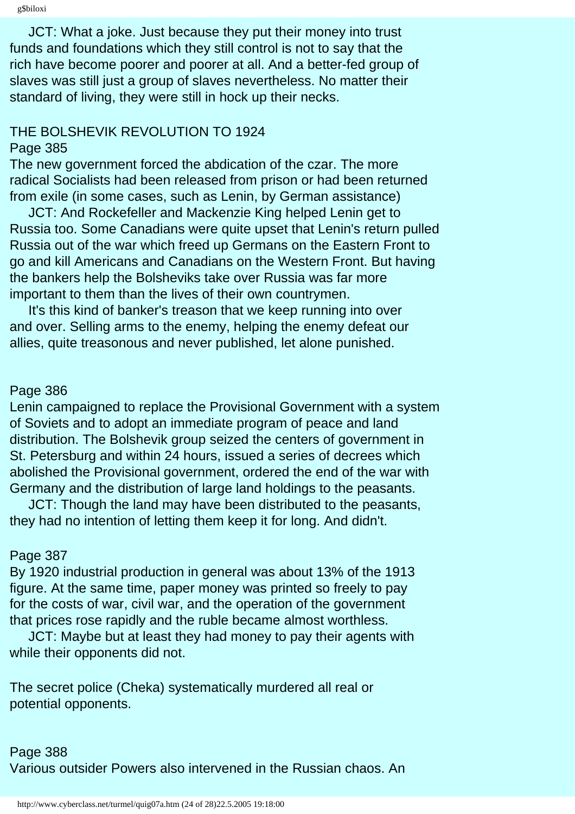JCT: What a joke. Just because they put their money into trust funds and foundations which they still control is not to say that the rich have become poorer and poorer at all. And a better-fed group of slaves was still just a group of slaves nevertheless. No matter their standard of living, they were still in hock up their necks.

# THE BOLSHEVIK REVOLUTION TO 1924

#### Page 385

The new government forced the abdication of the czar. The more radical Socialists had been released from prison or had been returned from exile (in some cases, such as Lenin, by German assistance)

 JCT: And Rockefeller and Mackenzie King helped Lenin get to Russia too. Some Canadians were quite upset that Lenin's return pulled Russia out of the war which freed up Germans on the Eastern Front to go and kill Americans and Canadians on the Western Front. But having the bankers help the Bolsheviks take over Russia was far more important to them than the lives of their own countrymen.

 It's this kind of banker's treason that we keep running into over and over. Selling arms to the enemy, helping the enemy defeat our allies, quite treasonous and never published, let alone punished.

# Page 386

Lenin campaigned to replace the Provisional Government with a system of Soviets and to adopt an immediate program of peace and land distribution. The Bolshevik group seized the centers of government in St. Petersburg and within 24 hours, issued a series of decrees which abolished the Provisional government, ordered the end of the war with Germany and the distribution of large land holdings to the peasants.

 JCT: Though the land may have been distributed to the peasants, they had no intention of letting them keep it for long. And didn't.

# Page 387

By 1920 industrial production in general was about 13% of the 1913 figure. At the same time, paper money was printed so freely to pay for the costs of war, civil war, and the operation of the government that prices rose rapidly and the ruble became almost worthless.

 JCT: Maybe but at least they had money to pay their agents with while their opponents did not.

The secret police (Cheka) systematically murdered all real or potential opponents.

Page 388 Various outsider Powers also intervened in the Russian chaos. An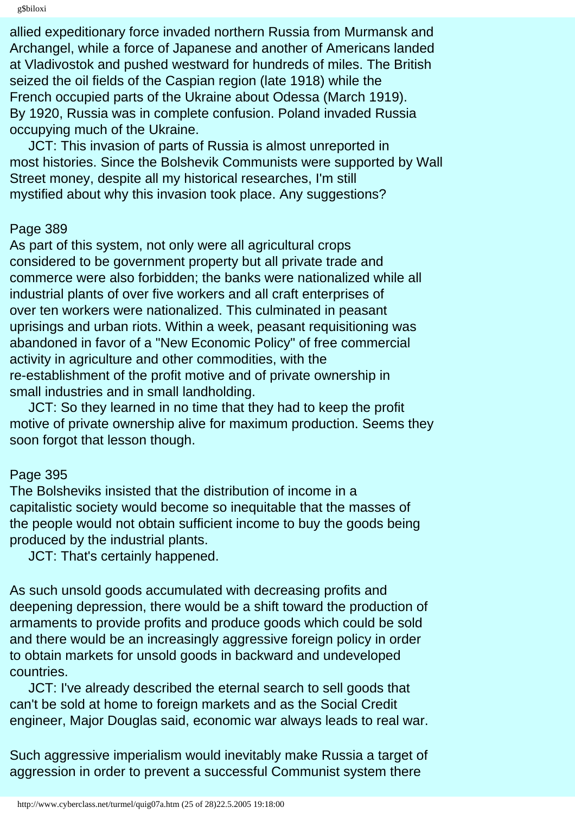allied expeditionary force invaded northern Russia from Murmansk and Archangel, while a force of Japanese and another of Americans landed at Vladivostok and pushed westward for hundreds of miles. The British seized the oil fields of the Caspian region (late 1918) while the French occupied parts of the Ukraine about Odessa (March 1919). By 1920, Russia was in complete confusion. Poland invaded Russia occupying much of the Ukraine.

 JCT: This invasion of parts of Russia is almost unreported in most histories. Since the Bolshevik Communists were supported by Wall Street money, despite all my historical researches, I'm still mystified about why this invasion took place. Any suggestions?

# Page 389

As part of this system, not only were all agricultural crops considered to be government property but all private trade and commerce were also forbidden; the banks were nationalized while all industrial plants of over five workers and all craft enterprises of over ten workers were nationalized. This culminated in peasant uprisings and urban riots. Within a week, peasant requisitioning was abandoned in favor of a "New Economic Policy" of free commercial activity in agriculture and other commodities, with the re-establishment of the profit motive and of private ownership in small industries and in small landholding.

 JCT: So they learned in no time that they had to keep the profit motive of private ownership alive for maximum production. Seems they soon forgot that lesson though.

# Page 395

The Bolsheviks insisted that the distribution of income in a capitalistic society would become so inequitable that the masses of the people would not obtain sufficient income to buy the goods being produced by the industrial plants.

JCT: That's certainly happened.

As such unsold goods accumulated with decreasing profits and deepening depression, there would be a shift toward the production of armaments to provide profits and produce goods which could be sold and there would be an increasingly aggressive foreign policy in order to obtain markets for unsold goods in backward and undeveloped countries.

 JCT: I've already described the eternal search to sell goods that can't be sold at home to foreign markets and as the Social Credit engineer, Major Douglas said, economic war always leads to real war.

Such aggressive imperialism would inevitably make Russia a target of aggression in order to prevent a successful Communist system there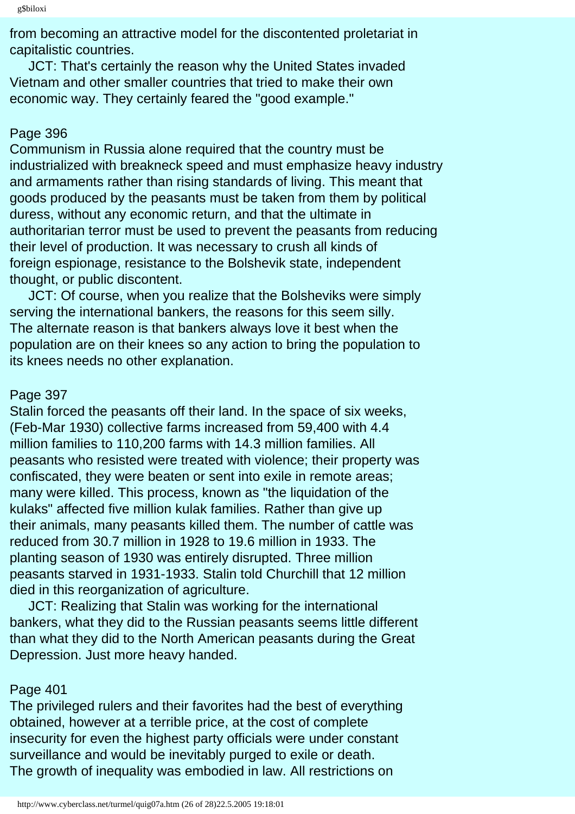from becoming an attractive model for the discontented proletariat in capitalistic countries.

 JCT: That's certainly the reason why the United States invaded Vietnam and other smaller countries that tried to make their own economic way. They certainly feared the "good example."

#### Page 396

Communism in Russia alone required that the country must be industrialized with breakneck speed and must emphasize heavy industry and armaments rather than rising standards of living. This meant that goods produced by the peasants must be taken from them by political duress, without any economic return, and that the ultimate in authoritarian terror must be used to prevent the peasants from reducing their level of production. It was necessary to crush all kinds of foreign espionage, resistance to the Bolshevik state, independent thought, or public discontent.

 JCT: Of course, when you realize that the Bolsheviks were simply serving the international bankers, the reasons for this seem silly. The alternate reason is that bankers always love it best when the population are on their knees so any action to bring the population to its knees needs no other explanation.

### Page 397

Stalin forced the peasants off their land. In the space of six weeks, (Feb-Mar 1930) collective farms increased from 59,400 with 4.4 million families to 110,200 farms with 14.3 million families. All peasants who resisted were treated with violence; their property was confiscated, they were beaten or sent into exile in remote areas; many were killed. This process, known as "the liquidation of the kulaks" affected five million kulak families. Rather than give up their animals, many peasants killed them. The number of cattle was reduced from 30.7 million in 1928 to 19.6 million in 1933. The planting season of 1930 was entirely disrupted. Three million peasants starved in 1931-1933. Stalin told Churchill that 12 million died in this reorganization of agriculture.

 JCT: Realizing that Stalin was working for the international bankers, what they did to the Russian peasants seems little different than what they did to the North American peasants during the Great Depression. Just more heavy handed.

#### Page 401

The privileged rulers and their favorites had the best of everything obtained, however at a terrible price, at the cost of complete insecurity for even the highest party officials were under constant surveillance and would be inevitably purged to exile or death. The growth of inequality was embodied in law. All restrictions on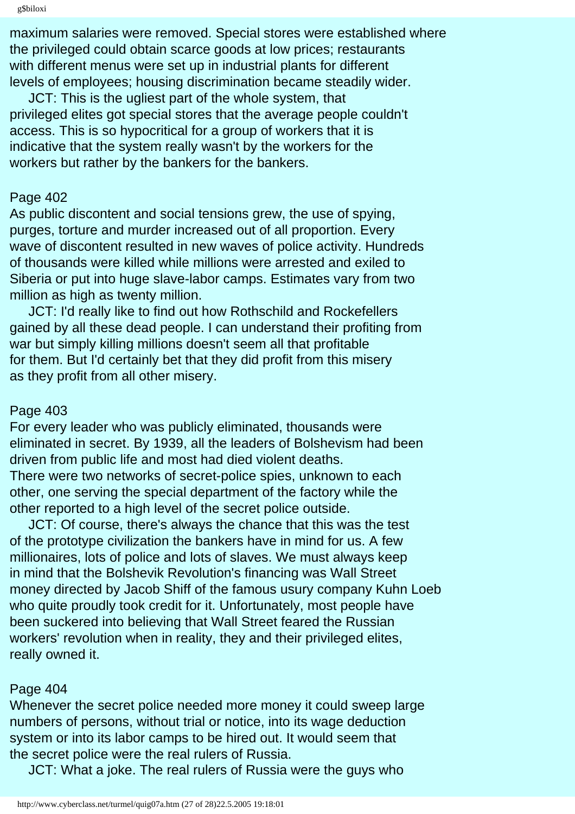maximum salaries were removed. Special stores were established where the privileged could obtain scarce goods at low prices; restaurants with different menus were set up in industrial plants for different levels of employees; housing discrimination became steadily wider.

 JCT: This is the ugliest part of the whole system, that privileged elites got special stores that the average people couldn't access. This is so hypocritical for a group of workers that it is indicative that the system really wasn't by the workers for the workers but rather by the bankers for the bankers.

#### Page 402

As public discontent and social tensions grew, the use of spying, purges, torture and murder increased out of all proportion. Every wave of discontent resulted in new waves of police activity. Hundreds of thousands were killed while millions were arrested and exiled to Siberia or put into huge slave-labor camps. Estimates vary from two million as high as twenty million.

 JCT: I'd really like to find out how Rothschild and Rockefellers gained by all these dead people. I can understand their profiting from war but simply killing millions doesn't seem all that profitable for them. But I'd certainly bet that they did profit from this misery as they profit from all other misery.

#### Page 403

For every leader who was publicly eliminated, thousands were eliminated in secret. By 1939, all the leaders of Bolshevism had been driven from public life and most had died violent deaths. There were two networks of secret-police spies, unknown to each other, one serving the special department of the factory while the other reported to a high level of the secret police outside.

 JCT: Of course, there's always the chance that this was the test of the prototype civilization the bankers have in mind for us. A few millionaires, lots of police and lots of slaves. We must always keep in mind that the Bolshevik Revolution's financing was Wall Street money directed by Jacob Shiff of the famous usury company Kuhn Loeb who quite proudly took credit for it. Unfortunately, most people have been suckered into believing that Wall Street feared the Russian workers' revolution when in reality, they and their privileged elites, really owned it.

#### Page 404

Whenever the secret police needed more money it could sweep large numbers of persons, without trial or notice, into its wage deduction system or into its labor camps to be hired out. It would seem that the secret police were the real rulers of Russia.

JCT: What a joke. The real rulers of Russia were the guys who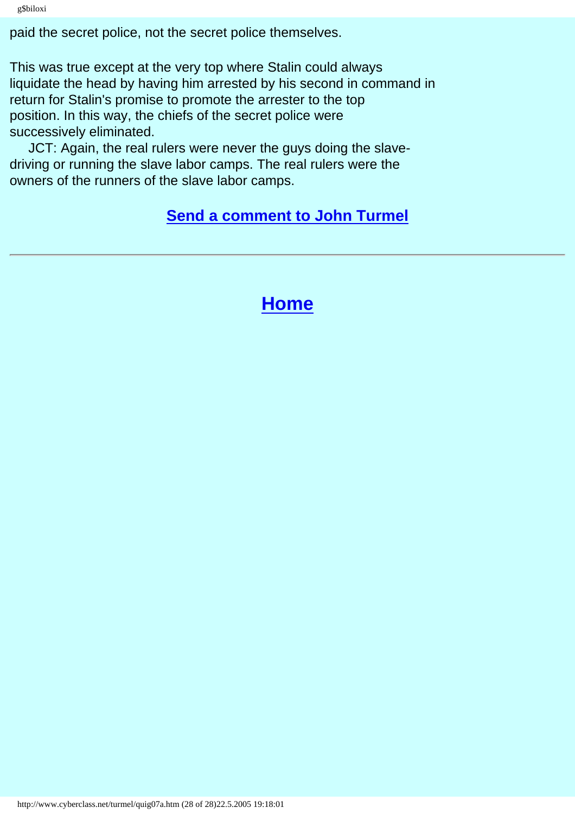paid the secret police, not the secret police themselves.

This was true except at the very top where Stalin could always liquidate the head by having him arrested by his second in command in return for Stalin's promise to promote the arrester to the top position. In this way, the chiefs of the secret police were successively eliminated.

 JCT: Again, the real rulers were never the guys doing the slavedriving or running the slave labor camps. The real rulers were the owners of the runners of the slave labor camps.

# **[Send a comment to John Turmel](mailto:%20bc726@freenet.carleton.ca)**

# **[Home](http://www.cyberclass.net/turmel)**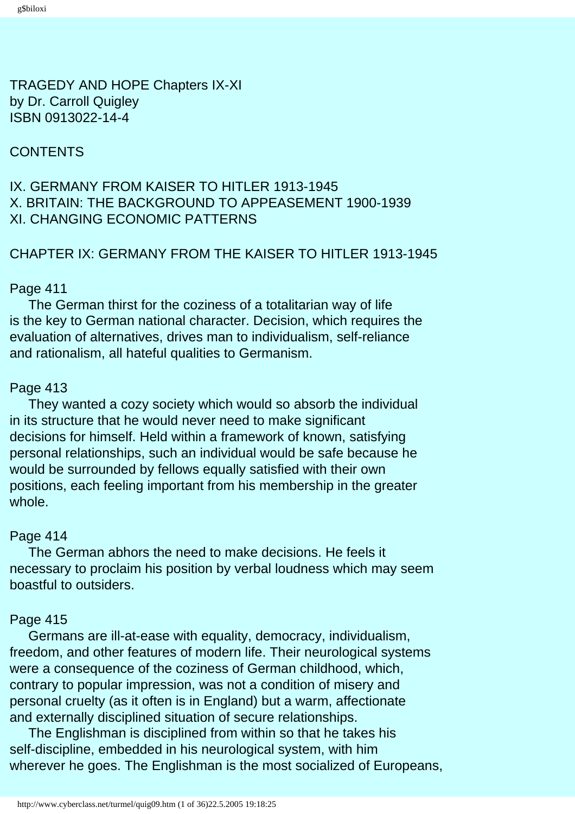TRAGEDY AND HOPE Chapters IX-XI by Dr. Carroll Quigley ISBN 0913022-14-4

#### **CONTENTS**

# IX. GERMANY FROM KAISER TO HITLER 1913-1945 X. BRITAIN: THE BACKGROUND TO APPEASEMENT 1900-1939 XI. CHANGING ECONOMIC PATTERNS

#### CHAPTER IX: GERMANY FROM THE KAISER TO HITLER 1913-1945

#### Page 411

 The German thirst for the coziness of a totalitarian way of life is the key to German national character. Decision, which requires the evaluation of alternatives, drives man to individualism, self-reliance and rationalism, all hateful qualities to Germanism.

#### Page 413

 They wanted a cozy society which would so absorb the individual in its structure that he would never need to make significant decisions for himself. Held within a framework of known, satisfying personal relationships, such an individual would be safe because he would be surrounded by fellows equally satisfied with their own positions, each feeling important from his membership in the greater whole.

#### Page 414

 The German abhors the need to make decisions. He feels it necessary to proclaim his position by verbal loudness which may seem boastful to outsiders.

#### Page 415

 Germans are ill-at-ease with equality, democracy, individualism, freedom, and other features of modern life. Their neurological systems were a consequence of the coziness of German childhood, which, contrary to popular impression, was not a condition of misery and personal cruelty (as it often is in England) but a warm, affectionate and externally disciplined situation of secure relationships.

 The Englishman is disciplined from within so that he takes his self-discipline, embedded in his neurological system, with him wherever he goes. The Englishman is the most socialized of Europeans,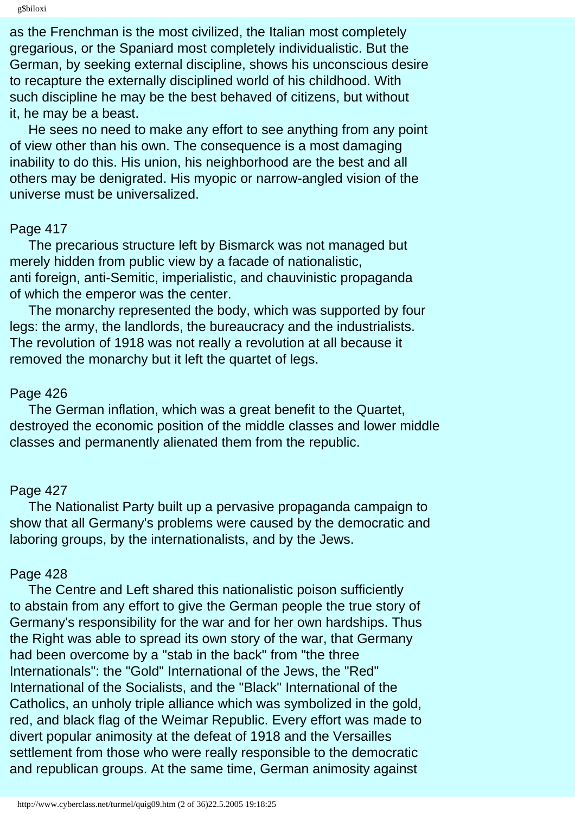as the Frenchman is the most civilized, the Italian most completely gregarious, or the Spaniard most completely individualistic. But the German, by seeking external discipline, shows his unconscious desire to recapture the externally disciplined world of his childhood. With such discipline he may be the best behaved of citizens, but without it, he may be a beast.

 He sees no need to make any effort to see anything from any point of view other than his own. The consequence is a most damaging inability to do this. His union, his neighborhood are the best and all others may be denigrated. His myopic or narrow-angled vision of the universe must be universalized.

### Page 417

 The precarious structure left by Bismarck was not managed but merely hidden from public view by a facade of nationalistic, anti foreign, anti-Semitic, imperialistic, and chauvinistic propaganda of which the emperor was the center.

 The monarchy represented the body, which was supported by four legs: the army, the landlords, the bureaucracy and the industrialists. The revolution of 1918 was not really a revolution at all because it removed the monarchy but it left the quartet of legs.

### Page 426

 The German inflation, which was a great benefit to the Quartet, destroyed the economic position of the middle classes and lower middle classes and permanently alienated them from the republic.

# Page 427

 The Nationalist Party built up a pervasive propaganda campaign to show that all Germany's problems were caused by the democratic and laboring groups, by the internationalists, and by the Jews.

# Page 428

 The Centre and Left shared this nationalistic poison sufficiently to abstain from any effort to give the German people the true story of Germany's responsibility for the war and for her own hardships. Thus the Right was able to spread its own story of the war, that Germany had been overcome by a "stab in the back" from "the three Internationals": the "Gold" International of the Jews, the "Red" International of the Socialists, and the "Black" International of the Catholics, an unholy triple alliance which was symbolized in the gold, red, and black flag of the Weimar Republic. Every effort was made to divert popular animosity at the defeat of 1918 and the Versailles settlement from those who were really responsible to the democratic and republican groups. At the same time, German animosity against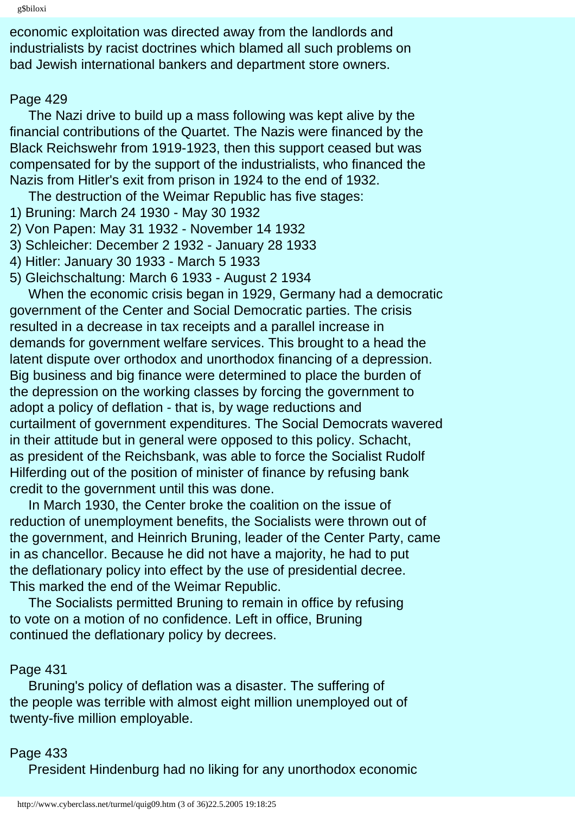economic exploitation was directed away from the landlords and industrialists by racist doctrines which blamed all such problems on bad Jewish international bankers and department store owners.

### Page 429

 The Nazi drive to build up a mass following was kept alive by the financial contributions of the Quartet. The Nazis were financed by the Black Reichswehr from 1919-1923, then this support ceased but was compensated for by the support of the industrialists, who financed the Nazis from Hitler's exit from prison in 1924 to the end of 1932.

The destruction of the Weimar Republic has five stages:

- 1) Bruning: March 24 1930 May 30 1932
- 2) Von Papen: May 31 1932 November 14 1932
- 3) Schleicher: December 2 1932 January 28 1933
- 4) Hitler: January 30 1933 March 5 1933
- 5) Gleichschaltung: March 6 1933 August 2 1934

 When the economic crisis began in 1929, Germany had a democratic government of the Center and Social Democratic parties. The crisis resulted in a decrease in tax receipts and a parallel increase in demands for government welfare services. This brought to a head the latent dispute over orthodox and unorthodox financing of a depression. Big business and big finance were determined to place the burden of the depression on the working classes by forcing the government to adopt a policy of deflation - that is, by wage reductions and curtailment of government expenditures. The Social Democrats wavered in their attitude but in general were opposed to this policy. Schacht, as president of the Reichsbank, was able to force the Socialist Rudolf Hilferding out of the position of minister of finance by refusing bank credit to the government until this was done.

 In March 1930, the Center broke the coalition on the issue of reduction of unemployment benefits, the Socialists were thrown out of the government, and Heinrich Bruning, leader of the Center Party, came in as chancellor. Because he did not have a majority, he had to put the deflationary policy into effect by the use of presidential decree. This marked the end of the Weimar Republic.

 The Socialists permitted Bruning to remain in office by refusing to vote on a motion of no confidence. Left in office, Bruning continued the deflationary policy by decrees.

#### Page 431

 Bruning's policy of deflation was a disaster. The suffering of the people was terrible with almost eight million unemployed out of twenty-five million employable.

# Page 433

President Hindenburg had no liking for any unorthodox economic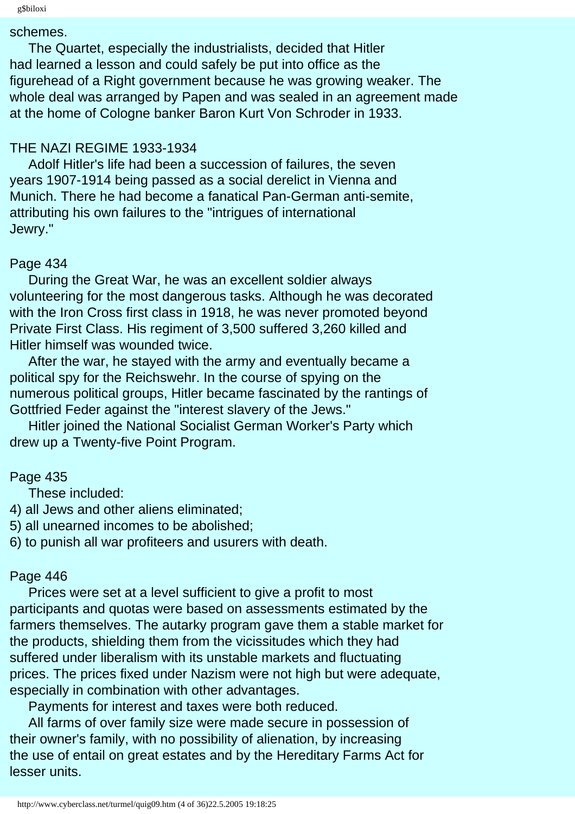#### schemes.

 The Quartet, especially the industrialists, decided that Hitler had learned a lesson and could safely be put into office as the figurehead of a Right government because he was growing weaker. The whole deal was arranged by Papen and was sealed in an agreement made at the home of Cologne banker Baron Kurt Von Schroder in 1933.

# THE NAZI REGIME 1933-1934

 Adolf Hitler's life had been a succession of failures, the seven years 1907-1914 being passed as a social derelict in Vienna and Munich. There he had become a fanatical Pan-German anti-semite, attributing his own failures to the "intrigues of international Jewry."

# Page 434

 During the Great War, he was an excellent soldier always volunteering for the most dangerous tasks. Although he was decorated with the Iron Cross first class in 1918, he was never promoted beyond Private First Class. His regiment of 3,500 suffered 3,260 killed and Hitler himself was wounded twice.

 After the war, he stayed with the army and eventually became a political spy for the Reichswehr. In the course of spying on the numerous political groups, Hitler became fascinated by the rantings of Gottfried Feder against the "interest slavery of the Jews."

 Hitler joined the National Socialist German Worker's Party which drew up a Twenty-five Point Program.

# Page 435

These included:

- 4) all Jews and other aliens eliminated;
- 5) all unearned incomes to be abolished;
- 6) to punish all war profiteers and usurers with death.

# Page 446

 Prices were set at a level sufficient to give a profit to most participants and quotas were based on assessments estimated by the farmers themselves. The autarky program gave them a stable market for the products, shielding them from the vicissitudes which they had suffered under liberalism with its unstable markets and fluctuating prices. The prices fixed under Nazism were not high but were adequate, especially in combination with other advantages.

Payments for interest and taxes were both reduced.

 All farms of over family size were made secure in possession of their owner's family, with no possibility of alienation, by increasing the use of entail on great estates and by the Hereditary Farms Act for lesser units.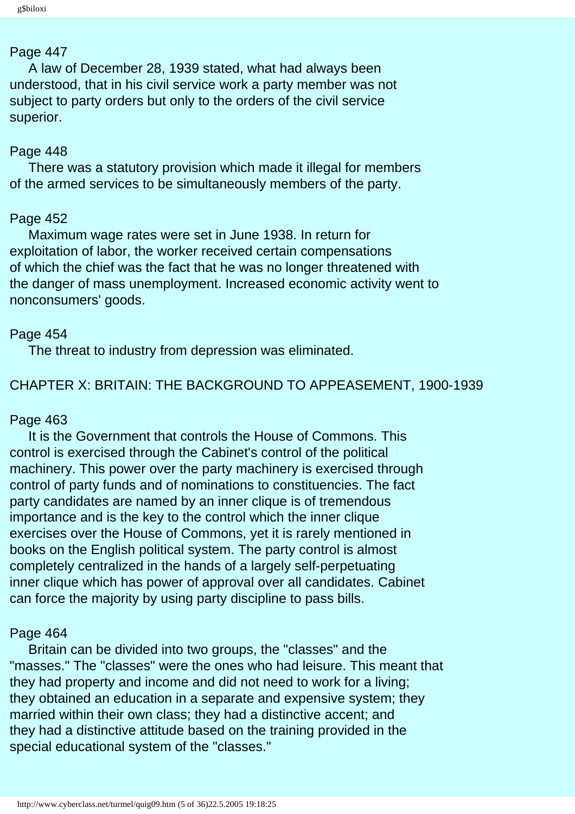#### Page 447

 A law of December 28, 1939 stated, what had always been understood, that in his civil service work a party member was not subject to party orders but only to the orders of the civil service superior.

#### Page 448

 There was a statutory provision which made it illegal for members of the armed services to be simultaneously members of the party.

### Page 452

 Maximum wage rates were set in June 1938. In return for exploitation of labor, the worker received certain compensations of which the chief was the fact that he was no longer threatened with the danger of mass unemployment. Increased economic activity went to nonconsumers' goods.

# Page 454

The threat to industry from depression was eliminated.

# CHAPTER X: BRITAIN: THE BACKGROUND TO APPEASEMENT, 1900-1939

# Page 463

 It is the Government that controls the House of Commons. This control is exercised through the Cabinet's control of the political machinery. This power over the party machinery is exercised through control of party funds and of nominations to constituencies. The fact party candidates are named by an inner clique is of tremendous importance and is the key to the control which the inner clique exercises over the House of Commons, yet it is rarely mentioned in books on the English political system. The party control is almost completely centralized in the hands of a largely self-perpetuating inner clique which has power of approval over all candidates. Cabinet can force the majority by using party discipline to pass bills.

# Page 464

 Britain can be divided into two groups, the "classes" and the "masses." The "classes" were the ones who had leisure. This meant that they had property and income and did not need to work for a living; they obtained an education in a separate and expensive system; they married within their own class; they had a distinctive accent; and they had a distinctive attitude based on the training provided in the special educational system of the "classes."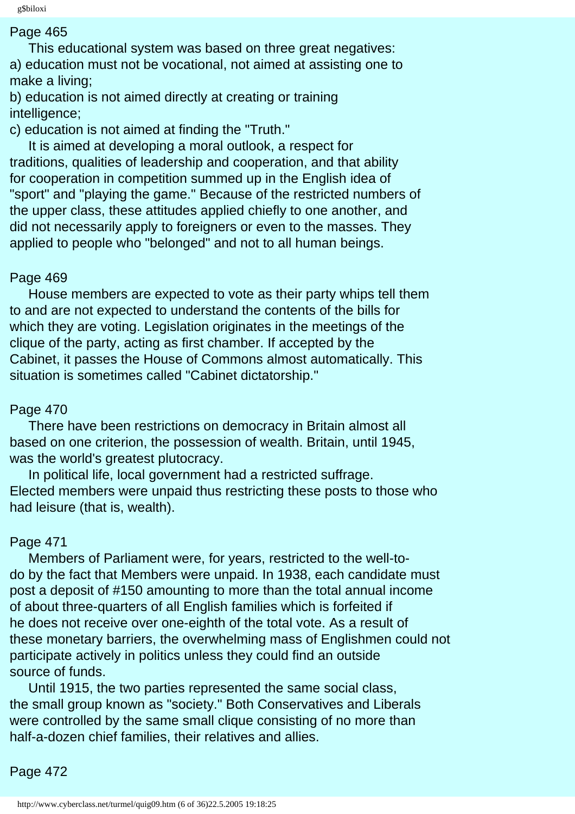# Page 465

 This educational system was based on three great negatives: a) education must not be vocational, not aimed at assisting one to make a living;

b) education is not aimed directly at creating or training intelligence;

c) education is not aimed at finding the "Truth."

 It is aimed at developing a moral outlook, a respect for traditions, qualities of leadership and cooperation, and that ability for cooperation in competition summed up in the English idea of "sport" and "playing the game." Because of the restricted numbers of the upper class, these attitudes applied chiefly to one another, and did not necessarily apply to foreigners or even to the masses. They applied to people who "belonged" and not to all human beings.

# Page 469

 House members are expected to vote as their party whips tell them to and are not expected to understand the contents of the bills for which they are voting. Legislation originates in the meetings of the clique of the party, acting as first chamber. If accepted by the Cabinet, it passes the House of Commons almost automatically. This situation is sometimes called "Cabinet dictatorship."

# Page 470

 There have been restrictions on democracy in Britain almost all based on one criterion, the possession of wealth. Britain, until 1945, was the world's greatest plutocracy.

 In political life, local government had a restricted suffrage. Elected members were unpaid thus restricting these posts to those who had leisure (that is, wealth).

# Page 471

 Members of Parliament were, for years, restricted to the well-todo by the fact that Members were unpaid. In 1938, each candidate must post a deposit of #150 amounting to more than the total annual income of about three-quarters of all English families which is forfeited if he does not receive over one-eighth of the total vote. As a result of these monetary barriers, the overwhelming mass of Englishmen could not participate actively in politics unless they could find an outside source of funds.

 Until 1915, the two parties represented the same social class, the small group known as "society." Both Conservatives and Liberals were controlled by the same small clique consisting of no more than half-a-dozen chief families, their relatives and allies.

# Page 472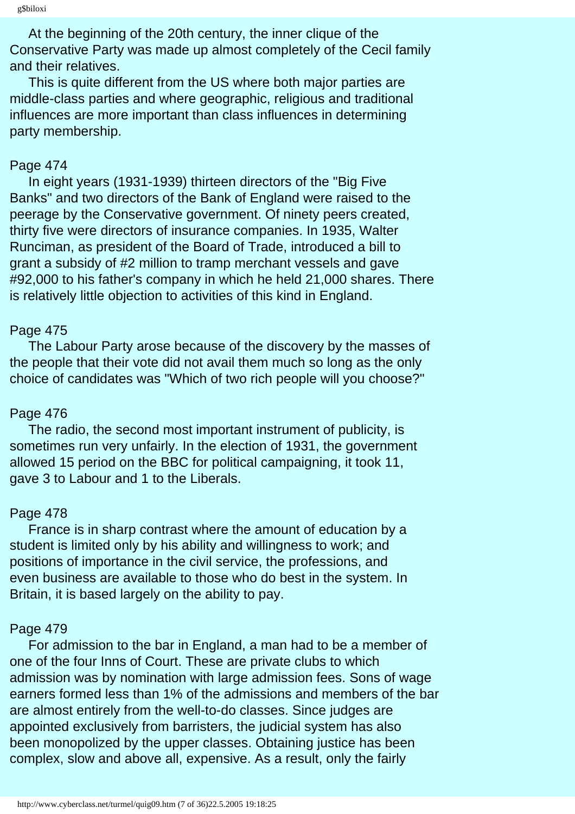At the beginning of the 20th century, the inner clique of the Conservative Party was made up almost completely of the Cecil family and their relatives.

 This is quite different from the US where both major parties are middle-class parties and where geographic, religious and traditional influences are more important than class influences in determining party membership.

#### Page 474

 In eight years (1931-1939) thirteen directors of the "Big Five Banks" and two directors of the Bank of England were raised to the peerage by the Conservative government. Of ninety peers created, thirty five were directors of insurance companies. In 1935, Walter Runciman, as president of the Board of Trade, introduced a bill to grant a subsidy of #2 million to tramp merchant vessels and gave #92,000 to his father's company in which he held 21,000 shares. There is relatively little objection to activities of this kind in England.

### Page 475

 The Labour Party arose because of the discovery by the masses of the people that their vote did not avail them much so long as the only choice of candidates was "Which of two rich people will you choose?"

### Page 476

 The radio, the second most important instrument of publicity, is sometimes run very unfairly. In the election of 1931, the government allowed 15 period on the BBC for political campaigning, it took 11, gave 3 to Labour and 1 to the Liberals.

# Page 478

 France is in sharp contrast where the amount of education by a student is limited only by his ability and willingness to work; and positions of importance in the civil service, the professions, and even business are available to those who do best in the system. In Britain, it is based largely on the ability to pay.

# Page 479

 For admission to the bar in England, a man had to be a member of one of the four Inns of Court. These are private clubs to which admission was by nomination with large admission fees. Sons of wage earners formed less than 1% of the admissions and members of the bar are almost entirely from the well-to-do classes. Since judges are appointed exclusively from barristers, the judicial system has also been monopolized by the upper classes. Obtaining justice has been complex, slow and above all, expensive. As a result, only the fairly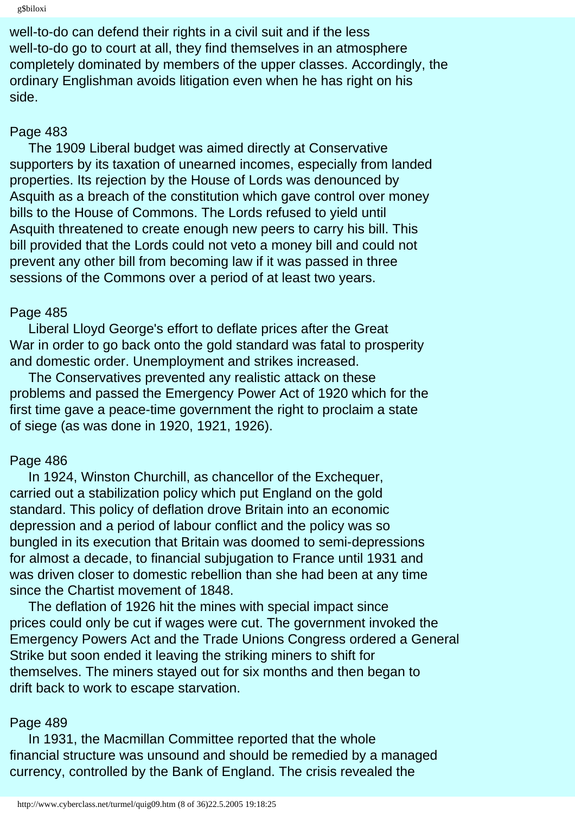well-to-do can defend their rights in a civil suit and if the less well-to-do go to court at all, they find themselves in an atmosphere completely dominated by members of the upper classes. Accordingly, the ordinary Englishman avoids litigation even when he has right on his side.

#### Page 483

 The 1909 Liberal budget was aimed directly at Conservative supporters by its taxation of unearned incomes, especially from landed properties. Its rejection by the House of Lords was denounced by Asquith as a breach of the constitution which gave control over money bills to the House of Commons. The Lords refused to yield until Asquith threatened to create enough new peers to carry his bill. This bill provided that the Lords could not veto a money bill and could not prevent any other bill from becoming law if it was passed in three sessions of the Commons over a period of at least two years.

# Page 485

 Liberal Lloyd George's effort to deflate prices after the Great War in order to go back onto the gold standard was fatal to prosperity and domestic order. Unemployment and strikes increased.

 The Conservatives prevented any realistic attack on these problems and passed the Emergency Power Act of 1920 which for the first time gave a peace-time government the right to proclaim a state of siege (as was done in 1920, 1921, 1926).

# Page 486

 In 1924, Winston Churchill, as chancellor of the Exchequer, carried out a stabilization policy which put England on the gold standard. This policy of deflation drove Britain into an economic depression and a period of labour conflict and the policy was so bungled in its execution that Britain was doomed to semi-depressions for almost a decade, to financial subjugation to France until 1931 and was driven closer to domestic rebellion than she had been at any time since the Chartist movement of 1848.

 The deflation of 1926 hit the mines with special impact since prices could only be cut if wages were cut. The government invoked the Emergency Powers Act and the Trade Unions Congress ordered a General Strike but soon ended it leaving the striking miners to shift for themselves. The miners stayed out for six months and then began to drift back to work to escape starvation.

# Page 489

 In 1931, the Macmillan Committee reported that the whole financial structure was unsound and should be remedied by a managed currency, controlled by the Bank of England. The crisis revealed the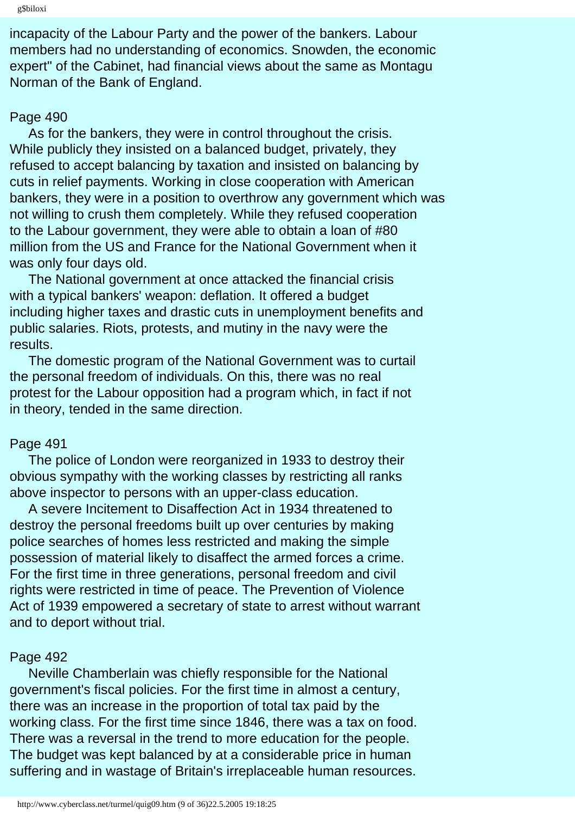incapacity of the Labour Party and the power of the bankers. Labour members had no understanding of economics. Snowden, the economic expert" of the Cabinet, had financial views about the same as Montagu Norman of the Bank of England.

### Page 490

 As for the bankers, they were in control throughout the crisis. While publicly they insisted on a balanced budget, privately, they refused to accept balancing by taxation and insisted on balancing by cuts in relief payments. Working in close cooperation with American bankers, they were in a position to overthrow any government which was not willing to crush them completely. While they refused cooperation to the Labour government, they were able to obtain a loan of #80 million from the US and France for the National Government when it was only four days old.

 The National government at once attacked the financial crisis with a typical bankers' weapon: deflation. It offered a budget including higher taxes and drastic cuts in unemployment benefits and public salaries. Riots, protests, and mutiny in the navy were the results.

 The domestic program of the National Government was to curtail the personal freedom of individuals. On this, there was no real protest for the Labour opposition had a program which, in fact if not in theory, tended in the same direction.

# Page 491

 The police of London were reorganized in 1933 to destroy their obvious sympathy with the working classes by restricting all ranks above inspector to persons with an upper-class education.

 A severe Incitement to Disaffection Act in 1934 threatened to destroy the personal freedoms built up over centuries by making police searches of homes less restricted and making the simple possession of material likely to disaffect the armed forces a crime. For the first time in three generations, personal freedom and civil rights were restricted in time of peace. The Prevention of Violence Act of 1939 empowered a secretary of state to arrest without warrant and to deport without trial.

# Page 492

 Neville Chamberlain was chiefly responsible for the National government's fiscal policies. For the first time in almost a century, there was an increase in the proportion of total tax paid by the working class. For the first time since 1846, there was a tax on food. There was a reversal in the trend to more education for the people. The budget was kept balanced by at a considerable price in human suffering and in wastage of Britain's irreplaceable human resources.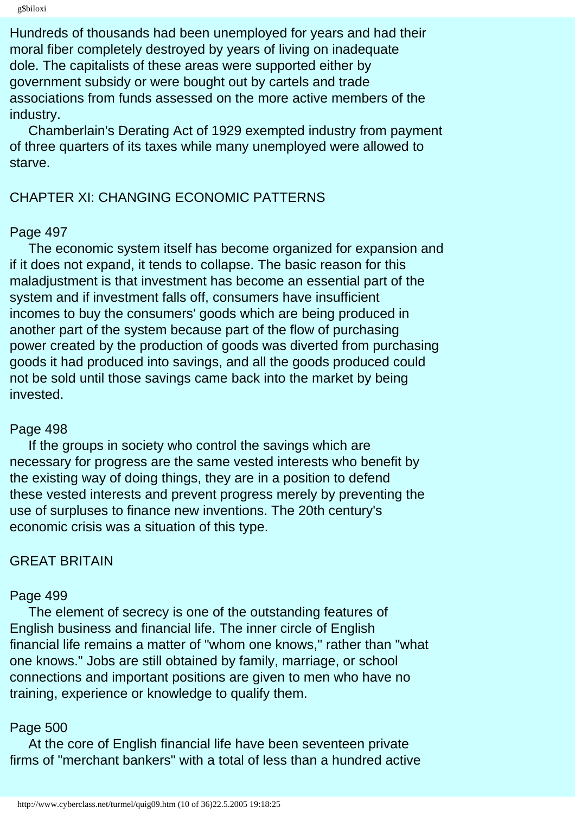Hundreds of thousands had been unemployed for years and had their moral fiber completely destroyed by years of living on inadequate dole. The capitalists of these areas were supported either by government subsidy or were bought out by cartels and trade associations from funds assessed on the more active members of the industry.

 Chamberlain's Derating Act of 1929 exempted industry from payment of three quarters of its taxes while many unemployed were allowed to starve.

# CHAPTER XI: CHANGING ECONOMIC PATTERNS

### Page 497

 The economic system itself has become organized for expansion and if it does not expand, it tends to collapse. The basic reason for this maladjustment is that investment has become an essential part of the system and if investment falls off, consumers have insufficient incomes to buy the consumers' goods which are being produced in another part of the system because part of the flow of purchasing power created by the production of goods was diverted from purchasing goods it had produced into savings, and all the goods produced could not be sold until those savings came back into the market by being invested.

# Page 498

 If the groups in society who control the savings which are necessary for progress are the same vested interests who benefit by the existing way of doing things, they are in a position to defend these vested interests and prevent progress merely by preventing the use of surpluses to finance new inventions. The 20th century's economic crisis was a situation of this type.

# GREAT BRITAIN

#### Page 499

 The element of secrecy is one of the outstanding features of English business and financial life. The inner circle of English financial life remains a matter of "whom one knows," rather than "what one knows." Jobs are still obtained by family, marriage, or school connections and important positions are given to men who have no training, experience or knowledge to qualify them.

# Page 500

 At the core of English financial life have been seventeen private firms of "merchant bankers" with a total of less than a hundred active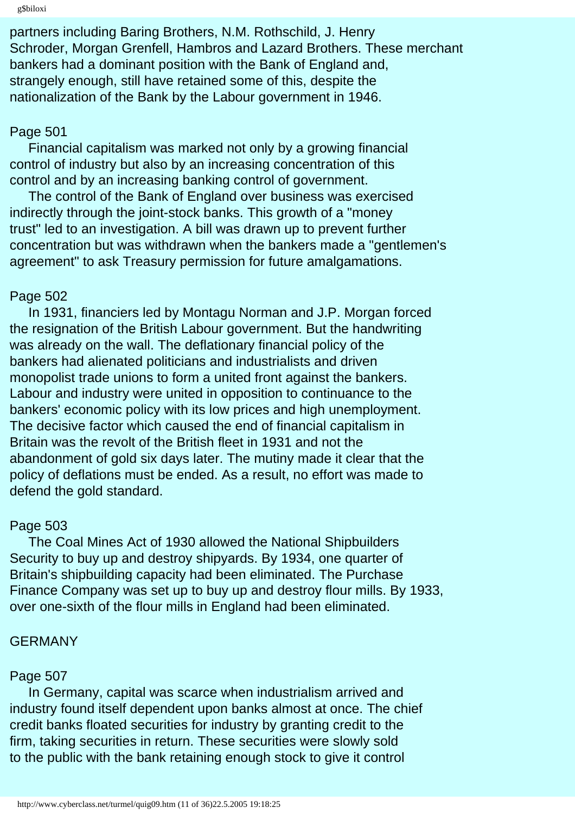partners including Baring Brothers, N.M. Rothschild, J. Henry Schroder, Morgan Grenfell, Hambros and Lazard Brothers. These merchant bankers had a dominant position with the Bank of England and, strangely enough, still have retained some of this, despite the nationalization of the Bank by the Labour government in 1946.

### Page 501

 Financial capitalism was marked not only by a growing financial control of industry but also by an increasing concentration of this control and by an increasing banking control of government.

 The control of the Bank of England over business was exercised indirectly through the joint-stock banks. This growth of a "money trust" led to an investigation. A bill was drawn up to prevent further concentration but was withdrawn when the bankers made a "gentlemen's agreement" to ask Treasury permission for future amalgamations.

# Page 502

 In 1931, financiers led by Montagu Norman and J.P. Morgan forced the resignation of the British Labour government. But the handwriting was already on the wall. The deflationary financial policy of the bankers had alienated politicians and industrialists and driven monopolist trade unions to form a united front against the bankers. Labour and industry were united in opposition to continuance to the bankers' economic policy with its low prices and high unemployment. The decisive factor which caused the end of financial capitalism in Britain was the revolt of the British fleet in 1931 and not the abandonment of gold six days later. The mutiny made it clear that the policy of deflations must be ended. As a result, no effort was made to defend the gold standard.

# Page 503

 The Coal Mines Act of 1930 allowed the National Shipbuilders Security to buy up and destroy shipyards. By 1934, one quarter of Britain's shipbuilding capacity had been eliminated. The Purchase Finance Company was set up to buy up and destroy flour mills. By 1933, over one-sixth of the flour mills in England had been eliminated.

# GERMANY

# Page 507

 In Germany, capital was scarce when industrialism arrived and industry found itself dependent upon banks almost at once. The chief credit banks floated securities for industry by granting credit to the firm, taking securities in return. These securities were slowly sold to the public with the bank retaining enough stock to give it control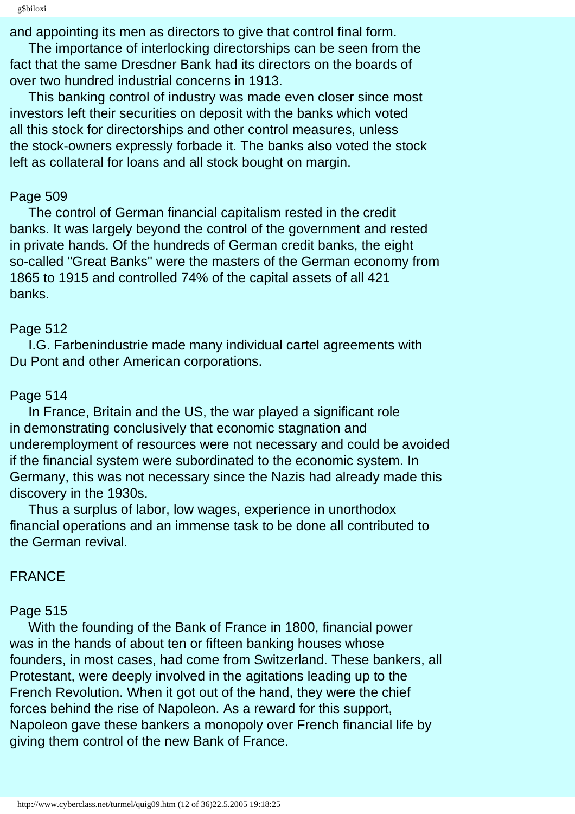and appointing its men as directors to give that control final form.

 The importance of interlocking directorships can be seen from the fact that the same Dresdner Bank had its directors on the boards of over two hundred industrial concerns in 1913.

 This banking control of industry was made even closer since most investors left their securities on deposit with the banks which voted all this stock for directorships and other control measures, unless the stock-owners expressly forbade it. The banks also voted the stock left as collateral for loans and all stock bought on margin.

### Page 509

 The control of German financial capitalism rested in the credit banks. It was largely beyond the control of the government and rested in private hands. Of the hundreds of German credit banks, the eight so-called "Great Banks" were the masters of the German economy from 1865 to 1915 and controlled 74% of the capital assets of all 421 banks.

# Page 512

 I.G. Farbenindustrie made many individual cartel agreements with Du Pont and other American corporations.

# Page 514

 In France, Britain and the US, the war played a significant role in demonstrating conclusively that economic stagnation and underemployment of resources were not necessary and could be avoided if the financial system were subordinated to the economic system. In Germany, this was not necessary since the Nazis had already made this discovery in the 1930s.

 Thus a surplus of labor, low wages, experience in unorthodox financial operations and an immense task to be done all contributed to the German revival.

# FRANCE

# Page 515

 With the founding of the Bank of France in 1800, financial power was in the hands of about ten or fifteen banking houses whose founders, in most cases, had come from Switzerland. These bankers, all Protestant, were deeply involved in the agitations leading up to the French Revolution. When it got out of the hand, they were the chief forces behind the rise of Napoleon. As a reward for this support, Napoleon gave these bankers a monopoly over French financial life by giving them control of the new Bank of France.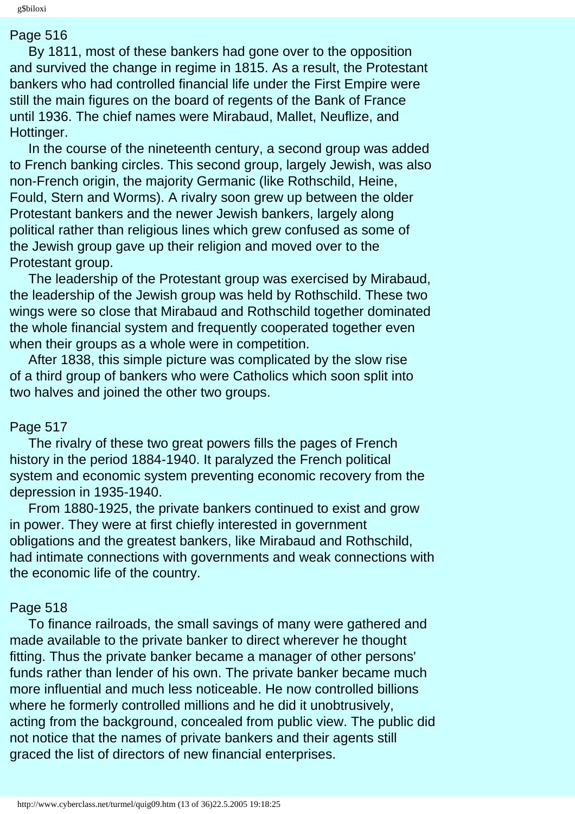# Page 516

 By 1811, most of these bankers had gone over to the opposition and survived the change in regime in 1815. As a result, the Protestant bankers who had controlled financial life under the First Empire were still the main figures on the board of regents of the Bank of France until 1936. The chief names were Mirabaud, Mallet, Neuflize, and Hottinger.

 In the course of the nineteenth century, a second group was added to French banking circles. This second group, largely Jewish, was also non-French origin, the majority Germanic (like Rothschild, Heine, Fould, Stern and Worms). A rivalry soon grew up between the older Protestant bankers and the newer Jewish bankers, largely along political rather than religious lines which grew confused as some of the Jewish group gave up their religion and moved over to the Protestant group.

 The leadership of the Protestant group was exercised by Mirabaud, the leadership of the Jewish group was held by Rothschild. These two wings were so close that Mirabaud and Rothschild together dominated the whole financial system and frequently cooperated together even when their groups as a whole were in competition.

 After 1838, this simple picture was complicated by the slow rise of a third group of bankers who were Catholics which soon split into two halves and joined the other two groups.

# Page 517

 The rivalry of these two great powers fills the pages of French history in the period 1884-1940. It paralyzed the French political system and economic system preventing economic recovery from the depression in 1935-1940.

 From 1880-1925, the private bankers continued to exist and grow in power. They were at first chiefly interested in government obligations and the greatest bankers, like Mirabaud and Rothschild, had intimate connections with governments and weak connections with the economic life of the country.

# Page 518

 To finance railroads, the small savings of many were gathered and made available to the private banker to direct wherever he thought fitting. Thus the private banker became a manager of other persons' funds rather than lender of his own. The private banker became much more influential and much less noticeable. He now controlled billions where he formerly controlled millions and he did it unobtrusively, acting from the background, concealed from public view. The public did not notice that the names of private bankers and their agents still graced the list of directors of new financial enterprises.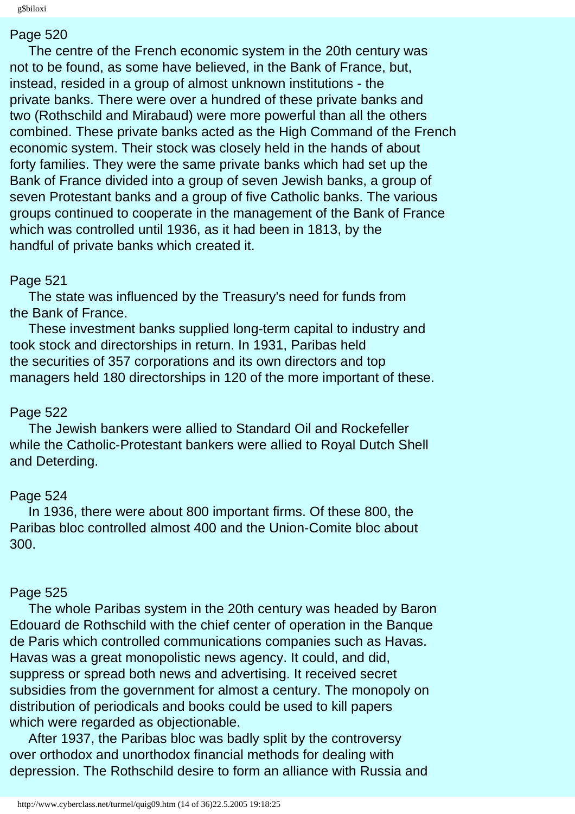### Page 520

 The centre of the French economic system in the 20th century was not to be found, as some have believed, in the Bank of France, but, instead, resided in a group of almost unknown institutions - the private banks. There were over a hundred of these private banks and two (Rothschild and Mirabaud) were more powerful than all the others combined. These private banks acted as the High Command of the French economic system. Their stock was closely held in the hands of about forty families. They were the same private banks which had set up the Bank of France divided into a group of seven Jewish banks, a group of seven Protestant banks and a group of five Catholic banks. The various groups continued to cooperate in the management of the Bank of France which was controlled until 1936, as it had been in 1813, by the handful of private banks which created it.

### Page 521

 The state was influenced by the Treasury's need for funds from the Bank of France.

 These investment banks supplied long-term capital to industry and took stock and directorships in return. In 1931, Paribas held the securities of 357 corporations and its own directors and top managers held 180 directorships in 120 of the more important of these.

# Page 522

 The Jewish bankers were allied to Standard Oil and Rockefeller while the Catholic-Protestant bankers were allied to Royal Dutch Shell and Deterding.

# Page 524

 In 1936, there were about 800 important firms. Of these 800, the Paribas bloc controlled almost 400 and the Union-Comite bloc about 300.

# Page 525

 The whole Paribas system in the 20th century was headed by Baron Edouard de Rothschild with the chief center of operation in the Banque de Paris which controlled communications companies such as Havas. Havas was a great monopolistic news agency. It could, and did, suppress or spread both news and advertising. It received secret subsidies from the government for almost a century. The monopoly on distribution of periodicals and books could be used to kill papers which were regarded as objectionable.

 After 1937, the Paribas bloc was badly split by the controversy over orthodox and unorthodox financial methods for dealing with depression. The Rothschild desire to form an alliance with Russia and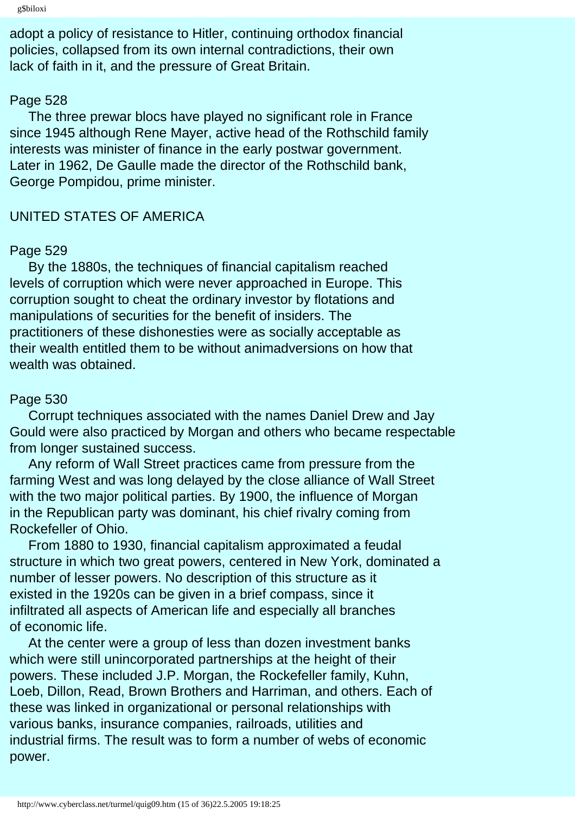adopt a policy of resistance to Hitler, continuing orthodox financial policies, collapsed from its own internal contradictions, their own lack of faith in it, and the pressure of Great Britain.

#### Page 528

 The three prewar blocs have played no significant role in France since 1945 although Rene Mayer, active head of the Rothschild family interests was minister of finance in the early postwar government. Later in 1962, De Gaulle made the director of the Rothschild bank, George Pompidou, prime minister.

### UNITED STATES OF AMERICA

#### Page 529

 By the 1880s, the techniques of financial capitalism reached levels of corruption which were never approached in Europe. This corruption sought to cheat the ordinary investor by flotations and manipulations of securities for the benefit of insiders. The practitioners of these dishonesties were as socially acceptable as their wealth entitled them to be without animadversions on how that wealth was obtained.

#### Page 530

 Corrupt techniques associated with the names Daniel Drew and Jay Gould were also practiced by Morgan and others who became respectable from longer sustained success.

 Any reform of Wall Street practices came from pressure from the farming West and was long delayed by the close alliance of Wall Street with the two major political parties. By 1900, the influence of Morgan in the Republican party was dominant, his chief rivalry coming from Rockefeller of Ohio.

 From 1880 to 1930, financial capitalism approximated a feudal structure in which two great powers, centered in New York, dominated a number of lesser powers. No description of this structure as it existed in the 1920s can be given in a brief compass, since it infiltrated all aspects of American life and especially all branches of economic life.

 At the center were a group of less than dozen investment banks which were still unincorporated partnerships at the height of their powers. These included J.P. Morgan, the Rockefeller family, Kuhn, Loeb, Dillon, Read, Brown Brothers and Harriman, and others. Each of these was linked in organizational or personal relationships with various banks, insurance companies, railroads, utilities and industrial firms. The result was to form a number of webs of economic power.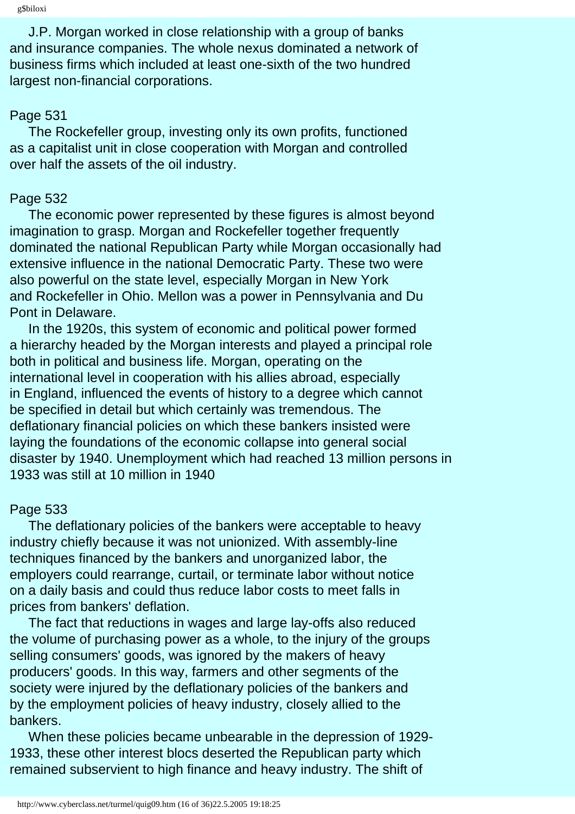J.P. Morgan worked in close relationship with a group of banks and insurance companies. The whole nexus dominated a network of business firms which included at least one-sixth of the two hundred largest non-financial corporations.

#### Page 531

 The Rockefeller group, investing only its own profits, functioned as a capitalist unit in close cooperation with Morgan and controlled over half the assets of the oil industry.

#### Page 532

 The economic power represented by these figures is almost beyond imagination to grasp. Morgan and Rockefeller together frequently dominated the national Republican Party while Morgan occasionally had extensive influence in the national Democratic Party. These two were also powerful on the state level, especially Morgan in New York and Rockefeller in Ohio. Mellon was a power in Pennsylvania and Du Pont in Delaware.

 In the 1920s, this system of economic and political power formed a hierarchy headed by the Morgan interests and played a principal role both in political and business life. Morgan, operating on the international level in cooperation with his allies abroad, especially in England, influenced the events of history to a degree which cannot be specified in detail but which certainly was tremendous. The deflationary financial policies on which these bankers insisted were laying the foundations of the economic collapse into general social disaster by 1940. Unemployment which had reached 13 million persons in 1933 was still at 10 million in 1940

#### Page 533

 The deflationary policies of the bankers were acceptable to heavy industry chiefly because it was not unionized. With assembly-line techniques financed by the bankers and unorganized labor, the employers could rearrange, curtail, or terminate labor without notice on a daily basis and could thus reduce labor costs to meet falls in prices from bankers' deflation.

 The fact that reductions in wages and large lay-offs also reduced the volume of purchasing power as a whole, to the injury of the groups selling consumers' goods, was ignored by the makers of heavy producers' goods. In this way, farmers and other segments of the society were injured by the deflationary policies of the bankers and by the employment policies of heavy industry, closely allied to the bankers.

 When these policies became unbearable in the depression of 1929- 1933, these other interest blocs deserted the Republican party which remained subservient to high finance and heavy industry. The shift of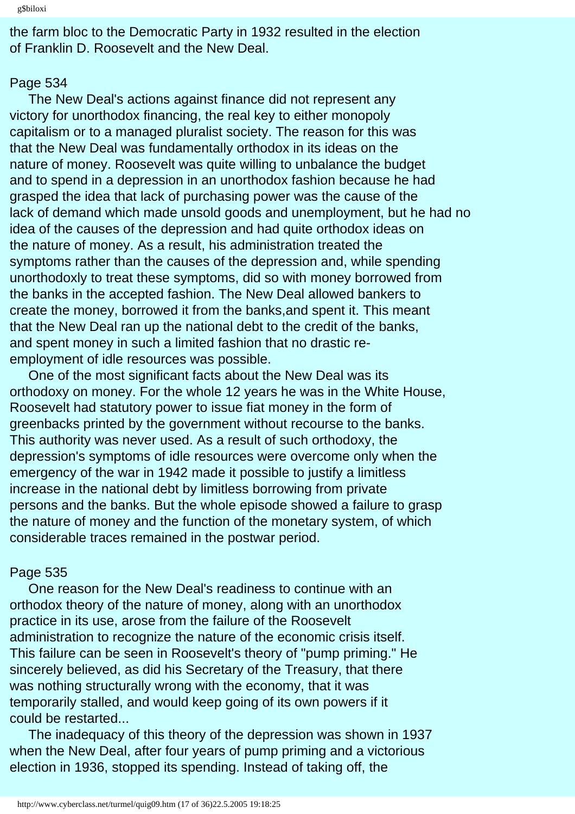the farm bloc to the Democratic Party in 1932 resulted in the election of Franklin D. Roosevelt and the New Deal.

#### Page 534

 The New Deal's actions against finance did not represent any victory for unorthodox financing, the real key to either monopoly capitalism or to a managed pluralist society. The reason for this was that the New Deal was fundamentally orthodox in its ideas on the nature of money. Roosevelt was quite willing to unbalance the budget and to spend in a depression in an unorthodox fashion because he had grasped the idea that lack of purchasing power was the cause of the lack of demand which made unsold goods and unemployment, but he had no idea of the causes of the depression and had quite orthodox ideas on the nature of money. As a result, his administration treated the symptoms rather than the causes of the depression and, while spending unorthodoxly to treat these symptoms, did so with money borrowed from the banks in the accepted fashion. The New Deal allowed bankers to create the money, borrowed it from the banks,and spent it. This meant that the New Deal ran up the national debt to the credit of the banks, and spent money in such a limited fashion that no drastic reemployment of idle resources was possible.

 One of the most significant facts about the New Deal was its orthodoxy on money. For the whole 12 years he was in the White House, Roosevelt had statutory power to issue fiat money in the form of greenbacks printed by the government without recourse to the banks. This authority was never used. As a result of such orthodoxy, the depression's symptoms of idle resources were overcome only when the emergency of the war in 1942 made it possible to justify a limitless increase in the national debt by limitless borrowing from private persons and the banks. But the whole episode showed a failure to grasp the nature of money and the function of the monetary system, of which considerable traces remained in the postwar period.

#### Page 535

 One reason for the New Deal's readiness to continue with an orthodox theory of the nature of money, along with an unorthodox practice in its use, arose from the failure of the Roosevelt administration to recognize the nature of the economic crisis itself. This failure can be seen in Roosevelt's theory of "pump priming." He sincerely believed, as did his Secretary of the Treasury, that there was nothing structurally wrong with the economy, that it was temporarily stalled, and would keep going of its own powers if it could be restarted...

 The inadequacy of this theory of the depression was shown in 1937 when the New Deal, after four years of pump priming and a victorious election in 1936, stopped its spending. Instead of taking off, the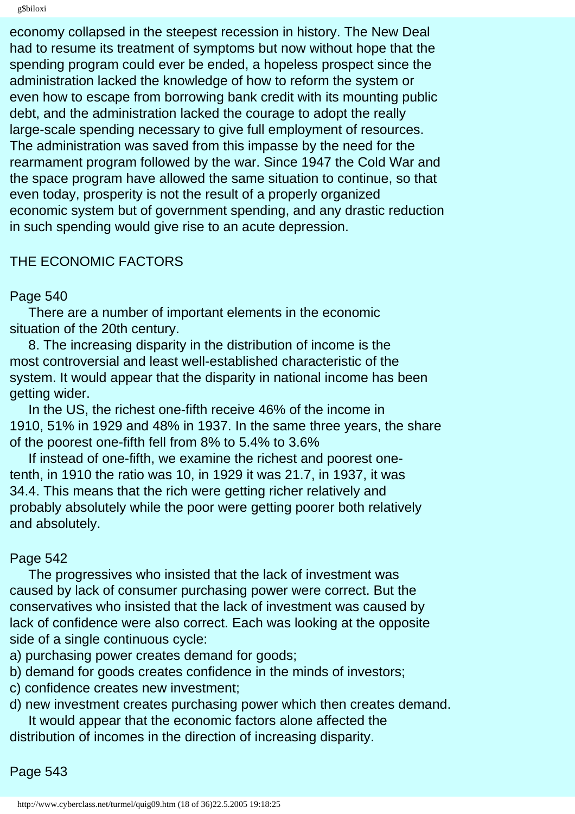economy collapsed in the steepest recession in history. The New Deal had to resume its treatment of symptoms but now without hope that the spending program could ever be ended, a hopeless prospect since the administration lacked the knowledge of how to reform the system or even how to escape from borrowing bank credit with its mounting public debt, and the administration lacked the courage to adopt the really large-scale spending necessary to give full employment of resources. The administration was saved from this impasse by the need for the rearmament program followed by the war. Since 1947 the Cold War and the space program have allowed the same situation to continue, so that even today, prosperity is not the result of a properly organized economic system but of government spending, and any drastic reduction in such spending would give rise to an acute depression.

# THE ECONOMIC FACTORS

# Page 540

 There are a number of important elements in the economic situation of the 20th century.

 8. The increasing disparity in the distribution of income is the most controversial and least well-established characteristic of the system. It would appear that the disparity in national income has been getting wider.

 In the US, the richest one-fifth receive 46% of the income in 1910, 51% in 1929 and 48% in 1937. In the same three years, the share of the poorest one-fifth fell from 8% to 5.4% to 3.6%

 If instead of one-fifth, we examine the richest and poorest onetenth, in 1910 the ratio was 10, in 1929 it was 21.7, in 1937, it was 34.4. This means that the rich were getting richer relatively and probably absolutely while the poor were getting poorer both relatively and absolutely.

# Page 542

 The progressives who insisted that the lack of investment was caused by lack of consumer purchasing power were correct. But the conservatives who insisted that the lack of investment was caused by lack of confidence were also correct. Each was looking at the opposite side of a single continuous cycle:

- a) purchasing power creates demand for goods;
- b) demand for goods creates confidence in the minds of investors;
- c) confidence creates new investment;
- d) new investment creates purchasing power which then creates demand. It would appear that the economic factors alone affected the

distribution of incomes in the direction of increasing disparity.

# Page 543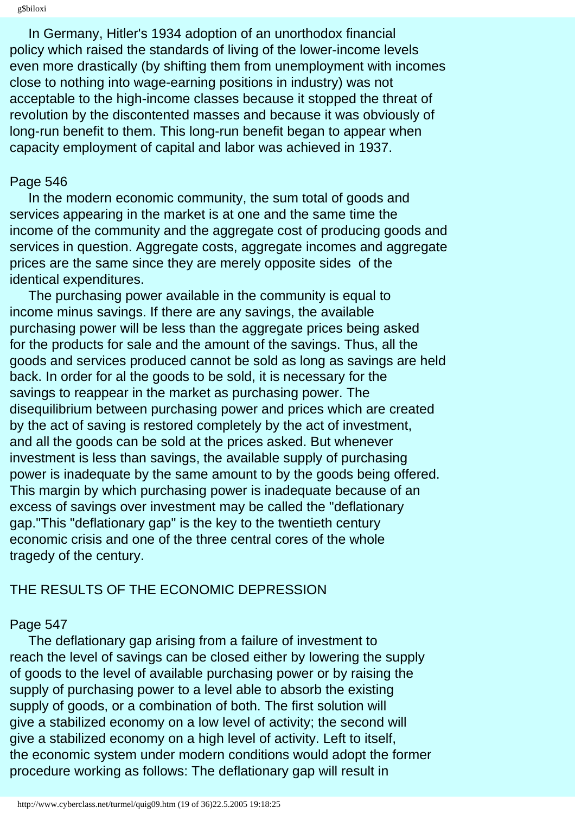In Germany, Hitler's 1934 adoption of an unorthodox financial policy which raised the standards of living of the lower-income levels even more drastically (by shifting them from unemployment with incomes close to nothing into wage-earning positions in industry) was not acceptable to the high-income classes because it stopped the threat of revolution by the discontented masses and because it was obviously of long-run benefit to them. This long-run benefit began to appear when capacity employment of capital and labor was achieved in 1937.

#### Page 546

 In the modern economic community, the sum total of goods and services appearing in the market is at one and the same time the income of the community and the aggregate cost of producing goods and services in question. Aggregate costs, aggregate incomes and aggregate prices are the same since they are merely opposite sides of the identical expenditures.

 The purchasing power available in the community is equal to income minus savings. If there are any savings, the available purchasing power will be less than the aggregate prices being asked for the products for sale and the amount of the savings. Thus, all the goods and services produced cannot be sold as long as savings are held back. In order for al the goods to be sold, it is necessary for the savings to reappear in the market as purchasing power. The disequilibrium between purchasing power and prices which are created by the act of saving is restored completely by the act of investment, and all the goods can be sold at the prices asked. But whenever investment is less than savings, the available supply of purchasing power is inadequate by the same amount to by the goods being offered. This margin by which purchasing power is inadequate because of an excess of savings over investment may be called the "deflationary gap."This "deflationary gap" is the key to the twentieth century economic crisis and one of the three central cores of the whole tragedy of the century.

### THE RESULTS OF THE ECONOMIC DEPRESSION

#### Page 547

 The deflationary gap arising from a failure of investment to reach the level of savings can be closed either by lowering the supply of goods to the level of available purchasing power or by raising the supply of purchasing power to a level able to absorb the existing supply of goods, or a combination of both. The first solution will give a stabilized economy on a low level of activity; the second will give a stabilized economy on a high level of activity. Left to itself, the economic system under modern conditions would adopt the former procedure working as follows: The deflationary gap will result in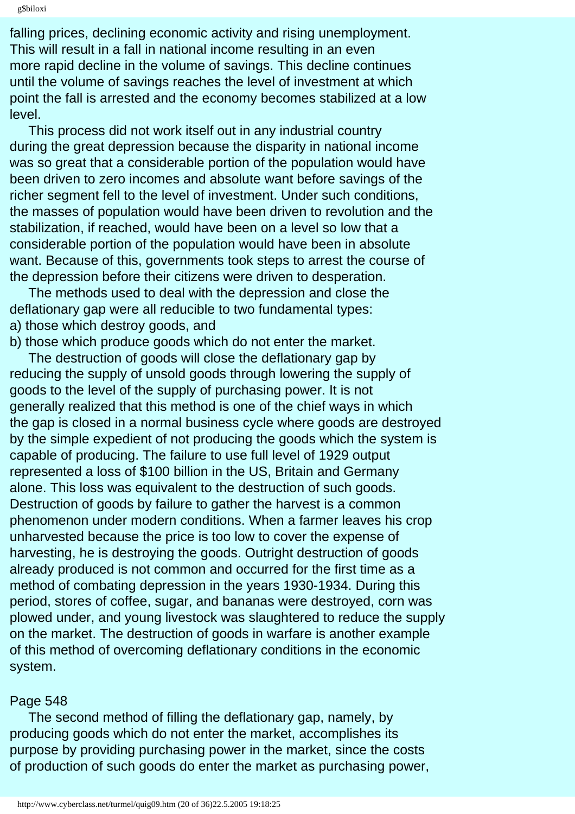falling prices, declining economic activity and rising unemployment. This will result in a fall in national income resulting in an even more rapid decline in the volume of savings. This decline continues until the volume of savings reaches the level of investment at which point the fall is arrested and the economy becomes stabilized at a low level.

 This process did not work itself out in any industrial country during the great depression because the disparity in national income was so great that a considerable portion of the population would have been driven to zero incomes and absolute want before savings of the richer segment fell to the level of investment. Under such conditions, the masses of population would have been driven to revolution and the stabilization, if reached, would have been on a level so low that a considerable portion of the population would have been in absolute want. Because of this, governments took steps to arrest the course of the depression before their citizens were driven to desperation.

 The methods used to deal with the depression and close the deflationary gap were all reducible to two fundamental types: a) those which destroy goods, and

b) those which produce goods which do not enter the market.

 The destruction of goods will close the deflationary gap by reducing the supply of unsold goods through lowering the supply of goods to the level of the supply of purchasing power. It is not generally realized that this method is one of the chief ways in which the gap is closed in a normal business cycle where goods are destroyed by the simple expedient of not producing the goods which the system is capable of producing. The failure to use full level of 1929 output represented a loss of \$100 billion in the US, Britain and Germany alone. This loss was equivalent to the destruction of such goods. Destruction of goods by failure to gather the harvest is a common phenomenon under modern conditions. When a farmer leaves his crop unharvested because the price is too low to cover the expense of harvesting, he is destroying the goods. Outright destruction of goods already produced is not common and occurred for the first time as a method of combating depression in the years 1930-1934. During this period, stores of coffee, sugar, and bananas were destroyed, corn was plowed under, and young livestock was slaughtered to reduce the supply on the market. The destruction of goods in warfare is another example of this method of overcoming deflationary conditions in the economic system.

#### Page 548

 The second method of filling the deflationary gap, namely, by producing goods which do not enter the market, accomplishes its purpose by providing purchasing power in the market, since the costs of production of such goods do enter the market as purchasing power,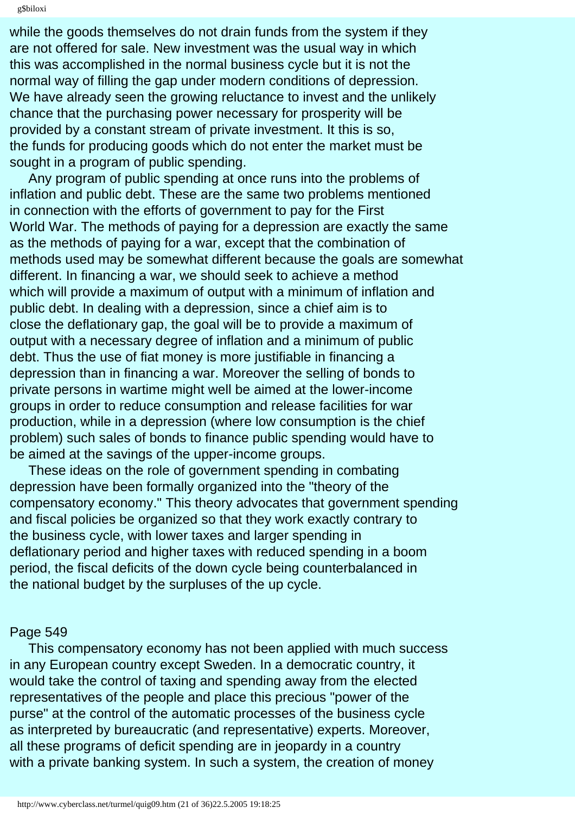while the goods themselves do not drain funds from the system if they are not offered for sale. New investment was the usual way in which this was accomplished in the normal business cycle but it is not the normal way of filling the gap under modern conditions of depression. We have already seen the growing reluctance to invest and the unlikely chance that the purchasing power necessary for prosperity will be provided by a constant stream of private investment. It this is so, the funds for producing goods which do not enter the market must be sought in a program of public spending.

 Any program of public spending at once runs into the problems of inflation and public debt. These are the same two problems mentioned in connection with the efforts of government to pay for the First World War. The methods of paying for a depression are exactly the same as the methods of paying for a war, except that the combination of methods used may be somewhat different because the goals are somewhat different. In financing a war, we should seek to achieve a method which will provide a maximum of output with a minimum of inflation and public debt. In dealing with a depression, since a chief aim is to close the deflationary gap, the goal will be to provide a maximum of output with a necessary degree of inflation and a minimum of public debt. Thus the use of fiat money is more justifiable in financing a depression than in financing a war. Moreover the selling of bonds to private persons in wartime might well be aimed at the lower-income groups in order to reduce consumption and release facilities for war production, while in a depression (where low consumption is the chief problem) such sales of bonds to finance public spending would have to be aimed at the savings of the upper-income groups.

 These ideas on the role of government spending in combating depression have been formally organized into the "theory of the compensatory economy." This theory advocates that government spending and fiscal policies be organized so that they work exactly contrary to the business cycle, with lower taxes and larger spending in deflationary period and higher taxes with reduced spending in a boom period, the fiscal deficits of the down cycle being counterbalanced in the national budget by the surpluses of the up cycle.

### Page 549

 This compensatory economy has not been applied with much success in any European country except Sweden. In a democratic country, it would take the control of taxing and spending away from the elected representatives of the people and place this precious "power of the purse" at the control of the automatic processes of the business cycle as interpreted by bureaucratic (and representative) experts. Moreover, all these programs of deficit spending are in jeopardy in a country with a private banking system. In such a system, the creation of money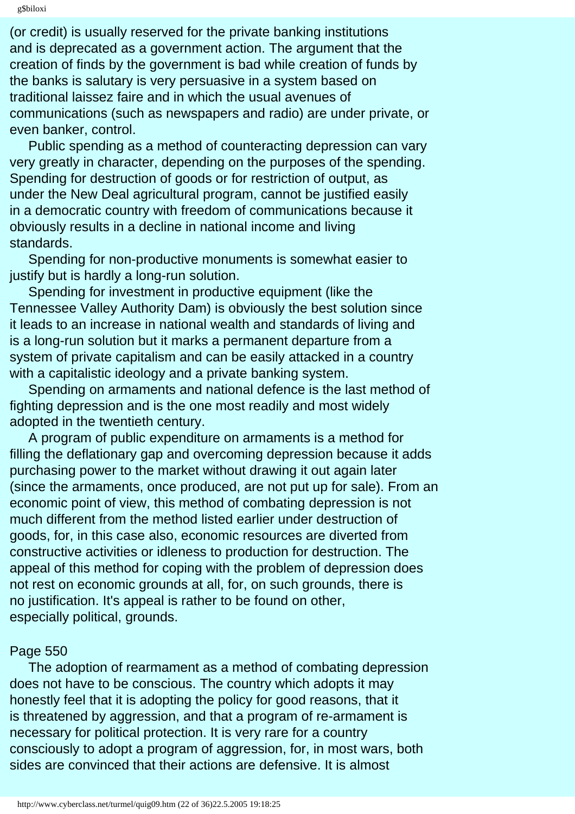(or credit) is usually reserved for the private banking institutions and is deprecated as a government action. The argument that the creation of finds by the government is bad while creation of funds by the banks is salutary is very persuasive in a system based on traditional laissez faire and in which the usual avenues of communications (such as newspapers and radio) are under private, or even banker, control.

 Public spending as a method of counteracting depression can vary very greatly in character, depending on the purposes of the spending. Spending for destruction of goods or for restriction of output, as under the New Deal agricultural program, cannot be justified easily in a democratic country with freedom of communications because it obviously results in a decline in national income and living standards.

 Spending for non-productive monuments is somewhat easier to justify but is hardly a long-run solution.

 Spending for investment in productive equipment (like the Tennessee Valley Authority Dam) is obviously the best solution since it leads to an increase in national wealth and standards of living and is a long-run solution but it marks a permanent departure from a system of private capitalism and can be easily attacked in a country with a capitalistic ideology and a private banking system.

 Spending on armaments and national defence is the last method of fighting depression and is the one most readily and most widely adopted in the twentieth century.

 A program of public expenditure on armaments is a method for filling the deflationary gap and overcoming depression because it adds purchasing power to the market without drawing it out again later (since the armaments, once produced, are not put up for sale). From an economic point of view, this method of combating depression is not much different from the method listed earlier under destruction of goods, for, in this case also, economic resources are diverted from constructive activities or idleness to production for destruction. The appeal of this method for coping with the problem of depression does not rest on economic grounds at all, for, on such grounds, there is no justification. It's appeal is rather to be found on other, especially political, grounds.

#### Page 550

 The adoption of rearmament as a method of combating depression does not have to be conscious. The country which adopts it may honestly feel that it is adopting the policy for good reasons, that it is threatened by aggression, and that a program of re-armament is necessary for political protection. It is very rare for a country consciously to adopt a program of aggression, for, in most wars, both sides are convinced that their actions are defensive. It is almost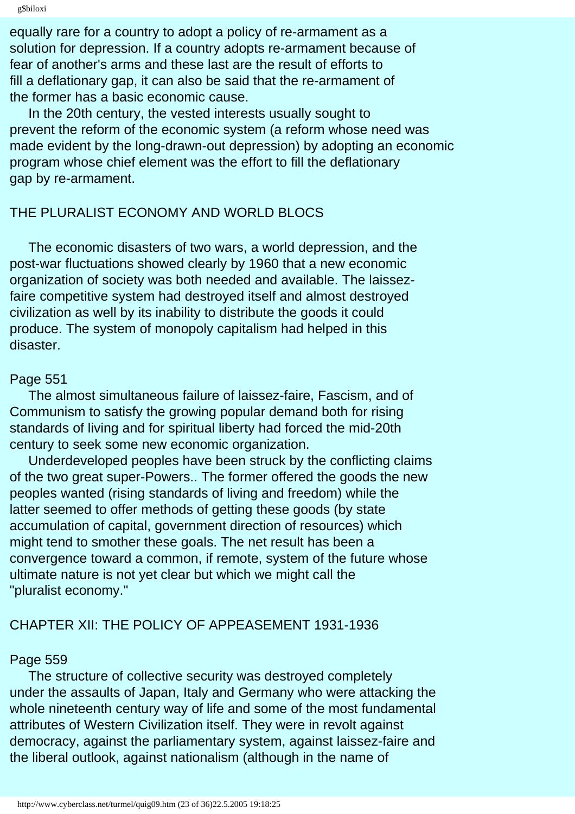equally rare for a country to adopt a policy of re-armament as a solution for depression. If a country adopts re-armament because of fear of another's arms and these last are the result of efforts to fill a deflationary gap, it can also be said that the re-armament of the former has a basic economic cause.

 In the 20th century, the vested interests usually sought to prevent the reform of the economic system (a reform whose need was made evident by the long-drawn-out depression) by adopting an economic program whose chief element was the effort to fill the deflationary gap by re-armament.

# THE PLURALIST ECONOMY AND WORLD BLOCS

 The economic disasters of two wars, a world depression, and the post-war fluctuations showed clearly by 1960 that a new economic organization of society was both needed and available. The laissezfaire competitive system had destroyed itself and almost destroyed civilization as well by its inability to distribute the goods it could produce. The system of monopoly capitalism had helped in this disaster.

### Page 551

 The almost simultaneous failure of laissez-faire, Fascism, and of Communism to satisfy the growing popular demand both for rising standards of living and for spiritual liberty had forced the mid-20th century to seek some new economic organization.

 Underdeveloped peoples have been struck by the conflicting claims of the two great super-Powers.. The former offered the goods the new peoples wanted (rising standards of living and freedom) while the latter seemed to offer methods of getting these goods (by state accumulation of capital, government direction of resources) which might tend to smother these goals. The net result has been a convergence toward a common, if remote, system of the future whose ultimate nature is not yet clear but which we might call the "pluralist economy."

# CHAPTER XII: THE POLICY OF APPEASEMENT 1931-1936

# Page 559

 The structure of collective security was destroyed completely under the assaults of Japan, Italy and Germany who were attacking the whole nineteenth century way of life and some of the most fundamental attributes of Western Civilization itself. They were in revolt against democracy, against the parliamentary system, against laissez-faire and the liberal outlook, against nationalism (although in the name of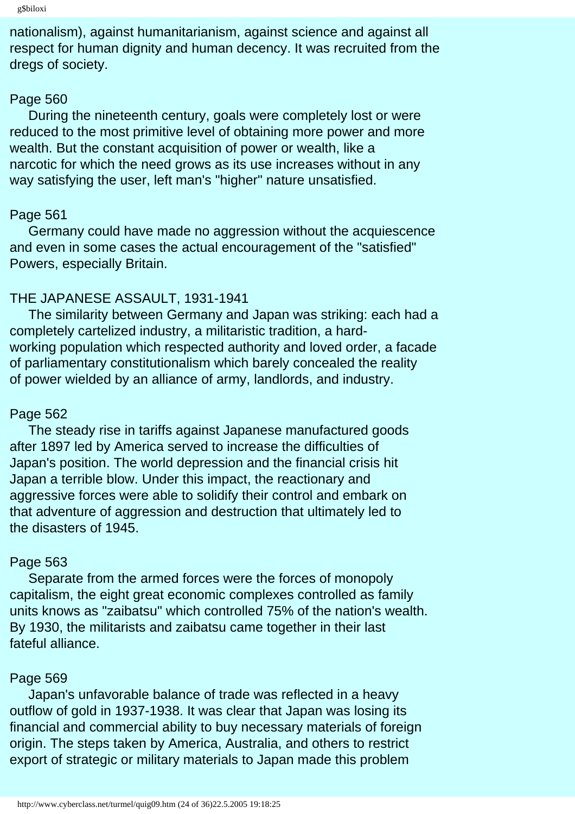nationalism), against humanitarianism, against science and against all respect for human dignity and human decency. It was recruited from the dregs of society.

### Page 560

 During the nineteenth century, goals were completely lost or were reduced to the most primitive level of obtaining more power and more wealth. But the constant acquisition of power or wealth, like a narcotic for which the need grows as its use increases without in any way satisfying the user, left man's "higher" nature unsatisfied.

# Page 561

 Germany could have made no aggression without the acquiescence and even in some cases the actual encouragement of the "satisfied" Powers, especially Britain.

# THE JAPANESE ASSAULT, 1931-1941

 The similarity between Germany and Japan was striking: each had a completely cartelized industry, a militaristic tradition, a hardworking population which respected authority and loved order, a facade of parliamentary constitutionalism which barely concealed the reality of power wielded by an alliance of army, landlords, and industry.

# Page 562

 The steady rise in tariffs against Japanese manufactured goods after 1897 led by America served to increase the difficulties of Japan's position. The world depression and the financial crisis hit Japan a terrible blow. Under this impact, the reactionary and aggressive forces were able to solidify their control and embark on that adventure of aggression and destruction that ultimately led to the disasters of 1945.

# Page 563

 Separate from the armed forces were the forces of monopoly capitalism, the eight great economic complexes controlled as family units knows as "zaibatsu" which controlled 75% of the nation's wealth. By 1930, the militarists and zaibatsu came together in their last fateful alliance.

# Page 569

 Japan's unfavorable balance of trade was reflected in a heavy outflow of gold in 1937-1938. It was clear that Japan was losing its financial and commercial ability to buy necessary materials of foreign origin. The steps taken by America, Australia, and others to restrict export of strategic or military materials to Japan made this problem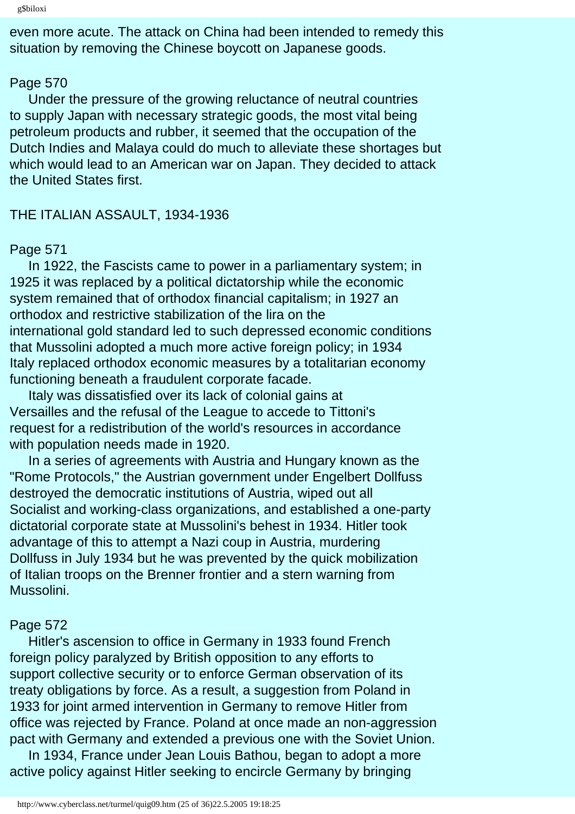even more acute. The attack on China had been intended to remedy this situation by removing the Chinese boycott on Japanese goods.

#### Page 570

 Under the pressure of the growing reluctance of neutral countries to supply Japan with necessary strategic goods, the most vital being petroleum products and rubber, it seemed that the occupation of the Dutch Indies and Malaya could do much to alleviate these shortages but which would lead to an American war on Japan. They decided to attack the United States first.

# THE ITALIAN ASSAULT, 1934-1936

### Page 571

 In 1922, the Fascists came to power in a parliamentary system; in 1925 it was replaced by a political dictatorship while the economic system remained that of orthodox financial capitalism; in 1927 an orthodox and restrictive stabilization of the lira on the international gold standard led to such depressed economic conditions that Mussolini adopted a much more active foreign policy; in 1934 Italy replaced orthodox economic measures by a totalitarian economy functioning beneath a fraudulent corporate facade.

 Italy was dissatisfied over its lack of colonial gains at Versailles and the refusal of the League to accede to Tittoni's request for a redistribution of the world's resources in accordance with population needs made in 1920.

 In a series of agreements with Austria and Hungary known as the "Rome Protocols," the Austrian government under Engelbert Dollfuss destroyed the democratic institutions of Austria, wiped out all Socialist and working-class organizations, and established a one-party dictatorial corporate state at Mussolini's behest in 1934. Hitler took advantage of this to attempt a Nazi coup in Austria, murdering Dollfuss in July 1934 but he was prevented by the quick mobilization of Italian troops on the Brenner frontier and a stern warning from Mussolini.

# Page 572

 Hitler's ascension to office in Germany in 1933 found French foreign policy paralyzed by British opposition to any efforts to support collective security or to enforce German observation of its treaty obligations by force. As a result, a suggestion from Poland in 1933 for joint armed intervention in Germany to remove Hitler from office was rejected by France. Poland at once made an non-aggression pact with Germany and extended a previous one with the Soviet Union.

 In 1934, France under Jean Louis Bathou, began to adopt a more active policy against Hitler seeking to encircle Germany by bringing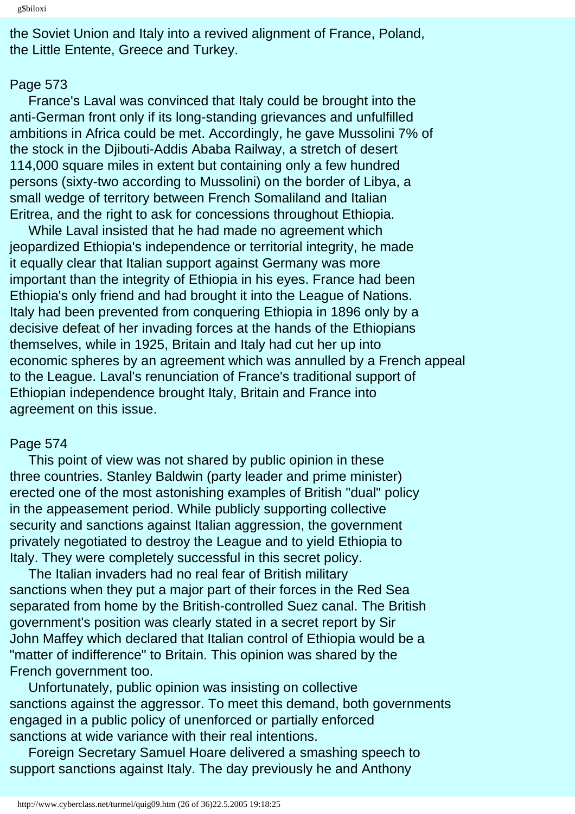the Soviet Union and Italy into a revived alignment of France, Poland, the Little Entente, Greece and Turkey.

#### Page 573

 France's Laval was convinced that Italy could be brought into the anti-German front only if its long-standing grievances and unfulfilled ambitions in Africa could be met. Accordingly, he gave Mussolini 7% of the stock in the Djibouti-Addis Ababa Railway, a stretch of desert 114,000 square miles in extent but containing only a few hundred persons (sixty-two according to Mussolini) on the border of Libya, a small wedge of territory between French Somaliland and Italian Eritrea, and the right to ask for concessions throughout Ethiopia.

 While Laval insisted that he had made no agreement which jeopardized Ethiopia's independence or territorial integrity, he made it equally clear that Italian support against Germany was more important than the integrity of Ethiopia in his eyes. France had been Ethiopia's only friend and had brought it into the League of Nations. Italy had been prevented from conquering Ethiopia in 1896 only by a decisive defeat of her invading forces at the hands of the Ethiopians themselves, while in 1925, Britain and Italy had cut her up into economic spheres by an agreement which was annulled by a French appeal to the League. Laval's renunciation of France's traditional support of Ethiopian independence brought Italy, Britain and France into agreement on this issue.

#### Page 574

 This point of view was not shared by public opinion in these three countries. Stanley Baldwin (party leader and prime minister) erected one of the most astonishing examples of British "dual" policy in the appeasement period. While publicly supporting collective security and sanctions against Italian aggression, the government privately negotiated to destroy the League and to yield Ethiopia to Italy. They were completely successful in this secret policy.

 The Italian invaders had no real fear of British military sanctions when they put a major part of their forces in the Red Sea separated from home by the British-controlled Suez canal. The British government's position was clearly stated in a secret report by Sir John Maffey which declared that Italian control of Ethiopia would be a "matter of indifference" to Britain. This opinion was shared by the French government too.

 Unfortunately, public opinion was insisting on collective sanctions against the aggressor. To meet this demand, both governments engaged in a public policy of unenforced or partially enforced sanctions at wide variance with their real intentions.

 Foreign Secretary Samuel Hoare delivered a smashing speech to support sanctions against Italy. The day previously he and Anthony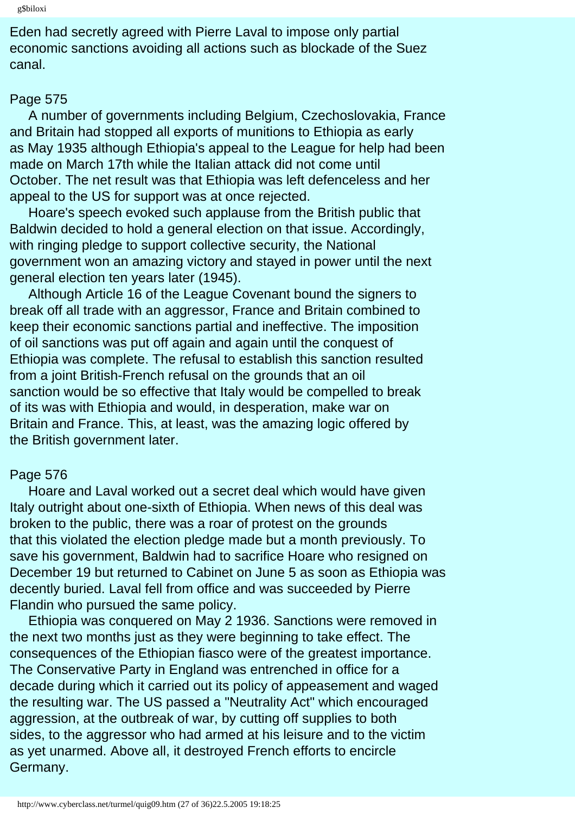```
g$biloxi
```
Eden had secretly agreed with Pierre Laval to impose only partial economic sanctions avoiding all actions such as blockade of the Suez canal.

#### Page 575

 A number of governments including Belgium, Czechoslovakia, France and Britain had stopped all exports of munitions to Ethiopia as early as May 1935 although Ethiopia's appeal to the League for help had been made on March 17th while the Italian attack did not come until October. The net result was that Ethiopia was left defenceless and her appeal to the US for support was at once rejected.

 Hoare's speech evoked such applause from the British public that Baldwin decided to hold a general election on that issue. Accordingly, with ringing pledge to support collective security, the National government won an amazing victory and stayed in power until the next general election ten years later (1945).

 Although Article 16 of the League Covenant bound the signers to break off all trade with an aggressor, France and Britain combined to keep their economic sanctions partial and ineffective. The imposition of oil sanctions was put off again and again until the conquest of Ethiopia was complete. The refusal to establish this sanction resulted from a joint British-French refusal on the grounds that an oil sanction would be so effective that Italy would be compelled to break of its was with Ethiopia and would, in desperation, make war on Britain and France. This, at least, was the amazing logic offered by the British government later.

# Page 576

 Hoare and Laval worked out a secret deal which would have given Italy outright about one-sixth of Ethiopia. When news of this deal was broken to the public, there was a roar of protest on the grounds that this violated the election pledge made but a month previously. To save his government, Baldwin had to sacrifice Hoare who resigned on December 19 but returned to Cabinet on June 5 as soon as Ethiopia was decently buried. Laval fell from office and was succeeded by Pierre Flandin who pursued the same policy.

 Ethiopia was conquered on May 2 1936. Sanctions were removed in the next two months just as they were beginning to take effect. The consequences of the Ethiopian fiasco were of the greatest importance. The Conservative Party in England was entrenched in office for a decade during which it carried out its policy of appeasement and waged the resulting war. The US passed a "Neutrality Act" which encouraged aggression, at the outbreak of war, by cutting off supplies to both sides, to the aggressor who had armed at his leisure and to the victim as yet unarmed. Above all, it destroyed French efforts to encircle Germany.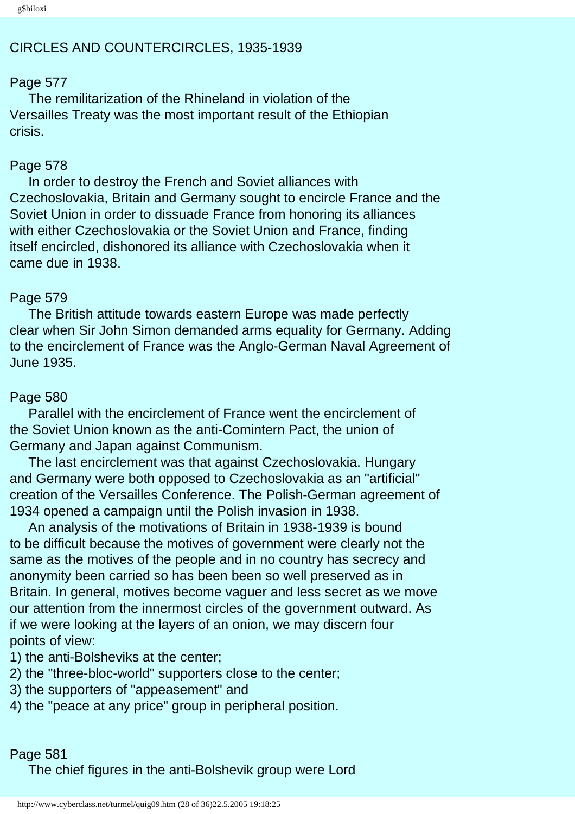# CIRCLES AND COUNTERCIRCLES, 1935-1939

#### Page 577

 The remilitarization of the Rhineland in violation of the Versailles Treaty was the most important result of the Ethiopian crisis.

### Page 578

 In order to destroy the French and Soviet alliances with Czechoslovakia, Britain and Germany sought to encircle France and the Soviet Union in order to dissuade France from honoring its alliances with either Czechoslovakia or the Soviet Union and France, finding itself encircled, dishonored its alliance with Czechoslovakia when it came due in 1938.

### Page 579

 The British attitude towards eastern Europe was made perfectly clear when Sir John Simon demanded arms equality for Germany. Adding to the encirclement of France was the Anglo-German Naval Agreement of June 1935.

### Page 580

 Parallel with the encirclement of France went the encirclement of the Soviet Union known as the anti-Comintern Pact, the union of Germany and Japan against Communism.

 The last encirclement was that against Czechoslovakia. Hungary and Germany were both opposed to Czechoslovakia as an "artificial" creation of the Versailles Conference. The Polish-German agreement of 1934 opened a campaign until the Polish invasion in 1938.

 An analysis of the motivations of Britain in 1938-1939 is bound to be difficult because the motives of government were clearly not the same as the motives of the people and in no country has secrecy and anonymity been carried so has been been so well preserved as in Britain. In general, motives become vaguer and less secret as we move our attention from the innermost circles of the government outward. As if we were looking at the layers of an onion, we may discern four points of view:

- 1) the anti-Bolsheviks at the center;
- 2) the "three-bloc-world" supporters close to the center;
- 3) the supporters of "appeasement" and
- 4) the "peace at any price" group in peripheral position.

#### Page 581

The chief figures in the anti-Bolshevik group were Lord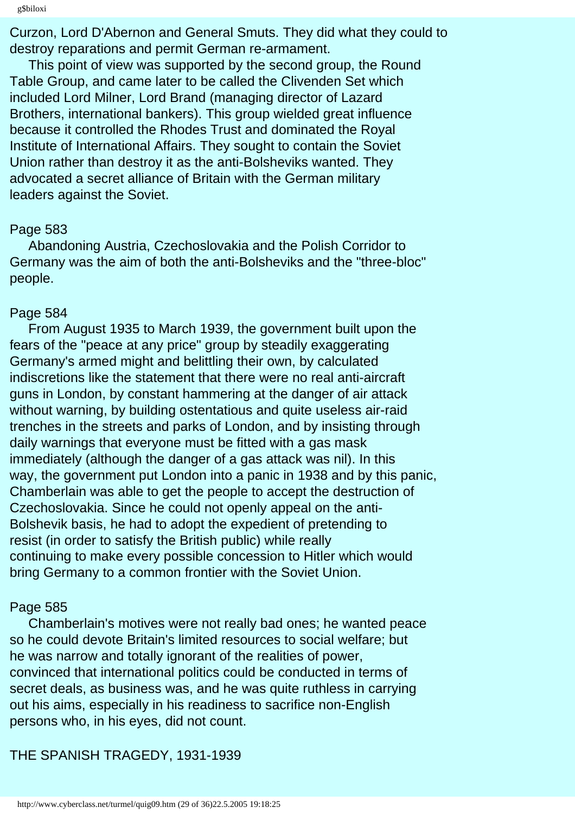Curzon, Lord D'Abernon and General Smuts. They did what they could to destroy reparations and permit German re-armament.

 This point of view was supported by the second group, the Round Table Group, and came later to be called the Clivenden Set which included Lord Milner, Lord Brand (managing director of Lazard Brothers, international bankers). This group wielded great influence because it controlled the Rhodes Trust and dominated the Royal Institute of International Affairs. They sought to contain the Soviet Union rather than destroy it as the anti-Bolsheviks wanted. They advocated a secret alliance of Britain with the German military leaders against the Soviet.

#### Page 583

 Abandoning Austria, Czechoslovakia and the Polish Corridor to Germany was the aim of both the anti-Bolsheviks and the "three-bloc" people.

#### Page 584

 From August 1935 to March 1939, the government built upon the fears of the "peace at any price" group by steadily exaggerating Germany's armed might and belittling their own, by calculated indiscretions like the statement that there were no real anti-aircraft guns in London, by constant hammering at the danger of air attack without warning, by building ostentatious and quite useless air-raid trenches in the streets and parks of London, and by insisting through daily warnings that everyone must be fitted with a gas mask immediately (although the danger of a gas attack was nil). In this way, the government put London into a panic in 1938 and by this panic, Chamberlain was able to get the people to accept the destruction of Czechoslovakia. Since he could not openly appeal on the anti-Bolshevik basis, he had to adopt the expedient of pretending to resist (in order to satisfy the British public) while really continuing to make every possible concession to Hitler which would bring Germany to a common frontier with the Soviet Union.

## Page 585

 Chamberlain's motives were not really bad ones; he wanted peace so he could devote Britain's limited resources to social welfare; but he was narrow and totally ignorant of the realities of power, convinced that international politics could be conducted in terms of secret deals, as business was, and he was quite ruthless in carrying out his aims, especially in his readiness to sacrifice non-English persons who, in his eyes, did not count.

THE SPANISH TRAGEDY, 1931-1939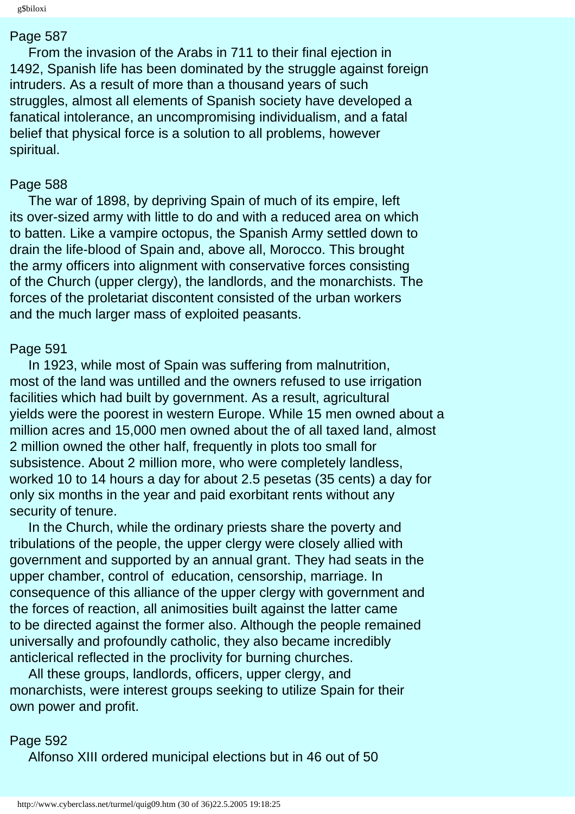From the invasion of the Arabs in 711 to their final ejection in 1492, Spanish life has been dominated by the struggle against foreign intruders. As a result of more than a thousand years of such struggles, almost all elements of Spanish society have developed a fanatical intolerance, an uncompromising individualism, and a fatal belief that physical force is a solution to all problems, however spiritual.

#### Page 588

 The war of 1898, by depriving Spain of much of its empire, left its over-sized army with little to do and with a reduced area on which to batten. Like a vampire octopus, the Spanish Army settled down to drain the life-blood of Spain and, above all, Morocco. This brought the army officers into alignment with conservative forces consisting of the Church (upper clergy), the landlords, and the monarchists. The forces of the proletariat discontent consisted of the urban workers and the much larger mass of exploited peasants.

## Page 591

 In 1923, while most of Spain was suffering from malnutrition, most of the land was untilled and the owners refused to use irrigation facilities which had built by government. As a result, agricultural yields were the poorest in western Europe. While 15 men owned about a million acres and 15,000 men owned about the of all taxed land, almost 2 million owned the other half, frequently in plots too small for subsistence. About 2 million more, who were completely landless, worked 10 to 14 hours a day for about 2.5 pesetas (35 cents) a day for only six months in the year and paid exorbitant rents without any security of tenure.

 In the Church, while the ordinary priests share the poverty and tribulations of the people, the upper clergy were closely allied with government and supported by an annual grant. They had seats in the upper chamber, control of education, censorship, marriage. In consequence of this alliance of the upper clergy with government and the forces of reaction, all animosities built against the latter came to be directed against the former also. Although the people remained universally and profoundly catholic, they also became incredibly anticlerical reflected in the proclivity for burning churches.

 All these groups, landlords, officers, upper clergy, and monarchists, were interest groups seeking to utilize Spain for their own power and profit.

## Page 592

Alfonso XIII ordered municipal elections but in 46 out of 50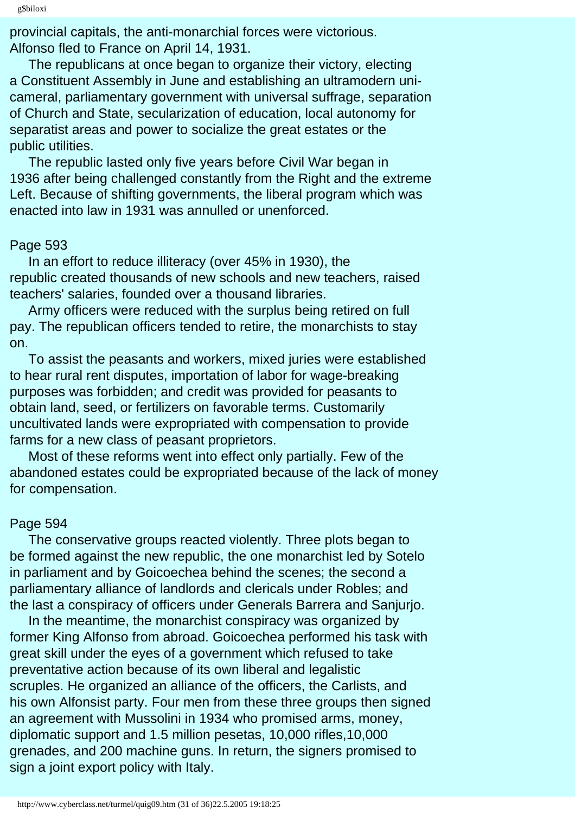provincial capitals, the anti-monarchial forces were victorious. Alfonso fled to France on April 14, 1931.

 The republicans at once began to organize their victory, electing a Constituent Assembly in June and establishing an ultramodern unicameral, parliamentary government with universal suffrage, separation of Church and State, secularization of education, local autonomy for separatist areas and power to socialize the great estates or the public utilities.

 The republic lasted only five years before Civil War began in 1936 after being challenged constantly from the Right and the extreme Left. Because of shifting governments, the liberal program which was enacted into law in 1931 was annulled or unenforced.

#### Page 593

 In an effort to reduce illiteracy (over 45% in 1930), the republic created thousands of new schools and new teachers, raised teachers' salaries, founded over a thousand libraries.

 Army officers were reduced with the surplus being retired on full pay. The republican officers tended to retire, the monarchists to stay on.

 To assist the peasants and workers, mixed juries were established to hear rural rent disputes, importation of labor for wage-breaking purposes was forbidden; and credit was provided for peasants to obtain land, seed, or fertilizers on favorable terms. Customarily uncultivated lands were expropriated with compensation to provide farms for a new class of peasant proprietors.

 Most of these reforms went into effect only partially. Few of the abandoned estates could be expropriated because of the lack of money for compensation.

## Page 594

 The conservative groups reacted violently. Three plots began to be formed against the new republic, the one monarchist led by Sotelo in parliament and by Goicoechea behind the scenes; the second a parliamentary alliance of landlords and clericals under Robles; and the last a conspiracy of officers under Generals Barrera and Sanjurjo.

 In the meantime, the monarchist conspiracy was organized by former King Alfonso from abroad. Goicoechea performed his task with great skill under the eyes of a government which refused to take preventative action because of its own liberal and legalistic scruples. He organized an alliance of the officers, the Carlists, and his own Alfonsist party. Four men from these three groups then signed an agreement with Mussolini in 1934 who promised arms, money, diplomatic support and 1.5 million pesetas, 10,000 rifles,10,000 grenades, and 200 machine guns. In return, the signers promised to sign a joint export policy with Italy.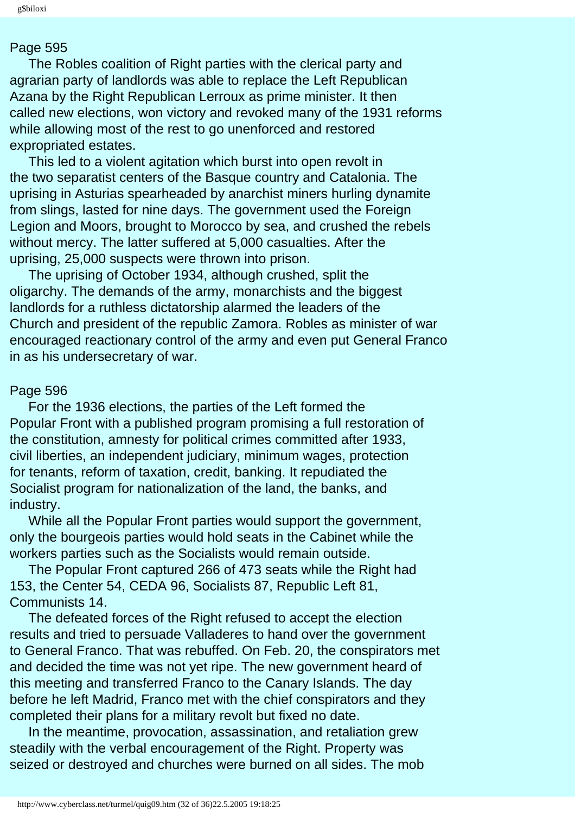The Robles coalition of Right parties with the clerical party and agrarian party of landlords was able to replace the Left Republican Azana by the Right Republican Lerroux as prime minister. It then called new elections, won victory and revoked many of the 1931 reforms while allowing most of the rest to go unenforced and restored expropriated estates.

 This led to a violent agitation which burst into open revolt in the two separatist centers of the Basque country and Catalonia. The uprising in Asturias spearheaded by anarchist miners hurling dynamite from slings, lasted for nine days. The government used the Foreign Legion and Moors, brought to Morocco by sea, and crushed the rebels without mercy. The latter suffered at 5,000 casualties. After the uprising, 25,000 suspects were thrown into prison.

 The uprising of October 1934, although crushed, split the oligarchy. The demands of the army, monarchists and the biggest landlords for a ruthless dictatorship alarmed the leaders of the Church and president of the republic Zamora. Robles as minister of war encouraged reactionary control of the army and even put General Franco in as his undersecretary of war.

#### Page 596

 For the 1936 elections, the parties of the Left formed the Popular Front with a published program promising a full restoration of the constitution, amnesty for political crimes committed after 1933, civil liberties, an independent judiciary, minimum wages, protection for tenants, reform of taxation, credit, banking. It repudiated the Socialist program for nationalization of the land, the banks, and industry.

 While all the Popular Front parties would support the government, only the bourgeois parties would hold seats in the Cabinet while the workers parties such as the Socialists would remain outside.

 The Popular Front captured 266 of 473 seats while the Right had 153, the Center 54, CEDA 96, Socialists 87, Republic Left 81, Communists 14.

 The defeated forces of the Right refused to accept the election results and tried to persuade Valladeres to hand over the government to General Franco. That was rebuffed. On Feb. 20, the conspirators met and decided the time was not yet ripe. The new government heard of this meeting and transferred Franco to the Canary Islands. The day before he left Madrid, Franco met with the chief conspirators and they completed their plans for a military revolt but fixed no date.

 In the meantime, provocation, assassination, and retaliation grew steadily with the verbal encouragement of the Right. Property was seized or destroyed and churches were burned on all sides. The mob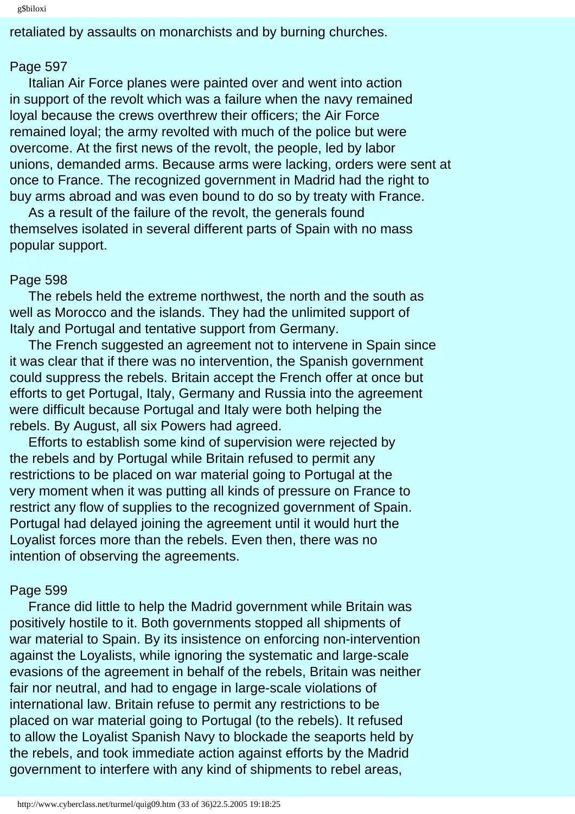retaliated by assaults on monarchists and by burning churches.

#### Page 597

 Italian Air Force planes were painted over and went into action in support of the revolt which was a failure when the navy remained loyal because the crews overthrew their officers; the Air Force remained loyal; the army revolted with much of the police but were overcome. At the first news of the revolt, the people, led by labor unions, demanded arms. Because arms were lacking, orders were sent at once to France. The recognized government in Madrid had the right to buy arms abroad and was even bound to do so by treaty with France.

 As a result of the failure of the revolt, the generals found themselves isolated in several different parts of Spain with no mass popular support.

#### Page 598

 The rebels held the extreme northwest, the north and the south as well as Morocco and the islands. They had the unlimited support of Italy and Portugal and tentative support from Germany.

 The French suggested an agreement not to intervene in Spain since it was clear that if there was no intervention, the Spanish government could suppress the rebels. Britain accept the French offer at once but efforts to get Portugal, Italy, Germany and Russia into the agreement were difficult because Portugal and Italy were both helping the rebels. By August, all six Powers had agreed.

 Efforts to establish some kind of supervision were rejected by the rebels and by Portugal while Britain refused to permit any restrictions to be placed on war material going to Portugal at the very moment when it was putting all kinds of pressure on France to restrict any flow of supplies to the recognized government of Spain. Portugal had delayed joining the agreement until it would hurt the Loyalist forces more than the rebels. Even then, there was no intention of observing the agreements.

#### Page 599

 France did little to help the Madrid government while Britain was positively hostile to it. Both governments stopped all shipments of war material to Spain. By its insistence on enforcing non-intervention against the Loyalists, while ignoring the systematic and large-scale evasions of the agreement in behalf of the rebels, Britain was neither fair nor neutral, and had to engage in large-scale violations of international law. Britain refuse to permit any restrictions to be placed on war material going to Portugal (to the rebels). It refused to allow the Loyalist Spanish Navy to blockade the seaports held by the rebels, and took immediate action against efforts by the Madrid government to interfere with any kind of shipments to rebel areas,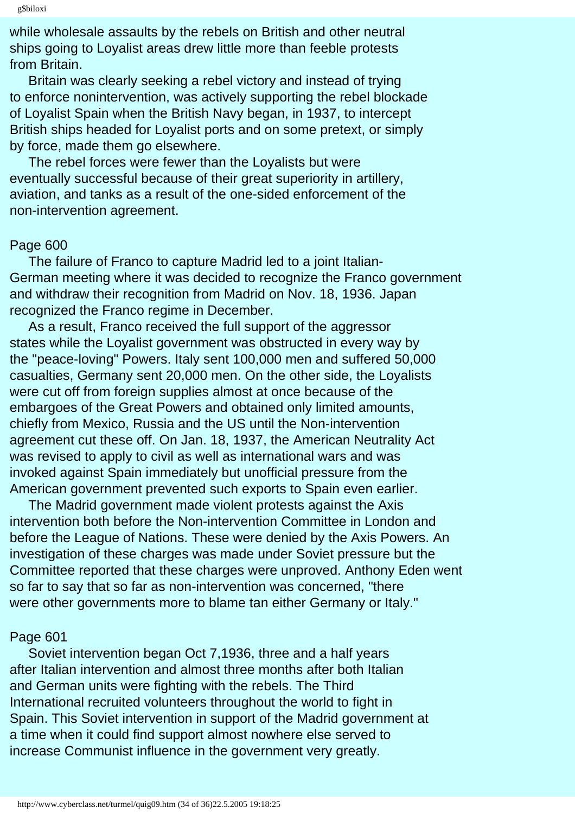while wholesale assaults by the rebels on British and other neutral ships going to Loyalist areas drew little more than feeble protests from Britain.

 Britain was clearly seeking a rebel victory and instead of trying to enforce nonintervention, was actively supporting the rebel blockade of Loyalist Spain when the British Navy began, in 1937, to intercept British ships headed for Loyalist ports and on some pretext, or simply by force, made them go elsewhere.

 The rebel forces were fewer than the Loyalists but were eventually successful because of their great superiority in artillery, aviation, and tanks as a result of the one-sided enforcement of the non-intervention agreement.

## Page 600

 The failure of Franco to capture Madrid led to a joint Italian-German meeting where it was decided to recognize the Franco government and withdraw their recognition from Madrid on Nov. 18, 1936. Japan recognized the Franco regime in December.

 As a result, Franco received the full support of the aggressor states while the Loyalist government was obstructed in every way by the "peace-loving" Powers. Italy sent 100,000 men and suffered 50,000 casualties, Germany sent 20,000 men. On the other side, the Loyalists were cut off from foreign supplies almost at once because of the embargoes of the Great Powers and obtained only limited amounts, chiefly from Mexico, Russia and the US until the Non-intervention agreement cut these off. On Jan. 18, 1937, the American Neutrality Act was revised to apply to civil as well as international wars and was invoked against Spain immediately but unofficial pressure from the American government prevented such exports to Spain even earlier.

 The Madrid government made violent protests against the Axis intervention both before the Non-intervention Committee in London and before the League of Nations. These were denied by the Axis Powers. An investigation of these charges was made under Soviet pressure but the Committee reported that these charges were unproved. Anthony Eden went so far to say that so far as non-intervention was concerned, "there were other governments more to blame tan either Germany or Italy."

## Page 601

 Soviet intervention began Oct 7,1936, three and a half years after Italian intervention and almost three months after both Italian and German units were fighting with the rebels. The Third International recruited volunteers throughout the world to fight in Spain. This Soviet intervention in support of the Madrid government at a time when it could find support almost nowhere else served to increase Communist influence in the government very greatly.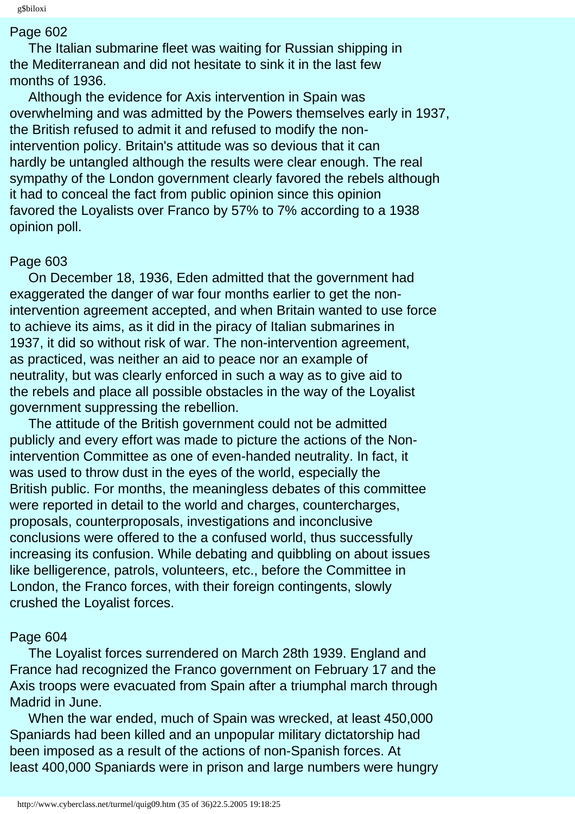The Italian submarine fleet was waiting for Russian shipping in the Mediterranean and did not hesitate to sink it in the last few months of 1936.

 Although the evidence for Axis intervention in Spain was overwhelming and was admitted by the Powers themselves early in 1937, the British refused to admit it and refused to modify the nonintervention policy. Britain's attitude was so devious that it can hardly be untangled although the results were clear enough. The real sympathy of the London government clearly favored the rebels although it had to conceal the fact from public opinion since this opinion favored the Loyalists over Franco by 57% to 7% according to a 1938 opinion poll.

#### Page 603

 On December 18, 1936, Eden admitted that the government had exaggerated the danger of war four months earlier to get the nonintervention agreement accepted, and when Britain wanted to use force to achieve its aims, as it did in the piracy of Italian submarines in 1937, it did so without risk of war. The non-intervention agreement, as practiced, was neither an aid to peace nor an example of neutrality, but was clearly enforced in such a way as to give aid to the rebels and place all possible obstacles in the way of the Loyalist government suppressing the rebellion.

 The attitude of the British government could not be admitted publicly and every effort was made to picture the actions of the Nonintervention Committee as one of even-handed neutrality. In fact, it was used to throw dust in the eyes of the world, especially the British public. For months, the meaningless debates of this committee were reported in detail to the world and charges, countercharges, proposals, counterproposals, investigations and inconclusive conclusions were offered to the a confused world, thus successfully increasing its confusion. While debating and quibbling on about issues like belligerence, patrols, volunteers, etc., before the Committee in London, the Franco forces, with their foreign contingents, slowly crushed the Loyalist forces.

#### Page 604

 The Loyalist forces surrendered on March 28th 1939. England and France had recognized the Franco government on February 17 and the Axis troops were evacuated from Spain after a triumphal march through Madrid in June.

 When the war ended, much of Spain was wrecked, at least 450,000 Spaniards had been killed and an unpopular military dictatorship had been imposed as a result of the actions of non-Spanish forces. At least 400,000 Spaniards were in prison and large numbers were hungry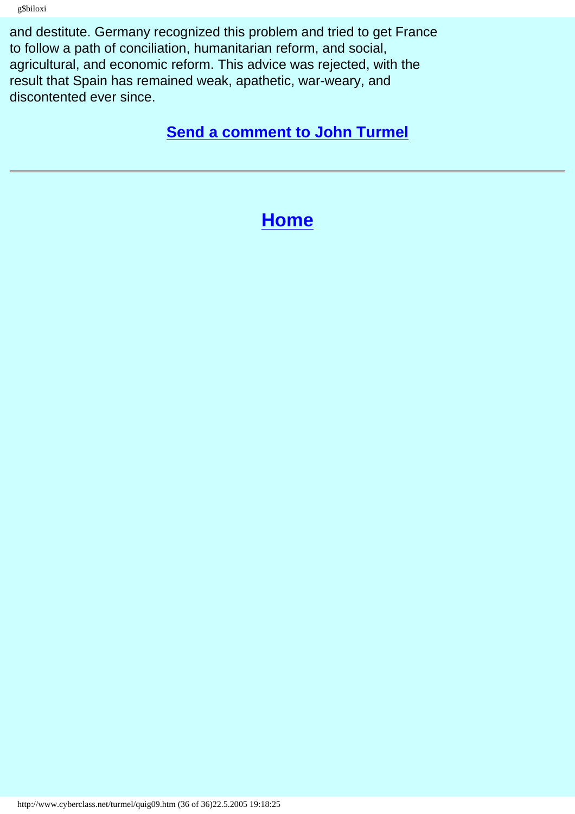g\$biloxi

and destitute. Germany recognized this problem and tried to get France to follow a path of conciliation, humanitarian reform, and social, agricultural, and economic reform. This advice was rejected, with the result that Spain has remained weak, apathetic, war-weary, and discontented ever since.

## **[Send a comment to John Turmel](mailto:%20bc726@freenet.carleton.ca)**

# **[Home](http://www.cyberclass.net/turmel)**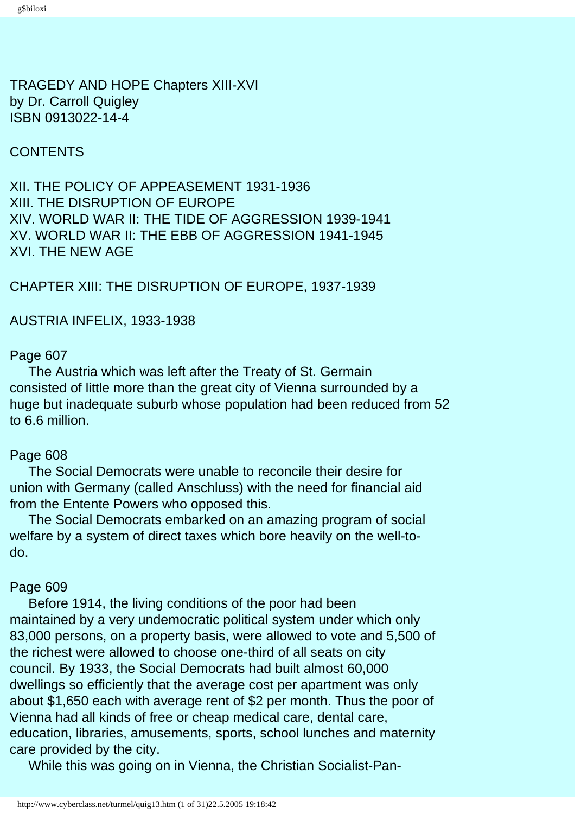TRAGEDY AND HOPE Chapters XIII-XVI by Dr. Carroll Quigley ISBN 0913022-14-4

## **CONTENTS**

XII. THE POLICY OF APPEASEMENT 1931-1936 XIII. THE DISRUPTION OF EUROPE XIV. WORLD WAR II: THE TIDE OF AGGRESSION 1939-1941 XV. WORLD WAR II: THE EBB OF AGGRESSION 1941-1945 XVI. THE NEW AGE

CHAPTER XIII: THE DISRUPTION OF EUROPE, 1937-1939

#### AUSTRIA INFELIX, 1933-1938

#### Page 607

 The Austria which was left after the Treaty of St. Germain consisted of little more than the great city of Vienna surrounded by a huge but inadequate suburb whose population had been reduced from 52 to 6.6 million.

#### Page 608

 The Social Democrats were unable to reconcile their desire for union with Germany (called Anschluss) with the need for financial aid from the Entente Powers who opposed this.

 The Social Democrats embarked on an amazing program of social welfare by a system of direct taxes which bore heavily on the well-todo.

#### Page 609

 Before 1914, the living conditions of the poor had been maintained by a very undemocratic political system under which only 83,000 persons, on a property basis, were allowed to vote and 5,500 of the richest were allowed to choose one-third of all seats on city council. By 1933, the Social Democrats had built almost 60,000 dwellings so efficiently that the average cost per apartment was only about \$1,650 each with average rent of \$2 per month. Thus the poor of Vienna had all kinds of free or cheap medical care, dental care, education, libraries, amusements, sports, school lunches and maternity care provided by the city.

While this was going on in Vienna, the Christian Socialist-Pan-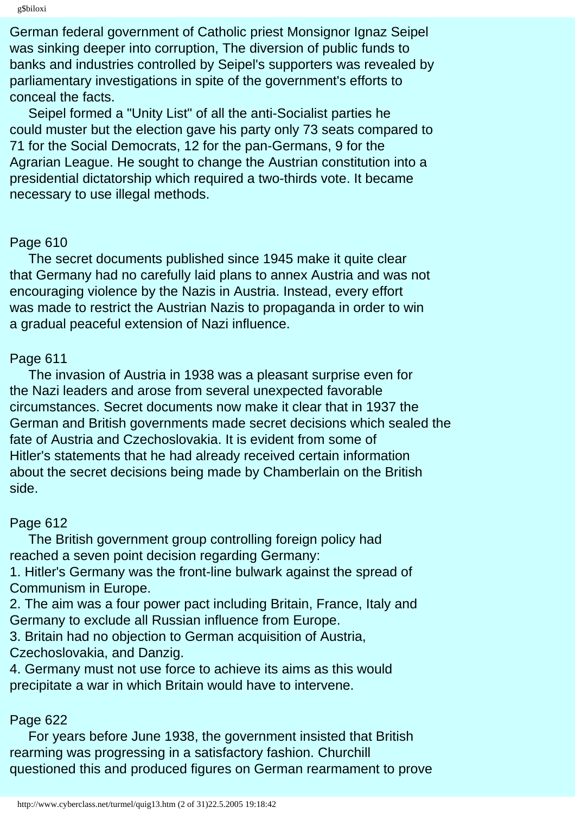German federal government of Catholic priest Monsignor Ignaz Seipel was sinking deeper into corruption, The diversion of public funds to banks and industries controlled by Seipel's supporters was revealed by parliamentary investigations in spite of the government's efforts to conceal the facts.

 Seipel formed a "Unity List" of all the anti-Socialist parties he could muster but the election gave his party only 73 seats compared to 71 for the Social Democrats, 12 for the pan-Germans, 9 for the Agrarian League. He sought to change the Austrian constitution into a presidential dictatorship which required a two-thirds vote. It became necessary to use illegal methods.

## Page 610

 The secret documents published since 1945 make it quite clear that Germany had no carefully laid plans to annex Austria and was not encouraging violence by the Nazis in Austria. Instead, every effort was made to restrict the Austrian Nazis to propaganda in order to win a gradual peaceful extension of Nazi influence.

## Page 611

 The invasion of Austria in 1938 was a pleasant surprise even for the Nazi leaders and arose from several unexpected favorable circumstances. Secret documents now make it clear that in 1937 the German and British governments made secret decisions which sealed the fate of Austria and Czechoslovakia. It is evident from some of Hitler's statements that he had already received certain information about the secret decisions being made by Chamberlain on the British side.

## Page 612

 The British government group controlling foreign policy had reached a seven point decision regarding Germany: 1. Hitler's Germany was the front-line bulwark against the spread of

Communism in Europe.

2. The aim was a four power pact including Britain, France, Italy and Germany to exclude all Russian influence from Europe.

3. Britain had no objection to German acquisition of Austria, Czechoslovakia, and Danzig.

4. Germany must not use force to achieve its aims as this would precipitate a war in which Britain would have to intervene.

## Page 622

 For years before June 1938, the government insisted that British rearming was progressing in a satisfactory fashion. Churchill questioned this and produced figures on German rearmament to prove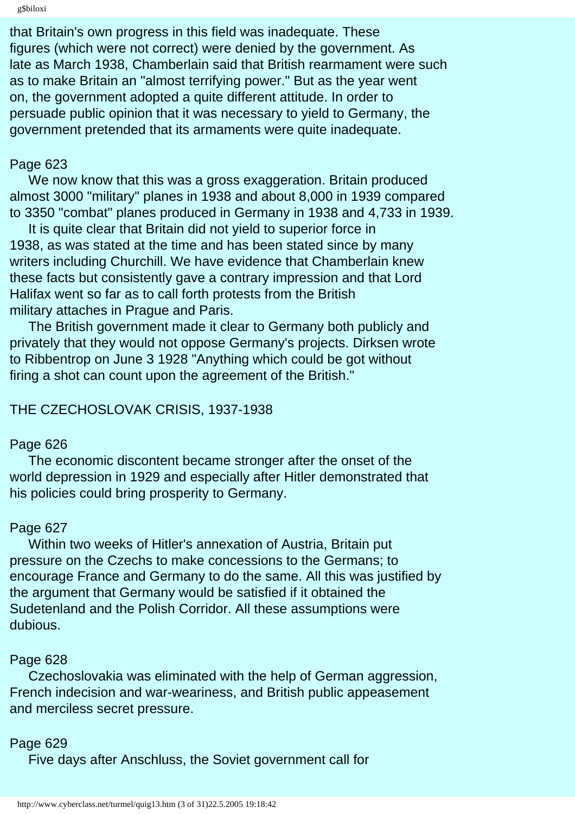g\$biloxi

that Britain's own progress in this field was inadequate. These figures (which were not correct) were denied by the government. As late as March 1938, Chamberlain said that British rearmament were such as to make Britain an "almost terrifying power." But as the year went on, the government adopted a quite different attitude. In order to persuade public opinion that it was necessary to yield to Germany, the government pretended that its armaments were quite inadequate.

#### Page 623

 We now know that this was a gross exaggeration. Britain produced almost 3000 "military" planes in 1938 and about 8,000 in 1939 compared to 3350 "combat" planes produced in Germany in 1938 and 4,733 in 1939.

 It is quite clear that Britain did not yield to superior force in 1938, as was stated at the time and has been stated since by many writers including Churchill. We have evidence that Chamberlain knew these facts but consistently gave a contrary impression and that Lord Halifax went so far as to call forth protests from the British military attaches in Prague and Paris.

 The British government made it clear to Germany both publicly and privately that they would not oppose Germany's projects. Dirksen wrote to Ribbentrop on June 3 1928 "Anything which could be got without firing a shot can count upon the agreement of the British."

## THE CZECHOSLOVAK CRISIS, 1937-1938

## Page 626

 The economic discontent became stronger after the onset of the world depression in 1929 and especially after Hitler demonstrated that his policies could bring prosperity to Germany.

## Page 627

 Within two weeks of Hitler's annexation of Austria, Britain put pressure on the Czechs to make concessions to the Germans; to encourage France and Germany to do the same. All this was justified by the argument that Germany would be satisfied if it obtained the Sudetenland and the Polish Corridor. All these assumptions were dubious.

## Page 628

 Czechoslovakia was eliminated with the help of German aggression, French indecision and war-weariness, and British public appeasement and merciless secret pressure.

## Page 629

Five days after Anschluss, the Soviet government call for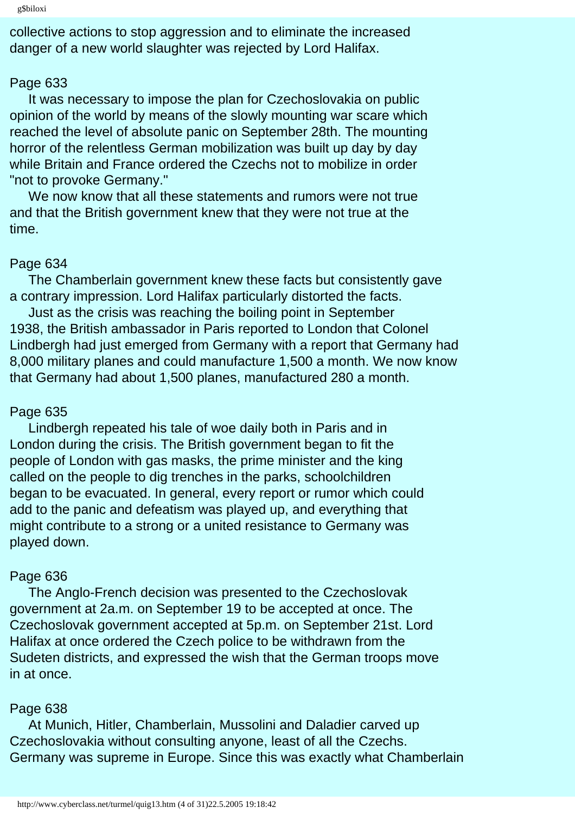collective actions to stop aggression and to eliminate the increased danger of a new world slaughter was rejected by Lord Halifax.

#### Page 633

 It was necessary to impose the plan for Czechoslovakia on public opinion of the world by means of the slowly mounting war scare which reached the level of absolute panic on September 28th. The mounting horror of the relentless German mobilization was built up day by day while Britain and France ordered the Czechs not to mobilize in order "not to provoke Germany."

 We now know that all these statements and rumors were not true and that the British government knew that they were not true at the time.

#### Page 634

 The Chamberlain government knew these facts but consistently gave a contrary impression. Lord Halifax particularly distorted the facts.

 Just as the crisis was reaching the boiling point in September 1938, the British ambassador in Paris reported to London that Colonel Lindbergh had just emerged from Germany with a report that Germany had 8,000 military planes and could manufacture 1,500 a month. We now know that Germany had about 1,500 planes, manufactured 280 a month.

#### Page 635

 Lindbergh repeated his tale of woe daily both in Paris and in London during the crisis. The British government began to fit the people of London with gas masks, the prime minister and the king called on the people to dig trenches in the parks, schoolchildren began to be evacuated. In general, every report or rumor which could add to the panic and defeatism was played up, and everything that might contribute to a strong or a united resistance to Germany was played down.

#### Page 636

 The Anglo-French decision was presented to the Czechoslovak government at 2a.m. on September 19 to be accepted at once. The Czechoslovak government accepted at 5p.m. on September 21st. Lord Halifax at once ordered the Czech police to be withdrawn from the Sudeten districts, and expressed the wish that the German troops move in at once.

## Page 638

 At Munich, Hitler, Chamberlain, Mussolini and Daladier carved up Czechoslovakia without consulting anyone, least of all the Czechs. Germany was supreme in Europe. Since this was exactly what Chamberlain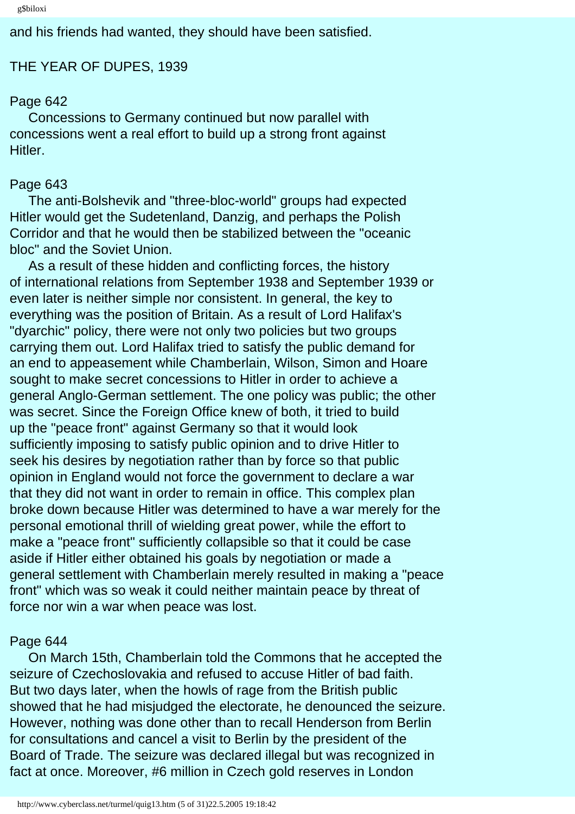and his friends had wanted, they should have been satisfied.

#### THE YEAR OF DUPES, 1939

#### Page 642

 Concessions to Germany continued but now parallel with concessions went a real effort to build up a strong front against **Hitler** 

#### Page 643

 The anti-Bolshevik and "three-bloc-world" groups had expected Hitler would get the Sudetenland, Danzig, and perhaps the Polish Corridor and that he would then be stabilized between the "oceanic bloc" and the Soviet Union.

 As a result of these hidden and conflicting forces, the history of international relations from September 1938 and September 1939 or even later is neither simple nor consistent. In general, the key to everything was the position of Britain. As a result of Lord Halifax's "dyarchic" policy, there were not only two policies but two groups carrying them out. Lord Halifax tried to satisfy the public demand for an end to appeasement while Chamberlain, Wilson, Simon and Hoare sought to make secret concessions to Hitler in order to achieve a general Anglo-German settlement. The one policy was public; the other was secret. Since the Foreign Office knew of both, it tried to build up the "peace front" against Germany so that it would look sufficiently imposing to satisfy public opinion and to drive Hitler to seek his desires by negotiation rather than by force so that public opinion in England would not force the government to declare a war that they did not want in order to remain in office. This complex plan broke down because Hitler was determined to have a war merely for the personal emotional thrill of wielding great power, while the effort to make a "peace front" sufficiently collapsible so that it could be case aside if Hitler either obtained his goals by negotiation or made a general settlement with Chamberlain merely resulted in making a "peace front" which was so weak it could neither maintain peace by threat of force nor win a war when peace was lost.

#### Page 644

 On March 15th, Chamberlain told the Commons that he accepted the seizure of Czechoslovakia and refused to accuse Hitler of bad faith. But two days later, when the howls of rage from the British public showed that he had misjudged the electorate, he denounced the seizure. However, nothing was done other than to recall Henderson from Berlin for consultations and cancel a visit to Berlin by the president of the Board of Trade. The seizure was declared illegal but was recognized in fact at once. Moreover, #6 million in Czech gold reserves in London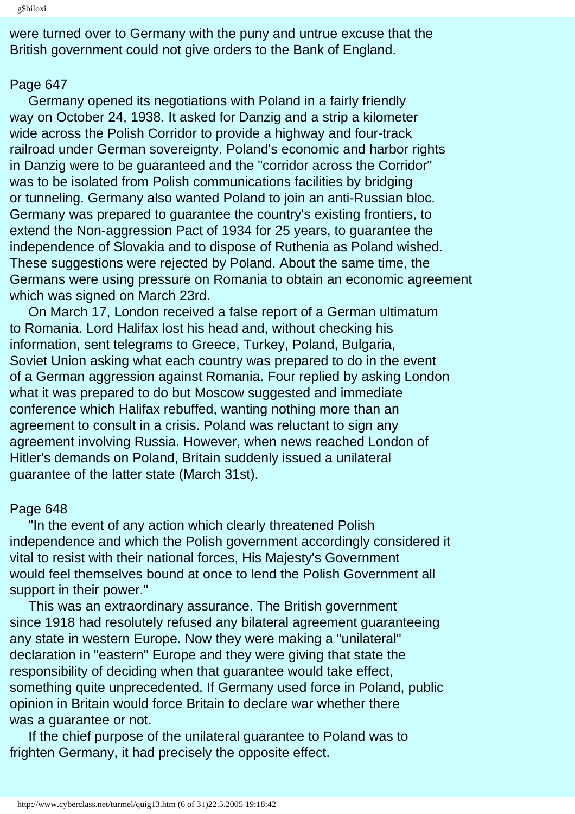were turned over to Germany with the puny and untrue excuse that the British government could not give orders to the Bank of England.

#### Page 647

 Germany opened its negotiations with Poland in a fairly friendly way on October 24, 1938. It asked for Danzig and a strip a kilometer wide across the Polish Corridor to provide a highway and four-track railroad under German sovereignty. Poland's economic and harbor rights in Danzig were to be guaranteed and the "corridor across the Corridor" was to be isolated from Polish communications facilities by bridging or tunneling. Germany also wanted Poland to join an anti-Russian bloc. Germany was prepared to guarantee the country's existing frontiers, to extend the Non-aggression Pact of 1934 for 25 years, to guarantee the independence of Slovakia and to dispose of Ruthenia as Poland wished. These suggestions were rejected by Poland. About the same time, the Germans were using pressure on Romania to obtain an economic agreement which was signed on March 23rd.

 On March 17, London received a false report of a German ultimatum to Romania. Lord Halifax lost his head and, without checking his information, sent telegrams to Greece, Turkey, Poland, Bulgaria, Soviet Union asking what each country was prepared to do in the event of a German aggression against Romania. Four replied by asking London what it was prepared to do but Moscow suggested and immediate conference which Halifax rebuffed, wanting nothing more than an agreement to consult in a crisis. Poland was reluctant to sign any agreement involving Russia. However, when news reached London of Hitler's demands on Poland, Britain suddenly issued a unilateral guarantee of the latter state (March 31st).

#### Page 648

 "In the event of any action which clearly threatened Polish independence and which the Polish government accordingly considered it vital to resist with their national forces, His Majesty's Government would feel themselves bound at once to lend the Polish Government all support in their power."

 This was an extraordinary assurance. The British government since 1918 had resolutely refused any bilateral agreement guaranteeing any state in western Europe. Now they were making a "unilateral" declaration in "eastern" Europe and they were giving that state the responsibility of deciding when that guarantee would take effect, something quite unprecedented. If Germany used force in Poland, public opinion in Britain would force Britain to declare war whether there was a guarantee or not.

 If the chief purpose of the unilateral guarantee to Poland was to frighten Germany, it had precisely the opposite effect.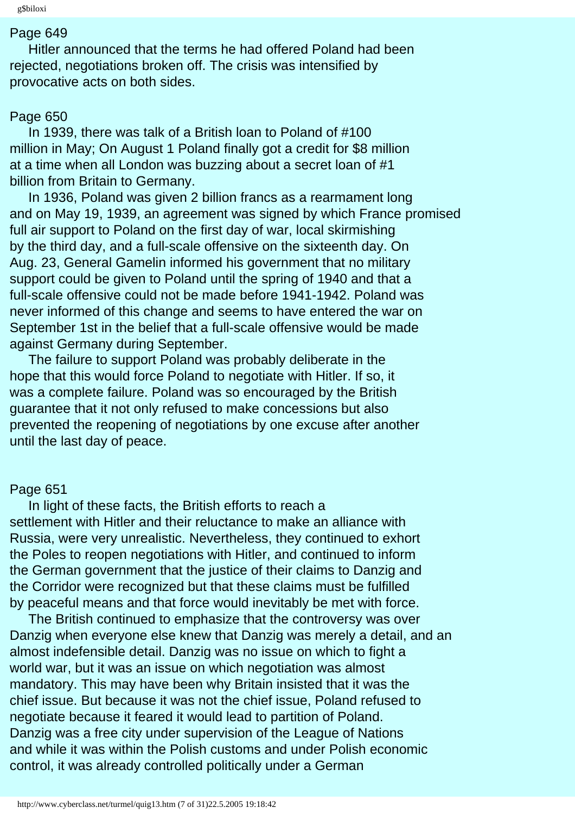Hitler announced that the terms he had offered Poland had been rejected, negotiations broken off. The crisis was intensified by provocative acts on both sides.

#### Page 650

 In 1939, there was talk of a British loan to Poland of #100 million in May; On August 1 Poland finally got a credit for \$8 million at a time when all London was buzzing about a secret loan of #1 billion from Britain to Germany.

 In 1936, Poland was given 2 billion francs as a rearmament long and on May 19, 1939, an agreement was signed by which France promised full air support to Poland on the first day of war, local skirmishing by the third day, and a full-scale offensive on the sixteenth day. On Aug. 23, General Gamelin informed his government that no military support could be given to Poland until the spring of 1940 and that a full-scale offensive could not be made before 1941-1942. Poland was never informed of this change and seems to have entered the war on September 1st in the belief that a full-scale offensive would be made against Germany during September.

 The failure to support Poland was probably deliberate in the hope that this would force Poland to negotiate with Hitler. If so, it was a complete failure. Poland was so encouraged by the British guarantee that it not only refused to make concessions but also prevented the reopening of negotiations by one excuse after another until the last day of peace.

#### Page 651

 In light of these facts, the British efforts to reach a settlement with Hitler and their reluctance to make an alliance with Russia, were very unrealistic. Nevertheless, they continued to exhort the Poles to reopen negotiations with Hitler, and continued to inform the German government that the justice of their claims to Danzig and the Corridor were recognized but that these claims must be fulfilled by peaceful means and that force would inevitably be met with force.

 The British continued to emphasize that the controversy was over Danzig when everyone else knew that Danzig was merely a detail, and an almost indefensible detail. Danzig was no issue on which to fight a world war, but it was an issue on which negotiation was almost mandatory. This may have been why Britain insisted that it was the chief issue. But because it was not the chief issue, Poland refused to negotiate because it feared it would lead to partition of Poland. Danzig was a free city under supervision of the League of Nations and while it was within the Polish customs and under Polish economic control, it was already controlled politically under a German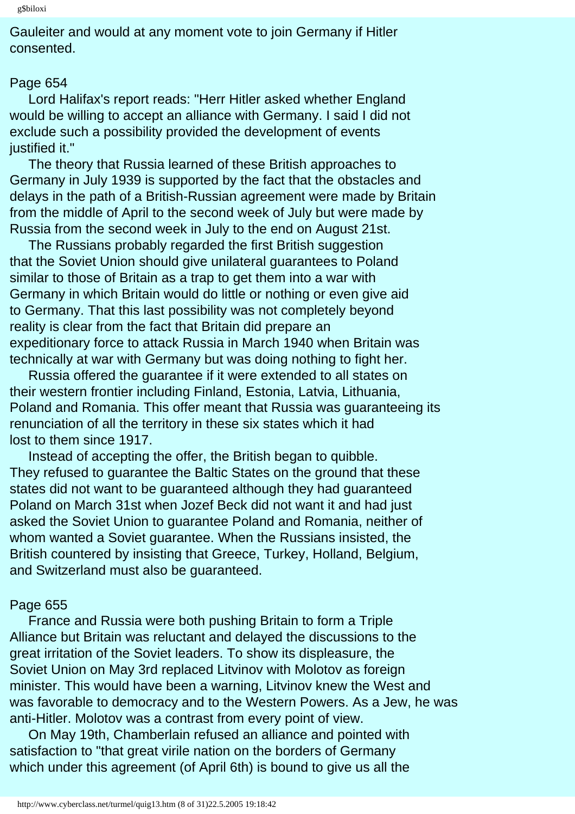Gauleiter and would at any moment vote to join Germany if Hitler consented.

#### Page 654

 Lord Halifax's report reads: "Herr Hitler asked whether England would be willing to accept an alliance with Germany. I said I did not exclude such a possibility provided the development of events justified it."

 The theory that Russia learned of these British approaches to Germany in July 1939 is supported by the fact that the obstacles and delays in the path of a British-Russian agreement were made by Britain from the middle of April to the second week of July but were made by Russia from the second week in July to the end on August 21st.

 The Russians probably regarded the first British suggestion that the Soviet Union should give unilateral guarantees to Poland similar to those of Britain as a trap to get them into a war with Germany in which Britain would do little or nothing or even give aid to Germany. That this last possibility was not completely beyond reality is clear from the fact that Britain did prepare an expeditionary force to attack Russia in March 1940 when Britain was technically at war with Germany but was doing nothing to fight her.

 Russia offered the guarantee if it were extended to all states on their western frontier including Finland, Estonia, Latvia, Lithuania, Poland and Romania. This offer meant that Russia was guaranteeing its renunciation of all the territory in these six states which it had lost to them since 1917.

 Instead of accepting the offer, the British began to quibble. They refused to guarantee the Baltic States on the ground that these states did not want to be guaranteed although they had guaranteed Poland on March 31st when Jozef Beck did not want it and had just asked the Soviet Union to guarantee Poland and Romania, neither of whom wanted a Soviet guarantee. When the Russians insisted, the British countered by insisting that Greece, Turkey, Holland, Belgium, and Switzerland must also be guaranteed.

#### Page 655

 France and Russia were both pushing Britain to form a Triple Alliance but Britain was reluctant and delayed the discussions to the great irritation of the Soviet leaders. To show its displeasure, the Soviet Union on May 3rd replaced Litvinov with Molotov as foreign minister. This would have been a warning, Litvinov knew the West and was favorable to democracy and to the Western Powers. As a Jew, he was anti-Hitler. Molotov was a contrast from every point of view.

 On May 19th, Chamberlain refused an alliance and pointed with satisfaction to "that great virile nation on the borders of Germany which under this agreement (of April 6th) is bound to give us all the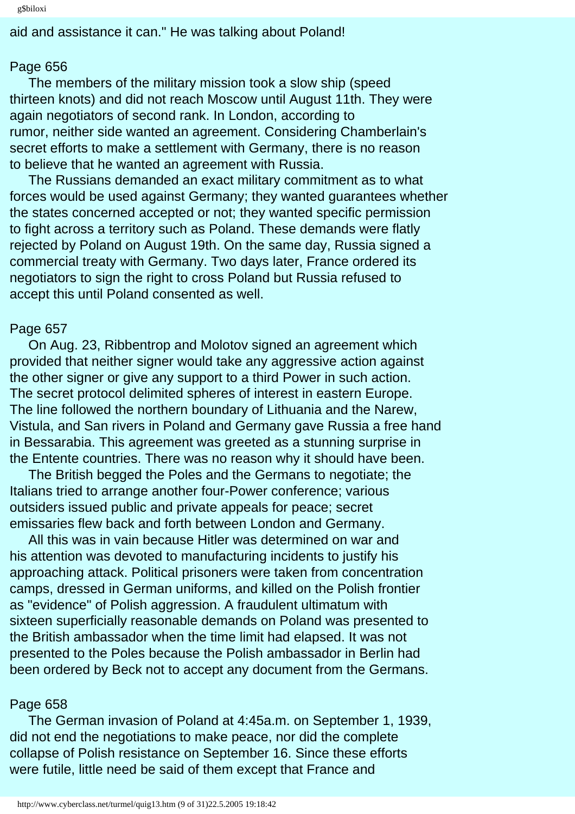aid and assistance it can." He was talking about Poland!

#### Page 656

 The members of the military mission took a slow ship (speed thirteen knots) and did not reach Moscow until August 11th. They were again negotiators of second rank. In London, according to rumor, neither side wanted an agreement. Considering Chamberlain's secret efforts to make a settlement with Germany, there is no reason to believe that he wanted an agreement with Russia.

 The Russians demanded an exact military commitment as to what forces would be used against Germany; they wanted guarantees whether the states concerned accepted or not; they wanted specific permission to fight across a territory such as Poland. These demands were flatly rejected by Poland on August 19th. On the same day, Russia signed a commercial treaty with Germany. Two days later, France ordered its negotiators to sign the right to cross Poland but Russia refused to accept this until Poland consented as well.

#### Page 657

 On Aug. 23, Ribbentrop and Molotov signed an agreement which provided that neither signer would take any aggressive action against the other signer or give any support to a third Power in such action. The secret protocol delimited spheres of interest in eastern Europe. The line followed the northern boundary of Lithuania and the Narew, Vistula, and San rivers in Poland and Germany gave Russia a free hand in Bessarabia. This agreement was greeted as a stunning surprise in the Entente countries. There was no reason why it should have been.

 The British begged the Poles and the Germans to negotiate; the Italians tried to arrange another four-Power conference; various outsiders issued public and private appeals for peace; secret emissaries flew back and forth between London and Germany.

 All this was in vain because Hitler was determined on war and his attention was devoted to manufacturing incidents to justify his approaching attack. Political prisoners were taken from concentration camps, dressed in German uniforms, and killed on the Polish frontier as "evidence" of Polish aggression. A fraudulent ultimatum with sixteen superficially reasonable demands on Poland was presented to the British ambassador when the time limit had elapsed. It was not presented to the Poles because the Polish ambassador in Berlin had been ordered by Beck not to accept any document from the Germans.

#### Page 658

 The German invasion of Poland at 4:45a.m. on September 1, 1939, did not end the negotiations to make peace, nor did the complete collapse of Polish resistance on September 16. Since these efforts were futile, little need be said of them except that France and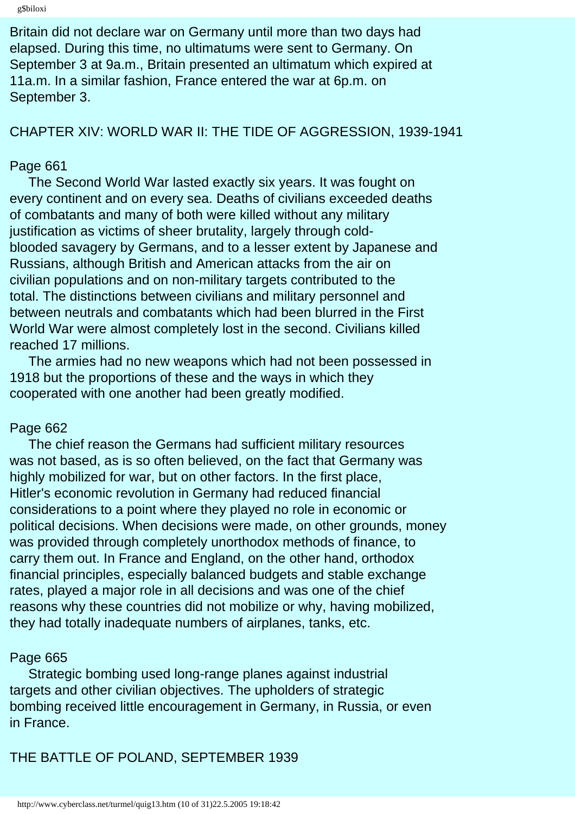g\$biloxi

Britain did not declare war on Germany until more than two days had elapsed. During this time, no ultimatums were sent to Germany. On September 3 at 9a.m., Britain presented an ultimatum which expired at 11a.m. In a similar fashion, France entered the war at 6p.m. on September 3.

CHAPTER XIV: WORLD WAR II: THE TIDE OF AGGRESSION, 1939-1941

## Page 661

 The Second World War lasted exactly six years. It was fought on every continent and on every sea. Deaths of civilians exceeded deaths of combatants and many of both were killed without any military justification as victims of sheer brutality, largely through coldblooded savagery by Germans, and to a lesser extent by Japanese and Russians, although British and American attacks from the air on civilian populations and on non-military targets contributed to the total. The distinctions between civilians and military personnel and between neutrals and combatants which had been blurred in the First World War were almost completely lost in the second. Civilians killed reached 17 millions.

 The armies had no new weapons which had not been possessed in 1918 but the proportions of these and the ways in which they cooperated with one another had been greatly modified.

## Page 662

 The chief reason the Germans had sufficient military resources was not based, as is so often believed, on the fact that Germany was highly mobilized for war, but on other factors. In the first place, Hitler's economic revolution in Germany had reduced financial considerations to a point where they played no role in economic or political decisions. When decisions were made, on other grounds, money was provided through completely unorthodox methods of finance, to carry them out. In France and England, on the other hand, orthodox financial principles, especially balanced budgets and stable exchange rates, played a major role in all decisions and was one of the chief reasons why these countries did not mobilize or why, having mobilized, they had totally inadequate numbers of airplanes, tanks, etc.

## Page 665

 Strategic bombing used long-range planes against industrial targets and other civilian objectives. The upholders of strategic bombing received little encouragement in Germany, in Russia, or even in France.

## THE BATTLE OF POLAND, SEPTEMBER 1939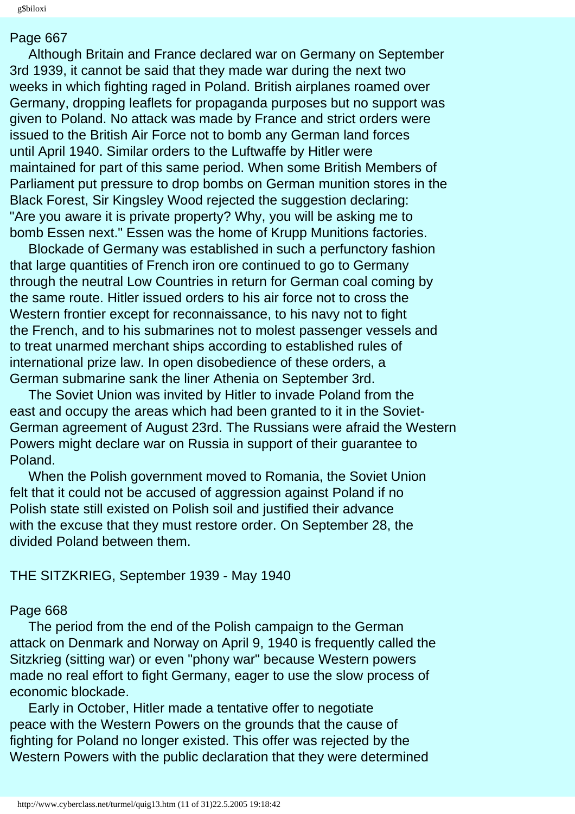Although Britain and France declared war on Germany on September 3rd 1939, it cannot be said that they made war during the next two weeks in which fighting raged in Poland. British airplanes roamed over Germany, dropping leaflets for propaganda purposes but no support was given to Poland. No attack was made by France and strict orders were issued to the British Air Force not to bomb any German land forces until April 1940. Similar orders to the Luftwaffe by Hitler were maintained for part of this same period. When some British Members of Parliament put pressure to drop bombs on German munition stores in the Black Forest, Sir Kingsley Wood rejected the suggestion declaring: "Are you aware it is private property? Why, you will be asking me to bomb Essen next." Essen was the home of Krupp Munitions factories.

 Blockade of Germany was established in such a perfunctory fashion that large quantities of French iron ore continued to go to Germany through the neutral Low Countries in return for German coal coming by the same route. Hitler issued orders to his air force not to cross the Western frontier except for reconnaissance, to his navy not to fight the French, and to his submarines not to molest passenger vessels and to treat unarmed merchant ships according to established rules of international prize law. In open disobedience of these orders, a German submarine sank the liner Athenia on September 3rd.

 The Soviet Union was invited by Hitler to invade Poland from the east and occupy the areas which had been granted to it in the Soviet-German agreement of August 23rd. The Russians were afraid the Western Powers might declare war on Russia in support of their guarantee to Poland.

 When the Polish government moved to Romania, the Soviet Union felt that it could not be accused of aggression against Poland if no Polish state still existed on Polish soil and justified their advance with the excuse that they must restore order. On September 28, the divided Poland between them.

#### THE SITZKRIEG, September 1939 - May 1940

#### Page 668

 The period from the end of the Polish campaign to the German attack on Denmark and Norway on April 9, 1940 is frequently called the Sitzkrieg (sitting war) or even "phony war" because Western powers made no real effort to fight Germany, eager to use the slow process of economic blockade.

 Early in October, Hitler made a tentative offer to negotiate peace with the Western Powers on the grounds that the cause of fighting for Poland no longer existed. This offer was rejected by the Western Powers with the public declaration that they were determined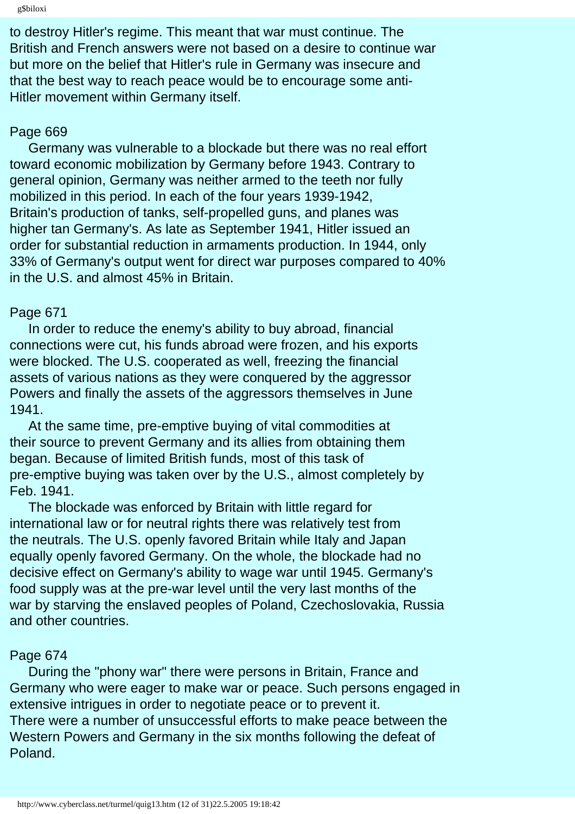to destroy Hitler's regime. This meant that war must continue. The British and French answers were not based on a desire to continue war but more on the belief that Hitler's rule in Germany was insecure and that the best way to reach peace would be to encourage some anti-Hitler movement within Germany itself.

#### Page 669

 Germany was vulnerable to a blockade but there was no real effort toward economic mobilization by Germany before 1943. Contrary to general opinion, Germany was neither armed to the teeth nor fully mobilized in this period. In each of the four years 1939-1942, Britain's production of tanks, self-propelled guns, and planes was higher tan Germany's. As late as September 1941, Hitler issued an order for substantial reduction in armaments production. In 1944, only 33% of Germany's output went for direct war purposes compared to 40% in the U.S. and almost 45% in Britain.

#### Page 671

 In order to reduce the enemy's ability to buy abroad, financial connections were cut, his funds abroad were frozen, and his exports were blocked. The U.S. cooperated as well, freezing the financial assets of various nations as they were conquered by the aggressor Powers and finally the assets of the aggressors themselves in June 1941.

 At the same time, pre-emptive buying of vital commodities at their source to prevent Germany and its allies from obtaining them began. Because of limited British funds, most of this task of pre-emptive buying was taken over by the U.S., almost completely by Feb. 1941.

 The blockade was enforced by Britain with little regard for international law or for neutral rights there was relatively test from the neutrals. The U.S. openly favored Britain while Italy and Japan equally openly favored Germany. On the whole, the blockade had no decisive effect on Germany's ability to wage war until 1945. Germany's food supply was at the pre-war level until the very last months of the war by starving the enslaved peoples of Poland, Czechoslovakia, Russia and other countries.

#### Page 674

 During the "phony war" there were persons in Britain, France and Germany who were eager to make war or peace. Such persons engaged in extensive intrigues in order to negotiate peace or to prevent it. There were a number of unsuccessful efforts to make peace between the Western Powers and Germany in the six months following the defeat of Poland.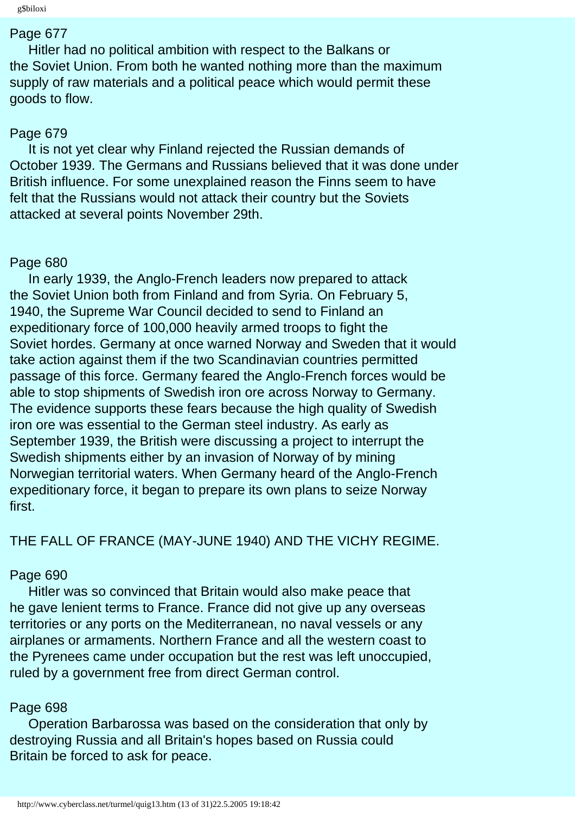Hitler had no political ambition with respect to the Balkans or the Soviet Union. From both he wanted nothing more than the maximum supply of raw materials and a political peace which would permit these goods to flow.

#### Page 679

 It is not yet clear why Finland rejected the Russian demands of October 1939. The Germans and Russians believed that it was done under British influence. For some unexplained reason the Finns seem to have felt that the Russians would not attack their country but the Soviets attacked at several points November 29th.

## Page 680

 In early 1939, the Anglo-French leaders now prepared to attack the Soviet Union both from Finland and from Syria. On February 5, 1940, the Supreme War Council decided to send to Finland an expeditionary force of 100,000 heavily armed troops to fight the Soviet hordes. Germany at once warned Norway and Sweden that it would take action against them if the two Scandinavian countries permitted passage of this force. Germany feared the Anglo-French forces would be able to stop shipments of Swedish iron ore across Norway to Germany. The evidence supports these fears because the high quality of Swedish iron ore was essential to the German steel industry. As early as September 1939, the British were discussing a project to interrupt the Swedish shipments either by an invasion of Norway of by mining Norwegian territorial waters. When Germany heard of the Anglo-French expeditionary force, it began to prepare its own plans to seize Norway first.

## THE FALL OF FRANCE (MAY-JUNE 1940) AND THE VICHY REGIME.

## Page 690

 Hitler was so convinced that Britain would also make peace that he gave lenient terms to France. France did not give up any overseas territories or any ports on the Mediterranean, no naval vessels or any airplanes or armaments. Northern France and all the western coast to the Pyrenees came under occupation but the rest was left unoccupied, ruled by a government free from direct German control.

## Page 698

 Operation Barbarossa was based on the consideration that only by destroying Russia and all Britain's hopes based on Russia could Britain be forced to ask for peace.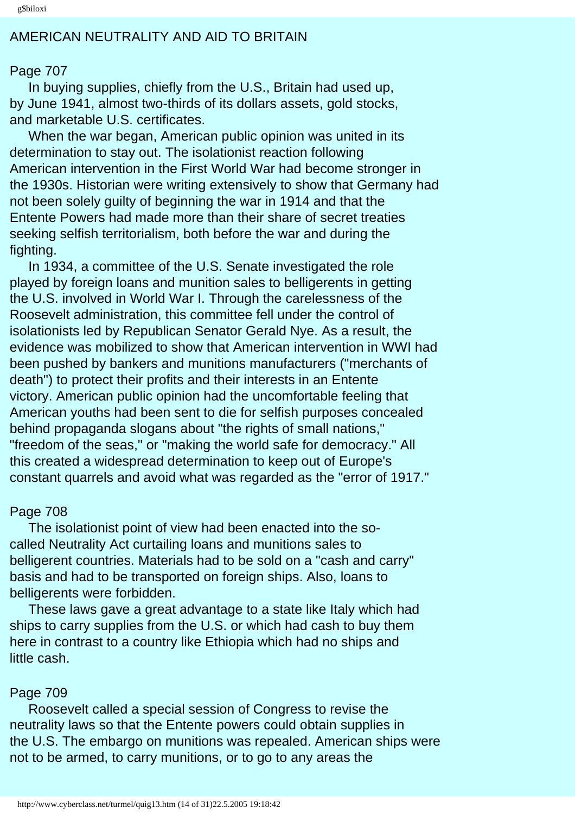## AMERICAN NEUTRALITY AND AID TO BRITAIN

#### Page 707

 In buying supplies, chiefly from the U.S., Britain had used up, by June 1941, almost two-thirds of its dollars assets, gold stocks, and marketable U.S. certificates.

 When the war began, American public opinion was united in its determination to stay out. The isolationist reaction following American intervention in the First World War had become stronger in the 1930s. Historian were writing extensively to show that Germany had not been solely guilty of beginning the war in 1914 and that the Entente Powers had made more than their share of secret treaties seeking selfish territorialism, both before the war and during the fighting.

 In 1934, a committee of the U.S. Senate investigated the role played by foreign loans and munition sales to belligerents in getting the U.S. involved in World War I. Through the carelessness of the Roosevelt administration, this committee fell under the control of isolationists led by Republican Senator Gerald Nye. As a result, the evidence was mobilized to show that American intervention in WWI had been pushed by bankers and munitions manufacturers ("merchants of death") to protect their profits and their interests in an Entente victory. American public opinion had the uncomfortable feeling that American youths had been sent to die for selfish purposes concealed behind propaganda slogans about "the rights of small nations," "freedom of the seas," or "making the world safe for democracy." All this created a widespread determination to keep out of Europe's constant quarrels and avoid what was regarded as the "error of 1917."

#### Page 708

 The isolationist point of view had been enacted into the socalled Neutrality Act curtailing loans and munitions sales to belligerent countries. Materials had to be sold on a "cash and carry" basis and had to be transported on foreign ships. Also, loans to belligerents were forbidden.

 These laws gave a great advantage to a state like Italy which had ships to carry supplies from the U.S. or which had cash to buy them here in contrast to a country like Ethiopia which had no ships and little cash.

#### Page 709

 Roosevelt called a special session of Congress to revise the neutrality laws so that the Entente powers could obtain supplies in the U.S. The embargo on munitions was repealed. American ships were not to be armed, to carry munitions, or to go to any areas the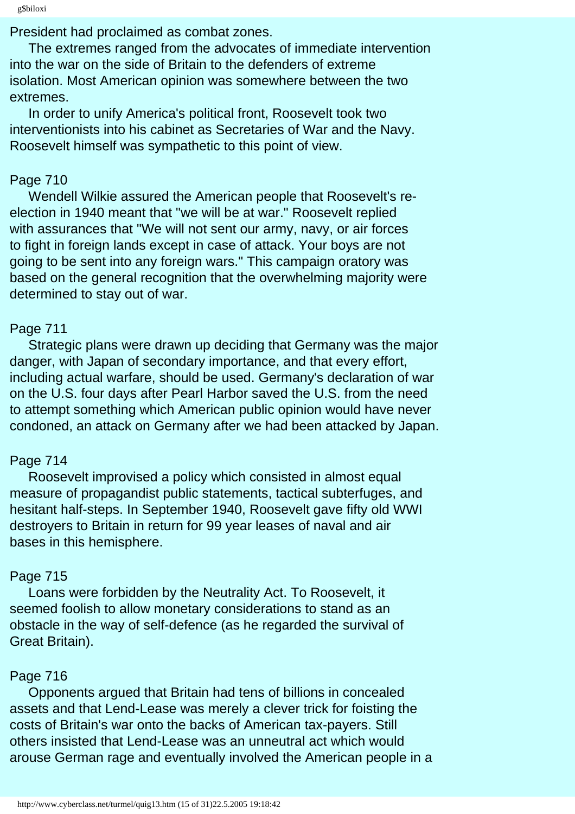President had proclaimed as combat zones.

 The extremes ranged from the advocates of immediate intervention into the war on the side of Britain to the defenders of extreme isolation. Most American opinion was somewhere between the two extremes.

 In order to unify America's political front, Roosevelt took two interventionists into his cabinet as Secretaries of War and the Navy. Roosevelt himself was sympathetic to this point of view.

#### Page 710

 Wendell Wilkie assured the American people that Roosevelt's reelection in 1940 meant that "we will be at war." Roosevelt replied with assurances that "We will not sent our army, navy, or air forces to fight in foreign lands except in case of attack. Your boys are not going to be sent into any foreign wars." This campaign oratory was based on the general recognition that the overwhelming majority were determined to stay out of war.

#### Page 711

 Strategic plans were drawn up deciding that Germany was the major danger, with Japan of secondary importance, and that every effort, including actual warfare, should be used. Germany's declaration of war on the U.S. four days after Pearl Harbor saved the U.S. from the need to attempt something which American public opinion would have never condoned, an attack on Germany after we had been attacked by Japan.

## Page 714

 Roosevelt improvised a policy which consisted in almost equal measure of propagandist public statements, tactical subterfuges, and hesitant half-steps. In September 1940, Roosevelt gave fifty old WWI destroyers to Britain in return for 99 year leases of naval and air bases in this hemisphere.

#### Page 715

 Loans were forbidden by the Neutrality Act. To Roosevelt, it seemed foolish to allow monetary considerations to stand as an obstacle in the way of self-defence (as he regarded the survival of Great Britain).

#### Page 716

 Opponents argued that Britain had tens of billions in concealed assets and that Lend-Lease was merely a clever trick for foisting the costs of Britain's war onto the backs of American tax-payers. Still others insisted that Lend-Lease was an unneutral act which would arouse German rage and eventually involved the American people in a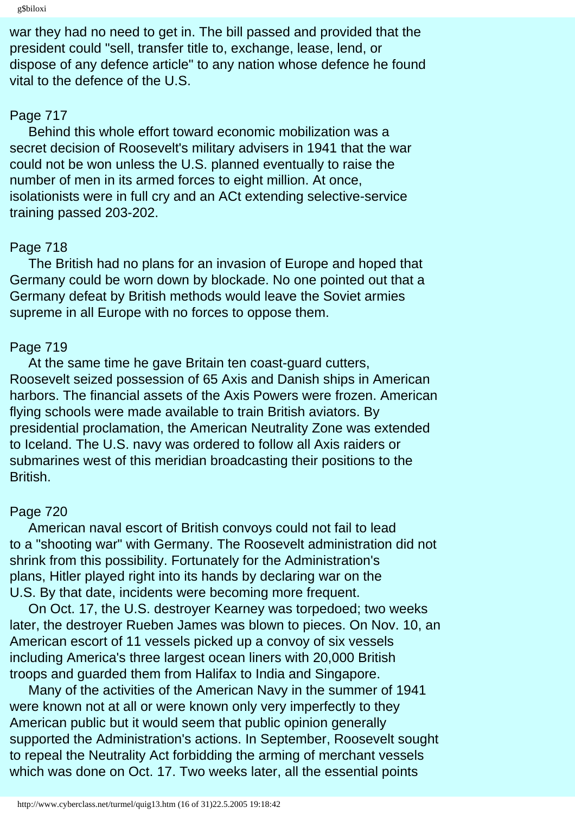war they had no need to get in. The bill passed and provided that the president could "sell, transfer title to, exchange, lease, lend, or dispose of any defence article" to any nation whose defence he found vital to the defence of the U.S.

#### Page 717

 Behind this whole effort toward economic mobilization was a secret decision of Roosevelt's military advisers in 1941 that the war could not be won unless the U.S. planned eventually to raise the number of men in its armed forces to eight million. At once, isolationists were in full cry and an ACt extending selective-service training passed 203-202.

## Page 718

 The British had no plans for an invasion of Europe and hoped that Germany could be worn down by blockade. No one pointed out that a Germany defeat by British methods would leave the Soviet armies supreme in all Europe with no forces to oppose them.

## Page 719

 At the same time he gave Britain ten coast-guard cutters, Roosevelt seized possession of 65 Axis and Danish ships in American harbors. The financial assets of the Axis Powers were frozen. American flying schools were made available to train British aviators. By presidential proclamation, the American Neutrality Zone was extended to Iceland. The U.S. navy was ordered to follow all Axis raiders or submarines west of this meridian broadcasting their positions to the British.

## Page 720

 American naval escort of British convoys could not fail to lead to a "shooting war" with Germany. The Roosevelt administration did not shrink from this possibility. Fortunately for the Administration's plans, Hitler played right into its hands by declaring war on the U.S. By that date, incidents were becoming more frequent.

 On Oct. 17, the U.S. destroyer Kearney was torpedoed; two weeks later, the destroyer Rueben James was blown to pieces. On Nov. 10, an American escort of 11 vessels picked up a convoy of six vessels including America's three largest ocean liners with 20,000 British troops and guarded them from Halifax to India and Singapore.

 Many of the activities of the American Navy in the summer of 1941 were known not at all or were known only very imperfectly to they American public but it would seem that public opinion generally supported the Administration's actions. In September, Roosevelt sought to repeal the Neutrality Act forbidding the arming of merchant vessels which was done on Oct. 17. Two weeks later, all the essential points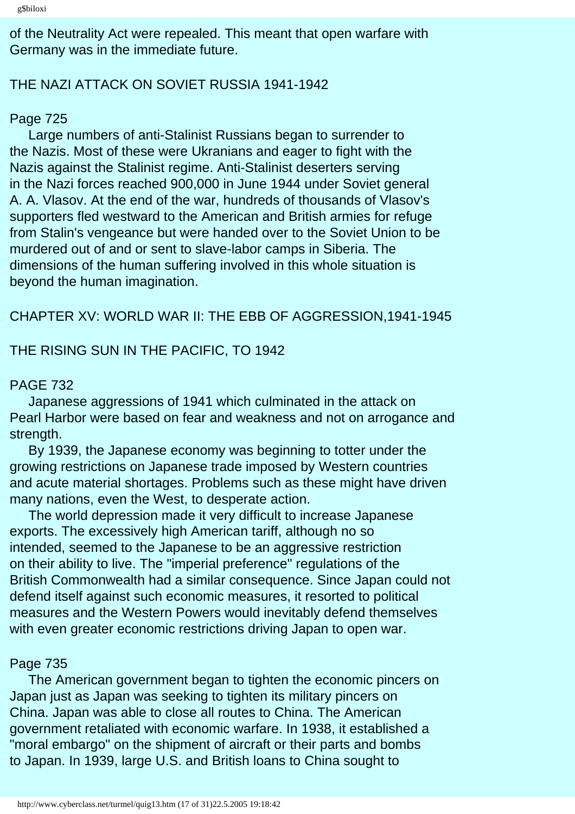of the Neutrality Act were repealed. This meant that open warfare with Germany was in the immediate future.

## THE NAZI ATTACK ON SOVIET RUSSIA 1941-1942

#### Page 725

 Large numbers of anti-Stalinist Russians began to surrender to the Nazis. Most of these were Ukranians and eager to fight with the Nazis against the Stalinist regime. Anti-Stalinist deserters serving in the Nazi forces reached 900,000 in June 1944 under Soviet general A. A. Vlasov. At the end of the war, hundreds of thousands of Vlasov's supporters fled westward to the American and British armies for refuge from Stalin's vengeance but were handed over to the Soviet Union to be murdered out of and or sent to slave-labor camps in Siberia. The dimensions of the human suffering involved in this whole situation is beyond the human imagination.

## CHAPTER XV: WORLD WAR II: THE EBB OF AGGRESSION,1941-1945

## THE RISING SUN IN THE PACIFIC, TO 1942

#### PAGE 732

 Japanese aggressions of 1941 which culminated in the attack on Pearl Harbor were based on fear and weakness and not on arrogance and strength.

 By 1939, the Japanese economy was beginning to totter under the growing restrictions on Japanese trade imposed by Western countries and acute material shortages. Problems such as these might have driven many nations, even the West, to desperate action.

 The world depression made it very difficult to increase Japanese exports. The excessively high American tariff, although no so intended, seemed to the Japanese to be an aggressive restriction on their ability to live. The "imperial preference" regulations of the British Commonwealth had a similar consequence. Since Japan could not defend itself against such economic measures, it resorted to political measures and the Western Powers would inevitably defend themselves with even greater economic restrictions driving Japan to open war.

## Page 735

 The American government began to tighten the economic pincers on Japan just as Japan was seeking to tighten its military pincers on China. Japan was able to close all routes to China. The American government retaliated with economic warfare. In 1938, it established a "moral embargo" on the shipment of aircraft or their parts and bombs to Japan. In 1939, large U.S. and British loans to China sought to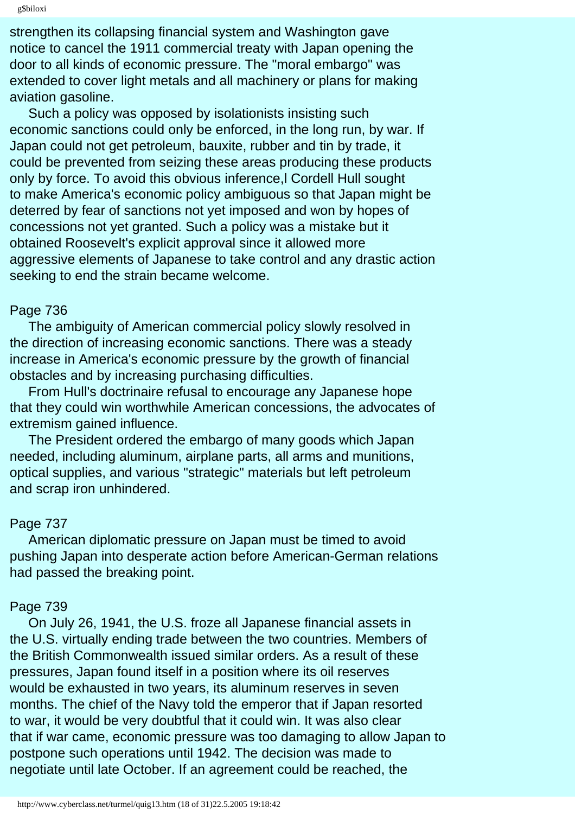strengthen its collapsing financial system and Washington gave notice to cancel the 1911 commercial treaty with Japan opening the door to all kinds of economic pressure. The "moral embargo" was extended to cover light metals and all machinery or plans for making aviation gasoline.

 Such a policy was opposed by isolationists insisting such economic sanctions could only be enforced, in the long run, by war. If Japan could not get petroleum, bauxite, rubber and tin by trade, it could be prevented from seizing these areas producing these products only by force. To avoid this obvious inference,l Cordell Hull sought to make America's economic policy ambiguous so that Japan might be deterred by fear of sanctions not yet imposed and won by hopes of concessions not yet granted. Such a policy was a mistake but it obtained Roosevelt's explicit approval since it allowed more aggressive elements of Japanese to take control and any drastic action seeking to end the strain became welcome.

#### Page 736

 The ambiguity of American commercial policy slowly resolved in the direction of increasing economic sanctions. There was a steady increase in America's economic pressure by the growth of financial obstacles and by increasing purchasing difficulties.

 From Hull's doctrinaire refusal to encourage any Japanese hope that they could win worthwhile American concessions, the advocates of extremism gained influence.

 The President ordered the embargo of many goods which Japan needed, including aluminum, airplane parts, all arms and munitions, optical supplies, and various "strategic" materials but left petroleum and scrap iron unhindered.

#### Page 737

 American diplomatic pressure on Japan must be timed to avoid pushing Japan into desperate action before American-German relations had passed the breaking point.

#### Page 739

 On July 26, 1941, the U.S. froze all Japanese financial assets in the U.S. virtually ending trade between the two countries. Members of the British Commonwealth issued similar orders. As a result of these pressures, Japan found itself in a position where its oil reserves would be exhausted in two years, its aluminum reserves in seven months. The chief of the Navy told the emperor that if Japan resorted to war, it would be very doubtful that it could win. It was also clear that if war came, economic pressure was too damaging to allow Japan to postpone such operations until 1942. The decision was made to negotiate until late October. If an agreement could be reached, the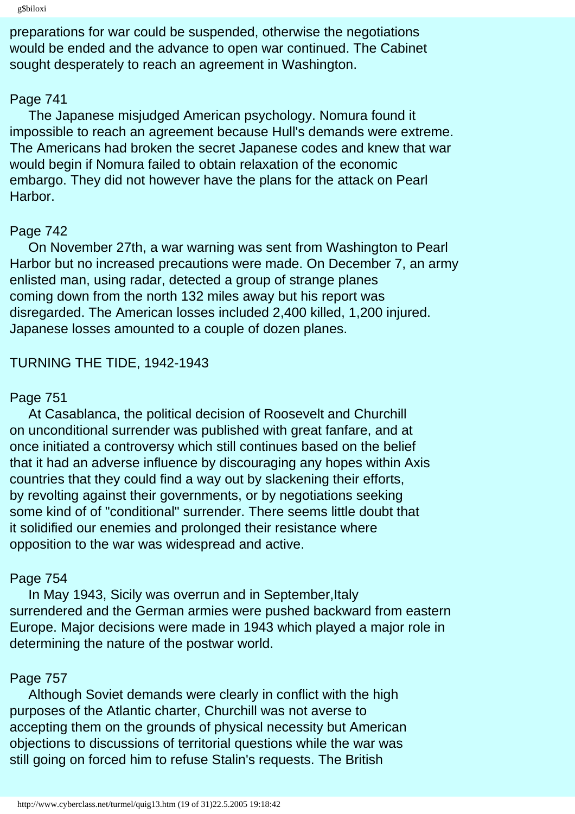preparations for war could be suspended, otherwise the negotiations would be ended and the advance to open war continued. The Cabinet sought desperately to reach an agreement in Washington.

#### Page 741

 The Japanese misjudged American psychology. Nomura found it impossible to reach an agreement because Hull's demands were extreme. The Americans had broken the secret Japanese codes and knew that war would begin if Nomura failed to obtain relaxation of the economic embargo. They did not however have the plans for the attack on Pearl Harbor.

## Page 742

 On November 27th, a war warning was sent from Washington to Pearl Harbor but no increased precautions were made. On December 7, an army enlisted man, using radar, detected a group of strange planes coming down from the north 132 miles away but his report was disregarded. The American losses included 2,400 killed, 1,200 injured. Japanese losses amounted to a couple of dozen planes.

## TURNING THE TIDE, 1942-1943

#### Page 751

 At Casablanca, the political decision of Roosevelt and Churchill on unconditional surrender was published with great fanfare, and at once initiated a controversy which still continues based on the belief that it had an adverse influence by discouraging any hopes within Axis countries that they could find a way out by slackening their efforts, by revolting against their governments, or by negotiations seeking some kind of of "conditional" surrender. There seems little doubt that it solidified our enemies and prolonged their resistance where opposition to the war was widespread and active.

## Page 754

In May 1943, Sicily was overrun and in September, Italy surrendered and the German armies were pushed backward from eastern Europe. Major decisions were made in 1943 which played a major role in determining the nature of the postwar world.

## Page 757

 Although Soviet demands were clearly in conflict with the high purposes of the Atlantic charter, Churchill was not averse to accepting them on the grounds of physical necessity but American objections to discussions of territorial questions while the war was still going on forced him to refuse Stalin's requests. The British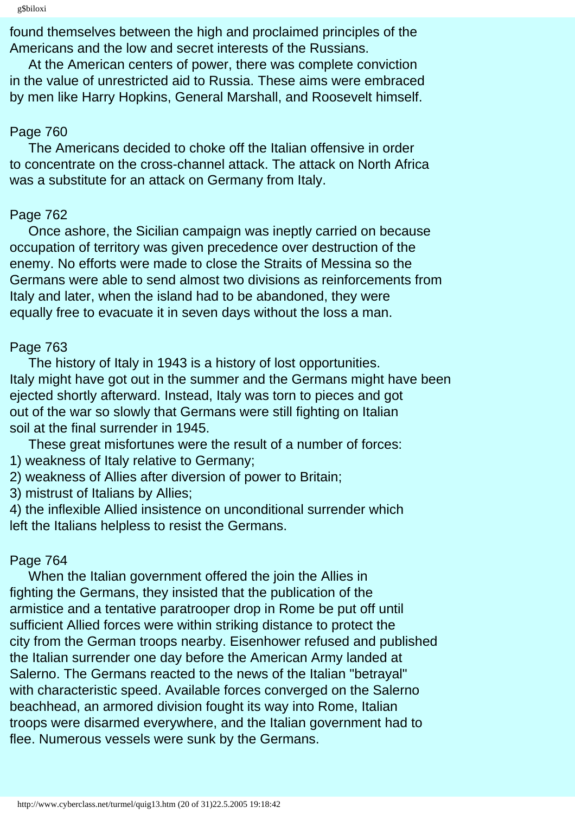found themselves between the high and proclaimed principles of the Americans and the low and secret interests of the Russians.

 At the American centers of power, there was complete conviction in the value of unrestricted aid to Russia. These aims were embraced by men like Harry Hopkins, General Marshall, and Roosevelt himself.

#### Page 760

 The Americans decided to choke off the Italian offensive in order to concentrate on the cross-channel attack. The attack on North Africa was a substitute for an attack on Germany from Italy.

## Page 762

 Once ashore, the Sicilian campaign was ineptly carried on because occupation of territory was given precedence over destruction of the enemy. No efforts were made to close the Straits of Messina so the Germans were able to send almost two divisions as reinforcements from Italy and later, when the island had to be abandoned, they were equally free to evacuate it in seven days without the loss a man.

## Page 763

 The history of Italy in 1943 is a history of lost opportunities. Italy might have got out in the summer and the Germans might have been ejected shortly afterward. Instead, Italy was torn to pieces and got out of the war so slowly that Germans were still fighting on Italian soil at the final surrender in 1945.

These great misfortunes were the result of a number of forces:

- 1) weakness of Italy relative to Germany;
- 2) weakness of Allies after diversion of power to Britain;
- 3) mistrust of Italians by Allies;
- 4) the inflexible Allied insistence on unconditional surrender which left the Italians helpless to resist the Germans.

## Page 764

 When the Italian government offered the join the Allies in fighting the Germans, they insisted that the publication of the armistice and a tentative paratrooper drop in Rome be put off until sufficient Allied forces were within striking distance to protect the city from the German troops nearby. Eisenhower refused and published the Italian surrender one day before the American Army landed at Salerno. The Germans reacted to the news of the Italian "betrayal" with characteristic speed. Available forces converged on the Salerno beachhead, an armored division fought its way into Rome, Italian troops were disarmed everywhere, and the Italian government had to flee. Numerous vessels were sunk by the Germans.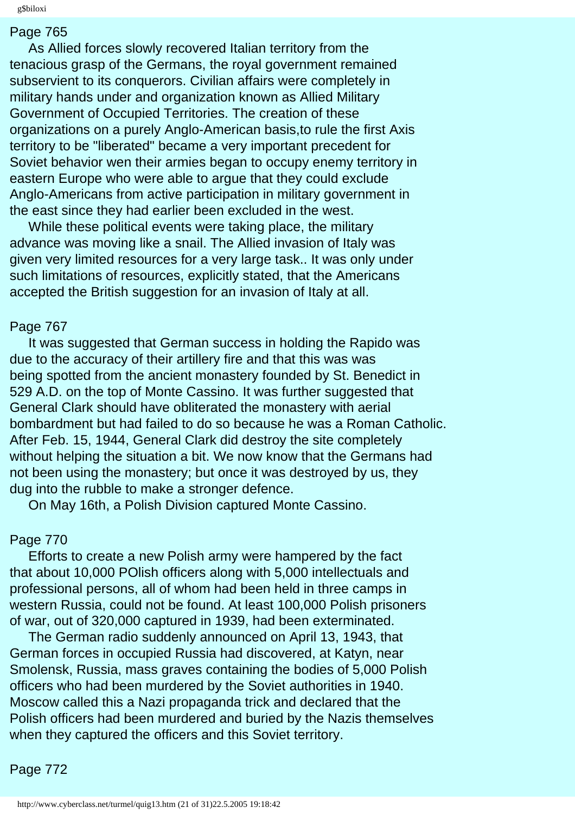As Allied forces slowly recovered Italian territory from the tenacious grasp of the Germans, the royal government remained subservient to its conquerors. Civilian affairs were completely in military hands under and organization known as Allied Military Government of Occupied Territories. The creation of these organizations on a purely Anglo-American basis,to rule the first Axis territory to be "liberated" became a very important precedent for Soviet behavior wen their armies began to occupy enemy territory in eastern Europe who were able to argue that they could exclude Anglo-Americans from active participation in military government in the east since they had earlier been excluded in the west.

 While these political events were taking place, the military advance was moving like a snail. The Allied invasion of Italy was given very limited resources for a very large task.. It was only under such limitations of resources, explicitly stated, that the Americans accepted the British suggestion for an invasion of Italy at all.

#### Page 767

 It was suggested that German success in holding the Rapido was due to the accuracy of their artillery fire and that this was was being spotted from the ancient monastery founded by St. Benedict in 529 A.D. on the top of Monte Cassino. It was further suggested that General Clark should have obliterated the monastery with aerial bombardment but had failed to do so because he was a Roman Catholic. After Feb. 15, 1944, General Clark did destroy the site completely without helping the situation a bit. We now know that the Germans had not been using the monastery; but once it was destroyed by us, they dug into the rubble to make a stronger defence.

On May 16th, a Polish Division captured Monte Cassino.

#### Page 770

 Efforts to create a new Polish army were hampered by the fact that about 10,000 POlish officers along with 5,000 intellectuals and professional persons, all of whom had been held in three camps in western Russia, could not be found. At least 100,000 Polish prisoners of war, out of 320,000 captured in 1939, had been exterminated.

 The German radio suddenly announced on April 13, 1943, that German forces in occupied Russia had discovered, at Katyn, near Smolensk, Russia, mass graves containing the bodies of 5,000 Polish officers who had been murdered by the Soviet authorities in 1940. Moscow called this a Nazi propaganda trick and declared that the Polish officers had been murdered and buried by the Nazis themselves when they captured the officers and this Soviet territory.

## Page 772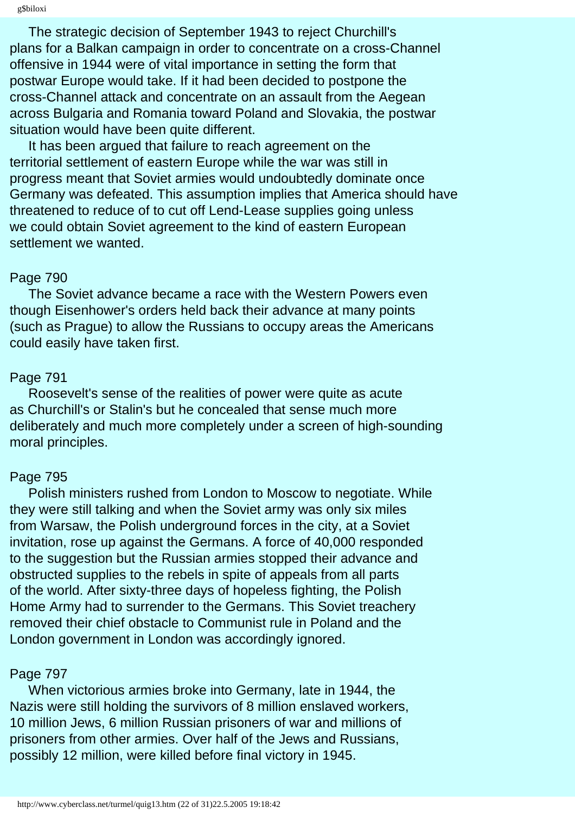The strategic decision of September 1943 to reject Churchill's plans for a Balkan campaign in order to concentrate on a cross-Channel offensive in 1944 were of vital importance in setting the form that postwar Europe would take. If it had been decided to postpone the cross-Channel attack and concentrate on an assault from the Aegean across Bulgaria and Romania toward Poland and Slovakia, the postwar situation would have been quite different.

 It has been argued that failure to reach agreement on the territorial settlement of eastern Europe while the war was still in progress meant that Soviet armies would undoubtedly dominate once Germany was defeated. This assumption implies that America should have threatened to reduce of to cut off Lend-Lease supplies going unless we could obtain Soviet agreement to the kind of eastern European settlement we wanted.

#### Page 790

 The Soviet advance became a race with the Western Powers even though Eisenhower's orders held back their advance at many points (such as Prague) to allow the Russians to occupy areas the Americans could easily have taken first.

#### Page 791

 Roosevelt's sense of the realities of power were quite as acute as Churchill's or Stalin's but he concealed that sense much more deliberately and much more completely under a screen of high-sounding moral principles.

#### Page 795

 Polish ministers rushed from London to Moscow to negotiate. While they were still talking and when the Soviet army was only six miles from Warsaw, the Polish underground forces in the city, at a Soviet invitation, rose up against the Germans. A force of 40,000 responded to the suggestion but the Russian armies stopped their advance and obstructed supplies to the rebels in spite of appeals from all parts of the world. After sixty-three days of hopeless fighting, the Polish Home Army had to surrender to the Germans. This Soviet treachery removed their chief obstacle to Communist rule in Poland and the London government in London was accordingly ignored.

#### Page 797

 When victorious armies broke into Germany, late in 1944, the Nazis were still holding the survivors of 8 million enslaved workers, 10 million Jews, 6 million Russian prisoners of war and millions of prisoners from other armies. Over half of the Jews and Russians, possibly 12 million, were killed before final victory in 1945.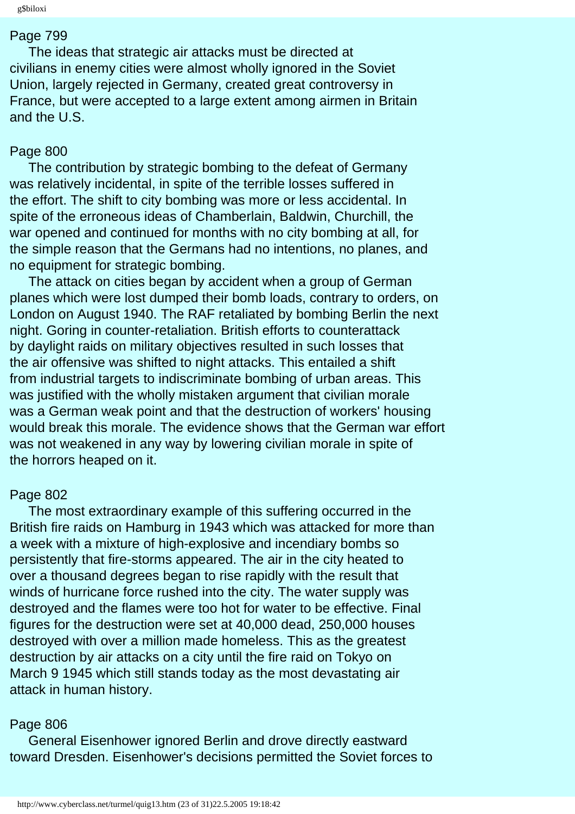The ideas that strategic air attacks must be directed at civilians in enemy cities were almost wholly ignored in the Soviet Union, largely rejected in Germany, created great controversy in France, but were accepted to a large extent among airmen in Britain and the U.S.

## Page 800

 The contribution by strategic bombing to the defeat of Germany was relatively incidental, in spite of the terrible losses suffered in the effort. The shift to city bombing was more or less accidental. In spite of the erroneous ideas of Chamberlain, Baldwin, Churchill, the war opened and continued for months with no city bombing at all, for the simple reason that the Germans had no intentions, no planes, and no equipment for strategic bombing.

 The attack on cities began by accident when a group of German planes which were lost dumped their bomb loads, contrary to orders, on London on August 1940. The RAF retaliated by bombing Berlin the next night. Goring in counter-retaliation. British efforts to counterattack by daylight raids on military objectives resulted in such losses that the air offensive was shifted to night attacks. This entailed a shift from industrial targets to indiscriminate bombing of urban areas. This was justified with the wholly mistaken argument that civilian morale was a German weak point and that the destruction of workers' housing would break this morale. The evidence shows that the German war effort was not weakened in any way by lowering civilian morale in spite of the horrors heaped on it.

## Page 802

 The most extraordinary example of this suffering occurred in the British fire raids on Hamburg in 1943 which was attacked for more than a week with a mixture of high-explosive and incendiary bombs so persistently that fire-storms appeared. The air in the city heated to over a thousand degrees began to rise rapidly with the result that winds of hurricane force rushed into the city. The water supply was destroyed and the flames were too hot for water to be effective. Final figures for the destruction were set at 40,000 dead, 250,000 houses destroyed with over a million made homeless. This as the greatest destruction by air attacks on a city until the fire raid on Tokyo on March 9 1945 which still stands today as the most devastating air attack in human history.

## Page 806

 General Eisenhower ignored Berlin and drove directly eastward toward Dresden. Eisenhower's decisions permitted the Soviet forces to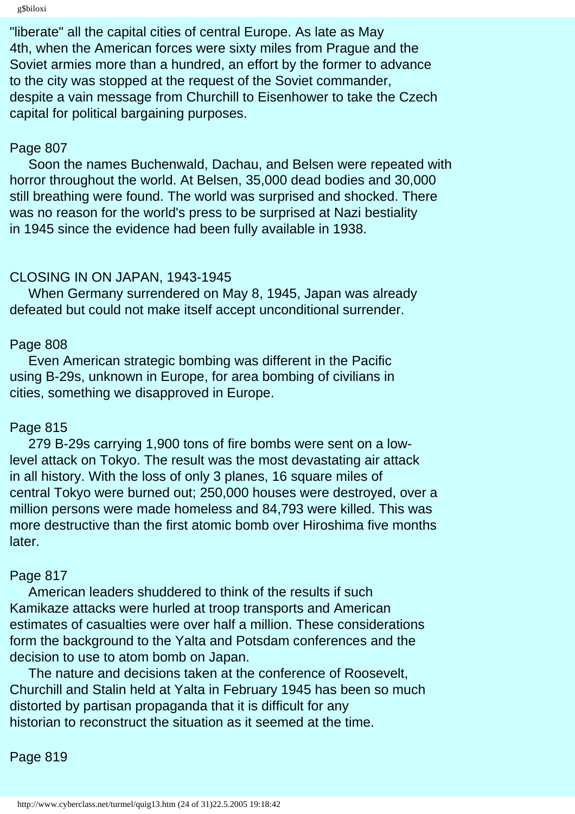g\$biloxi

"liberate" all the capital cities of central Europe. As late as May 4th, when the American forces were sixty miles from Prague and the Soviet armies more than a hundred, an effort by the former to advance to the city was stopped at the request of the Soviet commander, despite a vain message from Churchill to Eisenhower to take the Czech capital for political bargaining purposes.

#### Page 807

 Soon the names Buchenwald, Dachau, and Belsen were repeated with horror throughout the world. At Belsen, 35,000 dead bodies and 30,000 still breathing were found. The world was surprised and shocked. There was no reason for the world's press to be surprised at Nazi bestiality in 1945 since the evidence had been fully available in 1938.

## CLOSING IN ON JAPAN, 1943-1945

 When Germany surrendered on May 8, 1945, Japan was already defeated but could not make itself accept unconditional surrender.

## Page 808

 Even American strategic bombing was different in the Pacific using B-29s, unknown in Europe, for area bombing of civilians in cities, something we disapproved in Europe.

## Page 815

 279 B-29s carrying 1,900 tons of fire bombs were sent on a lowlevel attack on Tokyo. The result was the most devastating air attack in all history. With the loss of only 3 planes, 16 square miles of central Tokyo were burned out; 250,000 houses were destroyed, over a million persons were made homeless and 84,793 were killed. This was more destructive than the first atomic bomb over Hiroshima five months later.

## Page 817

 American leaders shuddered to think of the results if such Kamikaze attacks were hurled at troop transports and American estimates of casualties were over half a million. These considerations form the background to the Yalta and Potsdam conferences and the decision to use to atom bomb on Japan.

 The nature and decisions taken at the conference of Roosevelt, Churchill and Stalin held at Yalta in February 1945 has been so much distorted by partisan propaganda that it is difficult for any historian to reconstruct the situation as it seemed at the time.

Page 819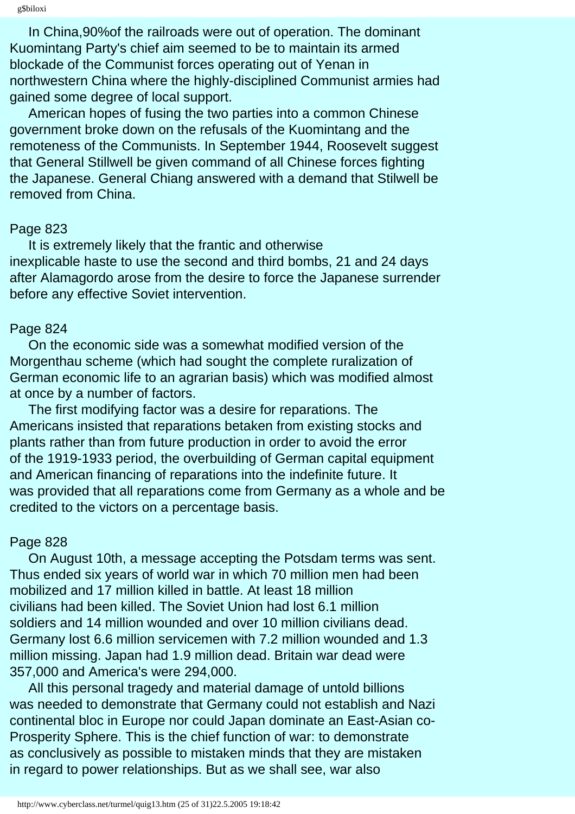In China,90%of the railroads were out of operation. The dominant Kuomintang Party's chief aim seemed to be to maintain its armed blockade of the Communist forces operating out of Yenan in northwestern China where the highly-disciplined Communist armies had gained some degree of local support.

 American hopes of fusing the two parties into a common Chinese government broke down on the refusals of the Kuomintang and the remoteness of the Communists. In September 1944, Roosevelt suggest that General Stillwell be given command of all Chinese forces fighting the Japanese. General Chiang answered with a demand that Stilwell be removed from China.

#### Page 823

 It is extremely likely that the frantic and otherwise inexplicable haste to use the second and third bombs, 21 and 24 days after Alamagordo arose from the desire to force the Japanese surrender before any effective Soviet intervention.

#### Page 824

 On the economic side was a somewhat modified version of the Morgenthau scheme (which had sought the complete ruralization of German economic life to an agrarian basis) which was modified almost at once by a number of factors.

 The first modifying factor was a desire for reparations. The Americans insisted that reparations betaken from existing stocks and plants rather than from future production in order to avoid the error of the 1919-1933 period, the overbuilding of German capital equipment and American financing of reparations into the indefinite future. It was provided that all reparations come from Germany as a whole and be credited to the victors on a percentage basis.

#### Page 828

 On August 10th, a message accepting the Potsdam terms was sent. Thus ended six years of world war in which 70 million men had been mobilized and 17 million killed in battle. At least 18 million civilians had been killed. The Soviet Union had lost 6.1 million soldiers and 14 million wounded and over 10 million civilians dead. Germany lost 6.6 million servicemen with 7.2 million wounded and 1.3 million missing. Japan had 1.9 million dead. Britain war dead were 357,000 and America's were 294,000.

 All this personal tragedy and material damage of untold billions was needed to demonstrate that Germany could not establish and Nazi continental bloc in Europe nor could Japan dominate an East-Asian co-Prosperity Sphere. This is the chief function of war: to demonstrate as conclusively as possible to mistaken minds that they are mistaken in regard to power relationships. But as we shall see, war also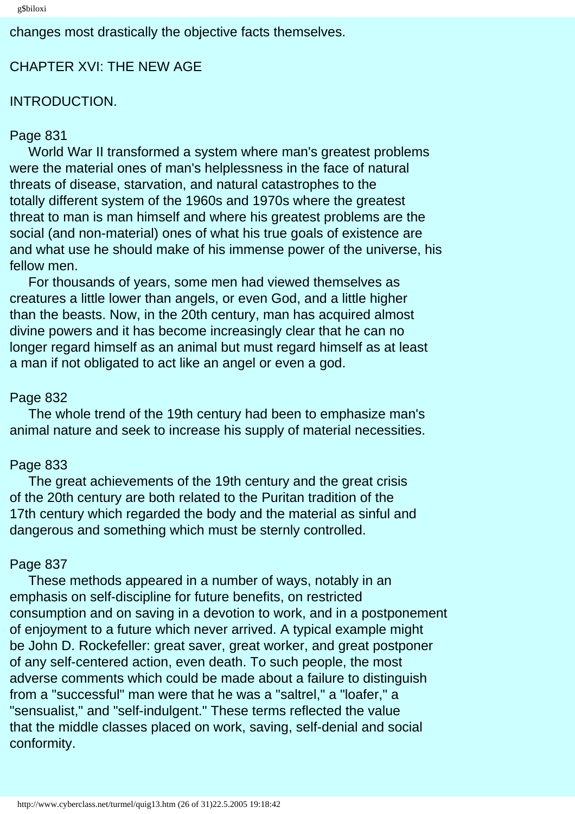changes most drastically the objective facts themselves.

## CHAPTER XVI: THE NEW AGE

## INTRODUCTION.

#### Page 831

 World War II transformed a system where man's greatest problems were the material ones of man's helplessness in the face of natural threats of disease, starvation, and natural catastrophes to the totally different system of the 1960s and 1970s where the greatest threat to man is man himself and where his greatest problems are the social (and non-material) ones of what his true goals of existence are and what use he should make of his immense power of the universe, his fellow men.

 For thousands of years, some men had viewed themselves as creatures a little lower than angels, or even God, and a little higher than the beasts. Now, in the 20th century, man has acquired almost divine powers and it has become increasingly clear that he can no longer regard himself as an animal but must regard himself as at least a man if not obligated to act like an angel or even a god.

#### Page 832

 The whole trend of the 19th century had been to emphasize man's animal nature and seek to increase his supply of material necessities.

## Page 833

 The great achievements of the 19th century and the great crisis of the 20th century are both related to the Puritan tradition of the 17th century which regarded the body and the material as sinful and dangerous and something which must be sternly controlled.

#### Page 837

 These methods appeared in a number of ways, notably in an emphasis on self-discipline for future benefits, on restricted consumption and on saving in a devotion to work, and in a postponement of enjoyment to a future which never arrived. A typical example might be John D. Rockefeller: great saver, great worker, and great postponer of any self-centered action, even death. To such people, the most adverse comments which could be made about a failure to distinguish from a "successful" man were that he was a "saltrel," a "loafer," a "sensualist," and "self-indulgent." These terms reflected the value that the middle classes placed on work, saving, self-denial and social conformity.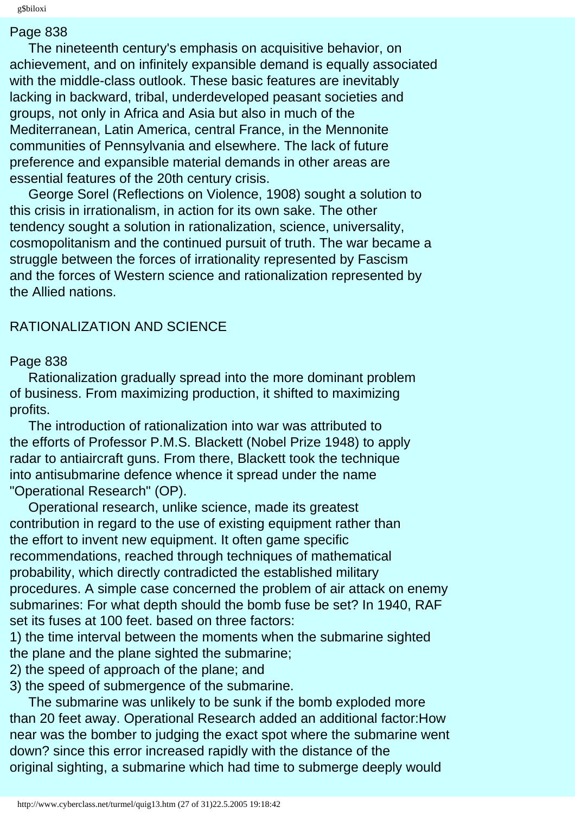The nineteenth century's emphasis on acquisitive behavior, on achievement, and on infinitely expansible demand is equally associated with the middle-class outlook. These basic features are inevitably lacking in backward, tribal, underdeveloped peasant societies and groups, not only in Africa and Asia but also in much of the Mediterranean, Latin America, central France, in the Mennonite communities of Pennsylvania and elsewhere. The lack of future preference and expansible material demands in other areas are essential features of the 20th century crisis.

 George Sorel (Reflections on Violence, 1908) sought a solution to this crisis in irrationalism, in action for its own sake. The other tendency sought a solution in rationalization, science, universality, cosmopolitanism and the continued pursuit of truth. The war became a struggle between the forces of irrationality represented by Fascism and the forces of Western science and rationalization represented by the Allied nations.

## RATIONALIZATION AND SCIENCE

## Page 838

 Rationalization gradually spread into the more dominant problem of business. From maximizing production, it shifted to maximizing profits.

 The introduction of rationalization into war was attributed to the efforts of Professor P.M.S. Blackett (Nobel Prize 1948) to apply radar to antiaircraft guns. From there, Blackett took the technique into antisubmarine defence whence it spread under the name "Operational Research" (OP).

 Operational research, unlike science, made its greatest contribution in regard to the use of existing equipment rather than the effort to invent new equipment. It often game specific recommendations, reached through techniques of mathematical probability, which directly contradicted the established military procedures. A simple case concerned the problem of air attack on enemy submarines: For what depth should the bomb fuse be set? In 1940, RAF set its fuses at 100 feet. based on three factors:

1) the time interval between the moments when the submarine sighted the plane and the plane sighted the submarine;

- 2) the speed of approach of the plane; and
- 3) the speed of submergence of the submarine.

 The submarine was unlikely to be sunk if the bomb exploded more than 20 feet away. Operational Research added an additional factor:How near was the bomber to judging the exact spot where the submarine went down? since this error increased rapidly with the distance of the original sighting, a submarine which had time to submerge deeply would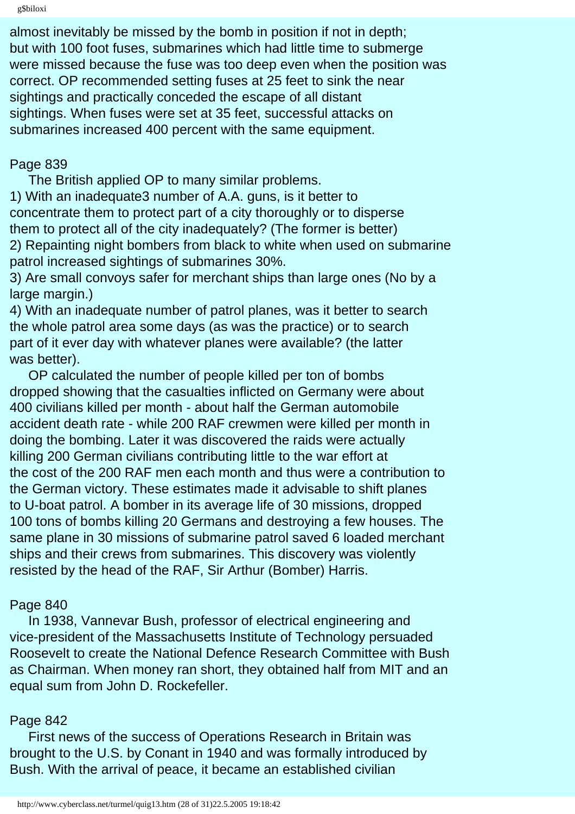g\$biloxi

almost inevitably be missed by the bomb in position if not in depth; but with 100 foot fuses, submarines which had little time to submerge were missed because the fuse was too deep even when the position was correct. OP recommended setting fuses at 25 feet to sink the near sightings and practically conceded the escape of all distant sightings. When fuses were set at 35 feet, successful attacks on submarines increased 400 percent with the same equipment.

#### Page 839

The British applied OP to many similar problems.

1) With an inadequate3 number of A.A. guns, is it better to concentrate them to protect part of a city thoroughly or to disperse them to protect all of the city inadequately? (The former is better)

2) Repainting night bombers from black to white when used on submarine patrol increased sightings of submarines 30%.

3) Are small convoys safer for merchant ships than large ones (No by a large margin.)

4) With an inadequate number of patrol planes, was it better to search the whole patrol area some days (as was the practice) or to search part of it ever day with whatever planes were available? (the latter was better).

 OP calculated the number of people killed per ton of bombs dropped showing that the casualties inflicted on Germany were about 400 civilians killed per month - about half the German automobile accident death rate - while 200 RAF crewmen were killed per month in doing the bombing. Later it was discovered the raids were actually killing 200 German civilians contributing little to the war effort at the cost of the 200 RAF men each month and thus were a contribution to the German victory. These estimates made it advisable to shift planes to U-boat patrol. A bomber in its average life of 30 missions, dropped 100 tons of bombs killing 20 Germans and destroying a few houses. The same plane in 30 missions of submarine patrol saved 6 loaded merchant ships and their crews from submarines. This discovery was violently resisted by the head of the RAF, Sir Arthur (Bomber) Harris.

## Page 840

 In 1938, Vannevar Bush, professor of electrical engineering and vice-president of the Massachusetts Institute of Technology persuaded Roosevelt to create the National Defence Research Committee with Bush as Chairman. When money ran short, they obtained half from MIT and an equal sum from John D. Rockefeller.

## Page 842

 First news of the success of Operations Research in Britain was brought to the U.S. by Conant in 1940 and was formally introduced by Bush. With the arrival of peace, it became an established civilian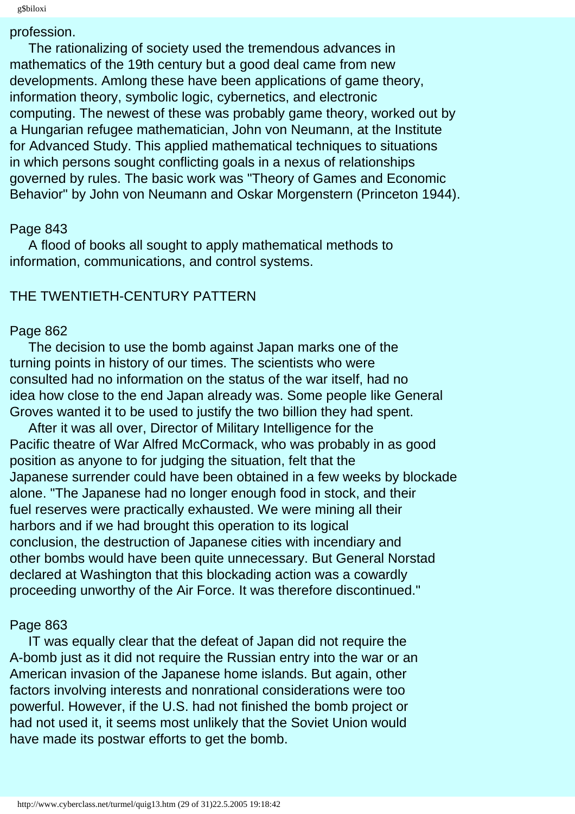#### profession.

 The rationalizing of society used the tremendous advances in mathematics of the 19th century but a good deal came from new developments. Amlong these have been applications of game theory, information theory, symbolic logic, cybernetics, and electronic computing. The newest of these was probably game theory, worked out by a Hungarian refugee mathematician, John von Neumann, at the Institute for Advanced Study. This applied mathematical techniques to situations in which persons sought conflicting goals in a nexus of relationships governed by rules. The basic work was "Theory of Games and Economic Behavior" by John von Neumann and Oskar Morgenstern (Princeton 1944).

# Page 843

 A flood of books all sought to apply mathematical methods to information, communications, and control systems.

# THE TWENTIETH-CENTURY PATTERN

# Page 862

 The decision to use the bomb against Japan marks one of the turning points in history of our times. The scientists who were consulted had no information on the status of the war itself, had no idea how close to the end Japan already was. Some people like General Groves wanted it to be used to justify the two billion they had spent.

 After it was all over, Director of Military Intelligence for the Pacific theatre of War Alfred McCormack, who was probably in as good position as anyone to for judging the situation, felt that the Japanese surrender could have been obtained in a few weeks by blockade alone. "The Japanese had no longer enough food in stock, and their fuel reserves were practically exhausted. We were mining all their harbors and if we had brought this operation to its logical conclusion, the destruction of Japanese cities with incendiary and other bombs would have been quite unnecessary. But General Norstad declared at Washington that this blockading action was a cowardly proceeding unworthy of the Air Force. It was therefore discontinued."

# Page 863

 IT was equally clear that the defeat of Japan did not require the A-bomb just as it did not require the Russian entry into the war or an American invasion of the Japanese home islands. But again, other factors involving interests and nonrational considerations were too powerful. However, if the U.S. had not finished the bomb project or had not used it, it seems most unlikely that the Soviet Union would have made its postwar efforts to get the bomb.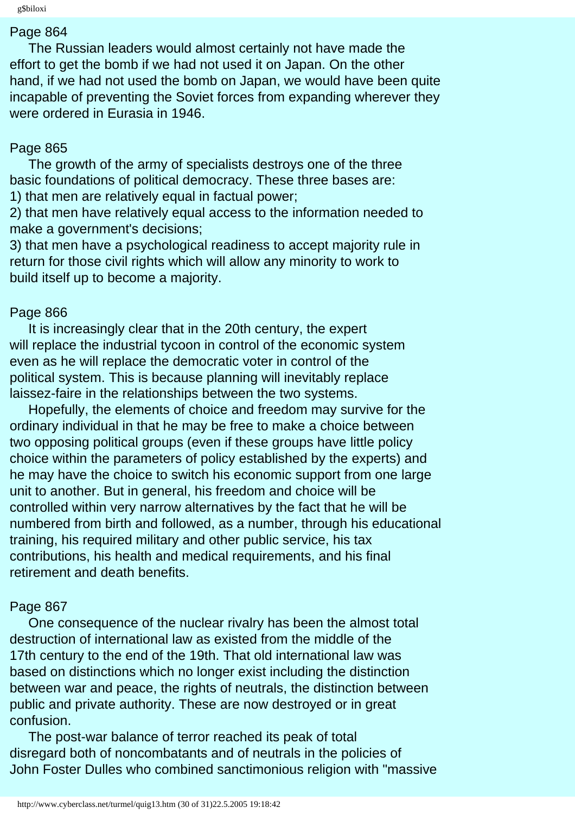#### Page 864

 The Russian leaders would almost certainly not have made the effort to get the bomb if we had not used it on Japan. On the other hand, if we had not used the bomb on Japan, we would have been quite incapable of preventing the Soviet forces from expanding wherever they were ordered in Eurasia in 1946.

### Page 865

 The growth of the army of specialists destroys one of the three basic foundations of political democracy. These three bases are: 1) that men are relatively equal in factual power;

2) that men have relatively equal access to the information needed to make a government's decisions;

3) that men have a psychological readiness to accept majority rule in return for those civil rights which will allow any minority to work to build itself up to become a majority.

# Page 866

 It is increasingly clear that in the 20th century, the expert will replace the industrial tycoon in control of the economic system even as he will replace the democratic voter in control of the political system. This is because planning will inevitably replace laissez-faire in the relationships between the two systems.

 Hopefully, the elements of choice and freedom may survive for the ordinary individual in that he may be free to make a choice between two opposing political groups (even if these groups have little policy choice within the parameters of policy established by the experts) and he may have the choice to switch his economic support from one large unit to another. But in general, his freedom and choice will be controlled within very narrow alternatives by the fact that he will be numbered from birth and followed, as a number, through his educational training, his required military and other public service, his tax contributions, his health and medical requirements, and his final retirement and death benefits.

# Page 867

 One consequence of the nuclear rivalry has been the almost total destruction of international law as existed from the middle of the 17th century to the end of the 19th. That old international law was based on distinctions which no longer exist including the distinction between war and peace, the rights of neutrals, the distinction between public and private authority. These are now destroyed or in great confusion.

 The post-war balance of terror reached its peak of total disregard both of noncombatants and of neutrals in the policies of John Foster Dulles who combined sanctimonious religion with "massive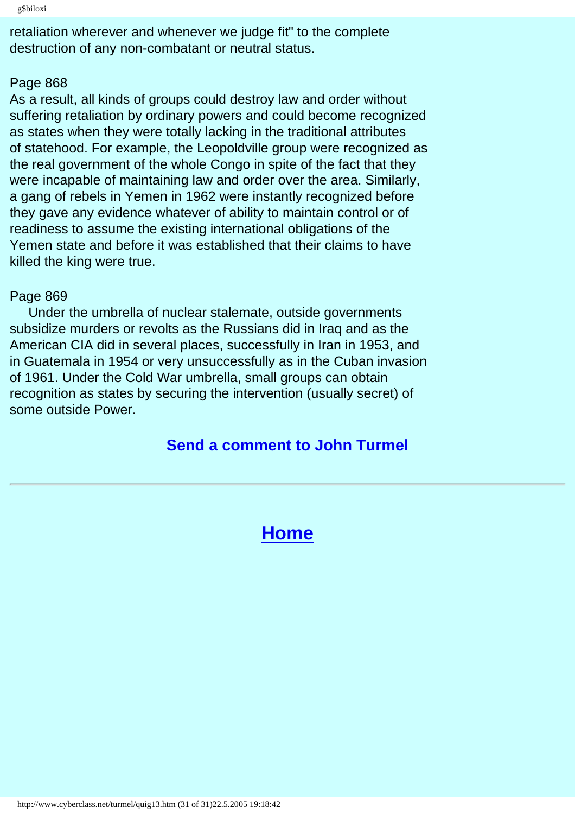retaliation wherever and whenever we judge fit" to the complete destruction of any non-combatant or neutral status.

### Page 868

As a result, all kinds of groups could destroy law and order without suffering retaliation by ordinary powers and could become recognized as states when they were totally lacking in the traditional attributes of statehood. For example, the Leopoldville group were recognized as the real government of the whole Congo in spite of the fact that they were incapable of maintaining law and order over the area. Similarly, a gang of rebels in Yemen in 1962 were instantly recognized before they gave any evidence whatever of ability to maintain control or of readiness to assume the existing international obligations of the Yemen state and before it was established that their claims to have killed the king were true.

### Page 869

 Under the umbrella of nuclear stalemate, outside governments subsidize murders or revolts as the Russians did in Iraq and as the American CIA did in several places, successfully in Iran in 1953, and in Guatemala in 1954 or very unsuccessfully as in the Cuban invasion of 1961. Under the Cold War umbrella, small groups can obtain recognition as states by securing the intervention (usually secret) of some outside Power.

# **[Send a comment to John Turmel](mailto:%20bc726@freenet.carleton.ca)**

# **[Home](http://www.cyberclass.net/turmel)**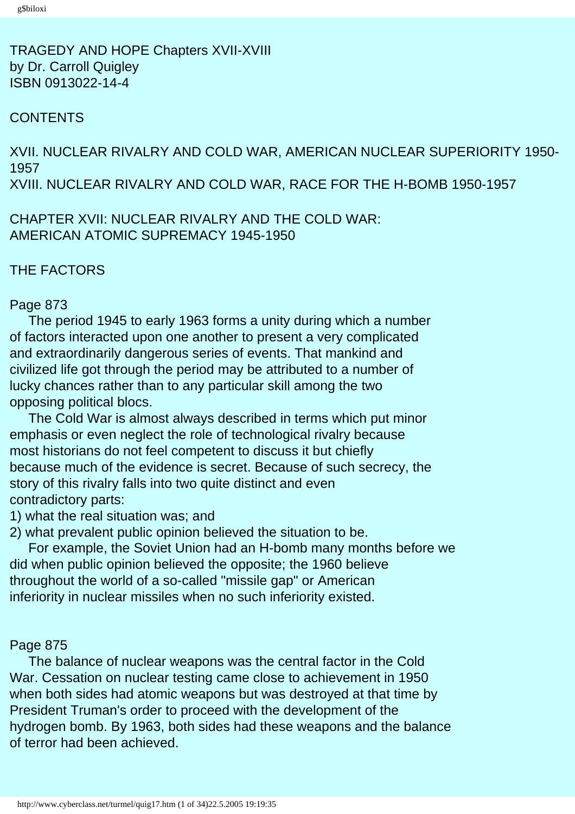TRAGEDY AND HOPE Chapters XVII-XVIII by Dr. Carroll Quigley ISBN 0913022-14-4

# **CONTENTS**

XVII. NUCLEAR RIVALRY AND COLD WAR, AMERICAN NUCLEAR SUPERIORITY 1950- 1957 XVIII. NUCLEAR RIVALRY AND COLD WAR, RACE FOR THE H-BOMB 1950-1957

CHAPTER XVII: NUCLEAR RIVALRY AND THE COLD WAR: AMERICAN ATOMIC SUPREMACY 1945-1950

# THE FACTORS

### Page 873

 The period 1945 to early 1963 forms a unity during which a number of factors interacted upon one another to present a very complicated and extraordinarily dangerous series of events. That mankind and civilized life got through the period may be attributed to a number of lucky chances rather than to any particular skill among the two opposing political blocs.

 The Cold War is almost always described in terms which put minor emphasis or even neglect the role of technological rivalry because most historians do not feel competent to discuss it but chiefly because much of the evidence is secret. Because of such secrecy, the story of this rivalry falls into two quite distinct and even contradictory parts:

1) what the real situation was; and

2) what prevalent public opinion believed the situation to be.

 For example, the Soviet Union had an H-bomb many months before we did when public opinion believed the opposite; the 1960 believe throughout the world of a so-called "missile gap" or American inferiority in nuclear missiles when no such inferiority existed.

### Page 875

 The balance of nuclear weapons was the central factor in the Cold War. Cessation on nuclear testing came close to achievement in 1950 when both sides had atomic weapons but was destroyed at that time by President Truman's order to proceed with the development of the hydrogen bomb. By 1963, both sides had these weapons and the balance of terror had been achieved.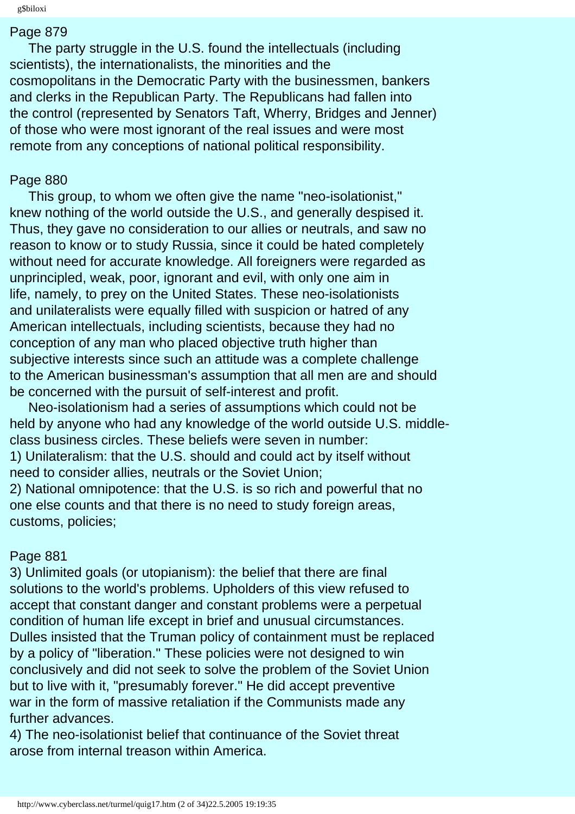# Page 879

 The party struggle in the U.S. found the intellectuals (including scientists), the internationalists, the minorities and the cosmopolitans in the Democratic Party with the businessmen, bankers and clerks in the Republican Party. The Republicans had fallen into the control (represented by Senators Taft, Wherry, Bridges and Jenner) of those who were most ignorant of the real issues and were most remote from any conceptions of national political responsibility.

### Page 880

 This group, to whom we often give the name "neo-isolationist," knew nothing of the world outside the U.S., and generally despised it. Thus, they gave no consideration to our allies or neutrals, and saw no reason to know or to study Russia, since it could be hated completely without need for accurate knowledge. All foreigners were regarded as unprincipled, weak, poor, ignorant and evil, with only one aim in life, namely, to prey on the United States. These neo-isolationists and unilateralists were equally filled with suspicion or hatred of any American intellectuals, including scientists, because they had no conception of any man who placed objective truth higher than subjective interests since such an attitude was a complete challenge to the American businessman's assumption that all men are and should be concerned with the pursuit of self-interest and profit.

 Neo-isolationism had a series of assumptions which could not be held by anyone who had any knowledge of the world outside U.S. middleclass business circles. These beliefs were seven in number: 1) Unilateralism: that the U.S. should and could act by itself without need to consider allies, neutrals or the Soviet Union; 2) National omnipotence: that the U.S. is so rich and powerful that no one else counts and that there is no need to study foreign areas, customs, policies;

### Page 881

3) Unlimited goals (or utopianism): the belief that there are final solutions to the world's problems. Upholders of this view refused to accept that constant danger and constant problems were a perpetual condition of human life except in brief and unusual circumstances. Dulles insisted that the Truman policy of containment must be replaced by a policy of "liberation." These policies were not designed to win conclusively and did not seek to solve the problem of the Soviet Union but to live with it, "presumably forever." He did accept preventive war in the form of massive retaliation if the Communists made any further advances.

4) The neo-isolationist belief that continuance of the Soviet threat arose from internal treason within America.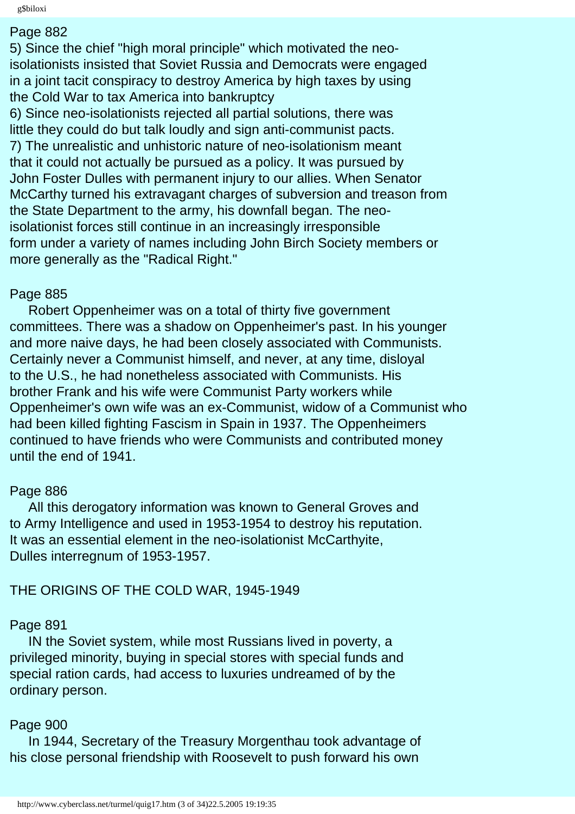### Page 882

5) Since the chief "high moral principle" which motivated the neoisolationists insisted that Soviet Russia and Democrats were engaged in a joint tacit conspiracy to destroy America by high taxes by using the Cold War to tax America into bankruptcy

6) Since neo-isolationists rejected all partial solutions, there was little they could do but talk loudly and sign anti-communist pacts. 7) The unrealistic and unhistoric nature of neo-isolationism meant that it could not actually be pursued as a policy. It was pursued by John Foster Dulles with permanent injury to our allies. When Senator McCarthy turned his extravagant charges of subversion and treason from the State Department to the army, his downfall began. The neoisolationist forces still continue in an increasingly irresponsible form under a variety of names including John Birch Society members or more generally as the "Radical Right."

#### Page 885

 Robert Oppenheimer was on a total of thirty five government committees. There was a shadow on Oppenheimer's past. In his younger and more naive days, he had been closely associated with Communists. Certainly never a Communist himself, and never, at any time, disloyal to the U.S., he had nonetheless associated with Communists. His brother Frank and his wife were Communist Party workers while Oppenheimer's own wife was an ex-Communist, widow of a Communist who had been killed fighting Fascism in Spain in 1937. The Oppenheimers continued to have friends who were Communists and contributed money until the end of 1941.

### Page 886

 All this derogatory information was known to General Groves and to Army Intelligence and used in 1953-1954 to destroy his reputation. It was an essential element in the neo-isolationist McCarthyite, Dulles interregnum of 1953-1957.

### THE ORIGINS OF THE COLD WAR, 1945-1949

### Page 891

 IN the Soviet system, while most Russians lived in poverty, a privileged minority, buying in special stores with special funds and special ration cards, had access to luxuries undreamed of by the ordinary person.

### Page 900

 In 1944, Secretary of the Treasury Morgenthau took advantage of his close personal friendship with Roosevelt to push forward his own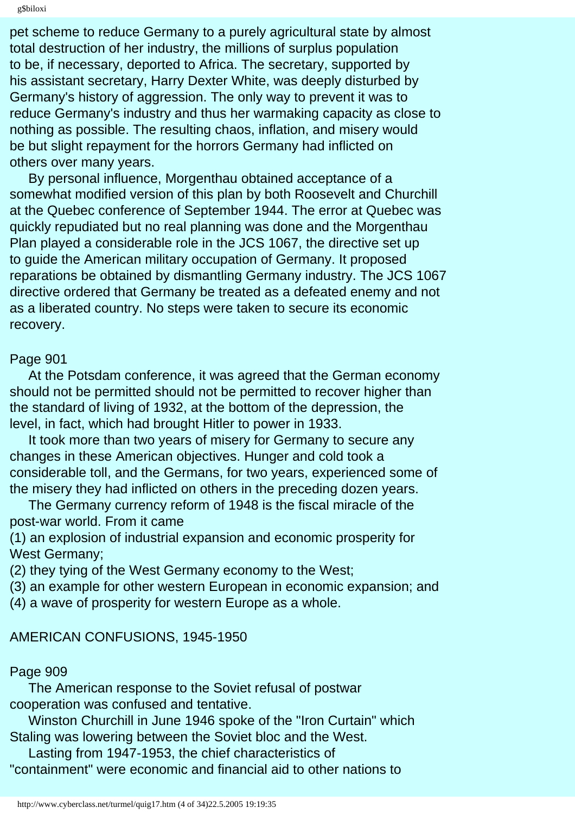pet scheme to reduce Germany to a purely agricultural state by almost total destruction of her industry, the millions of surplus population to be, if necessary, deported to Africa. The secretary, supported by his assistant secretary, Harry Dexter White, was deeply disturbed by Germany's history of aggression. The only way to prevent it was to reduce Germany's industry and thus her warmaking capacity as close to nothing as possible. The resulting chaos, inflation, and misery would be but slight repayment for the horrors Germany had inflicted on others over many years.

 By personal influence, Morgenthau obtained acceptance of a somewhat modified version of this plan by both Roosevelt and Churchill at the Quebec conference of September 1944. The error at Quebec was quickly repudiated but no real planning was done and the Morgenthau Plan played a considerable role in the JCS 1067, the directive set up to guide the American military occupation of Germany. It proposed reparations be obtained by dismantling Germany industry. The JCS 1067 directive ordered that Germany be treated as a defeated enemy and not as a liberated country. No steps were taken to secure its economic recovery.

#### Page 901

 At the Potsdam conference, it was agreed that the German economy should not be permitted should not be permitted to recover higher than the standard of living of 1932, at the bottom of the depression, the level, in fact, which had brought Hitler to power in 1933.

 It took more than two years of misery for Germany to secure any changes in these American objectives. Hunger and cold took a considerable toll, and the Germans, for two years, experienced some of the misery they had inflicted on others in the preceding dozen years.

 The Germany currency reform of 1948 is the fiscal miracle of the post-war world. From it came

(1) an explosion of industrial expansion and economic prosperity for West Germany;

(2) they tying of the West Germany economy to the West;

(3) an example for other western European in economic expansion; and

(4) a wave of prosperity for western Europe as a whole.

### AMERICAN CONFUSIONS, 1945-1950

#### Page 909

 The American response to the Soviet refusal of postwar cooperation was confused and tentative.

 Winston Churchill in June 1946 spoke of the "Iron Curtain" which Staling was lowering between the Soviet bloc and the West.

 Lasting from 1947-1953, the chief characteristics of "containment" were economic and financial aid to other nations to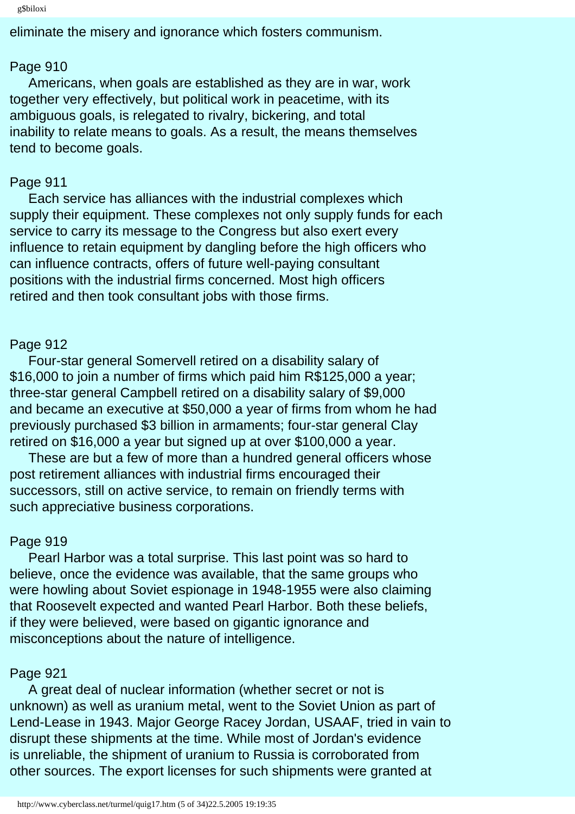eliminate the misery and ignorance which fosters communism.

#### Page 910

 Americans, when goals are established as they are in war, work together very effectively, but political work in peacetime, with its ambiguous goals, is relegated to rivalry, bickering, and total inability to relate means to goals. As a result, the means themselves tend to become goals.

### Page 911

 Each service has alliances with the industrial complexes which supply their equipment. These complexes not only supply funds for each service to carry its message to the Congress but also exert every influence to retain equipment by dangling before the high officers who can influence contracts, offers of future well-paying consultant positions with the industrial firms concerned. Most high officers retired and then took consultant jobs with those firms.

### Page 912

 Four-star general Somervell retired on a disability salary of \$16,000 to join a number of firms which paid him R\$125,000 a year; three-star general Campbell retired on a disability salary of \$9,000 and became an executive at \$50,000 a year of firms from whom he had previously purchased \$3 billion in armaments; four-star general Clay retired on \$16,000 a year but signed up at over \$100,000 a year.

 These are but a few of more than a hundred general officers whose post retirement alliances with industrial firms encouraged their successors, still on active service, to remain on friendly terms with such appreciative business corporations.

### Page 919

 Pearl Harbor was a total surprise. This last point was so hard to believe, once the evidence was available, that the same groups who were howling about Soviet espionage in 1948-1955 were also claiming that Roosevelt expected and wanted Pearl Harbor. Both these beliefs, if they were believed, were based on gigantic ignorance and misconceptions about the nature of intelligence.

#### Page 921

 A great deal of nuclear information (whether secret or not is unknown) as well as uranium metal, went to the Soviet Union as part of Lend-Lease in 1943. Major George Racey Jordan, USAAF, tried in vain to disrupt these shipments at the time. While most of Jordan's evidence is unreliable, the shipment of uranium to Russia is corroborated from other sources. The export licenses for such shipments were granted at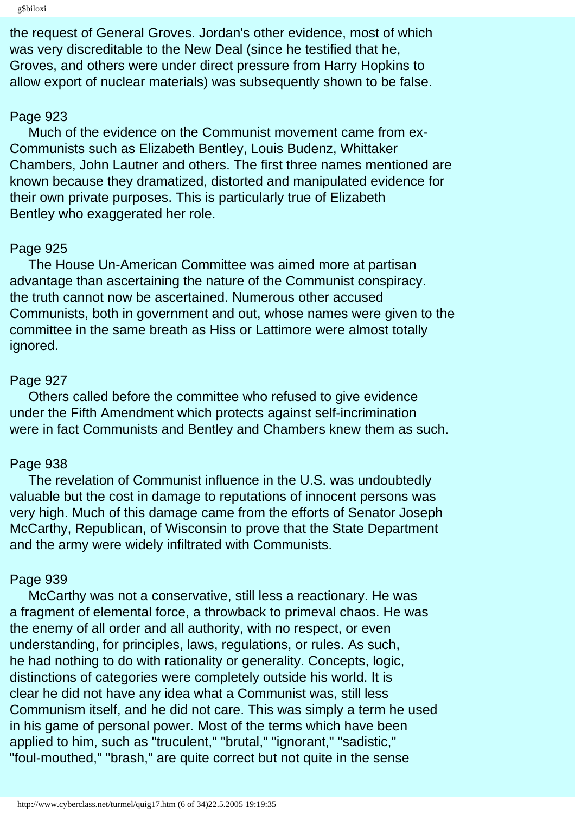the request of General Groves. Jordan's other evidence, most of which was very discreditable to the New Deal (since he testified that he, Groves, and others were under direct pressure from Harry Hopkins to allow export of nuclear materials) was subsequently shown to be false.

### Page 923

 Much of the evidence on the Communist movement came from ex-Communists such as Elizabeth Bentley, Louis Budenz, Whittaker Chambers, John Lautner and others. The first three names mentioned are known because they dramatized, distorted and manipulated evidence for their own private purposes. This is particularly true of Elizabeth Bentley who exaggerated her role.

# Page 925

 The House Un-American Committee was aimed more at partisan advantage than ascertaining the nature of the Communist conspiracy. the truth cannot now be ascertained. Numerous other accused Communists, both in government and out, whose names were given to the committee in the same breath as Hiss or Lattimore were almost totally ignored.

### Page 927

 Others called before the committee who refused to give evidence under the Fifth Amendment which protects against self-incrimination were in fact Communists and Bentley and Chambers knew them as such.

# Page 938

 The revelation of Communist influence in the U.S. was undoubtedly valuable but the cost in damage to reputations of innocent persons was very high. Much of this damage came from the efforts of Senator Joseph McCarthy, Republican, of Wisconsin to prove that the State Department and the army were widely infiltrated with Communists.

# Page 939

 McCarthy was not a conservative, still less a reactionary. He was a fragment of elemental force, a throwback to primeval chaos. He was the enemy of all order and all authority, with no respect, or even understanding, for principles, laws, regulations, or rules. As such, he had nothing to do with rationality or generality. Concepts, logic, distinctions of categories were completely outside his world. It is clear he did not have any idea what a Communist was, still less Communism itself, and he did not care. This was simply a term he used in his game of personal power. Most of the terms which have been applied to him, such as "truculent," "brutal," "ignorant," "sadistic," "foul-mouthed," "brash," are quite correct but not quite in the sense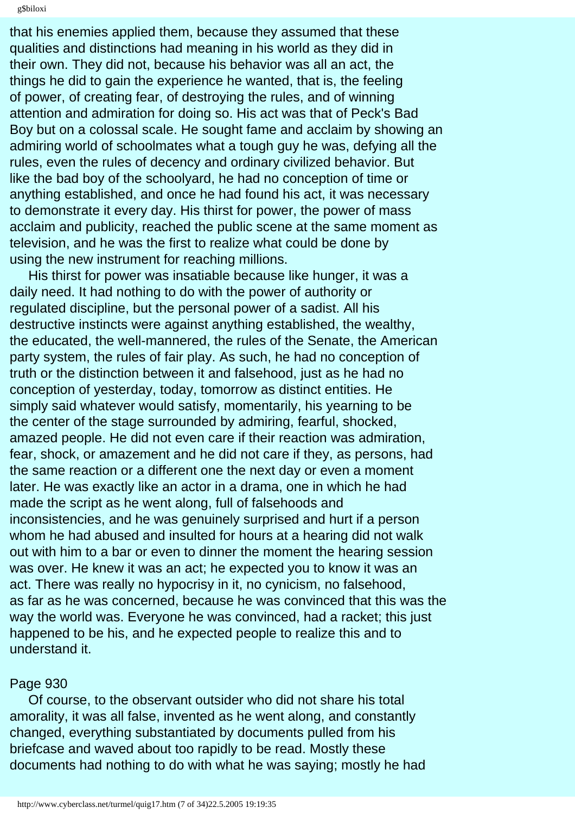g\$biloxi

that his enemies applied them, because they assumed that these qualities and distinctions had meaning in his world as they did in their own. They did not, because his behavior was all an act, the things he did to gain the experience he wanted, that is, the feeling of power, of creating fear, of destroying the rules, and of winning attention and admiration for doing so. His act was that of Peck's Bad Boy but on a colossal scale. He sought fame and acclaim by showing an admiring world of schoolmates what a tough guy he was, defying all the rules, even the rules of decency and ordinary civilized behavior. But like the bad boy of the schoolyard, he had no conception of time or anything established, and once he had found his act, it was necessary to demonstrate it every day. His thirst for power, the power of mass acclaim and publicity, reached the public scene at the same moment as television, and he was the first to realize what could be done by using the new instrument for reaching millions.

 His thirst for power was insatiable because like hunger, it was a daily need. It had nothing to do with the power of authority or regulated discipline, but the personal power of a sadist. All his destructive instincts were against anything established, the wealthy, the educated, the well-mannered, the rules of the Senate, the American party system, the rules of fair play. As such, he had no conception of truth or the distinction between it and falsehood, just as he had no conception of yesterday, today, tomorrow as distinct entities. He simply said whatever would satisfy, momentarily, his yearning to be the center of the stage surrounded by admiring, fearful, shocked, amazed people. He did not even care if their reaction was admiration, fear, shock, or amazement and he did not care if they, as persons, had the same reaction or a different one the next day or even a moment later. He was exactly like an actor in a drama, one in which he had made the script as he went along, full of falsehoods and inconsistencies, and he was genuinely surprised and hurt if a person whom he had abused and insulted for hours at a hearing did not walk out with him to a bar or even to dinner the moment the hearing session was over. He knew it was an act; he expected you to know it was an act. There was really no hypocrisy in it, no cynicism, no falsehood, as far as he was concerned, because he was convinced that this was the way the world was. Everyone he was convinced, had a racket; this just happened to be his, and he expected people to realize this and to understand it.

### Page 930

 Of course, to the observant outsider who did not share his total amorality, it was all false, invented as he went along, and constantly changed, everything substantiated by documents pulled from his briefcase and waved about too rapidly to be read. Mostly these documents had nothing to do with what he was saying; mostly he had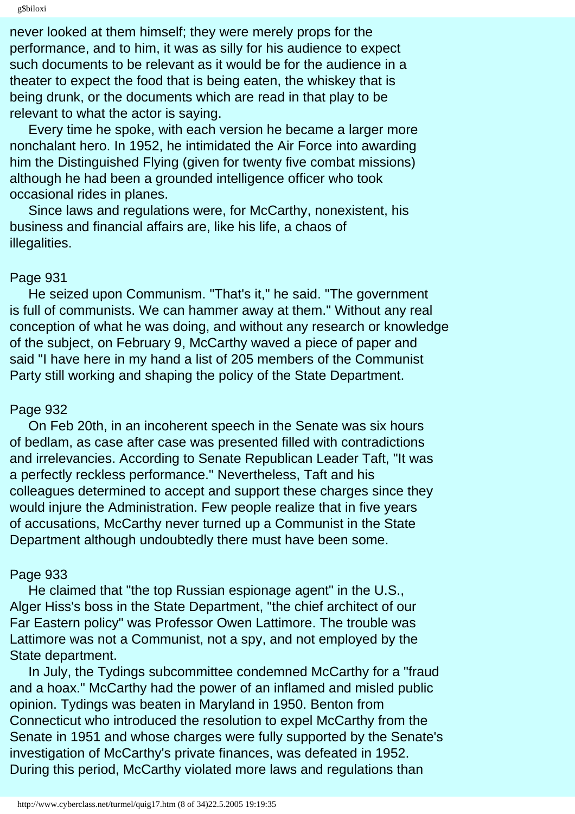never looked at them himself; they were merely props for the performance, and to him, it was as silly for his audience to expect such documents to be relevant as it would be for the audience in a theater to expect the food that is being eaten, the whiskey that is being drunk, or the documents which are read in that play to be relevant to what the actor is saying.

 Every time he spoke, with each version he became a larger more nonchalant hero. In 1952, he intimidated the Air Force into awarding him the Distinguished Flying (given for twenty five combat missions) although he had been a grounded intelligence officer who took occasional rides in planes.

 Since laws and regulations were, for McCarthy, nonexistent, his business and financial affairs are, like his life, a chaos of illegalities.

#### Page 931

 He seized upon Communism. "That's it," he said. "The government is full of communists. We can hammer away at them." Without any real conception of what he was doing, and without any research or knowledge of the subject, on February 9, McCarthy waved a piece of paper and said "I have here in my hand a list of 205 members of the Communist Party still working and shaping the policy of the State Department.

#### Page 932

 On Feb 20th, in an incoherent speech in the Senate was six hours of bedlam, as case after case was presented filled with contradictions and irrelevancies. According to Senate Republican Leader Taft, "It was a perfectly reckless performance." Nevertheless, Taft and his colleagues determined to accept and support these charges since they would injure the Administration. Few people realize that in five years of accusations, McCarthy never turned up a Communist in the State Department although undoubtedly there must have been some.

#### Page 933

 He claimed that "the top Russian espionage agent" in the U.S., Alger Hiss's boss in the State Department, "the chief architect of our Far Eastern policy" was Professor Owen Lattimore. The trouble was Lattimore was not a Communist, not a spy, and not employed by the State department.

 In July, the Tydings subcommittee condemned McCarthy for a "fraud and a hoax." McCarthy had the power of an inflamed and misled public opinion. Tydings was beaten in Maryland in 1950. Benton from Connecticut who introduced the resolution to expel McCarthy from the Senate in 1951 and whose charges were fully supported by the Senate's investigation of McCarthy's private finances, was defeated in 1952. During this period, McCarthy violated more laws and regulations than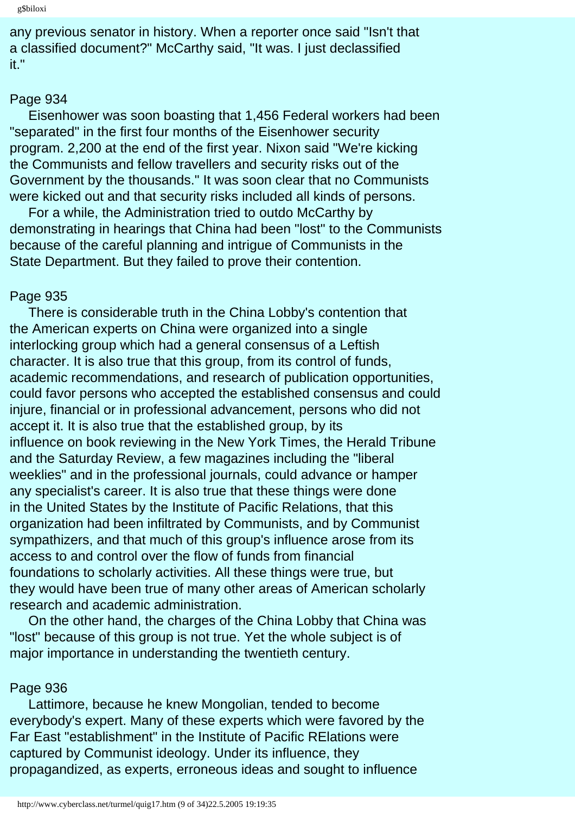```
g$biloxi
```
any previous senator in history. When a reporter once said "Isn't that a classified document?" McCarthy said, "It was. I just declassified it."

### Page 934

 Eisenhower was soon boasting that 1,456 Federal workers had been "separated" in the first four months of the Eisenhower security program. 2,200 at the end of the first year. Nixon said "We're kicking the Communists and fellow travellers and security risks out of the Government by the thousands." It was soon clear that no Communists were kicked out and that security risks included all kinds of persons.

 For a while, the Administration tried to outdo McCarthy by demonstrating in hearings that China had been "lost" to the Communists because of the careful planning and intrigue of Communists in the State Department. But they failed to prove their contention.

# Page 935

 There is considerable truth in the China Lobby's contention that the American experts on China were organized into a single interlocking group which had a general consensus of a Leftish character. It is also true that this group, from its control of funds, academic recommendations, and research of publication opportunities, could favor persons who accepted the established consensus and could injure, financial or in professional advancement, persons who did not accept it. It is also true that the established group, by its influence on book reviewing in the New York Times, the Herald Tribune and the Saturday Review, a few magazines including the "liberal weeklies" and in the professional journals, could advance or hamper any specialist's career. It is also true that these things were done in the United States by the Institute of Pacific Relations, that this organization had been infiltrated by Communists, and by Communist sympathizers, and that much of this group's influence arose from its access to and control over the flow of funds from financial foundations to scholarly activities. All these things were true, but they would have been true of many other areas of American scholarly research and academic administration.

 On the other hand, the charges of the China Lobby that China was "lost" because of this group is not true. Yet the whole subject is of major importance in understanding the twentieth century.

# Page 936

 Lattimore, because he knew Mongolian, tended to become everybody's expert. Many of these experts which were favored by the Far East "establishment" in the Institute of Pacific RElations were captured by Communist ideology. Under its influence, they propagandized, as experts, erroneous ideas and sought to influence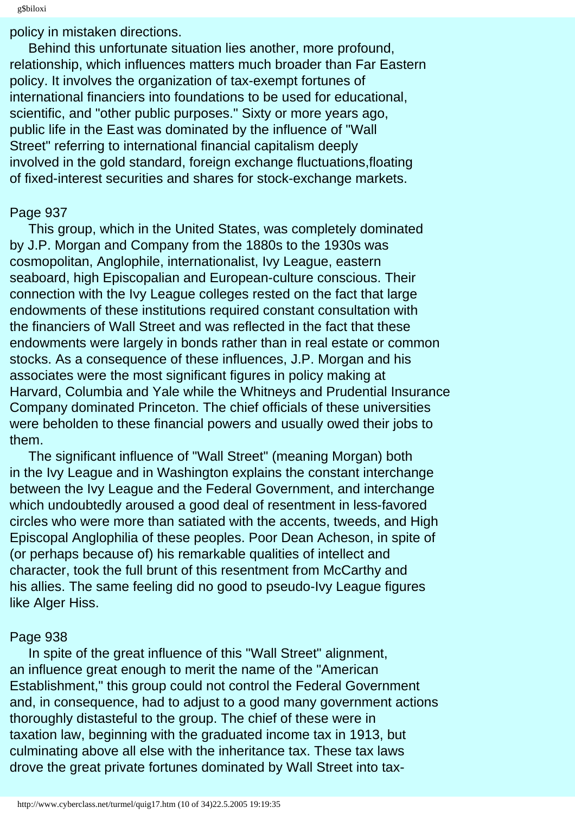policy in mistaken directions.

 Behind this unfortunate situation lies another, more profound, relationship, which influences matters much broader than Far Eastern policy. It involves the organization of tax-exempt fortunes of international financiers into foundations to be used for educational, scientific, and "other public purposes." Sixty or more years ago, public life in the East was dominated by the influence of "Wall Street" referring to international financial capitalism deeply involved in the gold standard, foreign exchange fluctuations,floating of fixed-interest securities and shares for stock-exchange markets.

#### Page 937

 This group, which in the United States, was completely dominated by J.P. Morgan and Company from the 1880s to the 1930s was cosmopolitan, Anglophile, internationalist, Ivy League, eastern seaboard, high Episcopalian and European-culture conscious. Their connection with the Ivy League colleges rested on the fact that large endowments of these institutions required constant consultation with the financiers of Wall Street and was reflected in the fact that these endowments were largely in bonds rather than in real estate or common stocks. As a consequence of these influences, J.P. Morgan and his associates were the most significant figures in policy making at Harvard, Columbia and Yale while the Whitneys and Prudential Insurance Company dominated Princeton. The chief officials of these universities were beholden to these financial powers and usually owed their jobs to them.

 The significant influence of "Wall Street" (meaning Morgan) both in the Ivy League and in Washington explains the constant interchange between the Ivy League and the Federal Government, and interchange which undoubtedly aroused a good deal of resentment in less-favored circles who were more than satiated with the accents, tweeds, and High Episcopal Anglophilia of these peoples. Poor Dean Acheson, in spite of (or perhaps because of) his remarkable qualities of intellect and character, took the full brunt of this resentment from McCarthy and his allies. The same feeling did no good to pseudo-Ivy League figures like Alger Hiss.

#### Page 938

 In spite of the great influence of this "Wall Street" alignment, an influence great enough to merit the name of the "American Establishment," this group could not control the Federal Government and, in consequence, had to adjust to a good many government actions thoroughly distasteful to the group. The chief of these were in taxation law, beginning with the graduated income tax in 1913, but culminating above all else with the inheritance tax. These tax laws drove the great private fortunes dominated by Wall Street into tax-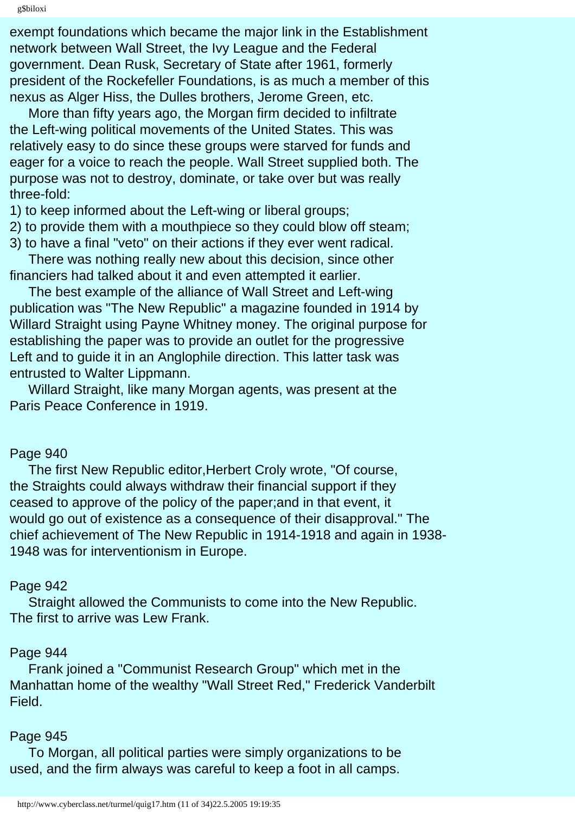exempt foundations which became the major link in the Establishment network between Wall Street, the Ivy League and the Federal government. Dean Rusk, Secretary of State after 1961, formerly president of the Rockefeller Foundations, is as much a member of this nexus as Alger Hiss, the Dulles brothers, Jerome Green, etc.

 More than fifty years ago, the Morgan firm decided to infiltrate the Left-wing political movements of the United States. This was relatively easy to do since these groups were starved for funds and eager for a voice to reach the people. Wall Street supplied both. The purpose was not to destroy, dominate, or take over but was really three-fold:

1) to keep informed about the Left-wing or liberal groups;

- 2) to provide them with a mouthpiece so they could blow off steam;
- 3) to have a final "veto" on their actions if they ever went radical. There was nothing really new about this decision, since other

financiers had talked about it and even attempted it earlier.

 The best example of the alliance of Wall Street and Left-wing publication was "The New Republic" a magazine founded in 1914 by Willard Straight using Payne Whitney money. The original purpose for establishing the paper was to provide an outlet for the progressive Left and to guide it in an Anglophile direction. This latter task was entrusted to Walter Lippmann.

 Willard Straight, like many Morgan agents, was present at the Paris Peace Conference in 1919.

#### Page 940

 The first New Republic editor,Herbert Croly wrote, "Of course, the Straights could always withdraw their financial support if they ceased to approve of the policy of the paper;and in that event, it would go out of existence as a consequence of their disapproval." The chief achievement of The New Republic in 1914-1918 and again in 1938- 1948 was for interventionism in Europe.

### Page 942

 Straight allowed the Communists to come into the New Republic. The first to arrive was Lew Frank.

### Page 944

 Frank joined a "Communist Research Group" which met in the Manhattan home of the wealthy "Wall Street Red," Frederick Vanderbilt Field.

### Page 945

 To Morgan, all political parties were simply organizations to be used, and the firm always was careful to keep a foot in all camps.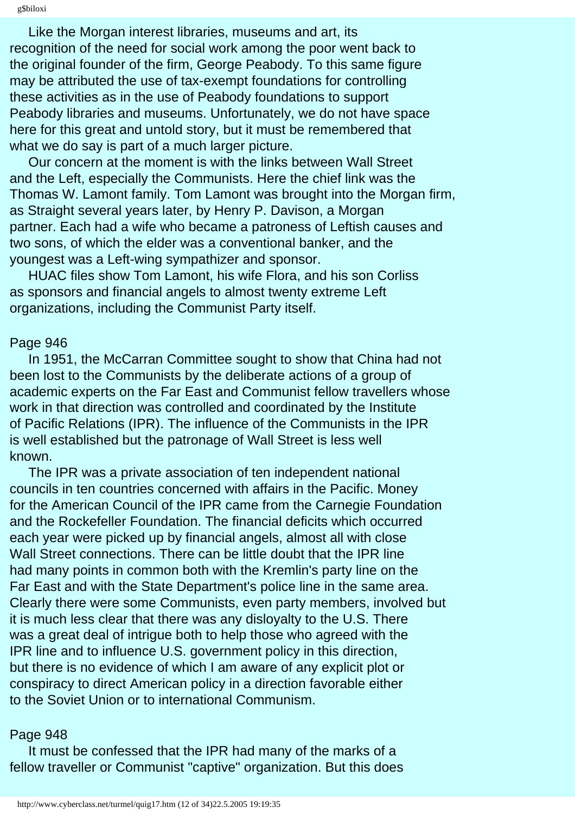Like the Morgan interest libraries, museums and art, its recognition of the need for social work among the poor went back to the original founder of the firm, George Peabody. To this same figure may be attributed the use of tax-exempt foundations for controlling these activities as in the use of Peabody foundations to support Peabody libraries and museums. Unfortunately, we do not have space here for this great and untold story, but it must be remembered that what we do say is part of a much larger picture.

 Our concern at the moment is with the links between Wall Street and the Left, especially the Communists. Here the chief link was the Thomas W. Lamont family. Tom Lamont was brought into the Morgan firm, as Straight several years later, by Henry P. Davison, a Morgan partner. Each had a wife who became a patroness of Leftish causes and two sons, of which the elder was a conventional banker, and the youngest was a Left-wing sympathizer and sponsor.

 HUAC files show Tom Lamont, his wife Flora, and his son Corliss as sponsors and financial angels to almost twenty extreme Left organizations, including the Communist Party itself.

#### Page 946

 In 1951, the McCarran Committee sought to show that China had not been lost to the Communists by the deliberate actions of a group of academic experts on the Far East and Communist fellow travellers whose work in that direction was controlled and coordinated by the Institute of Pacific Relations (IPR). The influence of the Communists in the IPR is well established but the patronage of Wall Street is less well known.

 The IPR was a private association of ten independent national councils in ten countries concerned with affairs in the Pacific. Money for the American Council of the IPR came from the Carnegie Foundation and the Rockefeller Foundation. The financial deficits which occurred each year were picked up by financial angels, almost all with close Wall Street connections. There can be little doubt that the IPR line had many points in common both with the Kremlin's party line on the Far East and with the State Department's police line in the same area. Clearly there were some Communists, even party members, involved but it is much less clear that there was any disloyalty to the U.S. There was a great deal of intrigue both to help those who agreed with the IPR line and to influence U.S. government policy in this direction, but there is no evidence of which I am aware of any explicit plot or conspiracy to direct American policy in a direction favorable either to the Soviet Union or to international Communism.

#### Page 948

 It must be confessed that the IPR had many of the marks of a fellow traveller or Communist "captive" organization. But this does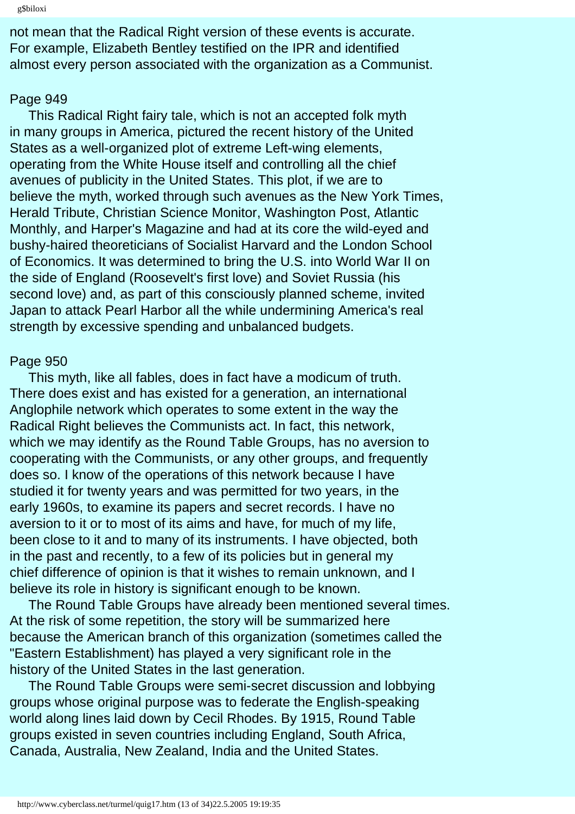not mean that the Radical Right version of these events is accurate. For example, Elizabeth Bentley testified on the IPR and identified almost every person associated with the organization as a Communist.

#### Page 949

 This Radical Right fairy tale, which is not an accepted folk myth in many groups in America, pictured the recent history of the United States as a well-organized plot of extreme Left-wing elements, operating from the White House itself and controlling all the chief avenues of publicity in the United States. This plot, if we are to believe the myth, worked through such avenues as the New York Times, Herald Tribute, Christian Science Monitor, Washington Post, Atlantic Monthly, and Harper's Magazine and had at its core the wild-eyed and bushy-haired theoreticians of Socialist Harvard and the London School of Economics. It was determined to bring the U.S. into World War II on the side of England (Roosevelt's first love) and Soviet Russia (his second love) and, as part of this consciously planned scheme, invited Japan to attack Pearl Harbor all the while undermining America's real strength by excessive spending and unbalanced budgets.

#### Page 950

 This myth, like all fables, does in fact have a modicum of truth. There does exist and has existed for a generation, an international Anglophile network which operates to some extent in the way the Radical Right believes the Communists act. In fact, this network, which we may identify as the Round Table Groups, has no aversion to cooperating with the Communists, or any other groups, and frequently does so. I know of the operations of this network because I have studied it for twenty years and was permitted for two years, in the early 1960s, to examine its papers and secret records. I have no aversion to it or to most of its aims and have, for much of my life, been close to it and to many of its instruments. I have objected, both in the past and recently, to a few of its policies but in general my chief difference of opinion is that it wishes to remain unknown, and I believe its role in history is significant enough to be known.

 The Round Table Groups have already been mentioned several times. At the risk of some repetition, the story will be summarized here because the American branch of this organization (sometimes called the "Eastern Establishment) has played a very significant role in the history of the United States in the last generation.

 The Round Table Groups were semi-secret discussion and lobbying groups whose original purpose was to federate the English-speaking world along lines laid down by Cecil Rhodes. By 1915, Round Table groups existed in seven countries including England, South Africa, Canada, Australia, New Zealand, India and the United States.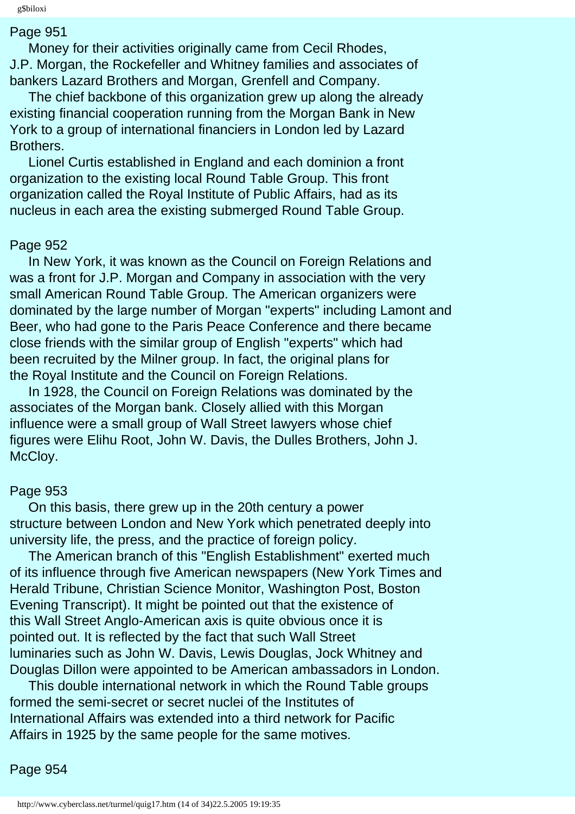### Page 951

 Money for their activities originally came from Cecil Rhodes, J.P. Morgan, the Rockefeller and Whitney families and associates of bankers Lazard Brothers and Morgan, Grenfell and Company.

 The chief backbone of this organization grew up along the already existing financial cooperation running from the Morgan Bank in New York to a group of international financiers in London led by Lazard Brothers.

 Lionel Curtis established in England and each dominion a front organization to the existing local Round Table Group. This front organization called the Royal Institute of Public Affairs, had as its nucleus in each area the existing submerged Round Table Group.

#### Page 952

 In New York, it was known as the Council on Foreign Relations and was a front for J.P. Morgan and Company in association with the very small American Round Table Group. The American organizers were dominated by the large number of Morgan "experts" including Lamont and Beer, who had gone to the Paris Peace Conference and there became close friends with the similar group of English "experts" which had been recruited by the Milner group. In fact, the original plans for the Royal Institute and the Council on Foreign Relations.

 In 1928, the Council on Foreign Relations was dominated by the associates of the Morgan bank. Closely allied with this Morgan influence were a small group of Wall Street lawyers whose chief figures were Elihu Root, John W. Davis, the Dulles Brothers, John J. McCloy.

#### Page 953

 On this basis, there grew up in the 20th century a power structure between London and New York which penetrated deeply into university life, the press, and the practice of foreign policy.

 The American branch of this "English Establishment" exerted much of its influence through five American newspapers (New York Times and Herald Tribune, Christian Science Monitor, Washington Post, Boston Evening Transcript). It might be pointed out that the existence of this Wall Street Anglo-American axis is quite obvious once it is pointed out. It is reflected by the fact that such Wall Street luminaries such as John W. Davis, Lewis Douglas, Jock Whitney and Douglas Dillon were appointed to be American ambassadors in London.

 This double international network in which the Round Table groups formed the semi-secret or secret nuclei of the Institutes of International Affairs was extended into a third network for Pacific Affairs in 1925 by the same people for the same motives.

#### Page 954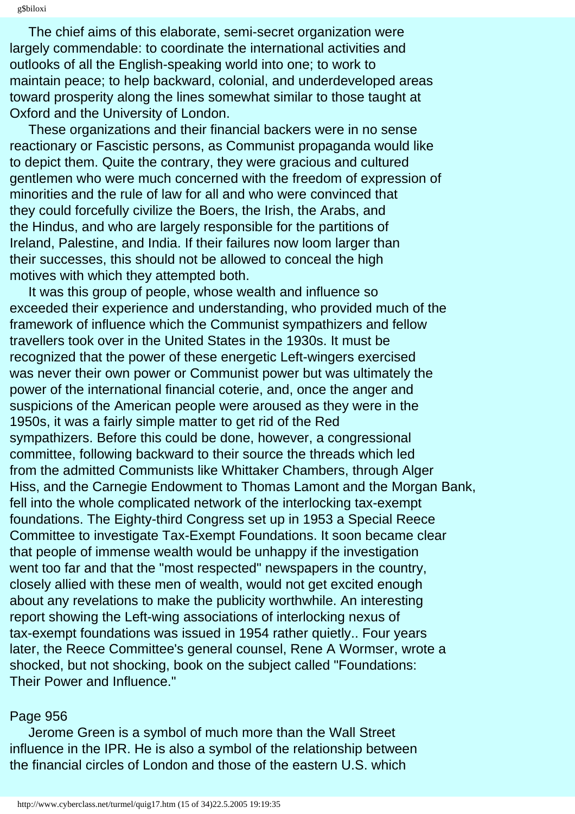The chief aims of this elaborate, semi-secret organization were largely commendable: to coordinate the international activities and outlooks of all the English-speaking world into one; to work to maintain peace; to help backward, colonial, and underdeveloped areas toward prosperity along the lines somewhat similar to those taught at Oxford and the University of London.

 These organizations and their financial backers were in no sense reactionary or Fascistic persons, as Communist propaganda would like to depict them. Quite the contrary, they were gracious and cultured gentlemen who were much concerned with the freedom of expression of minorities and the rule of law for all and who were convinced that they could forcefully civilize the Boers, the Irish, the Arabs, and the Hindus, and who are largely responsible for the partitions of Ireland, Palestine, and India. If their failures now loom larger than their successes, this should not be allowed to conceal the high motives with which they attempted both.

 It was this group of people, whose wealth and influence so exceeded their experience and understanding, who provided much of the framework of influence which the Communist sympathizers and fellow travellers took over in the United States in the 1930s. It must be recognized that the power of these energetic Left-wingers exercised was never their own power or Communist power but was ultimately the power of the international financial coterie, and, once the anger and suspicions of the American people were aroused as they were in the 1950s, it was a fairly simple matter to get rid of the Red sympathizers. Before this could be done, however, a congressional committee, following backward to their source the threads which led from the admitted Communists like Whittaker Chambers, through Alger Hiss, and the Carnegie Endowment to Thomas Lamont and the Morgan Bank, fell into the whole complicated network of the interlocking tax-exempt foundations. The Eighty-third Congress set up in 1953 a Special Reece Committee to investigate Tax-Exempt Foundations. It soon became clear that people of immense wealth would be unhappy if the investigation went too far and that the "most respected" newspapers in the country, closely allied with these men of wealth, would not get excited enough about any revelations to make the publicity worthwhile. An interesting report showing the Left-wing associations of interlocking nexus of tax-exempt foundations was issued in 1954 rather quietly.. Four years later, the Reece Committee's general counsel, Rene A Wormser, wrote a shocked, but not shocking, book on the subject called "Foundations: Their Power and Influence."

#### Page 956

 Jerome Green is a symbol of much more than the Wall Street influence in the IPR. He is also a symbol of the relationship between the financial circles of London and those of the eastern U.S. which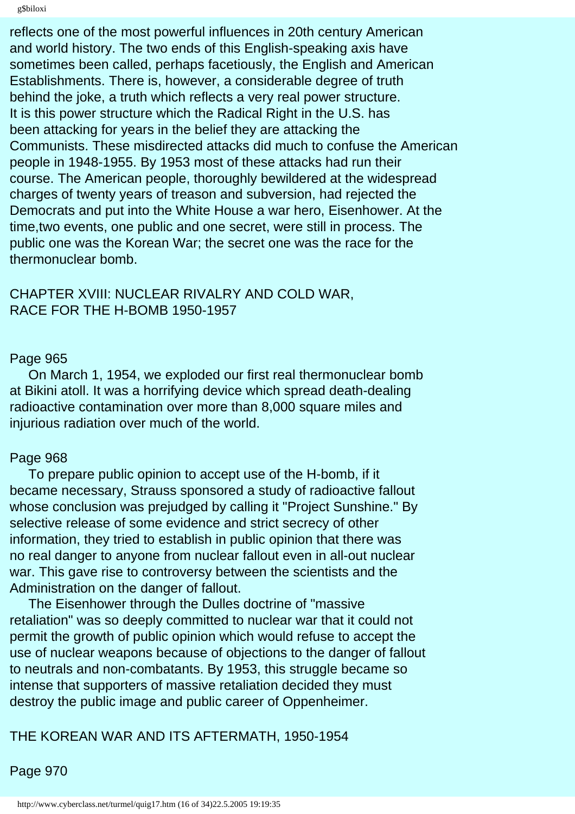reflects one of the most powerful influences in 20th century American and world history. The two ends of this English-speaking axis have sometimes been called, perhaps facetiously, the English and American Establishments. There is, however, a considerable degree of truth behind the joke, a truth which reflects a very real power structure. It is this power structure which the Radical Right in the U.S. has been attacking for years in the belief they are attacking the Communists. These misdirected attacks did much to confuse the American people in 1948-1955. By 1953 most of these attacks had run their course. The American people, thoroughly bewildered at the widespread charges of twenty years of treason and subversion, had rejected the Democrats and put into the White House a war hero, Eisenhower. At the time,two events, one public and one secret, were still in process. The public one was the Korean War; the secret one was the race for the thermonuclear bomb.

# CHAPTER XVIII: NUCLEAR RIVALRY AND COLD WAR, RACE FOR THE H-BOMB 1950-1957

#### Page 965

 On March 1, 1954, we exploded our first real thermonuclear bomb at Bikini atoll. It was a horrifying device which spread death-dealing radioactive contamination over more than 8,000 square miles and injurious radiation over much of the world.

#### Page 968

 To prepare public opinion to accept use of the H-bomb, if it became necessary, Strauss sponsored a study of radioactive fallout whose conclusion was prejudged by calling it "Project Sunshine." By selective release of some evidence and strict secrecy of other information, they tried to establish in public opinion that there was no real danger to anyone from nuclear fallout even in all-out nuclear war. This gave rise to controversy between the scientists and the Administration on the danger of fallout.

 The Eisenhower through the Dulles doctrine of "massive retaliation" was so deeply committed to nuclear war that it could not permit the growth of public opinion which would refuse to accept the use of nuclear weapons because of objections to the danger of fallout to neutrals and non-combatants. By 1953, this struggle became so intense that supporters of massive retaliation decided they must destroy the public image and public career of Oppenheimer.

# THE KOREAN WAR AND ITS AFTERMATH, 1950-1954

Page 970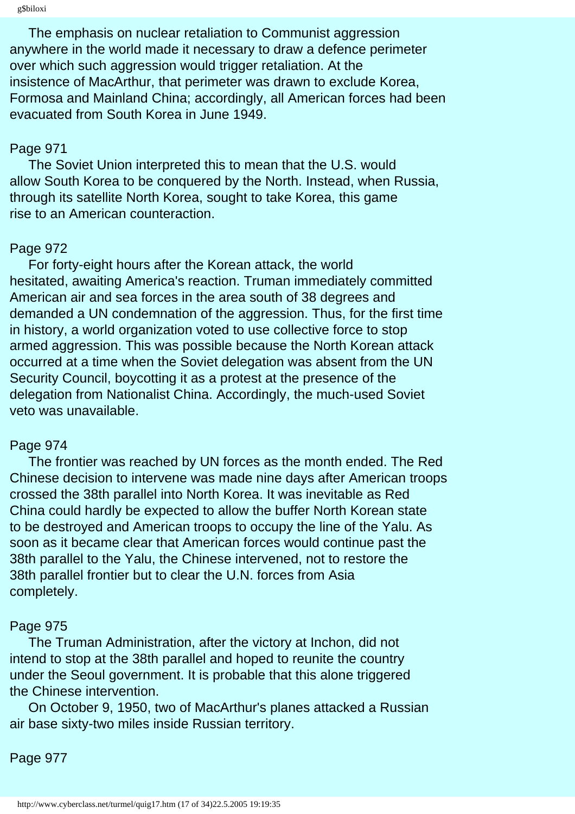The emphasis on nuclear retaliation to Communist aggression anywhere in the world made it necessary to draw a defence perimeter over which such aggression would trigger retaliation. At the insistence of MacArthur, that perimeter was drawn to exclude Korea, Formosa and Mainland China; accordingly, all American forces had been evacuated from South Korea in June 1949.

### Page 971

 The Soviet Union interpreted this to mean that the U.S. would allow South Korea to be conquered by the North. Instead, when Russia, through its satellite North Korea, sought to take Korea, this game rise to an American counteraction.

# Page 972

 For forty-eight hours after the Korean attack, the world hesitated, awaiting America's reaction. Truman immediately committed American air and sea forces in the area south of 38 degrees and demanded a UN condemnation of the aggression. Thus, for the first time in history, a world organization voted to use collective force to stop armed aggression. This was possible because the North Korean attack occurred at a time when the Soviet delegation was absent from the UN Security Council, boycotting it as a protest at the presence of the delegation from Nationalist China. Accordingly, the much-used Soviet veto was unavailable.

### Page 974

 The frontier was reached by UN forces as the month ended. The Red Chinese decision to intervene was made nine days after American troops crossed the 38th parallel into North Korea. It was inevitable as Red China could hardly be expected to allow the buffer North Korean state to be destroyed and American troops to occupy the line of the Yalu. As soon as it became clear that American forces would continue past the 38th parallel to the Yalu, the Chinese intervened, not to restore the 38th parallel frontier but to clear the U.N. forces from Asia completely.

### Page 975

 The Truman Administration, after the victory at Inchon, did not intend to stop at the 38th parallel and hoped to reunite the country under the Seoul government. It is probable that this alone triggered the Chinese intervention.

 On October 9, 1950, two of MacArthur's planes attacked a Russian air base sixty-two miles inside Russian territory.

Page 977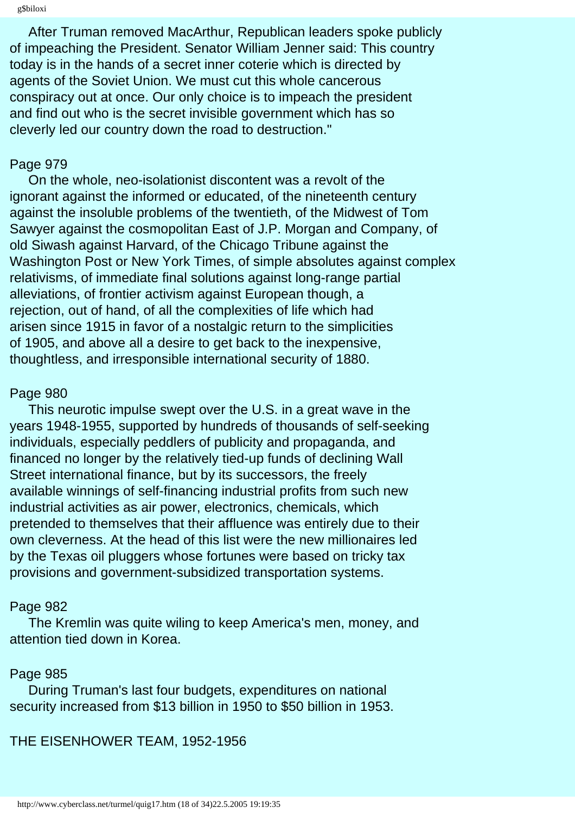After Truman removed MacArthur, Republican leaders spoke publicly of impeaching the President. Senator William Jenner said: This country today is in the hands of a secret inner coterie which is directed by agents of the Soviet Union. We must cut this whole cancerous conspiracy out at once. Our only choice is to impeach the president and find out who is the secret invisible government which has so cleverly led our country down the road to destruction."

#### Page 979

 On the whole, neo-isolationist discontent was a revolt of the ignorant against the informed or educated, of the nineteenth century against the insoluble problems of the twentieth, of the Midwest of Tom Sawyer against the cosmopolitan East of J.P. Morgan and Company, of old Siwash against Harvard, of the Chicago Tribune against the Washington Post or New York Times, of simple absolutes against complex relativisms, of immediate final solutions against long-range partial alleviations, of frontier activism against European though, a rejection, out of hand, of all the complexities of life which had arisen since 1915 in favor of a nostalgic return to the simplicities of 1905, and above all a desire to get back to the inexpensive, thoughtless, and irresponsible international security of 1880.

### Page 980

 This neurotic impulse swept over the U.S. in a great wave in the years 1948-1955, supported by hundreds of thousands of self-seeking individuals, especially peddlers of publicity and propaganda, and financed no longer by the relatively tied-up funds of declining Wall Street international finance, but by its successors, the freely available winnings of self-financing industrial profits from such new industrial activities as air power, electronics, chemicals, which pretended to themselves that their affluence was entirely due to their own cleverness. At the head of this list were the new millionaires led by the Texas oil pluggers whose fortunes were based on tricky tax provisions and government-subsidized transportation systems.

### Page 982

 The Kremlin was quite wiling to keep America's men, money, and attention tied down in Korea.

### Page 985

 During Truman's last four budgets, expenditures on national security increased from \$13 billion in 1950 to \$50 billion in 1953.

THE EISENHOWER TEAM, 1952-1956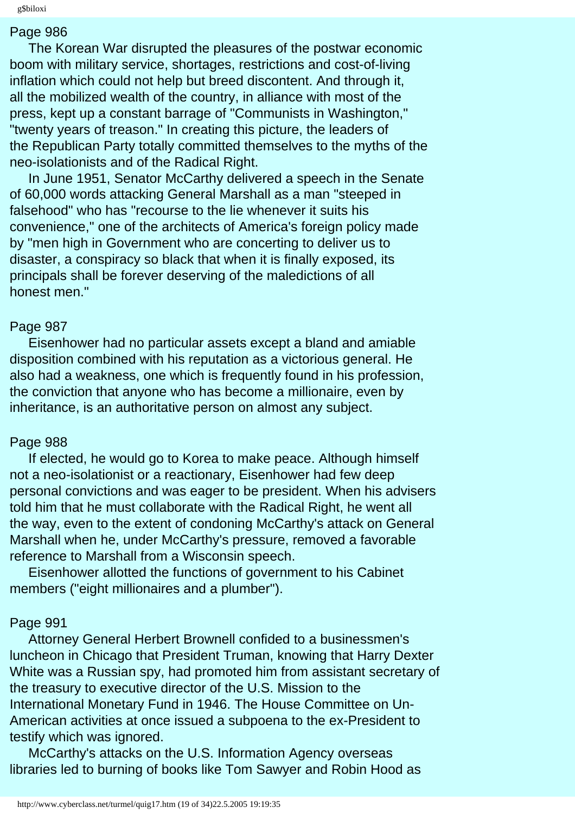### Page 986

 The Korean War disrupted the pleasures of the postwar economic boom with military service, shortages, restrictions and cost-of-living inflation which could not help but breed discontent. And through it, all the mobilized wealth of the country, in alliance with most of the press, kept up a constant barrage of "Communists in Washington," "twenty years of treason." In creating this picture, the leaders of the Republican Party totally committed themselves to the myths of the neo-isolationists and of the Radical Right.

 In June 1951, Senator McCarthy delivered a speech in the Senate of 60,000 words attacking General Marshall as a man "steeped in falsehood" who has "recourse to the lie whenever it suits his convenience," one of the architects of America's foreign policy made by "men high in Government who are concerting to deliver us to disaster, a conspiracy so black that when it is finally exposed, its principals shall be forever deserving of the maledictions of all honest men."

### Page 987

 Eisenhower had no particular assets except a bland and amiable disposition combined with his reputation as a victorious general. He also had a weakness, one which is frequently found in his profession, the conviction that anyone who has become a millionaire, even by inheritance, is an authoritative person on almost any subject.

### Page 988

 If elected, he would go to Korea to make peace. Although himself not a neo-isolationist or a reactionary, Eisenhower had few deep personal convictions and was eager to be president. When his advisers told him that he must collaborate with the Radical Right, he went all the way, even to the extent of condoning McCarthy's attack on General Marshall when he, under McCarthy's pressure, removed a favorable reference to Marshall from a Wisconsin speech.

 Eisenhower allotted the functions of government to his Cabinet members ("eight millionaires and a plumber").

### Page 991

 Attorney General Herbert Brownell confided to a businessmen's luncheon in Chicago that President Truman, knowing that Harry Dexter White was a Russian spy, had promoted him from assistant secretary of the treasury to executive director of the U.S. Mission to the International Monetary Fund in 1946. The House Committee on Un-American activities at once issued a subpoena to the ex-President to testify which was ignored.

 McCarthy's attacks on the U.S. Information Agency overseas libraries led to burning of books like Tom Sawyer and Robin Hood as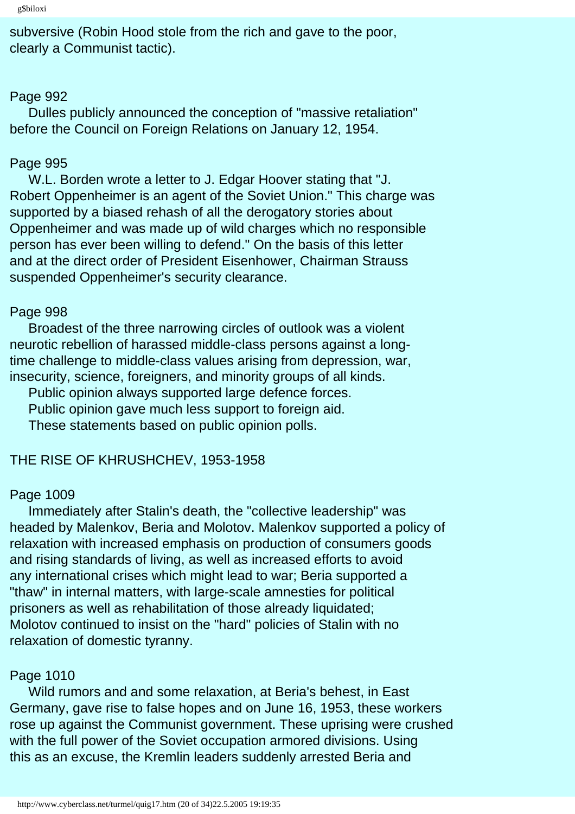subversive (Robin Hood stole from the rich and gave to the poor, clearly a Communist tactic).

### Page 992

 Dulles publicly announced the conception of "massive retaliation" before the Council on Foreign Relations on January 12, 1954.

# Page 995

 W.L. Borden wrote a letter to J. Edgar Hoover stating that "J. Robert Oppenheimer is an agent of the Soviet Union." This charge was supported by a biased rehash of all the derogatory stories about Oppenheimer and was made up of wild charges which no responsible person has ever been willing to defend." On the basis of this letter and at the direct order of President Eisenhower, Chairman Strauss suspended Oppenheimer's security clearance.

# Page 998

 Broadest of the three narrowing circles of outlook was a violent neurotic rebellion of harassed middle-class persons against a longtime challenge to middle-class values arising from depression, war, insecurity, science, foreigners, and minority groups of all kinds.

 Public opinion always supported large defence forces. Public opinion gave much less support to foreign aid. These statements based on public opinion polls.

# THE RISE OF KHRUSHCHEV, 1953-1958

# Page 1009

 Immediately after Stalin's death, the "collective leadership" was headed by Malenkov, Beria and Molotov. Malenkov supported a policy of relaxation with increased emphasis on production of consumers goods and rising standards of living, as well as increased efforts to avoid any international crises which might lead to war; Beria supported a "thaw" in internal matters, with large-scale amnesties for political prisoners as well as rehabilitation of those already liquidated; Molotov continued to insist on the "hard" policies of Stalin with no relaxation of domestic tyranny.

# Page 1010

 Wild rumors and and some relaxation, at Beria's behest, in East Germany, gave rise to false hopes and on June 16, 1953, these workers rose up against the Communist government. These uprising were crushed with the full power of the Soviet occupation armored divisions. Using this as an excuse, the Kremlin leaders suddenly arrested Beria and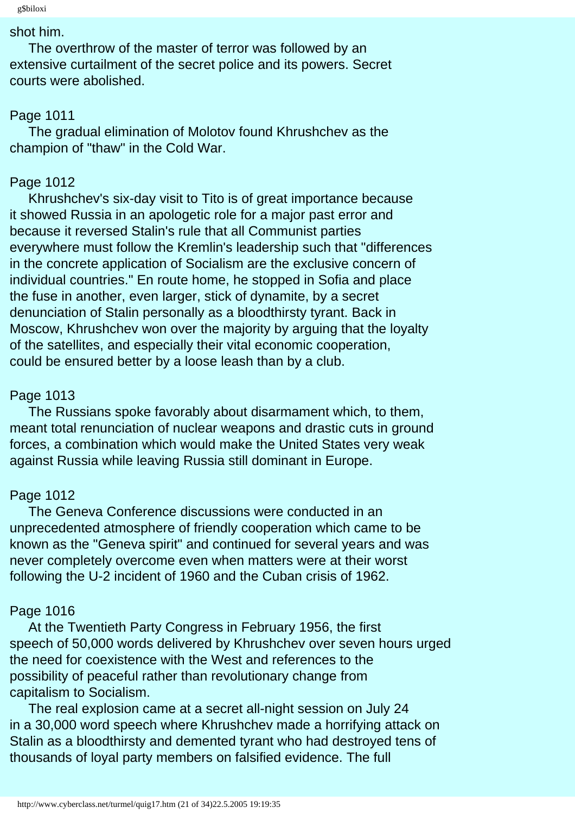### shot him.

 The overthrow of the master of terror was followed by an extensive curtailment of the secret police and its powers. Secret courts were abolished.

#### Page 1011

 The gradual elimination of Molotov found Khrushchev as the champion of "thaw" in the Cold War.

### Page 1012

 Khrushchev's six-day visit to Tito is of great importance because it showed Russia in an apologetic role for a major past error and because it reversed Stalin's rule that all Communist parties everywhere must follow the Kremlin's leadership such that "differences in the concrete application of Socialism are the exclusive concern of individual countries." En route home, he stopped in Sofia and place the fuse in another, even larger, stick of dynamite, by a secret denunciation of Stalin personally as a bloodthirsty tyrant. Back in Moscow, Khrushchev won over the majority by arguing that the loyalty of the satellites, and especially their vital economic cooperation, could be ensured better by a loose leash than by a club.

# Page 1013

 The Russians spoke favorably about disarmament which, to them, meant total renunciation of nuclear weapons and drastic cuts in ground forces, a combination which would make the United States very weak against Russia while leaving Russia still dominant in Europe.

# Page 1012

 The Geneva Conference discussions were conducted in an unprecedented atmosphere of friendly cooperation which came to be known as the "Geneva spirit" and continued for several years and was never completely overcome even when matters were at their worst following the U-2 incident of 1960 and the Cuban crisis of 1962.

# Page 1016

 At the Twentieth Party Congress in February 1956, the first speech of 50,000 words delivered by Khrushchev over seven hours urged the need for coexistence with the West and references to the possibility of peaceful rather than revolutionary change from capitalism to Socialism.

 The real explosion came at a secret all-night session on July 24 in a 30,000 word speech where Khrushchev made a horrifying attack on Stalin as a bloodthirsty and demented tyrant who had destroyed tens of thousands of loyal party members on falsified evidence. The full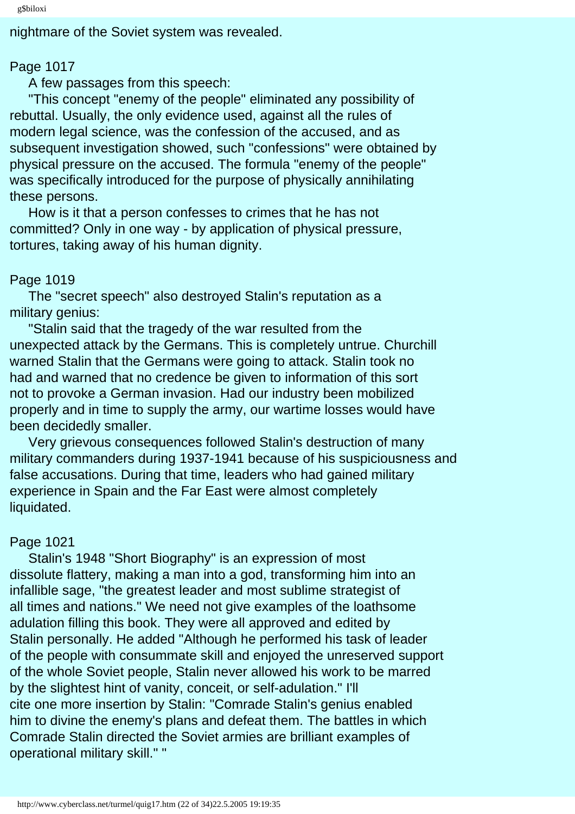nightmare of the Soviet system was revealed.

#### Page 1017

A few passages from this speech:

 "This concept "enemy of the people" eliminated any possibility of rebuttal. Usually, the only evidence used, against all the rules of modern legal science, was the confession of the accused, and as subsequent investigation showed, such "confessions" were obtained by physical pressure on the accused. The formula "enemy of the people" was specifically introduced for the purpose of physically annihilating these persons.

 How is it that a person confesses to crimes that he has not committed? Only in one way - by application of physical pressure, tortures, taking away of his human dignity.

#### Page 1019

 The "secret speech" also destroyed Stalin's reputation as a military genius:

 "Stalin said that the tragedy of the war resulted from the unexpected attack by the Germans. This is completely untrue. Churchill warned Stalin that the Germans were going to attack. Stalin took no had and warned that no credence be given to information of this sort not to provoke a German invasion. Had our industry been mobilized properly and in time to supply the army, our wartime losses would have been decidedly smaller.

 Very grievous consequences followed Stalin's destruction of many military commanders during 1937-1941 because of his suspiciousness and false accusations. During that time, leaders who had gained military experience in Spain and the Far East were almost completely liquidated.

# Page 1021

 Stalin's 1948 "Short Biography" is an expression of most dissolute flattery, making a man into a god, transforming him into an infallible sage, "the greatest leader and most sublime strategist of all times and nations." We need not give examples of the loathsome adulation filling this book. They were all approved and edited by Stalin personally. He added "Although he performed his task of leader of the people with consummate skill and enjoyed the unreserved support of the whole Soviet people, Stalin never allowed his work to be marred by the slightest hint of vanity, conceit, or self-adulation." I'll cite one more insertion by Stalin: "Comrade Stalin's genius enabled him to divine the enemy's plans and defeat them. The battles in which Comrade Stalin directed the Soviet armies are brilliant examples of operational military skill." "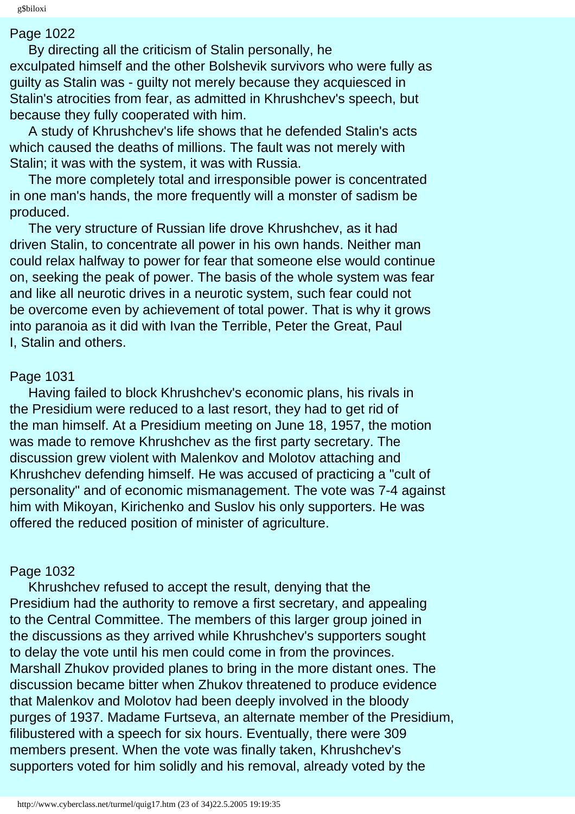#### Page 1022

 By directing all the criticism of Stalin personally, he exculpated himself and the other Bolshevik survivors who were fully as guilty as Stalin was - guilty not merely because they acquiesced in Stalin's atrocities from fear, as admitted in Khrushchev's speech, but because they fully cooperated with him.

 A study of Khrushchev's life shows that he defended Stalin's acts which caused the deaths of millions. The fault was not merely with Stalin; it was with the system, it was with Russia.

 The more completely total and irresponsible power is concentrated in one man's hands, the more frequently will a monster of sadism be produced.

 The very structure of Russian life drove Khrushchev, as it had driven Stalin, to concentrate all power in his own hands. Neither man could relax halfway to power for fear that someone else would continue on, seeking the peak of power. The basis of the whole system was fear and like all neurotic drives in a neurotic system, such fear could not be overcome even by achievement of total power. That is why it grows into paranoia as it did with Ivan the Terrible, Peter the Great, Paul I, Stalin and others.

#### Page 1031

 Having failed to block Khrushchev's economic plans, his rivals in the Presidium were reduced to a last resort, they had to get rid of the man himself. At a Presidium meeting on June 18, 1957, the motion was made to remove Khrushchev as the first party secretary. The discussion grew violent with Malenkov and Molotov attaching and Khrushchev defending himself. He was accused of practicing a "cult of personality" and of economic mismanagement. The vote was 7-4 against him with Mikoyan, Kirichenko and Suslov his only supporters. He was offered the reduced position of minister of agriculture.

#### Page 1032

 Khrushchev refused to accept the result, denying that the Presidium had the authority to remove a first secretary, and appealing to the Central Committee. The members of this larger group joined in the discussions as they arrived while Khrushchev's supporters sought to delay the vote until his men could come in from the provinces. Marshall Zhukov provided planes to bring in the more distant ones. The discussion became bitter when Zhukov threatened to produce evidence that Malenkov and Molotov had been deeply involved in the bloody purges of 1937. Madame Furtseva, an alternate member of the Presidium, filibustered with a speech for six hours. Eventually, there were 309 members present. When the vote was finally taken, Khrushchev's supporters voted for him solidly and his removal, already voted by the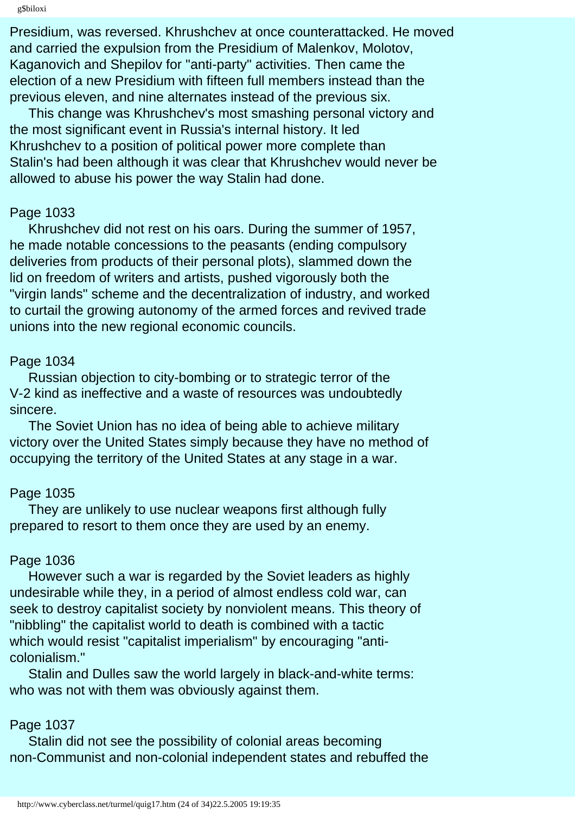Presidium, was reversed. Khrushchev at once counterattacked. He moved and carried the expulsion from the Presidium of Malenkov, Molotov, Kaganovich and Shepilov for "anti-party" activities. Then came the election of a new Presidium with fifteen full members instead than the previous eleven, and nine alternates instead of the previous six.

 This change was Khrushchev's most smashing personal victory and the most significant event in Russia's internal history. It led Khrushchev to a position of political power more complete than Stalin's had been although it was clear that Khrushchev would never be allowed to abuse his power the way Stalin had done.

#### Page 1033

 Khrushchev did not rest on his oars. During the summer of 1957, he made notable concessions to the peasants (ending compulsory deliveries from products of their personal plots), slammed down the lid on freedom of writers and artists, pushed vigorously both the "virgin lands" scheme and the decentralization of industry, and worked to curtail the growing autonomy of the armed forces and revived trade unions into the new regional economic councils.

#### Page 1034

 Russian objection to city-bombing or to strategic terror of the V-2 kind as ineffective and a waste of resources was undoubtedly sincere.

 The Soviet Union has no idea of being able to achieve military victory over the United States simply because they have no method of occupying the territory of the United States at any stage in a war.

### Page 1035

 They are unlikely to use nuclear weapons first although fully prepared to resort to them once they are used by an enemy.

### Page 1036

 However such a war is regarded by the Soviet leaders as highly undesirable while they, in a period of almost endless cold war, can seek to destroy capitalist society by nonviolent means. This theory of "nibbling" the capitalist world to death is combined with a tactic which would resist "capitalist imperialism" by encouraging "anticolonialism."

 Stalin and Dulles saw the world largely in black-and-white terms: who was not with them was obviously against them.

### Page 1037

 Stalin did not see the possibility of colonial areas becoming non-Communist and non-colonial independent states and rebuffed the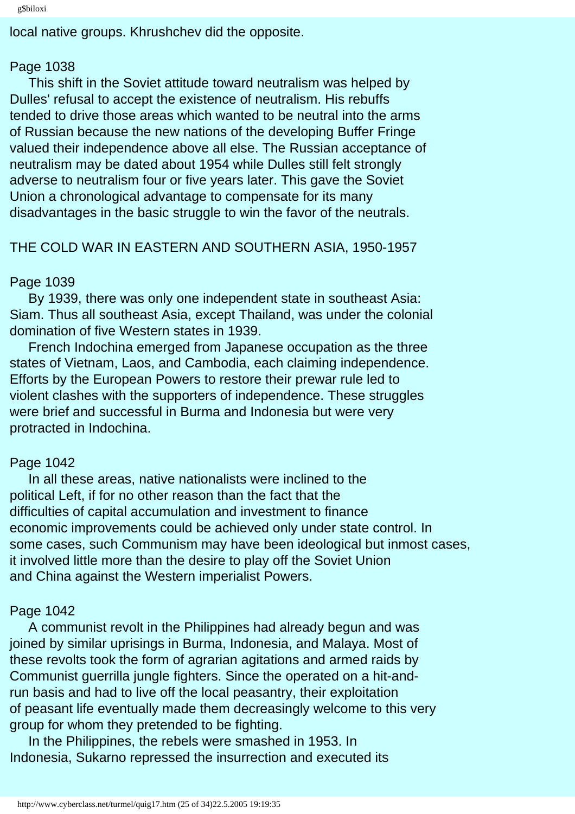local native groups. Khrushchev did the opposite.

#### Page 1038

 This shift in the Soviet attitude toward neutralism was helped by Dulles' refusal to accept the existence of neutralism. His rebuffs tended to drive those areas which wanted to be neutral into the arms of Russian because the new nations of the developing Buffer Fringe valued their independence above all else. The Russian acceptance of neutralism may be dated about 1954 while Dulles still felt strongly adverse to neutralism four or five years later. This gave the Soviet Union a chronological advantage to compensate for its many disadvantages in the basic struggle to win the favor of the neutrals.

#### THE COLD WAR IN EASTERN AND SOUTHERN ASIA, 1950-1957

#### Page 1039

 By 1939, there was only one independent state in southeast Asia: Siam. Thus all southeast Asia, except Thailand, was under the colonial domination of five Western states in 1939.

 French Indochina emerged from Japanese occupation as the three states of Vietnam, Laos, and Cambodia, each claiming independence. Efforts by the European Powers to restore their prewar rule led to violent clashes with the supporters of independence. These struggles were brief and successful in Burma and Indonesia but were very protracted in Indochina.

#### Page 1042

 In all these areas, native nationalists were inclined to the political Left, if for no other reason than the fact that the difficulties of capital accumulation and investment to finance economic improvements could be achieved only under state control. In some cases, such Communism may have been ideological but inmost cases, it involved little more than the desire to play off the Soviet Union and China against the Western imperialist Powers.

#### Page 1042

 A communist revolt in the Philippines had already begun and was joined by similar uprisings in Burma, Indonesia, and Malaya. Most of these revolts took the form of agrarian agitations and armed raids by Communist guerrilla jungle fighters. Since the operated on a hit-andrun basis and had to live off the local peasantry, their exploitation of peasant life eventually made them decreasingly welcome to this very group for whom they pretended to be fighting.

 In the Philippines, the rebels were smashed in 1953. In Indonesia, Sukarno repressed the insurrection and executed its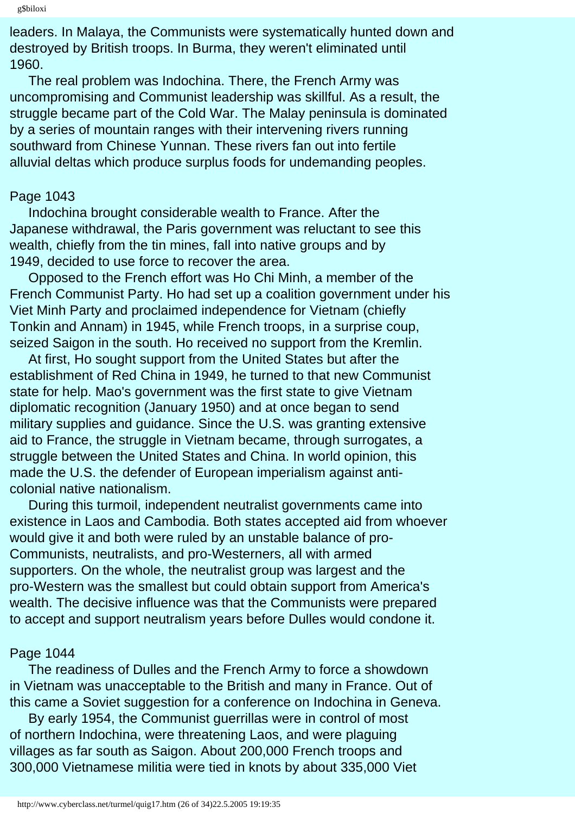leaders. In Malaya, the Communists were systematically hunted down and destroyed by British troops. In Burma, they weren't eliminated until 1960.

 The real problem was Indochina. There, the French Army was uncompromising and Communist leadership was skillful. As a result, the struggle became part of the Cold War. The Malay peninsula is dominated by a series of mountain ranges with their intervening rivers running southward from Chinese Yunnan. These rivers fan out into fertile alluvial deltas which produce surplus foods for undemanding peoples.

#### Page 1043

 Indochina brought considerable wealth to France. After the Japanese withdrawal, the Paris government was reluctant to see this wealth, chiefly from the tin mines, fall into native groups and by 1949, decided to use force to recover the area.

 Opposed to the French effort was Ho Chi Minh, a member of the French Communist Party. Ho had set up a coalition government under his Viet Minh Party and proclaimed independence for Vietnam (chiefly Tonkin and Annam) in 1945, while French troops, in a surprise coup, seized Saigon in the south. Ho received no support from the Kremlin.

 At first, Ho sought support from the United States but after the establishment of Red China in 1949, he turned to that new Communist state for help. Mao's government was the first state to give Vietnam diplomatic recognition (January 1950) and at once began to send military supplies and guidance. Since the U.S. was granting extensive aid to France, the struggle in Vietnam became, through surrogates, a struggle between the United States and China. In world opinion, this made the U.S. the defender of European imperialism against anticolonial native nationalism.

 During this turmoil, independent neutralist governments came into existence in Laos and Cambodia. Both states accepted aid from whoever would give it and both were ruled by an unstable balance of pro-Communists, neutralists, and pro-Westerners, all with armed supporters. On the whole, the neutralist group was largest and the pro-Western was the smallest but could obtain support from America's wealth. The decisive influence was that the Communists were prepared to accept and support neutralism years before Dulles would condone it.

#### Page 1044

 The readiness of Dulles and the French Army to force a showdown in Vietnam was unacceptable to the British and many in France. Out of this came a Soviet suggestion for a conference on Indochina in Geneva.

 By early 1954, the Communist guerrillas were in control of most of northern Indochina, were threatening Laos, and were plaguing villages as far south as Saigon. About 200,000 French troops and 300,000 Vietnamese militia were tied in knots by about 335,000 Viet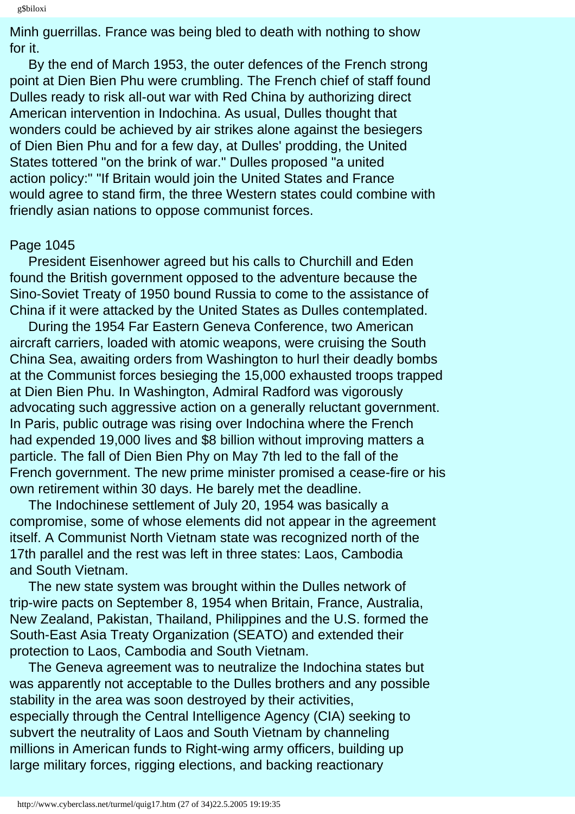Minh guerrillas. France was being bled to death with nothing to show for it.

 By the end of March 1953, the outer defences of the French strong point at Dien Bien Phu were crumbling. The French chief of staff found Dulles ready to risk all-out war with Red China by authorizing direct American intervention in Indochina. As usual, Dulles thought that wonders could be achieved by air strikes alone against the besiegers of Dien Bien Phu and for a few day, at Dulles' prodding, the United States tottered "on the brink of war." Dulles proposed "a united action policy:" "If Britain would join the United States and France would agree to stand firm, the three Western states could combine with friendly asian nations to oppose communist forces.

#### Page 1045

 President Eisenhower agreed but his calls to Churchill and Eden found the British government opposed to the adventure because the Sino-Soviet Treaty of 1950 bound Russia to come to the assistance of China if it were attacked by the United States as Dulles contemplated.

 During the 1954 Far Eastern Geneva Conference, two American aircraft carriers, loaded with atomic weapons, were cruising the South China Sea, awaiting orders from Washington to hurl their deadly bombs at the Communist forces besieging the 15,000 exhausted troops trapped at Dien Bien Phu. In Washington, Admiral Radford was vigorously advocating such aggressive action on a generally reluctant government. In Paris, public outrage was rising over Indochina where the French had expended 19,000 lives and \$8 billion without improving matters a particle. The fall of Dien Bien Phy on May 7th led to the fall of the French government. The new prime minister promised a cease-fire or his own retirement within 30 days. He barely met the deadline.

 The Indochinese settlement of July 20, 1954 was basically a compromise, some of whose elements did not appear in the agreement itself. A Communist North Vietnam state was recognized north of the 17th parallel and the rest was left in three states: Laos, Cambodia and South Vietnam.

 The new state system was brought within the Dulles network of trip-wire pacts on September 8, 1954 when Britain, France, Australia, New Zealand, Pakistan, Thailand, Philippines and the U.S. formed the South-East Asia Treaty Organization (SEATO) and extended their protection to Laos, Cambodia and South Vietnam.

 The Geneva agreement was to neutralize the Indochina states but was apparently not acceptable to the Dulles brothers and any possible stability in the area was soon destroyed by their activities, especially through the Central Intelligence Agency (CIA) seeking to subvert the neutrality of Laos and South Vietnam by channeling millions in American funds to Right-wing army officers, building up large military forces, rigging elections, and backing reactionary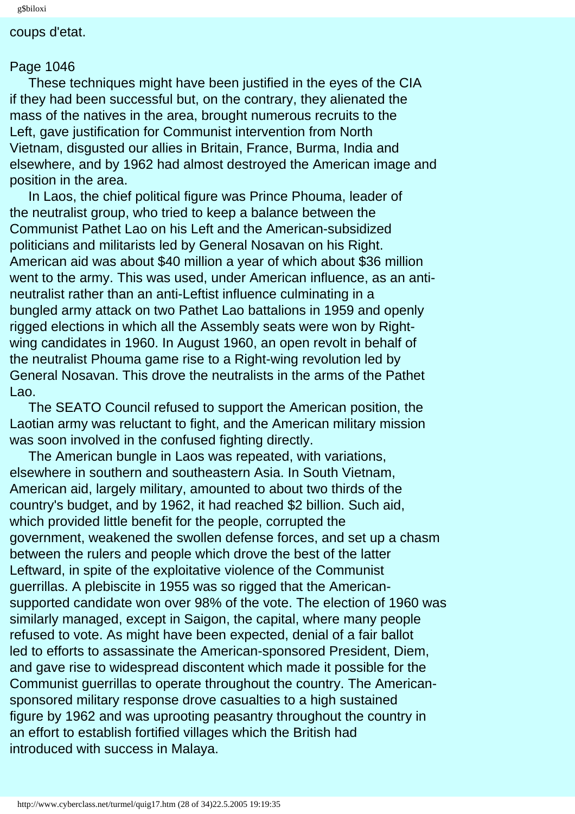#### coups d'etat.

#### Page 1046

 These techniques might have been justified in the eyes of the CIA if they had been successful but, on the contrary, they alienated the mass of the natives in the area, brought numerous recruits to the Left, gave justification for Communist intervention from North Vietnam, disgusted our allies in Britain, France, Burma, India and elsewhere, and by 1962 had almost destroyed the American image and position in the area.

 In Laos, the chief political figure was Prince Phouma, leader of the neutralist group, who tried to keep a balance between the Communist Pathet Lao on his Left and the American-subsidized politicians and militarists led by General Nosavan on his Right. American aid was about \$40 million a year of which about \$36 million went to the army. This was used, under American influence, as an antineutralist rather than an anti-Leftist influence culminating in a bungled army attack on two Pathet Lao battalions in 1959 and openly rigged elections in which all the Assembly seats were won by Rightwing candidates in 1960. In August 1960, an open revolt in behalf of the neutralist Phouma game rise to a Right-wing revolution led by General Nosavan. This drove the neutralists in the arms of the Pathet Lao.

 The SEATO Council refused to support the American position, the Laotian army was reluctant to fight, and the American military mission was soon involved in the confused fighting directly.

 The American bungle in Laos was repeated, with variations, elsewhere in southern and southeastern Asia. In South Vietnam, American aid, largely military, amounted to about two thirds of the country's budget, and by 1962, it had reached \$2 billion. Such aid, which provided little benefit for the people, corrupted the government, weakened the swollen defense forces, and set up a chasm between the rulers and people which drove the best of the latter Leftward, in spite of the exploitative violence of the Communist guerrillas. A plebiscite in 1955 was so rigged that the Americansupported candidate won over 98% of the vote. The election of 1960 was similarly managed, except in Saigon, the capital, where many people refused to vote. As might have been expected, denial of a fair ballot led to efforts to assassinate the American-sponsored President, Diem, and gave rise to widespread discontent which made it possible for the Communist guerrillas to operate throughout the country. The Americansponsored military response drove casualties to a high sustained figure by 1962 and was uprooting peasantry throughout the country in an effort to establish fortified villages which the British had introduced with success in Malaya.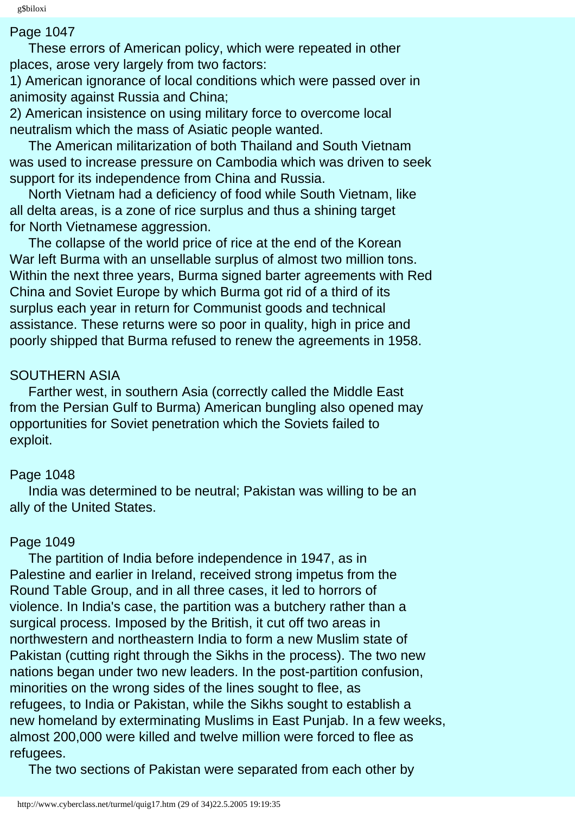#### Page 1047

 These errors of American policy, which were repeated in other places, arose very largely from two factors:

1) American ignorance of local conditions which were passed over in animosity against Russia and China;

2) American insistence on using military force to overcome local neutralism which the mass of Asiatic people wanted.

 The American militarization of both Thailand and South Vietnam was used to increase pressure on Cambodia which was driven to seek support for its independence from China and Russia.

 North Vietnam had a deficiency of food while South Vietnam, like all delta areas, is a zone of rice surplus and thus a shining target for North Vietnamese aggression.

 The collapse of the world price of rice at the end of the Korean War left Burma with an unsellable surplus of almost two million tons. Within the next three years, Burma signed barter agreements with Red China and Soviet Europe by which Burma got rid of a third of its surplus each year in return for Communist goods and technical assistance. These returns were so poor in quality, high in price and poorly shipped that Burma refused to renew the agreements in 1958.

# SOUTHERN ASIA

 Farther west, in southern Asia (correctly called the Middle East from the Persian Gulf to Burma) American bungling also opened may opportunities for Soviet penetration which the Soviets failed to exploit.

# Page 1048

 India was determined to be neutral; Pakistan was willing to be an ally of the United States.

# Page 1049

 The partition of India before independence in 1947, as in Palestine and earlier in Ireland, received strong impetus from the Round Table Group, and in all three cases, it led to horrors of violence. In India's case, the partition was a butchery rather than a surgical process. Imposed by the British, it cut off two areas in northwestern and northeastern India to form a new Muslim state of Pakistan (cutting right through the Sikhs in the process). The two new nations began under two new leaders. In the post-partition confusion, minorities on the wrong sides of the lines sought to flee, as refugees, to India or Pakistan, while the Sikhs sought to establish a new homeland by exterminating Muslims in East Punjab. In a few weeks, almost 200,000 were killed and twelve million were forced to flee as refugees.

The two sections of Pakistan were separated from each other by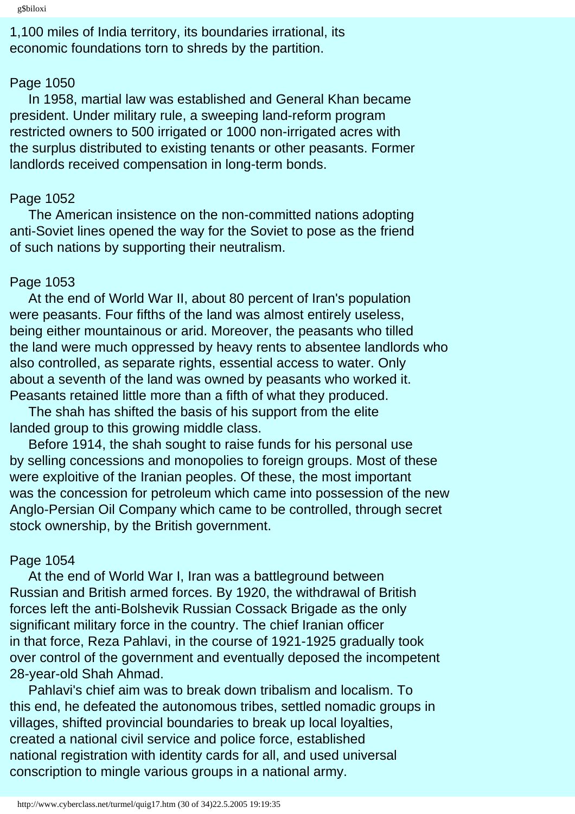1,100 miles of India territory, its boundaries irrational, its economic foundations torn to shreds by the partition.

### Page 1050

 In 1958, martial law was established and General Khan became president. Under military rule, a sweeping land-reform program restricted owners to 500 irrigated or 1000 non-irrigated acres with the surplus distributed to existing tenants or other peasants. Former landlords received compensation in long-term bonds.

#### Page 1052

 The American insistence on the non-committed nations adopting anti-Soviet lines opened the way for the Soviet to pose as the friend of such nations by supporting their neutralism.

#### Page 1053

 At the end of World War II, about 80 percent of Iran's population were peasants. Four fifths of the land was almost entirely useless, being either mountainous or arid. Moreover, the peasants who tilled the land were much oppressed by heavy rents to absentee landlords who also controlled, as separate rights, essential access to water. Only about a seventh of the land was owned by peasants who worked it. Peasants retained little more than a fifth of what they produced.

 The shah has shifted the basis of his support from the elite landed group to this growing middle class.

 Before 1914, the shah sought to raise funds for his personal use by selling concessions and monopolies to foreign groups. Most of these were exploitive of the Iranian peoples. Of these, the most important was the concession for petroleum which came into possession of the new Anglo-Persian Oil Company which came to be controlled, through secret stock ownership, by the British government.

#### Page 1054

 At the end of World War I, Iran was a battleground between Russian and British armed forces. By 1920, the withdrawal of British forces left the anti-Bolshevik Russian Cossack Brigade as the only significant military force in the country. The chief Iranian officer in that force, Reza Pahlavi, in the course of 1921-1925 gradually took over control of the government and eventually deposed the incompetent 28-year-old Shah Ahmad.

 Pahlavi's chief aim was to break down tribalism and localism. To this end, he defeated the autonomous tribes, settled nomadic groups in villages, shifted provincial boundaries to break up local loyalties, created a national civil service and police force, established national registration with identity cards for all, and used universal conscription to mingle various groups in a national army.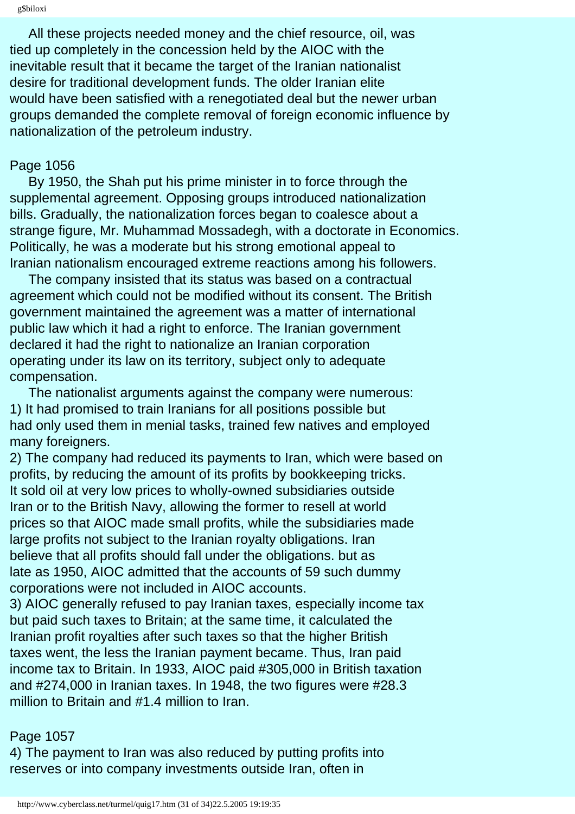All these projects needed money and the chief resource, oil, was tied up completely in the concession held by the AIOC with the inevitable result that it became the target of the Iranian nationalist desire for traditional development funds. The older Iranian elite would have been satisfied with a renegotiated deal but the newer urban groups demanded the complete removal of foreign economic influence by nationalization of the petroleum industry.

#### Page 1056

 By 1950, the Shah put his prime minister in to force through the supplemental agreement. Opposing groups introduced nationalization bills. Gradually, the nationalization forces began to coalesce about a strange figure, Mr. Muhammad Mossadegh, with a doctorate in Economics. Politically, he was a moderate but his strong emotional appeal to Iranian nationalism encouraged extreme reactions among his followers.

 The company insisted that its status was based on a contractual agreement which could not be modified without its consent. The British government maintained the agreement was a matter of international public law which it had a right to enforce. The Iranian government declared it had the right to nationalize an Iranian corporation operating under its law on its territory, subject only to adequate compensation.

 The nationalist arguments against the company were numerous: 1) It had promised to train Iranians for all positions possible but had only used them in menial tasks, trained few natives and employed many foreigners.

2) The company had reduced its payments to Iran, which were based on profits, by reducing the amount of its profits by bookkeeping tricks. It sold oil at very low prices to wholly-owned subsidiaries outside Iran or to the British Navy, allowing the former to resell at world prices so that AIOC made small profits, while the subsidiaries made large profits not subject to the Iranian royalty obligations. Iran believe that all profits should fall under the obligations. but as late as 1950, AIOC admitted that the accounts of 59 such dummy corporations were not included in AIOC accounts.

3) AIOC generally refused to pay Iranian taxes, especially income tax but paid such taxes to Britain; at the same time, it calculated the Iranian profit royalties after such taxes so that the higher British taxes went, the less the Iranian payment became. Thus, Iran paid income tax to Britain. In 1933, AIOC paid #305,000 in British taxation and #274,000 in Iranian taxes. In 1948, the two figures were #28.3 million to Britain and #1.4 million to Iran.

#### Page 1057

4) The payment to Iran was also reduced by putting profits into reserves or into company investments outside Iran, often in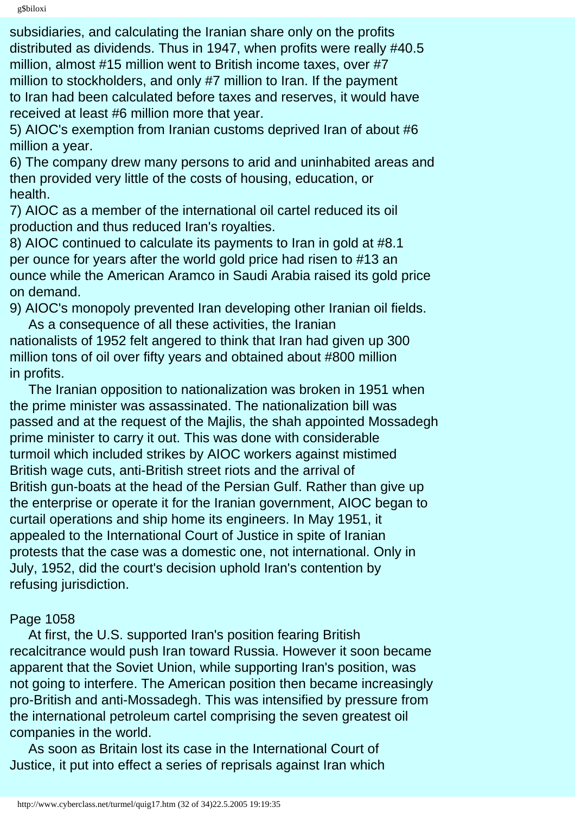subsidiaries, and calculating the Iranian share only on the profits distributed as dividends. Thus in 1947, when profits were really #40.5 million, almost #15 million went to British income taxes, over #7 million to stockholders, and only #7 million to Iran. If the payment to Iran had been calculated before taxes and reserves, it would have received at least #6 million more that year.

5) AIOC's exemption from Iranian customs deprived Iran of about #6 million a year.

6) The company drew many persons to arid and uninhabited areas and then provided very little of the costs of housing, education, or health.

7) AIOC as a member of the international oil cartel reduced its oil production and thus reduced Iran's royalties.

8) AIOC continued to calculate its payments to Iran in gold at #8.1 per ounce for years after the world gold price had risen to #13 an ounce while the American Aramco in Saudi Arabia raised its gold price on demand.

9) AIOC's monopoly prevented Iran developing other Iranian oil fields.

 As a consequence of all these activities, the Iranian nationalists of 1952 felt angered to think that Iran had given up 300 million tons of oil over fifty years and obtained about #800 million in profits.

 The Iranian opposition to nationalization was broken in 1951 when the prime minister was assassinated. The nationalization bill was passed and at the request of the Majlis, the shah appointed Mossadegh prime minister to carry it out. This was done with considerable turmoil which included strikes by AIOC workers against mistimed British wage cuts, anti-British street riots and the arrival of British gun-boats at the head of the Persian Gulf. Rather than give up the enterprise or operate it for the Iranian government, AIOC began to curtail operations and ship home its engineers. In May 1951, it appealed to the International Court of Justice in spite of Iranian protests that the case was a domestic one, not international. Only in July, 1952, did the court's decision uphold Iran's contention by refusing jurisdiction.

### Page 1058

 At first, the U.S. supported Iran's position fearing British recalcitrance would push Iran toward Russia. However it soon became apparent that the Soviet Union, while supporting Iran's position, was not going to interfere. The American position then became increasingly pro-British and anti-Mossadegh. This was intensified by pressure from the international petroleum cartel comprising the seven greatest oil companies in the world.

 As soon as Britain lost its case in the International Court of Justice, it put into effect a series of reprisals against Iran which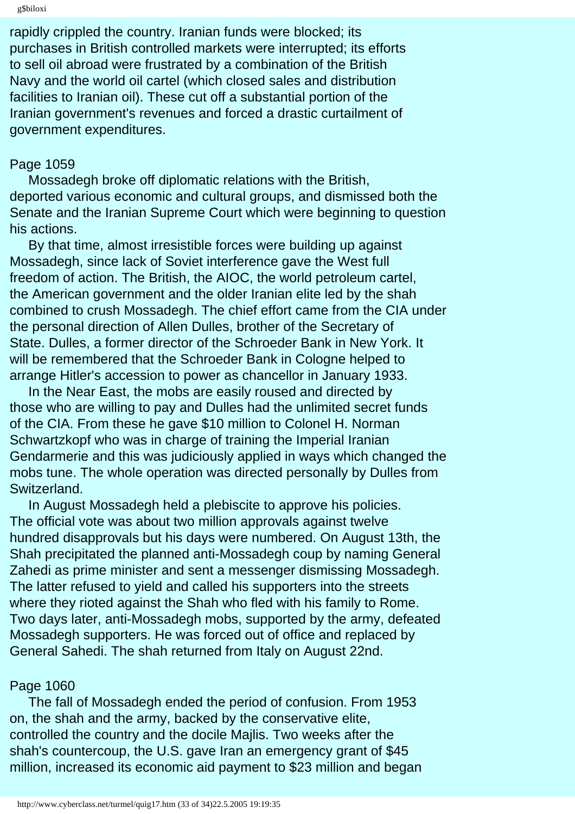rapidly crippled the country. Iranian funds were blocked; its purchases in British controlled markets were interrupted; its efforts to sell oil abroad were frustrated by a combination of the British Navy and the world oil cartel (which closed sales and distribution facilities to Iranian oil). These cut off a substantial portion of the Iranian government's revenues and forced a drastic curtailment of government expenditures.

#### Page 1059

 Mossadegh broke off diplomatic relations with the British, deported various economic and cultural groups, and dismissed both the Senate and the Iranian Supreme Court which were beginning to question his actions.

 By that time, almost irresistible forces were building up against Mossadegh, since lack of Soviet interference gave the West full freedom of action. The British, the AIOC, the world petroleum cartel, the American government and the older Iranian elite led by the shah combined to crush Mossadegh. The chief effort came from the CIA under the personal direction of Allen Dulles, brother of the Secretary of State. Dulles, a former director of the Schroeder Bank in New York. It will be remembered that the Schroeder Bank in Cologne helped to arrange Hitler's accession to power as chancellor in January 1933.

 In the Near East, the mobs are easily roused and directed by those who are willing to pay and Dulles had the unlimited secret funds of the CIA. From these he gave \$10 million to Colonel H. Norman Schwartzkopf who was in charge of training the Imperial Iranian Gendarmerie and this was judiciously applied in ways which changed the mobs tune. The whole operation was directed personally by Dulles from Switzerland.

 In August Mossadegh held a plebiscite to approve his policies. The official vote was about two million approvals against twelve hundred disapprovals but his days were numbered. On August 13th, the Shah precipitated the planned anti-Mossadegh coup by naming General Zahedi as prime minister and sent a messenger dismissing Mossadegh. The latter refused to yield and called his supporters into the streets where they rioted against the Shah who fled with his family to Rome. Two days later, anti-Mossadegh mobs, supported by the army, defeated Mossadegh supporters. He was forced out of office and replaced by General Sahedi. The shah returned from Italy on August 22nd.

#### Page 1060

 The fall of Mossadegh ended the period of confusion. From 1953 on, the shah and the army, backed by the conservative elite, controlled the country and the docile Majlis. Two weeks after the shah's countercoup, the U.S. gave Iran an emergency grant of \$45 million, increased its economic aid payment to \$23 million and began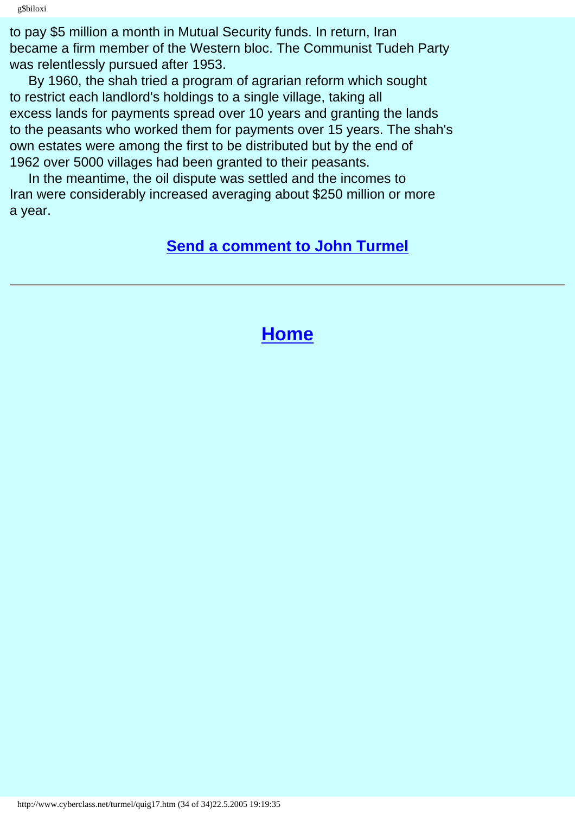to pay \$5 million a month in Mutual Security funds. In return, Iran became a firm member of the Western bloc. The Communist Tudeh Party was relentlessly pursued after 1953.

 By 1960, the shah tried a program of agrarian reform which sought to restrict each landlord's holdings to a single village, taking all excess lands for payments spread over 10 years and granting the lands to the peasants who worked them for payments over 15 years. The shah's own estates were among the first to be distributed but by the end of 1962 over 5000 villages had been granted to their peasants.

 In the meantime, the oil dispute was settled and the incomes to Iran were considerably increased averaging about \$250 million or more a year.

## **[Send a comment to John Turmel](mailto:%20bc726@freenet.carleton.ca)**

# **[Home](http://www.cyberclass.net/turmel)**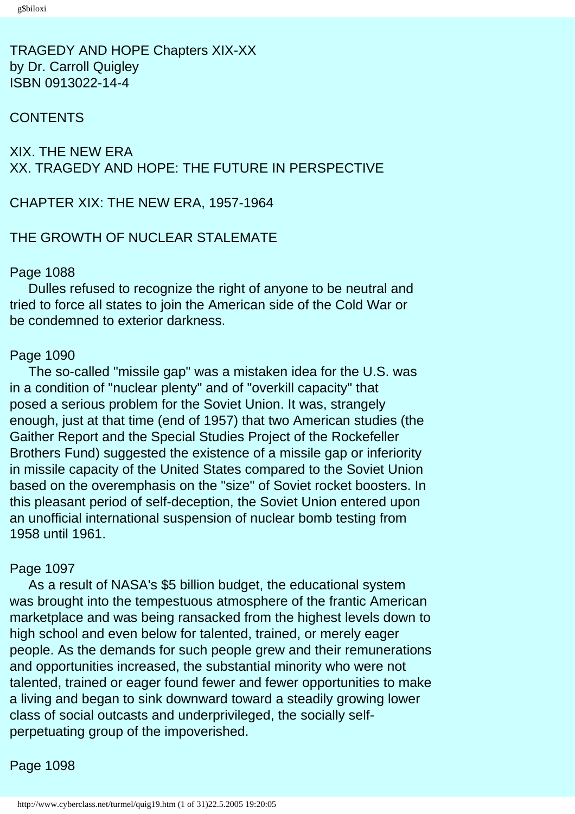TRAGEDY AND HOPE Chapters XIX-XX by Dr. Carroll Quigley ISBN 0913022-14-4

### **CONTENTS**

XIX. THE NEW ERA XX. TRAGEDY AND HOPE: THE FUTURE IN PERSPECTIVE

CHAPTER XIX: THE NEW ERA, 1957-1964

## THE GROWTH OF NUCLEAR STALEMATE

## Page 1088

 Dulles refused to recognize the right of anyone to be neutral and tried to force all states to join the American side of the Cold War or be condemned to exterior darkness.

## Page 1090

 The so-called "missile gap" was a mistaken idea for the U.S. was in a condition of "nuclear plenty" and of "overkill capacity" that posed a serious problem for the Soviet Union. It was, strangely enough, just at that time (end of 1957) that two American studies (the Gaither Report and the Special Studies Project of the Rockefeller Brothers Fund) suggested the existence of a missile gap or inferiority in missile capacity of the United States compared to the Soviet Union based on the overemphasis on the "size" of Soviet rocket boosters. In this pleasant period of self-deception, the Soviet Union entered upon an unofficial international suspension of nuclear bomb testing from 1958 until 1961.

## Page 1097

 As a result of NASA's \$5 billion budget, the educational system was brought into the tempestuous atmosphere of the frantic American marketplace and was being ransacked from the highest levels down to high school and even below for talented, trained, or merely eager people. As the demands for such people grew and their remunerations and opportunities increased, the substantial minority who were not talented, trained or eager found fewer and fewer opportunities to make a living and began to sink downward toward a steadily growing lower class of social outcasts and underprivileged, the socially selfperpetuating group of the impoverished.

## Page 1098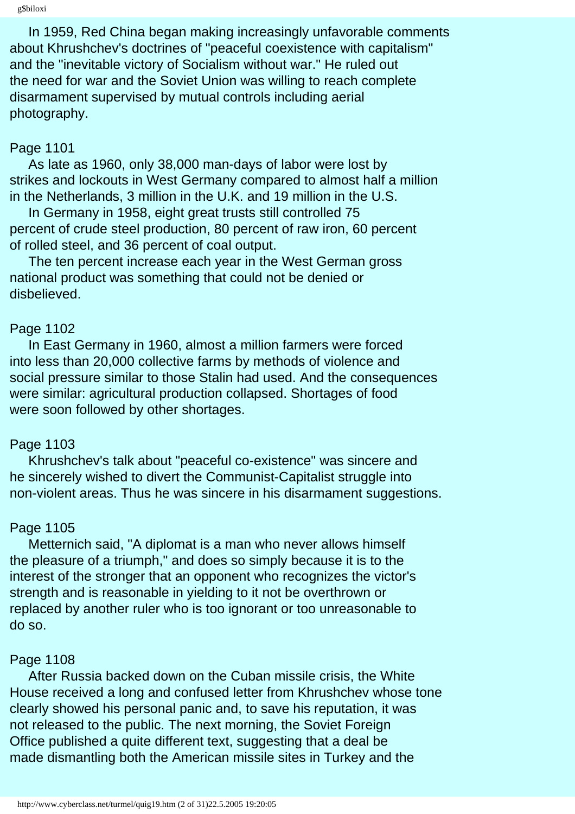In 1959, Red China began making increasingly unfavorable comments about Khrushchev's doctrines of "peaceful coexistence with capitalism" and the "inevitable victory of Socialism without war." He ruled out the need for war and the Soviet Union was willing to reach complete disarmament supervised by mutual controls including aerial photography.

## Page 1101

 As late as 1960, only 38,000 man-days of labor were lost by strikes and lockouts in West Germany compared to almost half a million in the Netherlands, 3 million in the U.K. and 19 million in the U.S.

 In Germany in 1958, eight great trusts still controlled 75 percent of crude steel production, 80 percent of raw iron, 60 percent of rolled steel, and 36 percent of coal output.

 The ten percent increase each year in the West German gross national product was something that could not be denied or disbelieved.

## Page 1102

 In East Germany in 1960, almost a million farmers were forced into less than 20,000 collective farms by methods of violence and social pressure similar to those Stalin had used. And the consequences were similar: agricultural production collapsed. Shortages of food were soon followed by other shortages.

### Page 1103

 Khrushchev's talk about "peaceful co-existence" was sincere and he sincerely wished to divert the Communist-Capitalist struggle into non-violent areas. Thus he was sincere in his disarmament suggestions.

### Page 1105

 Metternich said, "A diplomat is a man who never allows himself the pleasure of a triumph," and does so simply because it is to the interest of the stronger that an opponent who recognizes the victor's strength and is reasonable in yielding to it not be overthrown or replaced by another ruler who is too ignorant or too unreasonable to do so.

### Page 1108

 After Russia backed down on the Cuban missile crisis, the White House received a long and confused letter from Khrushchev whose tone clearly showed his personal panic and, to save his reputation, it was not released to the public. The next morning, the Soviet Foreign Office published a quite different text, suggesting that a deal be made dismantling both the American missile sites in Turkey and the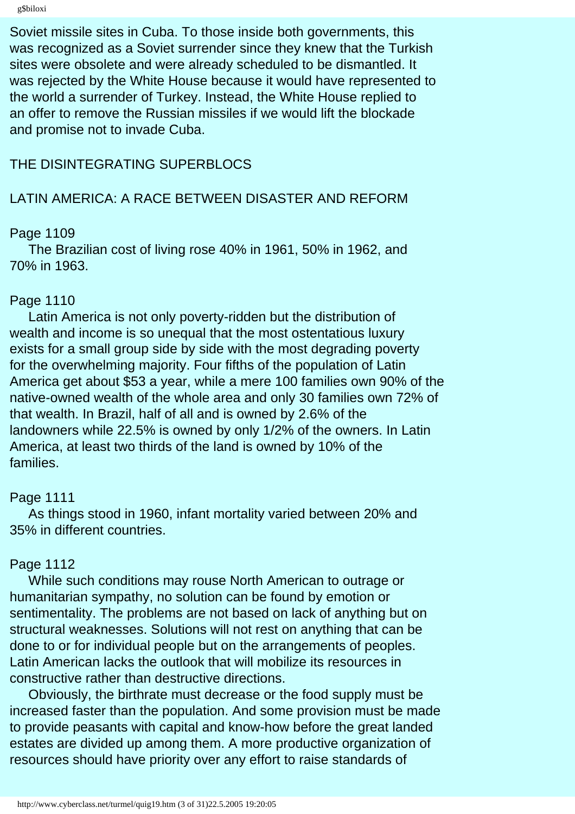Soviet missile sites in Cuba. To those inside both governments, this was recognized as a Soviet surrender since they knew that the Turkish sites were obsolete and were already scheduled to be dismantled. It was rejected by the White House because it would have represented to the world a surrender of Turkey. Instead, the White House replied to an offer to remove the Russian missiles if we would lift the blockade and promise not to invade Cuba.

## THE DISINTEGRATING SUPERBLOCS

## LATIN AMERICA: A RACE BETWEEN DISASTER AND REFORM

## Page 1109

 The Brazilian cost of living rose 40% in 1961, 50% in 1962, and 70% in 1963.

## Page 1110

 Latin America is not only poverty-ridden but the distribution of wealth and income is so unequal that the most ostentatious luxury exists for a small group side by side with the most degrading poverty for the overwhelming majority. Four fifths of the population of Latin America get about \$53 a year, while a mere 100 families own 90% of the native-owned wealth of the whole area and only 30 families own 72% of that wealth. In Brazil, half of all and is owned by 2.6% of the landowners while 22.5% is owned by only 1/2% of the owners. In Latin America, at least two thirds of the land is owned by 10% of the families.

## Page 1111

 As things stood in 1960, infant mortality varied between 20% and 35% in different countries.

## Page 1112

 While such conditions may rouse North American to outrage or humanitarian sympathy, no solution can be found by emotion or sentimentality. The problems are not based on lack of anything but on structural weaknesses. Solutions will not rest on anything that can be done to or for individual people but on the arrangements of peoples. Latin American lacks the outlook that will mobilize its resources in constructive rather than destructive directions.

 Obviously, the birthrate must decrease or the food supply must be increased faster than the population. And some provision must be made to provide peasants with capital and know-how before the great landed estates are divided up among them. A more productive organization of resources should have priority over any effort to raise standards of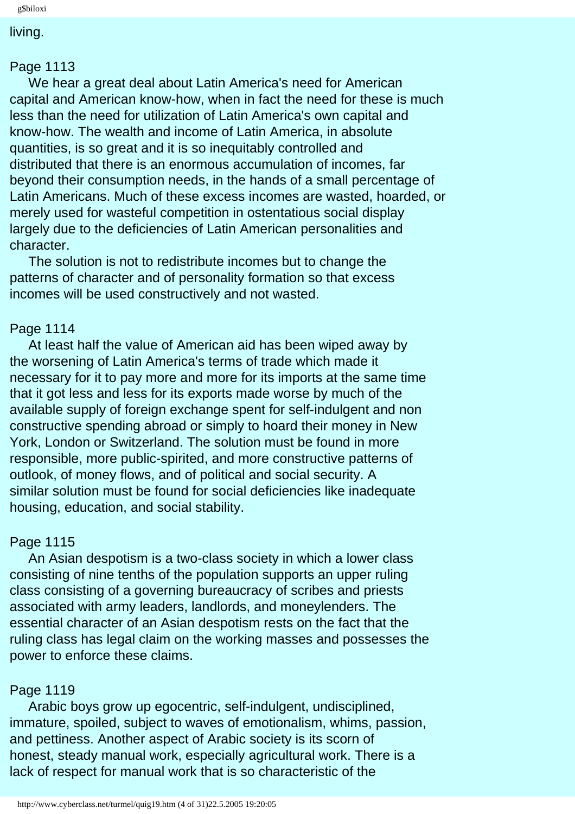## living.

## Page 1113

 We hear a great deal about Latin America's need for American capital and American know-how, when in fact the need for these is much less than the need for utilization of Latin America's own capital and know-how. The wealth and income of Latin America, in absolute quantities, is so great and it is so inequitably controlled and distributed that there is an enormous accumulation of incomes, far beyond their consumption needs, in the hands of a small percentage of Latin Americans. Much of these excess incomes are wasted, hoarded, or merely used for wasteful competition in ostentatious social display largely due to the deficiencies of Latin American personalities and character.

 The solution is not to redistribute incomes but to change the patterns of character and of personality formation so that excess incomes will be used constructively and not wasted.

## Page 1114

 At least half the value of American aid has been wiped away by the worsening of Latin America's terms of trade which made it necessary for it to pay more and more for its imports at the same time that it got less and less for its exports made worse by much of the available supply of foreign exchange spent for self-indulgent and non constructive spending abroad or simply to hoard their money in New York, London or Switzerland. The solution must be found in more responsible, more public-spirited, and more constructive patterns of outlook, of money flows, and of political and social security. A similar solution must be found for social deficiencies like inadequate housing, education, and social stability.

## Page 1115

 An Asian despotism is a two-class society in which a lower class consisting of nine tenths of the population supports an upper ruling class consisting of a governing bureaucracy of scribes and priests associated with army leaders, landlords, and moneylenders. The essential character of an Asian despotism rests on the fact that the ruling class has legal claim on the working masses and possesses the power to enforce these claims.

## Page 1119

 Arabic boys grow up egocentric, self-indulgent, undisciplined, immature, spoiled, subject to waves of emotionalism, whims, passion, and pettiness. Another aspect of Arabic society is its scorn of honest, steady manual work, especially agricultural work. There is a lack of respect for manual work that is so characteristic of the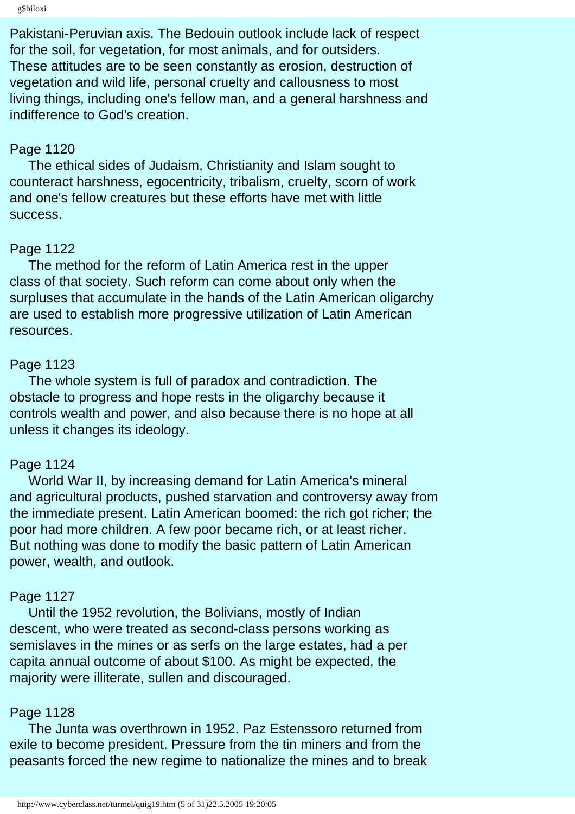Pakistani-Peruvian axis. The Bedouin outlook include lack of respect for the soil, for vegetation, for most animals, and for outsiders. These attitudes are to be seen constantly as erosion, destruction of vegetation and wild life, personal cruelty and callousness to most living things, including one's fellow man, and a general harshness and indifference to God's creation.

### Page 1120

 The ethical sides of Judaism, Christianity and Islam sought to counteract harshness, egocentricity, tribalism, cruelty, scorn of work and one's fellow creatures but these efforts have met with little success.

## Page 1122

 The method for the reform of Latin America rest in the upper class of that society. Such reform can come about only when the surpluses that accumulate in the hands of the Latin American oligarchy are used to establish more progressive utilization of Latin American resources.

## Page 1123

 The whole system is full of paradox and contradiction. The obstacle to progress and hope rests in the oligarchy because it controls wealth and power, and also because there is no hope at all unless it changes its ideology.

### Page 1124

 World War II, by increasing demand for Latin America's mineral and agricultural products, pushed starvation and controversy away from the immediate present. Latin American boomed: the rich got richer; the poor had more children. A few poor became rich, or at least richer. But nothing was done to modify the basic pattern of Latin American power, wealth, and outlook.

## Page 1127

 Until the 1952 revolution, the Bolivians, mostly of Indian descent, who were treated as second-class persons working as semislaves in the mines or as serfs on the large estates, had a per capita annual outcome of about \$100. As might be expected, the majority were illiterate, sullen and discouraged.

### Page 1128

 The Junta was overthrown in 1952. Paz Estenssoro returned from exile to become president. Pressure from the tin miners and from the peasants forced the new regime to nationalize the mines and to break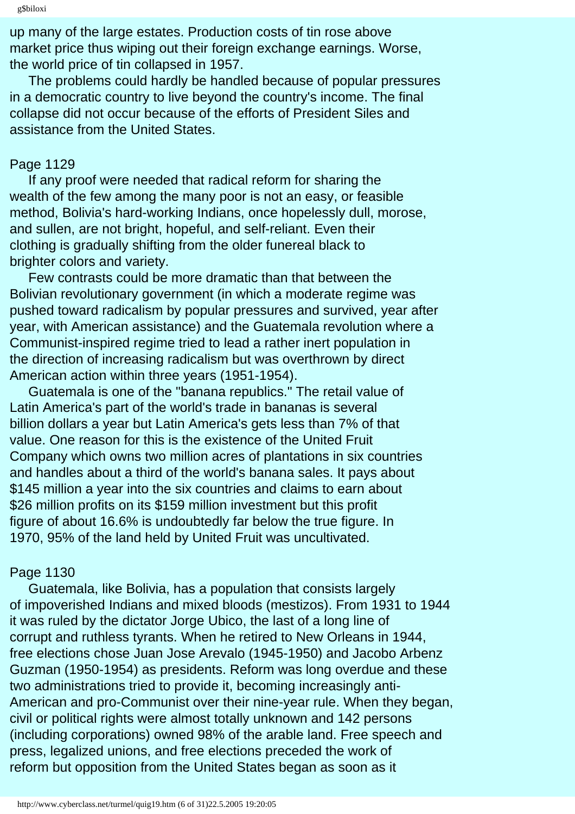up many of the large estates. Production costs of tin rose above market price thus wiping out their foreign exchange earnings. Worse, the world price of tin collapsed in 1957.

 The problems could hardly be handled because of popular pressures in a democratic country to live beyond the country's income. The final collapse did not occur because of the efforts of President Siles and assistance from the United States.

### Page 1129

 If any proof were needed that radical reform for sharing the wealth of the few among the many poor is not an easy, or feasible method, Bolivia's hard-working Indians, once hopelessly dull, morose, and sullen, are not bright, hopeful, and self-reliant. Even their clothing is gradually shifting from the older funereal black to brighter colors and variety.

 Few contrasts could be more dramatic than that between the Bolivian revolutionary government (in which a moderate regime was pushed toward radicalism by popular pressures and survived, year after year, with American assistance) and the Guatemala revolution where a Communist-inspired regime tried to lead a rather inert population in the direction of increasing radicalism but was overthrown by direct American action within three years (1951-1954).

 Guatemala is one of the "banana republics." The retail value of Latin America's part of the world's trade in bananas is several billion dollars a year but Latin America's gets less than 7% of that value. One reason for this is the existence of the United Fruit Company which owns two million acres of plantations in six countries and handles about a third of the world's banana sales. It pays about \$145 million a year into the six countries and claims to earn about \$26 million profits on its \$159 million investment but this profit figure of about 16.6% is undoubtedly far below the true figure. In 1970, 95% of the land held by United Fruit was uncultivated.

## Page 1130

 Guatemala, like Bolivia, has a population that consists largely of impoverished Indians and mixed bloods (mestizos). From 1931 to 1944 it was ruled by the dictator Jorge Ubico, the last of a long line of corrupt and ruthless tyrants. When he retired to New Orleans in 1944, free elections chose Juan Jose Arevalo (1945-1950) and Jacobo Arbenz Guzman (1950-1954) as presidents. Reform was long overdue and these two administrations tried to provide it, becoming increasingly anti-American and pro-Communist over their nine-year rule. When they began, civil or political rights were almost totally unknown and 142 persons (including corporations) owned 98% of the arable land. Free speech and press, legalized unions, and free elections preceded the work of reform but opposition from the United States began as soon as it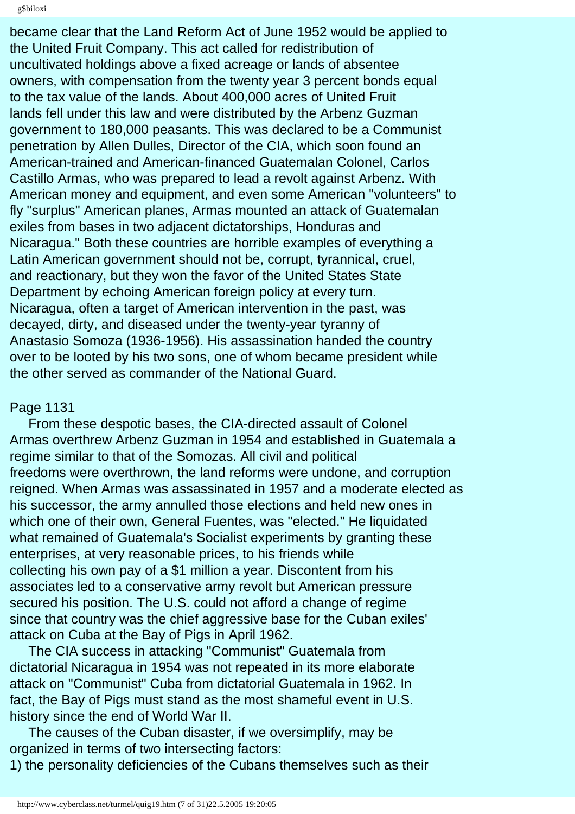became clear that the Land Reform Act of June 1952 would be applied to the United Fruit Company. This act called for redistribution of uncultivated holdings above a fixed acreage or lands of absentee owners, with compensation from the twenty year 3 percent bonds equal to the tax value of the lands. About 400,000 acres of United Fruit lands fell under this law and were distributed by the Arbenz Guzman government to 180,000 peasants. This was declared to be a Communist penetration by Allen Dulles, Director of the CIA, which soon found an American-trained and American-financed Guatemalan Colonel, Carlos Castillo Armas, who was prepared to lead a revolt against Arbenz. With American money and equipment, and even some American "volunteers" to fly "surplus" American planes, Armas mounted an attack of Guatemalan exiles from bases in two adjacent dictatorships, Honduras and Nicaragua." Both these countries are horrible examples of everything a Latin American government should not be, corrupt, tyrannical, cruel, and reactionary, but they won the favor of the United States State Department by echoing American foreign policy at every turn. Nicaragua, often a target of American intervention in the past, was decayed, dirty, and diseased under the twenty-year tyranny of Anastasio Somoza (1936-1956). His assassination handed the country over to be looted by his two sons, one of whom became president while the other served as commander of the National Guard.

### Page 1131

 From these despotic bases, the CIA-directed assault of Colonel Armas overthrew Arbenz Guzman in 1954 and established in Guatemala a regime similar to that of the Somozas. All civil and political freedoms were overthrown, the land reforms were undone, and corruption reigned. When Armas was assassinated in 1957 and a moderate elected as his successor, the army annulled those elections and held new ones in which one of their own, General Fuentes, was "elected." He liquidated what remained of Guatemala's Socialist experiments by granting these enterprises, at very reasonable prices, to his friends while collecting his own pay of a \$1 million a year. Discontent from his associates led to a conservative army revolt but American pressure secured his position. The U.S. could not afford a change of regime since that country was the chief aggressive base for the Cuban exiles' attack on Cuba at the Bay of Pigs in April 1962.

 The CIA success in attacking "Communist" Guatemala from dictatorial Nicaragua in 1954 was not repeated in its more elaborate attack on "Communist" Cuba from dictatorial Guatemala in 1962. In fact, the Bay of Pigs must stand as the most shameful event in U.S. history since the end of World War II.

 The causes of the Cuban disaster, if we oversimplify, may be organized in terms of two intersecting factors:

1) the personality deficiencies of the Cubans themselves such as their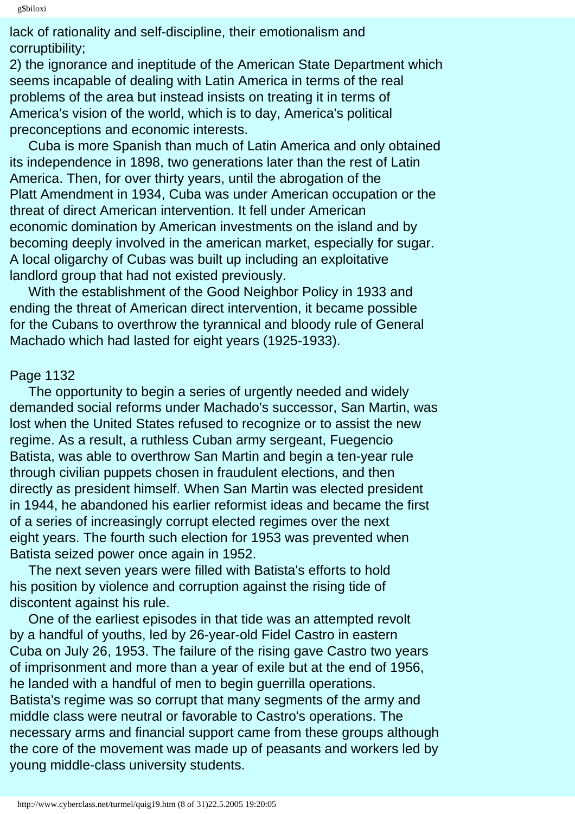lack of rationality and self-discipline, their emotionalism and corruptibility;

2) the ignorance and ineptitude of the American State Department which seems incapable of dealing with Latin America in terms of the real problems of the area but instead insists on treating it in terms of America's vision of the world, which is to day, America's political preconceptions and economic interests.

 Cuba is more Spanish than much of Latin America and only obtained its independence in 1898, two generations later than the rest of Latin America. Then, for over thirty years, until the abrogation of the Platt Amendment in 1934, Cuba was under American occupation or the threat of direct American intervention. It fell under American economic domination by American investments on the island and by becoming deeply involved in the american market, especially for sugar. A local oligarchy of Cubas was built up including an exploitative landlord group that had not existed previously.

 With the establishment of the Good Neighbor Policy in 1933 and ending the threat of American direct intervention, it became possible for the Cubans to overthrow the tyrannical and bloody rule of General Machado which had lasted for eight years (1925-1933).

### Page 1132

 The opportunity to begin a series of urgently needed and widely demanded social reforms under Machado's successor, San Martin, was lost when the United States refused to recognize or to assist the new regime. As a result, a ruthless Cuban army sergeant, Fuegencio Batista, was able to overthrow San Martin and begin a ten-year rule through civilian puppets chosen in fraudulent elections, and then directly as president himself. When San Martin was elected president in 1944, he abandoned his earlier reformist ideas and became the first of a series of increasingly corrupt elected regimes over the next eight years. The fourth such election for 1953 was prevented when Batista seized power once again in 1952.

 The next seven years were filled with Batista's efforts to hold his position by violence and corruption against the rising tide of discontent against his rule.

 One of the earliest episodes in that tide was an attempted revolt by a handful of youths, led by 26-year-old Fidel Castro in eastern Cuba on July 26, 1953. The failure of the rising gave Castro two years of imprisonment and more than a year of exile but at the end of 1956, he landed with a handful of men to begin guerrilla operations. Batista's regime was so corrupt that many segments of the army and middle class were neutral or favorable to Castro's operations. The necessary arms and financial support came from these groups although the core of the movement was made up of peasants and workers led by young middle-class university students.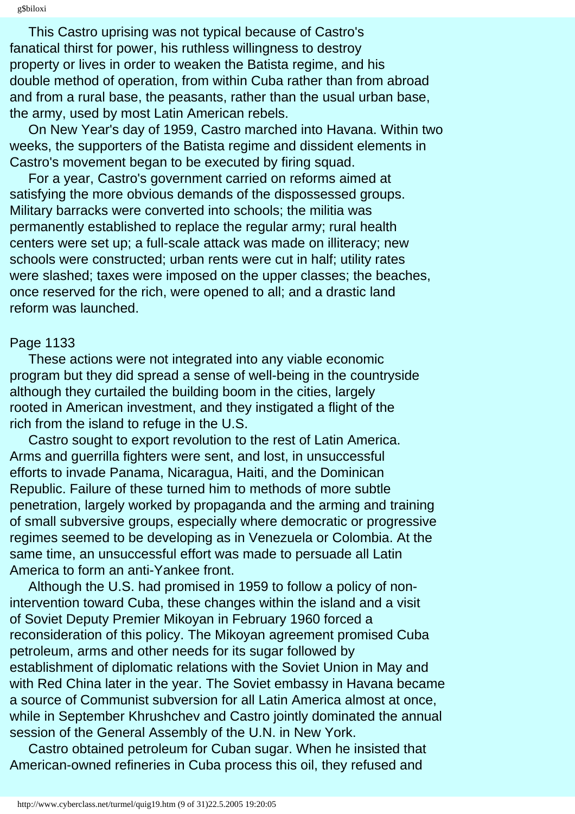This Castro uprising was not typical because of Castro's fanatical thirst for power, his ruthless willingness to destroy property or lives in order to weaken the Batista regime, and his double method of operation, from within Cuba rather than from abroad and from a rural base, the peasants, rather than the usual urban base, the army, used by most Latin American rebels.

 On New Year's day of 1959, Castro marched into Havana. Within two weeks, the supporters of the Batista regime and dissident elements in Castro's movement began to be executed by firing squad.

 For a year, Castro's government carried on reforms aimed at satisfying the more obvious demands of the dispossessed groups. Military barracks were converted into schools; the militia was permanently established to replace the regular army; rural health centers were set up; a full-scale attack was made on illiteracy; new schools were constructed; urban rents were cut in half; utility rates were slashed; taxes were imposed on the upper classes; the beaches, once reserved for the rich, were opened to all; and a drastic land reform was launched.

### Page 1133

 These actions were not integrated into any viable economic program but they did spread a sense of well-being in the countryside although they curtailed the building boom in the cities, largely rooted in American investment, and they instigated a flight of the rich from the island to refuge in the U.S.

 Castro sought to export revolution to the rest of Latin America. Arms and guerrilla fighters were sent, and lost, in unsuccessful efforts to invade Panama, Nicaragua, Haiti, and the Dominican Republic. Failure of these turned him to methods of more subtle penetration, largely worked by propaganda and the arming and training of small subversive groups, especially where democratic or progressive regimes seemed to be developing as in Venezuela or Colombia. At the same time, an unsuccessful effort was made to persuade all Latin America to form an anti-Yankee front.

 Although the U.S. had promised in 1959 to follow a policy of nonintervention toward Cuba, these changes within the island and a visit of Soviet Deputy Premier Mikoyan in February 1960 forced a reconsideration of this policy. The Mikoyan agreement promised Cuba petroleum, arms and other needs for its sugar followed by establishment of diplomatic relations with the Soviet Union in May and with Red China later in the year. The Soviet embassy in Havana became a source of Communist subversion for all Latin America almost at once, while in September Khrushchev and Castro jointly dominated the annual session of the General Assembly of the U.N. in New York.

 Castro obtained petroleum for Cuban sugar. When he insisted that American-owned refineries in Cuba process this oil, they refused and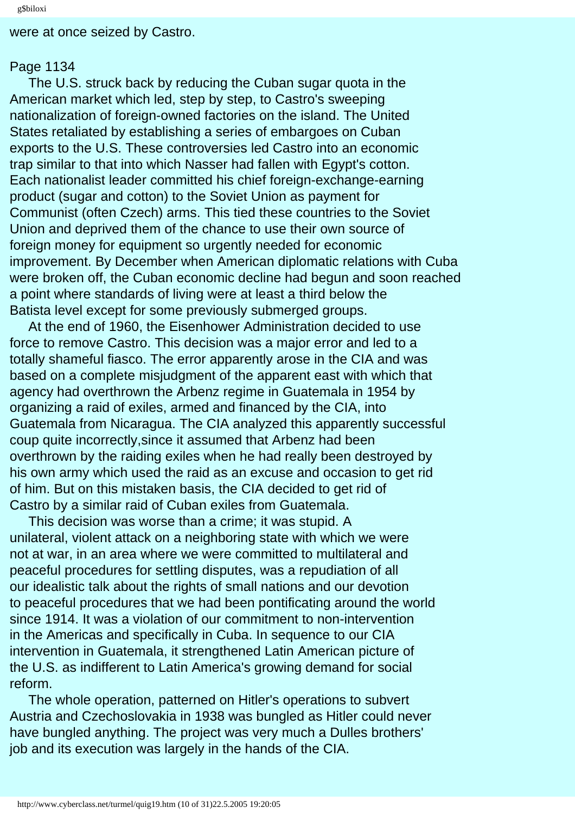were at once seized by Castro.

### Page 1134

 The U.S. struck back by reducing the Cuban sugar quota in the American market which led, step by step, to Castro's sweeping nationalization of foreign-owned factories on the island. The United States retaliated by establishing a series of embargoes on Cuban exports to the U.S. These controversies led Castro into an economic trap similar to that into which Nasser had fallen with Egypt's cotton. Each nationalist leader committed his chief foreign-exchange-earning product (sugar and cotton) to the Soviet Union as payment for Communist (often Czech) arms. This tied these countries to the Soviet Union and deprived them of the chance to use their own source of foreign money for equipment so urgently needed for economic improvement. By December when American diplomatic relations with Cuba were broken off, the Cuban economic decline had begun and soon reached a point where standards of living were at least a third below the Batista level except for some previously submerged groups.

 At the end of 1960, the Eisenhower Administration decided to use force to remove Castro. This decision was a major error and led to a totally shameful fiasco. The error apparently arose in the CIA and was based on a complete misjudgment of the apparent east with which that agency had overthrown the Arbenz regime in Guatemala in 1954 by organizing a raid of exiles, armed and financed by the CIA, into Guatemala from Nicaragua. The CIA analyzed this apparently successful coup quite incorrectly,since it assumed that Arbenz had been overthrown by the raiding exiles when he had really been destroyed by his own army which used the raid as an excuse and occasion to get rid of him. But on this mistaken basis, the CIA decided to get rid of Castro by a similar raid of Cuban exiles from Guatemala.

 This decision was worse than a crime; it was stupid. A unilateral, violent attack on a neighboring state with which we were not at war, in an area where we were committed to multilateral and peaceful procedures for settling disputes, was a repudiation of all our idealistic talk about the rights of small nations and our devotion to peaceful procedures that we had been pontificating around the world since 1914. It was a violation of our commitment to non-intervention in the Americas and specifically in Cuba. In sequence to our CIA intervention in Guatemala, it strengthened Latin American picture of the U.S. as indifferent to Latin America's growing demand for social reform.

 The whole operation, patterned on Hitler's operations to subvert Austria and Czechoslovakia in 1938 was bungled as Hitler could never have bungled anything. The project was very much a Dulles brothers' job and its execution was largely in the hands of the CIA.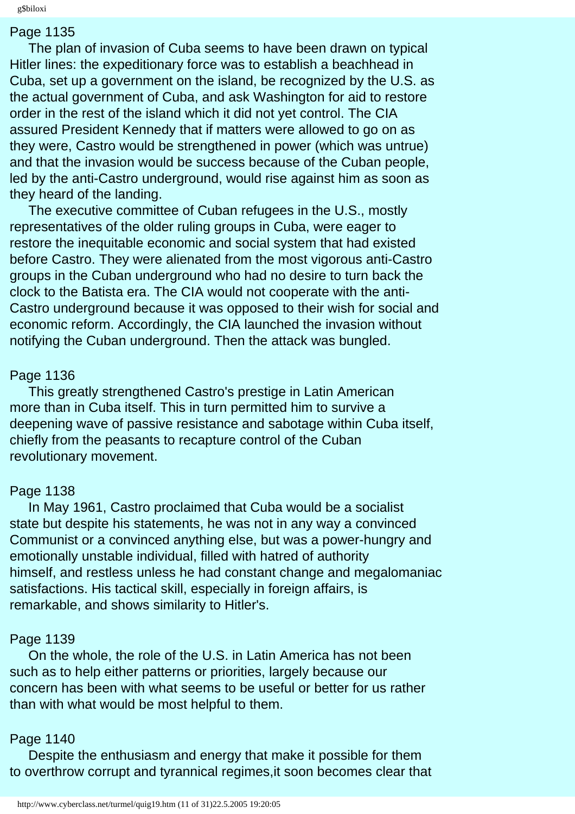## Page 1135

 The plan of invasion of Cuba seems to have been drawn on typical Hitler lines: the expeditionary force was to establish a beachhead in Cuba, set up a government on the island, be recognized by the U.S. as the actual government of Cuba, and ask Washington for aid to restore order in the rest of the island which it did not yet control. The CIA assured President Kennedy that if matters were allowed to go on as they were, Castro would be strengthened in power (which was untrue) and that the invasion would be success because of the Cuban people, led by the anti-Castro underground, would rise against him as soon as they heard of the landing.

 The executive committee of Cuban refugees in the U.S., mostly representatives of the older ruling groups in Cuba, were eager to restore the inequitable economic and social system that had existed before Castro. They were alienated from the most vigorous anti-Castro groups in the Cuban underground who had no desire to turn back the clock to the Batista era. The CIA would not cooperate with the anti-Castro underground because it was opposed to their wish for social and economic reform. Accordingly, the CIA launched the invasion without notifying the Cuban underground. Then the attack was bungled.

## Page 1136

 This greatly strengthened Castro's prestige in Latin American more than in Cuba itself. This in turn permitted him to survive a deepening wave of passive resistance and sabotage within Cuba itself, chiefly from the peasants to recapture control of the Cuban revolutionary movement.

## Page 1138

 In May 1961, Castro proclaimed that Cuba would be a socialist state but despite his statements, he was not in any way a convinced Communist or a convinced anything else, but was a power-hungry and emotionally unstable individual, filled with hatred of authority himself, and restless unless he had constant change and megalomaniac satisfactions. His tactical skill, especially in foreign affairs, is remarkable, and shows similarity to Hitler's.

## Page 1139

 On the whole, the role of the U.S. in Latin America has not been such as to help either patterns or priorities, largely because our concern has been with what seems to be useful or better for us rather than with what would be most helpful to them.

## Page 1140

 Despite the enthusiasm and energy that make it possible for them to overthrow corrupt and tyrannical regimes,it soon becomes clear that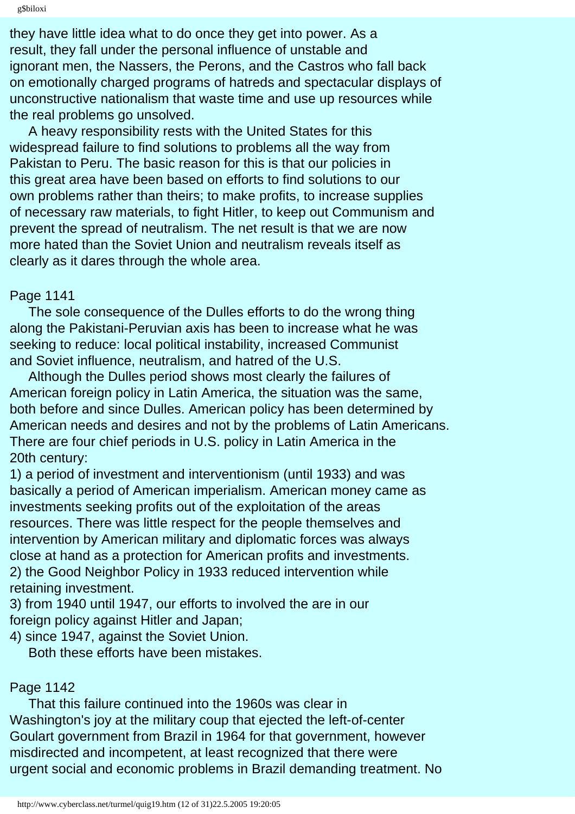they have little idea what to do once they get into power. As a result, they fall under the personal influence of unstable and ignorant men, the Nassers, the Perons, and the Castros who fall back on emotionally charged programs of hatreds and spectacular displays of unconstructive nationalism that waste time and use up resources while the real problems go unsolved.

 A heavy responsibility rests with the United States for this widespread failure to find solutions to problems all the way from Pakistan to Peru. The basic reason for this is that our policies in this great area have been based on efforts to find solutions to our own problems rather than theirs; to make profits, to increase supplies of necessary raw materials, to fight Hitler, to keep out Communism and prevent the spread of neutralism. The net result is that we are now more hated than the Soviet Union and neutralism reveals itself as clearly as it dares through the whole area.

## Page 1141

 The sole consequence of the Dulles efforts to do the wrong thing along the Pakistani-Peruvian axis has been to increase what he was seeking to reduce: local political instability, increased Communist and Soviet influence, neutralism, and hatred of the U.S.

 Although the Dulles period shows most clearly the failures of American foreign policy in Latin America, the situation was the same, both before and since Dulles. American policy has been determined by American needs and desires and not by the problems of Latin Americans. There are four chief periods in U.S. policy in Latin America in the 20th century:

1) a period of investment and interventionism (until 1933) and was basically a period of American imperialism. American money came as investments seeking profits out of the exploitation of the areas resources. There was little respect for the people themselves and intervention by American military and diplomatic forces was always close at hand as a protection for American profits and investments. 2) the Good Neighbor Policy in 1933 reduced intervention while retaining investment.

3) from 1940 until 1947, our efforts to involved the are in our foreign policy against Hitler and Japan;

4) since 1947, against the Soviet Union.

Both these efforts have been mistakes.

## Page 1142

 That this failure continued into the 1960s was clear in Washington's joy at the military coup that ejected the left-of-center Goulart government from Brazil in 1964 for that government, however misdirected and incompetent, at least recognized that there were urgent social and economic problems in Brazil demanding treatment. No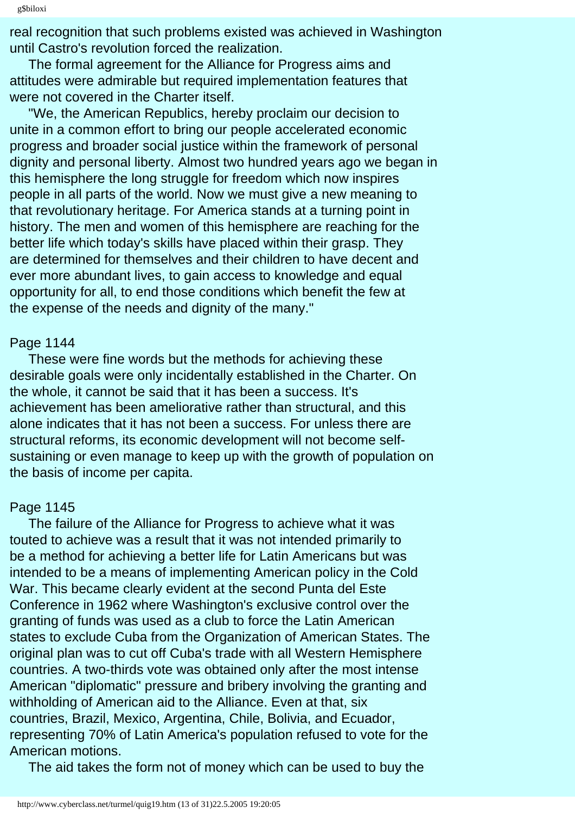real recognition that such problems existed was achieved in Washington until Castro's revolution forced the realization.

 The formal agreement for the Alliance for Progress aims and attitudes were admirable but required implementation features that were not covered in the Charter itself.

 "We, the American Republics, hereby proclaim our decision to unite in a common effort to bring our people accelerated economic progress and broader social justice within the framework of personal dignity and personal liberty. Almost two hundred years ago we began in this hemisphere the long struggle for freedom which now inspires people in all parts of the world. Now we must give a new meaning to that revolutionary heritage. For America stands at a turning point in history. The men and women of this hemisphere are reaching for the better life which today's skills have placed within their grasp. They are determined for themselves and their children to have decent and ever more abundant lives, to gain access to knowledge and equal opportunity for all, to end those conditions which benefit the few at the expense of the needs and dignity of the many."

### Page 1144

 These were fine words but the methods for achieving these desirable goals were only incidentally established in the Charter. On the whole, it cannot be said that it has been a success. It's achievement has been ameliorative rather than structural, and this alone indicates that it has not been a success. For unless there are structural reforms, its economic development will not become selfsustaining or even manage to keep up with the growth of population on the basis of income per capita.

### Page 1145

 The failure of the Alliance for Progress to achieve what it was touted to achieve was a result that it was not intended primarily to be a method for achieving a better life for Latin Americans but was intended to be a means of implementing American policy in the Cold War. This became clearly evident at the second Punta del Este Conference in 1962 where Washington's exclusive control over the granting of funds was used as a club to force the Latin American states to exclude Cuba from the Organization of American States. The original plan was to cut off Cuba's trade with all Western Hemisphere countries. A two-thirds vote was obtained only after the most intense American "diplomatic" pressure and bribery involving the granting and withholding of American aid to the Alliance. Even at that, six countries, Brazil, Mexico, Argentina, Chile, Bolivia, and Ecuador, representing 70% of Latin America's population refused to vote for the American motions.

The aid takes the form not of money which can be used to buy the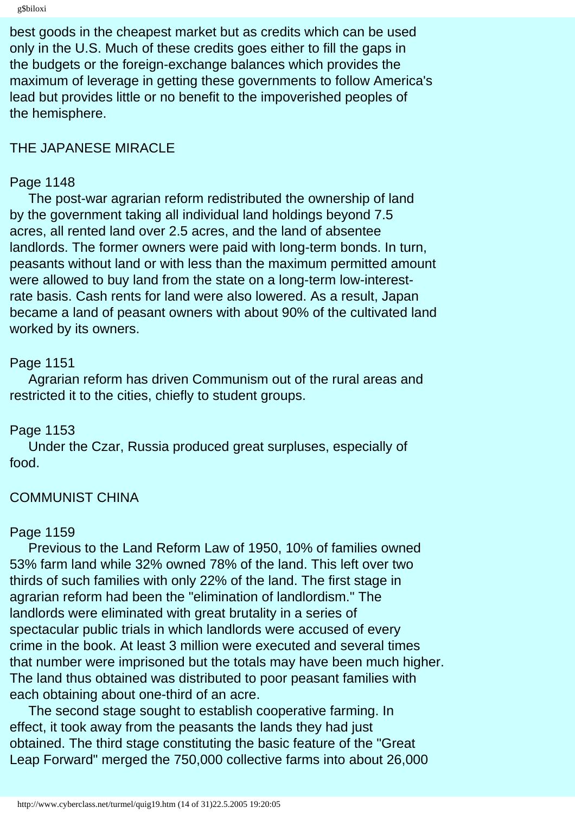best goods in the cheapest market but as credits which can be used only in the U.S. Much of these credits goes either to fill the gaps in the budgets or the foreign-exchange balances which provides the maximum of leverage in getting these governments to follow America's lead but provides little or no benefit to the impoverished peoples of the hemisphere.

## THE JAPANESE MIRACLE

## Page 1148

 The post-war agrarian reform redistributed the ownership of land by the government taking all individual land holdings beyond 7.5 acres, all rented land over 2.5 acres, and the land of absentee landlords. The former owners were paid with long-term bonds. In turn, peasants without land or with less than the maximum permitted amount were allowed to buy land from the state on a long-term low-interestrate basis. Cash rents for land were also lowered. As a result, Japan became a land of peasant owners with about 90% of the cultivated land worked by its owners.

## Page 1151

 Agrarian reform has driven Communism out of the rural areas and restricted it to the cities, chiefly to student groups.

## Page 1153

 Under the Czar, Russia produced great surpluses, especially of food.

## COMMUNIST CHINA

## Page 1159

 Previous to the Land Reform Law of 1950, 10% of families owned 53% farm land while 32% owned 78% of the land. This left over two thirds of such families with only 22% of the land. The first stage in agrarian reform had been the "elimination of landlordism." The landlords were eliminated with great brutality in a series of spectacular public trials in which landlords were accused of every crime in the book. At least 3 million were executed and several times that number were imprisoned but the totals may have been much higher. The land thus obtained was distributed to poor peasant families with each obtaining about one-third of an acre.

 The second stage sought to establish cooperative farming. In effect, it took away from the peasants the lands they had just obtained. The third stage constituting the basic feature of the "Great Leap Forward" merged the 750,000 collective farms into about 26,000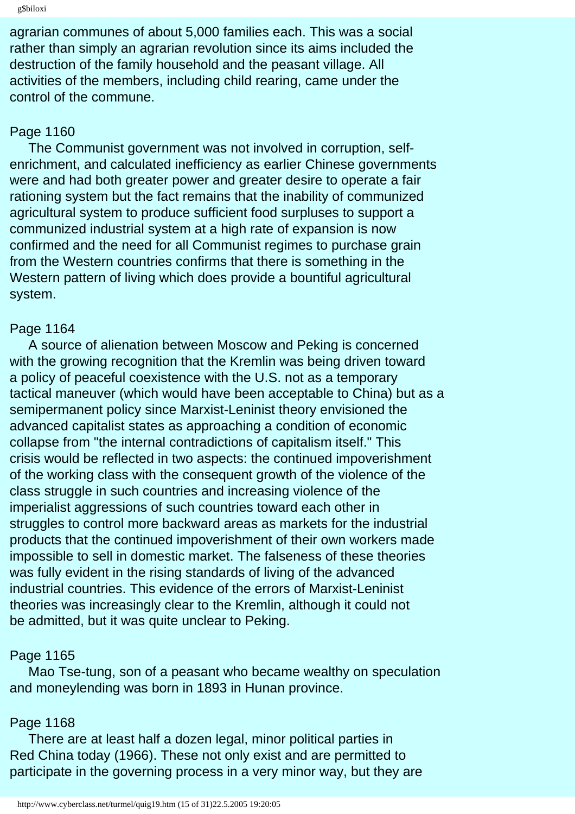agrarian communes of about 5,000 families each. This was a social rather than simply an agrarian revolution since its aims included the destruction of the family household and the peasant village. All activities of the members, including child rearing, came under the control of the commune.

## Page 1160

 The Communist government was not involved in corruption, selfenrichment, and calculated inefficiency as earlier Chinese governments were and had both greater power and greater desire to operate a fair rationing system but the fact remains that the inability of communized agricultural system to produce sufficient food surpluses to support a communized industrial system at a high rate of expansion is now confirmed and the need for all Communist regimes to purchase grain from the Western countries confirms that there is something in the Western pattern of living which does provide a bountiful agricultural system.

## Page 1164

 A source of alienation between Moscow and Peking is concerned with the growing recognition that the Kremlin was being driven toward a policy of peaceful coexistence with the U.S. not as a temporary tactical maneuver (which would have been acceptable to China) but as a semipermanent policy since Marxist-Leninist theory envisioned the advanced capitalist states as approaching a condition of economic collapse from "the internal contradictions of capitalism itself." This crisis would be reflected in two aspects: the continued impoverishment of the working class with the consequent growth of the violence of the class struggle in such countries and increasing violence of the imperialist aggressions of such countries toward each other in struggles to control more backward areas as markets for the industrial products that the continued impoverishment of their own workers made impossible to sell in domestic market. The falseness of these theories was fully evident in the rising standards of living of the advanced industrial countries. This evidence of the errors of Marxist-Leninist theories was increasingly clear to the Kremlin, although it could not be admitted, but it was quite unclear to Peking.

## Page 1165

 Mao Tse-tung, son of a peasant who became wealthy on speculation and moneylending was born in 1893 in Hunan province.

## Page 1168

 There are at least half a dozen legal, minor political parties in Red China today (1966). These not only exist and are permitted to participate in the governing process in a very minor way, but they are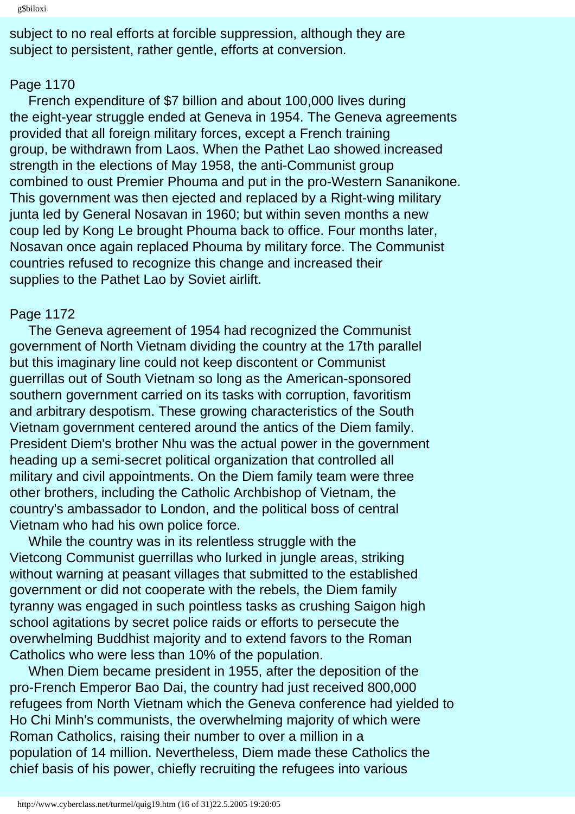subject to no real efforts at forcible suppression, although they are subject to persistent, rather gentle, efforts at conversion.

## Page 1170

 French expenditure of \$7 billion and about 100,000 lives during the eight-year struggle ended at Geneva in 1954. The Geneva agreements provided that all foreign military forces, except a French training group, be withdrawn from Laos. When the Pathet Lao showed increased strength in the elections of May 1958, the anti-Communist group combined to oust Premier Phouma and put in the pro-Western Sananikone. This government was then ejected and replaced by a Right-wing military junta led by General Nosavan in 1960; but within seven months a new coup led by Kong Le brought Phouma back to office. Four months later, Nosavan once again replaced Phouma by military force. The Communist countries refused to recognize this change and increased their supplies to the Pathet Lao by Soviet airlift.

## Page 1172

 The Geneva agreement of 1954 had recognized the Communist government of North Vietnam dividing the country at the 17th parallel but this imaginary line could not keep discontent or Communist guerrillas out of South Vietnam so long as the American-sponsored southern government carried on its tasks with corruption, favoritism and arbitrary despotism. These growing characteristics of the South Vietnam government centered around the antics of the Diem family. President Diem's brother Nhu was the actual power in the government heading up a semi-secret political organization that controlled all military and civil appointments. On the Diem family team were three other brothers, including the Catholic Archbishop of Vietnam, the country's ambassador to London, and the political boss of central Vietnam who had his own police force.

 While the country was in its relentless struggle with the Vietcong Communist guerrillas who lurked in jungle areas, striking without warning at peasant villages that submitted to the established government or did not cooperate with the rebels, the Diem family tyranny was engaged in such pointless tasks as crushing Saigon high school agitations by secret police raids or efforts to persecute the overwhelming Buddhist majority and to extend favors to the Roman Catholics who were less than 10% of the population.

 When Diem became president in 1955, after the deposition of the pro-French Emperor Bao Dai, the country had just received 800,000 refugees from North Vietnam which the Geneva conference had yielded to Ho Chi Minh's communists, the overwhelming majority of which were Roman Catholics, raising their number to over a million in a population of 14 million. Nevertheless, Diem made these Catholics the chief basis of his power, chiefly recruiting the refugees into various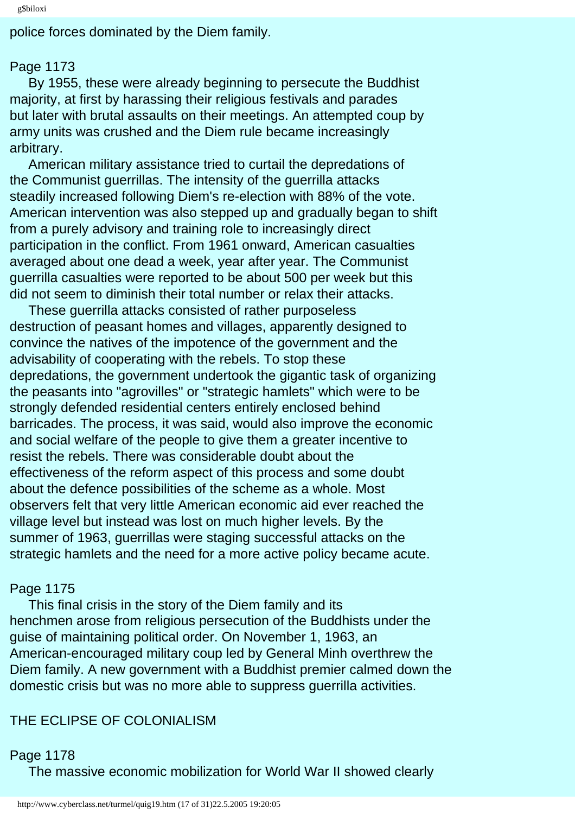police forces dominated by the Diem family.

### Page 1173

 By 1955, these were already beginning to persecute the Buddhist majority, at first by harassing their religious festivals and parades but later with brutal assaults on their meetings. An attempted coup by army units was crushed and the Diem rule became increasingly arbitrary.

 American military assistance tried to curtail the depredations of the Communist guerrillas. The intensity of the guerrilla attacks steadily increased following Diem's re-election with 88% of the vote. American intervention was also stepped up and gradually began to shift from a purely advisory and training role to increasingly direct participation in the conflict. From 1961 onward, American casualties averaged about one dead a week, year after year. The Communist guerrilla casualties were reported to be about 500 per week but this did not seem to diminish their total number or relax their attacks.

 These guerrilla attacks consisted of rather purposeless destruction of peasant homes and villages, apparently designed to convince the natives of the impotence of the government and the advisability of cooperating with the rebels. To stop these depredations, the government undertook the gigantic task of organizing the peasants into "agrovilles" or "strategic hamlets" which were to be strongly defended residential centers entirely enclosed behind barricades. The process, it was said, would also improve the economic and social welfare of the people to give them a greater incentive to resist the rebels. There was considerable doubt about the effectiveness of the reform aspect of this process and some doubt about the defence possibilities of the scheme as a whole. Most observers felt that very little American economic aid ever reached the village level but instead was lost on much higher levels. By the summer of 1963, guerrillas were staging successful attacks on the strategic hamlets and the need for a more active policy became acute.

### Page 1175

 This final crisis in the story of the Diem family and its henchmen arose from religious persecution of the Buddhists under the guise of maintaining political order. On November 1, 1963, an American-encouraged military coup led by General Minh overthrew the Diem family. A new government with a Buddhist premier calmed down the domestic crisis but was no more able to suppress guerrilla activities.

## THE ECLIPSE OF COLONIALISM

### Page 1178

The massive economic mobilization for World War II showed clearly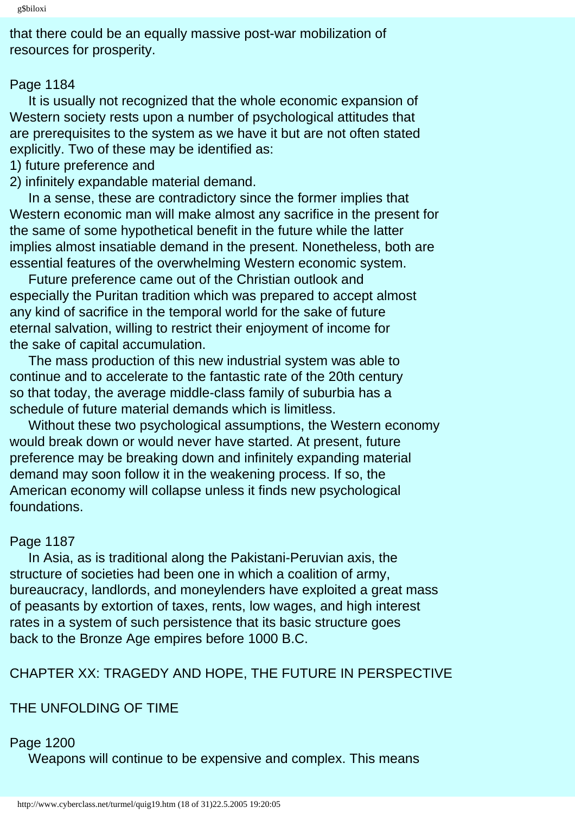that there could be an equally massive post-war mobilization of resources for prosperity.

### Page 1184

 It is usually not recognized that the whole economic expansion of Western society rests upon a number of psychological attitudes that are prerequisites to the system as we have it but are not often stated explicitly. Two of these may be identified as:

- 1) future preference and
- 2) infinitely expandable material demand.

 In a sense, these are contradictory since the former implies that Western economic man will make almost any sacrifice in the present for the same of some hypothetical benefit in the future while the latter implies almost insatiable demand in the present. Nonetheless, both are essential features of the overwhelming Western economic system.

 Future preference came out of the Christian outlook and especially the Puritan tradition which was prepared to accept almost any kind of sacrifice in the temporal world for the sake of future eternal salvation, willing to restrict their enjoyment of income for the sake of capital accumulation.

 The mass production of this new industrial system was able to continue and to accelerate to the fantastic rate of the 20th century so that today, the average middle-class family of suburbia has a schedule of future material demands which is limitless.

 Without these two psychological assumptions, the Western economy would break down or would never have started. At present, future preference may be breaking down and infinitely expanding material demand may soon follow it in the weakening process. If so, the American economy will collapse unless it finds new psychological foundations.

### Page 1187

 In Asia, as is traditional along the Pakistani-Peruvian axis, the structure of societies had been one in which a coalition of army, bureaucracy, landlords, and moneylenders have exploited a great mass of peasants by extortion of taxes, rents, low wages, and high interest rates in a system of such persistence that its basic structure goes back to the Bronze Age empires before 1000 B.C.

### CHAPTER XX: TRAGEDY AND HOPE, THE FUTURE IN PERSPECTIVE

### THE UNFOLDING OF TIME

#### Page 1200

Weapons will continue to be expensive and complex. This means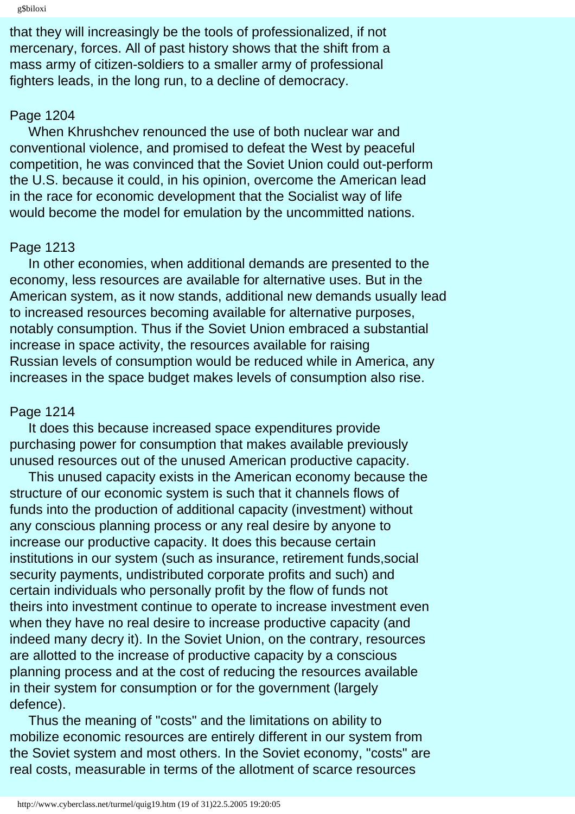that they will increasingly be the tools of professionalized, if not mercenary, forces. All of past history shows that the shift from a mass army of citizen-soldiers to a smaller army of professional fighters leads, in the long run, to a decline of democracy.

### Page 1204

 When Khrushchev renounced the use of both nuclear war and conventional violence, and promised to defeat the West by peaceful competition, he was convinced that the Soviet Union could out-perform the U.S. because it could, in his opinion, overcome the American lead in the race for economic development that the Socialist way of life would become the model for emulation by the uncommitted nations.

## Page 1213

 In other economies, when additional demands are presented to the economy, less resources are available for alternative uses. But in the American system, as it now stands, additional new demands usually lead to increased resources becoming available for alternative purposes, notably consumption. Thus if the Soviet Union embraced a substantial increase in space activity, the resources available for raising Russian levels of consumption would be reduced while in America, any increases in the space budget makes levels of consumption also rise.

## Page 1214

 It does this because increased space expenditures provide purchasing power for consumption that makes available previously unused resources out of the unused American productive capacity.

 This unused capacity exists in the American economy because the structure of our economic system is such that it channels flows of funds into the production of additional capacity (investment) without any conscious planning process or any real desire by anyone to increase our productive capacity. It does this because certain institutions in our system (such as insurance, retirement funds,social security payments, undistributed corporate profits and such) and certain individuals who personally profit by the flow of funds not theirs into investment continue to operate to increase investment even when they have no real desire to increase productive capacity (and indeed many decry it). In the Soviet Union, on the contrary, resources are allotted to the increase of productive capacity by a conscious planning process and at the cost of reducing the resources available in their system for consumption or for the government (largely defence).

 Thus the meaning of "costs" and the limitations on ability to mobilize economic resources are entirely different in our system from the Soviet system and most others. In the Soviet economy, "costs" are real costs, measurable in terms of the allotment of scarce resources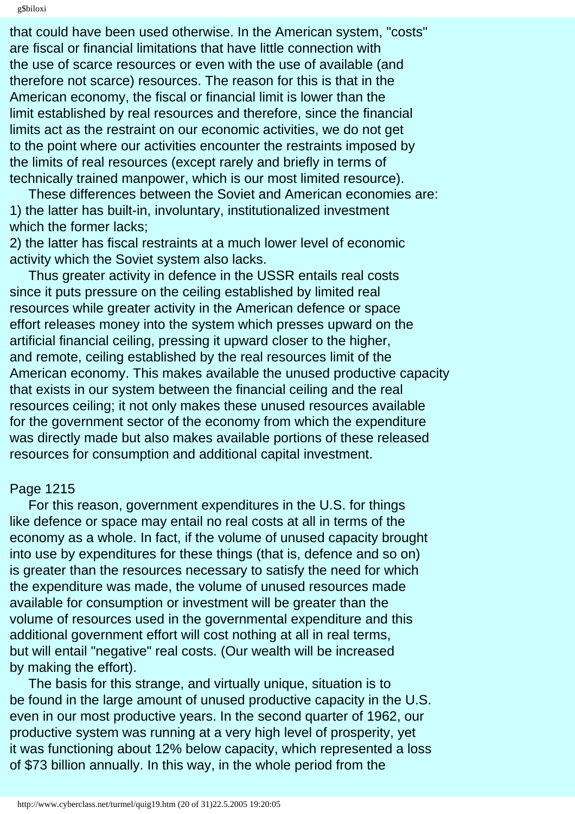that could have been used otherwise. In the American system, "costs" are fiscal or financial limitations that have little connection with the use of scarce resources or even with the use of available (and therefore not scarce) resources. The reason for this is that in the American economy, the fiscal or financial limit is lower than the limit established by real resources and therefore, since the financial limits act as the restraint on our economic activities, we do not get to the point where our activities encounter the restraints imposed by the limits of real resources (except rarely and briefly in terms of technically trained manpower, which is our most limited resource).

 These differences between the Soviet and American economies are: 1) the latter has built-in, involuntary, institutionalized investment which the former lacks;

2) the latter has fiscal restraints at a much lower level of economic activity which the Soviet system also lacks.

 Thus greater activity in defence in the USSR entails real costs since it puts pressure on the ceiling established by limited real resources while greater activity in the American defence or space effort releases money into the system which presses upward on the artificial financial ceiling, pressing it upward closer to the higher, and remote, ceiling established by the real resources limit of the American economy. This makes available the unused productive capacity that exists in our system between the financial ceiling and the real resources ceiling; it not only makes these unused resources available for the government sector of the economy from which the expenditure was directly made but also makes available portions of these released resources for consumption and additional capital investment.

### Page 1215

 For this reason, government expenditures in the U.S. for things like defence or space may entail no real costs at all in terms of the economy as a whole. In fact, if the volume of unused capacity brought into use by expenditures for these things (that is, defence and so on) is greater than the resources necessary to satisfy the need for which the expenditure was made, the volume of unused resources made available for consumption or investment will be greater than the volume of resources used in the governmental expenditure and this additional government effort will cost nothing at all in real terms, but will entail "negative" real costs. (Our wealth will be increased by making the effort).

 The basis for this strange, and virtually unique, situation is to be found in the large amount of unused productive capacity in the U.S. even in our most productive years. In the second quarter of 1962, our productive system was running at a very high level of prosperity, yet it was functioning about 12% below capacity, which represented a loss of \$73 billion annually. In this way, in the whole period from the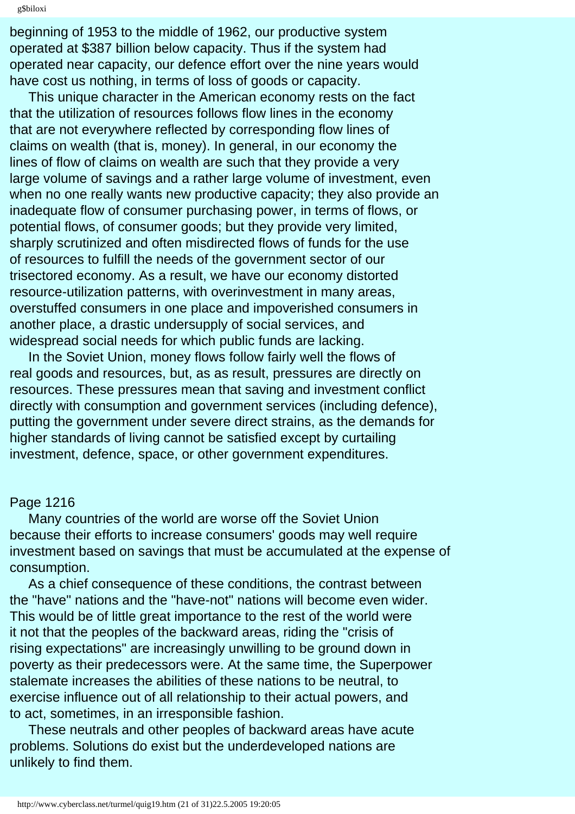beginning of 1953 to the middle of 1962, our productive system operated at \$387 billion below capacity. Thus if the system had operated near capacity, our defence effort over the nine years would have cost us nothing, in terms of loss of goods or capacity.

 This unique character in the American economy rests on the fact that the utilization of resources follows flow lines in the economy that are not everywhere reflected by corresponding flow lines of claims on wealth (that is, money). In general, in our economy the lines of flow of claims on wealth are such that they provide a very large volume of savings and a rather large volume of investment, even when no one really wants new productive capacity; they also provide an inadequate flow of consumer purchasing power, in terms of flows, or potential flows, of consumer goods; but they provide very limited, sharply scrutinized and often misdirected flows of funds for the use of resources to fulfill the needs of the government sector of our trisectored economy. As a result, we have our economy distorted resource-utilization patterns, with overinvestment in many areas, overstuffed consumers in one place and impoverished consumers in another place, a drastic undersupply of social services, and widespread social needs for which public funds are lacking.

 In the Soviet Union, money flows follow fairly well the flows of real goods and resources, but, as as result, pressures are directly on resources. These pressures mean that saving and investment conflict directly with consumption and government services (including defence), putting the government under severe direct strains, as the demands for higher standards of living cannot be satisfied except by curtailing investment, defence, space, or other government expenditures.

### Page 1216

 Many countries of the world are worse off the Soviet Union because their efforts to increase consumers' goods may well require investment based on savings that must be accumulated at the expense of consumption.

 As a chief consequence of these conditions, the contrast between the "have" nations and the "have-not" nations will become even wider. This would be of little great importance to the rest of the world were it not that the peoples of the backward areas, riding the "crisis of rising expectations" are increasingly unwilling to be ground down in poverty as their predecessors were. At the same time, the Superpower stalemate increases the abilities of these nations to be neutral, to exercise influence out of all relationship to their actual powers, and to act, sometimes, in an irresponsible fashion.

 These neutrals and other peoples of backward areas have acute problems. Solutions do exist but the underdeveloped nations are unlikely to find them.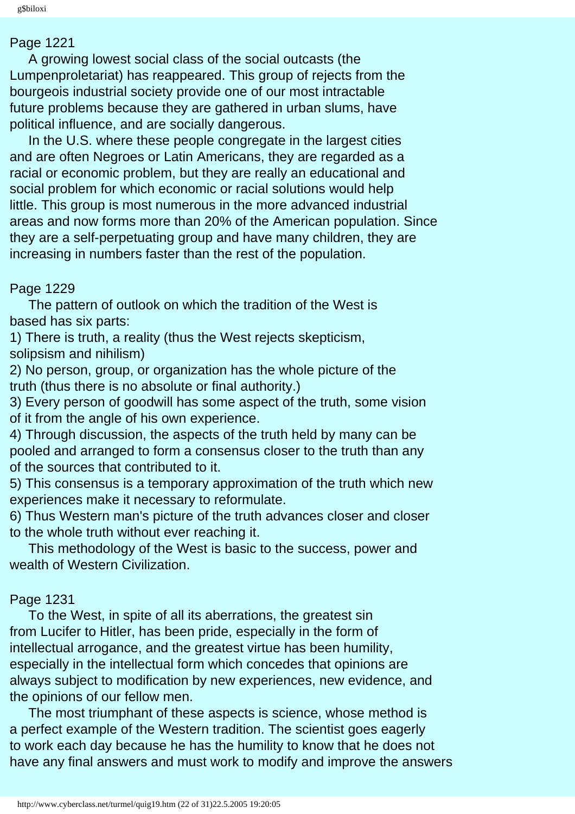### Page 1221

 A growing lowest social class of the social outcasts (the Lumpenproletariat) has reappeared. This group of rejects from the bourgeois industrial society provide one of our most intractable future problems because they are gathered in urban slums, have political influence, and are socially dangerous.

 In the U.S. where these people congregate in the largest cities and are often Negroes or Latin Americans, they are regarded as a racial or economic problem, but they are really an educational and social problem for which economic or racial solutions would help little. This group is most numerous in the more advanced industrial areas and now forms more than 20% of the American population. Since they are a self-perpetuating group and have many children, they are increasing in numbers faster than the rest of the population.

## Page 1229

 The pattern of outlook on which the tradition of the West is based has six parts:

1) There is truth, a reality (thus the West rejects skepticism, solipsism and nihilism)

2) No person, group, or organization has the whole picture of the truth (thus there is no absolute or final authority.)

3) Every person of goodwill has some aspect of the truth, some vision of it from the angle of his own experience.

4) Through discussion, the aspects of the truth held by many can be pooled and arranged to form a consensus closer to the truth than any of the sources that contributed to it.

5) This consensus is a temporary approximation of the truth which new experiences make it necessary to reformulate.

6) Thus Western man's picture of the truth advances closer and closer to the whole truth without ever reaching it.

 This methodology of the West is basic to the success, power and wealth of Western Civilization.

## Page 1231

 To the West, in spite of all its aberrations, the greatest sin from Lucifer to Hitler, has been pride, especially in the form of intellectual arrogance, and the greatest virtue has been humility, especially in the intellectual form which concedes that opinions are always subject to modification by new experiences, new evidence, and the opinions of our fellow men.

 The most triumphant of these aspects is science, whose method is a perfect example of the Western tradition. The scientist goes eagerly to work each day because he has the humility to know that he does not have any final answers and must work to modify and improve the answers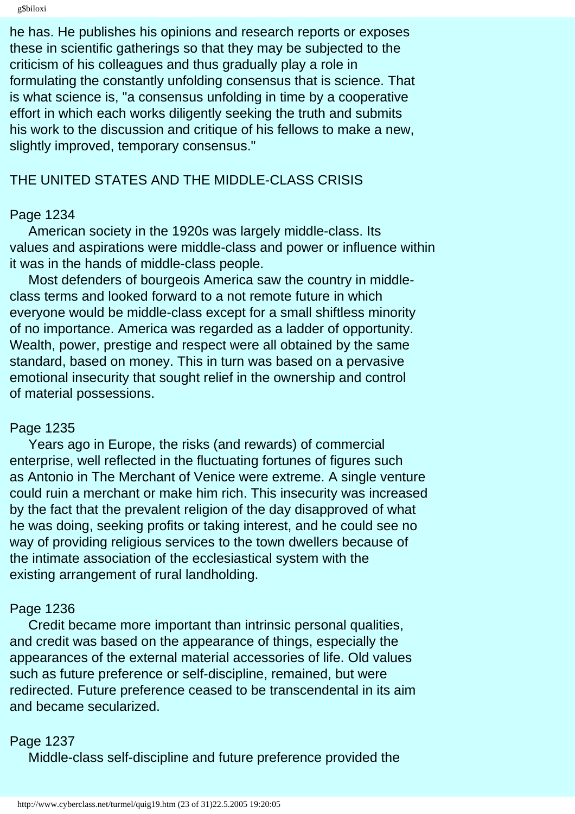he has. He publishes his opinions and research reports or exposes these in scientific gatherings so that they may be subjected to the criticism of his colleagues and thus gradually play a role in formulating the constantly unfolding consensus that is science. That is what science is, "a consensus unfolding in time by a cooperative effort in which each works diligently seeking the truth and submits his work to the discussion and critique of his fellows to make a new, slightly improved, temporary consensus."

## THE UNITED STATES AND THE MIDDLE-CLASS CRISIS

### Page 1234

 American society in the 1920s was largely middle-class. Its values and aspirations were middle-class and power or influence within it was in the hands of middle-class people.

 Most defenders of bourgeois America saw the country in middleclass terms and looked forward to a not remote future in which everyone would be middle-class except for a small shiftless minority of no importance. America was regarded as a ladder of opportunity. Wealth, power, prestige and respect were all obtained by the same standard, based on money. This in turn was based on a pervasive emotional insecurity that sought relief in the ownership and control of material possessions.

### Page 1235

 Years ago in Europe, the risks (and rewards) of commercial enterprise, well reflected in the fluctuating fortunes of figures such as Antonio in The Merchant of Venice were extreme. A single venture could ruin a merchant or make him rich. This insecurity was increased by the fact that the prevalent religion of the day disapproved of what he was doing, seeking profits or taking interest, and he could see no way of providing religious services to the town dwellers because of the intimate association of the ecclesiastical system with the existing arrangement of rural landholding.

### Page 1236

 Credit became more important than intrinsic personal qualities, and credit was based on the appearance of things, especially the appearances of the external material accessories of life. Old values such as future preference or self-discipline, remained, but were redirected. Future preference ceased to be transcendental in its aim and became secularized.

### Page 1237

Middle-class self-discipline and future preference provided the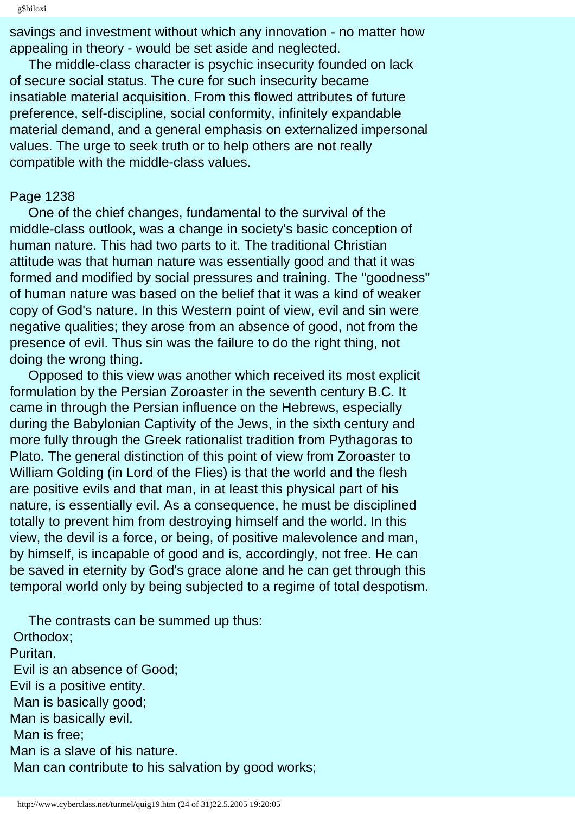savings and investment without which any innovation - no matter how appealing in theory - would be set aside and neglected.

 The middle-class character is psychic insecurity founded on lack of secure social status. The cure for such insecurity became insatiable material acquisition. From this flowed attributes of future preference, self-discipline, social conformity, infinitely expandable material demand, and a general emphasis on externalized impersonal values. The urge to seek truth or to help others are not really compatible with the middle-class values.

### Page 1238

 One of the chief changes, fundamental to the survival of the middle-class outlook, was a change in society's basic conception of human nature. This had two parts to it. The traditional Christian attitude was that human nature was essentially good and that it was formed and modified by social pressures and training. The "goodness" of human nature was based on the belief that it was a kind of weaker copy of God's nature. In this Western point of view, evil and sin were negative qualities; they arose from an absence of good, not from the presence of evil. Thus sin was the failure to do the right thing, not doing the wrong thing.

 Opposed to this view was another which received its most explicit formulation by the Persian Zoroaster in the seventh century B.C. It came in through the Persian influence on the Hebrews, especially during the Babylonian Captivity of the Jews, in the sixth century and more fully through the Greek rationalist tradition from Pythagoras to Plato. The general distinction of this point of view from Zoroaster to William Golding (in Lord of the Flies) is that the world and the flesh are positive evils and that man, in at least this physical part of his nature, is essentially evil. As a consequence, he must be disciplined totally to prevent him from destroying himself and the world. In this view, the devil is a force, or being, of positive malevolence and man, by himself, is incapable of good and is, accordingly, not free. He can be saved in eternity by God's grace alone and he can get through this temporal world only by being subjected to a regime of total despotism.

 The contrasts can be summed up thus: Orthodox; Puritan. Evil is an absence of Good; Evil is a positive entity. Man is basically good; Man is basically evil. Man is free; Man is a slave of his nature. Man can contribute to his salvation by good works;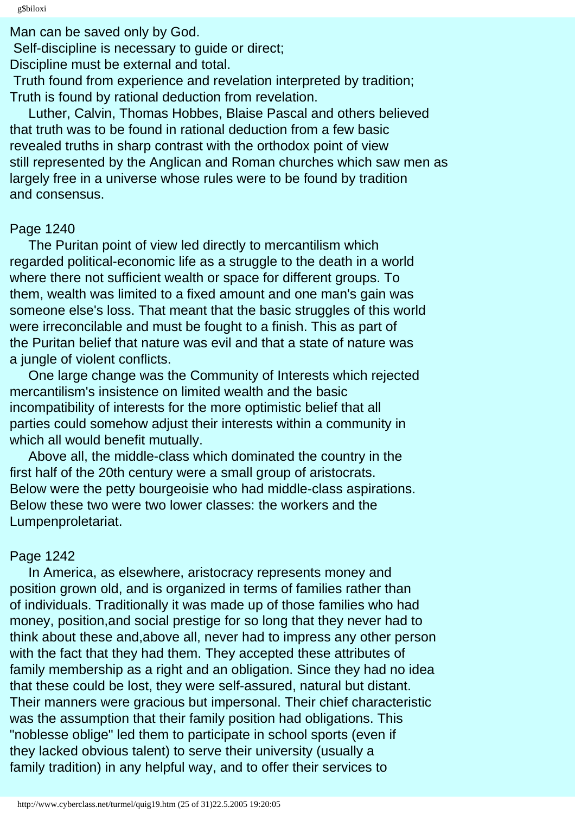Man can be saved only by God.

Self-discipline is necessary to guide or direct;

Discipline must be external and total.

 Truth found from experience and revelation interpreted by tradition; Truth is found by rational deduction from revelation.

 Luther, Calvin, Thomas Hobbes, Blaise Pascal and others believed that truth was to be found in rational deduction from a few basic revealed truths in sharp contrast with the orthodox point of view still represented by the Anglican and Roman churches which saw men as largely free in a universe whose rules were to be found by tradition and consensus.

### Page 1240

 The Puritan point of view led directly to mercantilism which regarded political-economic life as a struggle to the death in a world where there not sufficient wealth or space for different groups. To them, wealth was limited to a fixed amount and one man's gain was someone else's loss. That meant that the basic struggles of this world were irreconcilable and must be fought to a finish. This as part of the Puritan belief that nature was evil and that a state of nature was a jungle of violent conflicts.

 One large change was the Community of Interests which rejected mercantilism's insistence on limited wealth and the basic incompatibility of interests for the more optimistic belief that all parties could somehow adjust their interests within a community in which all would benefit mutually.

 Above all, the middle-class which dominated the country in the first half of the 20th century were a small group of aristocrats. Below were the petty bourgeoisie who had middle-class aspirations. Below these two were two lower classes: the workers and the Lumpenproletariat.

## Page 1242

 In America, as elsewhere, aristocracy represents money and position grown old, and is organized in terms of families rather than of individuals. Traditionally it was made up of those families who had money, position,and social prestige for so long that they never had to think about these and,above all, never had to impress any other person with the fact that they had them. They accepted these attributes of family membership as a right and an obligation. Since they had no idea that these could be lost, they were self-assured, natural but distant. Their manners were gracious but impersonal. Their chief characteristic was the assumption that their family position had obligations. This "noblesse oblige" led them to participate in school sports (even if they lacked obvious talent) to serve their university (usually a family tradition) in any helpful way, and to offer their services to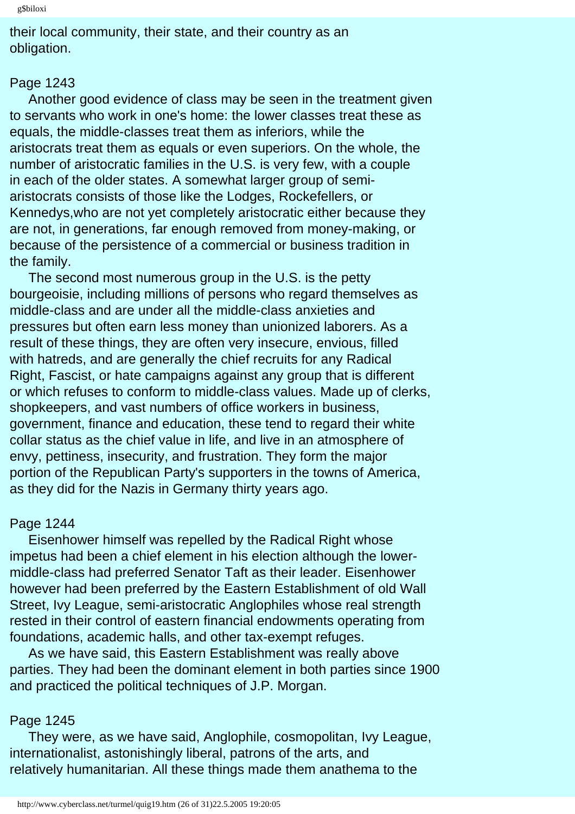```
g$biloxi
```
their local community, their state, and their country as an obligation.

## Page 1243

 Another good evidence of class may be seen in the treatment given to servants who work in one's home: the lower classes treat these as equals, the middle-classes treat them as inferiors, while the aristocrats treat them as equals or even superiors. On the whole, the number of aristocratic families in the U.S. is very few, with a couple in each of the older states. A somewhat larger group of semiaristocrats consists of those like the Lodges, Rockefellers, or Kennedys,who are not yet completely aristocratic either because they are not, in generations, far enough removed from money-making, or because of the persistence of a commercial or business tradition in the family.

 The second most numerous group in the U.S. is the petty bourgeoisie, including millions of persons who regard themselves as middle-class and are under all the middle-class anxieties and pressures but often earn less money than unionized laborers. As a result of these things, they are often very insecure, envious, filled with hatreds, and are generally the chief recruits for any Radical Right, Fascist, or hate campaigns against any group that is different or which refuses to conform to middle-class values. Made up of clerks, shopkeepers, and vast numbers of office workers in business, government, finance and education, these tend to regard their white collar status as the chief value in life, and live in an atmosphere of envy, pettiness, insecurity, and frustration. They form the major portion of the Republican Party's supporters in the towns of America, as they did for the Nazis in Germany thirty years ago.

## Page 1244

 Eisenhower himself was repelled by the Radical Right whose impetus had been a chief element in his election although the lowermiddle-class had preferred Senator Taft as their leader. Eisenhower however had been preferred by the Eastern Establishment of old Wall Street, Ivy League, semi-aristocratic Anglophiles whose real strength rested in their control of eastern financial endowments operating from foundations, academic halls, and other tax-exempt refuges.

 As we have said, this Eastern Establishment was really above parties. They had been the dominant element in both parties since 1900 and practiced the political techniques of J.P. Morgan.

## Page 1245

 They were, as we have said, Anglophile, cosmopolitan, Ivy League, internationalist, astonishingly liberal, patrons of the arts, and relatively humanitarian. All these things made them anathema to the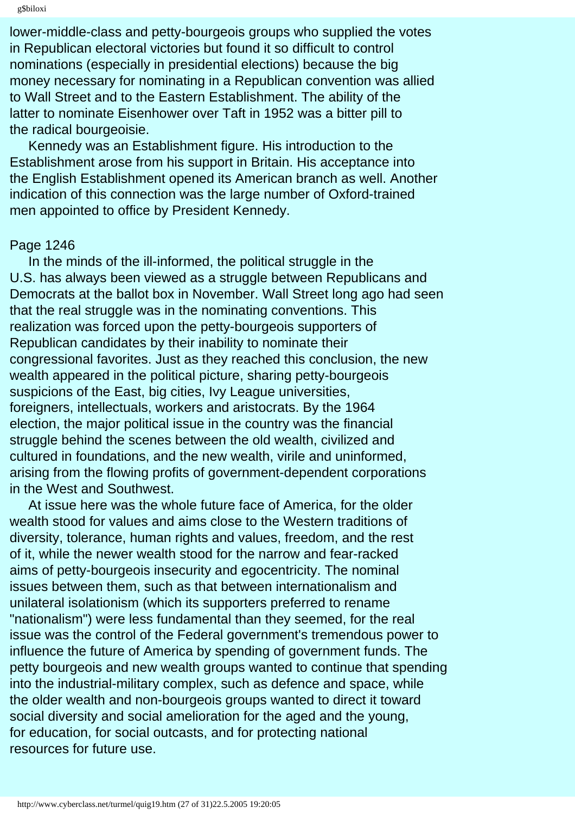lower-middle-class and petty-bourgeois groups who supplied the votes in Republican electoral victories but found it so difficult to control nominations (especially in presidential elections) because the big money necessary for nominating in a Republican convention was allied to Wall Street and to the Eastern Establishment. The ability of the latter to nominate Eisenhower over Taft in 1952 was a bitter pill to the radical bourgeoisie.

 Kennedy was an Establishment figure. His introduction to the Establishment arose from his support in Britain. His acceptance into the English Establishment opened its American branch as well. Another indication of this connection was the large number of Oxford-trained men appointed to office by President Kennedy.

### Page 1246

 In the minds of the ill-informed, the political struggle in the U.S. has always been viewed as a struggle between Republicans and Democrats at the ballot box in November. Wall Street long ago had seen that the real struggle was in the nominating conventions. This realization was forced upon the petty-bourgeois supporters of Republican candidates by their inability to nominate their congressional favorites. Just as they reached this conclusion, the new wealth appeared in the political picture, sharing petty-bourgeois suspicions of the East, big cities, Ivy League universities, foreigners, intellectuals, workers and aristocrats. By the 1964 election, the major political issue in the country was the financial struggle behind the scenes between the old wealth, civilized and cultured in foundations, and the new wealth, virile and uninformed, arising from the flowing profits of government-dependent corporations in the West and Southwest.

 At issue here was the whole future face of America, for the older wealth stood for values and aims close to the Western traditions of diversity, tolerance, human rights and values, freedom, and the rest of it, while the newer wealth stood for the narrow and fear-racked aims of petty-bourgeois insecurity and egocentricity. The nominal issues between them, such as that between internationalism and unilateral isolationism (which its supporters preferred to rename "nationalism") were less fundamental than they seemed, for the real issue was the control of the Federal government's tremendous power to influence the future of America by spending of government funds. The petty bourgeois and new wealth groups wanted to continue that spending into the industrial-military complex, such as defence and space, while the older wealth and non-bourgeois groups wanted to direct it toward social diversity and social amelioration for the aged and the young, for education, for social outcasts, and for protecting national resources for future use.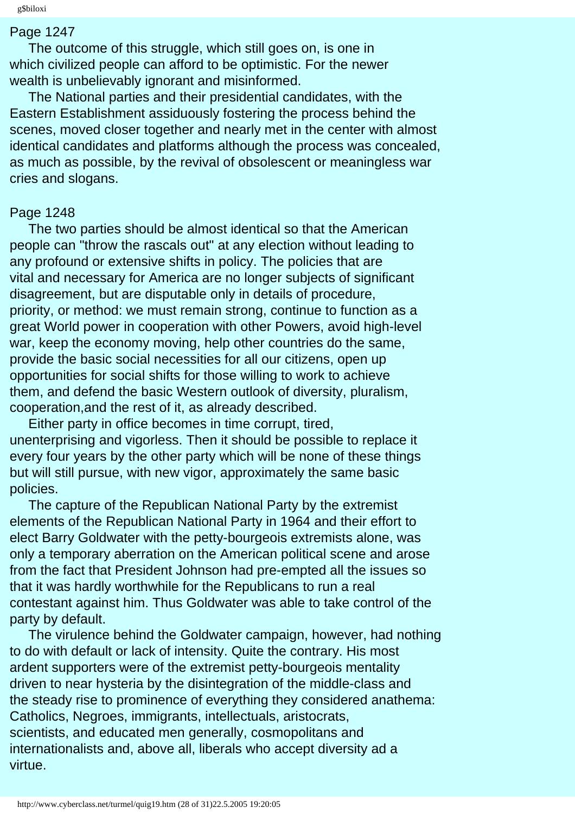## Page 1247

 The outcome of this struggle, which still goes on, is one in which civilized people can afford to be optimistic. For the newer wealth is unbelievably ignorant and misinformed.

 The National parties and their presidential candidates, with the Eastern Establishment assiduously fostering the process behind the scenes, moved closer together and nearly met in the center with almost identical candidates and platforms although the process was concealed, as much as possible, by the revival of obsolescent or meaningless war cries and slogans.

### Page 1248

 The two parties should be almost identical so that the American people can "throw the rascals out" at any election without leading to any profound or extensive shifts in policy. The policies that are vital and necessary for America are no longer subjects of significant disagreement, but are disputable only in details of procedure, priority, or method: we must remain strong, continue to function as a great World power in cooperation with other Powers, avoid high-level war, keep the economy moving, help other countries do the same, provide the basic social necessities for all our citizens, open up opportunities for social shifts for those willing to work to achieve them, and defend the basic Western outlook of diversity, pluralism, cooperation,and the rest of it, as already described.

 Either party in office becomes in time corrupt, tired, unenterprising and vigorless. Then it should be possible to replace it every four years by the other party which will be none of these things but will still pursue, with new vigor, approximately the same basic policies.

 The capture of the Republican National Party by the extremist elements of the Republican National Party in 1964 and their effort to elect Barry Goldwater with the petty-bourgeois extremists alone, was only a temporary aberration on the American political scene and arose from the fact that President Johnson had pre-empted all the issues so that it was hardly worthwhile for the Republicans to run a real contestant against him. Thus Goldwater was able to take control of the party by default.

 The virulence behind the Goldwater campaign, however, had nothing to do with default or lack of intensity. Quite the contrary. His most ardent supporters were of the extremist petty-bourgeois mentality driven to near hysteria by the disintegration of the middle-class and the steady rise to prominence of everything they considered anathema: Catholics, Negroes, immigrants, intellectuals, aristocrats, scientists, and educated men generally, cosmopolitans and internationalists and, above all, liberals who accept diversity ad a virtue.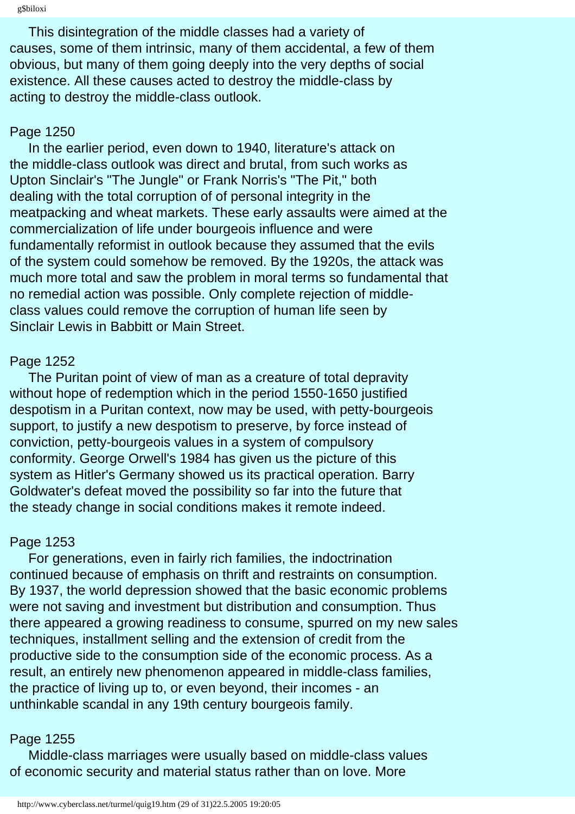This disintegration of the middle classes had a variety of causes, some of them intrinsic, many of them accidental, a few of them obvious, but many of them going deeply into the very depths of social existence. All these causes acted to destroy the middle-class by acting to destroy the middle-class outlook.

#### Page 1250

 In the earlier period, even down to 1940, literature's attack on the middle-class outlook was direct and brutal, from such works as Upton Sinclair's "The Jungle" or Frank Norris's "The Pit," both dealing with the total corruption of of personal integrity in the meatpacking and wheat markets. These early assaults were aimed at the commercialization of life under bourgeois influence and were fundamentally reformist in outlook because they assumed that the evils of the system could somehow be removed. By the 1920s, the attack was much more total and saw the problem in moral terms so fundamental that no remedial action was possible. Only complete rejection of middleclass values could remove the corruption of human life seen by Sinclair Lewis in Babbitt or Main Street.

### Page 1252

 The Puritan point of view of man as a creature of total depravity without hope of redemption which in the period 1550-1650 justified despotism in a Puritan context, now may be used, with petty-bourgeois support, to justify a new despotism to preserve, by force instead of conviction, petty-bourgeois values in a system of compulsory conformity. George Orwell's 1984 has given us the picture of this system as Hitler's Germany showed us its practical operation. Barry Goldwater's defeat moved the possibility so far into the future that the steady change in social conditions makes it remote indeed.

### Page 1253

 For generations, even in fairly rich families, the indoctrination continued because of emphasis on thrift and restraints on consumption. By 1937, the world depression showed that the basic economic problems were not saving and investment but distribution and consumption. Thus there appeared a growing readiness to consume, spurred on my new sales techniques, installment selling and the extension of credit from the productive side to the consumption side of the economic process. As a result, an entirely new phenomenon appeared in middle-class families, the practice of living up to, or even beyond, their incomes - an unthinkable scandal in any 19th century bourgeois family.

## Page 1255

 Middle-class marriages were usually based on middle-class values of economic security and material status rather than on love. More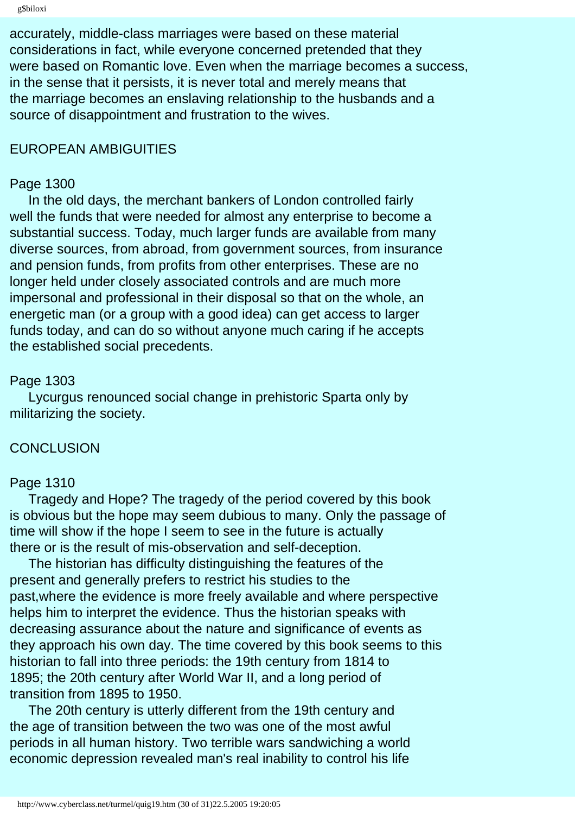accurately, middle-class marriages were based on these material considerations in fact, while everyone concerned pretended that they were based on Romantic love. Even when the marriage becomes a success, in the sense that it persists, it is never total and merely means that the marriage becomes an enslaving relationship to the husbands and a source of disappointment and frustration to the wives.

## EUROPEAN AMBIGUITIES

## Page 1300

 In the old days, the merchant bankers of London controlled fairly well the funds that were needed for almost any enterprise to become a substantial success. Today, much larger funds are available from many diverse sources, from abroad, from government sources, from insurance and pension funds, from profits from other enterprises. These are no longer held under closely associated controls and are much more impersonal and professional in their disposal so that on the whole, an energetic man (or a group with a good idea) can get access to larger funds today, and can do so without anyone much caring if he accepts the established social precedents.

## Page 1303

 Lycurgus renounced social change in prehistoric Sparta only by militarizing the society.

## **CONCLUSION**

## Page 1310

 Tragedy and Hope? The tragedy of the period covered by this book is obvious but the hope may seem dubious to many. Only the passage of time will show if the hope I seem to see in the future is actually there or is the result of mis-observation and self-deception.

 The historian has difficulty distinguishing the features of the present and generally prefers to restrict his studies to the past,where the evidence is more freely available and where perspective helps him to interpret the evidence. Thus the historian speaks with decreasing assurance about the nature and significance of events as they approach his own day. The time covered by this book seems to this historian to fall into three periods: the 19th century from 1814 to 1895; the 20th century after World War II, and a long period of transition from 1895 to 1950.

 The 20th century is utterly different from the 19th century and the age of transition between the two was one of the most awful periods in all human history. Two terrible wars sandwiching a world economic depression revealed man's real inability to control his life